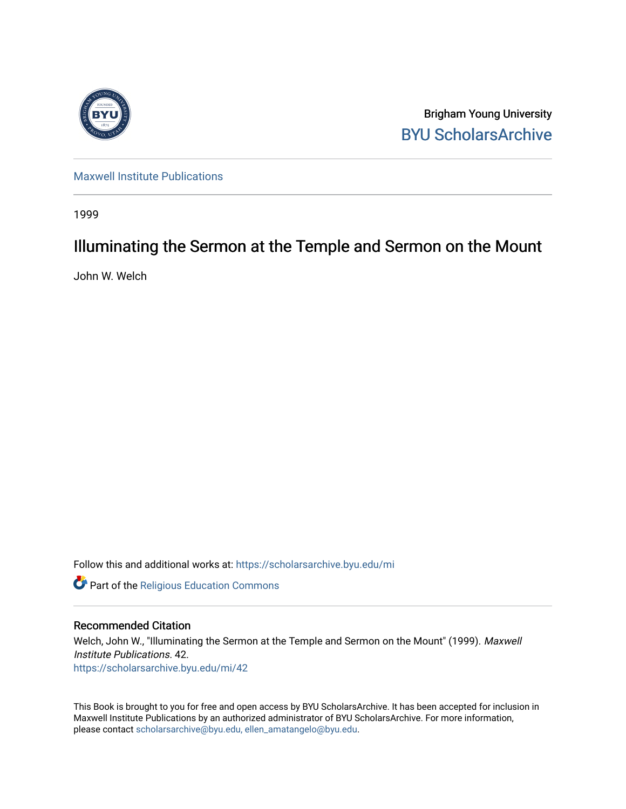

Brigham Young University [BYU ScholarsArchive](https://scholarsarchive.byu.edu/) 

[Maxwell Institute Publications](https://scholarsarchive.byu.edu/mi) 

1999

### Illuminating the Sermon at the Temple and Sermon on the Mount

John W. Welch

Follow this and additional works at: [https://scholarsarchive.byu.edu/mi](https://scholarsarchive.byu.edu/mi?utm_source=scholarsarchive.byu.edu%2Fmi%2F42&utm_medium=PDF&utm_campaign=PDFCoverPages)

**Part of the [Religious Education Commons](http://network.bepress.com/hgg/discipline/1414?utm_source=scholarsarchive.byu.edu%2Fmi%2F42&utm_medium=PDF&utm_campaign=PDFCoverPages)** 

#### Recommended Citation

Welch, John W., "Illuminating the Sermon at the Temple and Sermon on the Mount" (1999). Maxwell Institute Publications. 42. [https://scholarsarchive.byu.edu/mi/42](https://scholarsarchive.byu.edu/mi/42?utm_source=scholarsarchive.byu.edu%2Fmi%2F42&utm_medium=PDF&utm_campaign=PDFCoverPages) 

This Book is brought to you for free and open access by BYU ScholarsArchive. It has been accepted for inclusion in Maxwell Institute Publications by an authorized administrator of BYU ScholarsArchive. For more information, please contact [scholarsarchive@byu.edu, ellen\\_amatangelo@byu.edu.](mailto:scholarsarchive@byu.edu,%20ellen_amatangelo@byu.edu)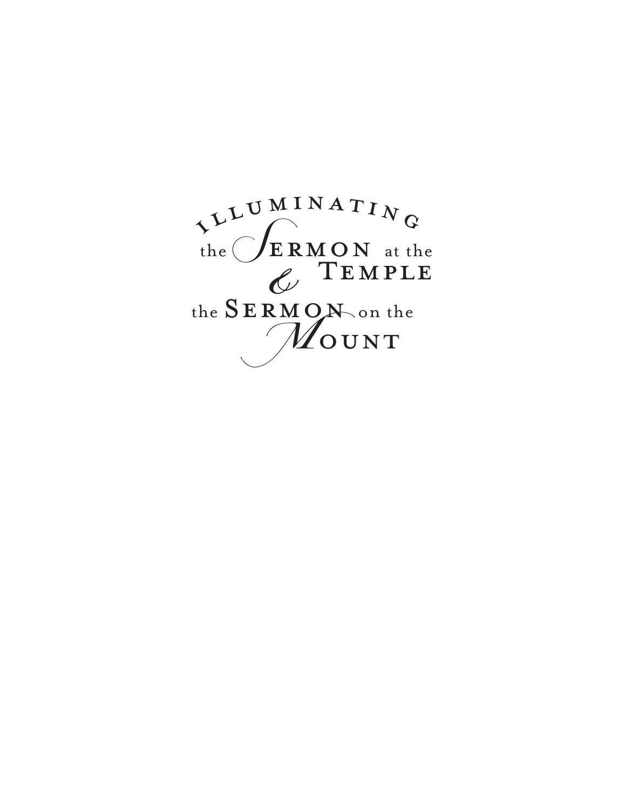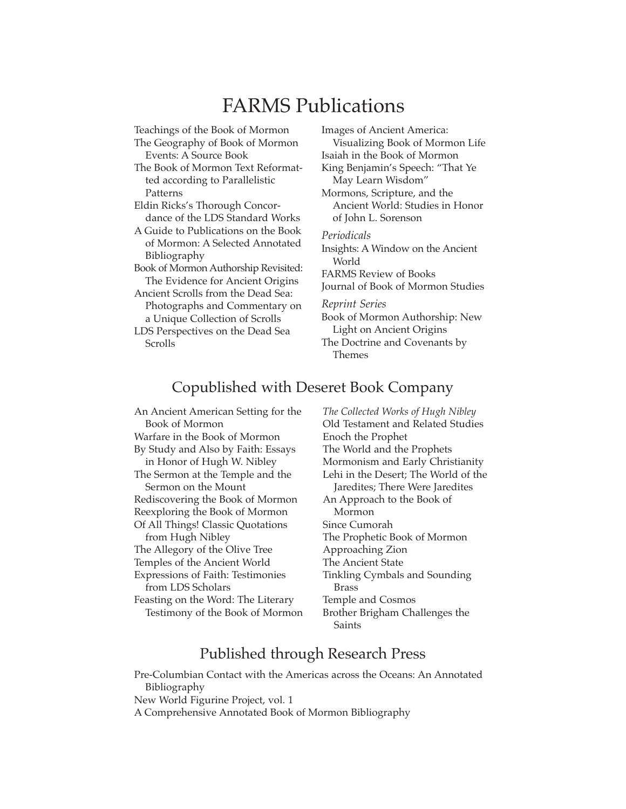### FARMS Publications

Teachings of the Book of Mormon

The Geography of Book of Mormon Events: A Source Book

The Book of Mormon Text Reformatted according to Parallelistic Patterns

Eldin Ricks's Thorough Concordance of the LDS Standard Works

A Guide to Publications on the Book of Mormon: A Selected Annotated Bibliography

Book of Mormon Authorship Revisited: The Evidence for Ancient Origins

Ancient Scrolls from the Dead Sea: Photographs and Commentary on a Unique Collection of Scrolls

LDS Perspectives on the Dead Sea Scrolls

Images of Ancient America: Visualizing Book of Mormon Life Isaiah in the Book of Mormon King Benjamin's Speech: "That Ye May Learn Wisdom" Mormons, Scripture, and the Ancient World: Studies in Honor of John L. Sorenson

*Periodicals* Insights: A Window on the Ancient

World FARMS Review of Books

Journal of Book of Mormon Studies

*Reprint Series*

Book of Mormon Authorship: New Light on Ancient Origins The Doctrine and Covenants by Themes

### Copublished with Deseret Book Company

An Ancient American Setting for the Book of Mormon Warfare in the Book of Mormon By Study and Also by Faith: Essays in Honor of Hugh W. Nibley The Sermon at the Temple and the Sermon on the Mount Rediscovering the Book of Mormon Reexploring the Book of Mormon Of All Things! Classic Quotations from Hugh Nibley The Allegory of the Olive Tree Temples of the Ancient World Expressions of Faith: Testimonies from LDS Scholars Feasting on the Word: The Literary Testimony of the Book of Mormon *The Collected Works of Hugh Nibley* Old Testament and Related Studies Enoch the Prophet The World and the Prophets Mormonism and Early Christianity Lehi in the Desert; The World of the Jaredites; There Were Jaredites An Approach to the Book of Mormon Since Cumorah The Prophetic Book of Mormon Approaching Zion The Ancient State Tinkling Cymbals and Sounding Brass Temple and Cosmos Brother Brigham Challenges the Saints

### Published through Research Press

Pre-Columbian Contact with the Americas across the Oceans: An Annotated Bibliography New World Figurine Project, vol. 1 A Comprehensive Annotated Book of Mormon Bibliography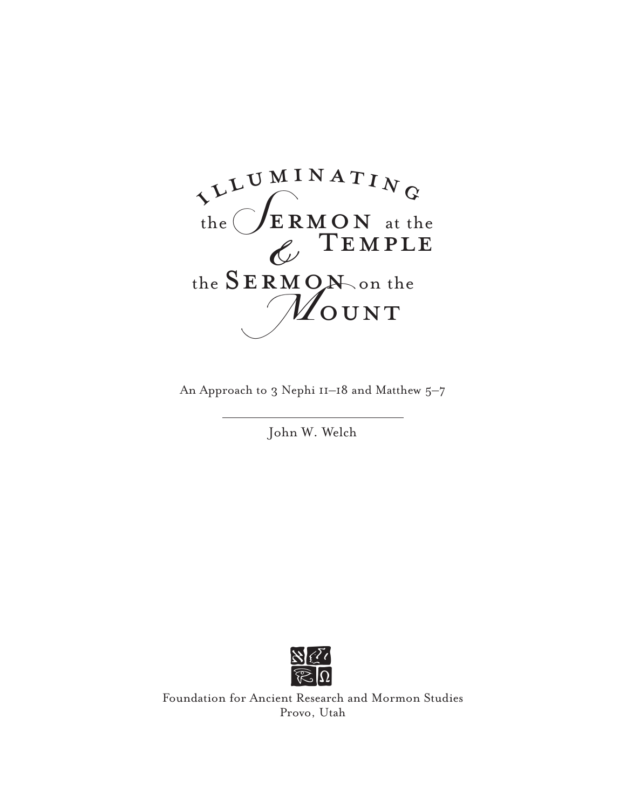

An Approach to 3 Nephi 11–18 and Matthew 5–7

John W. Welch



 $\frac{\partial}{\partial \Omega}$ <br>
Foundation for Ancient Research and Mormon Studies Provo, Utah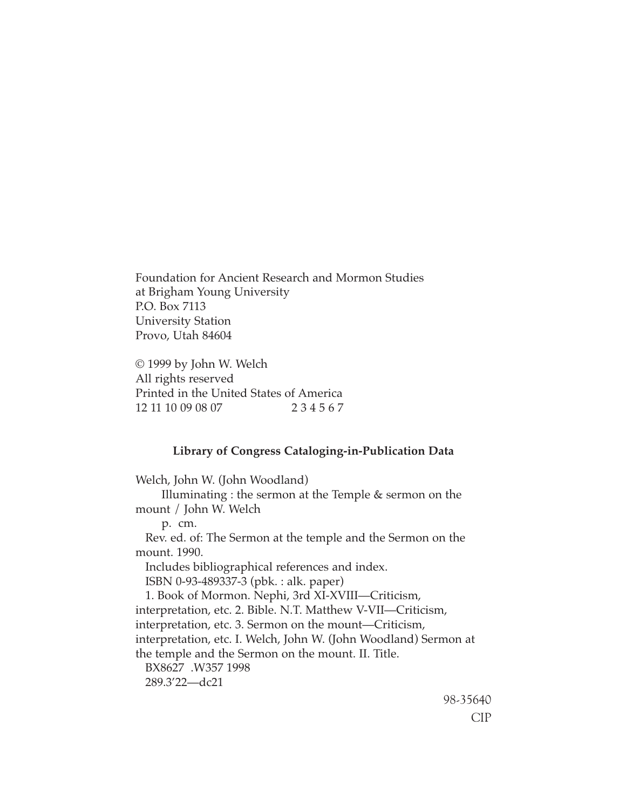Foundation for Ancient Research and Mormon Studies at Brigham Young University P.O. Box 7113 University Station Provo, Utah 84604

© 1999 by John W. Welch All rights reserved Printed in the United States of America 12 11 10 09 08 07 2 3 4 5 6 7

#### **Library of Congress Cataloging-in-Publication Data**

Welch, John W. (John Woodland) Illuminating : the sermon at the Temple & sermon on the mount / John W. Welch p. cm. Rev. ed. of: The Sermon at the temple and the Sermon on the mount. 1990. Includes bibliographical references and index. ISBN 0-93-489337-3 (pbk. : alk. paper) 1. Book of Mormon. Nephi, 3rd XI-XVIII—Criticism, interpretation, etc. 2. Bible. N.T. Matthew V-VII—Criticism, interpretation, etc. 3. Sermon on the mount—Criticism, interpretation, etc. I. Welch, John W. (John Woodland) Sermon at the temple and the Sermon on the mount. II. Title. BX8627 .W357 1998 289.3'22—dc21

98-35640 CIP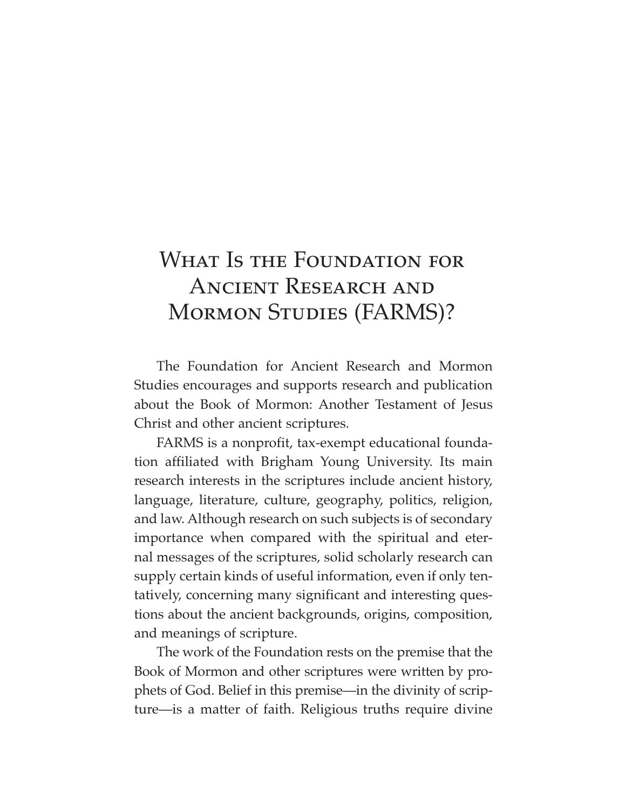# WHAT IS THE FOUNDATION FOR ANCIENT RESEARCH AND MORMON STUDIES (FARMS)?

The Foundation for Ancient Research and Mormon Studies encourages and supports research and publication about the Book of Mormon: Another Testament of Jesus Christ and other ancient scriptures.

FARMS is a nonprofit, tax-exempt educational foundation affiliated with Brigham Young University. Its main research interests in the scriptures include ancient history, language, literature, culture, geography, politics, religion, and law. Although research on such subjects is of secondary importance when compared with the spiritual and eternal messages of the scriptures, solid scholarly research can supply certain kinds of useful information, even if only tentatively, concerning many significant and interesting questions about the ancient backgrounds, origins, composition, and meanings of scripture.

The work of the Foundation rests on the premise that the Book of Mormon and other scriptures were written by prophets of God. Belief in this premise—in the divinity of scripture—is a matter of faith. Religious truths require divine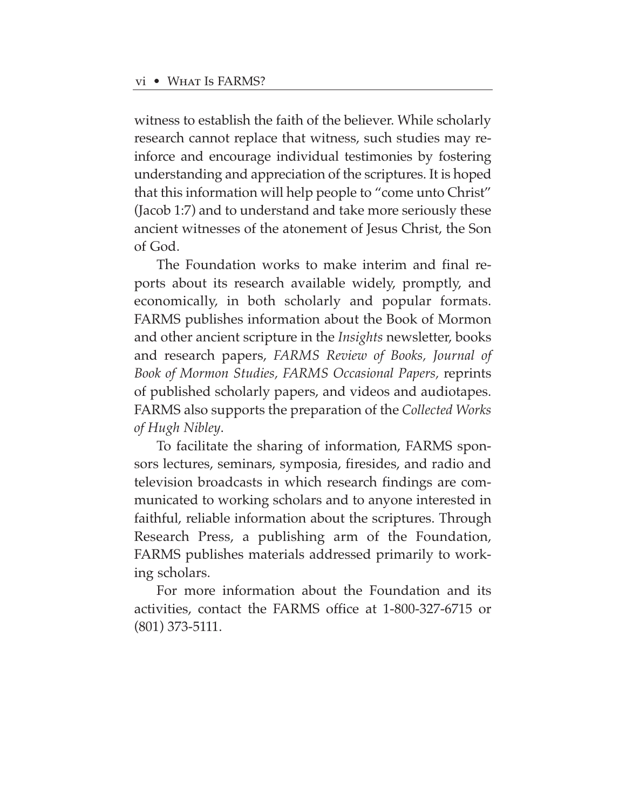witness to establish the faith of the believer. While scholarly research cannot replace that witness, such studies may reinforce and encourage individual testimonies by fostering understanding and appreciation of the scriptures. It is hoped that this information will help people to "come unto Christ" (Jacob 1:7) and to understand and take more seriously these ancient witnesses of the atonement of Jesus Christ, the Son of God.

The Foundation works to make interim and final reports about its research available widely, promptly, and economically, in both scholarly and popular formats. FARMS publishes information about the Book of Mormon and other ancient scripture in the *Insights* newsletter, books and research papers, *FARMS Review of Books, Journal of Book of Mormon Studies, FARMS Occasional Papers,* reprints of published scholarly papers, and videos and audiotapes. FARMS also supports the preparation of the *Collected Works of Hugh Nibley*.

To facilitate the sharing of information, FARMS sponsors lectures, seminars, symposia, firesides, and radio and television broadcasts in which research findings are communicated to working scholars and to anyone interested in faithful, reliable information about the scriptures. Through Research Press, a publishing arm of the Foundation, FARMS publishes materials addressed primarily to working scholars.

For more information about the Foundation and its activities, contact the FARMS office at 1-800-327-6715 or (801) 373-5111.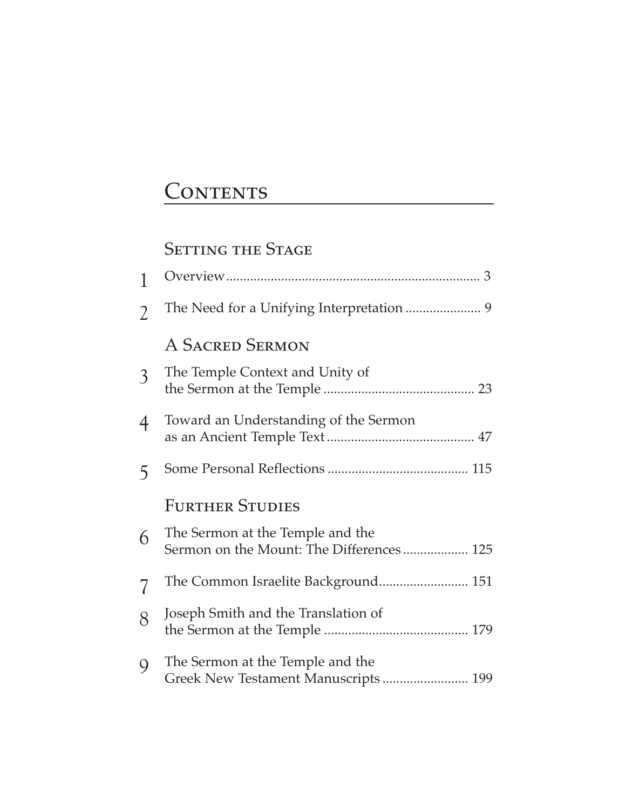# CONTENTS

### SETTING THE STAGE

| 1              |                                                                              |
|----------------|------------------------------------------------------------------------------|
| $\overline{2}$ |                                                                              |
|                | A SACRED SERMON                                                              |
| $\mathfrak{Z}$ | The Temple Context and Unity of                                              |
| 4              | Toward an Understanding of the Sermon                                        |
| 5              |                                                                              |
|                | <b>FURTHER STUDIES</b>                                                       |
| 6              | The Sermon at the Temple and the<br>Sermon on the Mount: The Differences 125 |
| 7              | The Common Israelite Background 151                                          |
| 8              | Joseph Smith and the Translation of                                          |
| 9              | The Sermon at the Temple and the<br>Greek New Testament Manuscripts  199     |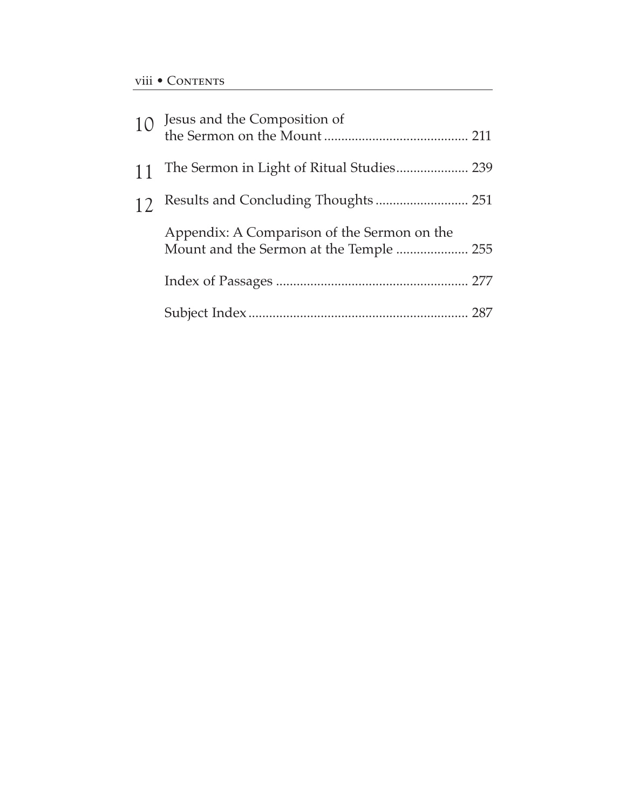| 10 |                                                                                        |  |
|----|----------------------------------------------------------------------------------------|--|
| 11 | The Sermon in Light of Ritual Studies 239                                              |  |
| 12 | Results and Concluding Thoughts  251                                                   |  |
|    | Appendix: A Comparison of the Sermon on the<br>Mount and the Sermon at the Temple  255 |  |
|    |                                                                                        |  |
|    |                                                                                        |  |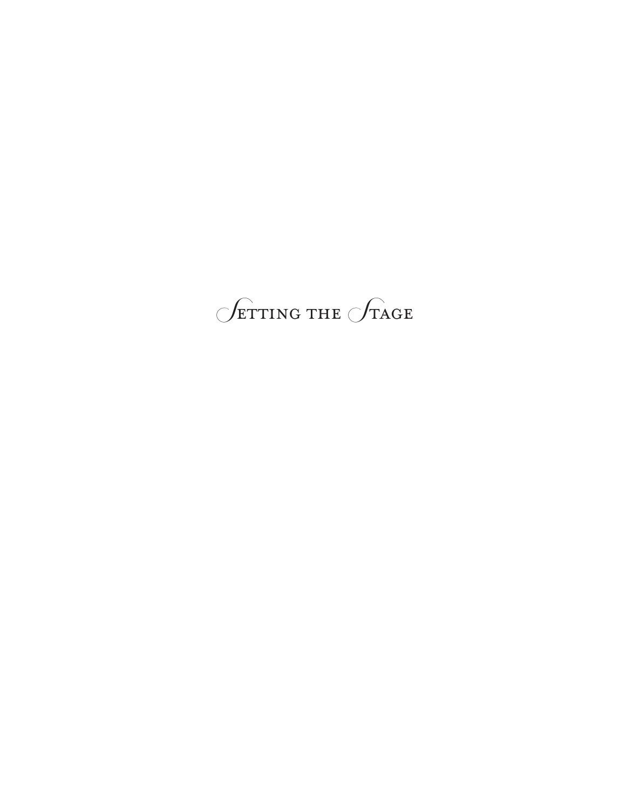# $\sqrt{\text{ETTING THE } }$   $\sqrt{\text{TAGE}}$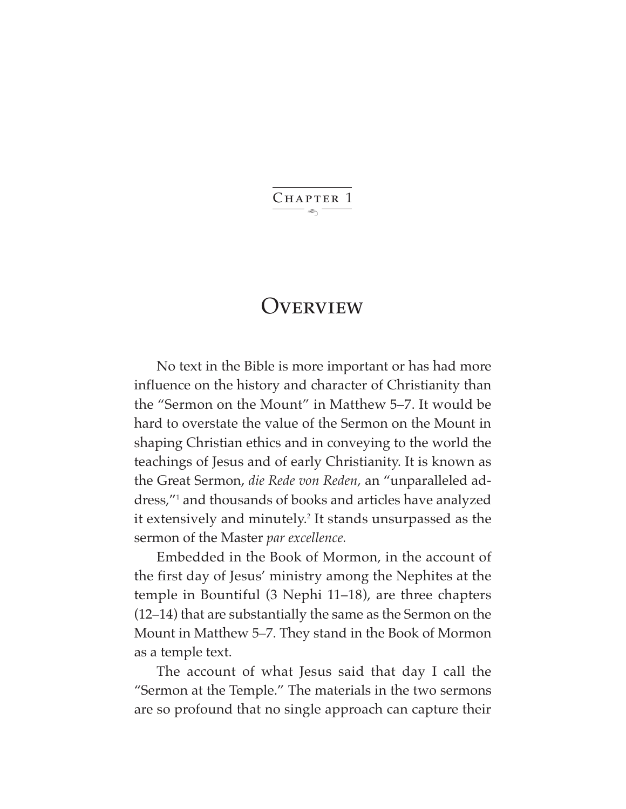$\ddot{\phantom{1}}$ CHAPTER 1

### **OVERVIEW**

No text in the Bible is more important or has had more influence on the history and character of Christianity than the "Sermon on the Mount" in Matthew 5–7. It would be hard to overstate the value of the Sermon on the Mount in shaping Christian ethics and in conveying to the world the teachings of Jesus and of early Christianity. It is known as the Great Sermon, *die Rede von Reden,* an "unparalleled address,"1 and thousands of books and articles have analyzed it extensively and minutely.<sup>2</sup> It stands unsurpassed as the sermon of the Master *par excellence.*

Embedded in the Book of Mormon, in the account of the first day of Jesus' ministry among the Nephites at the temple in Bountiful (3 Nephi 11–18), are three chapters (12–14) that are substantially the same as the Sermon on the Mount in Matthew 5–7. They stand in the Book of Mormon as a temple text.

The account of what Jesus said that day I call the "Sermon at the Temple." The materials in the two sermons are so profound that no single approach can capture their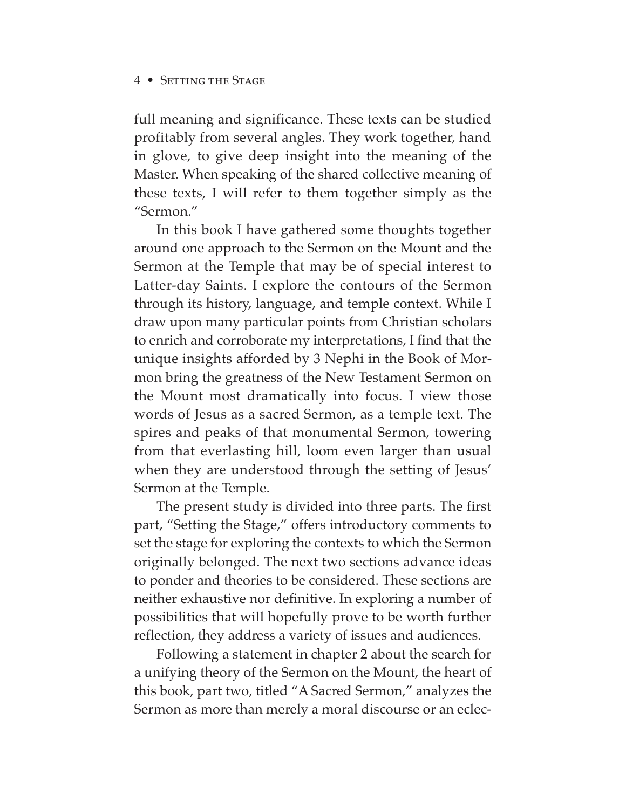full meaning and significance. These texts can be studied profitably from several angles. They work together, hand in glove, to give deep insight into the meaning of the Master. When speaking of the shared collective meaning of these texts, I will refer to them together simply as the "Sermon."

In this book I have gathered some thoughts together around one approach to the Sermon on the Mount and the Sermon at the Temple that may be of special interest to Latter-day Saints. I explore the contours of the Sermon through its history, language, and temple context. While I draw upon many particular points from Christian scholars to enrich and corroborate my interpretations, I find that the unique insights afforded by 3 Nephi in the Book of Mormon bring the greatness of the New Testament Sermon on the Mount most dramatically into focus. I view those words of Jesus as a sacred Sermon, as a temple text. The spires and peaks of that monumental Sermon, towering from that everlasting hill, loom even larger than usual when they are understood through the setting of Jesus' Sermon at the Temple.

The present study is divided into three parts. The first part, "Setting the Stage," offers introductory comments to set the stage for exploring the contexts to which the Sermon originally belonged. The next two sections advance ideas to ponder and theories to be considered. These sections are neither exhaustive nor definitive. In exploring a number of possibilities that will hopefully prove to be worth further reflection, they address a variety of issues and audiences.

Following a statement in chapter 2 about the search for a unifying theory of the Sermon on the Mount, the heart of this book, part two, titled "A Sacred Sermon," analyzes the Sermon as more than merely a moral discourse or an eclec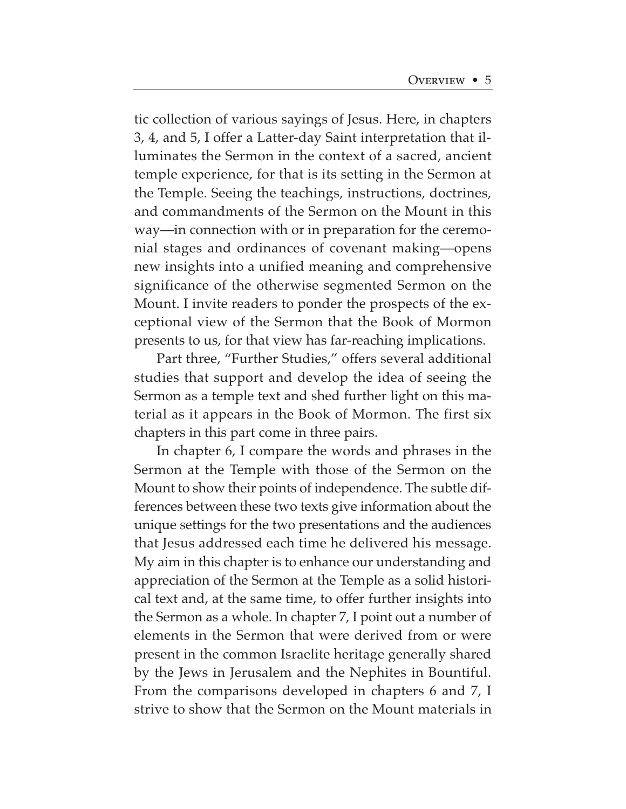tic collection of various sayings of Jesus. Here, in chapters 3, 4, and 5, I offer a Latter-day Saint interpretation that illuminates the Sermon in the context of a sacred, ancient temple experience, for that is its setting in the Sermon at the Temple. Seeing the teachings, instructions, doctrines, and commandments of the Sermon on the Mount in this way—in connection with or in preparation for the ceremonial stages and ordinances of covenant making—opens new insights into a unified meaning and comprehensive significance of the otherwise segmented Sermon on the Mount. I invite readers to ponder the prospects of the exceptional view of the Sermon that the Book of Mormon presents to us, for that view has far-reaching implications.

Part three, "Further Studies," offers several additional studies that support and develop the idea of seeing the Sermon as a temple text and shed further light on this material as it appears in the Book of Mormon. The first six chapters in this part come in three pairs.

In chapter 6, I compare the words and phrases in the Sermon at the Temple with those of the Sermon on the Mount to show their points of independence. The subtle differences between these two texts give information about the unique settings for the two presentations and the audiences that Jesus addressed each time he delivered his message. My aim in this chapter is to enhance our understanding and appreciation of the Sermon at the Temple as a solid historical text and, at the same time, to offer further insights into the Sermon as a whole. In chapter 7, I point out a number of elements in the Sermon that were derived from or were present in the common Israelite heritage generally shared by the Jews in Jerusalem and the Nephites in Bountiful. From the comparisons developed in chapters 6 and 7, I strive to show that the Sermon on the Mount materials in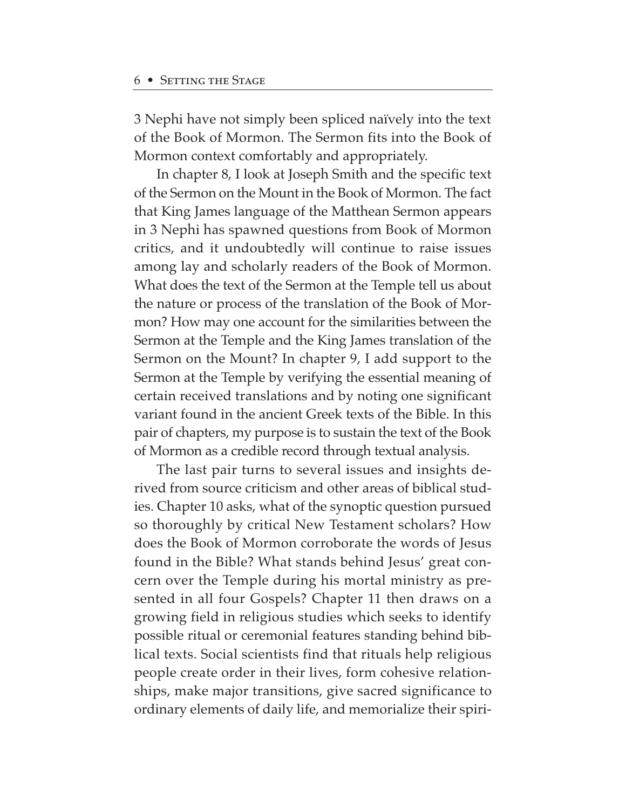3 Nephi have not simply been spliced naïvely into the text of the Book of Mormon. The Sermon fits into the Book of Mormon context comfortably and appropriately.

In chapter 8, I look at Joseph Smith and the specific text of the Sermon on the Mount in the Book of Mormon. The fact that King James language of the Matthean Sermon appears in 3 Nephi has spawned questions from Book of Mormon critics, and it undoubtedly will continue to raise issues among lay and scholarly readers of the Book of Mormon. What does the text of the Sermon at the Temple tell us about the nature or process of the translation of the Book of Mormon? How may one account for the similarities between the Sermon at the Temple and the King James translation of the Sermon on the Mount? In chapter 9, I add support to the Sermon at the Temple by verifying the essential meaning of certain received translations and by noting one significant variant found in the ancient Greek texts of the Bible. In this pair of chapters, my purpose is to sustain the text of the Book of Mormon as a credible record through textual analysis.

The last pair turns to several issues and insights derived from source criticism and other areas of biblical studies. Chapter 10 asks, what of the synoptic question pursued so thoroughly by critical New Testament scholars? How does the Book of Mormon corroborate the words of Jesus found in the Bible? What stands behind Jesus' great concern over the Temple during his mortal ministry as presented in all four Gospels? Chapter 11 then draws on a growing field in religious studies which seeks to identify possible ritual or ceremonial features standing behind biblical texts. Social scientists find that rituals help religious people create order in their lives, form cohesive relationships, make major transitions, give sacred significance to ordinary elements of daily life, and memorialize their spiri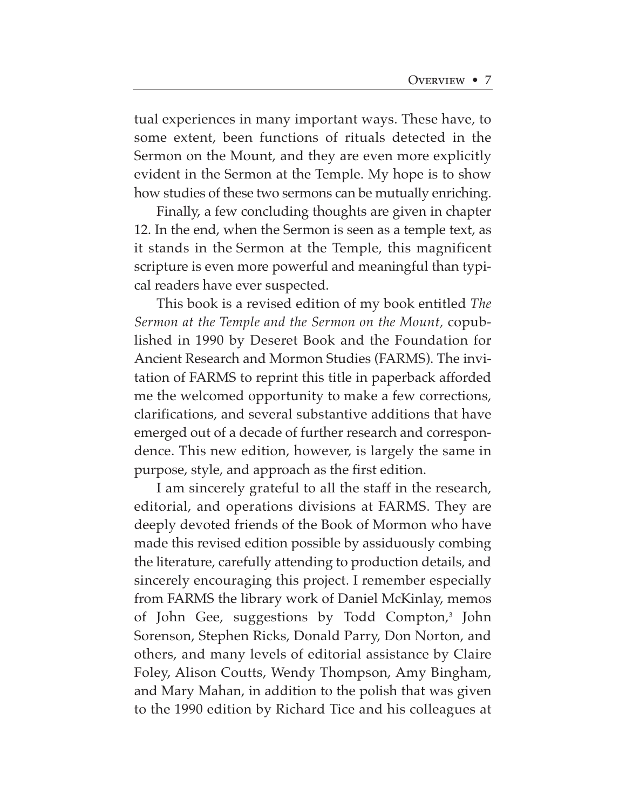tual experiences in many important ways. These have, to some extent, been functions of rituals detected in the Sermon on the Mount, and they are even more explicitly evident in the Sermon at the Temple. My hope is to show how studies of these two sermons can be mutually enriching.

Finally, a few concluding thoughts are given in chapter 12. In the end, when the Sermon is seen as a temple text, as it stands in the Sermon at the Temple, this magnificent scripture is even more powerful and meaningful than typical readers have ever suspected.

This book is a revised edition of my book entitled *The Sermon at the Temple and the Sermon on the Mount,* copublished in 1990 by Deseret Book and the Foundation for Ancient Research and Mormon Studies (FARMS). The invitation of FARMS to reprint this title in paperback afforded me the welcomed opportunity to make a few corrections, clarifications, and several substantive additions that have emerged out of a decade of further research and correspondence. This new edition, however, is largely the same in purpose, style, and approach as the first edition.

I am sincerely grateful to all the staff in the research, editorial, and operations divisions at FARMS. They are deeply devoted friends of the Book of Mormon who have made this revised edition possible by assiduously combing the literature, carefully attending to production details, and sincerely encouraging this project. I remember especially from FARMS the library work of Daniel McKinlay, memos of John Gee, suggestions by Todd Compton,<sup>3</sup> John Sorenson, Stephen Ricks, Donald Parry, Don Norton, and others, and many levels of editorial assistance by Claire Foley, Alison Coutts, Wendy Thompson, Amy Bingham, and Mary Mahan, in addition to the polish that was given to the 1990 edition by Richard Tice and his colleagues at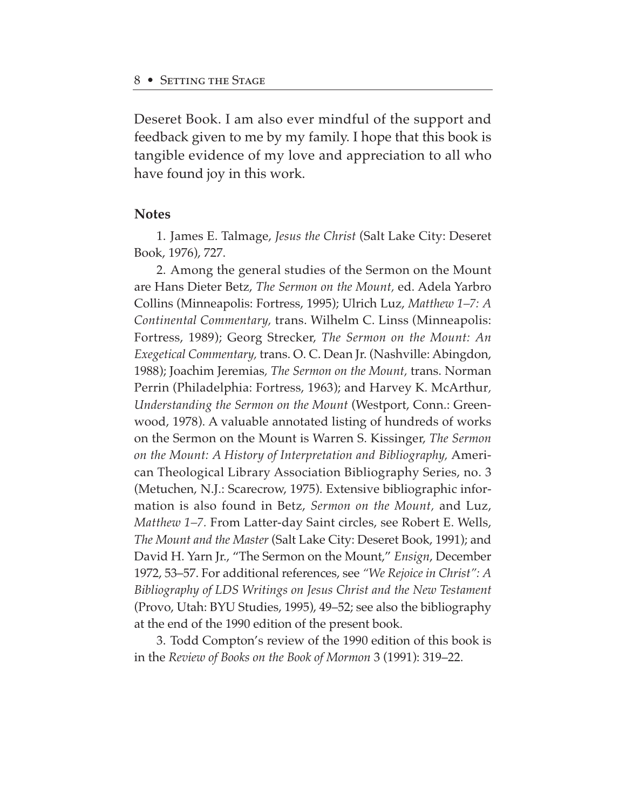Deseret Book. I am also ever mindful of the support and feedback given to me by my family. I hope that this book is tangible evidence of my love and appreciation to all who have found joy in this work.

### **Notes**

1. James E. Talmage, *Jesus the Christ* (Salt Lake City: Deseret Book, 1976), 727.

2. Among the general studies of the Sermon on the Mount are Hans Dieter Betz, *The Sermon on the Mount,* ed. Adela Yarbro Collins (Minneapolis: Fortress, 1995); Ulrich Luz, *Matthew 1–7: A Continental Commentary,* trans. Wilhelm C. Linss (Minneapolis: Fortress, 1989); Georg Strecker, *The Sermon on the Mount: An Exegetical Commentary,* trans. O. C. Dean Jr. (Nashville: Abingdon, 1988); Joachim Jeremias*, The Sermon on the Mount,* trans. Norman Perrin (Philadelphia: Fortress, 1963); and Harvey K. McArthur*, Understanding the Sermon on the Mount* (Westport, Conn.: Greenwood, 1978). A valuable annotated listing of hundreds of works on the Sermon on the Mount is Warren S. Kissinger, *The Sermon on the Mount: A History of Interpretation and Bibliography,* American Theological Library Association Bibliography Series, no. 3 (Metuchen, N.J.: Scarecrow, 1975). Extensive bibliographic information is also found in Betz, *Sermon on the Mount,* and Luz, *Matthew 1–7.* From Latter-day Saint circles, see Robert E. Wells, *The Mount and the Master* (Salt Lake City: Deseret Book, 1991); and David H. Yarn Jr., "The Sermon on the Mount," *Ensign*, December 1972, 53–57. For additional references, see *"We Rejoice in Christ": A Bibliography of LDS Writings on Jesus Christ and the New Testament* (Provo, Utah: BYU Studies, 1995), 49–52; see also the bibliography at the end of the 1990 edition of the present book.

3. Todd Compton's review of the 1990 edition of this book is in the *Review of Books on the Book of Mormon* 3 (1991): 319–22.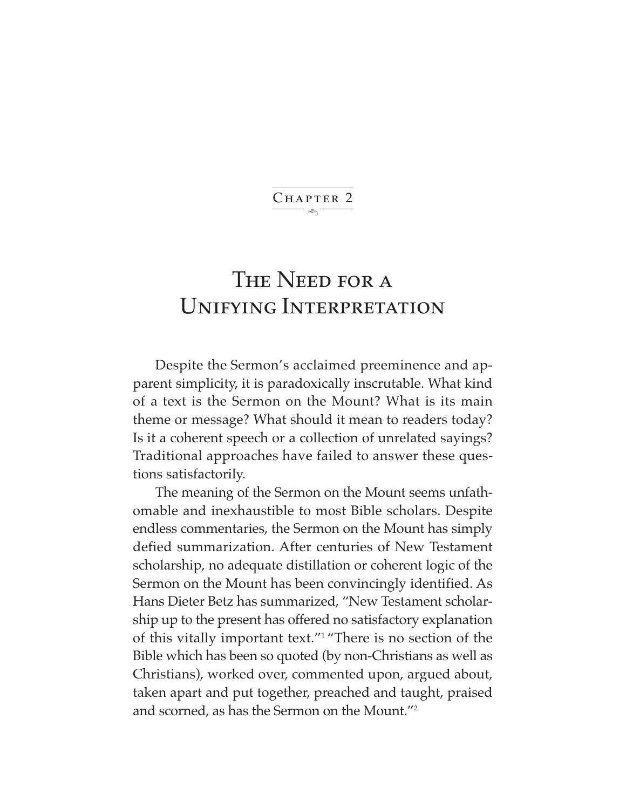$\ddot{\phantom{1}}$ CHAPTER 2

## THE NEED FOR A Unifying Interpretation

Despite the Sermon's acclaimed preeminence and apparent simplicity, it is paradoxically inscrutable. What kind of a text is the Sermon on the Mount? What is its main theme or message? What should it mean to readers today? Is it a coherent speech or a collection of unrelated sayings? Traditional approaches have failed to answer these questions satisfactorily.

The meaning of the Sermon on the Mount seems unfathomable and inexhaustible to most Bible scholars. Despite endless commentaries, the Sermon on the Mount has simply defied summarization. After centuries of New Testament scholarship, no adequate distillation or coherent logic of the Sermon on the Mount has been convincingly identified. As Hans Dieter Betz has summarized, "New Testament scholarship up to the present has offered no satisfactory explanation of this vitally important text."1 "There is no section of the Bible which has been so quoted (by non-Christians as well as Christians), worked over, commented upon, argued about, taken apart and put together, preached and taught, praised and scorned, as has the Sermon on the Mount."2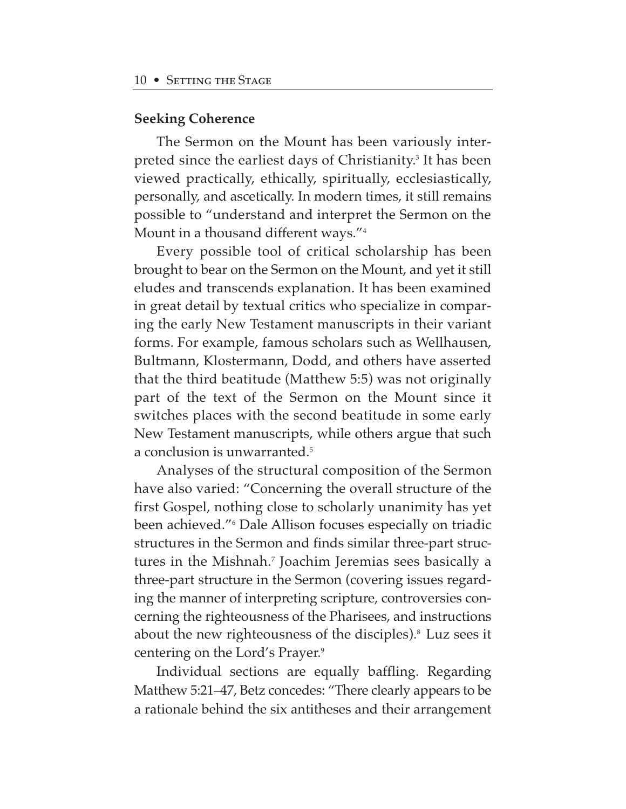#### **Seeking Coherence**

The Sermon on the Mount has been variously interpreted since the earliest days of Christianity.<sup>3</sup> It has been viewed practically, ethically, spiritually, ecclesiastically, personally, and ascetically. In modern times, it still remains possible to "understand and interpret the Sermon on the Mount in a thousand different ways."4

Every possible tool of critical scholarship has been brought to bear on the Sermon on the Mount, and yet it still eludes and transcends explanation. It has been examined in great detail by textual critics who specialize in comparing the early New Testament manuscripts in their variant forms. For example, famous scholars such as Wellhausen, Bultmann, Klostermann, Dodd, and others have asserted that the third beatitude (Matthew 5:5) was not originally part of the text of the Sermon on the Mount since it switches places with the second beatitude in some early New Testament manuscripts, while others argue that such a conclusion is unwarranted.5

Analyses of the structural composition of the Sermon have also varied: "Concerning the overall structure of the first Gospel, nothing close to scholarly unanimity has yet been achieved."6 Dale Allison focuses especially on triadic structures in the Sermon and finds similar three-part structures in the Mishnah.<sup>7</sup> Joachim Jeremias sees basically a three-part structure in the Sermon (covering issues regarding the manner of interpreting scripture, controversies concerning the righteousness of the Pharisees, and instructions about the new righteousness of the disciples).<sup>8</sup> Luz sees it centering on the Lord's Prayer.9

Individual sections are equally baffling. Regarding Matthew 5:21–47, Betz concedes: "There clearly appears to be a rationale behind the six antitheses and their arrangement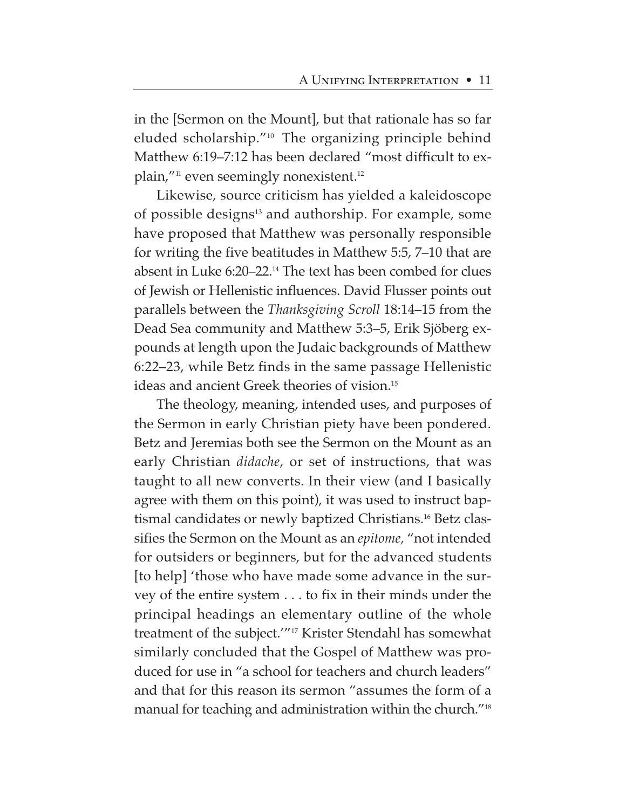in the [Sermon on the Mount], but that rationale has so far eluded scholarship."10 The organizing principle behind Matthew 6:19–7:12 has been declared "most difficult to explain,"<sup>11</sup> even seemingly nonexistent.<sup>12</sup>

Likewise, source criticism has yielded a kaleidoscope of possible designs<sup>13</sup> and authorship. For example, some have proposed that Matthew was personally responsible for writing the five beatitudes in Matthew 5:5, 7–10 that are absent in Luke 6:20–22.14 The text has been combed for clues of Jewish or Hellenistic influences. David Flusser points out parallels between the *Thanksgiving Scroll* 18:14–15 from the Dead Sea community and Matthew 5:3–5, Erik Sjöberg expounds at length upon the Judaic backgrounds of Matthew 6:22–23, while Betz finds in the same passage Hellenistic ideas and ancient Greek theories of vision.15

The theology, meaning, intended uses, and purposes of the Sermon in early Christian piety have been pondered. Betz and Jeremias both see the Sermon on the Mount as an early Christian *didache,* or set of instructions, that was taught to all new converts. In their view (and I basically agree with them on this point), it was used to instruct baptismal candidates or newly baptized Christians.<sup>16</sup> Betz classifies the Sermon on the Mount as an *epitome,* "not intended for outsiders or beginners, but for the advanced students [to help] 'those who have made some advance in the survey of the entire system . . . to fix in their minds under the principal headings an elementary outline of the whole treatment of the subject.'"17 Krister Stendahl has somewhat similarly concluded that the Gospel of Matthew was produced for use in "a school for teachers and church leaders" and that for this reason its sermon "assumes the form of a manual for teaching and administration within the church."18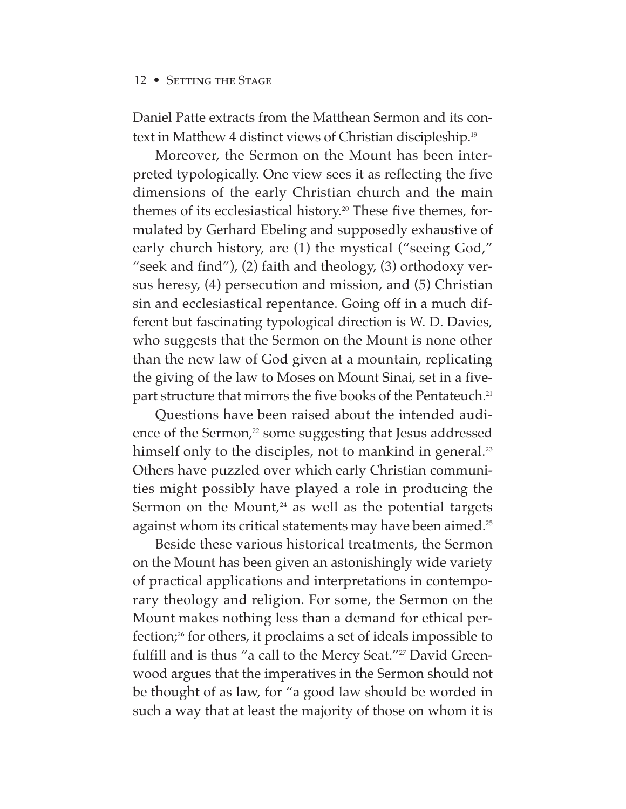Daniel Patte extracts from the Matthean Sermon and its context in Matthew 4 distinct views of Christian discipleship.19

Moreover, the Sermon on the Mount has been interpreted typologically. One view sees it as reflecting the five dimensions of the early Christian church and the main themes of its ecclesiastical history.<sup>20</sup> These five themes, formulated by Gerhard Ebeling and supposedly exhaustive of early church history, are (1) the mystical ("seeing God," "seek and find"), (2) faith and theology, (3) orthodoxy versus heresy, (4) persecution and mission, and (5) Christian sin and ecclesiastical repentance. Going off in a much different but fascinating typological direction is W. D. Davies, who suggests that the Sermon on the Mount is none other than the new law of God given at a mountain, replicating the giving of the law to Moses on Mount Sinai, set in a fivepart structure that mirrors the five books of the Pentateuch.<sup>21</sup>

Questions have been raised about the intended audience of the Sermon,<sup>22</sup> some suggesting that Jesus addressed himself only to the disciples, not to mankind in general.<sup>23</sup> Others have puzzled over which early Christian communities might possibly have played a role in producing the Sermon on the Mount, $24$  as well as the potential targets against whom its critical statements may have been aimed.<sup>25</sup>

Beside these various historical treatments, the Sermon on the Mount has been given an astonishingly wide variety of practical applications and interpretations in contemporary theology and religion. For some, the Sermon on the Mount makes nothing less than a demand for ethical perfection;26 for others, it proclaims a set of ideals impossible to fulfill and is thus "a call to the Mercy Seat."<sup>27</sup> David Greenwood argues that the imperatives in the Sermon should not be thought of as law, for "a good law should be worded in such a way that at least the majority of those on whom it is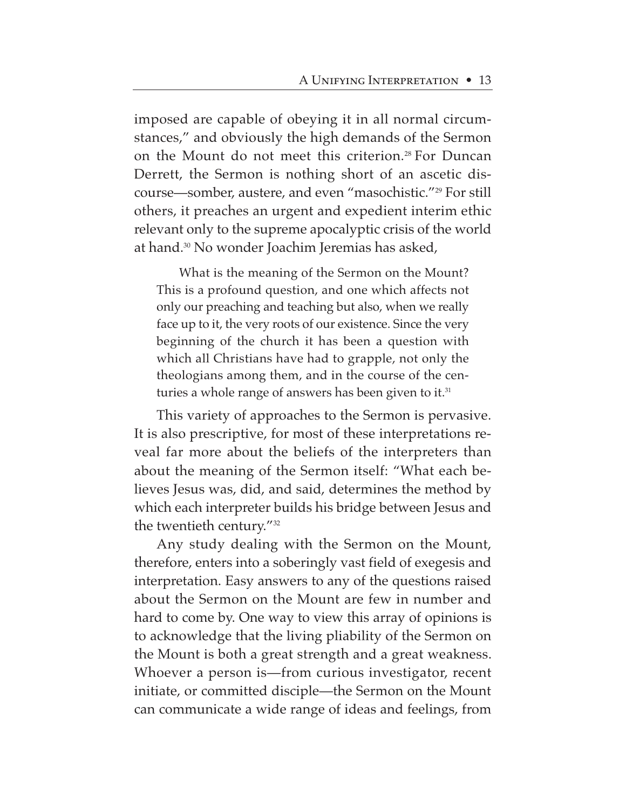imposed are capable of obeying it in all normal circumstances," and obviously the high demands of the Sermon on the Mount do not meet this criterion.<sup>28</sup> For Duncan Derrett, the Sermon is nothing short of an ascetic discourse—somber, austere, and even "masochistic."29 For still others, it preaches an urgent and expedient interim ethic relevant only to the supreme apocalyptic crisis of the world at hand.30 No wonder Joachim Jeremias has asked,

What is the meaning of the Sermon on the Mount? This is a profound question, and one which affects not only our preaching and teaching but also, when we really face up to it, the very roots of our existence. Since the very beginning of the church it has been a question with which all Christians have had to grapple, not only the theologians among them, and in the course of the centuries a whole range of answers has been given to it.<sup>31</sup>

This variety of approaches to the Sermon is pervasive. It is also prescriptive, for most of these interpretations reveal far more about the beliefs of the interpreters than about the meaning of the Sermon itself: "What each believes Jesus was, did, and said, determines the method by which each interpreter builds his bridge between Jesus and the twentieth century."32

Any study dealing with the Sermon on the Mount, therefore, enters into a soberingly vast field of exegesis and interpretation. Easy answers to any of the questions raised about the Sermon on the Mount are few in number and hard to come by. One way to view this array of opinions is to acknowledge that the living pliability of the Sermon on the Mount is both a great strength and a great weakness. Whoever a person is—from curious investigator, recent initiate, or committed disciple—the Sermon on the Mount can communicate a wide range of ideas and feelings, from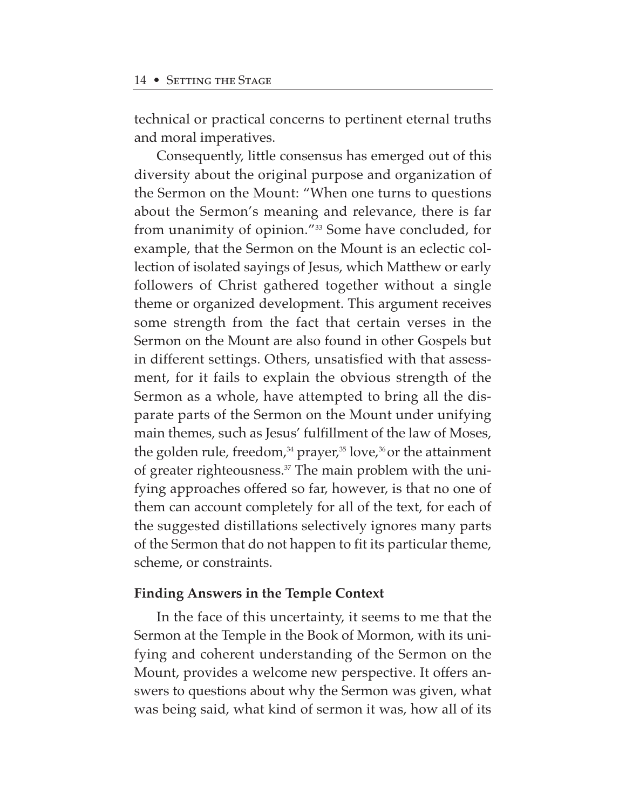technical or practical concerns to pertinent eternal truths and moral imperatives.

Consequently, little consensus has emerged out of this diversity about the original purpose and organization of the Sermon on the Mount: "When one turns to questions about the Sermon's meaning and relevance, there is far from unanimity of opinion."33 Some have concluded, for example, that the Sermon on the Mount is an eclectic collection of isolated sayings of Jesus, which Matthew or early followers of Christ gathered together without a single theme or organized development. This argument receives some strength from the fact that certain verses in the Sermon on the Mount are also found in other Gospels but in different settings. Others, unsatisfied with that assessment, for it fails to explain the obvious strength of the Sermon as a whole, have attempted to bring all the disparate parts of the Sermon on the Mount under unifying main themes, such as Jesus' fulfillment of the law of Moses, the golden rule, freedom, $34$  prayer, $35$  love, $36$  or the attainment of greater righteousness.<sup>37</sup> The main problem with the unifying approaches offered so far, however, is that no one of them can account completely for all of the text, for each of the suggested distillations selectively ignores many parts of the Sermon that do not happen to fit its particular theme, scheme, or constraints.

### **Finding Answers in the Temple Context**

In the face of this uncertainty, it seems to me that the Sermon at the Temple in the Book of Mormon, with its unifying and coherent understanding of the Sermon on the Mount, provides a welcome new perspective. It offers answers to questions about why the Sermon was given, what was being said, what kind of sermon it was, how all of its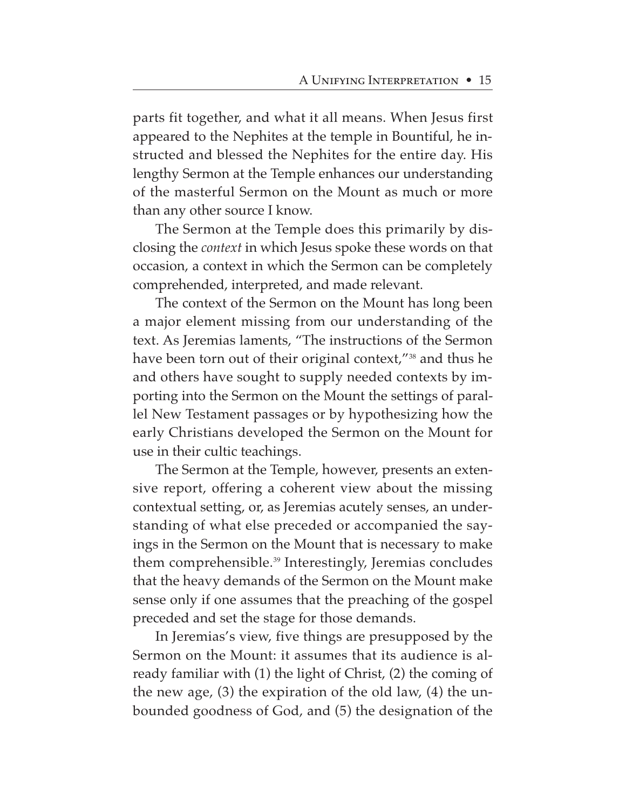parts fit together, and what it all means. When Jesus first appeared to the Nephites at the temple in Bountiful, he instructed and blessed the Nephites for the entire day. His lengthy Sermon at the Temple enhances our understanding of the masterful Sermon on the Mount as much or more than any other source I know.

The Sermon at the Temple does this primarily by disclosing the *context* in which Jesus spoke these words on that occasion, a context in which the Sermon can be completely comprehended, interpreted, and made relevant.

The context of the Sermon on the Mount has long been a major element missing from our understanding of the text. As Jeremias laments, "The instructions of the Sermon have been torn out of their original context,"<sup>38</sup> and thus he and others have sought to supply needed contexts by importing into the Sermon on the Mount the settings of parallel New Testament passages or by hypothesizing how the early Christians developed the Sermon on the Mount for use in their cultic teachings.

The Sermon at the Temple, however, presents an extensive report, offering a coherent view about the missing contextual setting, or, as Jeremias acutely senses, an understanding of what else preceded or accompanied the sayings in the Sermon on the Mount that is necessary to make them comprehensible.<sup>39</sup> Interestingly, Jeremias concludes that the heavy demands of the Sermon on the Mount make sense only if one assumes that the preaching of the gospel preceded and set the stage for those demands.

In Jeremias's view, five things are presupposed by the Sermon on the Mount: it assumes that its audience is already familiar with (1) the light of Christ, (2) the coming of the new age, (3) the expiration of the old law, (4) the unbounded goodness of God, and (5) the designation of the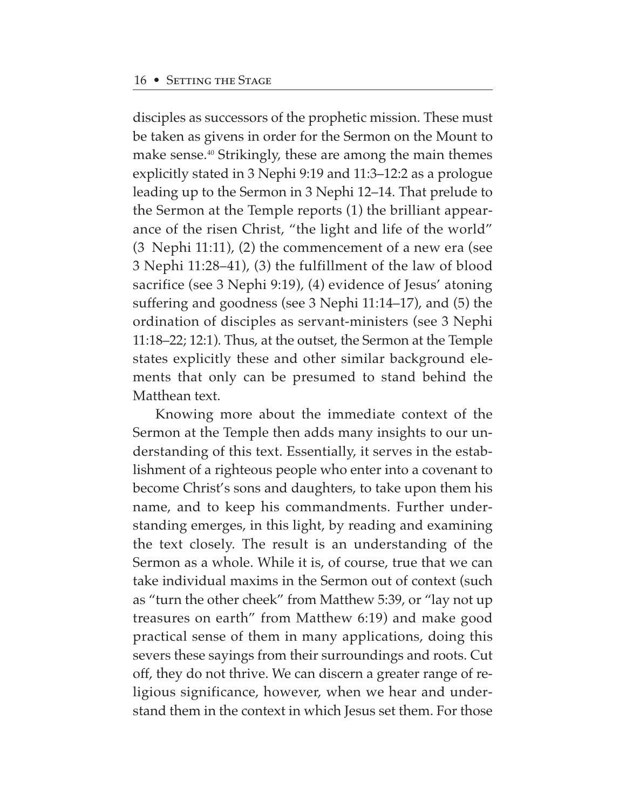disciples as successors of the prophetic mission. These must be taken as givens in order for the Sermon on the Mount to make sense.40 Strikingly, these are among the main themes explicitly stated in 3 Nephi 9:19 and 11:3–12:2 as a prologue leading up to the Sermon in 3 Nephi 12–14. That prelude to the Sermon at the Temple reports (1) the brilliant appearance of the risen Christ, "the light and life of the world" (3 Nephi 11:11), (2) the commencement of a new era (see 3 Nephi 11:28–41), (3) the fulfillment of the law of blood sacrifice (see 3 Nephi 9:19), (4) evidence of Jesus' atoning suffering and goodness (see 3 Nephi 11:14–17), and (5) the ordination of disciples as servant-ministers (see 3 Nephi 11:18–22; 12:1). Thus, at the outset, the Sermon at the Temple states explicitly these and other similar background elements that only can be presumed to stand behind the Matthean text.

Knowing more about the immediate context of the Sermon at the Temple then adds many insights to our understanding of this text. Essentially, it serves in the establishment of a righteous people who enter into a covenant to become Christ's sons and daughters, to take upon them his name, and to keep his commandments. Further understanding emerges, in this light, by reading and examining the text closely. The result is an understanding of the Sermon as a whole. While it is, of course, true that we can take individual maxims in the Sermon out of context (such as "turn the other cheek" from Matthew 5:39, or "lay not up treasures on earth" from Matthew 6:19) and make good practical sense of them in many applications, doing this severs these sayings from their surroundings and roots. Cut off, they do not thrive. We can discern a greater range of religious significance, however, when we hear and understand them in the context in which Jesus set them. For those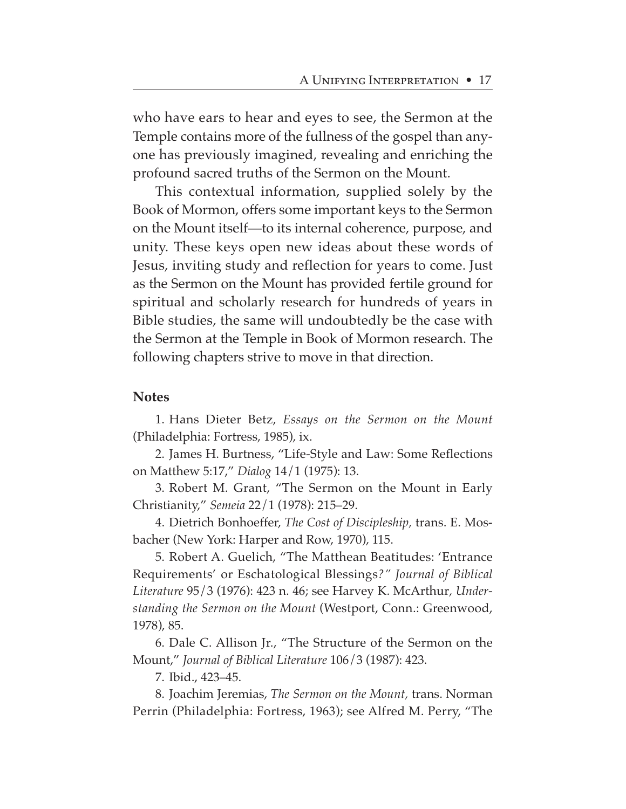who have ears to hear and eyes to see, the Sermon at the Temple contains more of the fullness of the gospel than anyone has previously imagined, revealing and enriching the profound sacred truths of the Sermon on the Mount.

This contextual information, supplied solely by the Book of Mormon, offers some important keys to the Sermon on the Mount itself—to its internal coherence, purpose, and unity. These keys open new ideas about these words of Jesus, inviting study and reflection for years to come. Just as the Sermon on the Mount has provided fertile ground for spiritual and scholarly research for hundreds of years in Bible studies, the same will undoubtedly be the case with the Sermon at the Temple in Book of Mormon research. The following chapters strive to move in that direction.

#### **Notes**

1. Hans Dieter Betz, *Essays on the Sermon on the Mount* (Philadelphia: Fortress, 1985), ix.

2. James H. Burtness, "Life-Style and Law: Some Reflections on Matthew 5:17," *Dialog* 14/1 (1975): 13.

3. Robert M. Grant, "The Sermon on the Mount in Early Christianity," *Semeia* 22/1 (1978): 215–29.

4. Dietrich Bonhoeffer, *The Cost of Discipleship,* trans. E. Mosbacher (New York: Harper and Row, 1970), 115.

5. Robert A. Guelich, "The Matthean Beatitudes: 'Entrance Requirements' or Eschatological Blessings*?" Journal of Biblical Literature* 95/3 (1976): 423 n. 46; see Harvey K. McArthur*, Understanding the Sermon on the Mount* (Westport, Conn.: Greenwood, 1978), 85.

6. Dale C. Allison Jr., "The Structure of the Sermon on the Mount," *Journal of Biblical Literature* 106/3 (1987): 423.

7. Ibid., 423–45.

8. Joachim Jeremias, *The Sermon on the Mount,* trans. Norman Perrin (Philadelphia: Fortress, 1963); see Alfred M. Perry, "The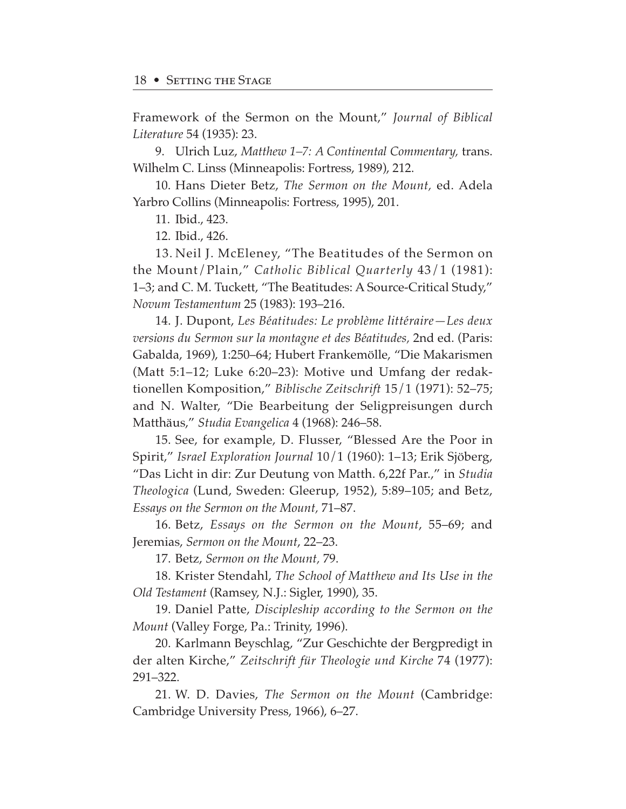Framework of the Sermon on the Mount," *Journal of Biblical Literature* 54 (1935): 23.

9. Ulrich Luz, *Matthew 1–7: A Continental Commentary,* trans. Wilhelm C. Linss (Minneapolis: Fortress, 1989), 212.

10. Hans Dieter Betz, *The Sermon on the Mount,* ed. Adela Yarbro Collins (Minneapolis: Fortress, 1995), 201.

11. Ibid., 423.

12. Ibid., 426.

13. Neil J. McEleney, "The Beatitudes of the Sermon on the Mount/Plain," *Catholic Biblical Quarterly* 43/1 (1981): 1–3; and C. M. Tuckett, "The Beatitudes: A Source-Critical Study," *Novum Testamentum* 25 (1983): 193–216.

14. J. Dupont, *Les Beœatitudes: Le problème litteœraire—Les deux versions du Sermon sur la montagne et des Beœatitudes,* 2nd ed. (Paris: Gabalda, 1969), 1:250–64; Hubert Frankemölle, "Die Makarismen (Matt 5:1–12; Luke 6:20–23): Motive und Umfang der redaktionellen Komposition," *Biblische Zeitschrift* 15/1 (1971): 52–75; and N. Walter, "Die Bearbeitung der Seligpreisungen durch Matthäus," *Studia Evangelica* 4 (1968): 246–58.

15. See, for example, D. Flusser, "Blessed Are the Poor in Spirit," *IsraeI Exploration Journal* 10/1 (1960): 1–13; Erik Sjöberg, "Das Licht in dir: Zur Deutung von Matth. 6,22f Par.," in *Studia Theologica* (Lund, Sweden: Gleerup, 1952), 5:89–105; and Betz, *Essays on the Sermon on the Mount,* 71–87.

16. Betz, *Essays on the Sermon on the Mount*, 55–69; and Jeremias, *Sermon on the Mount*, 22–23.

17. Betz, *Sermon on the Mount,* 79.

18. Krister Stendahl, *The School of Matthew and Its Use in the Old Testament* (Ramsey, N.J.: Sigler, 1990), 35.

19. Daniel Patte, *Discipleship according to the Sermon on the Mount* (Valley Forge, Pa.: Trinity, 1996).

20. Karlmann Beyschlag, "Zur Geschichte der Bergpredigt in der alten Kirche," *Zeitschrift für Theologie und Kirche* 74 (1977): 291–322.

21. W. D. Davies, *The Sermon on the Mount* (Cambridge: Cambridge University Press, 1966), 6–27.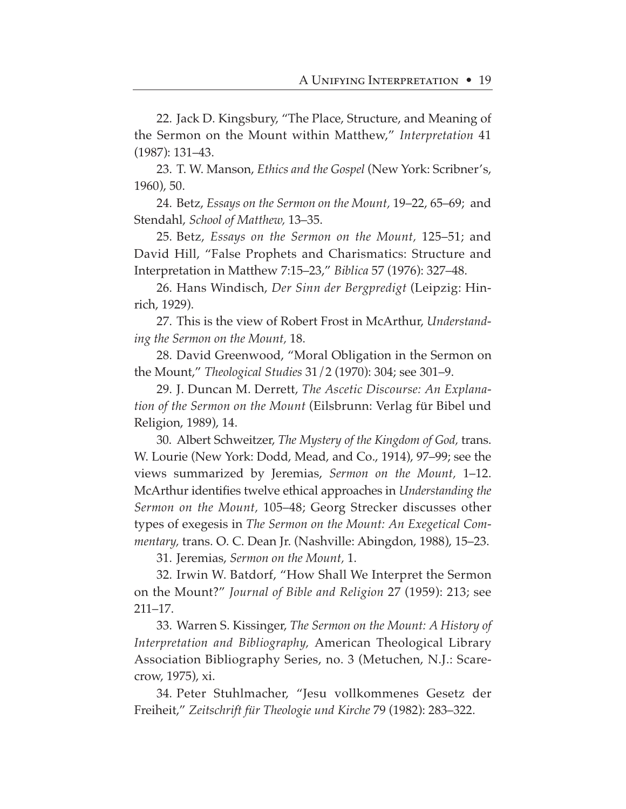22. Jack D. Kingsbury, "The Place, Structure, and Meaning of the Sermon on the Mount within Matthew," *Interpretation* 41 (1987): 131–43.

23. T. W. Manson, *Ethics and the Gospel* (New York: Scribner's, 1960), 50.

24. Betz, *Essays on the Sermon on the Mount,* 19–22, 65–69; and Stendahl, *School of Matthew,* 13–35.

25. Betz, *Essays on the Sermon on the Mount,* 125–51; and David Hill, "False Prophets and Charismatics: Structure and Interpretation in Matthew 7:15–23," *Biblica* 57 (1976): 327–48.

26. Hans Windisch, *Der Sinn der Bergpredigt* (Leipzig: Hinrich, 1929).

27. This is the view of Robert Frost in McArthur, *Understanding the Sermon on the Mount,* 18.

28. David Greenwood, "Moral Obligation in the Sermon on the Mount," *Theological Studies* 31/2 (1970): 304; see 301–9.

29. J. Duncan M. Derrett, *The Ascetic Discourse: An Explanation of the Sermon on the Mount* (Eilsbrunn: Verlag für Bibel und Religion, 1989), 14.

30. Albert Schweitzer, *The Mystery of the Kingdom of God,* trans. W. Lourie (New York: Dodd, Mead, and Co., 1914), 97–99; see the views summarized by Jeremias, *Sermon on the Mount,* 1–12. McArthur identifies twelve ethical approaches in *Understanding the Sermon on the Mount,* 105–48; Georg Strecker discusses other types of exegesis in *The Sermon on the Mount: An Exegetical Commentary,* trans. O. C. Dean Jr. (Nashville: Abingdon, 1988), 15–23.

31. Jeremias, *Sermon on the Mount,* 1.

32. Irwin W. Batdorf, "How Shall We Interpret the Sermon on the Mount?" *Journal of Bible and Religion* 27 (1959): 213; see 211–17.

33. Warren S. Kissinger, *The Sermon on the Mount: A History of Interpretation and Bibliography,* American Theological Library Association Bibliography Series, no. 3 (Metuchen, N.J.: Scarecrow, 1975), xi.

34. Peter Stuhlmacher, "Jesu vollkommenes Gesetz der Freiheit," *Zeitschrift für Theologie und Kirche* 79 (1982): 283–322.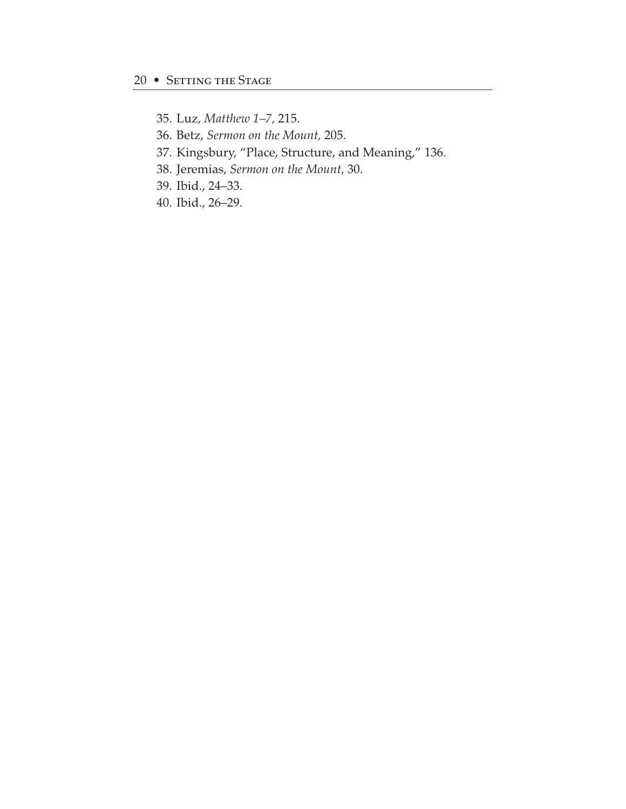- 35. Luz, *Matthew 1–7,* 215.
- 36. Betz, *Sermon on the Mount,* 205.
- 37. Kingsbury, "Place, Structure, and Meaning," 136.
- 38. Jeremias, *Sermon on the Mount,* 30.
- 39. Ibid., 24–33.
- 40. Ibid., 26–29.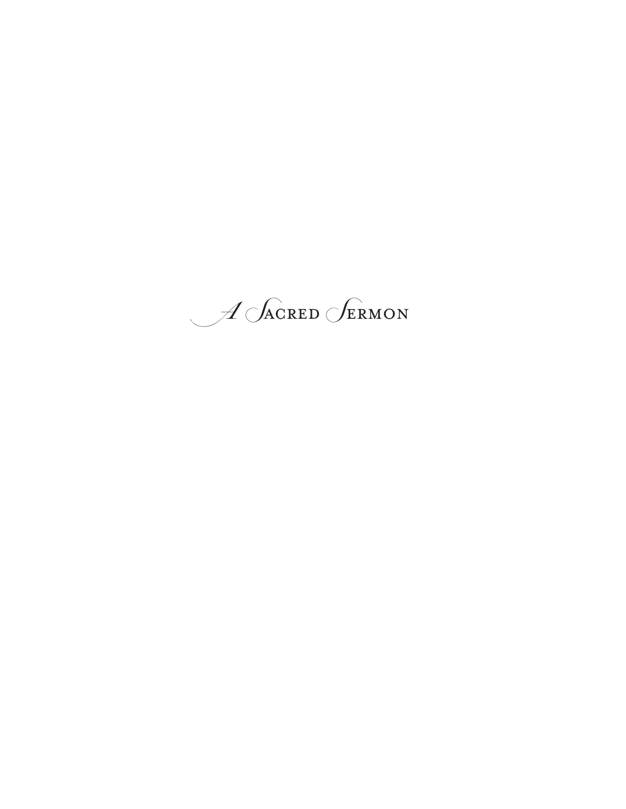$\mathcal{A}$  Sacred Sermon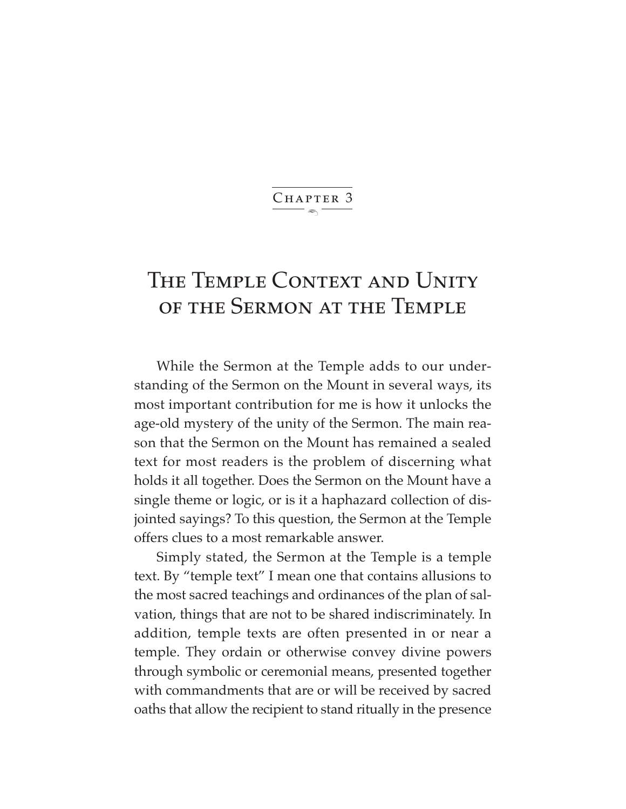$\ddot{\phantom{1}}$ CHAPTER 3

# THE TEMPLE CONTEXT AND UNITY of the Sermon at the Temple

While the Sermon at the Temple adds to our understanding of the Sermon on the Mount in several ways, its most important contribution for me is how it unlocks the age-old mystery of the unity of the Sermon. The main reason that the Sermon on the Mount has remained a sealed text for most readers is the problem of discerning what holds it all together. Does the Sermon on the Mount have a single theme or logic, or is it a haphazard collection of disjointed sayings? To this question, the Sermon at the Temple offers clues to a most remarkable answer.

Simply stated, the Sermon at the Temple is a temple text. By "temple text" I mean one that contains allusions to the most sacred teachings and ordinances of the plan of salvation, things that are not to be shared indiscriminately. In addition, temple texts are often presented in or near a temple. They ordain or otherwise convey divine powers through symbolic or ceremonial means, presented together with commandments that are or will be received by sacred oaths that allow the recipient to stand ritually in the presence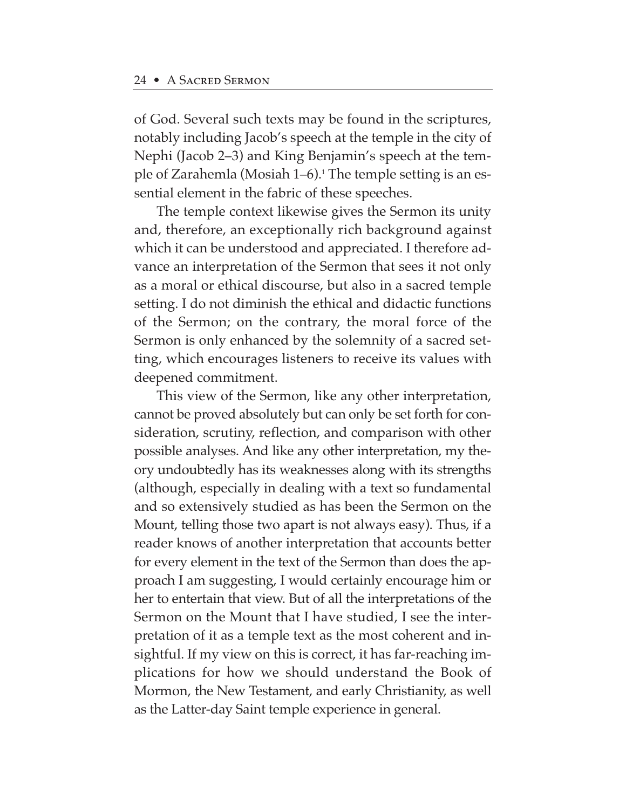of God. Several such texts may be found in the scriptures, notably including Jacob's speech at the temple in the city of Nephi (Jacob 2–3) and King Benjamin's speech at the temple of Zarahemla (Mosiah  $1-6$ ).<sup>1</sup> The temple setting is an essential element in the fabric of these speeches.

The temple context likewise gives the Sermon its unity and, therefore, an exceptionally rich background against which it can be understood and appreciated. I therefore advance an interpretation of the Sermon that sees it not only as a moral or ethical discourse, but also in a sacred temple setting. I do not diminish the ethical and didactic functions of the Sermon; on the contrary, the moral force of the Sermon is only enhanced by the solemnity of a sacred setting, which encourages listeners to receive its values with deepened commitment.

This view of the Sermon, like any other interpretation, cannot be proved absolutely but can only be set forth for consideration, scrutiny, reflection, and comparison with other possible analyses. And like any other interpretation, my theory undoubtedly has its weaknesses along with its strengths (although, especially in dealing with a text so fundamental and so extensively studied as has been the Sermon on the Mount, telling those two apart is not always easy). Thus, if a reader knows of another interpretation that accounts better for every element in the text of the Sermon than does the approach I am suggesting, I would certainly encourage him or her to entertain that view. But of all the interpretations of the Sermon on the Mount that I have studied, I see the interpretation of it as a temple text as the most coherent and insightful. If my view on this is correct, it has far-reaching implications for how we should understand the Book of Mormon, the New Testament, and early Christianity, as well as the Latter-day Saint temple experience in general.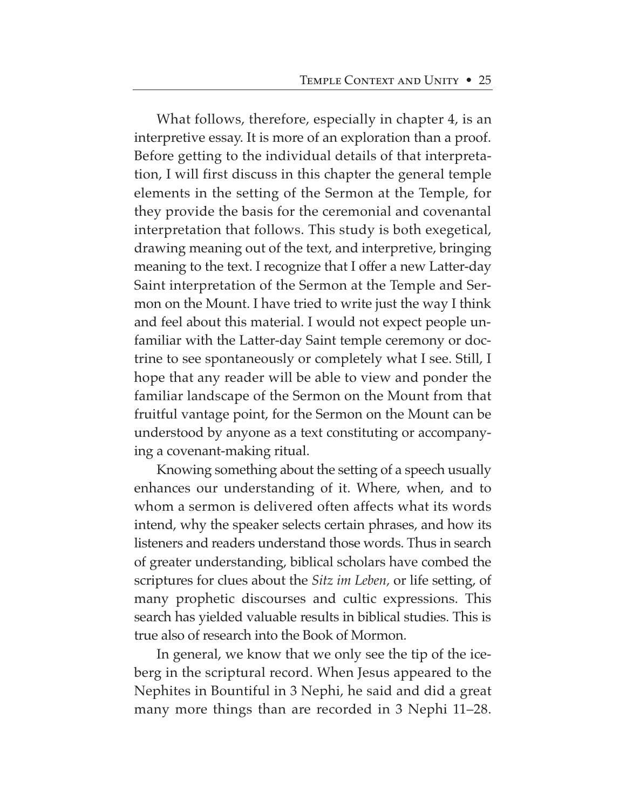What follows, therefore, especially in chapter 4, is an interpretive essay. It is more of an exploration than a proof. Before getting to the individual details of that interpretation, I will first discuss in this chapter the general temple elements in the setting of the Sermon at the Temple, for they provide the basis for the ceremonial and covenantal interpretation that follows. This study is both exegetical, drawing meaning out of the text, and interpretive, bringing meaning to the text. I recognize that I offer a new Latter-day Saint interpretation of the Sermon at the Temple and Sermon on the Mount. I have tried to write just the way I think and feel about this material. I would not expect people unfamiliar with the Latter-day Saint temple ceremony or doctrine to see spontaneously or completely what I see. Still, I hope that any reader will be able to view and ponder the familiar landscape of the Sermon on the Mount from that fruitful vantage point, for the Sermon on the Mount can be understood by anyone as a text constituting or accompanying a covenant-making ritual.

Knowing something about the setting of a speech usually enhances our understanding of it. Where, when, and to whom a sermon is delivered often affects what its words intend, why the speaker selects certain phrases, and how its listeners and readers understand those words. Thus in search of greater understanding, biblical scholars have combed the scriptures for clues about the *Sitz im Leben,* or life setting, of many prophetic discourses and cultic expressions. This search has yielded valuable results in biblical studies. This is true also of research into the Book of Mormon.

In general, we know that we only see the tip of the iceberg in the scriptural record. When Jesus appeared to the Nephites in Bountiful in 3 Nephi, he said and did a great many more things than are recorded in 3 Nephi 11–28.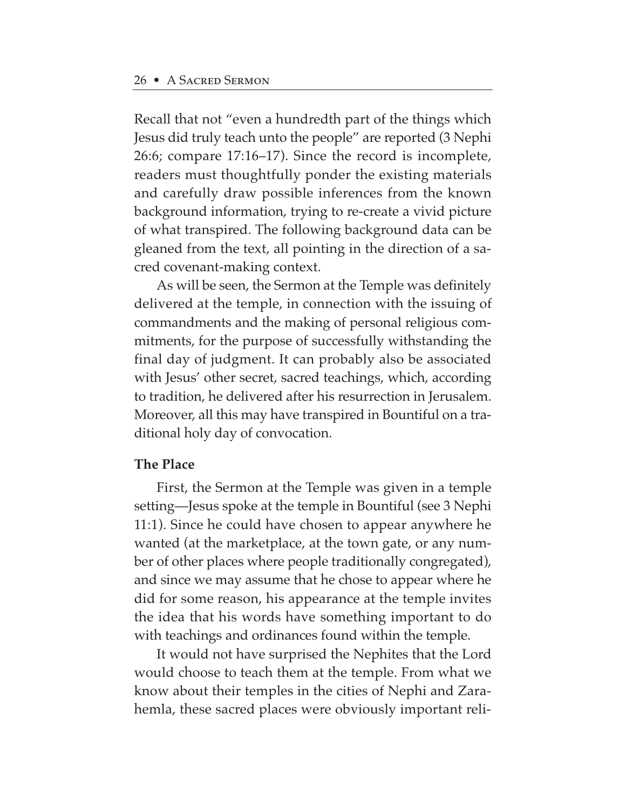Recall that not "even a hundredth part of the things which Jesus did truly teach unto the people" are reported (3 Nephi 26:6; compare 17:16–17). Since the record is incomplete, readers must thoughtfully ponder the existing materials and carefully draw possible inferences from the known background information, trying to re-create a vivid picture of what transpired. The following background data can be gleaned from the text, all pointing in the direction of a sacred covenant-making context.

As will be seen, the Sermon at the Temple was definitely delivered at the temple, in connection with the issuing of commandments and the making of personal religious commitments, for the purpose of successfully withstanding the final day of judgment. It can probably also be associated with Jesus' other secret, sacred teachings, which, according to tradition, he delivered after his resurrection in Jerusalem. Moreover, all this may have transpired in Bountiful on a traditional holy day of convocation.

### **The Place**

First, the Sermon at the Temple was given in a temple setting—Jesus spoke at the temple in Bountiful (see 3 Nephi 11:1). Since he could have chosen to appear anywhere he wanted (at the marketplace, at the town gate, or any number of other places where people traditionally congregated), and since we may assume that he chose to appear where he did for some reason, his appearance at the temple invites the idea that his words have something important to do with teachings and ordinances found within the temple.

It would not have surprised the Nephites that the Lord would choose to teach them at the temple. From what we know about their temples in the cities of Nephi and Zarahemla, these sacred places were obviously important reli-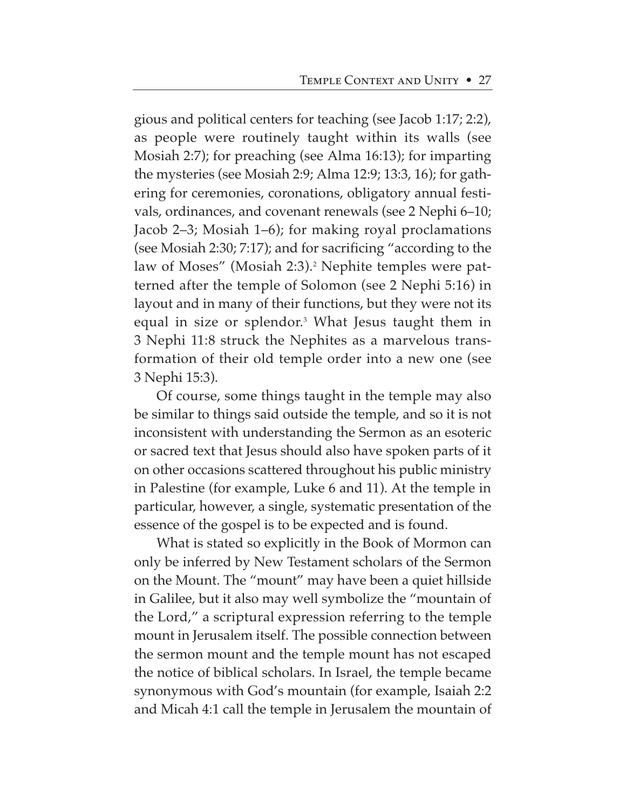gious and political centers for teaching (see Jacob 1:17; 2:2), as people were routinely taught within its walls (see Mosiah 2:7); for preaching (see Alma 16:13); for imparting the mysteries (see Mosiah 2:9; Alma 12:9; 13:3, 16); for gathering for ceremonies, coronations, obligatory annual festivals, ordinances, and covenant renewals (see 2 Nephi 6–10; Jacob 2–3; Mosiah 1–6); for making royal proclamations (see Mosiah 2:30; 7:17); and for sacrificing "according to the law of Moses" (Mosiah 2:3).<sup>2</sup> Nephite temples were patterned after the temple of Solomon (see 2 Nephi 5:16) in layout and in many of their functions, but they were not its equal in size or splendor.<sup>3</sup> What Jesus taught them in 3 Nephi 11:8 struck the Nephites as a marvelous transformation of their old temple order into a new one (see 3 Nephi 15:3).

Of course, some things taught in the temple may also be similar to things said outside the temple, and so it is not inconsistent with understanding the Sermon as an esoteric or sacred text that Jesus should also have spoken parts of it on other occasions scattered throughout his public ministry in Palestine (for example, Luke 6 and 11). At the temple in particular, however, a single, systematic presentation of the essence of the gospel is to be expected and is found.

What is stated so explicitly in the Book of Mormon can only be inferred by New Testament scholars of the Sermon on the Mount. The "mount" may have been a quiet hillside in Galilee, but it also may well symbolize the "mountain of the Lord," a scriptural expression referring to the temple mount in Jerusalem itself. The possible connection between the sermon mount and the temple mount has not escaped the notice of biblical scholars. In Israel, the temple became synonymous with God's mountain (for example, Isaiah 2:2 and Micah 4:1 call the temple in Jerusalem the mountain of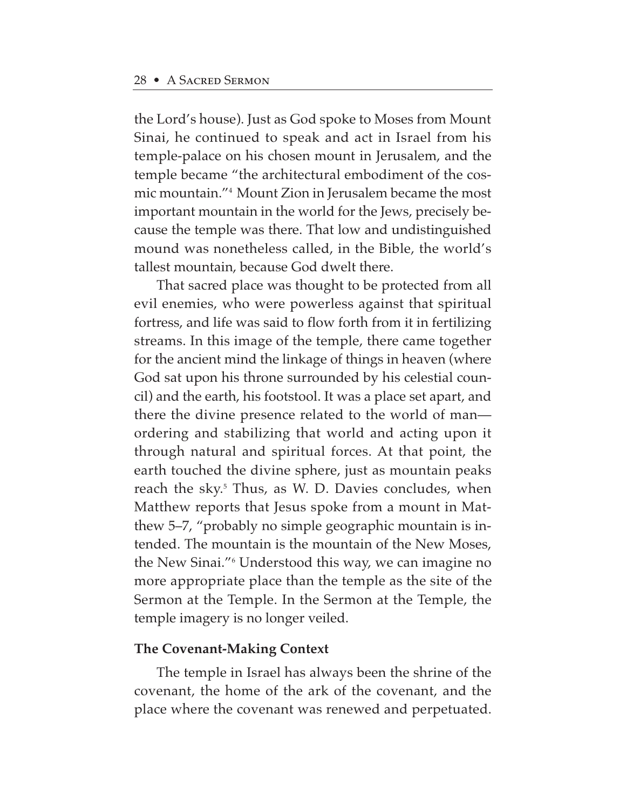the Lord's house). Just as God spoke to Moses from Mount Sinai, he continued to speak and act in Israel from his temple-palace on his chosen mount in Jerusalem, and the temple became "the architectural embodiment of the cosmic mountain."4 Mount Zion in Jerusalem became the most important mountain in the world for the Jews, precisely because the temple was there. That low and undistinguished mound was nonetheless called, in the Bible, the world's tallest mountain, because God dwelt there.

That sacred place was thought to be protected from all evil enemies, who were powerless against that spiritual fortress, and life was said to flow forth from it in fertilizing streams. In this image of the temple, there came together for the ancient mind the linkage of things in heaven (where God sat upon his throne surrounded by his celestial council) and the earth, his footstool. It was a place set apart, and there the divine presence related to the world of man ordering and stabilizing that world and acting upon it through natural and spiritual forces. At that point, the earth touched the divine sphere, just as mountain peaks reach the sky.<sup>5</sup> Thus, as W. D. Davies concludes, when Matthew reports that Jesus spoke from a mount in Matthew 5–7, "probably no simple geographic mountain is intended. The mountain is the mountain of the New Moses, the New Sinai."6 Understood this way, we can imagine no more appropriate place than the temple as the site of the Sermon at the Temple. In the Sermon at the Temple, the temple imagery is no longer veiled.

### **The Covenant-Making Context**

The temple in Israel has always been the shrine of the covenant, the home of the ark of the covenant, and the place where the covenant was renewed and perpetuated.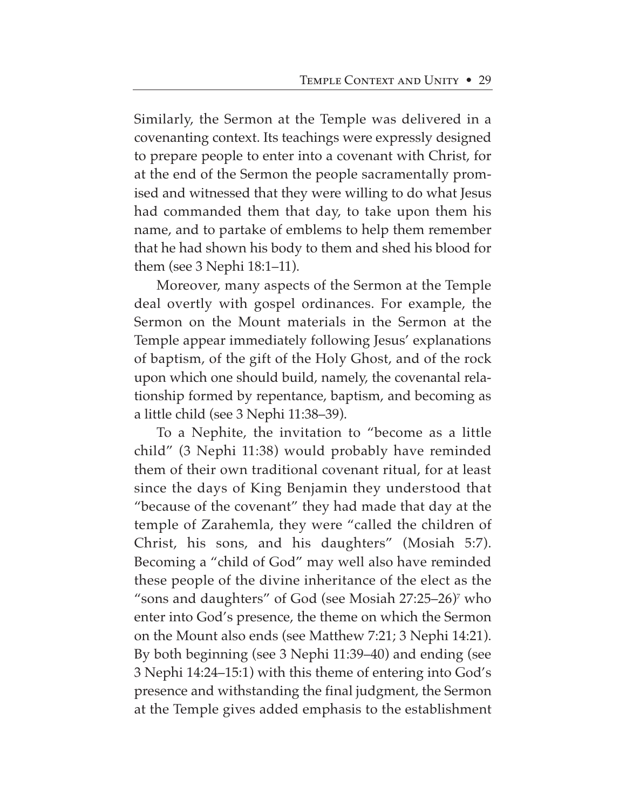Similarly, the Sermon at the Temple was delivered in a covenanting context. Its teachings were expressly designed to prepare people to enter into a covenant with Christ, for at the end of the Sermon the people sacramentally promised and witnessed that they were willing to do what Jesus had commanded them that day, to take upon them his name, and to partake of emblems to help them remember that he had shown his body to them and shed his blood for them (see 3 Nephi 18:1–11).

Moreover, many aspects of the Sermon at the Temple deal overtly with gospel ordinances. For example, the Sermon on the Mount materials in the Sermon at the Temple appear immediately following Jesus' explanations of baptism, of the gift of the Holy Ghost, and of the rock upon which one should build, namely, the covenantal relationship formed by repentance, baptism, and becoming as a little child (see 3 Nephi 11:38–39).

To a Nephite, the invitation to "become as a little child" (3 Nephi 11:38) would probably have reminded them of their own traditional covenant ritual, for at least since the days of King Benjamin they understood that "because of the covenant" they had made that day at the temple of Zarahemla, they were "called the children of Christ, his sons, and his daughters" (Mosiah 5:7). Becoming a "child of God" may well also have reminded these people of the divine inheritance of the elect as the "sons and daughters" of God (see Mosiah  $27:25-26$ )<sup>7</sup> who enter into God's presence, the theme on which the Sermon on the Mount also ends (see Matthew 7:21; 3 Nephi 14:21). By both beginning (see 3 Nephi 11:39–40) and ending (see 3 Nephi 14:24–15:1) with this theme of entering into God's presence and withstanding the final judgment, the Sermon at the Temple gives added emphasis to the establishment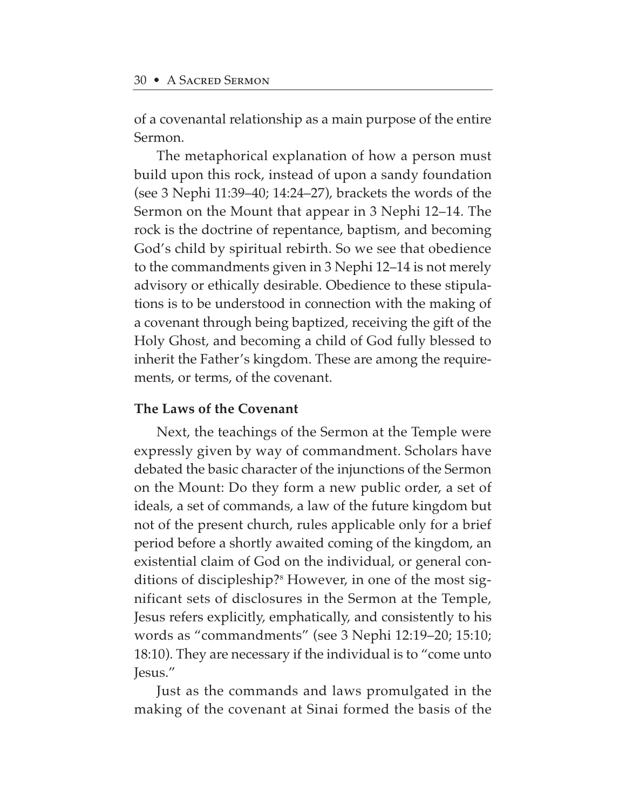of a covenantal relationship as a main purpose of the entire Sermon.

The metaphorical explanation of how a person must build upon this rock, instead of upon a sandy foundation (see 3 Nephi 11:39–40; 14:24–27), brackets the words of the Sermon on the Mount that appear in 3 Nephi 12–14. The rock is the doctrine of repentance, baptism, and becoming God's child by spiritual rebirth. So we see that obedience to the commandments given in 3 Nephi 12–14 is not merely advisory or ethically desirable. Obedience to these stipulations is to be understood in connection with the making of a covenant through being baptized, receiving the gift of the Holy Ghost, and becoming a child of God fully blessed to inherit the Father's kingdom. These are among the requirements, or terms, of the covenant.

#### **The Laws of the Covenant**

Next, the teachings of the Sermon at the Temple were expressly given by way of commandment. Scholars have debated the basic character of the injunctions of the Sermon on the Mount: Do they form a new public order, a set of ideals, a set of commands, a law of the future kingdom but not of the present church, rules applicable only for a brief period before a shortly awaited coming of the kingdom, an existential claim of God on the individual, or general conditions of discipleship?<sup>8</sup> However, in one of the most significant sets of disclosures in the Sermon at the Temple, Jesus refers explicitly, emphatically, and consistently to his words as "commandments" (see 3 Nephi 12:19–20; 15:10; 18:10). They are necessary if the individual is to "come unto Jesus."

Just as the commands and laws promulgated in the making of the covenant at Sinai formed the basis of the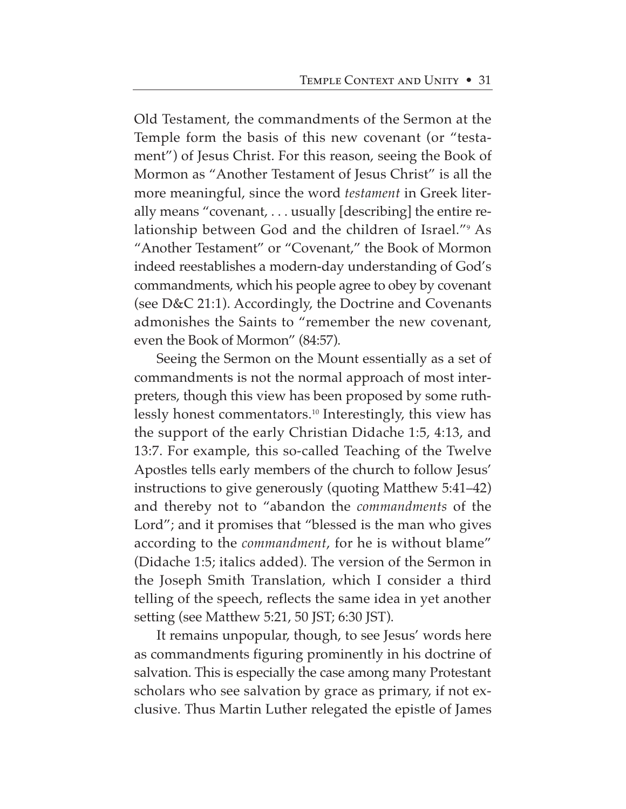Old Testament, the commandments of the Sermon at the Temple form the basis of this new covenant (or "testament") of Jesus Christ. For this reason, seeing the Book of Mormon as "Another Testament of Jesus Christ" is all the more meaningful, since the word *testament* in Greek literally means "covenant, . . . usually [describing] the entire relationship between God and the children of Israel."9 As "Another Testament" or "Covenant," the Book of Mormon indeed reestablishes a modern-day understanding of God's commandments, which his people agree to obey by covenant (see D&C 21:1). Accordingly, the Doctrine and Covenants admonishes the Saints to "remember the new covenant, even the Book of Mormon" (84:57).

Seeing the Sermon on the Mount essentially as a set of commandments is not the normal approach of most interpreters, though this view has been proposed by some ruthlessly honest commentators.10 Interestingly, this view has the support of the early Christian Didache 1:5, 4:13, and 13:7. For example, this so-called Teaching of the Twelve Apostles tells early members of the church to follow Jesus' instructions to give generously (quoting Matthew 5:41–42) and thereby not to "abandon the *commandments* of the Lord"; and it promises that "blessed is the man who gives according to the *commandment*, for he is without blame" (Didache 1:5; italics added). The version of the Sermon in the Joseph Smith Translation, which I consider a third telling of the speech, reflects the same idea in yet another setting (see Matthew 5:21, 50 JST; 6:30 JST).

It remains unpopular, though, to see Jesus' words here as commandments figuring prominently in his doctrine of salvation. This is especially the case among many Protestant scholars who see salvation by grace as primary, if not exclusive. Thus Martin Luther relegated the epistle of James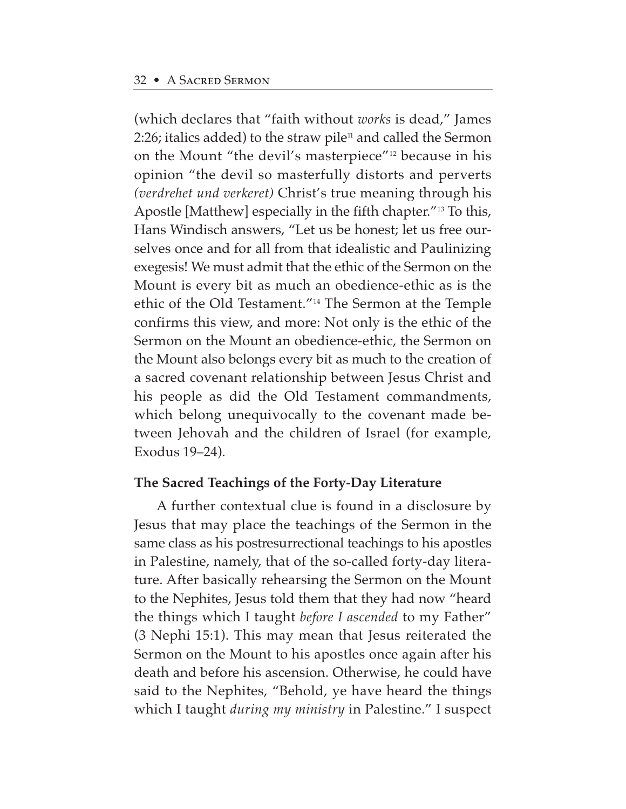(which declares that "faith without *works* is dead," James 2:26; italics added) to the straw pile $11$  and called the Sermon on the Mount "the devil's masterpiece"12 because in his opinion "the devil so masterfully distorts and perverts *(verdrehet und verkeret)* Christ's true meaning through his Apostle [Matthew] especially in the fifth chapter."13 To this, Hans Windisch answers, "Let us be honest; let us free ourselves once and for all from that idealistic and Paulinizing exegesis! We must admit that the ethic of the Sermon on the Mount is every bit as much an obedience-ethic as is the ethic of the Old Testament."14 The Sermon at the Temple confirms this view, and more: Not only is the ethic of the Sermon on the Mount an obedience-ethic, the Sermon on the Mount also belongs every bit as much to the creation of a sacred covenant relationship between Jesus Christ and his people as did the Old Testament commandments, which belong unequivocally to the covenant made between Jehovah and the children of Israel (for example, Exodus 19–24).

# **The Sacred Teachings of the Forty-Day Literature**

A further contextual clue is found in a disclosure by Jesus that may place the teachings of the Sermon in the same class as his postresurrectional teachings to his apostles in Palestine, namely, that of the so-called forty-day literature. After basically rehearsing the Sermon on the Mount to the Nephites, Jesus told them that they had now "heard the things which I taught *before I ascended* to my Father" (3 Nephi 15:1). This may mean that Jesus reiterated the Sermon on the Mount to his apostles once again after his death and before his ascension. Otherwise, he could have said to the Nephites, "Behold, ye have heard the things which I taught *during my ministry* in Palestine." I suspect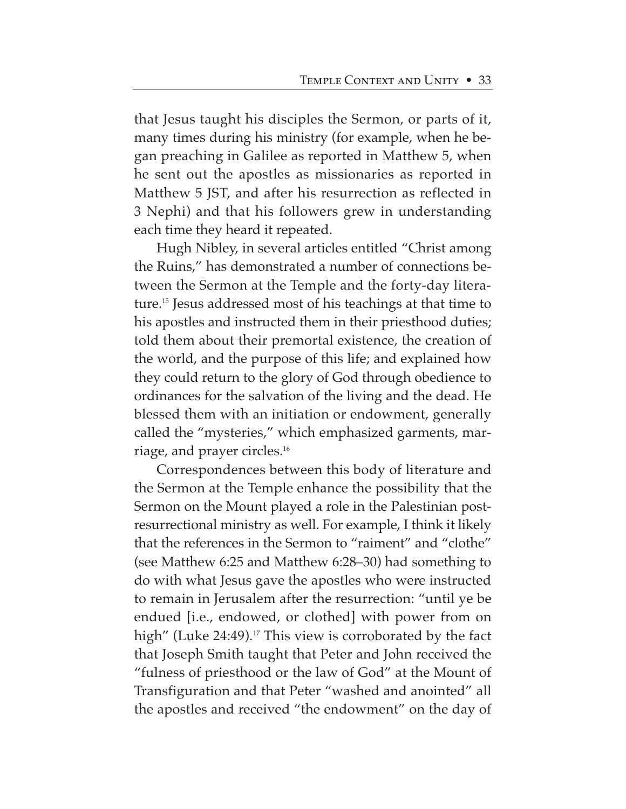that Jesus taught his disciples the Sermon, or parts of it, many times during his ministry (for example, when he began preaching in Galilee as reported in Matthew 5, when he sent out the apostles as missionaries as reported in Matthew 5 JST, and after his resurrection as reflected in 3 Nephi) and that his followers grew in understanding each time they heard it repeated.

Hugh Nibley, in several articles entitled "Christ among the Ruins," has demonstrated a number of connections between the Sermon at the Temple and the forty-day literature.15 Jesus addressed most of his teachings at that time to his apostles and instructed them in their priesthood duties; told them about their premortal existence, the creation of the world, and the purpose of this life; and explained how they could return to the glory of God through obedience to ordinances for the salvation of the living and the dead. He blessed them with an initiation or endowment, generally called the "mysteries," which emphasized garments, marriage, and prayer circles.16

Correspondences between this body of literature and the Sermon at the Temple enhance the possibility that the Sermon on the Mount played a role in the Palestinian postresurrectional ministry as well. For example, I think it likely that the references in the Sermon to "raiment" and "clothe" (see Matthew 6:25 and Matthew 6:28–30) had something to do with what Jesus gave the apostles who were instructed to remain in Jerusalem after the resurrection: "until ye be endued [i.e., endowed, or clothed] with power from on high" (Luke 24:49).<sup>17</sup> This view is corroborated by the fact that Joseph Smith taught that Peter and John received the "fulness of priesthood or the law of God" at the Mount of Transfiguration and that Peter "washed and anointed" all the apostles and received "the endowment" on the day of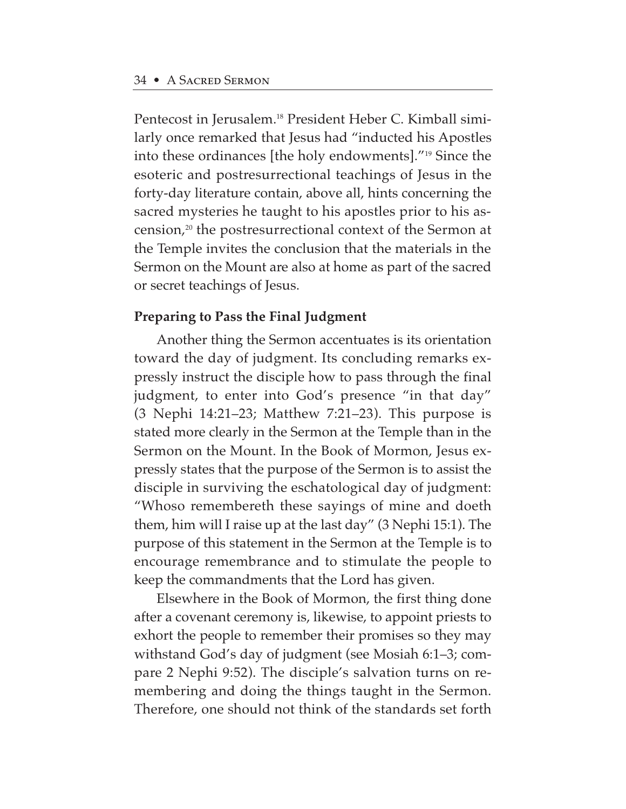Pentecost in Jerusalem.18 President Heber C. Kimball similarly once remarked that Jesus had "inducted his Apostles into these ordinances [the holy endowments]."19 Since the esoteric and postresurrectional teachings of Jesus in the forty-day literature contain, above all, hints concerning the sacred mysteries he taught to his apostles prior to his ascension,20 the postresurrectional context of the Sermon at the Temple invites the conclusion that the materials in the Sermon on the Mount are also at home as part of the sacred or secret teachings of Jesus.

## **Preparing to Pass the Final Judgment**

Another thing the Sermon accentuates is its orientation toward the day of judgment. Its concluding remarks expressly instruct the disciple how to pass through the final judgment, to enter into God's presence "in that day" (3 Nephi 14:21–23; Matthew 7:21–23). This purpose is stated more clearly in the Sermon at the Temple than in the Sermon on the Mount. In the Book of Mormon, Jesus expressly states that the purpose of the Sermon is to assist the disciple in surviving the eschatological day of judgment: "Whoso remembereth these sayings of mine and doeth them, him will I raise up at the last day" (3 Nephi 15:1). The purpose of this statement in the Sermon at the Temple is to encourage remembrance and to stimulate the people to keep the commandments that the Lord has given.

Elsewhere in the Book of Mormon, the first thing done after a covenant ceremony is, likewise, to appoint priests to exhort the people to remember their promises so they may withstand God's day of judgment (see Mosiah 6:1–3; compare 2 Nephi 9:52). The disciple's salvation turns on remembering and doing the things taught in the Sermon. Therefore, one should not think of the standards set forth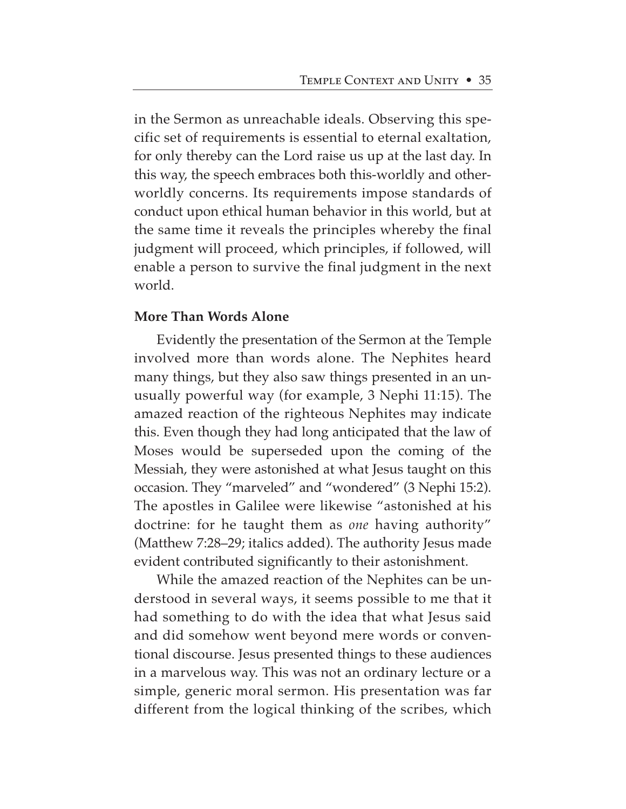in the Sermon as unreachable ideals. Observing this specific set of requirements is essential to eternal exaltation, for only thereby can the Lord raise us up at the last day. In this way, the speech embraces both this-worldly and otherworldly concerns. Its requirements impose standards of conduct upon ethical human behavior in this world, but at the same time it reveals the principles whereby the final judgment will proceed, which principles, if followed, will enable a person to survive the final judgment in the next world.

#### **More Than Words Alone**

Evidently the presentation of the Sermon at the Temple involved more than words alone. The Nephites heard many things, but they also saw things presented in an unusually powerful way (for example, 3 Nephi 11:15). The amazed reaction of the righteous Nephites may indicate this. Even though they had long anticipated that the law of Moses would be superseded upon the coming of the Messiah, they were astonished at what Jesus taught on this occasion. They "marveled" and "wondered" (3 Nephi 15:2). The apostles in Galilee were likewise "astonished at his doctrine: for he taught them as *one* having authority" (Matthew 7:28–29; italics added). The authority Jesus made evident contributed significantly to their astonishment.

While the amazed reaction of the Nephites can be understood in several ways, it seems possible to me that it had something to do with the idea that what Jesus said and did somehow went beyond mere words or conventional discourse. Jesus presented things to these audiences in a marvelous way. This was not an ordinary lecture or a simple, generic moral sermon. His presentation was far different from the logical thinking of the scribes, which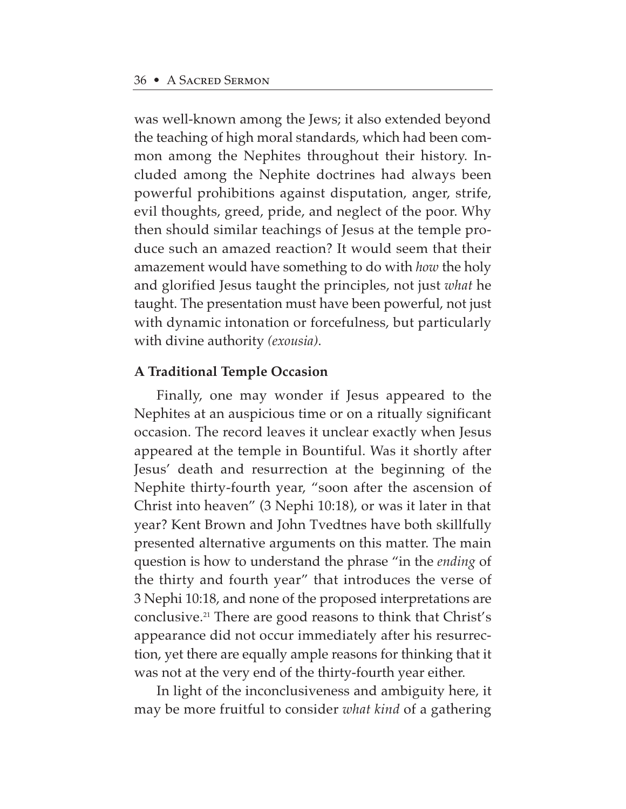was well-known among the Jews; it also extended beyond the teaching of high moral standards, which had been common among the Nephites throughout their history. Included among the Nephite doctrines had always been powerful prohibitions against disputation, anger, strife, evil thoughts, greed, pride, and neglect of the poor. Why then should similar teachings of Jesus at the temple produce such an amazed reaction? It would seem that their amazement would have something to do with *how* the holy and glorified Jesus taught the principles, not just *what* he taught. The presentation must have been powerful, not just with dynamic intonation or forcefulness, but particularly with divine authority *(exousia)*.

## **A Traditional Temple Occasion**

Finally, one may wonder if Jesus appeared to the Nephites at an auspicious time or on a ritually significant occasion. The record leaves it unclear exactly when Jesus appeared at the temple in Bountiful. Was it shortly after Jesus' death and resurrection at the beginning of the Nephite thirty-fourth year, "soon after the ascension of Christ into heaven" (3 Nephi 10:18), or was it later in that year? Kent Brown and John Tvedtnes have both skillfully presented alternative arguments on this matter. The main question is how to understand the phrase "in the *ending* of the thirty and fourth year" that introduces the verse of 3 Nephi 10:18, and none of the proposed interpretations are conclusive.21 There are good reasons to think that Christ's appearance did not occur immediately after his resurrection, yet there are equally ample reasons for thinking that it was not at the very end of the thirty-fourth year either.

In light of the inconclusiveness and ambiguity here, it may be more fruitful to consider *what kind* of a gathering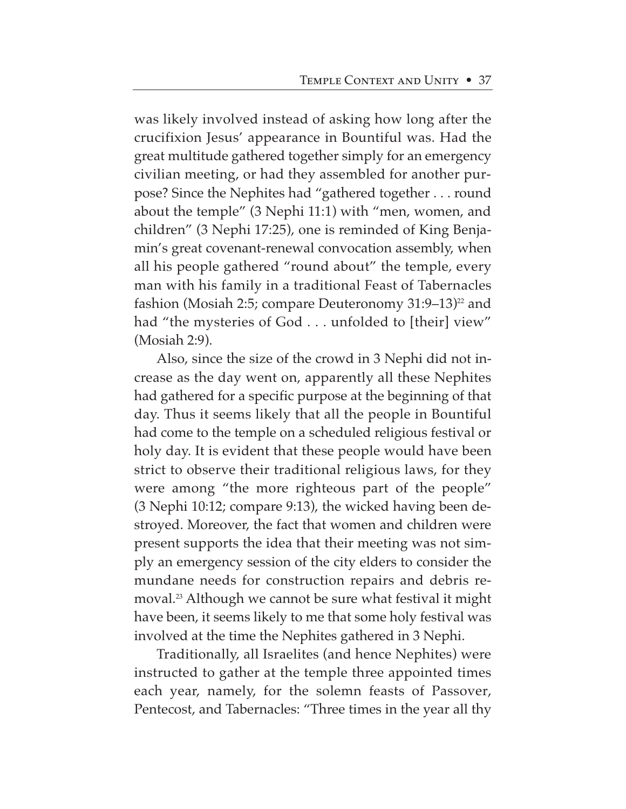was likely involved instead of asking how long after the crucifixion Jesus' appearance in Bountiful was. Had the great multitude gathered together simply for an emergency civilian meeting, or had they assembled for another purpose? Since the Nephites had "gathered together . . . round about the temple" (3 Nephi 11:1) with "men, women, and children" (3 Nephi 17:25), one is reminded of King Benjamin's great covenant-renewal convocation assembly, when all his people gathered "round about" the temple, every man with his family in a traditional Feast of Tabernacles fashion (Mosiah 2:5; compare Deuteronomy  $31:9-13$ )<sup>22</sup> and had "the mysteries of God . . . unfolded to [their] view" (Mosiah 2:9).

Also, since the size of the crowd in 3 Nephi did not increase as the day went on, apparently all these Nephites had gathered for a specific purpose at the beginning of that day. Thus it seems likely that all the people in Bountiful had come to the temple on a scheduled religious festival or holy day. It is evident that these people would have been strict to observe their traditional religious laws, for they were among "the more righteous part of the people" (3 Nephi 10:12; compare 9:13), the wicked having been destroyed. Moreover, the fact that women and children were present supports the idea that their meeting was not simply an emergency session of the city elders to consider the mundane needs for construction repairs and debris removal.23 Although we cannot be sure what festival it might have been, it seems likely to me that some holy festival was involved at the time the Nephites gathered in 3 Nephi.

Traditionally, all Israelites (and hence Nephites) were instructed to gather at the temple three appointed times each year, namely, for the solemn feasts of Passover, Pentecost, and Tabernacles: "Three times in the year all thy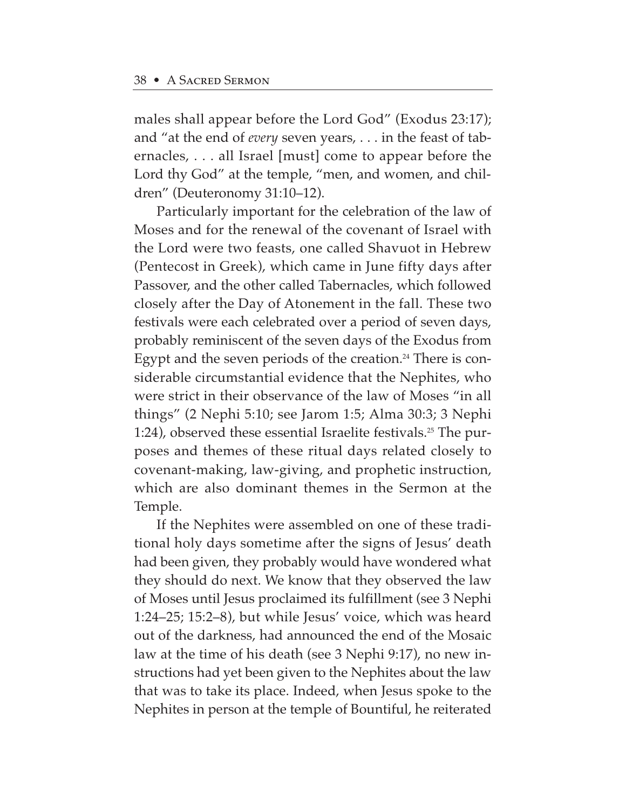males shall appear before the Lord God" (Exodus 23:17); and "at the end of *every* seven years, . . . in the feast of tabernacles, . . . all Israel [must] come to appear before the Lord thy God" at the temple, "men, and women, and children" (Deuteronomy 31:10–12).

Particularly important for the celebration of the law of Moses and for the renewal of the covenant of Israel with the Lord were two feasts, one called Shavuot in Hebrew (Pentecost in Greek), which came in June fifty days after Passover, and the other called Tabernacles, which followed closely after the Day of Atonement in the fall. These two festivals were each celebrated over a period of seven days, probably reminiscent of the seven days of the Exodus from Egypt and the seven periods of the creation.<sup>24</sup> There is considerable circumstantial evidence that the Nephites, who were strict in their observance of the law of Moses "in all things" (2 Nephi 5:10; see Jarom 1:5; Alma 30:3; 3 Nephi 1:24), observed these essential Israelite festivals.<sup>25</sup> The purposes and themes of these ritual days related closely to covenant-making, law-giving, and prophetic instruction, which are also dominant themes in the Sermon at the Temple.

If the Nephites were assembled on one of these traditional holy days sometime after the signs of Jesus' death had been given, they probably would have wondered what they should do next. We know that they observed the law of Moses until Jesus proclaimed its fulfillment (see 3 Nephi 1:24–25; 15:2–8), but while Jesus' voice, which was heard out of the darkness, had announced the end of the Mosaic law at the time of his death (see 3 Nephi 9:17), no new instructions had yet been given to the Nephites about the law that was to take its place. Indeed, when Jesus spoke to the Nephites in person at the temple of Bountiful, he reiterated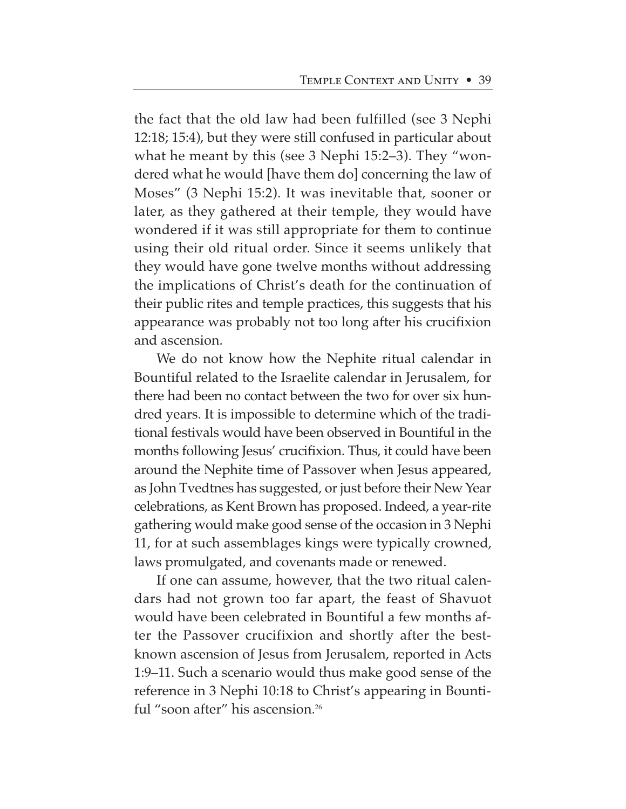the fact that the old law had been fulfilled (see 3 Nephi 12:18; 15:4), but they were still confused in particular about what he meant by this (see 3 Nephi 15:2–3). They "wondered what he would [have them do] concerning the law of Moses" (3 Nephi 15:2). It was inevitable that, sooner or later, as they gathered at their temple, they would have wondered if it was still appropriate for them to continue using their old ritual order. Since it seems unlikely that they would have gone twelve months without addressing the implications of Christ's death for the continuation of their public rites and temple practices, this suggests that his appearance was probably not too long after his crucifixion and ascension.

We do not know how the Nephite ritual calendar in Bountiful related to the Israelite calendar in Jerusalem, for there had been no contact between the two for over six hundred years. It is impossible to determine which of the traditional festivals would have been observed in Bountiful in the months following Jesus' crucifixion. Thus, it could have been around the Nephite time of Passover when Jesus appeared, as John Tvedtnes has suggested, or just before their New Year celebrations, as Kent Brown has proposed. Indeed, a year-rite gathering would make good sense of the occasion in 3 Nephi 11, for at such assemblages kings were typically crowned, laws promulgated, and covenants made or renewed.

If one can assume, however, that the two ritual calendars had not grown too far apart, the feast of Shavuot would have been celebrated in Bountiful a few months after the Passover crucifixion and shortly after the bestknown ascension of Jesus from Jerusalem, reported in Acts 1:9–11. Such a scenario would thus make good sense of the reference in 3 Nephi 10:18 to Christ's appearing in Bountiful "soon after" his ascension.<sup>26</sup>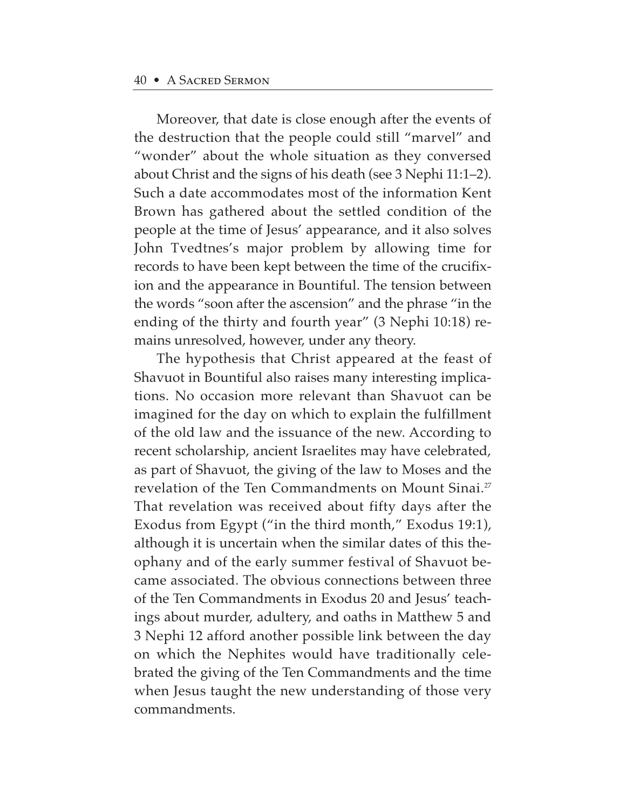Moreover, that date is close enough after the events of the destruction that the people could still "marvel" and "wonder" about the whole situation as they conversed about Christ and the signs of his death (see 3 Nephi 11:1–2). Such a date accommodates most of the information Kent Brown has gathered about the settled condition of the people at the time of Jesus' appearance, and it also solves John Tvedtnes's major problem by allowing time for records to have been kept between the time of the crucifixion and the appearance in Bountiful. The tension between the words "soon after the ascension" and the phrase "in the ending of the thirty and fourth year" (3 Nephi 10:18) remains unresolved, however, under any theory.

The hypothesis that Christ appeared at the feast of Shavuot in Bountiful also raises many interesting implications. No occasion more relevant than Shavuot can be imagined for the day on which to explain the fulfillment of the old law and the issuance of the new. According to recent scholarship, ancient Israelites may have celebrated, as part of Shavuot, the giving of the law to Moses and the revelation of the Ten Commandments on Mount Sinai.<sup>27</sup> That revelation was received about fifty days after the Exodus from Egypt ("in the third month," Exodus 19:1), although it is uncertain when the similar dates of this theophany and of the early summer festival of Shavuot became associated. The obvious connections between three of the Ten Commandments in Exodus 20 and Jesus' teachings about murder, adultery, and oaths in Matthew 5 and 3 Nephi 12 afford another possible link between the day on which the Nephites would have traditionally celebrated the giving of the Ten Commandments and the time when Jesus taught the new understanding of those very commandments.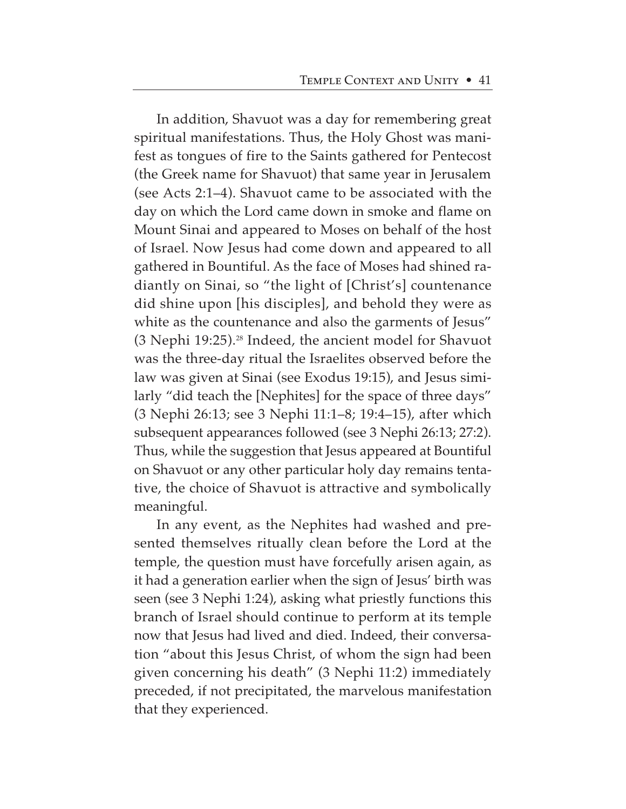In addition, Shavuot was a day for remembering great spiritual manifestations. Thus, the Holy Ghost was manifest as tongues of fire to the Saints gathered for Pentecost (the Greek name for Shavuot) that same year in Jerusalem (see Acts 2:1–4). Shavuot came to be associated with the day on which the Lord came down in smoke and flame on Mount Sinai and appeared to Moses on behalf of the host of Israel. Now Jesus had come down and appeared to all gathered in Bountiful. As the face of Moses had shined radiantly on Sinai, so "the light of [Christ's] countenance did shine upon [his disciples], and behold they were as white as the countenance and also the garments of Jesus" (3 Nephi 19:25).28 Indeed, the ancient model for Shavuot was the three-day ritual the Israelites observed before the law was given at Sinai (see Exodus 19:15), and Jesus similarly "did teach the [Nephites] for the space of three days" (3 Nephi 26:13; see 3 Nephi 11:1–8; 19:4–15), after which subsequent appearances followed (see 3 Nephi 26:13; 27:2). Thus, while the suggestion that Jesus appeared at Bountiful on Shavuot or any other particular holy day remains tentative, the choice of Shavuot is attractive and symbolically meaningful.

In any event, as the Nephites had washed and presented themselves ritually clean before the Lord at the temple, the question must have forcefully arisen again, as it had a generation earlier when the sign of Jesus' birth was seen (see 3 Nephi 1:24), asking what priestly functions this branch of Israel should continue to perform at its temple now that Jesus had lived and died. Indeed, their conversation "about this Jesus Christ, of whom the sign had been given concerning his death" (3 Nephi 11:2) immediately preceded, if not precipitated, the marvelous manifestation that they experienced.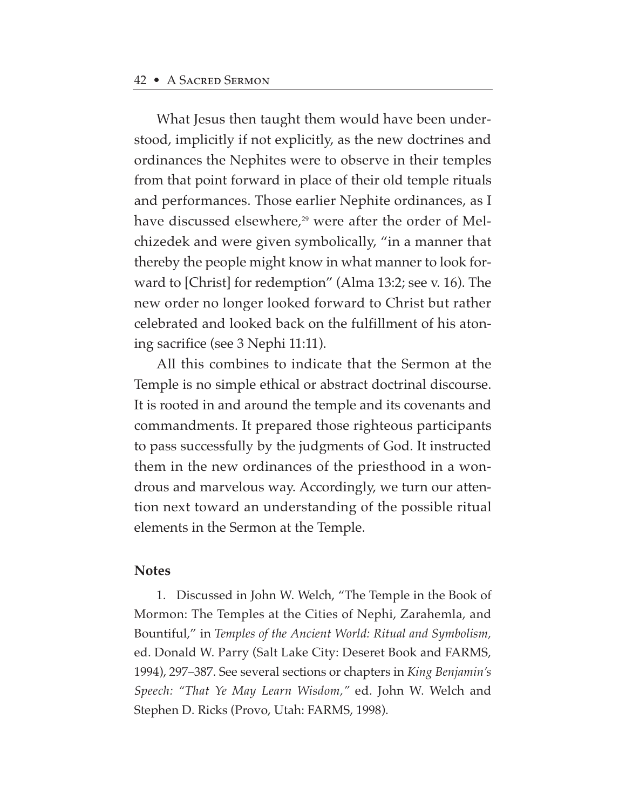What Jesus then taught them would have been understood, implicitly if not explicitly, as the new doctrines and ordinances the Nephites were to observe in their temples from that point forward in place of their old temple rituals and performances. Those earlier Nephite ordinances, as I have discussed elsewhere,<sup>29</sup> were after the order of Melchizedek and were given symbolically, "in a manner that thereby the people might know in what manner to look forward to [Christ] for redemption" (Alma 13:2; see v. 16). The new order no longer looked forward to Christ but rather celebrated and looked back on the fulfillment of his atoning sacrifice (see 3 Nephi 11:11).

All this combines to indicate that the Sermon at the Temple is no simple ethical or abstract doctrinal discourse. It is rooted in and around the temple and its covenants and commandments. It prepared those righteous participants to pass successfully by the judgments of God. It instructed them in the new ordinances of the priesthood in a wondrous and marvelous way. Accordingly, we turn our attention next toward an understanding of the possible ritual elements in the Sermon at the Temple.

#### **Notes**

1. Discussed in John W. Welch, "The Temple in the Book of Mormon: The Temples at the Cities of Nephi, Zarahemla, and Bountiful," in *Temples of the Ancient World: Ritual and Symbolism,* ed. Donald W. Parry (Salt Lake City: Deseret Book and FARMS, 1994), 297–387. See several sections or chapters in *King Benjamin's Speech: "That Ye May Learn Wisdom,"* ed. John W. Welch and Stephen D. Ricks (Provo, Utah: FARMS, 1998).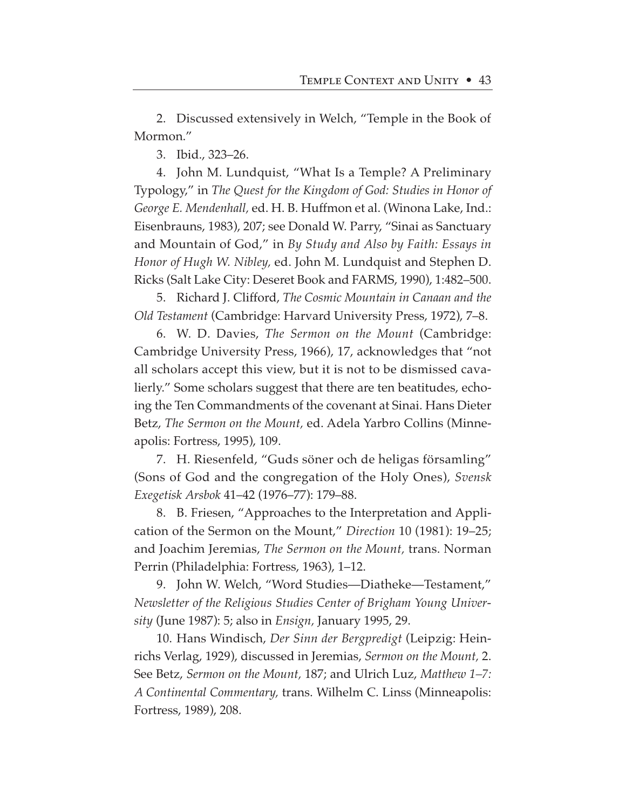2. Discussed extensively in Welch, "Temple in the Book of Mormon."

3. Ibid., 323–26.

4. John M. Lundquist, "What Is a Temple? A Preliminary Typology," in *The Quest for the Kingdom of God: Studies in Honor of George E. Mendenhall,* ed. H. B. Huffmon et al. (Winona Lake, Ind.: Eisenbrauns, 1983), 207; see Donald W. Parry, "Sinai as Sanctuary and Mountain of God," in *By Study and Also by Faith: Essays in Honor of Hugh W. Nibley,* ed. John M. Lundquist and Stephen D. Ricks (Salt Lake City: Deseret Book and FARMS, 1990), 1:482–500.

5. Richard J. Clifford, *The Cosmic Mountain in Canaan and the Old Testament* (Cambridge: Harvard University Press, 1972), 7–8.

6. W. D. Davies, *The Sermon on the Mount* (Cambridge: Cambridge University Press, 1966), 17, acknowledges that "not all scholars accept this view, but it is not to be dismissed cavalierly." Some scholars suggest that there are ten beatitudes, echoing the Ten Commandments of the covenant at Sinai. Hans Dieter Betz, *The Sermon on the Mount,* ed. Adela Yarbro Collins (Minneapolis: Fortress, 1995), 109.

7. H. Riesenfeld, "Guds söner och de heligas församling" (Sons of God and the congregation of the Holy Ones), *Svensk Exegetisk Arsbok* 41–42 (1976–77): 179–88.

8. B. Friesen, "Approaches to the Interpretation and Application of the Sermon on the Mount," *Direction* 10 (1981): 19–25; and Joachim Jeremias, *The Sermon on the Mount,* trans. Norman Perrin (Philadelphia: Fortress, 1963), 1–12.

9. John W. Welch, "Word Studies—Diatheke—Testament," *Newsletter of the Religious Studies Center of Brigham Young University* (June 1987): 5; also in *Ensign,* January 1995, 29.

10. Hans Windisch, *Der Sinn der Bergpredigt* (Leipzig: Heinrichs Verlag, 1929), discussed in Jeremias, *Sermon on the Mount,* 2. See Betz, *Sermon on the Mount,* 187; and Ulrich Luz, *Matthew 1–7: A Continental Commentary,* trans. Wilhelm C. Linss (Minneapolis: Fortress, 1989), 208.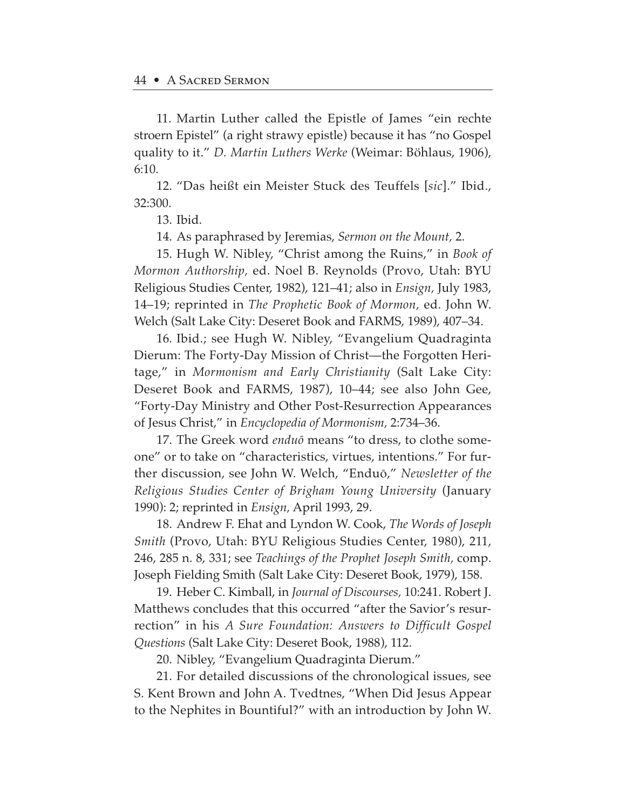11. Martin Luther called the Epistle of James "ein rechte stroern Epistel" (a right strawy epistle) because it has "no Gospel quality to it." *D. Martin Luthers Werke* (Weimar: Böhlaus, 1906), 6:10.

12. "Das heißt ein Meister Stuck des Teuffels [*sic*]." Ibid., 32:300.

13. Ibid.

14. As paraphrased by Jeremias, *Sermon on the Mount,* 2.

15. Hugh W. Nibley, "Christ among the Ruins," in *Book of Mormon Authorship,* ed. Noel B. Reynolds (Provo, Utah: BYU Religious Studies Center, 1982), 121–41; also in *Ensign,* July 1983, 14–19; reprinted in *The Prophetic Book of Mormon,* ed. John W. Welch (Salt Lake City: Deseret Book and FARMS, 1989), 407–34.

16. Ibid.; see Hugh W. Nibley, "Evangelium Quadraginta Dierum: The Forty-Day Mission of Christ—the Forgotten Heritage," in *Mormonism and Early Christianity* (Salt Lake City: Deseret Book and FARMS, 1987), 10–44; see also John Gee, "Forty-Day Ministry and Other Post-Resurrection Appearances of Jesus Christ," in *Encyclopedia of Mormonism,* 2:734–36.

17. The Greek word *enduø* means "to dress, to clothe someone" or to take on "characteristics, virtues, intentions." For further discussion, see John W. Welch, "Enduø," *Newsletter of the Religious Studies Center of Brigham Young University* (January 1990): 2; reprinted in *Ensign,* April 1993, 29.

18. Andrew F. Ehat and Lyndon W. Cook, *The Words of Joseph Smith* (Provo, Utah: BYU Religious Studies Center, 1980), 211, 246, 285 n. 8, 331; see *Teachings of the Prophet Joseph Smith,* comp. Joseph Fielding Smith (Salt Lake City: Deseret Book, 1979), 158.

19. Heber C. Kimball, in *Journal of Discourses,* 10:241. Robert J. Matthews concludes that this occurred "after the Savior's resurrection" in his *A Sure Foundation: Answers to Difficult Gospel Questions* (Salt Lake City: Deseret Book, 1988), 112.

20. Nibley, "Evangelium Quadraginta Dierum."

21. For detailed discussions of the chronological issues, see S. Kent Brown and John A. Tvedtnes, "When Did Jesus Appear to the Nephites in Bountiful?" with an introduction by John W.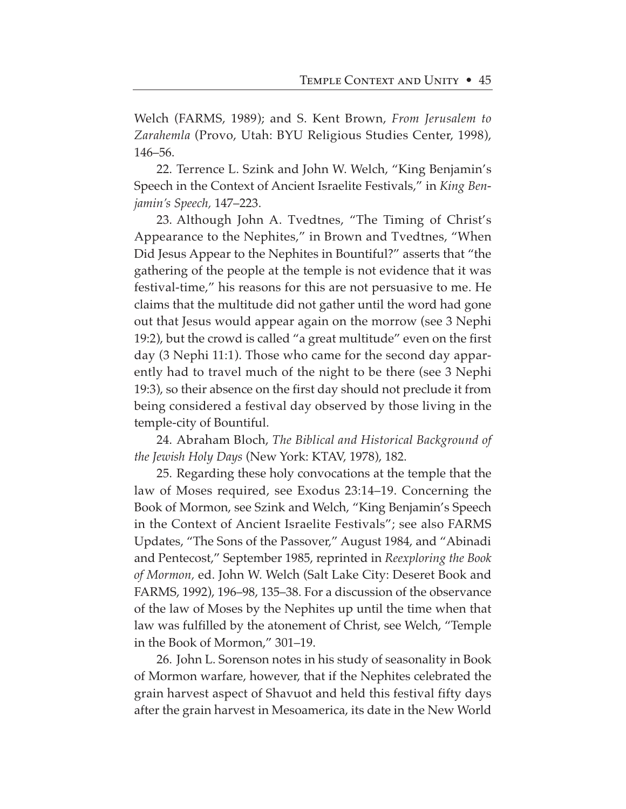Welch (FARMS, 1989); and S. Kent Brown, *From Jerusalem to Zarahemla* (Provo, Utah: BYU Religious Studies Center, 1998), 146–56.

22. Terrence L. Szink and John W. Welch, "King Benjamin's Speech in the Context of Ancient Israelite Festivals," in *King Benjamin's Speech,* 147–223.

23. Although John A. Tvedtnes, "The Timing of Christ's Appearance to the Nephites," in Brown and Tvedtnes, "When Did Jesus Appear to the Nephites in Bountiful?" asserts that "the gathering of the people at the temple is not evidence that it was festival-time," his reasons for this are not persuasive to me. He claims that the multitude did not gather until the word had gone out that Jesus would appear again on the morrow (see 3 Nephi 19:2), but the crowd is called "a great multitude" even on the first day (3 Nephi 11:1). Those who came for the second day apparently had to travel much of the night to be there (see 3 Nephi 19:3), so their absence on the first day should not preclude it from being considered a festival day observed by those living in the temple-city of Bountiful.

24. Abraham Bloch, *The Biblical and Historical Background of the Jewish Holy Days* (New York: KTAV, 1978), 182.

25. Regarding these holy convocations at the temple that the law of Moses required, see Exodus 23:14–19. Concerning the Book of Mormon, see Szink and Welch, "King Benjamin's Speech in the Context of Ancient Israelite Festivals"; see also FARMS Updates, "The Sons of the Passover," August 1984, and "Abinadi and Pentecost," September 1985, reprinted in *Reexploring the Book of Mormon,* ed. John W. Welch (Salt Lake City: Deseret Book and FARMS, 1992), 196–98, 135–38. For a discussion of the observance of the law of Moses by the Nephites up until the time when that law was fulfilled by the atonement of Christ, see Welch, "Temple in the Book of Mormon," 301–19.

26. John L. Sorenson notes in his study of seasonality in Book of Mormon warfare, however, that if the Nephites celebrated the grain harvest aspect of Shavuot and held this festival fifty days after the grain harvest in Mesoamerica, its date in the New World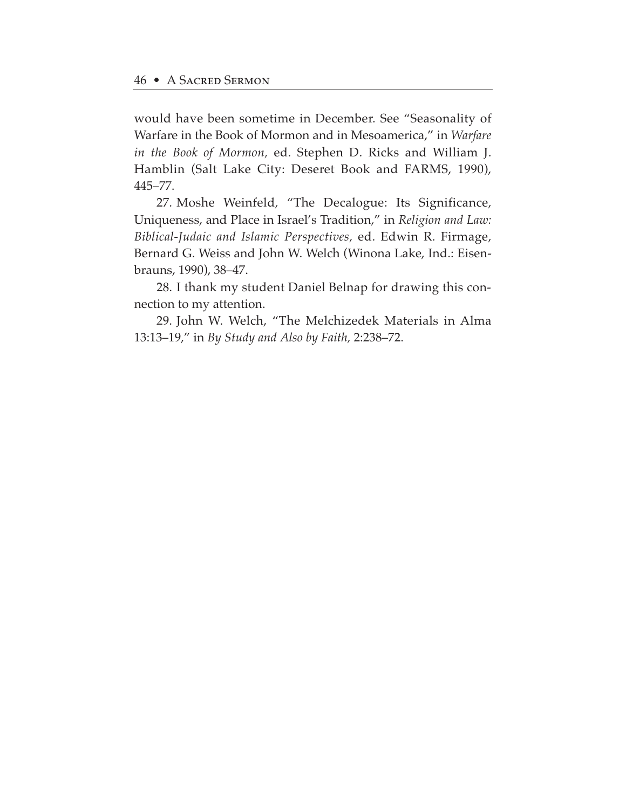would have been sometime in December. See "Seasonality of Warfare in the Book of Mormon and in Mesoamerica," in *Warfare in the Book of Mormon,* ed. Stephen D. Ricks and William J. Hamblin (Salt Lake City: Deseret Book and FARMS, 1990), 445–77.

27. Moshe Weinfeld, "The Decalogue: Its Significance, Uniqueness, and Place in Israel's Tradition," in *Religion and Law: Biblical-Judaic and Islamic Perspectives,* ed. Edwin R. Firmage, Bernard G. Weiss and John W. Welch (Winona Lake, Ind.: Eisenbrauns, 1990), 38–47.

28. I thank my student Daniel Belnap for drawing this connection to my attention.

29. John W. Welch, "The Melchizedek Materials in Alma 13:13–19," in *By Study and Also by Faith,* 2:238–72.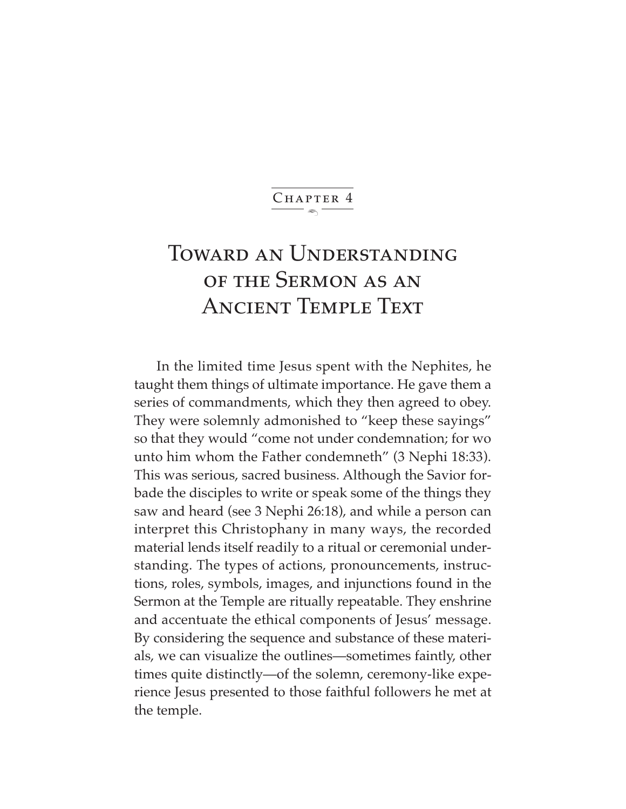$\ddot{\phantom{1}}$ CHAPTER 4

# Toward an Understanding of the Sermon as an Ancient Temple Text

In the limited time Jesus spent with the Nephites, he taught them things of ultimate importance. He gave them a series of commandments, which they then agreed to obey. They were solemnly admonished to "keep these sayings" so that they would "come not under condemnation; for wo unto him whom the Father condemneth" (3 Nephi 18:33). This was serious, sacred business. Although the Savior forbade the disciples to write or speak some of the things they saw and heard (see 3 Nephi 26:18), and while a person can interpret this Christophany in many ways, the recorded material lends itself readily to a ritual or ceremonial understanding. The types of actions, pronouncements, instructions, roles, symbols, images, and injunctions found in the Sermon at the Temple are ritually repeatable. They enshrine and accentuate the ethical components of Jesus' message. By considering the sequence and substance of these materials, we can visualize the outlines—sometimes faintly, other times quite distinctly—of the solemn, ceremony-like experience Jesus presented to those faithful followers he met at the temple.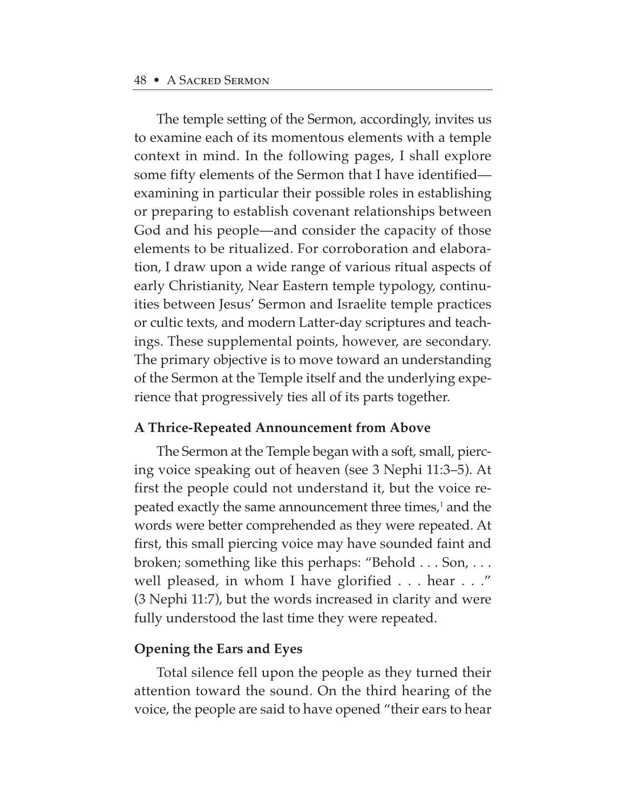The temple setting of the Sermon, accordingly, invites us to examine each of its momentous elements with a temple context in mind. In the following pages, I shall explore some fifty elements of the Sermon that I have identified examining in particular their possible roles in establishing or preparing to establish covenant relationships between God and his people—and consider the capacity of those elements to be ritualized. For corroboration and elaboration, I draw upon a wide range of various ritual aspects of early Christianity, Near Eastern temple typology, continuities between Jesus' Sermon and Israelite temple practices or cultic texts, and modern Latter-day scriptures and teachings. These supplemental points, however, are secondary. The primary objective is to move toward an understanding of the Sermon at the Temple itself and the underlying experience that progressively ties all of its parts together.

#### **A Thrice-Repeated Announcement from Above**

The Sermon at the Temple began with a soft, small, piercing voice speaking out of heaven (see 3 Nephi 11:3–5). At first the people could not understand it, but the voice repeated exactly the same announcement three times,<sup>1</sup> and the words were better comprehended as they were repeated. At first, this small piercing voice may have sounded faint and broken; something like this perhaps: "Behold . . . Son, . . . well pleased, in whom I have glorified . . . hear . . ." (3 Nephi 11:7), but the words increased in clarity and were fully understood the last time they were repeated.

#### **Opening the Ears and Eyes**

Total silence fell upon the people as they turned their attention toward the sound. On the third hearing of the voice, the people are said to have opened "their ears to hear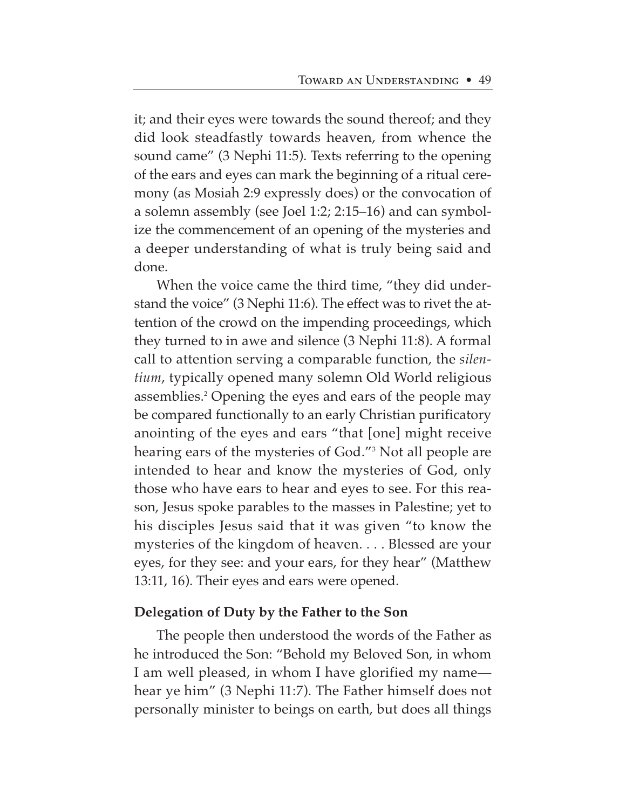it; and their eyes were towards the sound thereof; and they did look steadfastly towards heaven, from whence the sound came" (3 Nephi 11:5). Texts referring to the opening of the ears and eyes can mark the beginning of a ritual ceremony (as Mosiah 2:9 expressly does) or the convocation of a solemn assembly (see Joel 1:2; 2:15–16) and can symbolize the commencement of an opening of the mysteries and a deeper understanding of what is truly being said and done.

When the voice came the third time, "they did understand the voice" (3 Nephi 11:6). The effect was to rivet the attention of the crowd on the impending proceedings, which they turned to in awe and silence (3 Nephi 11:8). A formal call to attention serving a comparable function, the *silentium*, typically opened many solemn Old World religious assemblies.2 Opening the eyes and ears of the people may be compared functionally to an early Christian purificatory anointing of the eyes and ears "that [one] might receive hearing ears of the mysteries of God."3 Not all people are intended to hear and know the mysteries of God, only those who have ears to hear and eyes to see. For this reason, Jesus spoke parables to the masses in Palestine; yet to his disciples Jesus said that it was given "to know the mysteries of the kingdom of heaven. . . . Blessed are your eyes, for they see: and your ears, for they hear" (Matthew 13:11, 16). Their eyes and ears were opened.

## **Delegation of Duty by the Father to the Son**

The people then understood the words of the Father as he introduced the Son: "Behold my Beloved Son, in whom I am well pleased, in whom I have glorified my name hear ye him" (3 Nephi 11:7). The Father himself does not personally minister to beings on earth, but does all things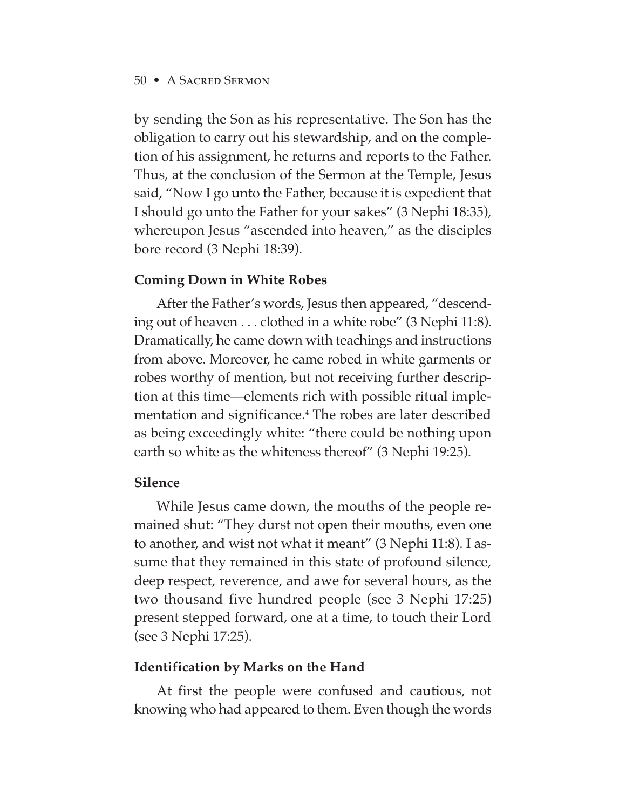by sending the Son as his representative. The Son has the obligation to carry out his stewardship, and on the completion of his assignment, he returns and reports to the Father. Thus, at the conclusion of the Sermon at the Temple, Jesus said, "Now I go unto the Father, because it is expedient that I should go unto the Father for your sakes" (3 Nephi 18:35), whereupon Jesus "ascended into heaven," as the disciples bore record (3 Nephi 18:39).

## **Coming Down in White Robes**

After the Father's words, Jesus then appeared, "descending out of heaven . . . clothed in a white robe" (3 Nephi 11:8). Dramatically, he came down with teachings and instructions from above. Moreover, he came robed in white garments or robes worthy of mention, but not receiving further description at this time—elements rich with possible ritual implementation and significance.4 The robes are later described as being exceedingly white: "there could be nothing upon earth so white as the whiteness thereof" (3 Nephi 19:25).

#### **Silence**

While Jesus came down, the mouths of the people remained shut: "They durst not open their mouths, even one to another, and wist not what it meant" (3 Nephi 11:8). I assume that they remained in this state of profound silence, deep respect, reverence, and awe for several hours, as the two thousand five hundred people (see 3 Nephi 17:25) present stepped forward, one at a time, to touch their Lord (see 3 Nephi 17:25).

#### **Identification by Marks on the Hand**

At first the people were confused and cautious, not knowing who had appeared to them. Even though the words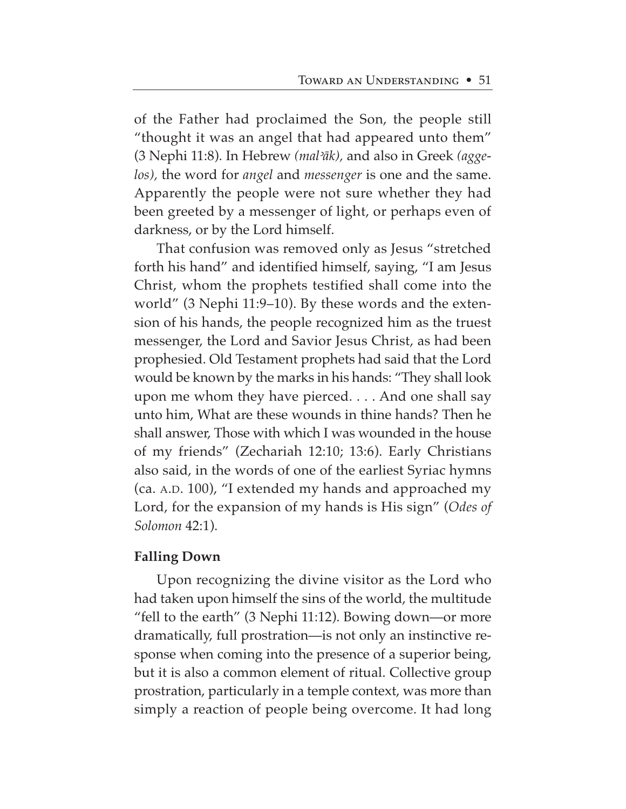of the Father had proclaimed the Son, the people still "thought it was an angel that had appeared unto them" (3 Nephi 11:8). In Hebrew *(mal<åk),* and also in Greek *(aggelos),* the word for *angel* and *messenger* is one and the same. Apparently the people were not sure whether they had been greeted by a messenger of light, or perhaps even of darkness, or by the Lord himself.

That confusion was removed only as Jesus "stretched forth his hand" and identified himself, saying, "I am Jesus Christ, whom the prophets testified shall come into the world" (3 Nephi 11:9–10). By these words and the extension of his hands, the people recognized him as the truest messenger, the Lord and Savior Jesus Christ, as had been prophesied. Old Testament prophets had said that the Lord would be known by the marks in his hands: "They shall look upon me whom they have pierced. . . . And one shall say unto him, What are these wounds in thine hands? Then he shall answer, Those with which I was wounded in the house of my friends" (Zechariah 12:10; 13:6). Early Christians also said, in the words of one of the earliest Syriac hymns (ca. A.D. 100), "I extended my hands and approached my Lord, for the expansion of my hands is His sign" (*Odes of Solomon* 42:1).

## **Falling Down**

Upon recognizing the divine visitor as the Lord who had taken upon himself the sins of the world, the multitude "fell to the earth" (3 Nephi 11:12). Bowing down—or more dramatically, full prostration—is not only an instinctive response when coming into the presence of a superior being, but it is also a common element of ritual. Collective group prostration, particularly in a temple context, was more than simply a reaction of people being overcome. It had long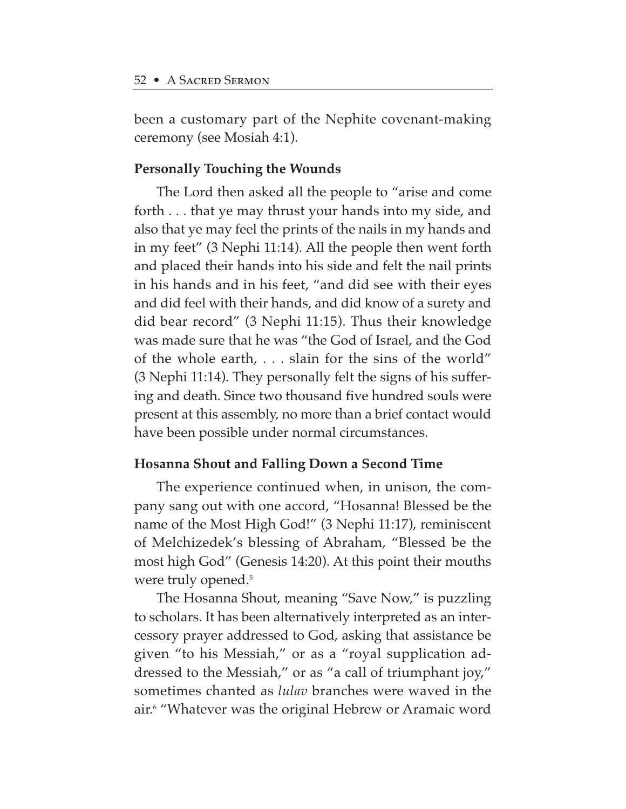been a customary part of the Nephite covenant-making ceremony (see Mosiah 4:1).

# **Personally Touching the Wounds**

The Lord then asked all the people to "arise and come forth . . . that ye may thrust your hands into my side, and also that ye may feel the prints of the nails in my hands and in my feet" (3 Nephi 11:14). All the people then went forth and placed their hands into his side and felt the nail prints in his hands and in his feet, "and did see with their eyes and did feel with their hands, and did know of a surety and did bear record" (3 Nephi 11:15). Thus their knowledge was made sure that he was "the God of Israel, and the God of the whole earth, . . . slain for the sins of the world" (3 Nephi 11:14). They personally felt the signs of his suffering and death. Since two thousand five hundred souls were present at this assembly, no more than a brief contact would have been possible under normal circumstances.

## **Hosanna Shout and Falling Down a Second Time**

The experience continued when, in unison, the company sang out with one accord, "Hosanna! Blessed be the name of the Most High God!" (3 Nephi 11:17), reminiscent of Melchizedek's blessing of Abraham, "Blessed be the most high God" (Genesis 14:20). At this point their mouths were truly opened.<sup>5</sup>

The Hosanna Shout, meaning "Save Now," is puzzling to scholars. It has been alternatively interpreted as an intercessory prayer addressed to God, asking that assistance be given "to his Messiah," or as a "royal supplication addressed to the Messiah," or as "a call of triumphant joy," sometimes chanted as *lulav* branches were waved in the air.6 "Whatever was the original Hebrew or Aramaic word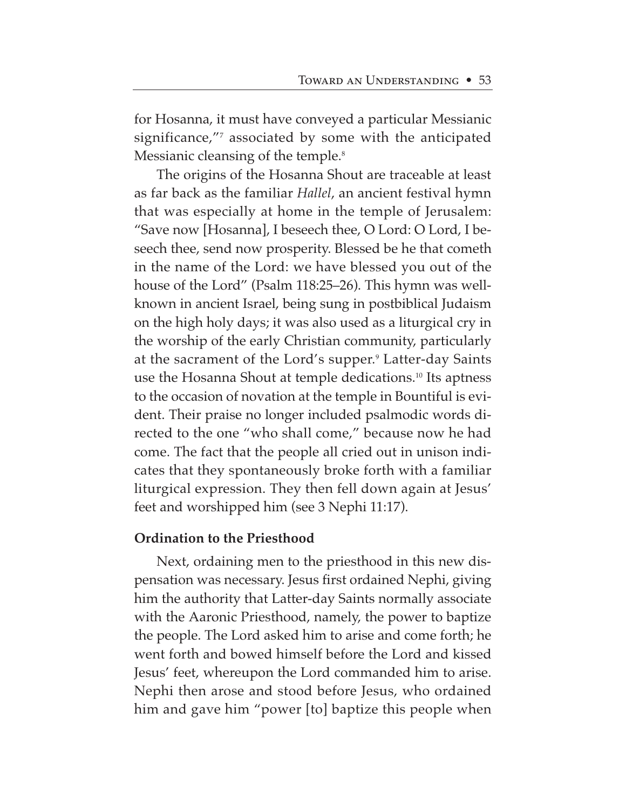for Hosanna, it must have conveyed a particular Messianic significance,"7 associated by some with the anticipated Messianic cleansing of the temple.<sup>8</sup>

The origins of the Hosanna Shout are traceable at least as far back as the familiar *Hallel*, an ancient festival hymn that was especially at home in the temple of Jerusalem: "Save now [Hosanna], I beseech thee, O Lord: O Lord, I beseech thee, send now prosperity. Blessed be he that cometh in the name of the Lord: we have blessed you out of the house of the Lord" (Psalm 118:25–26). This hymn was wellknown in ancient Israel, being sung in postbiblical Judaism on the high holy days; it was also used as a liturgical cry in the worship of the early Christian community, particularly at the sacrament of the Lord's supper.<sup>9</sup> Latter-day Saints use the Hosanna Shout at temple dedications.<sup>10</sup> Its aptness to the occasion of novation at the temple in Bountiful is evident. Their praise no longer included psalmodic words directed to the one "who shall come," because now he had come. The fact that the people all cried out in unison indicates that they spontaneously broke forth with a familiar liturgical expression. They then fell down again at Jesus' feet and worshipped him (see 3 Nephi 11:17).

## **Ordination to the Priesthood**

Next, ordaining men to the priesthood in this new dispensation was necessary. Jesus first ordained Nephi, giving him the authority that Latter-day Saints normally associate with the Aaronic Priesthood, namely, the power to baptize the people. The Lord asked him to arise and come forth; he went forth and bowed himself before the Lord and kissed Jesus' feet, whereupon the Lord commanded him to arise. Nephi then arose and stood before Jesus, who ordained him and gave him "power [to] baptize this people when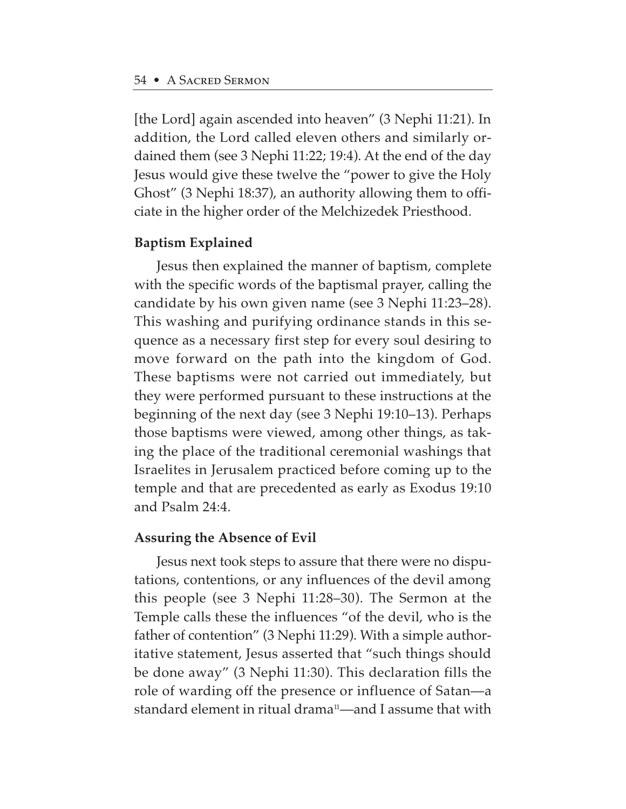[the Lord] again ascended into heaven" (3 Nephi 11:21). In addition, the Lord called eleven others and similarly ordained them (see 3 Nephi 11:22; 19:4). At the end of the day Jesus would give these twelve the "power to give the Holy Ghost" (3 Nephi 18:37), an authority allowing them to officiate in the higher order of the Melchizedek Priesthood.

#### **Baptism Explained**

Jesus then explained the manner of baptism, complete with the specific words of the baptismal prayer, calling the candidate by his own given name (see 3 Nephi 11:23–28). This washing and purifying ordinance stands in this sequence as a necessary first step for every soul desiring to move forward on the path into the kingdom of God. These baptisms were not carried out immediately, but they were performed pursuant to these instructions at the beginning of the next day (see 3 Nephi 19:10–13). Perhaps those baptisms were viewed, among other things, as taking the place of the traditional ceremonial washings that Israelites in Jerusalem practiced before coming up to the temple and that are precedented as early as Exodus 19:10 and Psalm 24:4.

#### **Assuring the Absence of Evil**

Jesus next took steps to assure that there were no disputations, contentions, or any influences of the devil among this people (see 3 Nephi 11:28–30). The Sermon at the Temple calls these the influences "of the devil, who is the father of contention" (3 Nephi 11:29). With a simple authoritative statement, Jesus asserted that "such things should be done away" (3 Nephi 11:30). This declaration fills the role of warding off the presence or influence of Satan—a standard element in ritual drama<sup>11</sup>—and I assume that with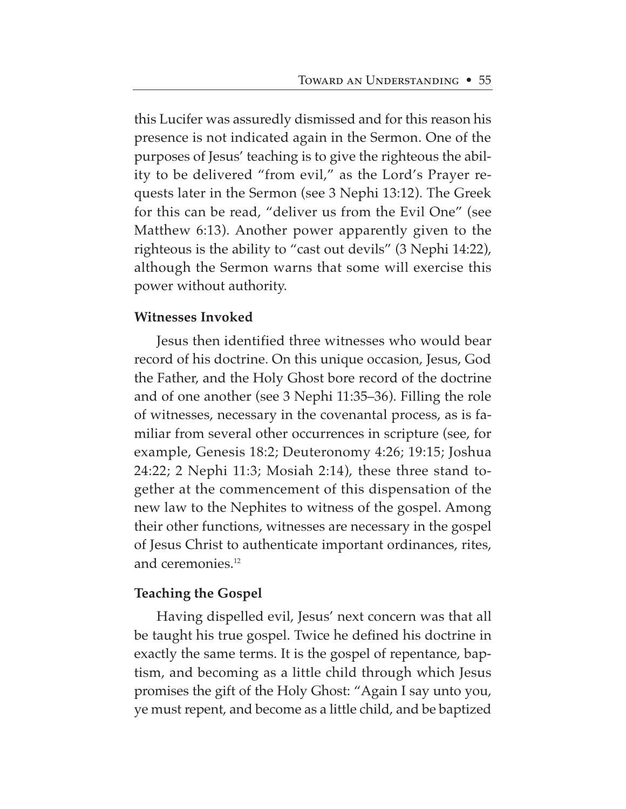this Lucifer was assuredly dismissed and for this reason his presence is not indicated again in the Sermon. One of the purposes of Jesus' teaching is to give the righteous the ability to be delivered "from evil," as the Lord's Prayer requests later in the Sermon (see 3 Nephi 13:12). The Greek for this can be read, "deliver us from the Evil One" (see Matthew 6:13). Another power apparently given to the righteous is the ability to "cast out devils" (3 Nephi 14:22), although the Sermon warns that some will exercise this power without authority.

#### **Witnesses Invoked**

Jesus then identified three witnesses who would bear record of his doctrine. On this unique occasion, Jesus, God the Father, and the Holy Ghost bore record of the doctrine and of one another (see 3 Nephi 11:35–36). Filling the role of witnesses, necessary in the covenantal process, as is familiar from several other occurrences in scripture (see, for example, Genesis 18:2; Deuteronomy 4:26; 19:15; Joshua 24:22; 2 Nephi 11:3; Mosiah 2:14), these three stand together at the commencement of this dispensation of the new law to the Nephites to witness of the gospel. Among their other functions, witnesses are necessary in the gospel of Jesus Christ to authenticate important ordinances, rites, and ceremonies.12

## **Teaching the Gospel**

Having dispelled evil, Jesus' next concern was that all be taught his true gospel. Twice he defined his doctrine in exactly the same terms. It is the gospel of repentance, baptism, and becoming as a little child through which Jesus promises the gift of the Holy Ghost: "Again I say unto you, ye must repent, and become as a little child, and be baptized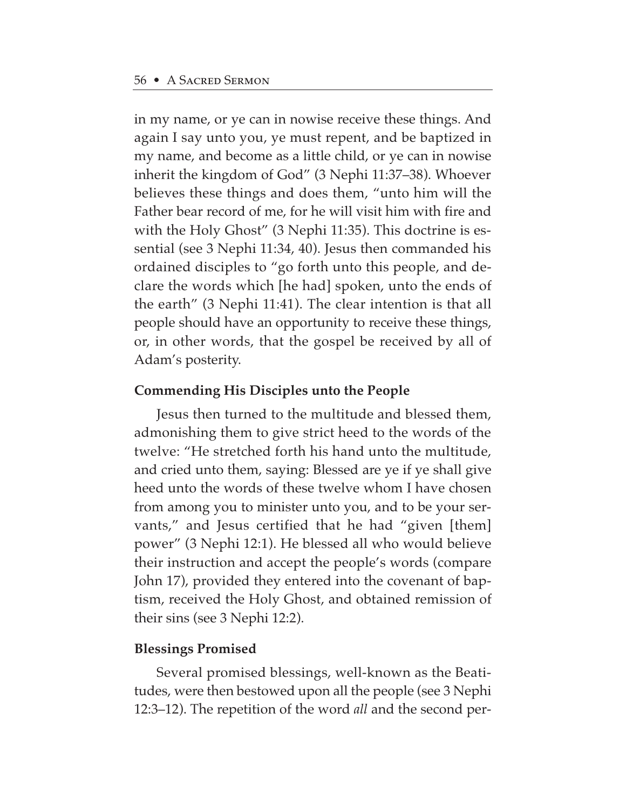in my name, or ye can in nowise receive these things. And again I say unto you, ye must repent, and be baptized in my name, and become as a little child, or ye can in nowise inherit the kingdom of God" (3 Nephi 11:37–38). Whoever believes these things and does them, "unto him will the Father bear record of me, for he will visit him with fire and with the Holy Ghost" (3 Nephi 11:35). This doctrine is essential (see 3 Nephi 11:34, 40). Jesus then commanded his ordained disciples to "go forth unto this people, and declare the words which [he had] spoken, unto the ends of the earth" (3 Nephi 11:41). The clear intention is that all people should have an opportunity to receive these things, or, in other words, that the gospel be received by all of Adam's posterity.

# **Commending His Disciples unto the People**

Jesus then turned to the multitude and blessed them, admonishing them to give strict heed to the words of the twelve: "He stretched forth his hand unto the multitude, and cried unto them, saying: Blessed are ye if ye shall give heed unto the words of these twelve whom I have chosen from among you to minister unto you, and to be your servants," and Jesus certified that he had "given [them] power" (3 Nephi 12:1). He blessed all who would believe their instruction and accept the people's words (compare John 17), provided they entered into the covenant of baptism, received the Holy Ghost, and obtained remission of their sins (see 3 Nephi 12:2).

## **Blessings Promised**

Several promised blessings, well-known as the Beatitudes, were then bestowed upon all the people (see 3 Nephi 12:3–12). The repetition of the word *all* and the second per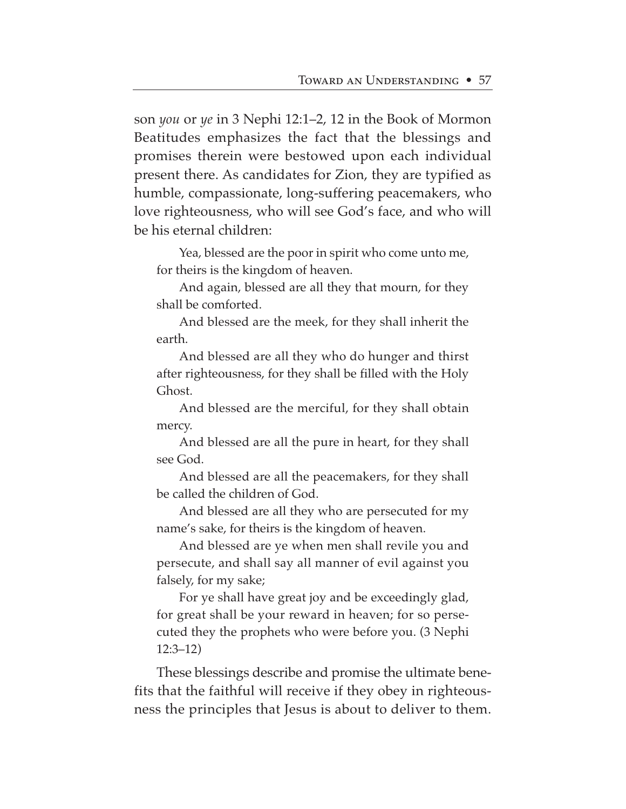son *you* or *ye* in 3 Nephi 12:1–2, 12 in the Book of Mormon Beatitudes emphasizes the fact that the blessings and promises therein were bestowed upon each individual present there. As candidates for Zion, they are typified as humble, compassionate, long-suffering peacemakers, who love righteousness, who will see God's face, and who will be his eternal children:

Yea, blessed are the poor in spirit who come unto me, for theirs is the kingdom of heaven.

And again, blessed are all they that mourn, for they shall be comforted.

And blessed are the meek, for they shall inherit the earth.

And blessed are all they who do hunger and thirst after righteousness, for they shall be filled with the Holy Ghost.

And blessed are the merciful, for they shall obtain mercy.

And blessed are all the pure in heart, for they shall see God.

And blessed are all the peacemakers, for they shall be called the children of God.

And blessed are all they who are persecuted for my name's sake, for theirs is the kingdom of heaven.

And blessed are ye when men shall revile you and persecute, and shall say all manner of evil against you falsely, for my sake;

For ye shall have great joy and be exceedingly glad, for great shall be your reward in heaven; for so persecuted they the prophets who were before you. (3 Nephi 12:3–12)

These blessings describe and promise the ultimate benefits that the faithful will receive if they obey in righteousness the principles that Jesus is about to deliver to them.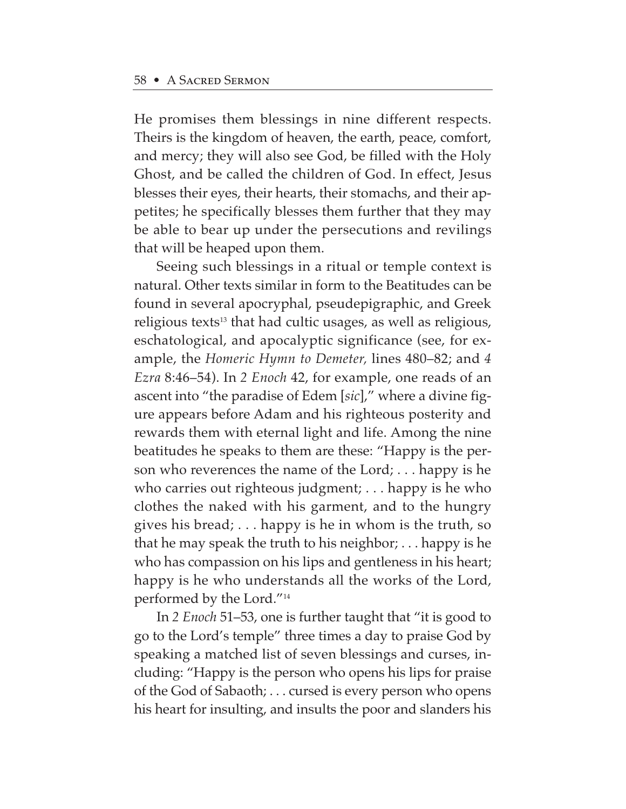He promises them blessings in nine different respects. Theirs is the kingdom of heaven, the earth, peace, comfort, and mercy; they will also see God, be filled with the Holy Ghost, and be called the children of God. In effect, Jesus blesses their eyes, their hearts, their stomachs, and their appetites; he specifically blesses them further that they may be able to bear up under the persecutions and revilings that will be heaped upon them.

Seeing such blessings in a ritual or temple context is natural. Other texts similar in form to the Beatitudes can be found in several apocryphal, pseudepigraphic, and Greek religious texts<sup>13</sup> that had cultic usages, as well as religious, eschatological, and apocalyptic significance (see, for example, the *Homeric Hymn to Demeter,* lines 480–82; and *4 Ezra* 8:46–54). In *2 Enoch* 42, for example, one reads of an ascent into "the paradise of Edem [*sic*]," where a divine figure appears before Adam and his righteous posterity and rewards them with eternal light and life. Among the nine beatitudes he speaks to them are these: "Happy is the person who reverences the name of the Lord; . . . happy is he who carries out righteous judgment; . . . happy is he who clothes the naked with his garment, and to the hungry gives his bread; . . . happy is he in whom is the truth, so that he may speak the truth to his neighbor; . . . happy is he who has compassion on his lips and gentleness in his heart; happy is he who understands all the works of the Lord, performed by the Lord."14

In *2 Enoch* 51–53, one is further taught that "it is good to go to the Lord's temple" three times a day to praise God by speaking a matched list of seven blessings and curses, including: "Happy is the person who opens his lips for praise of the God of Sabaoth; . . . cursed is every person who opens his heart for insulting, and insults the poor and slanders his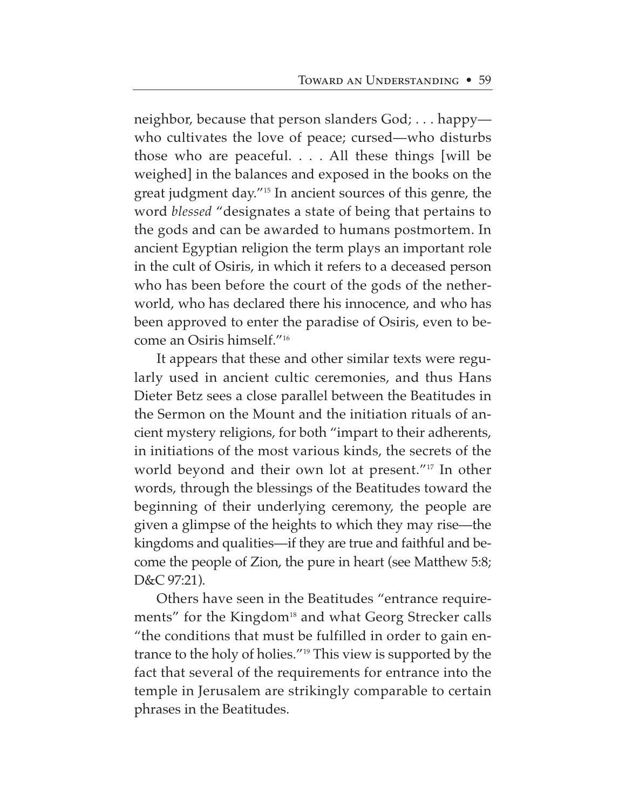neighbor, because that person slanders God; . . . happy who cultivates the love of peace; cursed—who disturbs those who are peaceful. . . . All these things [will be weighed] in the balances and exposed in the books on the great judgment day."15 In ancient sources of this genre, the word *blessed* "designates a state of being that pertains to the gods and can be awarded to humans postmortem. In ancient Egyptian religion the term plays an important role in the cult of Osiris, in which it refers to a deceased person who has been before the court of the gods of the netherworld, who has declared there his innocence, and who has been approved to enter the paradise of Osiris, even to become an Osiris himself."16

It appears that these and other similar texts were regularly used in ancient cultic ceremonies, and thus Hans Dieter Betz sees a close parallel between the Beatitudes in the Sermon on the Mount and the initiation rituals of ancient mystery religions, for both "impart to their adherents, in initiations of the most various kinds, the secrets of the world beyond and their own lot at present."17 In other words, through the blessings of the Beatitudes toward the beginning of their underlying ceremony, the people are given a glimpse of the heights to which they may rise—the kingdoms and qualities—if they are true and faithful and become the people of Zion, the pure in heart (see Matthew 5:8; D&C 97:21).

Others have seen in the Beatitudes "entrance requirements" for the Kingdom<sup>18</sup> and what Georg Strecker calls "the conditions that must be fulfilled in order to gain entrance to the holy of holies."19 This view is supported by the fact that several of the requirements for entrance into the temple in Jerusalem are strikingly comparable to certain phrases in the Beatitudes.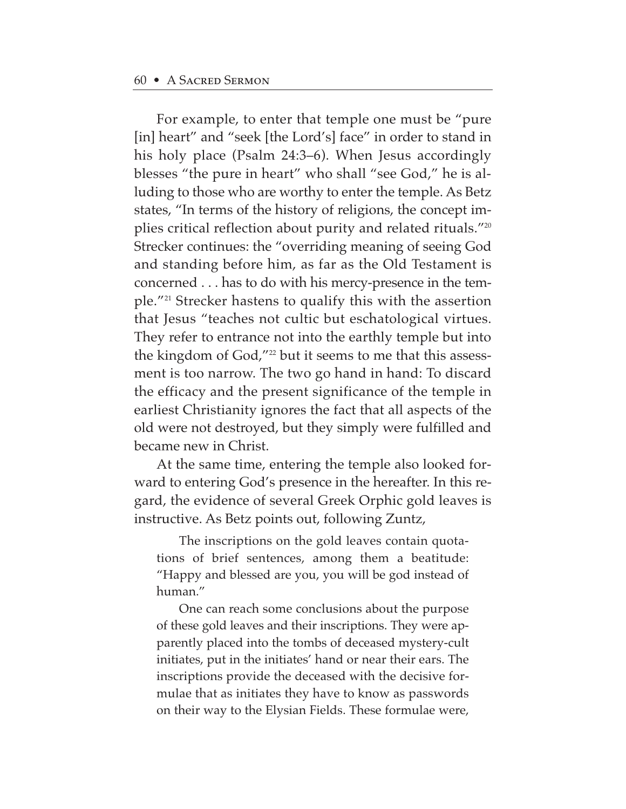For example, to enter that temple one must be "pure [in] heart" and "seek [the Lord's] face" in order to stand in his holy place (Psalm 24:3–6). When Jesus accordingly blesses "the pure in heart" who shall "see God," he is alluding to those who are worthy to enter the temple. As Betz states, "In terms of the history of religions, the concept implies critical reflection about purity and related rituals."20 Strecker continues: the "overriding meaning of seeing God and standing before him, as far as the Old Testament is concerned . . . has to do with his mercy-presence in the temple."21 Strecker hastens to qualify this with the assertion that Jesus "teaches not cultic but eschatological virtues. They refer to entrance not into the earthly temple but into the kingdom of God,"<sup>22</sup> but it seems to me that this assessment is too narrow. The two go hand in hand: To discard the efficacy and the present significance of the temple in earliest Christianity ignores the fact that all aspects of the old were not destroyed, but they simply were fulfilled and became new in Christ.

At the same time, entering the temple also looked forward to entering God's presence in the hereafter. In this regard, the evidence of several Greek Orphic gold leaves is instructive. As Betz points out, following Zuntz,

The inscriptions on the gold leaves contain quotations of brief sentences, among them a beatitude: "Happy and blessed are you, you will be god instead of human."

One can reach some conclusions about the purpose of these gold leaves and their inscriptions. They were apparently placed into the tombs of deceased mystery-cult initiates, put in the initiates' hand or near their ears. The inscriptions provide the deceased with the decisive formulae that as initiates they have to know as passwords on their way to the Elysian Fields. These formulae were,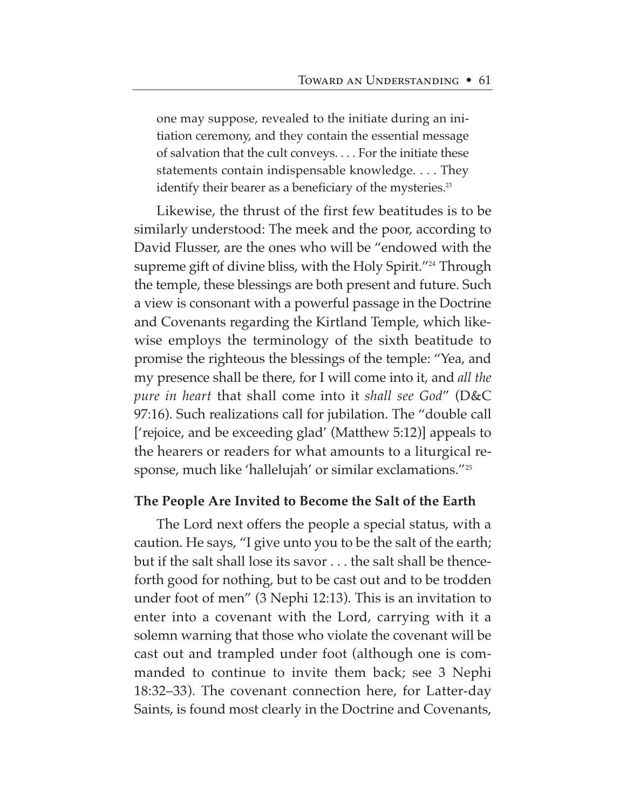one may suppose, revealed to the initiate during an initiation ceremony, and they contain the essential message of salvation that the cult conveys. . . . For the initiate these statements contain indispensable knowledge. . . . They identify their bearer as a beneficiary of the mysteries.<sup>23</sup>

Likewise, the thrust of the first few beatitudes is to be similarly understood: The meek and the poor, according to David Flusser, are the ones who will be "endowed with the supreme gift of divine bliss, with the Holy Spirit."<sup>24</sup> Through the temple, these blessings are both present and future. Such a view is consonant with a powerful passage in the Doctrine and Covenants regarding the Kirtland Temple, which likewise employs the terminology of the sixth beatitude to promise the righteous the blessings of the temple: "Yea, and my presence shall be there, for I will come into it, and *all the pure in heart* that shall come into it *shall see God*" (D&C 97:16). Such realizations call for jubilation. The "double call ['rejoice, and be exceeding glad' (Matthew 5:12)] appeals to the hearers or readers for what amounts to a liturgical response, much like 'hallelujah' or similar exclamations."25

#### **The People Are Invited to Become the Salt of the Earth**

The Lord next offers the people a special status, with a caution. He says, "I give unto you to be the salt of the earth; but if the salt shall lose its savor . . . the salt shall be thenceforth good for nothing, but to be cast out and to be trodden under foot of men" (3 Nephi 12:13). This is an invitation to enter into a covenant with the Lord, carrying with it a solemn warning that those who violate the covenant will be cast out and trampled under foot (although one is commanded to continue to invite them back; see 3 Nephi 18:32–33). The covenant connection here, for Latter-day Saints, is found most clearly in the Doctrine and Covenants,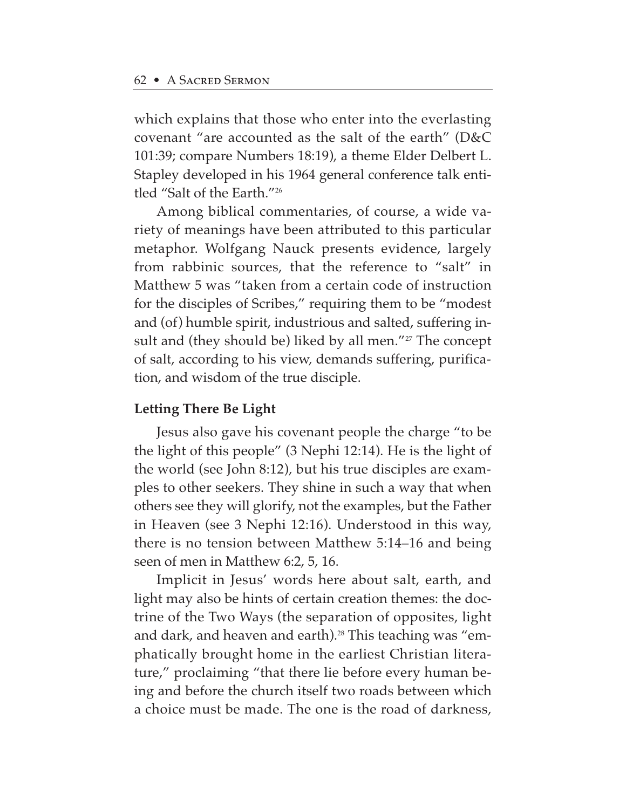which explains that those who enter into the everlasting covenant "are accounted as the salt of the earth" (D&C 101:39; compare Numbers 18:19), a theme Elder Delbert L. Stapley developed in his 1964 general conference talk entitled "Salt of the Earth."26

Among biblical commentaries, of course, a wide variety of meanings have been attributed to this particular metaphor. Wolfgang Nauck presents evidence, largely from rabbinic sources, that the reference to "salt" in Matthew 5 was "taken from a certain code of instruction for the disciples of Scribes," requiring them to be "modest and (of) humble spirit, industrious and salted, suffering insult and (they should be) liked by all men."<sup>27</sup> The concept of salt, according to his view, demands suffering, purification, and wisdom of the true disciple.

## **Letting There Be Light**

Jesus also gave his covenant people the charge "to be the light of this people" (3 Nephi 12:14). He is the light of the world (see John 8:12), but his true disciples are examples to other seekers. They shine in such a way that when others see they will glorify, not the examples, but the Father in Heaven (see 3 Nephi 12:16). Understood in this way, there is no tension between Matthew 5:14–16 and being seen of men in Matthew 6:2, 5, 16.

Implicit in Jesus' words here about salt, earth, and light may also be hints of certain creation themes: the doctrine of the Two Ways (the separation of opposites, light and dark, and heaven and earth).<sup>28</sup> This teaching was "emphatically brought home in the earliest Christian literature," proclaiming "that there lie before every human being and before the church itself two roads between which a choice must be made. The one is the road of darkness,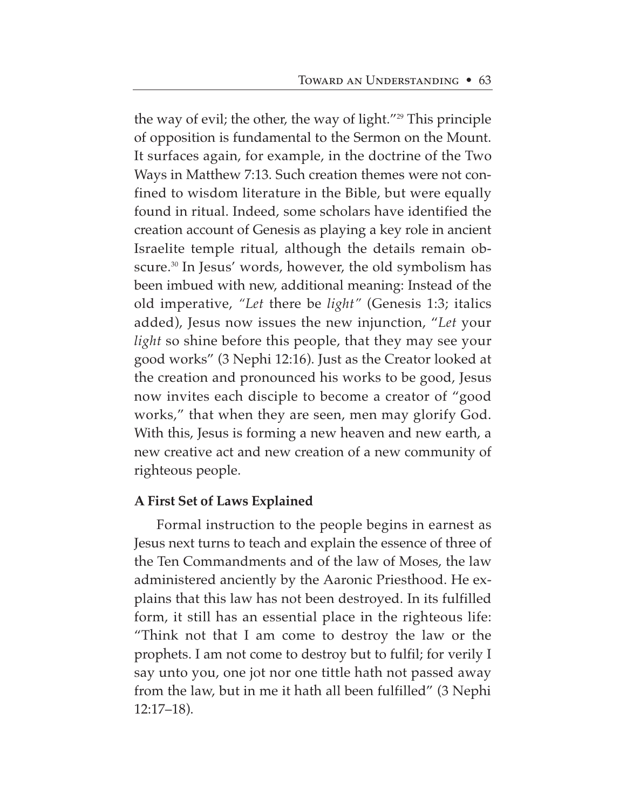the way of evil; the other, the way of light."<sup>29</sup> This principle of opposition is fundamental to the Sermon on the Mount. It surfaces again, for example, in the doctrine of the Two Ways in Matthew 7:13. Such creation themes were not confined to wisdom literature in the Bible, but were equally found in ritual. Indeed, some scholars have identified the creation account of Genesis as playing a key role in ancient Israelite temple ritual, although the details remain obscure.30 In Jesus' words, however, the old symbolism has been imbued with new, additional meaning: Instead of the old imperative, *"Let* there be *light"* (Genesis 1:3; italics added), Jesus now issues the new injunction, "*Let* your *light* so shine before this people, that they may see your good works" (3 Nephi 12:16). Just as the Creator looked at the creation and pronounced his works to be good, Jesus now invites each disciple to become a creator of "good works," that when they are seen, men may glorify God. With this, Jesus is forming a new heaven and new earth, a new creative act and new creation of a new community of righteous people.

# **A First Set of Laws Explained**

Formal instruction to the people begins in earnest as Jesus next turns to teach and explain the essence of three of the Ten Commandments and of the law of Moses, the law administered anciently by the Aaronic Priesthood. He explains that this law has not been destroyed. In its fulfilled form, it still has an essential place in the righteous life: "Think not that I am come to destroy the law or the prophets. I am not come to destroy but to fulfil; for verily I say unto you, one jot nor one tittle hath not passed away from the law, but in me it hath all been fulfilled" (3 Nephi 12:17–18).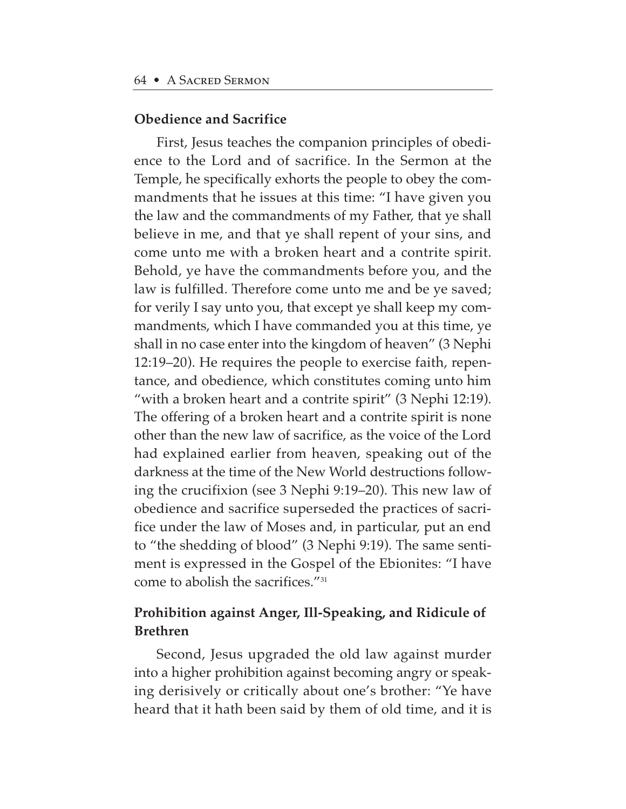#### **Obedience and Sacrifice**

First, Jesus teaches the companion principles of obedience to the Lord and of sacrifice. In the Sermon at the Temple, he specifically exhorts the people to obey the commandments that he issues at this time: "I have given you the law and the commandments of my Father, that ye shall believe in me, and that ye shall repent of your sins, and come unto me with a broken heart and a contrite spirit. Behold, ye have the commandments before you, and the law is fulfilled. Therefore come unto me and be ye saved; for verily I say unto you, that except ye shall keep my commandments, which I have commanded you at this time, ye shall in no case enter into the kingdom of heaven" (3 Nephi 12:19–20). He requires the people to exercise faith, repentance, and obedience, which constitutes coming unto him "with a broken heart and a contrite spirit" (3 Nephi 12:19). The offering of a broken heart and a contrite spirit is none other than the new law of sacrifice, as the voice of the Lord had explained earlier from heaven, speaking out of the darkness at the time of the New World destructions following the crucifixion (see 3 Nephi 9:19–20). This new law of obedience and sacrifice superseded the practices of sacrifice under the law of Moses and, in particular, put an end to "the shedding of blood" (3 Nephi 9:19). The same sentiment is expressed in the Gospel of the Ebionites: "I have come to abolish the sacrifices."31

# **Prohibition against Anger, Ill-Speaking, and Ridicule of Brethren**

Second, Jesus upgraded the old law against murder into a higher prohibition against becoming angry or speaking derisively or critically about one's brother: "Ye have heard that it hath been said by them of old time, and it is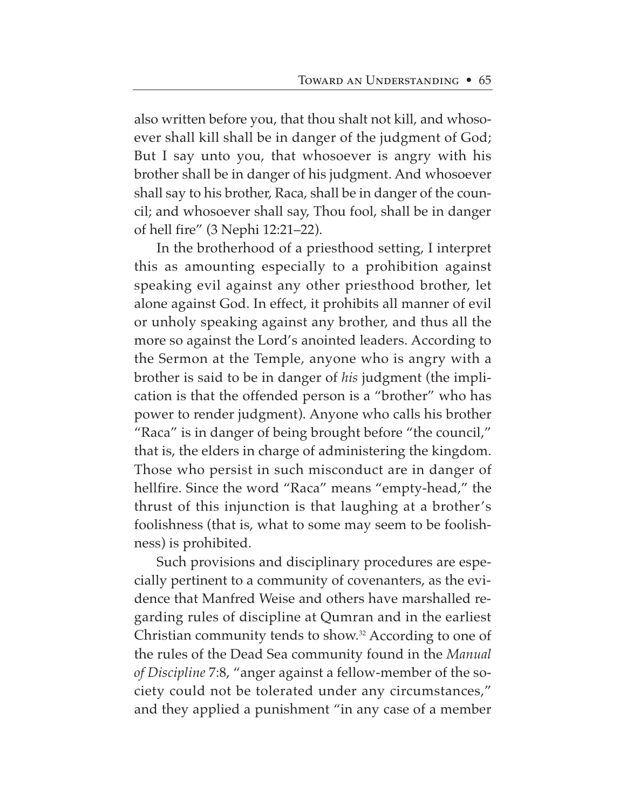also written before you, that thou shalt not kill, and whosoever shall kill shall be in danger of the judgment of God; But I say unto you, that whosoever is angry with his brother shall be in danger of his judgment. And whosoever shall say to his brother, Raca, shall be in danger of the council; and whosoever shall say, Thou fool, shall be in danger of hell fire" (3 Nephi 12:21–22).

In the brotherhood of a priesthood setting, I interpret this as amounting especially to a prohibition against speaking evil against any other priesthood brother, let alone against God. In effect, it prohibits all manner of evil or unholy speaking against any brother, and thus all the more so against the Lord's anointed leaders. According to the Sermon at the Temple, anyone who is angry with a brother is said to be in danger of *his* judgment (the implication is that the offended person is a "brother" who has power to render judgment). Anyone who calls his brother "Raca" is in danger of being brought before "the council," that is, the elders in charge of administering the kingdom. Those who persist in such misconduct are in danger of hellfire. Since the word "Raca" means "empty-head," the thrust of this injunction is that laughing at a brother's foolishness (that is, what to some may seem to be foolishness) is prohibited.

Such provisions and disciplinary procedures are especially pertinent to a community of covenanters, as the evidence that Manfred Weise and others have marshalled regarding rules of discipline at Qumran and in the earliest Christian community tends to show.32 According to one of the rules of the Dead Sea community found in the *Manual of Discipline* 7:8, "anger against a fellow-member of the society could not be tolerated under any circumstances," and they applied a punishment "in any case of a member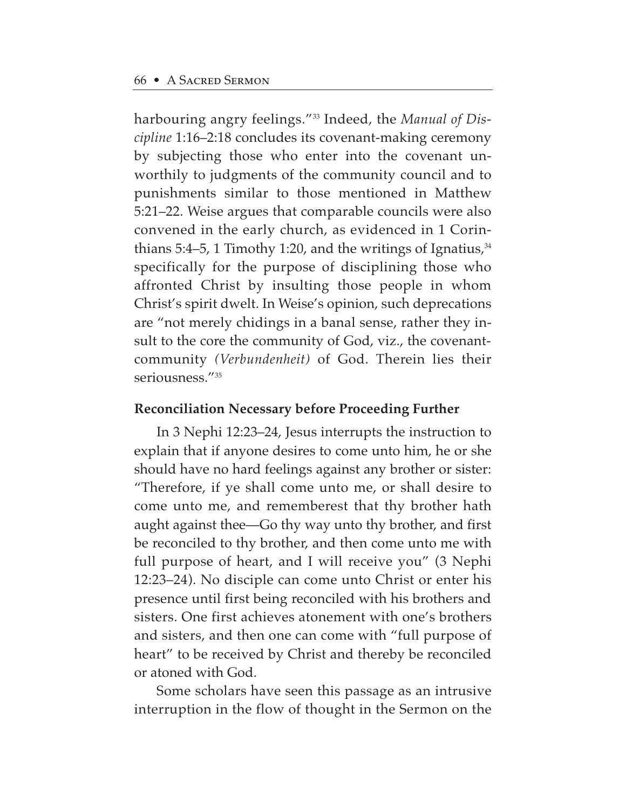harbouring angry feelings."33 Indeed, the *Manual of Discipline* 1:16–2:18 concludes its covenant-making ceremony by subjecting those who enter into the covenant unworthily to judgments of the community council and to punishments similar to those mentioned in Matthew 5:21–22. Weise argues that comparable councils were also convened in the early church, as evidenced in 1 Corinthians 5:4–5, 1 Timothy 1:20, and the writings of Ignatius, $34$ specifically for the purpose of disciplining those who affronted Christ by insulting those people in whom Christ's spirit dwelt. In Weise's opinion, such deprecations are "not merely chidings in a banal sense, rather they insult to the core the community of God, viz., the covenantcommunity *(Verbundenheit)* of God. Therein lies their seriousness."35

# **Reconciliation Necessary before Proceeding Further**

In 3 Nephi 12:23–24, Jesus interrupts the instruction to explain that if anyone desires to come unto him, he or she should have no hard feelings against any brother or sister: "Therefore, if ye shall come unto me, or shall desire to come unto me, and rememberest that thy brother hath aught against thee—Go thy way unto thy brother, and first be reconciled to thy brother, and then come unto me with full purpose of heart, and I will receive you" (3 Nephi 12:23–24). No disciple can come unto Christ or enter his presence until first being reconciled with his brothers and sisters. One first achieves atonement with one's brothers and sisters, and then one can come with "full purpose of heart" to be received by Christ and thereby be reconciled or atoned with God.

Some scholars have seen this passage as an intrusive interruption in the flow of thought in the Sermon on the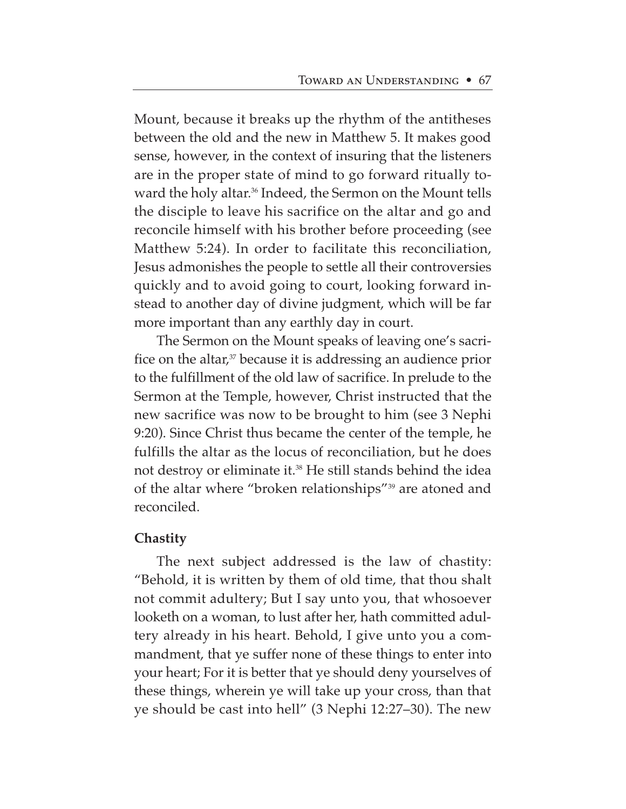Mount, because it breaks up the rhythm of the antitheses between the old and the new in Matthew 5. It makes good sense, however, in the context of insuring that the listeners are in the proper state of mind to go forward ritually toward the holy altar.<sup>36</sup> Indeed, the Sermon on the Mount tells the disciple to leave his sacrifice on the altar and go and reconcile himself with his brother before proceeding (see Matthew 5:24). In order to facilitate this reconciliation, Jesus admonishes the people to settle all their controversies quickly and to avoid going to court, looking forward instead to another day of divine judgment, which will be far more important than any earthly day in court.

The Sermon on the Mount speaks of leaving one's sacrifice on the altar, $37$  because it is addressing an audience prior to the fulfillment of the old law of sacrifice. In prelude to the Sermon at the Temple, however, Christ instructed that the new sacrifice was now to be brought to him (see 3 Nephi 9:20). Since Christ thus became the center of the temple, he fulfills the altar as the locus of reconciliation, but he does not destroy or eliminate it.38 He still stands behind the idea of the altar where "broken relationships"39 are atoned and reconciled.

# **Chastity**

The next subject addressed is the law of chastity: "Behold, it is written by them of old time, that thou shalt not commit adultery; But I say unto you, that whosoever looketh on a woman, to lust after her, hath committed adultery already in his heart. Behold, I give unto you a commandment, that ye suffer none of these things to enter into your heart; For it is better that ye should deny yourselves of these things, wherein ye will take up your cross, than that ye should be cast into hell" (3 Nephi 12:27–30). The new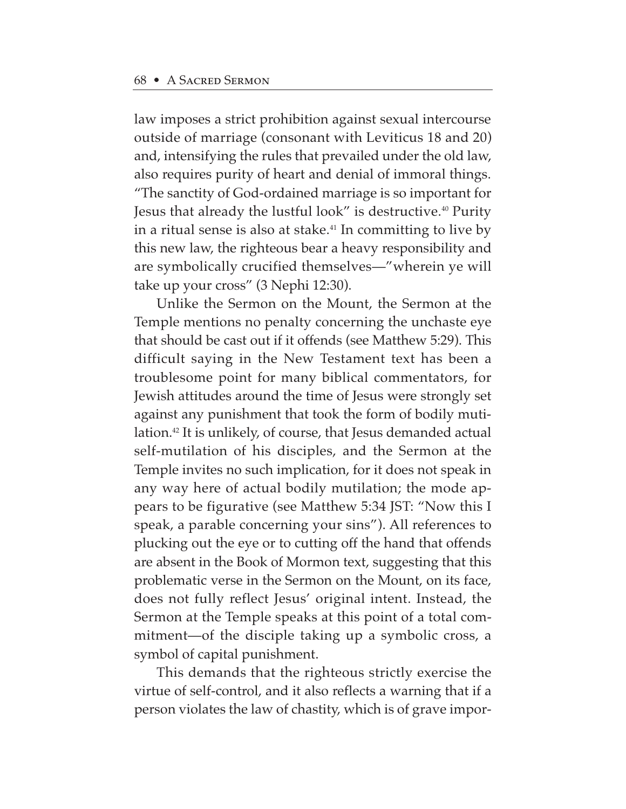law imposes a strict prohibition against sexual intercourse outside of marriage (consonant with Leviticus 18 and 20) and, intensifying the rules that prevailed under the old law, also requires purity of heart and denial of immoral things. "The sanctity of God-ordained marriage is so important for Jesus that already the lustful look" is destructive.<sup>40</sup> Purity in a ritual sense is also at stake.<sup>41</sup> In committing to live by this new law, the righteous bear a heavy responsibility and are symbolically crucified themselves—"wherein ye will take up your cross" (3 Nephi 12:30).

Unlike the Sermon on the Mount, the Sermon at the Temple mentions no penalty concerning the unchaste eye that should be cast out if it offends (see Matthew 5:29). This difficult saying in the New Testament text has been a troublesome point for many biblical commentators, for Jewish attitudes around the time of Jesus were strongly set against any punishment that took the form of bodily mutilation.<sup>42</sup> It is unlikely, of course, that Jesus demanded actual self-mutilation of his disciples, and the Sermon at the Temple invites no such implication, for it does not speak in any way here of actual bodily mutilation; the mode appears to be figurative (see Matthew 5:34 JST: "Now this I speak, a parable concerning your sins"). All references to plucking out the eye or to cutting off the hand that offends are absent in the Book of Mormon text, suggesting that this problematic verse in the Sermon on the Mount, on its face, does not fully reflect Jesus' original intent. Instead, the Sermon at the Temple speaks at this point of a total commitment—of the disciple taking up a symbolic cross, a symbol of capital punishment.

This demands that the righteous strictly exercise the virtue of self-control, and it also reflects a warning that if a person violates the law of chastity, which is of grave impor-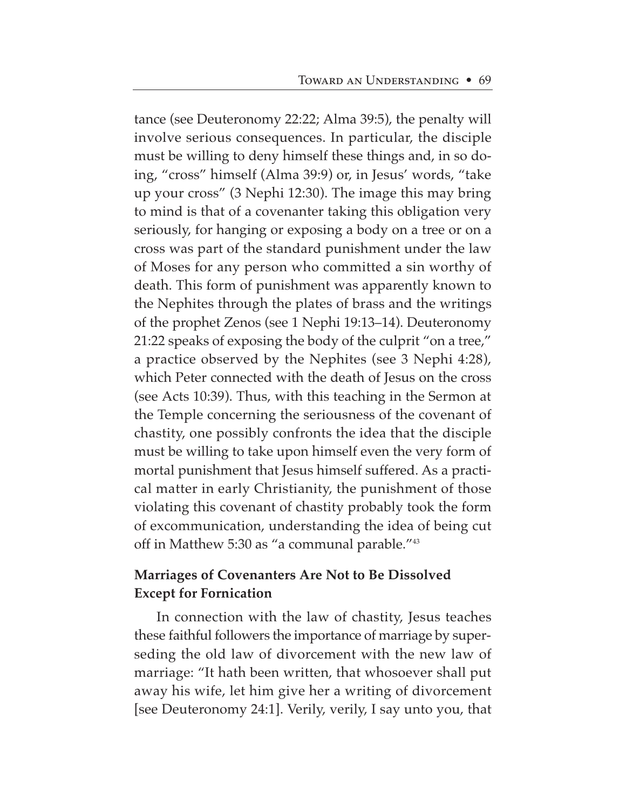tance (see Deuteronomy 22:22; Alma 39:5), the penalty will involve serious consequences. In particular, the disciple must be willing to deny himself these things and, in so doing, "cross" himself (Alma 39:9) or, in Jesus' words, "take up your cross" (3 Nephi 12:30). The image this may bring to mind is that of a covenanter taking this obligation very seriously, for hanging or exposing a body on a tree or on a cross was part of the standard punishment under the law of Moses for any person who committed a sin worthy of death. This form of punishment was apparently known to the Nephites through the plates of brass and the writings of the prophet Zenos (see 1 Nephi 19:13–14). Deuteronomy 21:22 speaks of exposing the body of the culprit "on a tree," a practice observed by the Nephites (see 3 Nephi 4:28), which Peter connected with the death of Jesus on the cross (see Acts 10:39). Thus, with this teaching in the Sermon at the Temple concerning the seriousness of the covenant of chastity, one possibly confronts the idea that the disciple must be willing to take upon himself even the very form of mortal punishment that Jesus himself suffered. As a practical matter in early Christianity, the punishment of those violating this covenant of chastity probably took the form of excommunication, understanding the idea of being cut off in Matthew 5:30 as "a communal parable."43

# **Marriages of Covenanters Are Not to Be Dissolved Except for Fornication**

In connection with the law of chastity, Jesus teaches these faithful followers the importance of marriage by superseding the old law of divorcement with the new law of marriage: "It hath been written, that whosoever shall put away his wife, let him give her a writing of divorcement [see Deuteronomy 24:1]. Verily, verily, I say unto you, that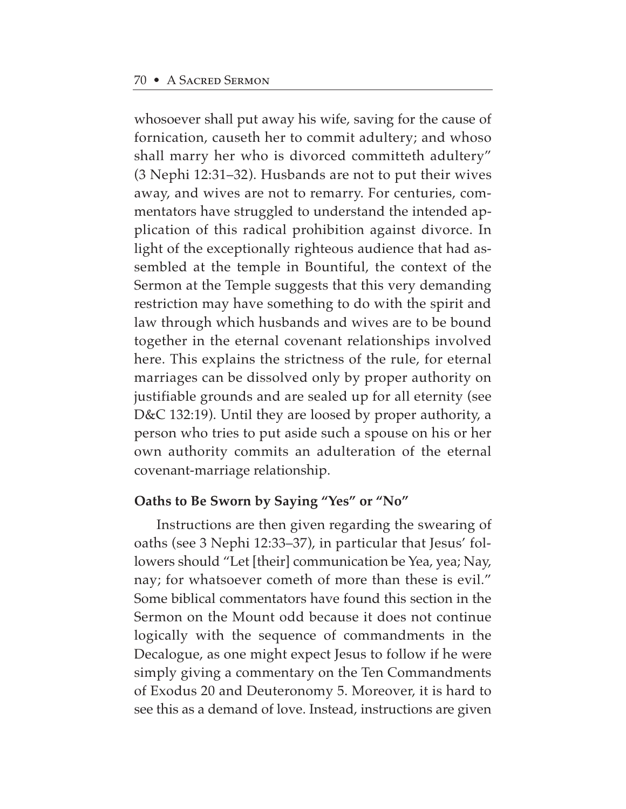whosoever shall put away his wife, saving for the cause of fornication, causeth her to commit adultery; and whoso shall marry her who is divorced committeth adultery" (3 Nephi 12:31–32). Husbands are not to put their wives away, and wives are not to remarry. For centuries, commentators have struggled to understand the intended application of this radical prohibition against divorce. In light of the exceptionally righteous audience that had assembled at the temple in Bountiful, the context of the Sermon at the Temple suggests that this very demanding restriction may have something to do with the spirit and law through which husbands and wives are to be bound together in the eternal covenant relationships involved here. This explains the strictness of the rule, for eternal marriages can be dissolved only by proper authority on justifiable grounds and are sealed up for all eternity (see D&C 132:19). Until they are loosed by proper authority, a person who tries to put aside such a spouse on his or her own authority commits an adulteration of the eternal covenant-marriage relationship.

# **Oaths to Be Sworn by Saying "Yes" or "No"**

Instructions are then given regarding the swearing of oaths (see 3 Nephi 12:33–37), in particular that Jesus' followers should "Let [their] communication be Yea, yea; Nay, nay; for whatsoever cometh of more than these is evil." Some biblical commentators have found this section in the Sermon on the Mount odd because it does not continue logically with the sequence of commandments in the Decalogue, as one might expect Jesus to follow if he were simply giving a commentary on the Ten Commandments of Exodus 20 and Deuteronomy 5. Moreover, it is hard to see this as a demand of love. Instead, instructions are given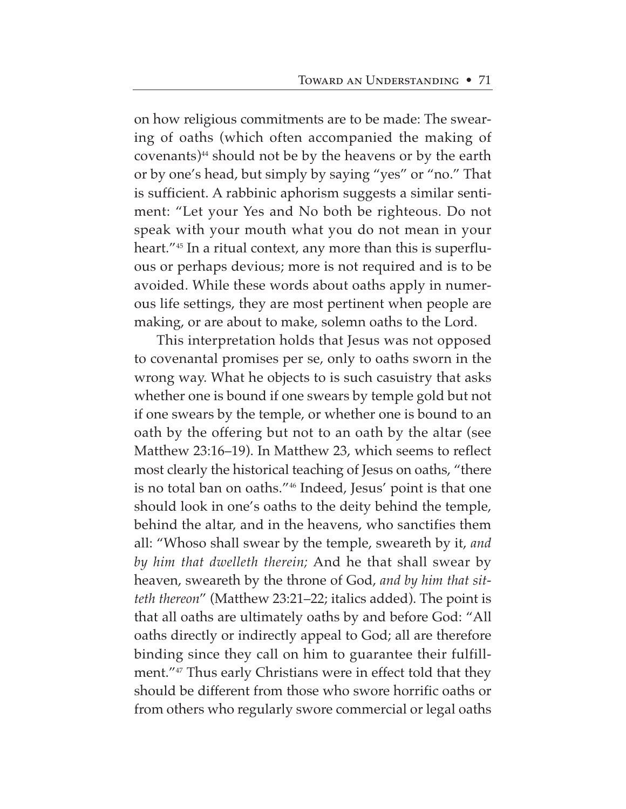on how religious commitments are to be made: The swearing of oaths (which often accompanied the making of  $covenants)$ <sup>44</sup> should not be by the heavens or by the earth or by one's head, but simply by saying "yes" or "no." That is sufficient. A rabbinic aphorism suggests a similar sentiment: "Let your Yes and No both be righteous. Do not speak with your mouth what you do not mean in your heart."<sup>45</sup> In a ritual context, any more than this is superfluous or perhaps devious; more is not required and is to be avoided. While these words about oaths apply in numerous life settings, they are most pertinent when people are making, or are about to make, solemn oaths to the Lord.

This interpretation holds that Jesus was not opposed to covenantal promises per se, only to oaths sworn in the wrong way. What he objects to is such casuistry that asks whether one is bound if one swears by temple gold but not if one swears by the temple, or whether one is bound to an oath by the offering but not to an oath by the altar (see Matthew 23:16–19). In Matthew 23, which seems to reflect most clearly the historical teaching of Jesus on oaths, "there is no total ban on oaths."46 Indeed, Jesus' point is that one should look in one's oaths to the deity behind the temple, behind the altar, and in the heavens, who sanctifies them all: "Whoso shall swear by the temple, sweareth by it, *and by him that dwelleth therein;* And he that shall swear by heaven, sweareth by the throne of God, *and by him that sitteth thereon*" (Matthew 23:21–22; italics added). The point is that all oaths are ultimately oaths by and before God: "All oaths directly or indirectly appeal to God; all are therefore binding since they call on him to guarantee their fulfillment."<sup>47</sup> Thus early Christians were in effect told that they should be different from those who swore horrific oaths or from others who regularly swore commercial or legal oaths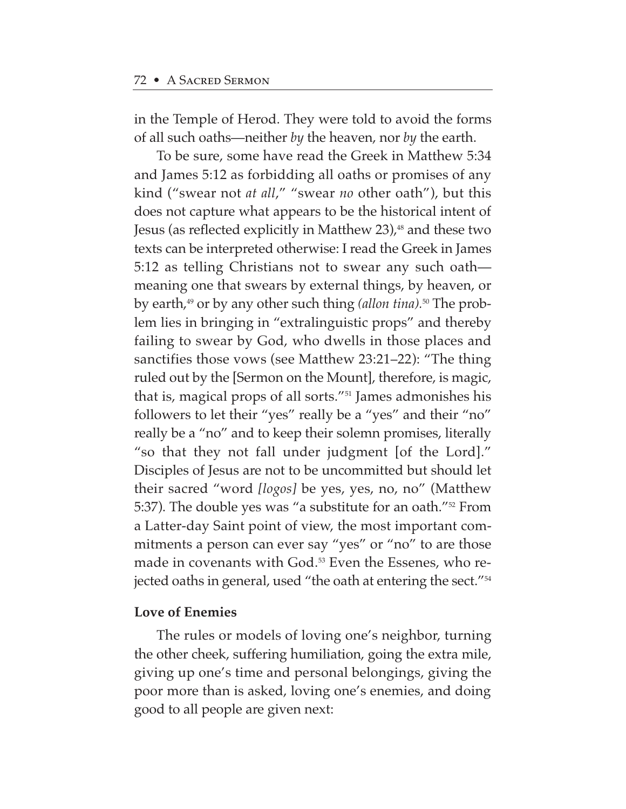in the Temple of Herod. They were told to avoid the forms of all such oaths—neither *by* the heaven, nor *by* the earth.

To be sure, some have read the Greek in Matthew 5:34 and James 5:12 as forbidding all oaths or promises of any kind ("swear not *at all*," "swear *no* other oath"), but this does not capture what appears to be the historical intent of Jesus (as reflected explicitly in Matthew 23), $48$  and these two texts can be interpreted otherwise: I read the Greek in James 5:12 as telling Christians not to swear any such oath meaning one that swears by external things, by heaven, or by earth,49 or by any other such thing *(allon tina).*<sup>50</sup> The problem lies in bringing in "extralinguistic props" and thereby failing to swear by God, who dwells in those places and sanctifies those vows (see Matthew 23:21–22): "The thing ruled out by the [Sermon on the Mount], therefore, is magic, that is, magical props of all sorts."51 James admonishes his followers to let their "yes" really be a "yes" and their "no" really be a "no" and to keep their solemn promises, literally "so that they not fall under judgment [of the Lord]." Disciples of Jesus are not to be uncommitted but should let their sacred "word *[logos]* be yes, yes, no, no" (Matthew 5:37). The double yes was "a substitute for an oath."52 From a Latter-day Saint point of view, the most important commitments a person can ever say "yes" or "no" to are those made in covenants with God.<sup>53</sup> Even the Essenes, who rejected oaths in general, used "the oath at entering the sect."<sup>54</sup>

# **Love of Enemies**

The rules or models of loving one's neighbor, turning the other cheek, suffering humiliation, going the extra mile, giving up one's time and personal belongings, giving the poor more than is asked, loving one's enemies, and doing good to all people are given next: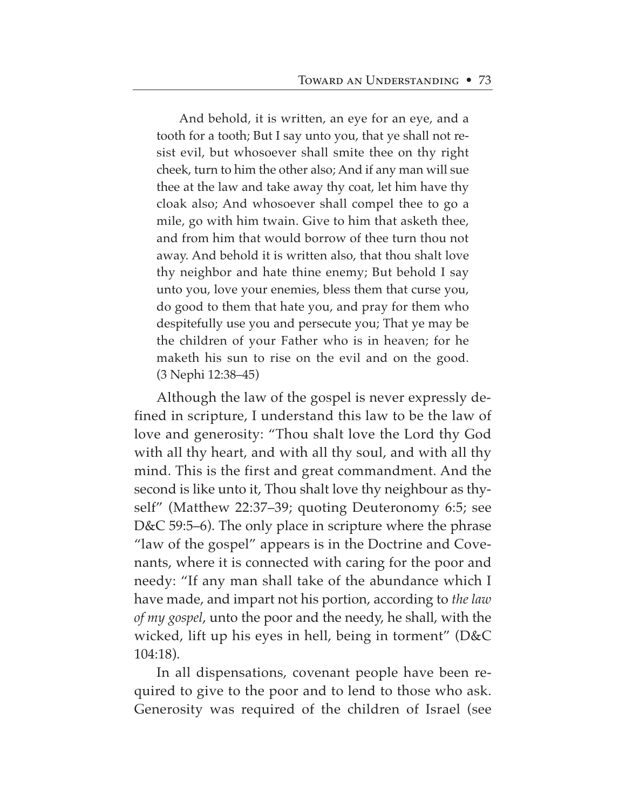And behold, it is written, an eye for an eye, and a tooth for a tooth; But I say unto you, that ye shall not resist evil, but whosoever shall smite thee on thy right cheek, turn to him the other also; And if any man will sue thee at the law and take away thy coat, let him have thy cloak also; And whosoever shall compel thee to go a mile, go with him twain. Give to him that asketh thee, and from him that would borrow of thee turn thou not away. And behold it is written also, that thou shalt love thy neighbor and hate thine enemy; But behold I say unto you, love your enemies, bless them that curse you, do good to them that hate you, and pray for them who despitefully use you and persecute you; That ye may be the children of your Father who is in heaven; for he maketh his sun to rise on the evil and on the good. (3 Nephi 12:38–45)

Although the law of the gospel is never expressly defined in scripture, I understand this law to be the law of love and generosity: "Thou shalt love the Lord thy God with all thy heart, and with all thy soul, and with all thy mind. This is the first and great commandment. And the second is like unto it, Thou shalt love thy neighbour as thyself" (Matthew 22:37–39; quoting Deuteronomy 6:5; see D&C 59:5–6). The only place in scripture where the phrase "law of the gospel" appears is in the Doctrine and Covenants, where it is connected with caring for the poor and needy: "If any man shall take of the abundance which I have made, and impart not his portion, according to *the law of my gospel*, unto the poor and the needy, he shall, with the wicked, lift up his eyes in hell, being in torment" (D&C 104:18).

In all dispensations, covenant people have been required to give to the poor and to lend to those who ask. Generosity was required of the children of Israel (see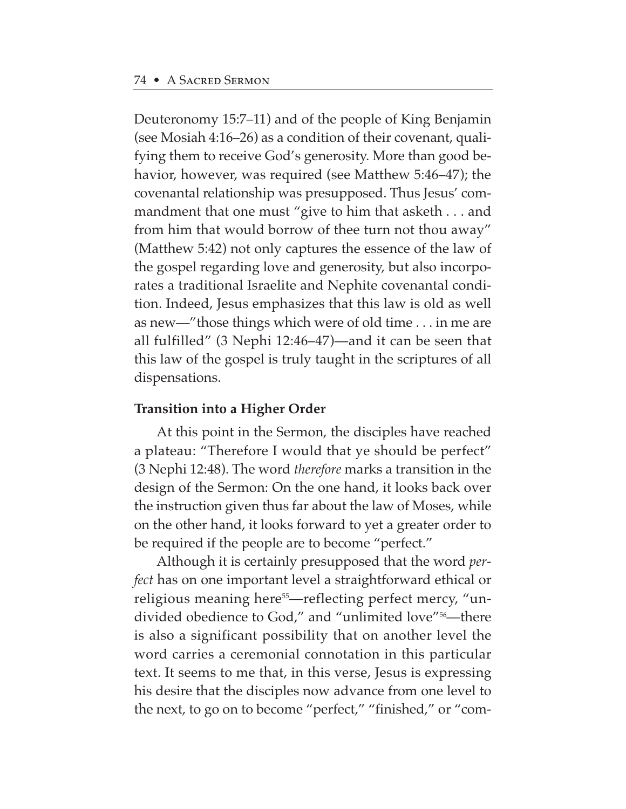Deuteronomy 15:7–11) and of the people of King Benjamin (see Mosiah 4:16–26) as a condition of their covenant, qualifying them to receive God's generosity. More than good behavior, however, was required (see Matthew 5:46–47); the covenantal relationship was presupposed. Thus Jesus' commandment that one must "give to him that asketh . . . and from him that would borrow of thee turn not thou away" (Matthew 5:42) not only captures the essence of the law of the gospel regarding love and generosity, but also incorporates a traditional Israelite and Nephite covenantal condition. Indeed, Jesus emphasizes that this law is old as well as new—"those things which were of old time . . . in me are all fulfilled" (3 Nephi 12:46–47)—and it can be seen that this law of the gospel is truly taught in the scriptures of all dispensations.

# **Transition into a Higher Order**

At this point in the Sermon, the disciples have reached a plateau: "Therefore I would that ye should be perfect" (3 Nephi 12:48). The word *therefore* marks a transition in the design of the Sermon: On the one hand, it looks back over the instruction given thus far about the law of Moses, while on the other hand, it looks forward to yet a greater order to be required if the people are to become "perfect."

Although it is certainly presupposed that the word *perfect* has on one important level a straightforward ethical or religious meaning here<sup>55</sup>—reflecting perfect mercy, "undivided obedience to God," and "unlimited love"<sup>56</sup>—there is also a significant possibility that on another level the word carries a ceremonial connotation in this particular text. It seems to me that, in this verse, Jesus is expressing his desire that the disciples now advance from one level to the next, to go on to become "perfect," "finished," or "com-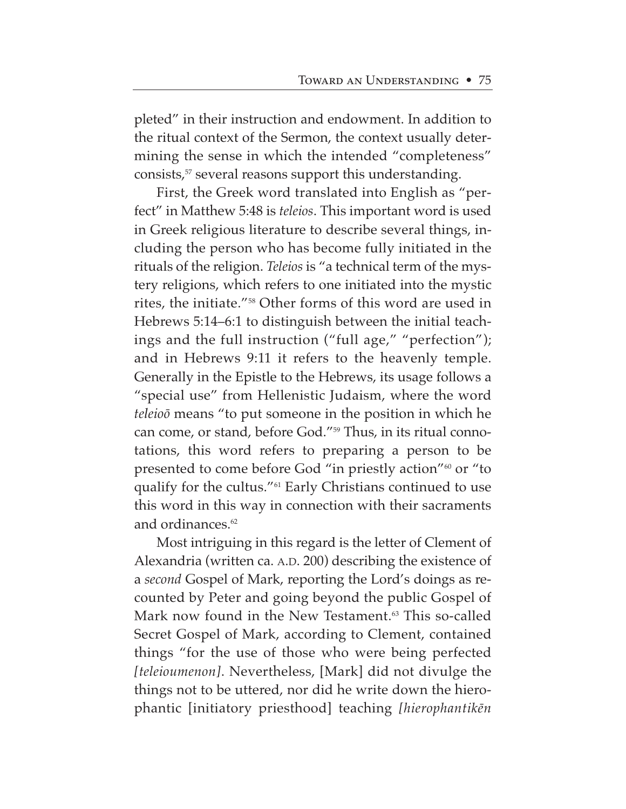pleted" in their instruction and endowment. In addition to the ritual context of the Sermon, the context usually determining the sense in which the intended "completeness" consists,<sup>57</sup> several reasons support this understanding.

First, the Greek word translated into English as "perfect" in Matthew 5:48 is *teleios*. This important word is used in Greek religious literature to describe several things, including the person who has become fully initiated in the rituals of the religion. *Teleios* is "a technical term of the mystery religions, which refers to one initiated into the mystic rites, the initiate."58 Other forms of this word are used in Hebrews 5:14–6:1 to distinguish between the initial teachings and the full instruction ("full age," "perfection"); and in Hebrews 9:11 it refers to the heavenly temple. Generally in the Epistle to the Hebrews, its usage follows a "special use" from Hellenistic Judaism, where the word *teleioø* means "to put someone in the position in which he can come, or stand, before God."59 Thus, in its ritual connotations, this word refers to preparing a person to be presented to come before God "in priestly action"<sup>60</sup> or "to qualify for the cultus."61 Early Christians continued to use this word in this way in connection with their sacraments and ordinances.<sup>62</sup>

Most intriguing in this regard is the letter of Clement of Alexandria (written ca. A.D. 200) describing the existence of a *second* Gospel of Mark, reporting the Lord's doings as recounted by Peter and going beyond the public Gospel of Mark now found in the New Testament.<sup>63</sup> This so-called Secret Gospel of Mark, according to Clement, contained things "for the use of those who were being perfected *[teleioumenon]*. Nevertheless, [Mark] did not divulge the things not to be uttered, nor did he write down the hierophantic [initiatory priesthood] teaching *[hierophantik∑n*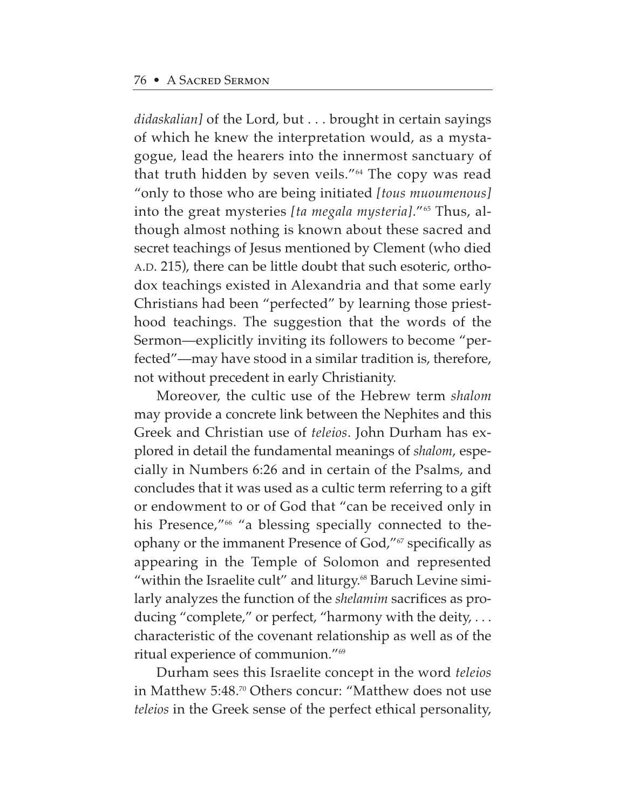*didaskalian]* of the Lord, but . . . brought in certain sayings of which he knew the interpretation would, as a mystagogue, lead the hearers into the innermost sanctuary of that truth hidden by seven veils."64 The copy was read "only to those who are being initiated *[tous muoumenous]* into the great mysteries [ta megala mysteria]."<sup>65</sup> Thus, although almost nothing is known about these sacred and secret teachings of Jesus mentioned by Clement (who died A.D. 215), there can be little doubt that such esoteric, orthodox teachings existed in Alexandria and that some early Christians had been "perfected" by learning those priesthood teachings. The suggestion that the words of the Sermon—explicitly inviting its followers to become "perfected"—may have stood in a similar tradition is, therefore, not without precedent in early Christianity.

Moreover, the cultic use of the Hebrew term *shalom* may provide a concrete link between the Nephites and this Greek and Christian use of *teleios*. John Durham has explored in detail the fundamental meanings of *shalom*, especially in Numbers 6:26 and in certain of the Psalms, and concludes that it was used as a cultic term referring to a gift or endowment to or of God that "can be received only in his Presence,"<sup>66</sup> "a blessing specially connected to theophany or the immanent Presence of God,"<sup>67</sup> specifically as appearing in the Temple of Solomon and represented "within the Israelite cult" and liturgy.<sup>68</sup> Baruch Levine similarly analyzes the function of the *shelamim* sacrifices as producing "complete," or perfect, "harmony with the deity, . . . characteristic of the covenant relationship as well as of the ritual experience of communion."69

Durham sees this Israelite concept in the word *teleios* in Matthew 5:48.<sup>70</sup> Others concur: "Matthew does not use *teleios* in the Greek sense of the perfect ethical personality,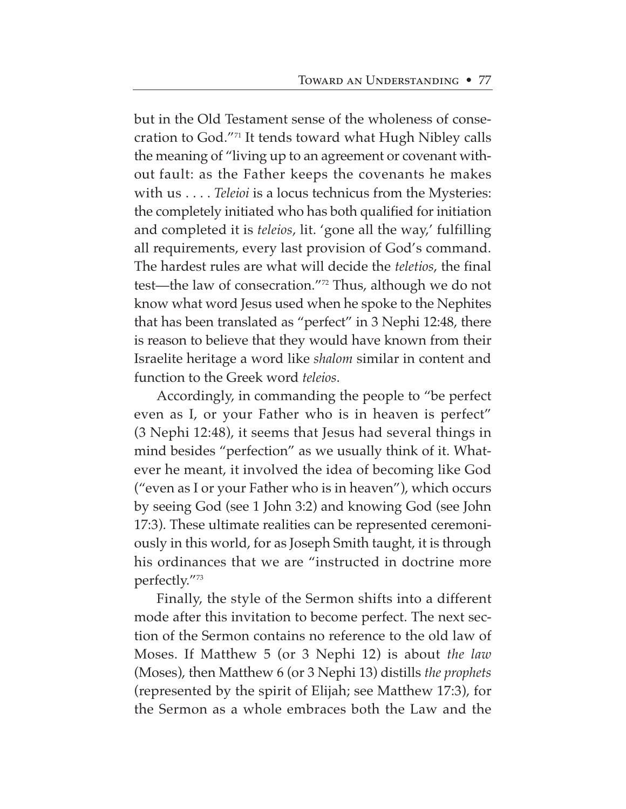but in the Old Testament sense of the wholeness of consecration to God."71 It tends toward what Hugh Nibley calls the meaning of "living up to an agreement or covenant without fault: as the Father keeps the covenants he makes with us . . . . *Teleioi* is a locus technicus from the Mysteries: the completely initiated who has both qualified for initiation and completed it is *teleios*, lit. 'gone all the way,' fulfilling all requirements, every last provision of God's command. The hardest rules are what will decide the *teletios*, the final test—the law of consecration."72 Thus, although we do not know what word Jesus used when he spoke to the Nephites that has been translated as "perfect" in 3 Nephi 12:48, there is reason to believe that they would have known from their Israelite heritage a word like *shalom* similar in content and function to the Greek word *teleios*.

Accordingly, in commanding the people to "be perfect even as I, or your Father who is in heaven is perfect" (3 Nephi 12:48), it seems that Jesus had several things in mind besides "perfection" as we usually think of it. Whatever he meant, it involved the idea of becoming like God ("even as I or your Father who is in heaven"), which occurs by seeing God (see 1 John 3:2) and knowing God (see John 17:3). These ultimate realities can be represented ceremoniously in this world, for as Joseph Smith taught, it is through his ordinances that we are "instructed in doctrine more perfectly."73

Finally, the style of the Sermon shifts into a different mode after this invitation to become perfect. The next section of the Sermon contains no reference to the old law of Moses. If Matthew 5 (or 3 Nephi 12) is about *the law* (Moses), then Matthew 6 (or 3 Nephi 13) distills *the prophets* (represented by the spirit of Elijah; see Matthew 17:3), for the Sermon as a whole embraces both the Law and the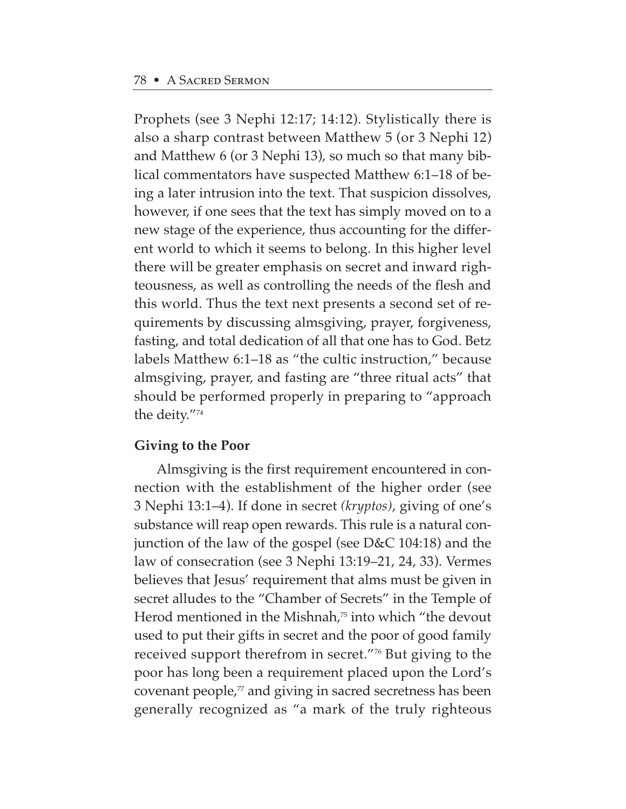Prophets (see 3 Nephi 12:17; 14:12). Stylistically there is also a sharp contrast between Matthew 5 (or 3 Nephi 12) and Matthew 6 (or 3 Nephi 13), so much so that many biblical commentators have suspected Matthew 6:1–18 of being a later intrusion into the text. That suspicion dissolves, however, if one sees that the text has simply moved on to a new stage of the experience, thus accounting for the different world to which it seems to belong. In this higher level there will be greater emphasis on secret and inward righteousness, as well as controlling the needs of the flesh and this world. Thus the text next presents a second set of requirements by discussing almsgiving, prayer, forgiveness, fasting, and total dedication of all that one has to God. Betz labels Matthew 6:1–18 as "the cultic instruction," because almsgiving, prayer, and fasting are "three ritual acts" that should be performed properly in preparing to "approach the deity."74

### **Giving to the Poor**

Almsgiving is the first requirement encountered in connection with the establishment of the higher order (see 3 Nephi 13:1–4). If done in secret *(kryptos)*, giving of one's substance will reap open rewards. This rule is a natural conjunction of the law of the gospel (see D&C 104:18) and the law of consecration (see 3 Nephi 13:19–21, 24, 33). Vermes believes that Jesus' requirement that alms must be given in secret alludes to the "Chamber of Secrets" in the Temple of Herod mentioned in the Mishnah, $\pi$  into which "the devout" used to put their gifts in secret and the poor of good family received support therefrom in secret."76 But giving to the poor has long been a requirement placed upon the Lord's covenant people, $\pi$  and giving in sacred secretness has been generally recognized as "a mark of the truly righteous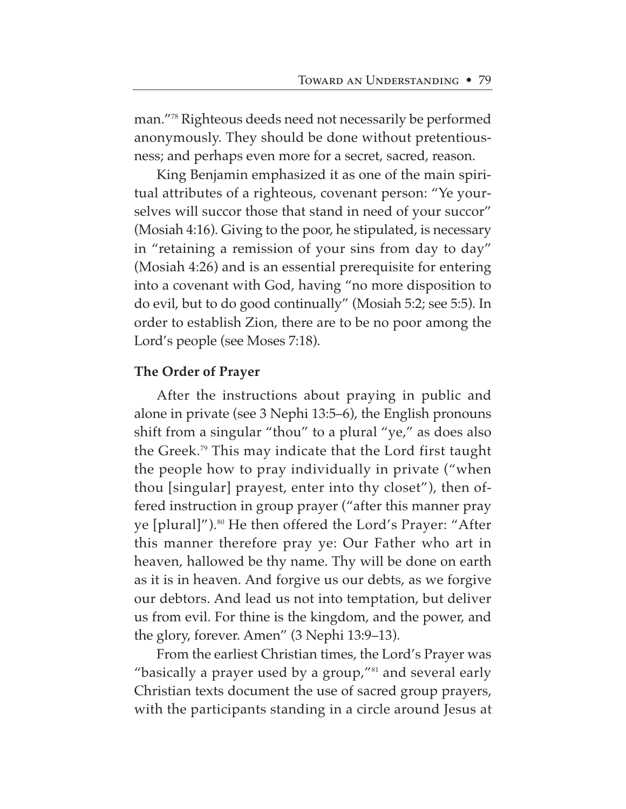man."78 Righteous deeds need not necessarily be performed anonymously. They should be done without pretentiousness; and perhaps even more for a secret, sacred, reason.

King Benjamin emphasized it as one of the main spiritual attributes of a righteous, covenant person: "Ye yourselves will succor those that stand in need of your succor" (Mosiah 4:16). Giving to the poor, he stipulated, is necessary in "retaining a remission of your sins from day to day" (Mosiah 4:26) and is an essential prerequisite for entering into a covenant with God, having "no more disposition to do evil, but to do good continually" (Mosiah 5:2; see 5:5). In order to establish Zion, there are to be no poor among the Lord's people (see Moses 7:18).

### **The Order of Prayer**

After the instructions about praying in public and alone in private (see 3 Nephi 13:5–6), the English pronouns shift from a singular "thou" to a plural "ye," as does also the Greek.79 This may indicate that the Lord first taught the people how to pray individually in private ("when thou [singular] prayest, enter into thy closet"), then offered instruction in group prayer ("after this manner pray ye [plural]").<sup>80</sup> He then offered the Lord's Prayer: "After this manner therefore pray ye: Our Father who art in heaven, hallowed be thy name. Thy will be done on earth as it is in heaven. And forgive us our debts, as we forgive our debtors. And lead us not into temptation, but deliver us from evil. For thine is the kingdom, and the power, and the glory, forever. Amen" (3 Nephi 13:9–13).

From the earliest Christian times, the Lord's Prayer was "basically a prayer used by a group,"81 and several early Christian texts document the use of sacred group prayers, with the participants standing in a circle around Jesus at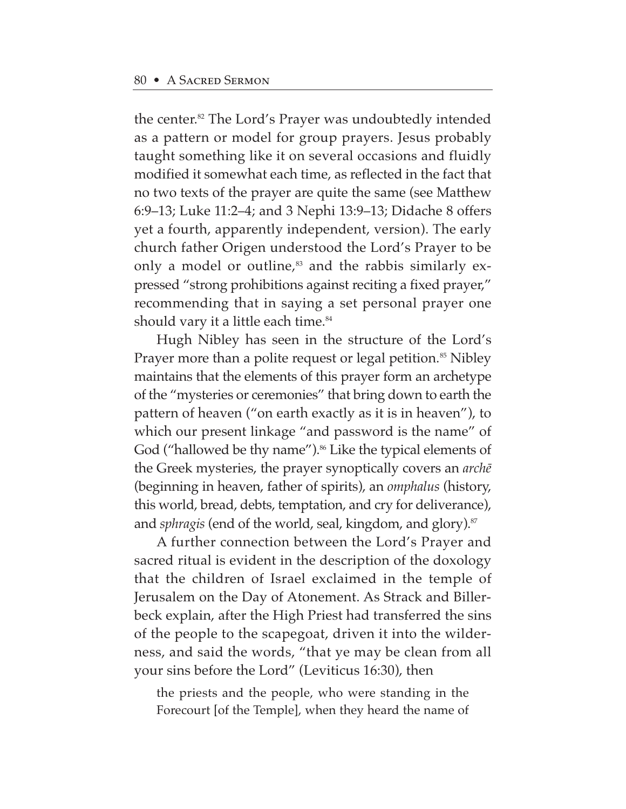the center.82 The Lord's Prayer was undoubtedly intended as a pattern or model for group prayers. Jesus probably taught something like it on several occasions and fluidly modified it somewhat each time, as reflected in the fact that no two texts of the prayer are quite the same (see Matthew 6:9–13; Luke 11:2–4; and 3 Nephi 13:9–13; Didache 8 offers yet a fourth, apparently independent, version). The early church father Origen understood the Lord's Prayer to be only a model or outline, $83$  and the rabbis similarly expressed "strong prohibitions against reciting a fixed prayer," recommending that in saying a set personal prayer one should vary it a little each time.<sup>84</sup>

Hugh Nibley has seen in the structure of the Lord's Prayer more than a polite request or legal petition.<sup>85</sup> Nibley maintains that the elements of this prayer form an archetype of the "mysteries or ceremonies" that bring down to earth the pattern of heaven ("on earth exactly as it is in heaven"), to which our present linkage "and password is the name" of God ("hallowed be thy name").<sup>86</sup> Like the typical elements of the Greek mysteries, the prayer synoptically covers an *arch∑* (beginning in heaven, father of spirits), an *omphalus* (history, this world, bread, debts, temptation, and cry for deliverance), and *sphragis* (end of the world, seal, kingdom, and glory).<sup>87</sup>

A further connection between the Lord's Prayer and sacred ritual is evident in the description of the doxology that the children of Israel exclaimed in the temple of Jerusalem on the Day of Atonement. As Strack and Billerbeck explain, after the High Priest had transferred the sins of the people to the scapegoat, driven it into the wilderness, and said the words, "that ye may be clean from all your sins before the Lord" (Leviticus 16:30), then

the priests and the people, who were standing in the Forecourt [of the Temple], when they heard the name of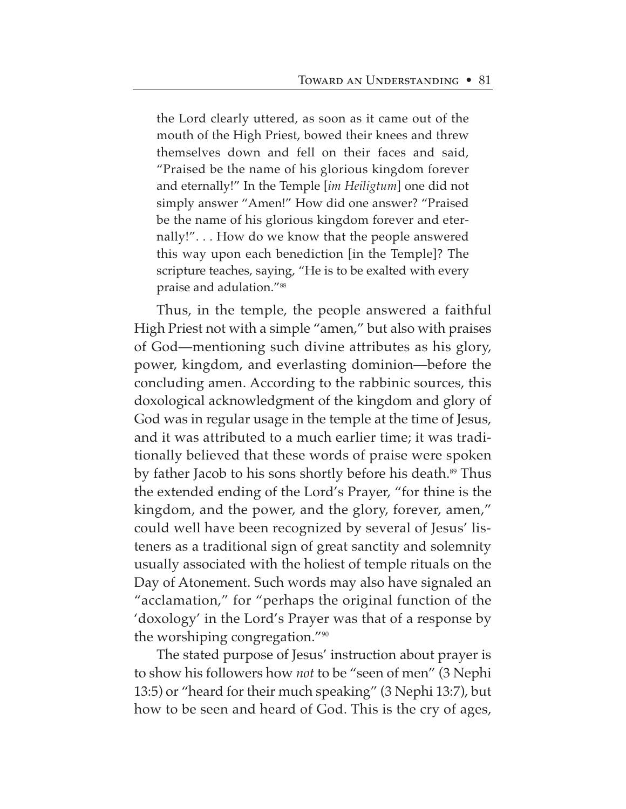the Lord clearly uttered, as soon as it came out of the mouth of the High Priest, bowed their knees and threw themselves down and fell on their faces and said, "Praised be the name of his glorious kingdom forever and eternally!" In the Temple [*im Heiligtum*] one did not simply answer "Amen!" How did one answer? "Praised be the name of his glorious kingdom forever and eternally!". . . How do we know that the people answered this way upon each benediction [in the Temple]? The scripture teaches, saying, "He is to be exalted with every praise and adulation."<sup>88</sup>

Thus, in the temple, the people answered a faithful High Priest not with a simple "amen," but also with praises of God—mentioning such divine attributes as his glory, power, kingdom, and everlasting dominion—before the concluding amen. According to the rabbinic sources, this doxological acknowledgment of the kingdom and glory of God was in regular usage in the temple at the time of Jesus, and it was attributed to a much earlier time; it was traditionally believed that these words of praise were spoken by father Jacob to his sons shortly before his death.<sup>89</sup> Thus the extended ending of the Lord's Prayer, "for thine is the kingdom, and the power, and the glory, forever, amen," could well have been recognized by several of Jesus' listeners as a traditional sign of great sanctity and solemnity usually associated with the holiest of temple rituals on the Day of Atonement. Such words may also have signaled an "acclamation," for "perhaps the original function of the 'doxology' in the Lord's Prayer was that of a response by the worshiping congregation."90

The stated purpose of Jesus' instruction about prayer is to show his followers how *not* to be "seen of men" (3 Nephi 13:5) or "heard for their much speaking" (3 Nephi 13:7), but how to be seen and heard of God. This is the cry of ages,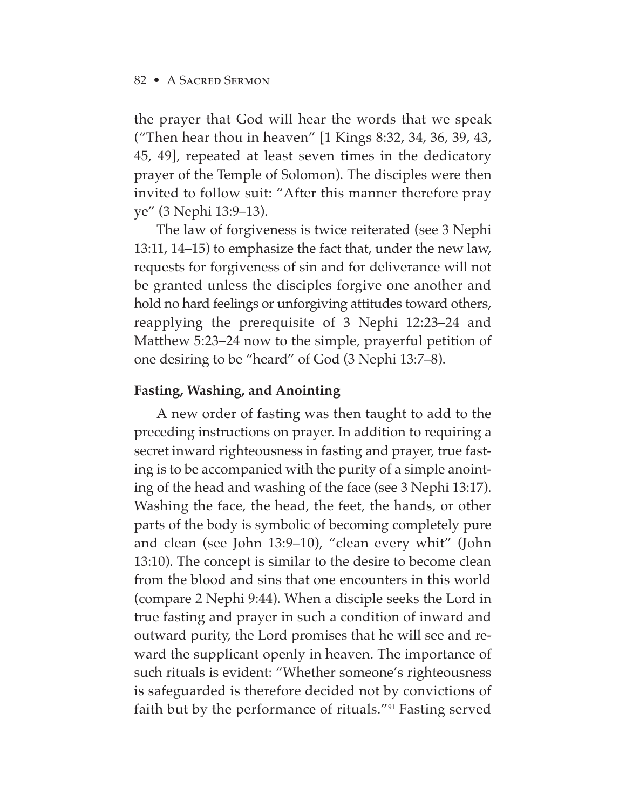the prayer that God will hear the words that we speak ("Then hear thou in heaven" [1 Kings 8:32, 34, 36, 39, 43, 45, 49], repeated at least seven times in the dedicatory prayer of the Temple of Solomon). The disciples were then invited to follow suit: "After this manner therefore pray ye" (3 Nephi 13:9–13).

The law of forgiveness is twice reiterated (see 3 Nephi 13:11, 14–15) to emphasize the fact that, under the new law, requests for forgiveness of sin and for deliverance will not be granted unless the disciples forgive one another and hold no hard feelings or unforgiving attitudes toward others, reapplying the prerequisite of 3 Nephi 12:23–24 and Matthew 5:23–24 now to the simple, prayerful petition of one desiring to be "heard" of God (3 Nephi 13:7–8).

### **Fasting, Washing, and Anointing**

A new order of fasting was then taught to add to the preceding instructions on prayer. In addition to requiring a secret inward righteousness in fasting and prayer, true fasting is to be accompanied with the purity of a simple anointing of the head and washing of the face (see 3 Nephi 13:17). Washing the face, the head, the feet, the hands, or other parts of the body is symbolic of becoming completely pure and clean (see John 13:9–10), "clean every whit" (John 13:10). The concept is similar to the desire to become clean from the blood and sins that one encounters in this world (compare 2 Nephi 9:44). When a disciple seeks the Lord in true fasting and prayer in such a condition of inward and outward purity, the Lord promises that he will see and reward the supplicant openly in heaven. The importance of such rituals is evident: "Whether someone's righteousness is safeguarded is therefore decided not by convictions of faith but by the performance of rituals."91 Fasting served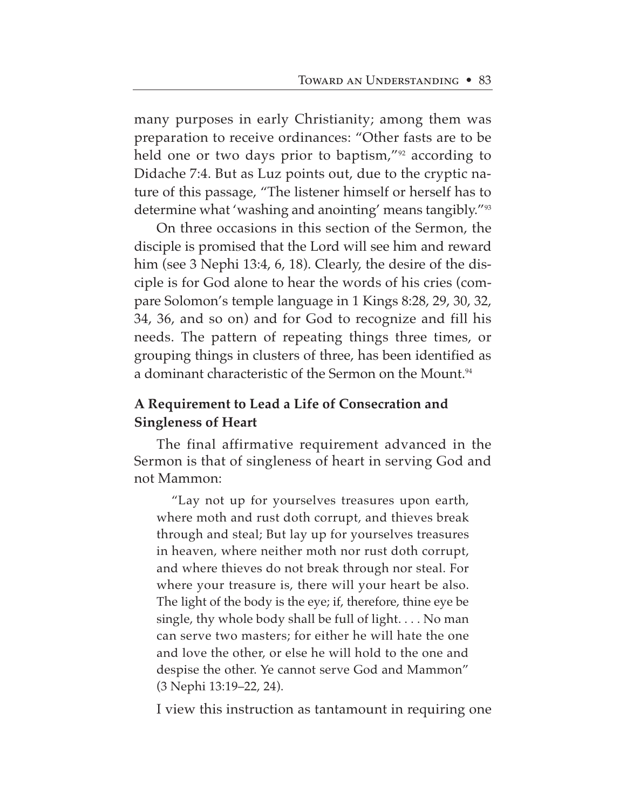many purposes in early Christianity; among them was preparation to receive ordinances: "Other fasts are to be held one or two days prior to baptism,"<sup>92</sup> according to Didache 7:4. But as Luz points out, due to the cryptic nature of this passage, "The listener himself or herself has to determine what 'washing and anointing' means tangibly."93

On three occasions in this section of the Sermon, the disciple is promised that the Lord will see him and reward him (see 3 Nephi 13:4, 6, 18). Clearly, the desire of the disciple is for God alone to hear the words of his cries (compare Solomon's temple language in 1 Kings 8:28, 29, 30, 32, 34, 36, and so on) and for God to recognize and fill his needs. The pattern of repeating things three times, or grouping things in clusters of three, has been identified as a dominant characteristic of the Sermon on the Mount.<sup>94</sup>

# **A Requirement to Lead a Life of Consecration and Singleness of Heart**

The final affirmative requirement advanced in the Sermon is that of singleness of heart in serving God and not Mammon:

"Lay not up for yourselves treasures upon earth, where moth and rust doth corrupt, and thieves break through and steal; But lay up for yourselves treasures in heaven, where neither moth nor rust doth corrupt, and where thieves do not break through nor steal. For where your treasure is, there will your heart be also. The light of the body is the eye; if, therefore, thine eye be single, thy whole body shall be full of light. . . . No man can serve two masters; for either he will hate the one and love the other, or else he will hold to the one and despise the other. Ye cannot serve God and Mammon" (3 Nephi 13:19–22, 24).

I view this instruction as tantamount in requiring one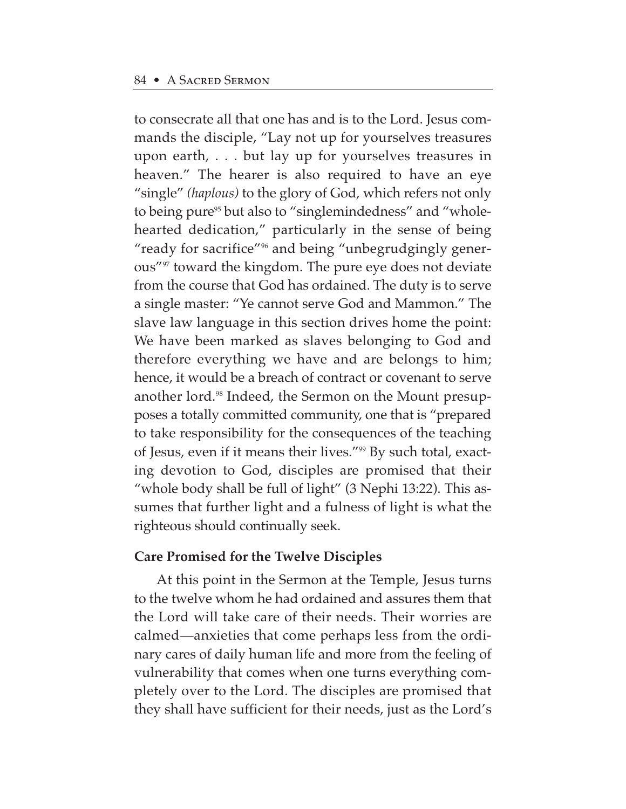to consecrate all that one has and is to the Lord. Jesus commands the disciple, "Lay not up for yourselves treasures upon earth, . . . but lay up for yourselves treasures in heaven." The hearer is also required to have an eye "single" *(haplous)* to the glory of God, which refers not only to being pure<sup>95</sup> but also to "singlemindedness" and "wholehearted dedication," particularly in the sense of being "ready for sacrifice"96 and being "unbegrudgingly generous"97 toward the kingdom. The pure eye does not deviate from the course that God has ordained. The duty is to serve a single master: "Ye cannot serve God and Mammon." The slave law language in this section drives home the point: We have been marked as slaves belonging to God and therefore everything we have and are belongs to him; hence, it would be a breach of contract or covenant to serve another lord.<sup>98</sup> Indeed, the Sermon on the Mount presupposes a totally committed community, one that is "prepared to take responsibility for the consequences of the teaching of Jesus, even if it means their lives."<sup>99</sup> By such total, exacting devotion to God, disciples are promised that their "whole body shall be full of light" (3 Nephi 13:22). This assumes that further light and a fulness of light is what the righteous should continually seek.

# **Care Promised for the Twelve Disciples**

At this point in the Sermon at the Temple, Jesus turns to the twelve whom he had ordained and assures them that the Lord will take care of their needs. Their worries are calmed—anxieties that come perhaps less from the ordinary cares of daily human life and more from the feeling of vulnerability that comes when one turns everything completely over to the Lord. The disciples are promised that they shall have sufficient for their needs, just as the Lord's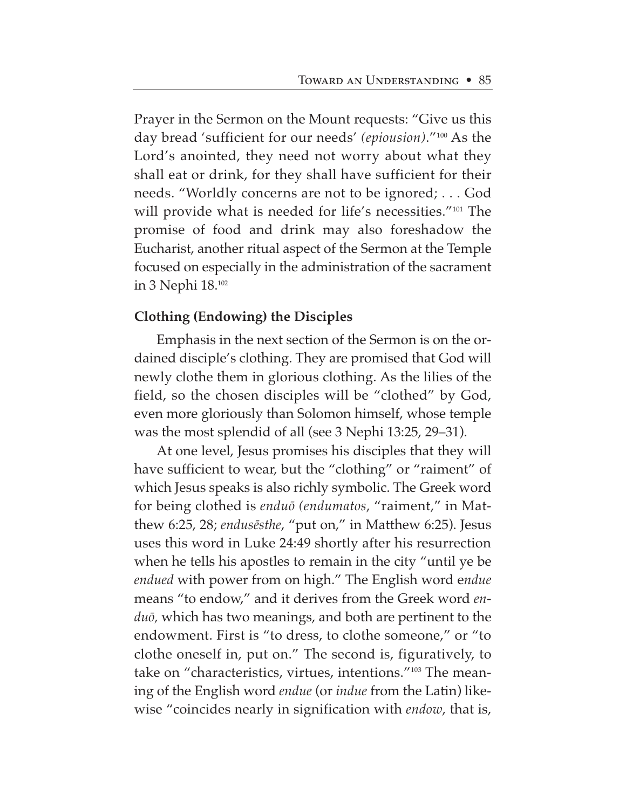Prayer in the Sermon on the Mount requests: "Give us this day bread 'sufficient for our needs' *(epiousion)*."100 As the Lord's anointed, they need not worry about what they shall eat or drink, for they shall have sufficient for their needs. "Worldly concerns are not to be ignored; . . . God will provide what is needed for life's necessities."<sup>101</sup> The promise of food and drink may also foreshadow the Eucharist, another ritual aspect of the Sermon at the Temple focused on especially in the administration of the sacrament in 3 Nephi 18.102

# **Clothing (Endowing) the Disciples**

Emphasis in the next section of the Sermon is on the ordained disciple's clothing. They are promised that God will newly clothe them in glorious clothing. As the lilies of the field, so the chosen disciples will be "clothed" by God, even more gloriously than Solomon himself, whose temple was the most splendid of all (see 3 Nephi 13:25, 29–31).

At one level, Jesus promises his disciples that they will have sufficient to wear, but the "clothing" or "raiment" of which Jesus speaks is also richly symbolic. The Greek word for being clothed is *enduø (endumatos*, "raiment," in Matthew 6:25, 28; *endus∑sthe*, "put on," in Matthew 6:25). Jesus uses this word in Luke 24:49 shortly after his resurrection when he tells his apostles to remain in the city "until ye be *endued* with power from on high." The English word e*ndue* means "to endow," and it derives from the Greek word *enduø,* which has two meanings, and both are pertinent to the endowment. First is "to dress, to clothe someone," or "to clothe oneself in, put on." The second is, figuratively, to take on "characteristics, virtues, intentions."103 The meaning of the English word *endue* (or *indue* from the Latin) likewise "coincides nearly in signification with *endow*, that is,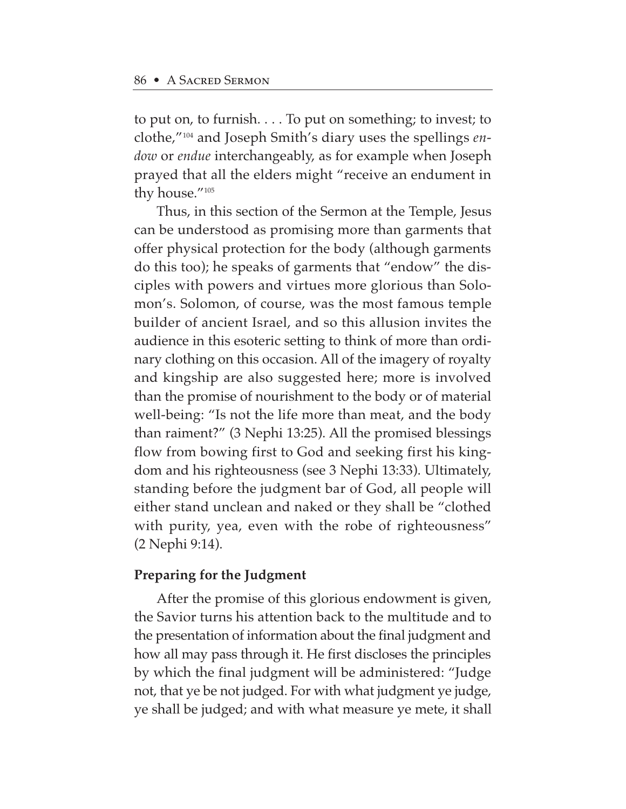to put on, to furnish. . . . To put on something; to invest; to clothe,"104 and Joseph Smith's diary uses the spellings *endow* or *endue* interchangeably, as for example when Joseph prayed that all the elders might "receive an endument in thy house."105

Thus, in this section of the Sermon at the Temple, Jesus can be understood as promising more than garments that offer physical protection for the body (although garments do this too); he speaks of garments that "endow" the disciples with powers and virtues more glorious than Solomon's. Solomon, of course, was the most famous temple builder of ancient Israel, and so this allusion invites the audience in this esoteric setting to think of more than ordinary clothing on this occasion. All of the imagery of royalty and kingship are also suggested here; more is involved than the promise of nourishment to the body or of material well-being: "Is not the life more than meat, and the body than raiment?" (3 Nephi 13:25). All the promised blessings flow from bowing first to God and seeking first his kingdom and his righteousness (see 3 Nephi 13:33). Ultimately, standing before the judgment bar of God, all people will either stand unclean and naked or they shall be "clothed with purity, yea, even with the robe of righteousness" (2 Nephi 9:14).

# **Preparing for the Judgment**

After the promise of this glorious endowment is given, the Savior turns his attention back to the multitude and to the presentation of information about the final judgment and how all may pass through it. He first discloses the principles by which the final judgment will be administered: "Judge not, that ye be not judged. For with what judgment ye judge, ye shall be judged; and with what measure ye mete, it shall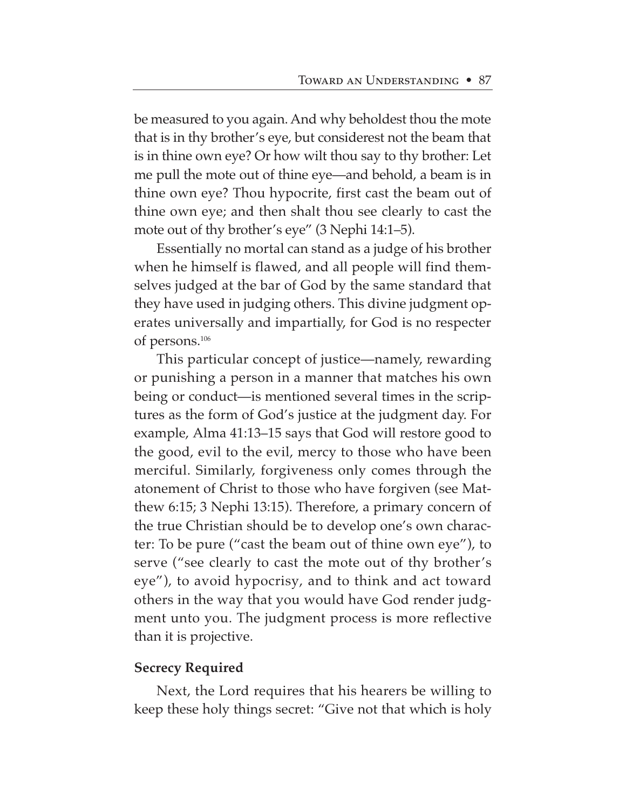be measured to you again. And why beholdest thou the mote that is in thy brother's eye, but considerest not the beam that is in thine own eye? Or how wilt thou say to thy brother: Let me pull the mote out of thine eye—and behold, a beam is in thine own eye? Thou hypocrite, first cast the beam out of thine own eye; and then shalt thou see clearly to cast the mote out of thy brother's eye" (3 Nephi 14:1–5).

Essentially no mortal can stand as a judge of his brother when he himself is flawed, and all people will find themselves judged at the bar of God by the same standard that they have used in judging others. This divine judgment operates universally and impartially, for God is no respecter of persons.106

This particular concept of justice—namely, rewarding or punishing a person in a manner that matches his own being or conduct—is mentioned several times in the scriptures as the form of God's justice at the judgment day. For example, Alma 41:13–15 says that God will restore good to the good, evil to the evil, mercy to those who have been merciful. Similarly, forgiveness only comes through the atonement of Christ to those who have forgiven (see Matthew 6:15; 3 Nephi 13:15). Therefore, a primary concern of the true Christian should be to develop one's own character: To be pure ("cast the beam out of thine own eye"), to serve ("see clearly to cast the mote out of thy brother's eye"), to avoid hypocrisy, and to think and act toward others in the way that you would have God render judgment unto you. The judgment process is more reflective than it is projective.

### **Secrecy Required**

Next, the Lord requires that his hearers be willing to keep these holy things secret: "Give not that which is holy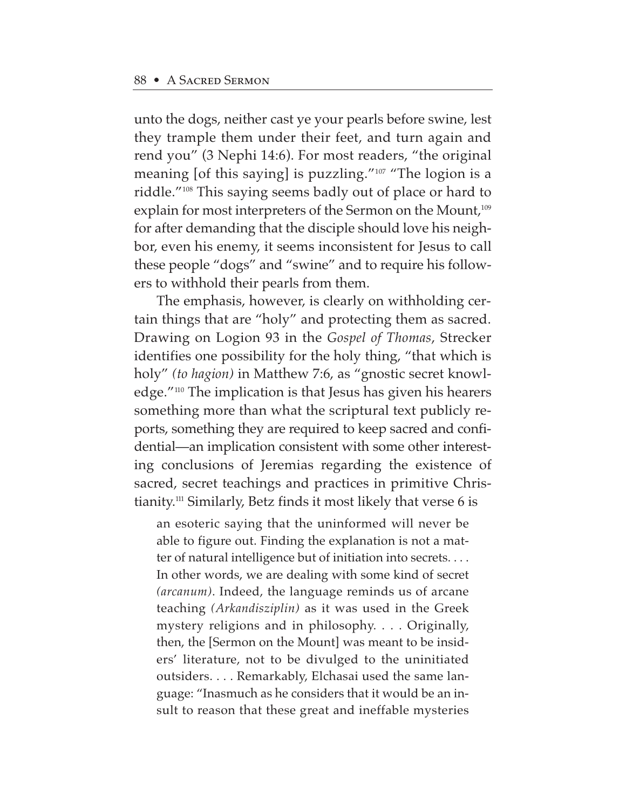unto the dogs, neither cast ye your pearls before swine, lest they trample them under their feet, and turn again and rend you" (3 Nephi 14:6). For most readers, "the original meaning [of this saying] is puzzling."107 "The logion is a riddle."108 This saying seems badly out of place or hard to explain for most interpreters of the Sermon on the Mount,<sup>109</sup> for after demanding that the disciple should love his neighbor, even his enemy, it seems inconsistent for Jesus to call these people "dogs" and "swine" and to require his followers to withhold their pearls from them.

The emphasis, however, is clearly on withholding certain things that are "holy" and protecting them as sacred. Drawing on Logion 93 in the *Gospel of Thomas*, Strecker identifies one possibility for the holy thing, "that which is holy" *(to hagion)* in Matthew 7:6, as "gnostic secret knowledge."110 The implication is that Jesus has given his hearers something more than what the scriptural text publicly reports, something they are required to keep sacred and confidential—an implication consistent with some other interesting conclusions of Jeremias regarding the existence of sacred, secret teachings and practices in primitive Christianity.111 Similarly, Betz finds it most likely that verse 6 is

an esoteric saying that the uninformed will never be able to figure out. Finding the explanation is not a matter of natural intelligence but of initiation into secrets. . . . In other words, we are dealing with some kind of secret *(arcanum)*. Indeed, the language reminds us of arcane teaching *(Arkandisziplin)* as it was used in the Greek mystery religions and in philosophy. . . . Originally, then, the [Sermon on the Mount] was meant to be insiders' literature, not to be divulged to the uninitiated outsiders. . . . Remarkably, Elchasai used the same language: "Inasmuch as he considers that it would be an insult to reason that these great and ineffable mysteries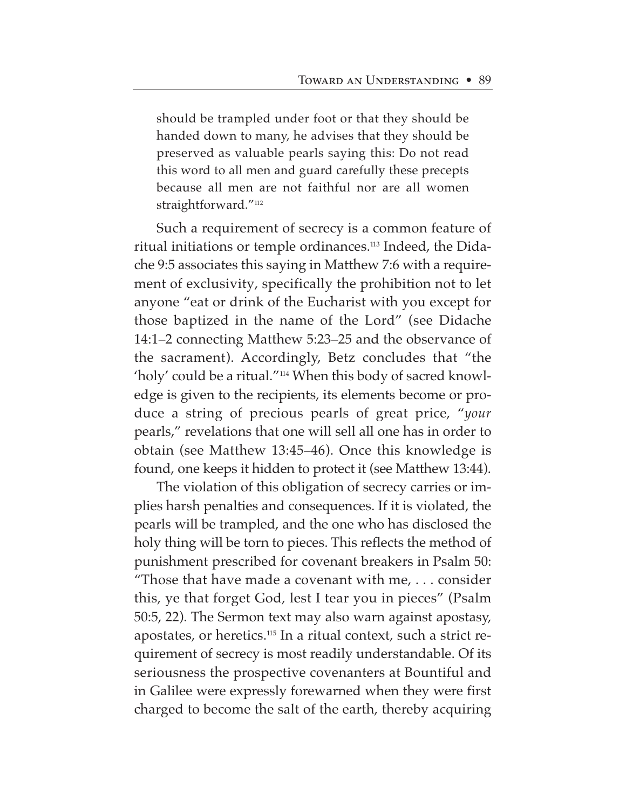should be trampled under foot or that they should be handed down to many, he advises that they should be preserved as valuable pearls saying this: Do not read this word to all men and guard carefully these precepts because all men are not faithful nor are all women straightforward."<sup>112</sup>

Such a requirement of secrecy is a common feature of ritual initiations or temple ordinances.<sup>113</sup> Indeed, the Didache 9:5 associates this saying in Matthew 7:6 with a requirement of exclusivity, specifically the prohibition not to let anyone "eat or drink of the Eucharist with you except for those baptized in the name of the Lord" (see Didache 14:1–2 connecting Matthew 5:23–25 and the observance of the sacrament). Accordingly, Betz concludes that "the 'holy' could be a ritual."114 When this body of sacred knowledge is given to the recipients, its elements become or produce a string of precious pearls of great price, "*your* pearls," revelations that one will sell all one has in order to obtain (see Matthew 13:45–46). Once this knowledge is found, one keeps it hidden to protect it (see Matthew 13:44).

The violation of this obligation of secrecy carries or implies harsh penalties and consequences. If it is violated, the pearls will be trampled, and the one who has disclosed the holy thing will be torn to pieces. This reflects the method of punishment prescribed for covenant breakers in Psalm 50: "Those that have made a covenant with me, . . . consider this, ye that forget God, lest I tear you in pieces" (Psalm 50:5, 22). The Sermon text may also warn against apostasy, apostates, or heretics.115 In a ritual context, such a strict requirement of secrecy is most readily understandable. Of its seriousness the prospective covenanters at Bountiful and in Galilee were expressly forewarned when they were first charged to become the salt of the earth, thereby acquiring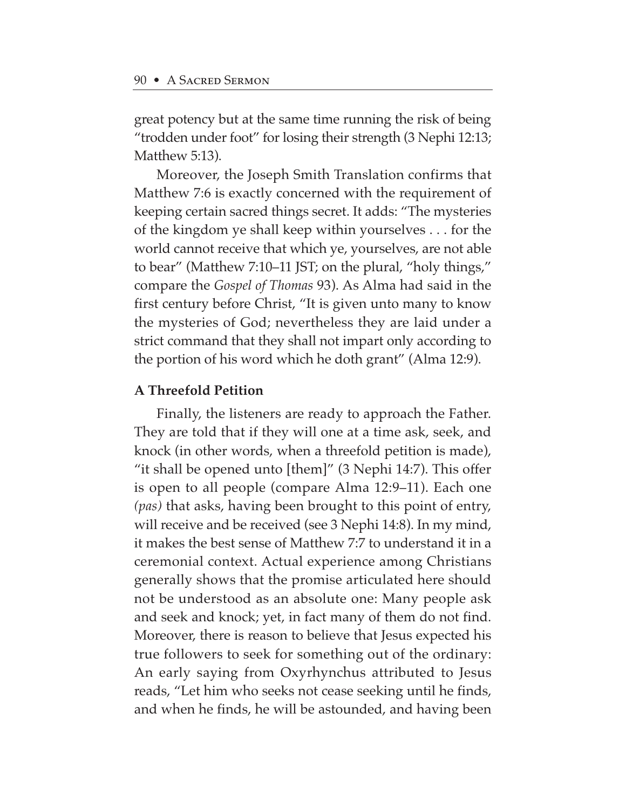great potency but at the same time running the risk of being "trodden under foot" for losing their strength (3 Nephi 12:13; Matthew 5:13).

Moreover, the Joseph Smith Translation confirms that Matthew 7:6 is exactly concerned with the requirement of keeping certain sacred things secret. It adds: "The mysteries of the kingdom ye shall keep within yourselves . . . for the world cannot receive that which ye, yourselves, are not able to bear" (Matthew 7:10–11 JST; on the plural, "holy things," compare the *Gospel of Thomas* 93). As Alma had said in the first century before Christ, "It is given unto many to know the mysteries of God; nevertheless they are laid under a strict command that they shall not impart only according to the portion of his word which he doth grant" (Alma 12:9).

### **A Threefold Petition**

Finally, the listeners are ready to approach the Father. They are told that if they will one at a time ask, seek, and knock (in other words, when a threefold petition is made), "it shall be opened unto [them]" (3 Nephi 14:7). This offer is open to all people (compare Alma 12:9–11). Each one *(pas)* that asks, having been brought to this point of entry, will receive and be received (see 3 Nephi 14:8). In my mind, it makes the best sense of Matthew 7:7 to understand it in a ceremonial context. Actual experience among Christians generally shows that the promise articulated here should not be understood as an absolute one: Many people ask and seek and knock; yet, in fact many of them do not find. Moreover, there is reason to believe that Jesus expected his true followers to seek for something out of the ordinary: An early saying from Oxyrhynchus attributed to Jesus reads, "Let him who seeks not cease seeking until he finds, and when he finds, he will be astounded, and having been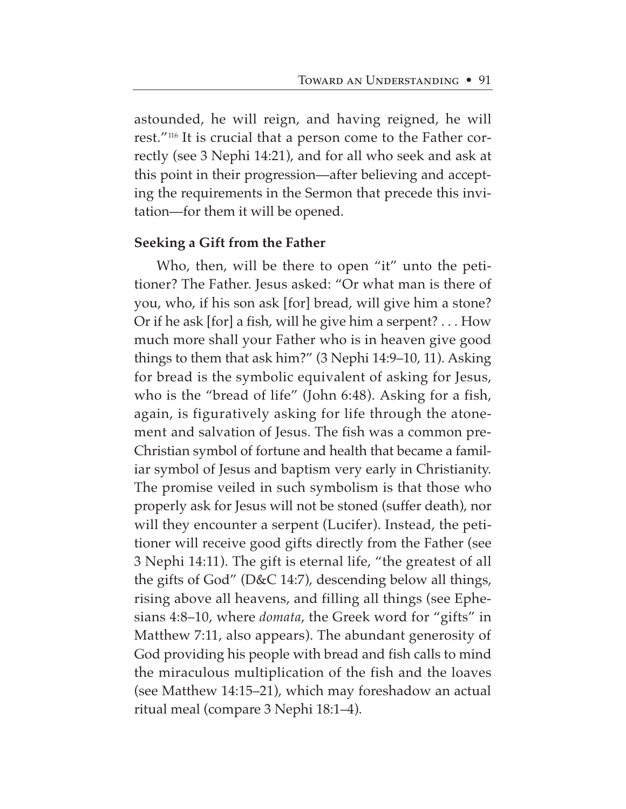astounded, he will reign, and having reigned, he will rest."116 It is crucial that a person come to the Father correctly (see 3 Nephi 14:21), and for all who seek and ask at this point in their progression—after believing and accepting the requirements in the Sermon that precede this invitation—for them it will be opened.

#### **Seeking a Gift from the Father**

Who, then, will be there to open "it" unto the petitioner? The Father. Jesus asked: "Or what man is there of you, who, if his son ask [for] bread, will give him a stone? Or if he ask [for] a fish, will he give him a serpent? . . . How much more shall your Father who is in heaven give good things to them that ask him?" (3 Nephi 14:9–10, 11). Asking for bread is the symbolic equivalent of asking for Jesus, who is the "bread of life" (John 6:48). Asking for a fish, again, is figuratively asking for life through the atonement and salvation of Jesus. The fish was a common pre-Christian symbol of fortune and health that became a familiar symbol of Jesus and baptism very early in Christianity. The promise veiled in such symbolism is that those who properly ask for Jesus will not be stoned (suffer death), nor will they encounter a serpent (Lucifer). Instead, the petitioner will receive good gifts directly from the Father (see 3 Nephi 14:11). The gift is eternal life, "the greatest of all the gifts of God" (D&C 14:7), descending below all things, rising above all heavens, and filling all things (see Ephesians 4:8–10, where *domata*, the Greek word for "gifts" in Matthew 7:11, also appears). The abundant generosity of God providing his people with bread and fish calls to mind the miraculous multiplication of the fish and the loaves (see Matthew 14:15–21), which may foreshadow an actual ritual meal (compare 3 Nephi 18:1–4).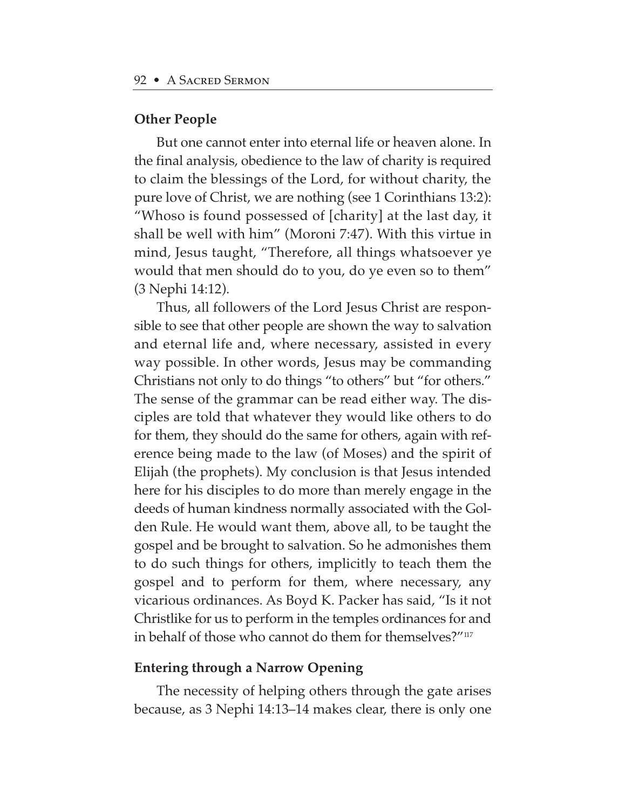### **Other People**

But one cannot enter into eternal life or heaven alone. In the final analysis, obedience to the law of charity is required to claim the blessings of the Lord, for without charity, the pure love of Christ, we are nothing (see 1 Corinthians 13:2): "Whoso is found possessed of [charity] at the last day, it shall be well with him" (Moroni 7:47). With this virtue in mind, Jesus taught, "Therefore, all things whatsoever ye would that men should do to you, do ye even so to them" (3 Nephi 14:12).

Thus, all followers of the Lord Jesus Christ are responsible to see that other people are shown the way to salvation and eternal life and, where necessary, assisted in every way possible. In other words, Jesus may be commanding Christians not only to do things "to others" but "for others." The sense of the grammar can be read either way. The disciples are told that whatever they would like others to do for them, they should do the same for others, again with reference being made to the law (of Moses) and the spirit of Elijah (the prophets). My conclusion is that Jesus intended here for his disciples to do more than merely engage in the deeds of human kindness normally associated with the Golden Rule. He would want them, above all, to be taught the gospel and be brought to salvation. So he admonishes them to do such things for others, implicitly to teach them the gospel and to perform for them, where necessary, any vicarious ordinances. As Boyd K. Packer has said, "Is it not Christlike for us to perform in the temples ordinances for and in behalf of those who cannot do them for themselves?"<sup>117</sup>

### **Entering through a Narrow Opening**

The necessity of helping others through the gate arises because, as 3 Nephi 14:13–14 makes clear, there is only one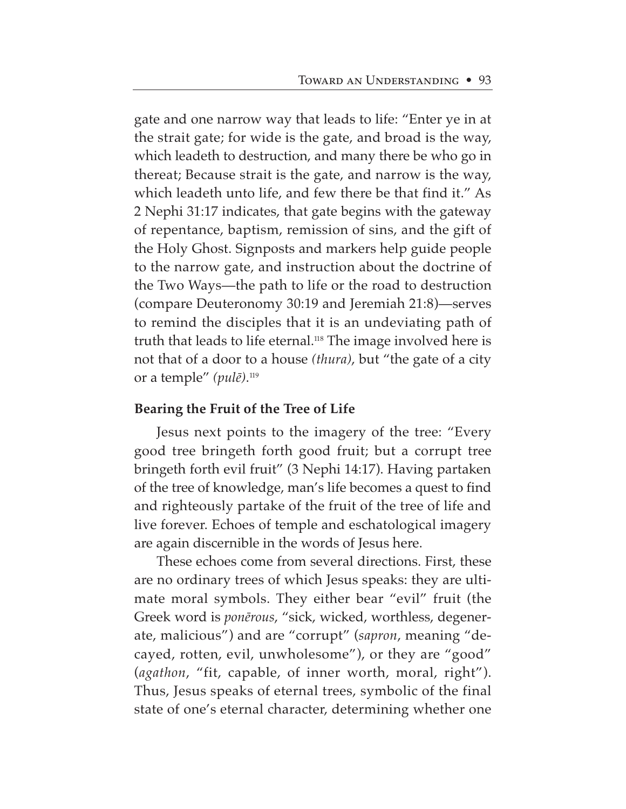gate and one narrow way that leads to life: "Enter ye in at the strait gate; for wide is the gate, and broad is the way, which leadeth to destruction, and many there be who go in thereat; Because strait is the gate, and narrow is the way, which leadeth unto life, and few there be that find it." As 2 Nephi 31:17 indicates, that gate begins with the gateway of repentance, baptism, remission of sins, and the gift of the Holy Ghost. Signposts and markers help guide people to the narrow gate, and instruction about the doctrine of the Two Ways—the path to life or the road to destruction (compare Deuteronomy 30:19 and Jeremiah 21:8)—serves to remind the disciples that it is an undeviating path of truth that leads to life eternal.<sup>118</sup> The image involved here is not that of a door to a house *(thura)*, but "the gate of a city or a temple" (*pulē*).<sup>119</sup>

# **Bearing the Fruit of the Tree of Life**

Jesus next points to the imagery of the tree: "Every good tree bringeth forth good fruit; but a corrupt tree bringeth forth evil fruit" (3 Nephi 14:17). Having partaken of the tree of knowledge, man's life becomes a quest to find and righteously partake of the fruit of the tree of life and live forever. Echoes of temple and eschatological imagery are again discernible in the words of Jesus here.

These echoes come from several directions. First, these are no ordinary trees of which Jesus speaks: they are ultimate moral symbols. They either bear "evil" fruit (the Greek word is *ponērous*, "sick, wicked, worthless, degenerate, malicious") and are "corrupt" (*sapron*, meaning "decayed, rotten, evil, unwholesome"), or they are "good" (*agathon*, "fit, capable, of inner worth, moral, right"). Thus, Jesus speaks of eternal trees, symbolic of the final state of one's eternal character, determining whether one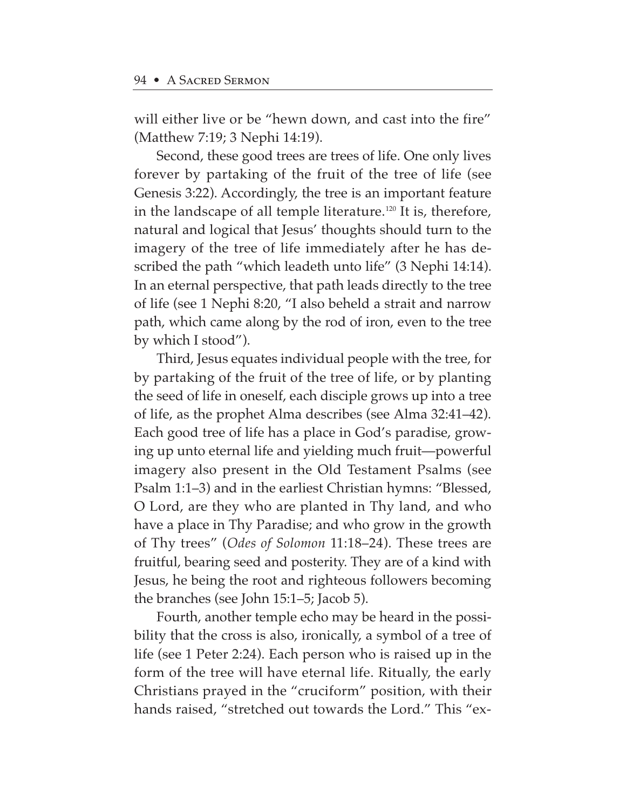will either live or be "hewn down, and cast into the fire" (Matthew 7:19; 3 Nephi 14:19).

Second, these good trees are trees of life. One only lives forever by partaking of the fruit of the tree of life (see Genesis 3:22). Accordingly, the tree is an important feature in the landscape of all temple literature.<sup>120</sup> It is, therefore, natural and logical that Jesus' thoughts should turn to the imagery of the tree of life immediately after he has described the path "which leadeth unto life" (3 Nephi 14:14). In an eternal perspective, that path leads directly to the tree of life (see 1 Nephi 8:20, "I also beheld a strait and narrow path, which came along by the rod of iron, even to the tree by which I stood").

Third, Jesus equates individual people with the tree, for by partaking of the fruit of the tree of life, or by planting the seed of life in oneself, each disciple grows up into a tree of life, as the prophet Alma describes (see Alma 32:41–42). Each good tree of life has a place in God's paradise, growing up unto eternal life and yielding much fruit—powerful imagery also present in the Old Testament Psalms (see Psalm 1:1–3) and in the earliest Christian hymns: "Blessed, O Lord, are they who are planted in Thy land, and who have a place in Thy Paradise; and who grow in the growth of Thy trees" (*Odes of Solomon* 11:18–24). These trees are fruitful, bearing seed and posterity. They are of a kind with Jesus, he being the root and righteous followers becoming the branches (see John 15:1–5; Jacob 5).

Fourth, another temple echo may be heard in the possibility that the cross is also, ironically, a symbol of a tree of life (see 1 Peter 2:24). Each person who is raised up in the form of the tree will have eternal life. Ritually, the early Christians prayed in the "cruciform" position, with their hands raised, "stretched out towards the Lord." This "ex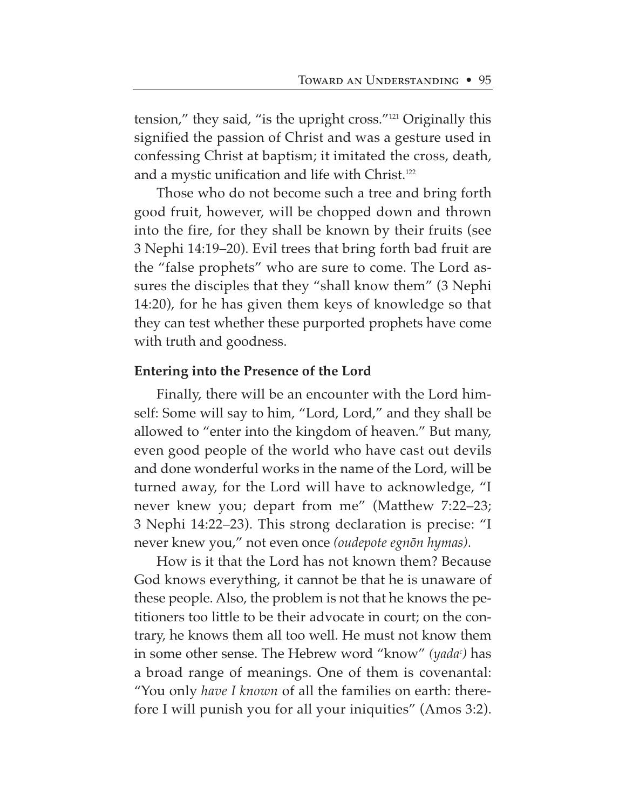tension," they said, "is the upright cross."121 Originally this signified the passion of Christ and was a gesture used in confessing Christ at baptism; it imitated the cross, death, and a mystic unification and life with Christ.<sup>122</sup>

Those who do not become such a tree and bring forth good fruit, however, will be chopped down and thrown into the fire, for they shall be known by their fruits (see 3 Nephi 14:19–20). Evil trees that bring forth bad fruit are the "false prophets" who are sure to come. The Lord assures the disciples that they "shall know them" (3 Nephi 14:20), for he has given them keys of knowledge so that they can test whether these purported prophets have come with truth and goodness.

# **Entering into the Presence of the Lord**

Finally, there will be an encounter with the Lord himself: Some will say to him, "Lord, Lord," and they shall be allowed to "enter into the kingdom of heaven." But many, even good people of the world who have cast out devils and done wonderful works in the name of the Lord, will be turned away, for the Lord will have to acknowledge, "I never knew you; depart from me" (Matthew 7:22–23; 3 Nephi 14:22–23). This strong declaration is precise: "I never knew you," not even once *(oudepote egnøn hymas)*.

How is it that the Lord has not known them? Because God knows everything, it cannot be that he is unaware of these people. Also, the problem is not that he knows the petitioners too little to be their advocate in court; on the contrary, he knows them all too well. He must not know them in some other sense. The Hebrew word "know" *(yadac )* has a broad range of meanings. One of them is covenantal: "You only *have I known* of all the families on earth: therefore I will punish you for all your iniquities" (Amos 3:2).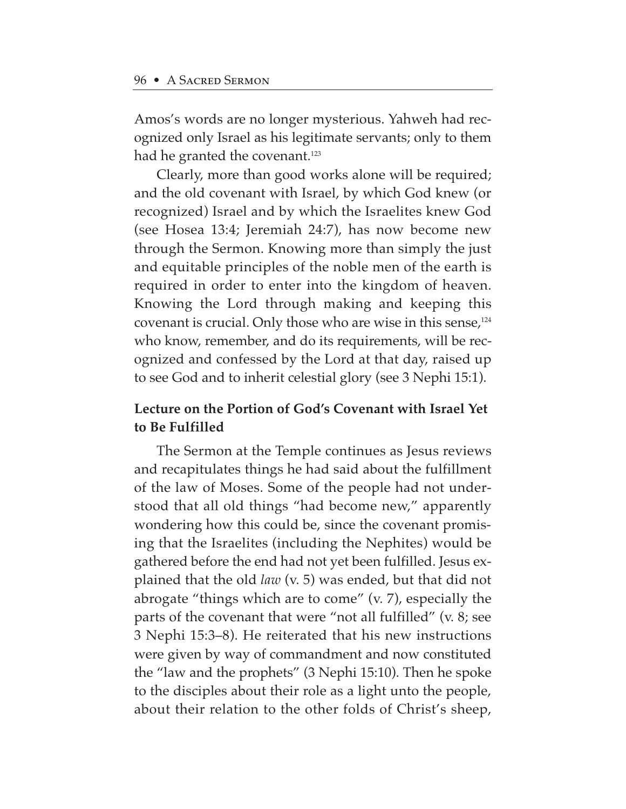Amos's words are no longer mysterious. Yahweh had recognized only Israel as his legitimate servants; only to them had he granted the covenant.<sup>123</sup>

Clearly, more than good works alone will be required; and the old covenant with Israel, by which God knew (or recognized) Israel and by which the Israelites knew God (see Hosea 13:4; Jeremiah 24:7), has now become new through the Sermon. Knowing more than simply the just and equitable principles of the noble men of the earth is required in order to enter into the kingdom of heaven. Knowing the Lord through making and keeping this covenant is crucial. Only those who are wise in this sense,  $124$ who know, remember, and do its requirements, will be recognized and confessed by the Lord at that day, raised up to see God and to inherit celestial glory (see 3 Nephi 15:1).

# **Lecture on the Portion of God's Covenant with Israel Yet to Be Fulfilled**

The Sermon at the Temple continues as Jesus reviews and recapitulates things he had said about the fulfillment of the law of Moses. Some of the people had not understood that all old things "had become new," apparently wondering how this could be, since the covenant promising that the Israelites (including the Nephites) would be gathered before the end had not yet been fulfilled. Jesus explained that the old *law* (v. 5) was ended, but that did not abrogate "things which are to come" (v. 7), especially the parts of the covenant that were "not all fulfilled" (v. 8; see 3 Nephi 15:3–8). He reiterated that his new instructions were given by way of commandment and now constituted the "law and the prophets" (3 Nephi 15:10). Then he spoke to the disciples about their role as a light unto the people, about their relation to the other folds of Christ's sheep,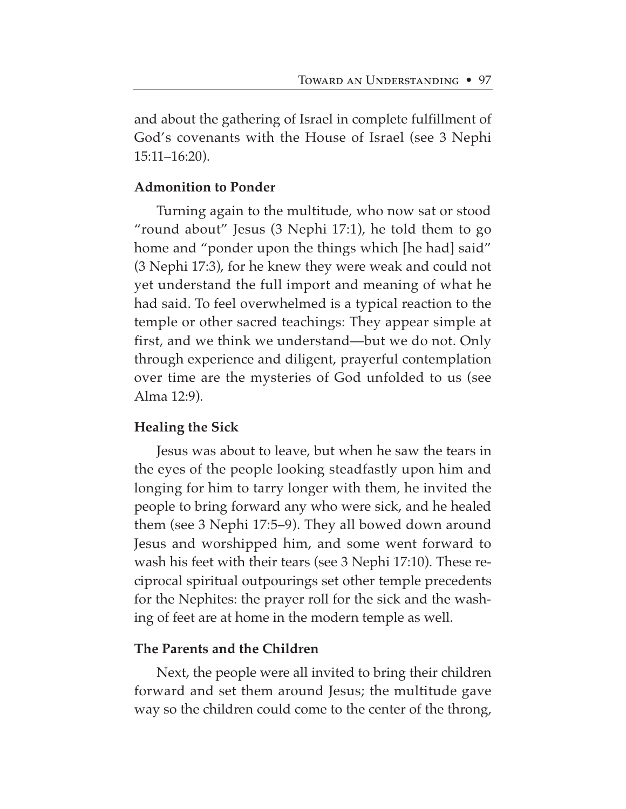and about the gathering of Israel in complete fulfillment of God's covenants with the House of Israel (see 3 Nephi 15:11–16:20).

# **Admonition to Ponder**

Turning again to the multitude, who now sat or stood "round about" Jesus (3 Nephi 17:1), he told them to go home and "ponder upon the things which [he had] said" (3 Nephi 17:3), for he knew they were weak and could not yet understand the full import and meaning of what he had said. To feel overwhelmed is a typical reaction to the temple or other sacred teachings: They appear simple at first, and we think we understand—but we do not. Only through experience and diligent, prayerful contemplation over time are the mysteries of God unfolded to us (see Alma 12:9).

# **Healing the Sick**

Jesus was about to leave, but when he saw the tears in the eyes of the people looking steadfastly upon him and longing for him to tarry longer with them, he invited the people to bring forward any who were sick, and he healed them (see 3 Nephi 17:5–9). They all bowed down around Jesus and worshipped him, and some went forward to wash his feet with their tears (see 3 Nephi 17:10). These reciprocal spiritual outpourings set other temple precedents for the Nephites: the prayer roll for the sick and the washing of feet are at home in the modern temple as well.

## **The Parents and the Children**

Next, the people were all invited to bring their children forward and set them around Jesus; the multitude gave way so the children could come to the center of the throng,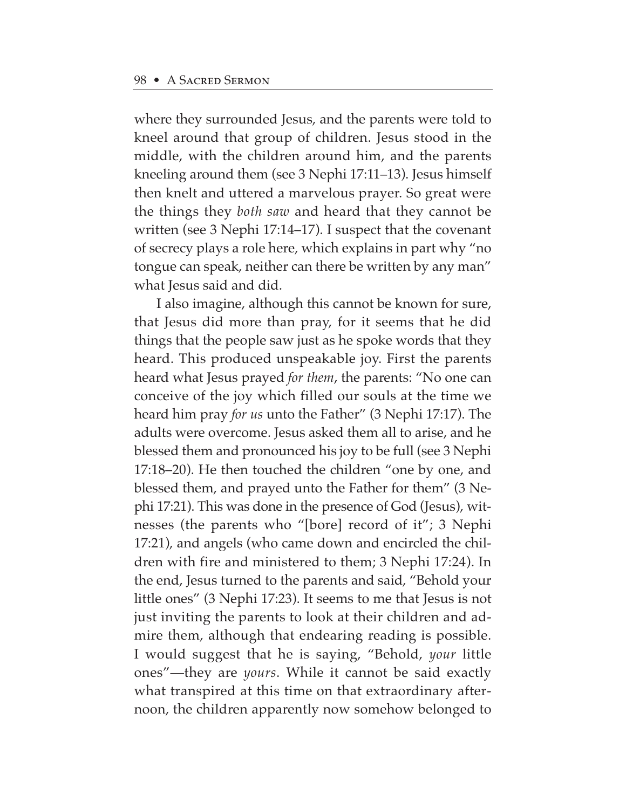where they surrounded Jesus, and the parents were told to kneel around that group of children. Jesus stood in the middle, with the children around him, and the parents kneeling around them (see 3 Nephi 17:11–13). Jesus himself then knelt and uttered a marvelous prayer. So great were the things they *both saw* and heard that they cannot be written (see 3 Nephi 17:14–17). I suspect that the covenant of secrecy plays a role here, which explains in part why "no tongue can speak, neither can there be written by any man" what Jesus said and did.

I also imagine, although this cannot be known for sure, that Jesus did more than pray, for it seems that he did things that the people saw just as he spoke words that they heard. This produced unspeakable joy. First the parents heard what Jesus prayed *for them*, the parents: "No one can conceive of the joy which filled our souls at the time we heard him pray *for us* unto the Father" (3 Nephi 17:17). The adults were overcome. Jesus asked them all to arise, and he blessed them and pronounced his joy to be full (see 3 Nephi 17:18–20). He then touched the children "one by one, and blessed them, and prayed unto the Father for them" (3 Nephi 17:21). This was done in the presence of God (Jesus), witnesses (the parents who "[bore] record of it"; 3 Nephi 17:21), and angels (who came down and encircled the children with fire and ministered to them; 3 Nephi 17:24). In the end, Jesus turned to the parents and said, "Behold your little ones" (3 Nephi 17:23). It seems to me that Jesus is not just inviting the parents to look at their children and admire them, although that endearing reading is possible. I would suggest that he is saying, "Behold, *your* little ones"—they are *yours*. While it cannot be said exactly what transpired at this time on that extraordinary afternoon, the children apparently now somehow belonged to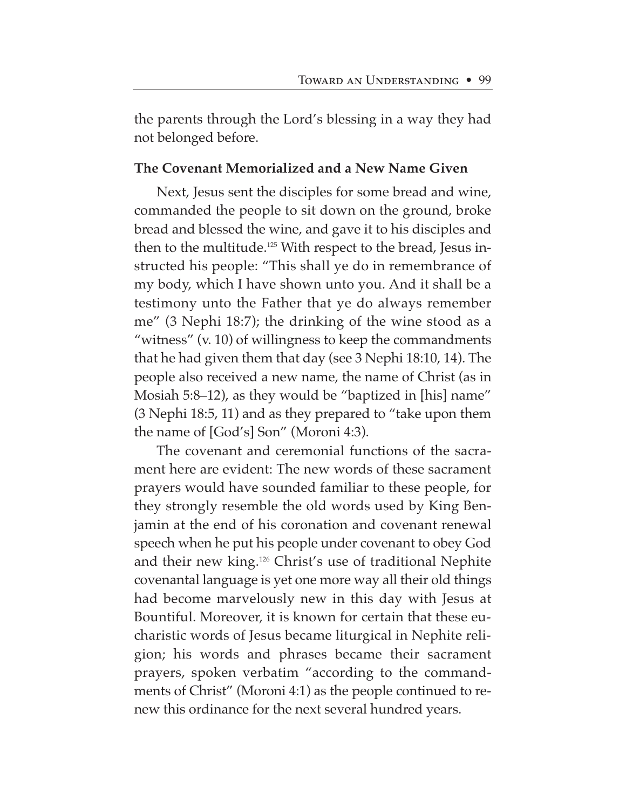the parents through the Lord's blessing in a way they had not belonged before.

### **The Covenant Memorialized and a New Name Given**

Next, Jesus sent the disciples for some bread and wine, commanded the people to sit down on the ground, broke bread and blessed the wine, and gave it to his disciples and then to the multitude.<sup>125</sup> With respect to the bread, Jesus instructed his people: "This shall ye do in remembrance of my body, which I have shown unto you. And it shall be a testimony unto the Father that ye do always remember me" (3 Nephi 18:7); the drinking of the wine stood as a "witness" (v. 10) of willingness to keep the commandments that he had given them that day (see 3 Nephi 18:10, 14). The people also received a new name, the name of Christ (as in Mosiah 5:8–12), as they would be "baptized in [his] name" (3 Nephi 18:5, 11) and as they prepared to "take upon them the name of [God's] Son" (Moroni 4:3).

The covenant and ceremonial functions of the sacrament here are evident: The new words of these sacrament prayers would have sounded familiar to these people, for they strongly resemble the old words used by King Benjamin at the end of his coronation and covenant renewal speech when he put his people under covenant to obey God and their new king.126 Christ's use of traditional Nephite covenantal language is yet one more way all their old things had become marvelously new in this day with Jesus at Bountiful. Moreover, it is known for certain that these eucharistic words of Jesus became liturgical in Nephite religion; his words and phrases became their sacrament prayers, spoken verbatim "according to the commandments of Christ" (Moroni 4:1) as the people continued to renew this ordinance for the next several hundred years.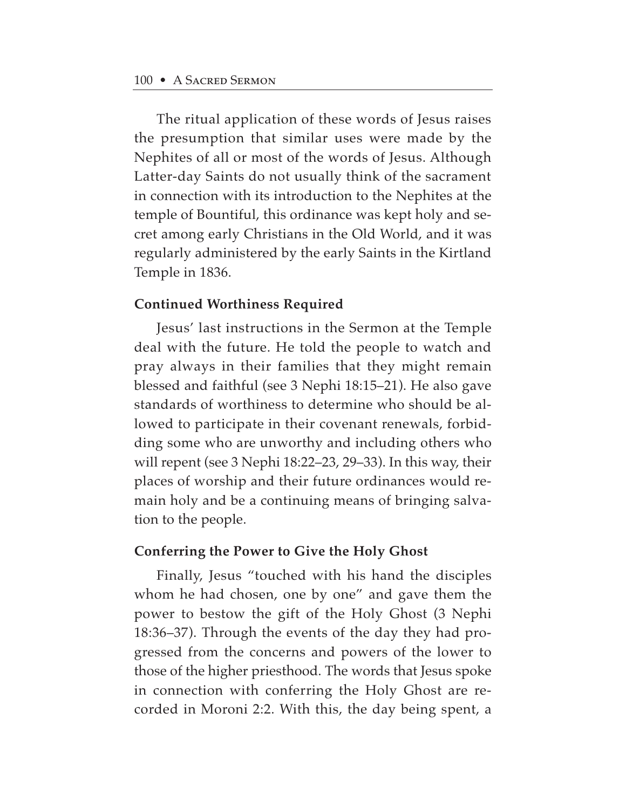The ritual application of these words of Jesus raises the presumption that similar uses were made by the Nephites of all or most of the words of Jesus. Although Latter-day Saints do not usually think of the sacrament in connection with its introduction to the Nephites at the temple of Bountiful, this ordinance was kept holy and secret among early Christians in the Old World, and it was regularly administered by the early Saints in the Kirtland Temple in 1836.

### **Continued Worthiness Required**

Jesus' last instructions in the Sermon at the Temple deal with the future. He told the people to watch and pray always in their families that they might remain blessed and faithful (see 3 Nephi 18:15–21). He also gave standards of worthiness to determine who should be allowed to participate in their covenant renewals, forbidding some who are unworthy and including others who will repent (see 3 Nephi 18:22–23, 29–33). In this way, their places of worship and their future ordinances would remain holy and be a continuing means of bringing salvation to the people.

### **Conferring the Power to Give the Holy Ghost**

Finally, Jesus "touched with his hand the disciples whom he had chosen, one by one" and gave them the power to bestow the gift of the Holy Ghost (3 Nephi 18:36–37). Through the events of the day they had progressed from the concerns and powers of the lower to those of the higher priesthood. The words that Jesus spoke in connection with conferring the Holy Ghost are recorded in Moroni 2:2. With this, the day being spent, a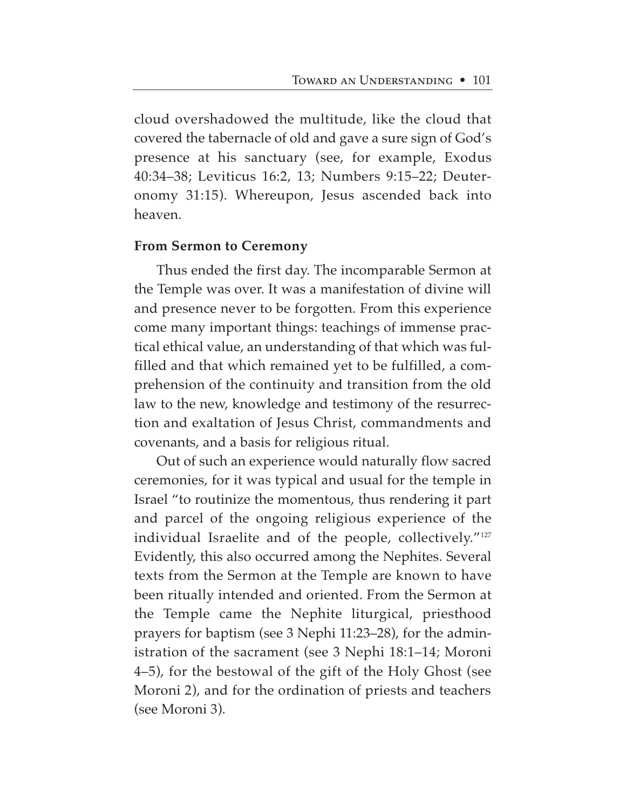cloud overshadowed the multitude, like the cloud that covered the tabernacle of old and gave a sure sign of God's presence at his sanctuary (see, for example, Exodus 40:34–38; Leviticus 16:2, 13; Numbers 9:15–22; Deuteronomy 31:15). Whereupon, Jesus ascended back into heaven.

### **From Sermon to Ceremony**

Thus ended the first day. The incomparable Sermon at the Temple was over. It was a manifestation of divine will and presence never to be forgotten. From this experience come many important things: teachings of immense practical ethical value, an understanding of that which was fulfilled and that which remained yet to be fulfilled, a comprehension of the continuity and transition from the old law to the new, knowledge and testimony of the resurrection and exaltation of Jesus Christ, commandments and covenants, and a basis for religious ritual.

Out of such an experience would naturally flow sacred ceremonies, for it was typical and usual for the temple in Israel "to routinize the momentous, thus rendering it part and parcel of the ongoing religious experience of the individual Israelite and of the people, collectively."<sup>127</sup> Evidently, this also occurred among the Nephites. Several texts from the Sermon at the Temple are known to have been ritually intended and oriented. From the Sermon at the Temple came the Nephite liturgical, priesthood prayers for baptism (see 3 Nephi 11:23–28), for the administration of the sacrament (see 3 Nephi 18:1–14; Moroni 4–5), for the bestowal of the gift of the Holy Ghost (see Moroni 2), and for the ordination of priests and teachers (see Moroni 3).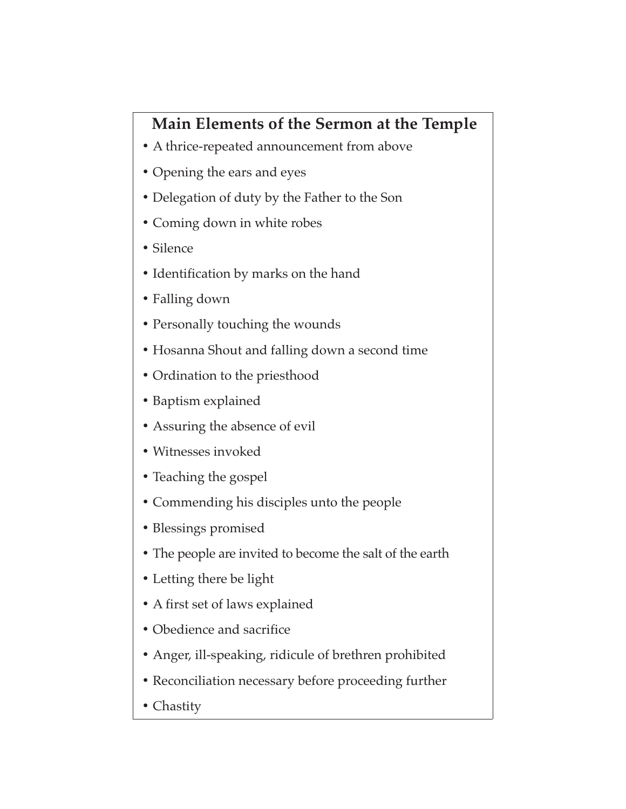# **Main Elements of the Sermon at the Temple**

- A thrice-repeated announcement from above
- **•** Opening the ears and eyes
- **•** Delegation of duty by the Father to the Son
- **•** Coming down in white robes
- **•** Silence
- **•** Identification by marks on the hand
- **•** Falling down
- **•** Personally touching the wounds
- **•** Hosanna Shout and falling down a second time
- **•** Ordination to the priesthood
- **•** Baptism explained
- **•** Assuring the absence of evil
- Witnesses invoked
- **•** Teaching the gospel
- **•** Commending his disciples unto the people
- **•** Blessings promised
- **•** The people are invited to become the salt of the earth
- **•** Letting there be light
- **•** A first set of laws explained
- **•** Obedience and sacrifice
- **•** Anger, ill-speaking, ridicule of brethren prohibited
- **•** Reconciliation necessary before proceeding further
- **•** Chastity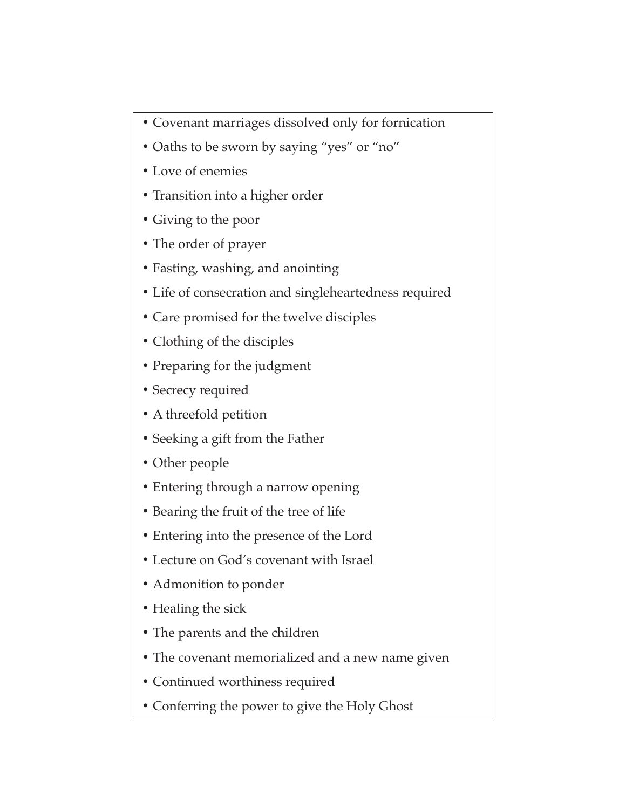- **•** Covenant marriages dissolved only for fornication
- **•** Oaths to be sworn by saying "yes" or "no"
- **•** Love of enemies
- **•** Transition into a higher order
- **•** Giving to the poor
- **•** The order of prayer
- **•** Fasting, washing, and anointing
- **•** Life of consecration and singleheartedness required
- **•** Care promised for the twelve disciples
- **•** Clothing of the disciples
- **•** Preparing for the judgment
- **•** Secrecy required
- **•** A threefold petition
- **•** Seeking a gift from the Father
- **•** Other people
- **•** Entering through a narrow opening
- **•** Bearing the fruit of the tree of life
- **•** Entering into the presence of the Lord
- **•** Lecture on God's covenant with Israel
- **•** Admonition to ponder
- **•** Healing the sick
- **•** The parents and the children
- **•** The covenant memorialized and a new name given
- **•** Continued worthiness required
- **•** Conferring the power to give the Holy Ghost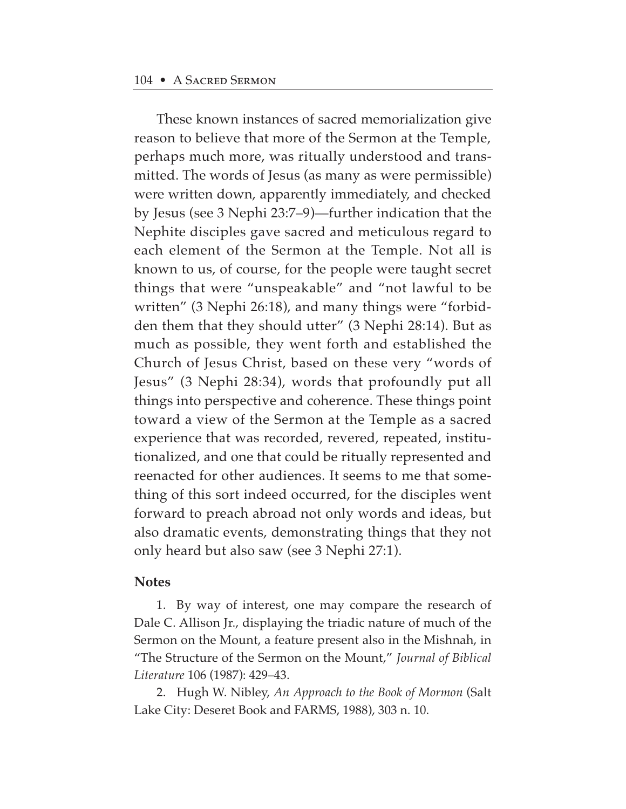These known instances of sacred memorialization give reason to believe that more of the Sermon at the Temple, perhaps much more, was ritually understood and transmitted. The words of Jesus (as many as were permissible) were written down, apparently immediately, and checked by Jesus (see 3 Nephi 23:7–9)—further indication that the Nephite disciples gave sacred and meticulous regard to each element of the Sermon at the Temple. Not all is known to us, of course, for the people were taught secret things that were "unspeakable" and "not lawful to be written" (3 Nephi 26:18), and many things were "forbidden them that they should utter" (3 Nephi 28:14). But as much as possible, they went forth and established the Church of Jesus Christ, based on these very "words of Jesus" (3 Nephi 28:34), words that profoundly put all things into perspective and coherence. These things point toward a view of the Sermon at the Temple as a sacred experience that was recorded, revered, repeated, institutionalized, and one that could be ritually represented and reenacted for other audiences. It seems to me that something of this sort indeed occurred, for the disciples went forward to preach abroad not only words and ideas, but also dramatic events, demonstrating things that they not only heard but also saw (see 3 Nephi 27:1).

#### **Notes**

1. By way of interest, one may compare the research of Dale C. Allison Jr., displaying the triadic nature of much of the Sermon on the Mount, a feature present also in the Mishnah, in "The Structure of the Sermon on the Mount," *Journal of Biblical Literature* 106 (1987): 429–43.

2. Hugh W. Nibley, *An Approach to the Book of Mormon* (Salt Lake City: Deseret Book and FARMS, 1988), 303 n. 10.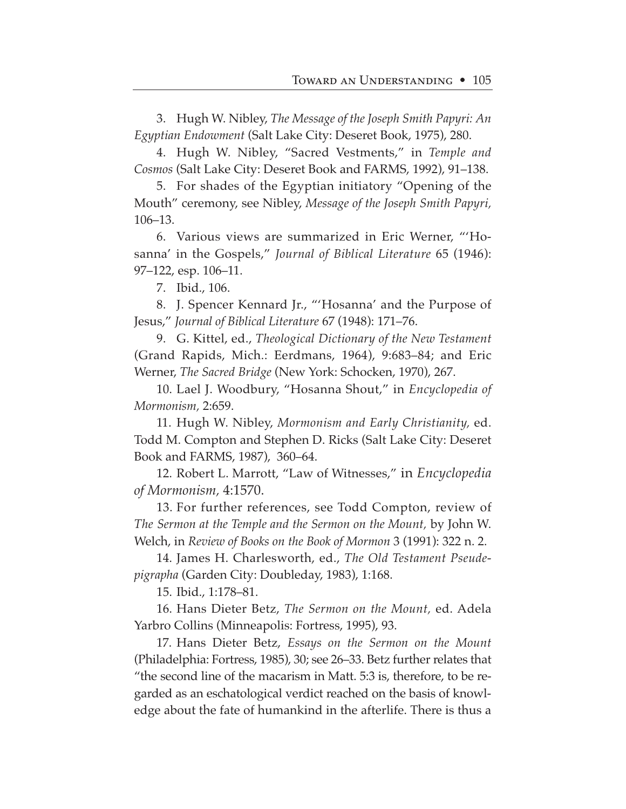3. Hugh W. Nibley, *The Message of the Joseph Smith Papyri: An Egyptian Endowment* (Salt Lake City: Deseret Book, 1975), 280.

4. Hugh W. Nibley, "Sacred Vestments," in *Temple and Cosmos* (Salt Lake City: Deseret Book and FARMS, 1992), 91–138.

5. For shades of the Egyptian initiatory "Opening of the Mouth" ceremony, see Nibley, *Message of the Joseph Smith Papyri,* 106–13.

6. Various views are summarized in Eric Werner, "'Hosanna' in the Gospels," *Journal of Biblical Literature* 65 (1946): 97–122, esp. 106–11.

7. Ibid., 106.

8. J. Spencer Kennard Jr., "'Hosanna' and the Purpose of Jesus," *Journal of Biblical Literature* 67 (1948): 171–76.

9. G. Kittel, ed., *Theological Dictionary of the New Testament* (Grand Rapids, Mich.: Eerdmans, 1964), 9:683–84; and Eric Werner, *The Sacred Bridge* (New York: Schocken, 1970), 267.

10. Lael J. Woodbury, "Hosanna Shout," in *Encyclopedia of Mormonism,* 2:659.

11. Hugh W. Nibley, *Mormonism and Early Christianity,* ed. Todd M. Compton and Stephen D. Ricks (Salt Lake City: Deseret Book and FARMS, 1987), 360–64.

12. Robert L. Marrott, "Law of Witnesses," in *Encyclopedia of Mormonism,* 4:1570.

13. For further references, see Todd Compton, review of *The Sermon at the Temple and the Sermon on the Mount,* by John W. Welch, in *Review of Books on the Book of Mormon* 3 (1991): 322 n. 2.

14. James H. Charlesworth, ed., *The Old Testament Pseudepigrapha* (Garden City: Doubleday, 1983), 1:168.

15. Ibid., 1:178–81.

16. Hans Dieter Betz, *The Sermon on the Mount,* ed. Adela Yarbro Collins (Minneapolis: Fortress, 1995), 93.

17. Hans Dieter Betz, *Essays on the Sermon on the Mount* (Philadelphia: Fortress, 1985), 30; see 26–33. Betz further relates that "the second line of the macarism in Matt. 5:3 is, therefore, to be regarded as an eschatological verdict reached on the basis of knowledge about the fate of humankind in the afterlife. There is thus a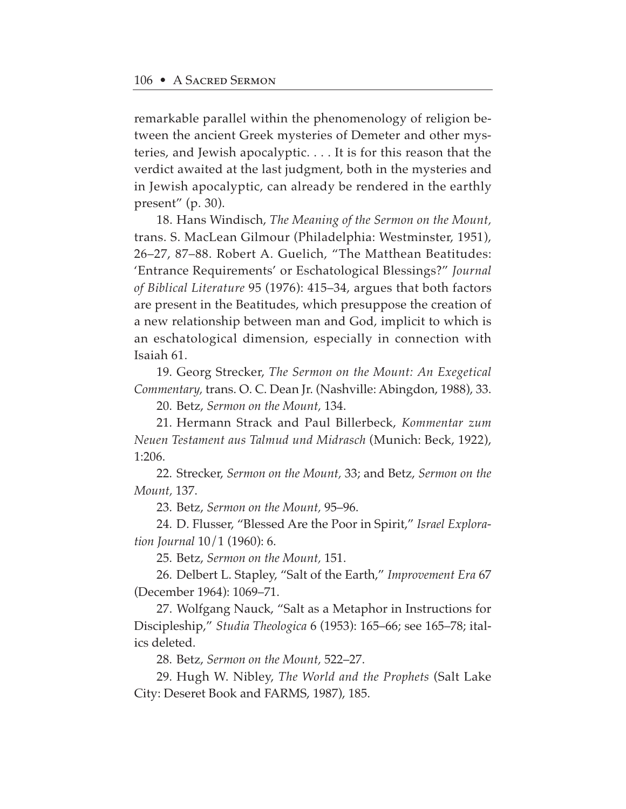remarkable parallel within the phenomenology of religion between the ancient Greek mysteries of Demeter and other mysteries, and Jewish apocalyptic. . . . It is for this reason that the verdict awaited at the last judgment, both in the mysteries and in Jewish apocalyptic, can already be rendered in the earthly present" (p. 30).

18. Hans Windisch, *The Meaning of the Sermon on the Mount,* trans. S. MacLean Gilmour (Philadelphia: Westminster, 1951), 26–27, 87–88. Robert A. Guelich, "The Matthean Beatitudes: 'Entrance Requirements' or Eschatological Blessings?" *Journal of Biblical Literature* 95 (1976): 415–34, argues that both factors are present in the Beatitudes, which presuppose the creation of a new relationship between man and God, implicit to which is an eschatological dimension, especially in connection with Isaiah 61.

19. Georg Strecker, *The Sermon on the Mount: An Exegetical Commentary,* trans. O. C. Dean Jr. (Nashville: Abingdon, 1988), 33.

20. Betz, *Sermon on the Mount,* 134.

21. Hermann Strack and Paul Billerbeck, *Kommentar zum Neuen Testament aus Talmud und Midrasch* (Munich: Beck, 1922), 1:206.

22. Strecker, *Sermon on the Mount,* 33; and Betz, *Sermon on the Mount,* 137.

23. Betz, *Sermon on the Mount,* 95–96.

24. D. Flusser, "Blessed Are the Poor in Spirit," *Israel Exploration Journal* 10/1 (1960): 6.

25. Betz, *Sermon on the Mount,* 151.

26. Delbert L. Stapley, "Salt of the Earth," *Improvement Era* 67 (December 1964): 1069–71.

27. Wolfgang Nauck, "Salt as a Metaphor in Instructions for Discipleship," *Studia Theologica* 6 (1953): 165–66; see 165–78; italics deleted.

28. Betz, *Sermon on the Mount,* 522–27.

29. Hugh W. Nibley, *The World and the Prophets* (Salt Lake City: Deseret Book and FARMS, 1987), 185.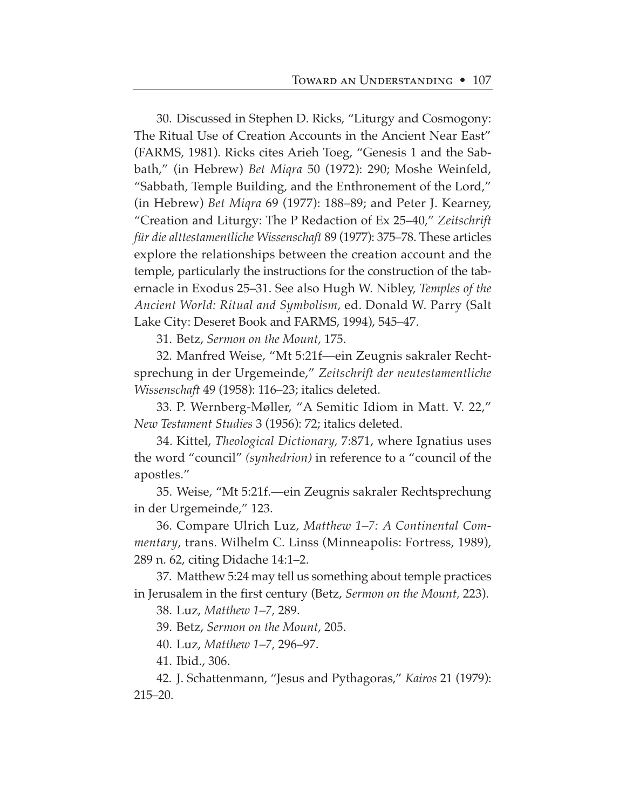30. Discussed in Stephen D. Ricks, "Liturgy and Cosmogony: The Ritual Use of Creation Accounts in the Ancient Near East" (FARMS, 1981). Ricks cites Arieh Toeg, "Genesis 1 and the Sabbath," (in Hebrew) *Bet Miqra* 50 (1972): 290; Moshe Weinfeld, "Sabbath, Temple Building, and the Enthronement of the Lord," (in Hebrew) *Bet Miqra* 69 (1977): 188–89; and Peter J. Kearney, "Creation and Liturgy: The P Redaction of Ex 25–40," *Zeitschrift für die alttestamentliche Wissenschaft* 89 (1977): 375–78. These articles explore the relationships between the creation account and the temple, particularly the instructions for the construction of the tabernacle in Exodus 25–31. See also Hugh W. Nibley, *Temples of the Ancient World: Ritual and Symbolism,* ed. Donald W. Parry (Salt Lake City: Deseret Book and FARMS, 1994), 545–47.

31. Betz, *Sermon on the Mount,* 175.

32. Manfred Weise, "Mt 5:21f—ein Zeugnis sakraler Rechtsprechung in der Urgemeinde," *Zeitschrift der neutestamentliche Wissenschaft* 49 (1958): 116–23; italics deleted.

33. P. Wernberg-Møller, "A Semitic Idiom in Matt. V. 22," *New Testament Studies* 3 (1956): 72; italics deleted.

34. Kittel, *Theological Dictionary,* 7:871, where Ignatius uses the word "council" *(synhedrion)* in reference to a "council of the apostles."

35. Weise, "Mt 5:21f.—ein Zeugnis sakraler Rechtsprechung in der Urgemeinde," 123.

36. Compare Ulrich Luz, *Matthew 1–7: A Continental Commentary*, trans. Wilhelm C. Linss (Minneapolis: Fortress, 1989), 289 n. 62, citing Didache 14:1–2.

37. Matthew 5:24 may tell us something about temple practices in Jerusalem in the first century (Betz, *Sermon on the Mount,* 223).

38. Luz, *Matthew 1–7,* 289.

39. Betz, *Sermon on the Mount,* 205.

40. Luz, *Matthew 1–7,* 296–97.

41. Ibid., 306.

42. J. Schattenmann, "Jesus and Pythagoras," *Kairos* 21 (1979): 215–20.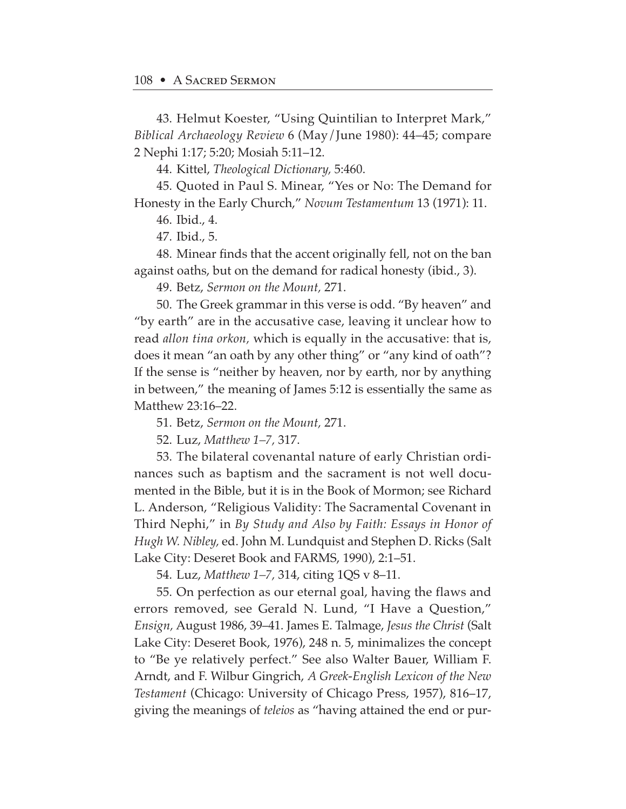43. Helmut Koester, "Using Quintilian to Interpret Mark," *Biblical Archaeology Review* 6 (May/June 1980): 44–45; compare 2 Nephi 1:17; 5:20; Mosiah 5:11–12.

44. Kittel, *Theological Dictionary,* 5:460.

45. Quoted in Paul S. Minear, "Yes or No: The Demand for Honesty in the Early Church," *Novum Testamentum* 13 (1971): 11.

46. Ibid., 4.

47. Ibid., 5.

48. Minear finds that the accent originally fell, not on the ban against oaths, but on the demand for radical honesty (ibid., 3).

49. Betz, *Sermon on the Mount,* 271.

50. The Greek grammar in this verse is odd. "By heaven" and "by earth" are in the accusative case, leaving it unclear how to read *allon tina orkon,* which is equally in the accusative: that is, does it mean "an oath by any other thing" or "any kind of oath"? If the sense is "neither by heaven, nor by earth, nor by anything in between," the meaning of James 5:12 is essentially the same as Matthew 23:16–22.

51. Betz, *Sermon on the Mount,* 271.

52. Luz, *Matthew 1–7,* 317.

53. The bilateral covenantal nature of early Christian ordinances such as baptism and the sacrament is not well documented in the Bible, but it is in the Book of Mormon; see Richard L. Anderson, "Religious Validity: The Sacramental Covenant in Third Nephi," in *By Study and Also by Faith: Essays in Honor of Hugh W. Nibley,* ed. John M. Lundquist and Stephen D. Ricks (Salt Lake City: Deseret Book and FARMS, 1990), 2:1–51.

54. Luz, *Matthew 1–7,* 314, citing 1QS v 8–11.

55. On perfection as our eternal goal, having the flaws and errors removed, see Gerald N. Lund, "I Have a Question," *Ensign,* August 1986, 39–41. James E. Talmage, *Jesus the Christ* (Salt Lake City: Deseret Book, 1976), 248 n. 5, minimalizes the concept to "Be ye relatively perfect." See also Walter Bauer, William F. Arndt, and F. Wilbur Gingrich, *A Greek-English Lexicon of the New Testament* (Chicago: University of Chicago Press, 1957), 816–17, giving the meanings of *teleios* as "having attained the end or pur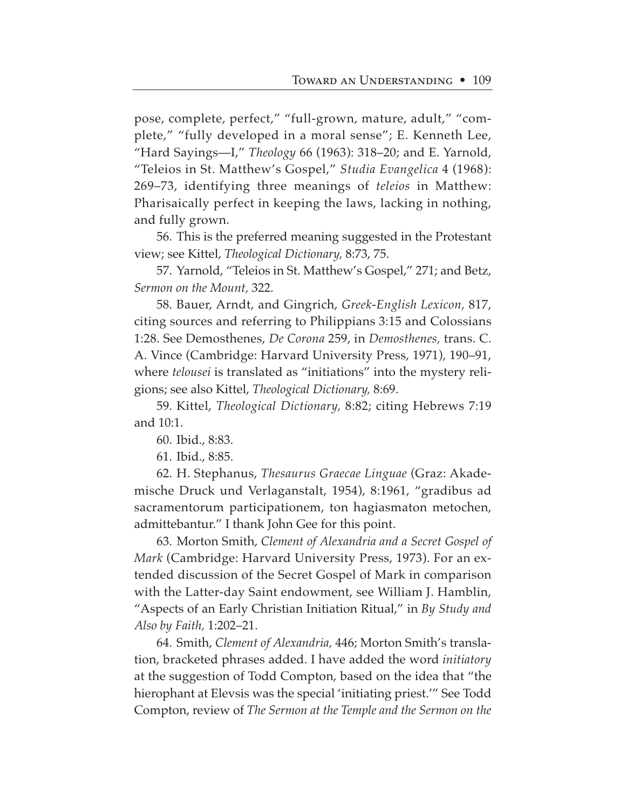pose, complete, perfect," "full-grown, mature, adult," "complete," "fully developed in a moral sense"; E. Kenneth Lee, "Hard Sayings—I," *Theology* 66 (1963): 318–20; and E. Yarnold, "Teleios in St. Matthew's Gospel," *Studia Evangelica* 4 (1968): 269–73, identifying three meanings of *teleios* in Matthew: Pharisaically perfect in keeping the laws, lacking in nothing, and fully grown.

56. This is the preferred meaning suggested in the Protestant view; see Kittel, *Theological Dictionary,* 8:73, 75.

57. Yarnold, "Teleios in St. Matthew's Gospel," 271; and Betz, *Sermon on the Mount,* 322.

58. Bauer, Arndt, and Gingrich, *Greek-English Lexicon,* 817, citing sources and referring to Philippians 3:15 and Colossians 1:28. See Demosthenes, *De Corona* 259, in *Demosthenes,* trans. C. A. Vince (Cambridge: Harvard University Press, 1971), 190–91, where *telousei* is translated as "initiations" into the mystery religions; see also Kittel, *Theological Dictionary,* 8:69.

59. Kittel, *Theological Dictionary,* 8:82; citing Hebrews 7:19 and 10:1.

60. Ibid., 8:83.

61. Ibid., 8:85.

62. H. Stephanus, *Thesaurus Graecae Linguae* (Graz: Akademische Druck und Verlaganstalt, 1954), 8:1961, "gradibus ad sacramentorum participationem, ton hagiasmaton metochen, admittebantur." I thank John Gee for this point.

63. Morton Smith, *Clement of Alexandria and a Secret Gospel of Mark* (Cambridge: Harvard University Press, 1973). For an extended discussion of the Secret Gospel of Mark in comparison with the Latter-day Saint endowment, see William J. Hamblin, "Aspects of an Early Christian Initiation Ritual," in *By Study and Also by Faith,* 1:202–21.

64. Smith, *Clement of Alexandria,* 446; Morton Smith's translation, bracketed phrases added. I have added the word *initiatory* at the suggestion of Todd Compton, based on the idea that "the hierophant at Elevsis was the special 'initiating priest.'" See Todd Compton, review of *The Sermon at the Temple and the Sermon on the*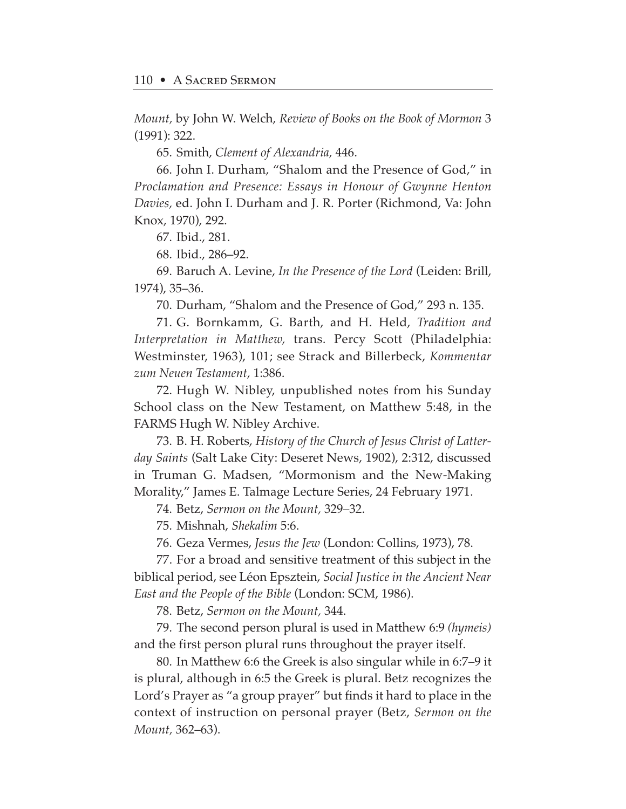*Mount,* by John W. Welch, *Review of Books on the Book of Mormon* 3 (1991): 322.

65. Smith, *Clement of Alexandria,* 446.

66. John I. Durham, "Shalom and the Presence of God," in *Proclamation and Presence: Essays in Honour of Gwynne Henton Davies,* ed. John I. Durham and J. R. Porter (Richmond, Va: John Knox, 1970), 292.

67. Ibid., 281.

68. Ibid., 286–92.

69. Baruch A. Levine, *In the Presence of the Lord* (Leiden: Brill, 1974), 35–36.

70. Durham, "Shalom and the Presence of God," 293 n. 135.

71. G. Bornkamm, G. Barth, and H. Held, *Tradition and Interpretation in Matthew,* trans. Percy Scott (Philadelphia: Westminster, 1963), 101; see Strack and Billerbeck, *Kommentar zum Neuen Testament,* 1:386.

72. Hugh W. Nibley, unpublished notes from his Sunday School class on the New Testament, on Matthew 5:48, in the FARMS Hugh W. Nibley Archive.

73. B. H. Roberts, *History of the Church of Jesus Christ of Latterday Saints* (Salt Lake City: Deseret News, 1902), 2:312, discussed in Truman G. Madsen, "Mormonism and the New-Making Morality," James E. Talmage Lecture Series, 24 February 1971.

74. Betz, *Sermon on the Mount,* 329–32.

75. Mishnah, *Shekalim* 5:6.

76. Geza Vermes, *Jesus the Jew* (London: Collins, 1973), 78.

77. For a broad and sensitive treatment of this subject in the biblical period, see Léon Epsztein, *Social Justice in the Ancient Near East and the People of the Bible* (London: SCM, 1986).

78. Betz, *Sermon on the Mount,* 344.

79. The second person plural is used in Matthew 6:9 *(hymeis)* and the first person plural runs throughout the prayer itself.

80. In Matthew 6:6 the Greek is also singular while in 6:7–9 it is plural, although in 6:5 the Greek is plural. Betz recognizes the Lord's Prayer as "a group prayer" but finds it hard to place in the context of instruction on personal prayer (Betz, *Sermon on the Mount,* 362–63).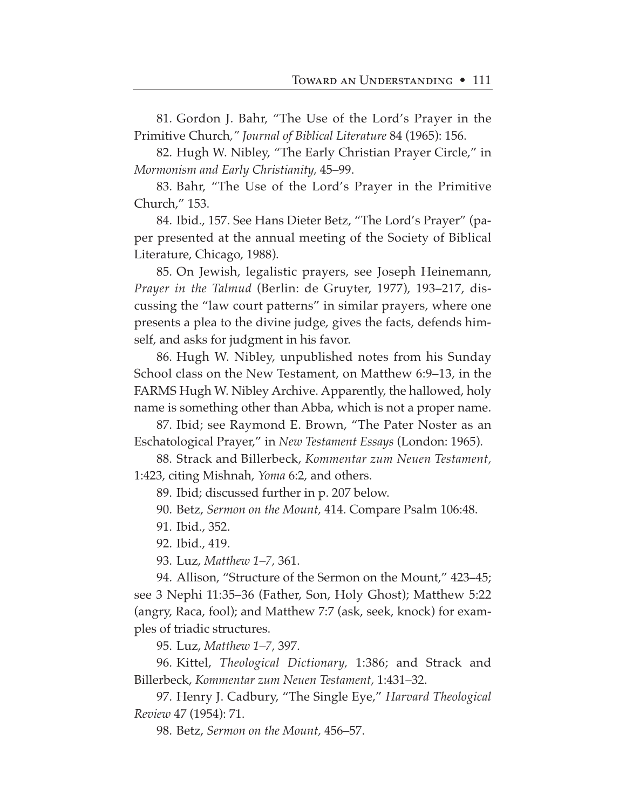81. Gordon J. Bahr, "The Use of the Lord's Prayer in the Primitive Church*," Journal of Biblical Literature* 84 (1965): 156.

82. Hugh W. Nibley, "The Early Christian Prayer Circle," in *Mormonism and Early Christianity,* 45–99.

83. Bahr, "The Use of the Lord's Prayer in the Primitive Church," 153.

84. Ibid., 157. See Hans Dieter Betz, "The Lord's Prayer" (paper presented at the annual meeting of the Society of Biblical Literature, Chicago, 1988).

85. On Jewish, legalistic prayers, see Joseph Heinemann, *Prayer in the Talmud* (Berlin: de Gruyter, 1977), 193–217, discussing the "law court patterns" in similar prayers, where one presents a plea to the divine judge, gives the facts, defends himself, and asks for judgment in his favor.

86. Hugh W. Nibley, unpublished notes from his Sunday School class on the New Testament, on Matthew 6:9–13, in the FARMS Hugh W. Nibley Archive. Apparently, the hallowed, holy name is something other than Abba, which is not a proper name.

87. Ibid; see Raymond E. Brown, "The Pater Noster as an Eschatological Prayer," in *New Testament Essays* (London: 1965).

88. Strack and Billerbeck, *Kommentar zum Neuen Testament,* 1:423, citing Mishnah, *Yoma* 6:2, and others.

89. Ibid; discussed further in p. 207 below.

90. Betz, *Sermon on the Mount,* 414. Compare Psalm 106:48.

91. Ibid., 352.

92. Ibid., 419.

93. Luz, *Matthew 1–7,* 361.

94. Allison, "Structure of the Sermon on the Mount," 423–45; see 3 Nephi 11:35–36 (Father, Son, Holy Ghost); Matthew 5:22 (angry, Raca, fool); and Matthew 7:7 (ask, seek, knock) for examples of triadic structures.

95. Luz, *Matthew 1–7,* 397.

96. Kittel, *Theological Dictionary,* 1:386; and Strack and Billerbeck, *Kommentar zum Neuen Testament,* 1:431–32.

97. Henry J. Cadbury, "The Single Eye," *Harvard Theological Review* 47 (1954): 71.

98. Betz, *Sermon on the Mount,* 456–57.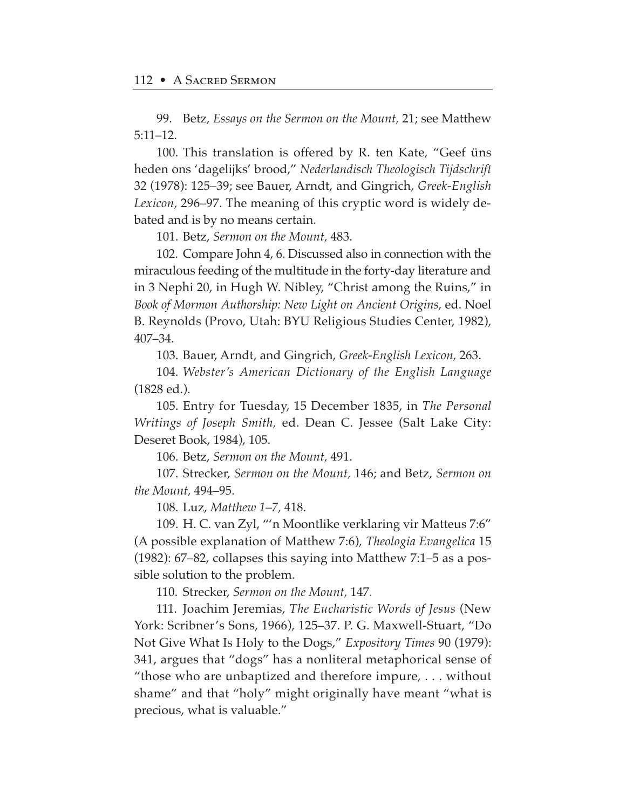99. Betz, *Essays on the Sermon on the Mount,* 21; see Matthew 5:11–12.

100. This translation is offered by R. ten Kate, "Geef üns heden ons 'dagelijks' brood," *Nederlandisch Theologisch Tijdschrift* 32 (1978): 125–39; see Bauer, Arndt, and Gingrich, *Greek-English Lexicon,* 296–97. The meaning of this cryptic word is widely debated and is by no means certain.

101. Betz, *Sermon on the Mount,* 483.

102. Compare John 4, 6. Discussed also in connection with the miraculous feeding of the multitude in the forty-day literature and in 3 Nephi 20, in Hugh W. Nibley, "Christ among the Ruins," in *Book of Mormon Authorship: New Light on Ancient Origins,* ed. Noel B. Reynolds (Provo, Utah: BYU Religious Studies Center, 1982), 407–34.

103. Bauer, Arndt, and Gingrich, *Greek-English Lexicon,* 263.

104. *Webster's American Dictionary of the English Language* (1828 ed.).

105. Entry for Tuesday, 15 December 1835, in *The Personal Writings of Joseph Smith,* ed. Dean C. Jessee (Salt Lake City: Deseret Book, 1984), 105.

106. Betz, *Sermon on the Mount,* 491.

107. Strecker, *Sermon on the Mount,* 146; and Betz, *Sermon on the Mount,* 494–95.

108. Luz, *Matthew 1–7,* 418.

109. H. C. van Zyl, "'n Moontlike verklaring vir Matteus 7:6" (A possible explanation of Matthew 7:6), *Theologia Evangelica* 15 (1982): 67–82, collapses this saying into Matthew 7:1–5 as a possible solution to the problem.

110. Strecker, *Sermon on the Mount,* 147.

111. Joachim Jeremias, *The Eucharistic Words of Jesus* (New York: Scribner's Sons, 1966), 125–37. P. G. Maxwell-Stuart, "Do Not Give What Is Holy to the Dogs," *Expository Times* 90 (1979): 341, argues that "dogs" has a nonliteral metaphorical sense of "those who are unbaptized and therefore impure, . . . without shame" and that "holy" might originally have meant "what is precious, what is valuable."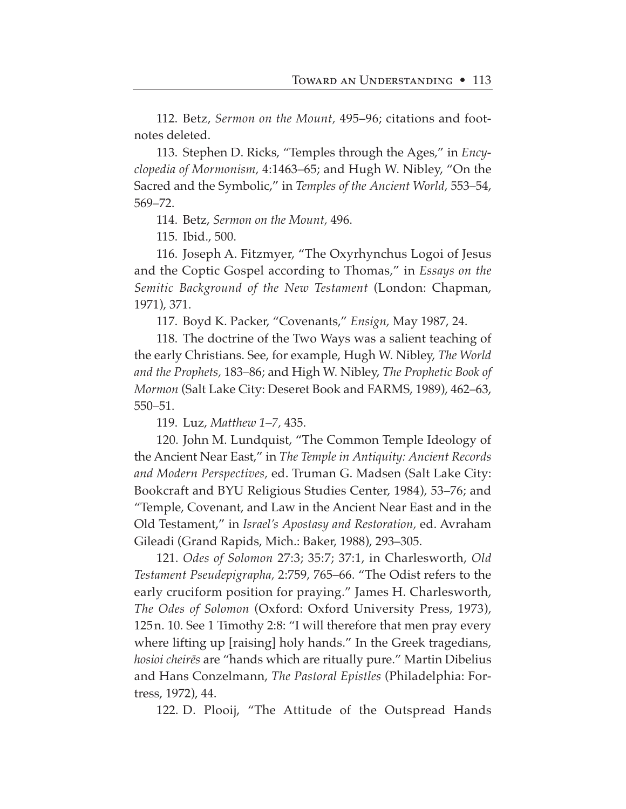112. Betz, *Sermon on the Mount,* 495–96; citations and footnotes deleted.

113. Stephen D. Ricks, "Temples through the Ages," in *Encyclopedia of Mormonism,* 4:1463–65; and Hugh W. Nibley, "On the Sacred and the Symbolic," in *Temples of the Ancient World,* 553–54, 569–72.

114. Betz, *Sermon on the Mount,* 496.

115. Ibid., 500.

116. Joseph A. Fitzmyer, "The Oxyrhynchus Logoi of Jesus and the Coptic Gospel according to Thomas," in *Essays on the Semitic Background of the New Testament* (London: Chapman, 1971), 371.

117. Boyd K. Packer, "Covenants," *Ensign,* May 1987, 24.

118. The doctrine of the Two Ways was a salient teaching of the early Christians. See, for example, Hugh W. Nibley, *The World and the Prophets,* 183–86; and High W. Nibley, *The Prophetic Book of Mormon* (Salt Lake City: Deseret Book and FARMS, 1989), 462–63, 550–51.

119. Luz, *Matthew 1–7,* 435.

120. John M. Lundquist, "The Common Temple Ideology of the Ancient Near East," in *The Temple in Antiquity: Ancient Records and Modern Perspectives,* ed. Truman G. Madsen (Salt Lake City: Bookcraft and BYU Religious Studies Center, 1984), 53–76; and "Temple, Covenant, and Law in the Ancient Near East and in the Old Testament," in *Israel's Apostasy and Restoration,* ed. Avraham Gileadi (Grand Rapids, Mich.: Baker, 1988), 293–305.

121. *Odes of Solomon* 27:3; 35:7; 37:1, in Charlesworth, *Old Testament Pseudepigrapha,* 2:759, 765–66. "The Odist refers to the early cruciform position for praying." James H. Charlesworth, *The Odes of Solomon* (Oxford: Oxford University Press, 1973), 125n. 10. See 1 Timothy 2:8: "I will therefore that men pray every where lifting up [raising] holy hands." In the Greek tragedians, *hosioi cheir∑s* are "hands which are ritually pure." Martin Dibelius and Hans Conzelmann, *The Pastoral Epistles* (Philadelphia: Fortress, 1972), 44.

122. D. Plooij, "The Attitude of the Outspread Hands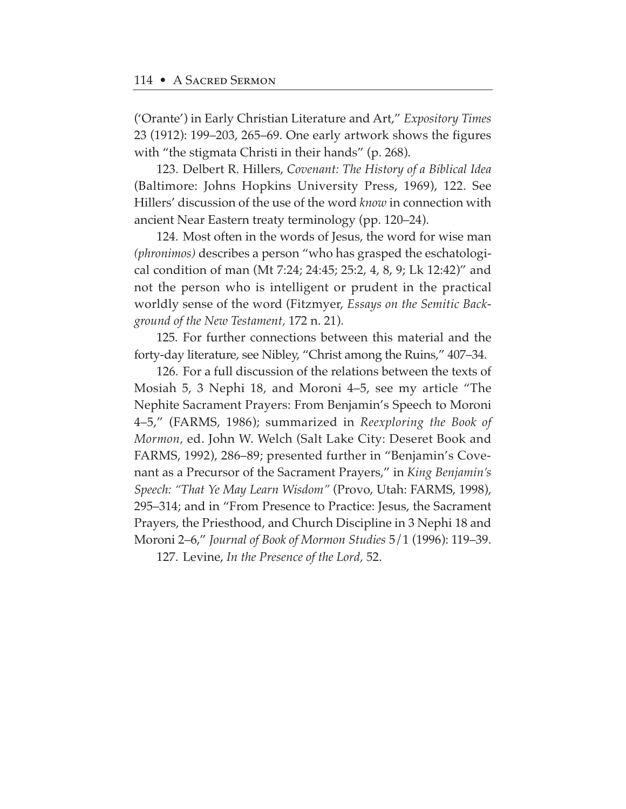('Orante') in Early Christian Literature and Art," *Expository Times* 23 (1912): 199–203, 265–69. One early artwork shows the figures with "the stigmata Christi in their hands" (p. 268).

123. Delbert R. Hillers, *Covenant: The History of a Biblical Idea* (Baltimore: Johns Hopkins University Press, 1969), 122. See Hillers' discussion of the use of the word *know* in connection with ancient Near Eastern treaty terminology (pp. 120–24).

124. Most often in the words of Jesus, the word for wise man *(phronimos)* describes a person "who has grasped the eschatological condition of man (Mt 7:24; 24:45; 25:2, 4, 8, 9; Lk 12:42)" and not the person who is intelligent or prudent in the practical worldly sense of the word (Fitzmyer, *Essays on the Semitic Background of the New Testament,* 172 n. 21).

125. For further connections between this material and the forty-day literature, see Nibley, "Christ among the Ruins," 407–34.

126. For a full discussion of the relations between the texts of Mosiah 5, 3 Nephi 18, and Moroni 4–5, see my article "The Nephite Sacrament Prayers: From Benjamin's Speech to Moroni 4–5," (FARMS, 1986); summarized in *Reexploring the Book of Mormon,* ed. John W. Welch (Salt Lake City: Deseret Book and FARMS, 1992), 286–89; presented further in "Benjamin's Covenant as a Precursor of the Sacrament Prayers," in *King Benjamin's Speech: "That Ye May Learn Wisdom"* (Provo, Utah: FARMS, 1998), 295–314; and in "From Presence to Practice: Jesus, the Sacrament Prayers, the Priesthood, and Church Discipline in 3 Nephi 18 and Moroni 2–6," *Journal of Book of Mormon Studies* 5/1 (1996): 119–39.

127. Levine, *In the Presence of the Lord,* 52.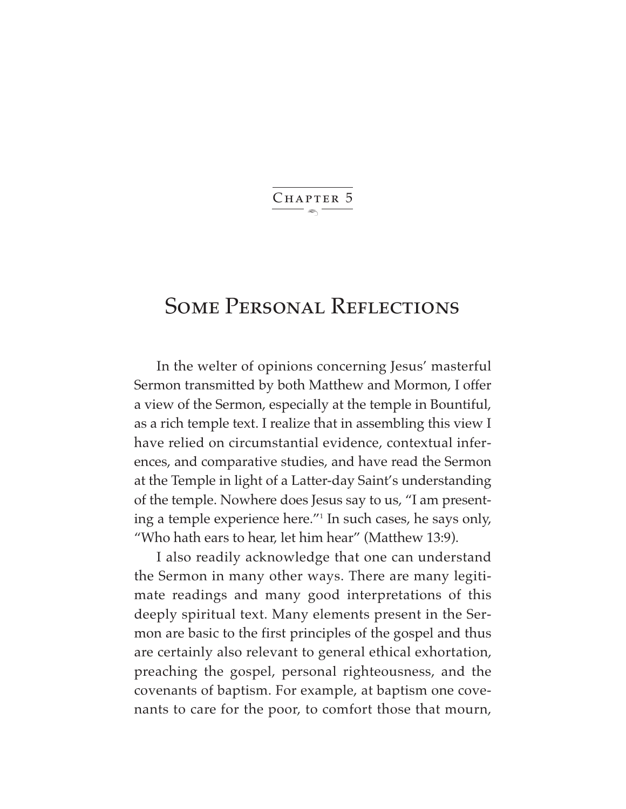$\ddot{\phantom{1}}$ CHAPTER 5

# Some Personal Reflections

In the welter of opinions concerning Jesus' masterful Sermon transmitted by both Matthew and Mormon, I offer a view of the Sermon, especially at the temple in Bountiful, as a rich temple text. I realize that in assembling this view I have relied on circumstantial evidence, contextual inferences, and comparative studies, and have read the Sermon at the Temple in light of a Latter-day Saint's understanding of the temple. Nowhere does Jesus say to us, "I am presenting a temple experience here."1 In such cases, he says only, "Who hath ears to hear, let him hear" (Matthew 13:9).

I also readily acknowledge that one can understand the Sermon in many other ways. There are many legitimate readings and many good interpretations of this deeply spiritual text. Many elements present in the Sermon are basic to the first principles of the gospel and thus are certainly also relevant to general ethical exhortation, preaching the gospel, personal righteousness, and the covenants of baptism. For example, at baptism one covenants to care for the poor, to comfort those that mourn,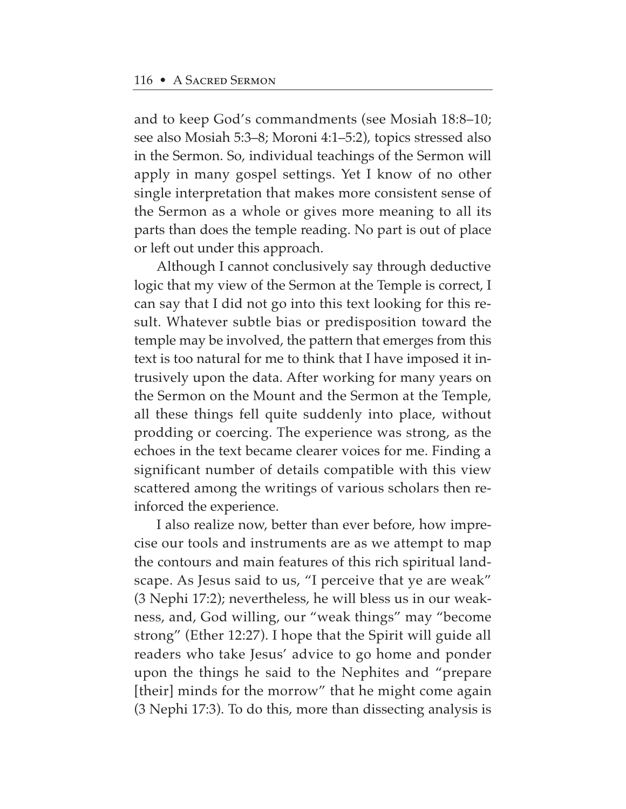and to keep God's commandments (see Mosiah 18:8–10; see also Mosiah 5:3–8; Moroni 4:1–5:2), topics stressed also in the Sermon. So, individual teachings of the Sermon will apply in many gospel settings. Yet I know of no other single interpretation that makes more consistent sense of the Sermon as a whole or gives more meaning to all its parts than does the temple reading. No part is out of place or left out under this approach.

Although I cannot conclusively say through deductive logic that my view of the Sermon at the Temple is correct, I can say that I did not go into this text looking for this result. Whatever subtle bias or predisposition toward the temple may be involved, the pattern that emerges from this text is too natural for me to think that I have imposed it intrusively upon the data. After working for many years on the Sermon on the Mount and the Sermon at the Temple, all these things fell quite suddenly into place, without prodding or coercing. The experience was strong, as the echoes in the text became clearer voices for me. Finding a significant number of details compatible with this view scattered among the writings of various scholars then reinforced the experience.

I also realize now, better than ever before, how imprecise our tools and instruments are as we attempt to map the contours and main features of this rich spiritual landscape. As Jesus said to us, "I perceive that ye are weak" (3 Nephi 17:2); nevertheless, he will bless us in our weakness, and, God willing, our "weak things" may "become strong" (Ether 12:27). I hope that the Spirit will guide all readers who take Jesus' advice to go home and ponder upon the things he said to the Nephites and "prepare [their] minds for the morrow" that he might come again (3 Nephi 17:3). To do this, more than dissecting analysis is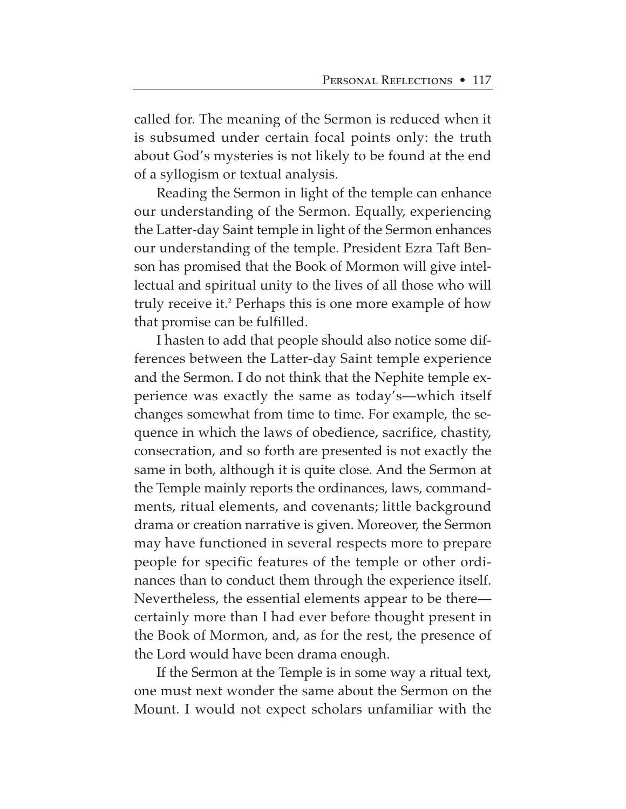called for. The meaning of the Sermon is reduced when it is subsumed under certain focal points only: the truth about God's mysteries is not likely to be found at the end of a syllogism or textual analysis.

Reading the Sermon in light of the temple can enhance our understanding of the Sermon. Equally, experiencing the Latter-day Saint temple in light of the Sermon enhances our understanding of the temple. President Ezra Taft Benson has promised that the Book of Mormon will give intellectual and spiritual unity to the lives of all those who will truly receive it.<sup>2</sup> Perhaps this is one more example of how that promise can be fulfilled.

I hasten to add that people should also notice some differences between the Latter-day Saint temple experience and the Sermon. I do not think that the Nephite temple experience was exactly the same as today's—which itself changes somewhat from time to time. For example, the sequence in which the laws of obedience, sacrifice, chastity, consecration, and so forth are presented is not exactly the same in both, although it is quite close. And the Sermon at the Temple mainly reports the ordinances, laws, commandments, ritual elements, and covenants; little background drama or creation narrative is given. Moreover, the Sermon may have functioned in several respects more to prepare people for specific features of the temple or other ordinances than to conduct them through the experience itself. Nevertheless, the essential elements appear to be there certainly more than I had ever before thought present in the Book of Mormon, and, as for the rest, the presence of the Lord would have been drama enough.

If the Sermon at the Temple is in some way a ritual text, one must next wonder the same about the Sermon on the Mount. I would not expect scholars unfamiliar with the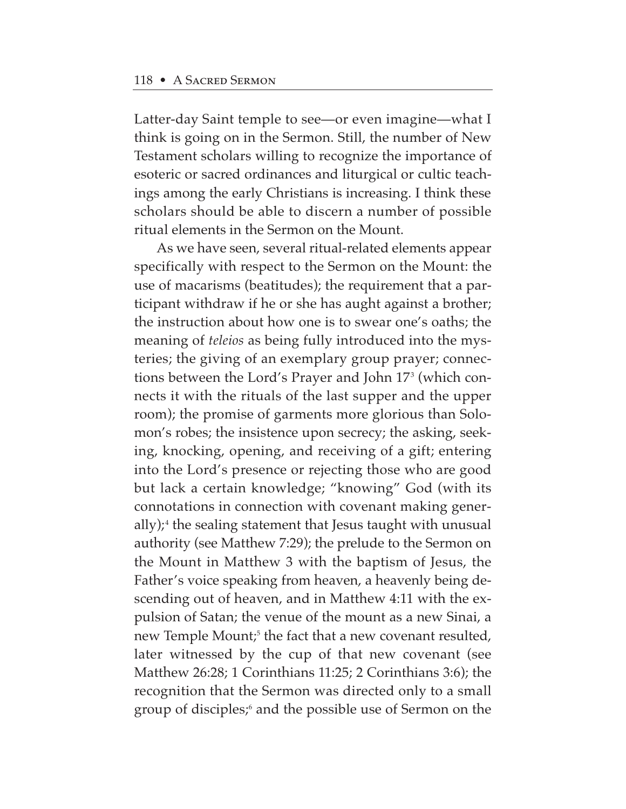Latter-day Saint temple to see—or even imagine—what I think is going on in the Sermon. Still, the number of New Testament scholars willing to recognize the importance of esoteric or sacred ordinances and liturgical or cultic teachings among the early Christians is increasing. I think these scholars should be able to discern a number of possible ritual elements in the Sermon on the Mount.

As we have seen, several ritual-related elements appear specifically with respect to the Sermon on the Mount: the use of macarisms (beatitudes); the requirement that a participant withdraw if he or she has aught against a brother; the instruction about how one is to swear one's oaths; the meaning of *teleios* as being fully introduced into the mysteries; the giving of an exemplary group prayer; connections between the Lord's Prayer and John 173 (which connects it with the rituals of the last supper and the upper room); the promise of garments more glorious than Solomon's robes; the insistence upon secrecy; the asking, seeking, knocking, opening, and receiving of a gift; entering into the Lord's presence or rejecting those who are good but lack a certain knowledge; "knowing" God (with its connotations in connection with covenant making generally);<sup>4</sup> the sealing statement that Jesus taught with unusual authority (see Matthew 7:29); the prelude to the Sermon on the Mount in Matthew 3 with the baptism of Jesus, the Father's voice speaking from heaven, a heavenly being descending out of heaven, and in Matthew 4:11 with the expulsion of Satan; the venue of the mount as a new Sinai, a new Temple Mount;<sup>5</sup> the fact that a new covenant resulted, later witnessed by the cup of that new covenant (see Matthew 26:28; 1 Corinthians 11:25; 2 Corinthians 3:6); the recognition that the Sermon was directed only to a small group of disciples;<sup>6</sup> and the possible use of Sermon on the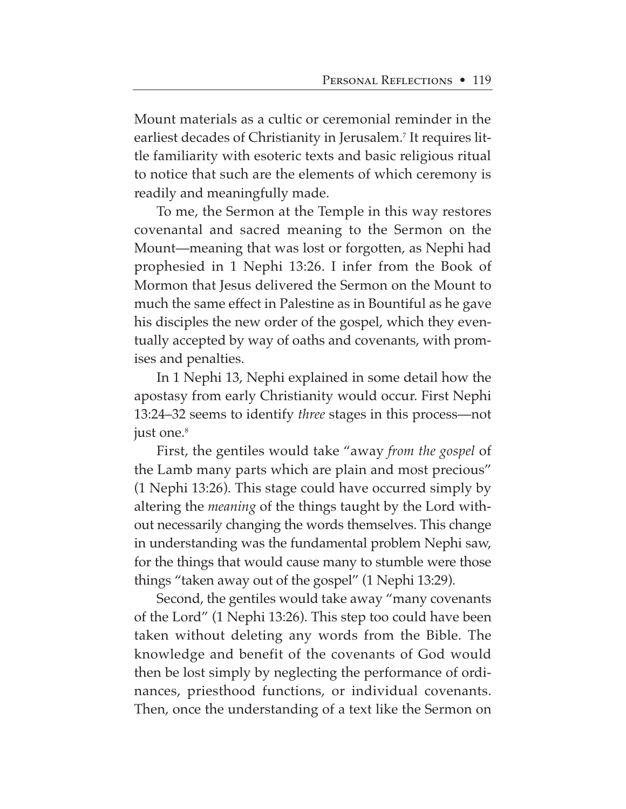Mount materials as a cultic or ceremonial reminder in the earliest decades of Christianity in Jerusalem.<sup>7</sup> It requires little familiarity with esoteric texts and basic religious ritual to notice that such are the elements of which ceremony is readily and meaningfully made.

To me, the Sermon at the Temple in this way restores covenantal and sacred meaning to the Sermon on the Mount—meaning that was lost or forgotten, as Nephi had prophesied in 1 Nephi 13:26. I infer from the Book of Mormon that Jesus delivered the Sermon on the Mount to much the same effect in Palestine as in Bountiful as he gave his disciples the new order of the gospel, which they eventually accepted by way of oaths and covenants, with promises and penalties.

In 1 Nephi 13, Nephi explained in some detail how the apostasy from early Christianity would occur. First Nephi 13:24–32 seems to identify *three* stages in this process—not just one.<sup>8</sup>

First, the gentiles would take "away *from the gospel* of the Lamb many parts which are plain and most precious" (1 Nephi 13:26). This stage could have occurred simply by altering the *meaning* of the things taught by the Lord without necessarily changing the words themselves. This change in understanding was the fundamental problem Nephi saw, for the things that would cause many to stumble were those things "taken away out of the gospel" (1 Nephi 13:29).

Second, the gentiles would take away "many covenants of the Lord" (1 Nephi 13:26). This step too could have been taken without deleting any words from the Bible. The knowledge and benefit of the covenants of God would then be lost simply by neglecting the performance of ordinances, priesthood functions, or individual covenants. Then, once the understanding of a text like the Sermon on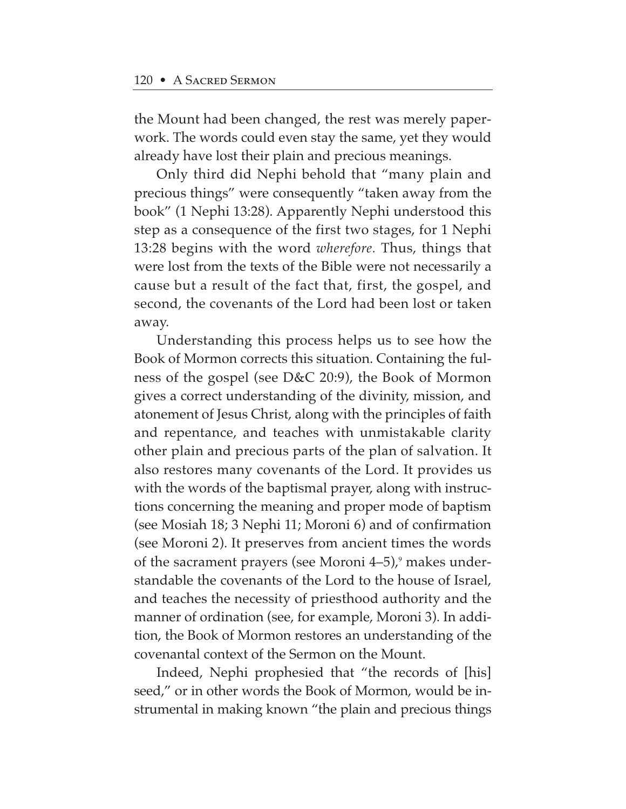the Mount had been changed, the rest was merely paperwork. The words could even stay the same, yet they would already have lost their plain and precious meanings.

Only third did Nephi behold that "many plain and precious things" were consequently "taken away from the book" (1 Nephi 13:28). Apparently Nephi understood this step as a consequence of the first two stages, for 1 Nephi 13:28 begins with the word *wherefore.* Thus, things that were lost from the texts of the Bible were not necessarily a cause but a result of the fact that, first, the gospel, and second, the covenants of the Lord had been lost or taken away.

Understanding this process helps us to see how the Book of Mormon corrects this situation. Containing the fulness of the gospel (see D&C 20:9), the Book of Mormon gives a correct understanding of the divinity, mission, and atonement of Jesus Christ, along with the principles of faith and repentance, and teaches with unmistakable clarity other plain and precious parts of the plan of salvation. It also restores many covenants of the Lord. It provides us with the words of the baptismal prayer, along with instructions concerning the meaning and proper mode of baptism (see Mosiah 18; 3 Nephi 11; Moroni 6) and of confirmation (see Moroni 2). It preserves from ancient times the words of the sacrament prayers (see Moroni  $4-5$ ),<sup>9</sup> makes understandable the covenants of the Lord to the house of Israel, and teaches the necessity of priesthood authority and the manner of ordination (see, for example, Moroni 3). In addition, the Book of Mormon restores an understanding of the covenantal context of the Sermon on the Mount.

Indeed, Nephi prophesied that "the records of [his] seed," or in other words the Book of Mormon, would be instrumental in making known "the plain and precious things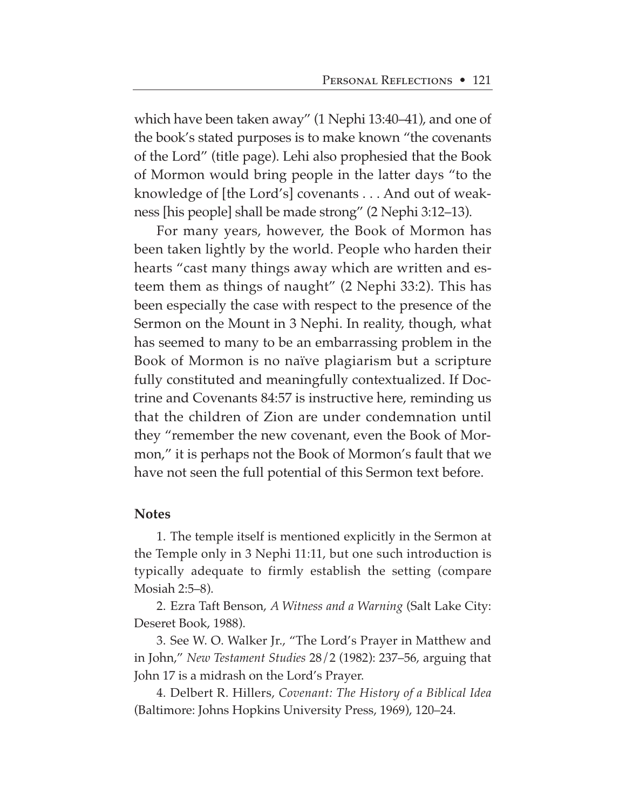which have been taken away" (1 Nephi 13:40–41), and one of the book's stated purposes is to make known "the covenants of the Lord" (title page). Lehi also prophesied that the Book of Mormon would bring people in the latter days "to the knowledge of [the Lord's] covenants . . . And out of weakness [his people] shall be made strong" (2 Nephi 3:12–13).

For many years, however, the Book of Mormon has been taken lightly by the world. People who harden their hearts "cast many things away which are written and esteem them as things of naught" (2 Nephi 33:2). This has been especially the case with respect to the presence of the Sermon on the Mount in 3 Nephi. In reality, though, what has seemed to many to be an embarrassing problem in the Book of Mormon is no naïve plagiarism but a scripture fully constituted and meaningfully contextualized. If Doctrine and Covenants 84:57 is instructive here, reminding us that the children of Zion are under condemnation until they "remember the new covenant, even the Book of Mormon," it is perhaps not the Book of Mormon's fault that we have not seen the full potential of this Sermon text before.

#### **Notes**

1. The temple itself is mentioned explicitly in the Sermon at the Temple only in 3 Nephi 11:11, but one such introduction is typically adequate to firmly establish the setting (compare Mosiah 2:5–8).

2. Ezra Taft Benson, *A Witness and a Warning* (Salt Lake City: Deseret Book, 1988).

3. See W. O. Walker Jr., "The Lord's Prayer in Matthew and in John," *New Testament Studies* 28/2 (1982): 237–56, arguing that John 17 is a midrash on the Lord's Prayer.

4. Delbert R. Hillers, *Covenant: The History of a Biblical Idea* (Baltimore: Johns Hopkins University Press, 1969), 120–24.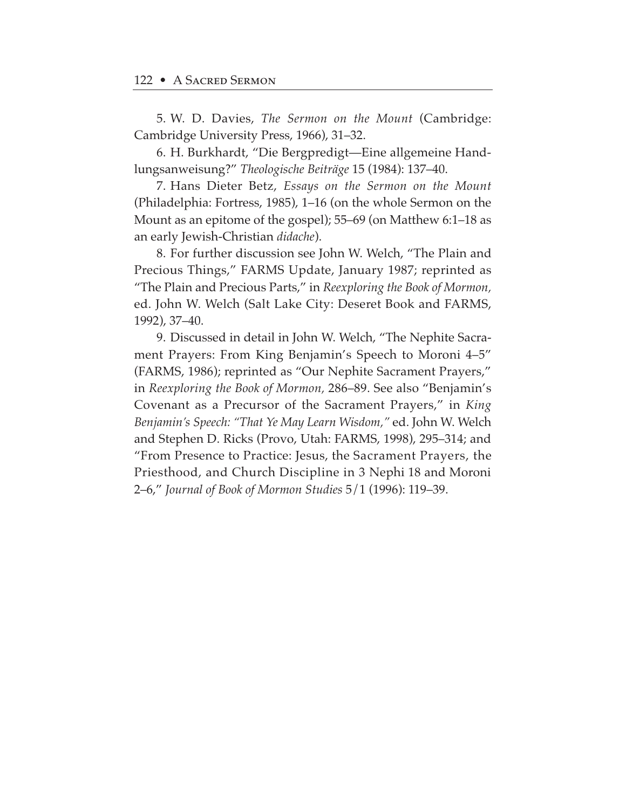5. W. D. Davies, *The Sermon on the Mount* (Cambridge: Cambridge University Press, 1966), 31–32.

6. H. Burkhardt, "Die Bergpredigt—Eine allgemeine Handlungsanweisung?" *Theologische Beiträge* 15 (1984): 137–40.

7. Hans Dieter Betz, *Essays on the Sermon on the Mount* (Philadelphia: Fortress, 1985), 1–16 (on the whole Sermon on the Mount as an epitome of the gospel); 55–69 (on Matthew 6:1–18 as an early Jewish-Christian *didache*).

8. For further discussion see John W. Welch, "The Plain and Precious Things," FARMS Update, January 1987; reprinted as "The Plain and Precious Parts," in *Reexploring the Book of Mormon,* ed. John W. Welch (Salt Lake City: Deseret Book and FARMS, 1992), 37–40.

9. Discussed in detail in John W. Welch, "The Nephite Sacrament Prayers: From King Benjamin's Speech to Moroni 4–5" (FARMS, 1986); reprinted as "Our Nephite Sacrament Prayers," in *Reexploring the Book of Mormon,* 286–89. See also "Benjamin's Covenant as a Precursor of the Sacrament Prayers," in *King Benjamin's Speech: "That Ye May Learn Wisdom,"* ed. John W. Welch and Stephen D. Ricks (Provo, Utah: FARMS, 1998), 295–314; and "From Presence to Practice: Jesus, the Sacrament Prayers, the Priesthood, and Church Discipline in 3 Nephi 18 and Moroni 2–6," *Journal of Book of Mormon Studies* 5/1 (1996): 119–39.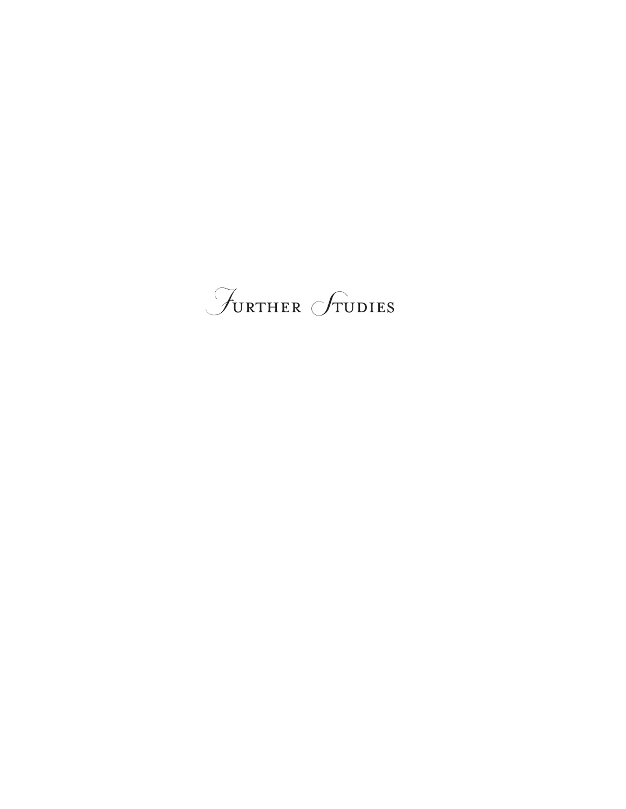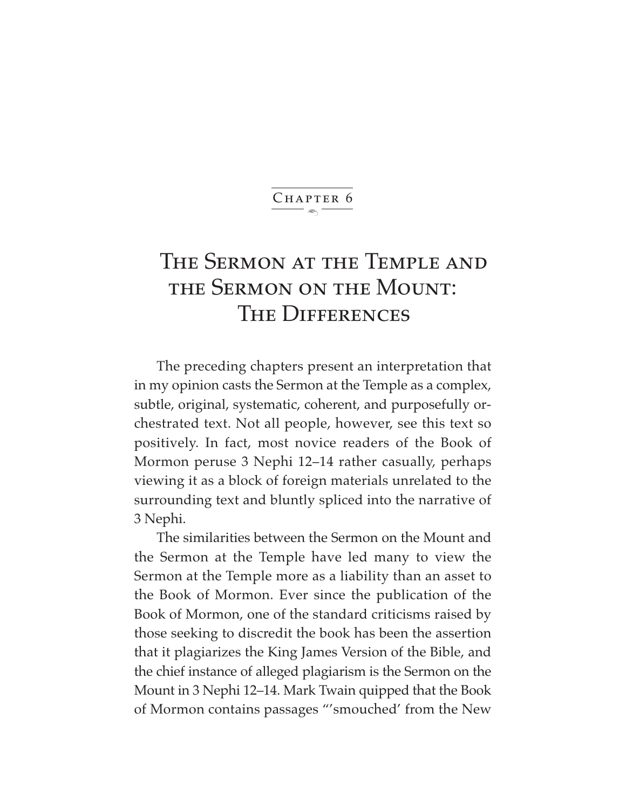#### $\ddot{\phantom{1}}$ CHAPTER 6

# The Sermon at the Temple and the Sermon on the Mount: THE DIFFERENCES

The preceding chapters present an interpretation that in my opinion casts the Sermon at the Temple as a complex, subtle, original, systematic, coherent, and purposefully orchestrated text. Not all people, however, see this text so positively. In fact, most novice readers of the Book of Mormon peruse 3 Nephi 12–14 rather casually, perhaps viewing it as a block of foreign materials unrelated to the surrounding text and bluntly spliced into the narrative of 3 Nephi.

The similarities between the Sermon on the Mount and the Sermon at the Temple have led many to view the Sermon at the Temple more as a liability than an asset to the Book of Mormon. Ever since the publication of the Book of Mormon, one of the standard criticisms raised by those seeking to discredit the book has been the assertion that it plagiarizes the King James Version of the Bible, and the chief instance of alleged plagiarism is the Sermon on the Mount in 3 Nephi 12–14. Mark Twain quipped that the Book of Mormon contains passages "'smouched' from the New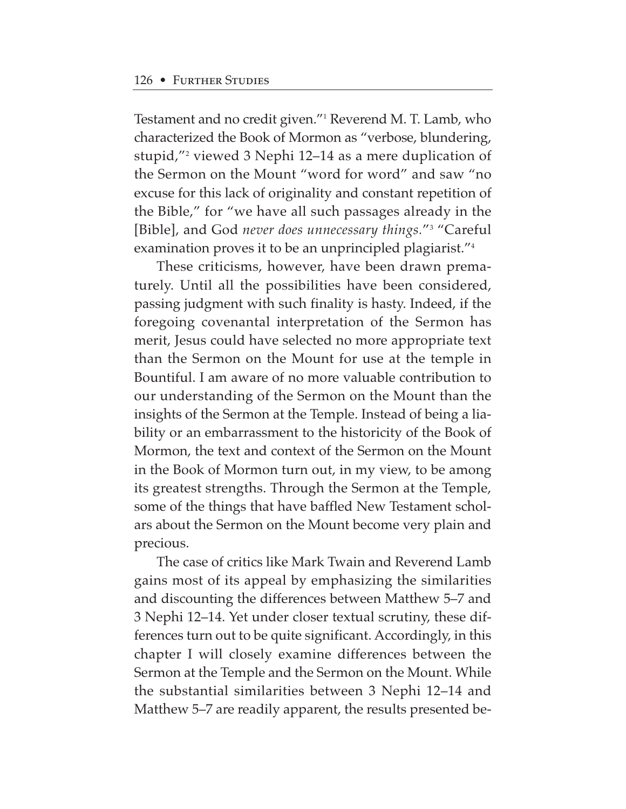Testament and no credit given."1 Reverend M. T. Lamb, who characterized the Book of Mormon as "verbose, blundering, stupid,"2 viewed 3 Nephi 12–14 as a mere duplication of the Sermon on the Mount "word for word" and saw "no excuse for this lack of originality and constant repetition of the Bible," for "we have all such passages already in the [Bible], and God *never does unnecessary things.*"3 "Careful examination proves it to be an unprincipled plagiarist."4

These criticisms, however, have been drawn prematurely. Until all the possibilities have been considered, passing judgment with such finality is hasty. Indeed, if the foregoing covenantal interpretation of the Sermon has merit, Jesus could have selected no more appropriate text than the Sermon on the Mount for use at the temple in Bountiful. I am aware of no more valuable contribution to our understanding of the Sermon on the Mount than the insights of the Sermon at the Temple. Instead of being a liability or an embarrassment to the historicity of the Book of Mormon, the text and context of the Sermon on the Mount in the Book of Mormon turn out, in my view, to be among its greatest strengths. Through the Sermon at the Temple, some of the things that have baffled New Testament scholars about the Sermon on the Mount become very plain and precious.

The case of critics like Mark Twain and Reverend Lamb gains most of its appeal by emphasizing the similarities and discounting the differences between Matthew 5–7 and 3 Nephi 12–14. Yet under closer textual scrutiny, these differences turn out to be quite significant. Accordingly, in this chapter I will closely examine differences between the Sermon at the Temple and the Sermon on the Mount. While the substantial similarities between 3 Nephi 12–14 and Matthew 5–7 are readily apparent, the results presented be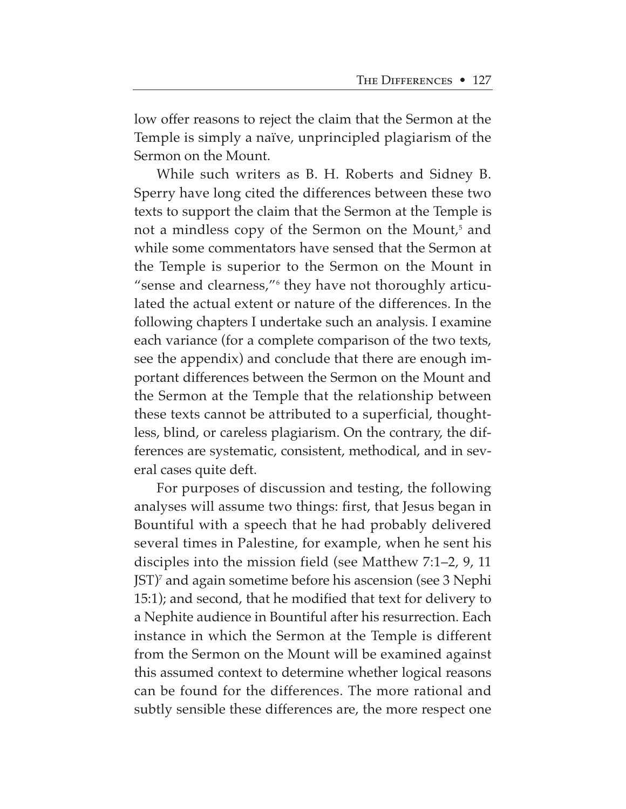low offer reasons to reject the claim that the Sermon at the Temple is simply a naïve, unprincipled plagiarism of the Sermon on the Mount.

While such writers as B. H. Roberts and Sidney B. Sperry have long cited the differences between these two texts to support the claim that the Sermon at the Temple is not a mindless copy of the Sermon on the Mount,<sup>5</sup> and while some commentators have sensed that the Sermon at the Temple is superior to the Sermon on the Mount in "sense and clearness,"6 they have not thoroughly articulated the actual extent or nature of the differences. In the following chapters I undertake such an analysis. I examine each variance (for a complete comparison of the two texts, see the appendix) and conclude that there are enough important differences between the Sermon on the Mount and the Sermon at the Temple that the relationship between these texts cannot be attributed to a superficial, thoughtless, blind, or careless plagiarism. On the contrary, the differences are systematic, consistent, methodical, and in several cases quite deft.

For purposes of discussion and testing, the following analyses will assume two things: first, that Jesus began in Bountiful with a speech that he had probably delivered several times in Palestine, for example, when he sent his disciples into the mission field (see Matthew 7:1–2, 9, 11 JST)7 and again sometime before his ascension (see 3 Nephi 15:1); and second, that he modified that text for delivery to a Nephite audience in Bountiful after his resurrection. Each instance in which the Sermon at the Temple is different from the Sermon on the Mount will be examined against this assumed context to determine whether logical reasons can be found for the differences. The more rational and subtly sensible these differences are, the more respect one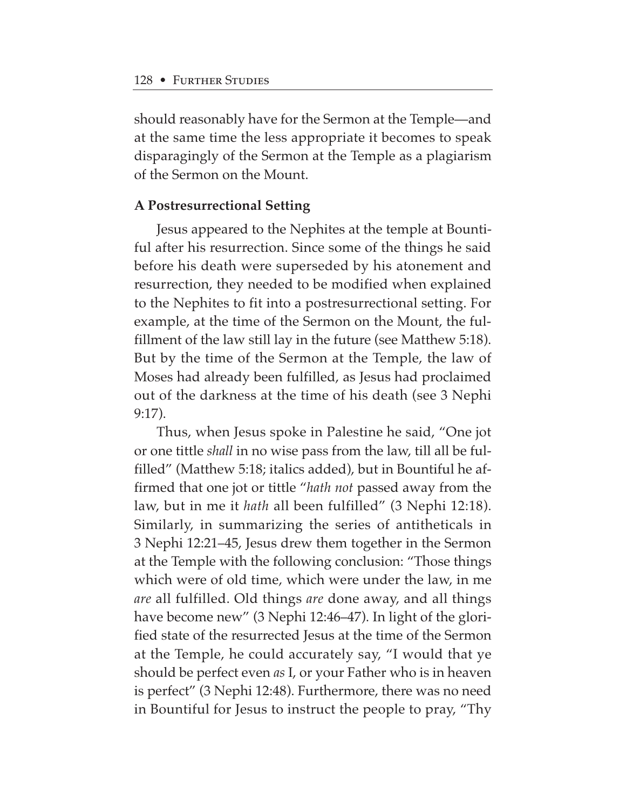should reasonably have for the Sermon at the Temple—and at the same time the less appropriate it becomes to speak disparagingly of the Sermon at the Temple as a plagiarism of the Sermon on the Mount.

## **A Postresurrectional Setting**

Jesus appeared to the Nephites at the temple at Bountiful after his resurrection. Since some of the things he said before his death were superseded by his atonement and resurrection, they needed to be modified when explained to the Nephites to fit into a postresurrectional setting. For example, at the time of the Sermon on the Mount, the fulfillment of the law still lay in the future (see Matthew 5:18). But by the time of the Sermon at the Temple, the law of Moses had already been fulfilled, as Jesus had proclaimed out of the darkness at the time of his death (see 3 Nephi 9:17).

Thus, when Jesus spoke in Palestine he said, "One jot or one tittle *shall* in no wise pass from the law, till all be fulfilled" (Matthew 5:18; italics added), but in Bountiful he affirmed that one jot or tittle "*hath not* passed away from the law, but in me it *hath* all been fulfilled" (3 Nephi 12:18). Similarly, in summarizing the series of antitheticals in 3 Nephi 12:21–45, Jesus drew them together in the Sermon at the Temple with the following conclusion: "Those things which were of old time, which were under the law, in me *are* all fulfilled. Old things *are* done away, and all things have become new" (3 Nephi 12:46-47). In light of the glorified state of the resurrected Jesus at the time of the Sermon at the Temple, he could accurately say, "I would that ye should be perfect even *as* I, or your Father who is in heaven is perfect" (3 Nephi 12:48). Furthermore, there was no need in Bountiful for Jesus to instruct the people to pray, "Thy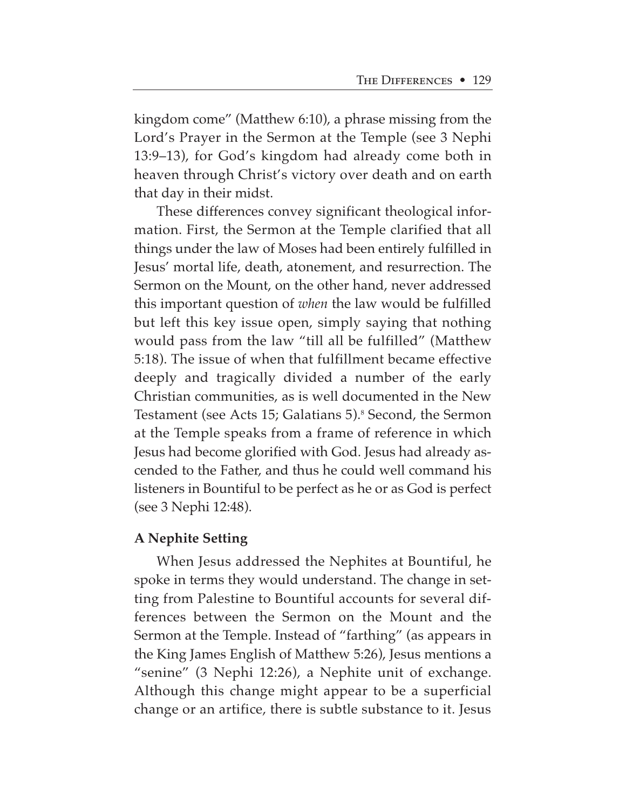kingdom come" (Matthew 6:10), a phrase missing from the Lord's Prayer in the Sermon at the Temple (see 3 Nephi 13:9–13), for God's kingdom had already come both in heaven through Christ's victory over death and on earth that day in their midst.

These differences convey significant theological information. First, the Sermon at the Temple clarified that all things under the law of Moses had been entirely fulfilled in Jesus' mortal life, death, atonement, and resurrection. The Sermon on the Mount, on the other hand, never addressed this important question of *when* the law would be fulfilled but left this key issue open, simply saying that nothing would pass from the law "till all be fulfilled" (Matthew 5:18). The issue of when that fulfillment became effective deeply and tragically divided a number of the early Christian communities, as is well documented in the New Testament (see Acts 15; Galatians 5).<sup>8</sup> Second, the Sermon at the Temple speaks from a frame of reference in which Jesus had become glorified with God. Jesus had already ascended to the Father, and thus he could well command his listeners in Bountiful to be perfect as he or as God is perfect (see 3 Nephi 12:48).

# **A Nephite Setting**

When Jesus addressed the Nephites at Bountiful, he spoke in terms they would understand. The change in setting from Palestine to Bountiful accounts for several differences between the Sermon on the Mount and the Sermon at the Temple. Instead of "farthing" (as appears in the King James English of Matthew 5:26), Jesus mentions a "senine" (3 Nephi 12:26), a Nephite unit of exchange. Although this change might appear to be a superficial change or an artifice, there is subtle substance to it. Jesus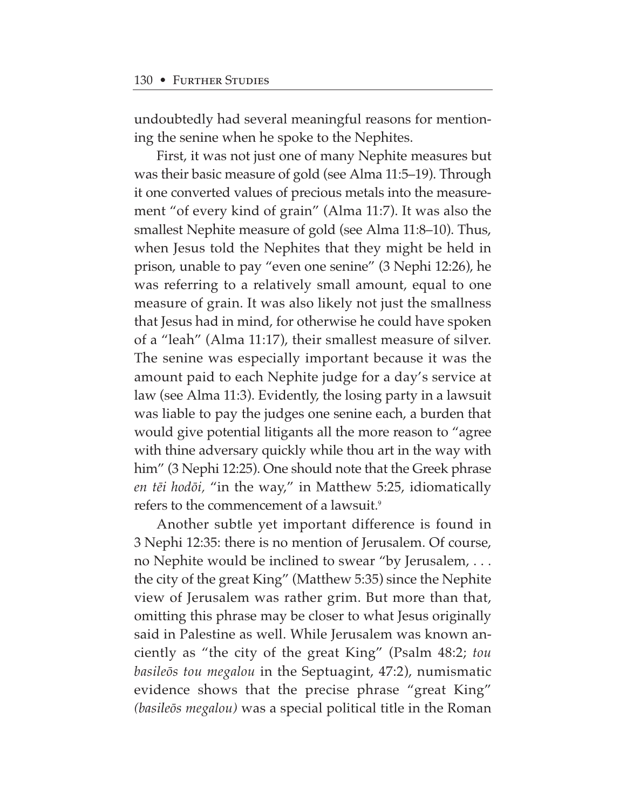undoubtedly had several meaningful reasons for mentioning the senine when he spoke to the Nephites.

First, it was not just one of many Nephite measures but was their basic measure of gold (see Alma 11:5–19). Through it one converted values of precious metals into the measurement "of every kind of grain" (Alma 11:7). It was also the smallest Nephite measure of gold (see Alma 11:8–10). Thus, when Jesus told the Nephites that they might be held in prison, unable to pay "even one senine" (3 Nephi 12:26), he was referring to a relatively small amount, equal to one measure of grain. It was also likely not just the smallness that Jesus had in mind, for otherwise he could have spoken of a "leah" (Alma 11:17), their smallest measure of silver. The senine was especially important because it was the amount paid to each Nephite judge for a day's service at law (see Alma 11:3). Evidently, the losing party in a lawsuit was liable to pay the judges one senine each, a burden that would give potential litigants all the more reason to "agree with thine adversary quickly while thou art in the way with him" (3 Nephi 12:25). One should note that the Greek phrase *en t∑i hodøi,* "in the way," in Matthew 5:25, idiomatically refers to the commencement of a lawsuit.<sup>9</sup>

Another subtle yet important difference is found in 3 Nephi 12:35: there is no mention of Jerusalem. Of course, no Nephite would be inclined to swear "by Jerusalem, . . . the city of the great King" (Matthew 5:35) since the Nephite view of Jerusalem was rather grim. But more than that, omitting this phrase may be closer to what Jesus originally said in Palestine as well. While Jerusalem was known anciently as "the city of the great King" (Psalm 48:2; *tou basileøs tou megalou* in the Septuagint, 47:2), numismatic evidence shows that the precise phrase "great King" *(basileøs megalou)* was a special political title in the Roman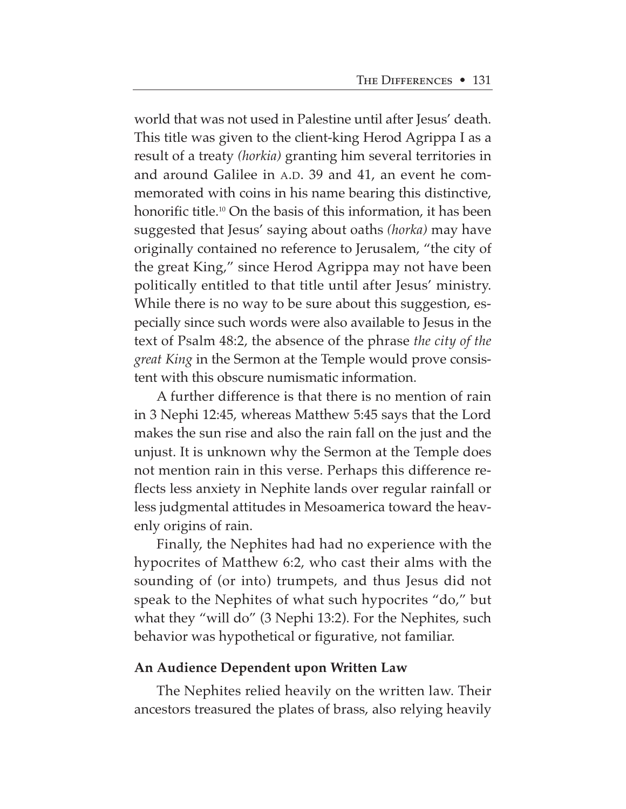world that was not used in Palestine until after Jesus' death. This title was given to the client-king Herod Agrippa I as a result of a treaty *(horkia)* granting him several territories in and around Galilee in A.D. 39 and 41, an event he commemorated with coins in his name bearing this distinctive, honorific title.<sup>10</sup> On the basis of this information, it has been suggested that Jesus' saying about oaths *(horka)* may have originally contained no reference to Jerusalem, "the city of the great King," since Herod Agrippa may not have been politically entitled to that title until after Jesus' ministry. While there is no way to be sure about this suggestion, especially since such words were also available to Jesus in the text of Psalm 48:2, the absence of the phrase *the city of the great King* in the Sermon at the Temple would prove consistent with this obscure numismatic information.

A further difference is that there is no mention of rain in 3 Nephi 12:45, whereas Matthew 5:45 says that the Lord makes the sun rise and also the rain fall on the just and the unjust. It is unknown why the Sermon at the Temple does not mention rain in this verse. Perhaps this difference reflects less anxiety in Nephite lands over regular rainfall or less judgmental attitudes in Mesoamerica toward the heavenly origins of rain.

Finally, the Nephites had had no experience with the hypocrites of Matthew 6:2, who cast their alms with the sounding of (or into) trumpets, and thus Jesus did not speak to the Nephites of what such hypocrites "do," but what they "will do" (3 Nephi 13:2). For the Nephites, such behavior was hypothetical or figurative, not familiar.

#### **An Audience Dependent upon Written Law**

The Nephites relied heavily on the written law. Their ancestors treasured the plates of brass, also relying heavily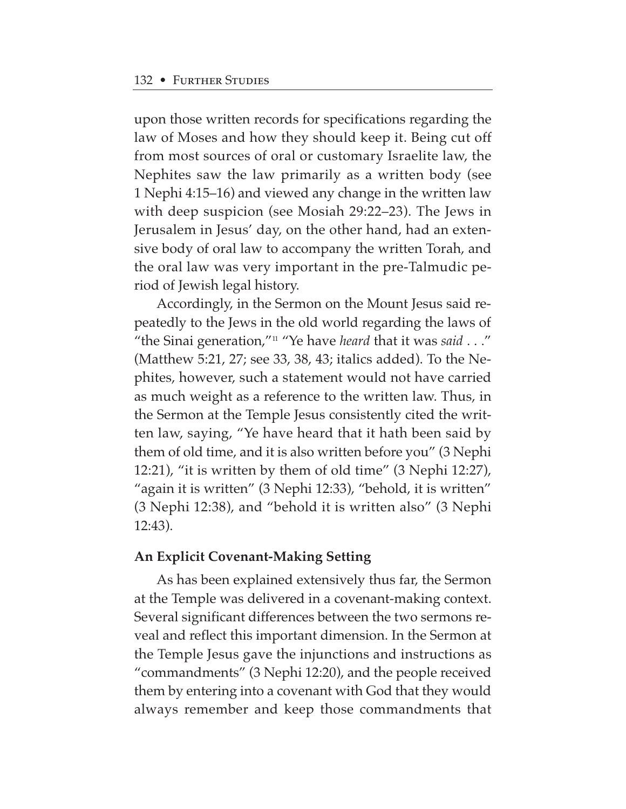upon those written records for specifications regarding the law of Moses and how they should keep it. Being cut off from most sources of oral or customary Israelite law, the Nephites saw the law primarily as a written body (see 1 Nephi 4:15–16) and viewed any change in the written law with deep suspicion (see Mosiah 29:22–23). The Jews in Jerusalem in Jesus' day, on the other hand, had an extensive body of oral law to accompany the written Torah, and the oral law was very important in the pre-Talmudic period of Jewish legal history.

Accordingly, in the Sermon on the Mount Jesus said repeatedly to the Jews in the old world regarding the laws of "the Sinai generation,"11 "Ye have *heard* that it was *said* . . ." (Matthew 5:21, 27; see 33, 38, 43; italics added). To the Nephites, however, such a statement would not have carried as much weight as a reference to the written law. Thus, in the Sermon at the Temple Jesus consistently cited the written law, saying, "Ye have heard that it hath been said by them of old time, and it is also written before you" (3 Nephi 12:21), "it is written by them of old time" (3 Nephi 12:27), "again it is written" (3 Nephi 12:33), "behold, it is written" (3 Nephi 12:38), and "behold it is written also" (3 Nephi 12:43).

## **An Explicit Covenant-Making Setting**

As has been explained extensively thus far, the Sermon at the Temple was delivered in a covenant-making context. Several significant differences between the two sermons reveal and reflect this important dimension. In the Sermon at the Temple Jesus gave the injunctions and instructions as "commandments" (3 Nephi 12:20), and the people received them by entering into a covenant with God that they would always remember and keep those commandments that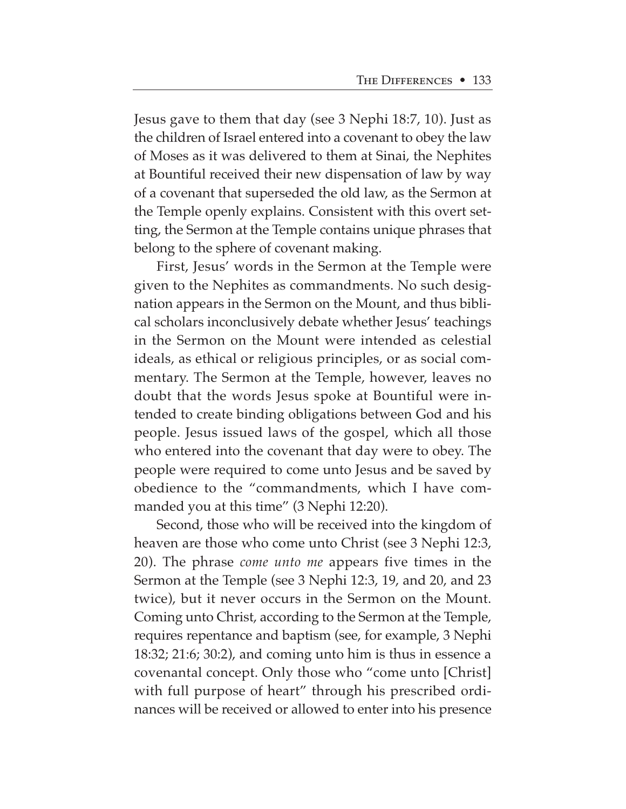Jesus gave to them that day (see 3 Nephi 18:7, 10). Just as the children of Israel entered into a covenant to obey the law of Moses as it was delivered to them at Sinai, the Nephites at Bountiful received their new dispensation of law by way of a covenant that superseded the old law, as the Sermon at the Temple openly explains. Consistent with this overt setting, the Sermon at the Temple contains unique phrases that belong to the sphere of covenant making.

First, Jesus' words in the Sermon at the Temple were given to the Nephites as commandments. No such designation appears in the Sermon on the Mount, and thus biblical scholars inconclusively debate whether Jesus' teachings in the Sermon on the Mount were intended as celestial ideals, as ethical or religious principles, or as social commentary. The Sermon at the Temple, however, leaves no doubt that the words Jesus spoke at Bountiful were intended to create binding obligations between God and his people. Jesus issued laws of the gospel, which all those who entered into the covenant that day were to obey. The people were required to come unto Jesus and be saved by obedience to the "commandments, which I have commanded you at this time" (3 Nephi 12:20).

Second, those who will be received into the kingdom of heaven are those who come unto Christ (see 3 Nephi 12:3, 20). The phrase *come unto me* appears five times in the Sermon at the Temple (see 3 Nephi 12:3, 19, and 20, and 23 twice), but it never occurs in the Sermon on the Mount. Coming unto Christ, according to the Sermon at the Temple, requires repentance and baptism (see, for example, 3 Nephi 18:32; 21:6; 30:2), and coming unto him is thus in essence a covenantal concept. Only those who "come unto [Christ] with full purpose of heart" through his prescribed ordinances will be received or allowed to enter into his presence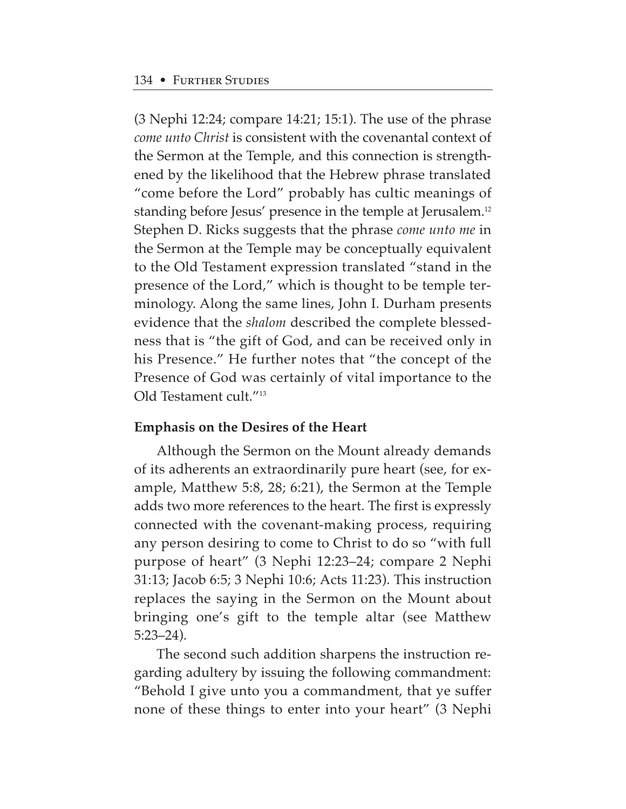(3 Nephi 12:24; compare 14:21; 15:1). The use of the phrase *come unto Christ* is consistent with the covenantal context of the Sermon at the Temple, and this connection is strengthened by the likelihood that the Hebrew phrase translated "come before the Lord" probably has cultic meanings of standing before Jesus' presence in the temple at Jerusalem.<sup>12</sup> Stephen D. Ricks suggests that the phrase *come unto me* in the Sermon at the Temple may be conceptually equivalent to the Old Testament expression translated "stand in the presence of the Lord," which is thought to be temple terminology. Along the same lines, John I. Durham presents evidence that the *shalom* described the complete blessedness that is "the gift of God, and can be received only in his Presence." He further notes that "the concept of the Presence of God was certainly of vital importance to the Old Testament cult."13

# **Emphasis on the Desires of the Heart**

Although the Sermon on the Mount already demands of its adherents an extraordinarily pure heart (see, for example, Matthew 5:8, 28; 6:21), the Sermon at the Temple adds two more references to the heart. The first is expressly connected with the covenant-making process, requiring any person desiring to come to Christ to do so "with full purpose of heart" (3 Nephi 12:23–24; compare 2 Nephi 31:13; Jacob 6:5; 3 Nephi 10:6; Acts 11:23). This instruction replaces the saying in the Sermon on the Mount about bringing one's gift to the temple altar (see Matthew 5:23–24).

The second such addition sharpens the instruction regarding adultery by issuing the following commandment: "Behold I give unto you a commandment, that ye suffer none of these things to enter into your heart" (3 Nephi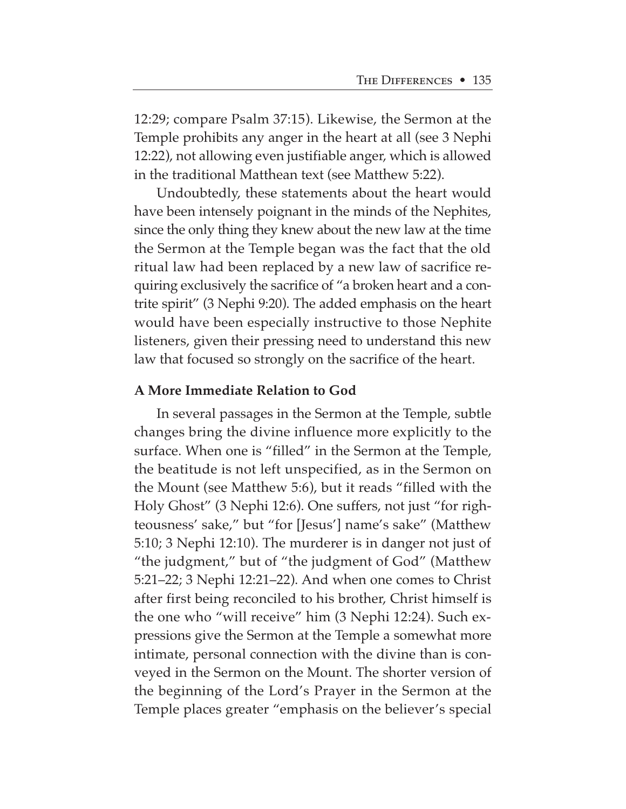12:29; compare Psalm 37:15). Likewise, the Sermon at the Temple prohibits any anger in the heart at all (see 3 Nephi 12:22), not allowing even justifiable anger, which is allowed in the traditional Matthean text (see Matthew 5:22).

Undoubtedly, these statements about the heart would have been intensely poignant in the minds of the Nephites, since the only thing they knew about the new law at the time the Sermon at the Temple began was the fact that the old ritual law had been replaced by a new law of sacrifice requiring exclusively the sacrifice of "a broken heart and a contrite spirit" (3 Nephi 9:20). The added emphasis on the heart would have been especially instructive to those Nephite listeners, given their pressing need to understand this new law that focused so strongly on the sacrifice of the heart.

## **A More Immediate Relation to God**

In several passages in the Sermon at the Temple, subtle changes bring the divine influence more explicitly to the surface. When one is "filled" in the Sermon at the Temple, the beatitude is not left unspecified, as in the Sermon on the Mount (see Matthew 5:6), but it reads "filled with the Holy Ghost" (3 Nephi 12:6). One suffers, not just "for righteousness' sake," but "for [Jesus'] name's sake" (Matthew 5:10; 3 Nephi 12:10). The murderer is in danger not just of "the judgment," but of "the judgment of God" (Matthew 5:21–22; 3 Nephi 12:21–22). And when one comes to Christ after first being reconciled to his brother, Christ himself is the one who "will receive" him (3 Nephi 12:24). Such expressions give the Sermon at the Temple a somewhat more intimate, personal connection with the divine than is conveyed in the Sermon on the Mount. The shorter version of the beginning of the Lord's Prayer in the Sermon at the Temple places greater "emphasis on the believer's special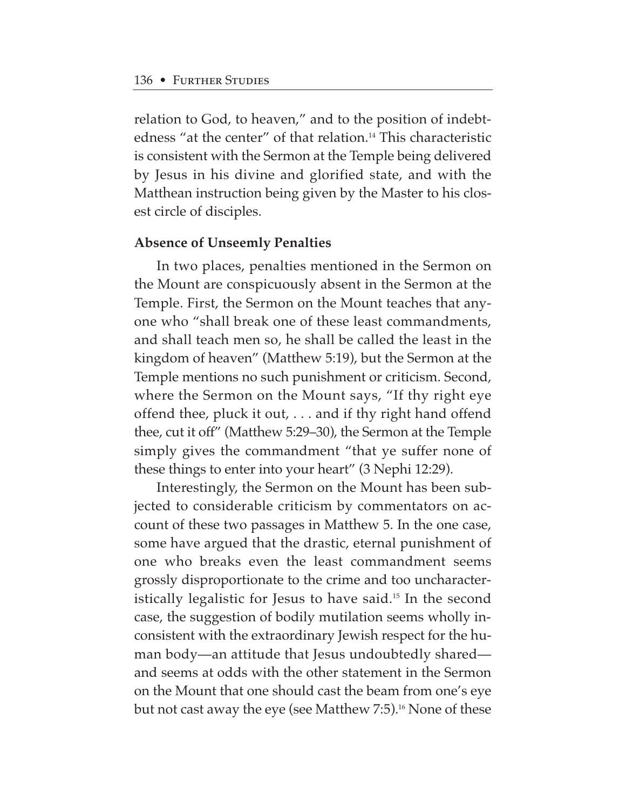relation to God, to heaven," and to the position of indebtedness "at the center" of that relation.<sup>14</sup> This characteristic is consistent with the Sermon at the Temple being delivered by Jesus in his divine and glorified state, and with the Matthean instruction being given by the Master to his closest circle of disciples.

#### **Absence of Unseemly Penalties**

In two places, penalties mentioned in the Sermon on the Mount are conspicuously absent in the Sermon at the Temple. First, the Sermon on the Mount teaches that anyone who "shall break one of these least commandments, and shall teach men so, he shall be called the least in the kingdom of heaven" (Matthew 5:19), but the Sermon at the Temple mentions no such punishment or criticism. Second, where the Sermon on the Mount says, "If thy right eye offend thee, pluck it out, . . . and if thy right hand offend thee, cut it off" (Matthew 5:29–30), the Sermon at the Temple simply gives the commandment "that ye suffer none of these things to enter into your heart" (3 Nephi 12:29).

Interestingly, the Sermon on the Mount has been subjected to considerable criticism by commentators on account of these two passages in Matthew 5. In the one case, some have argued that the drastic, eternal punishment of one who breaks even the least commandment seems grossly disproportionate to the crime and too uncharacteristically legalistic for Jesus to have said.15 In the second case, the suggestion of bodily mutilation seems wholly inconsistent with the extraordinary Jewish respect for the human body—an attitude that Jesus undoubtedly shared and seems at odds with the other statement in the Sermon on the Mount that one should cast the beam from one's eye but not cast away the eye (see Matthew 7:5).<sup>16</sup> None of these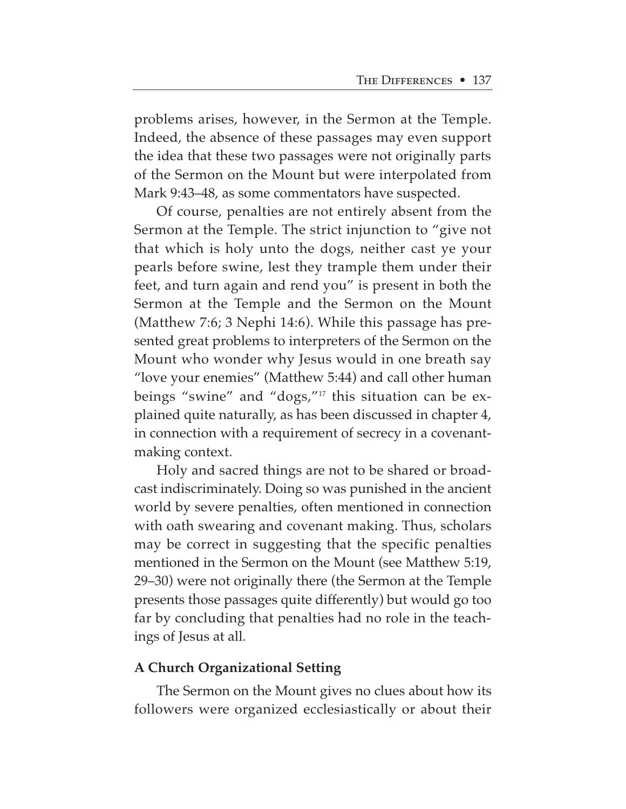problems arises, however, in the Sermon at the Temple. Indeed, the absence of these passages may even support the idea that these two passages were not originally parts of the Sermon on the Mount but were interpolated from Mark 9:43–48, as some commentators have suspected.

Of course, penalties are not entirely absent from the Sermon at the Temple. The strict injunction to "give not that which is holy unto the dogs, neither cast ye your pearls before swine, lest they trample them under their feet, and turn again and rend you" is present in both the Sermon at the Temple and the Sermon on the Mount (Matthew 7:6; 3 Nephi 14:6). While this passage has presented great problems to interpreters of the Sermon on the Mount who wonder why Jesus would in one breath say "love your enemies" (Matthew 5:44) and call other human beings "swine" and "dogs,"17 this situation can be explained quite naturally, as has been discussed in chapter 4, in connection with a requirement of secrecy in a covenantmaking context.

Holy and sacred things are not to be shared or broadcast indiscriminately. Doing so was punished in the ancient world by severe penalties, often mentioned in connection with oath swearing and covenant making. Thus, scholars may be correct in suggesting that the specific penalties mentioned in the Sermon on the Mount (see Matthew 5:19, 29–30) were not originally there (the Sermon at the Temple presents those passages quite differently) but would go too far by concluding that penalties had no role in the teachings of Jesus at all.

# **A Church Organizational Setting**

The Sermon on the Mount gives no clues about how its followers were organized ecclesiastically or about their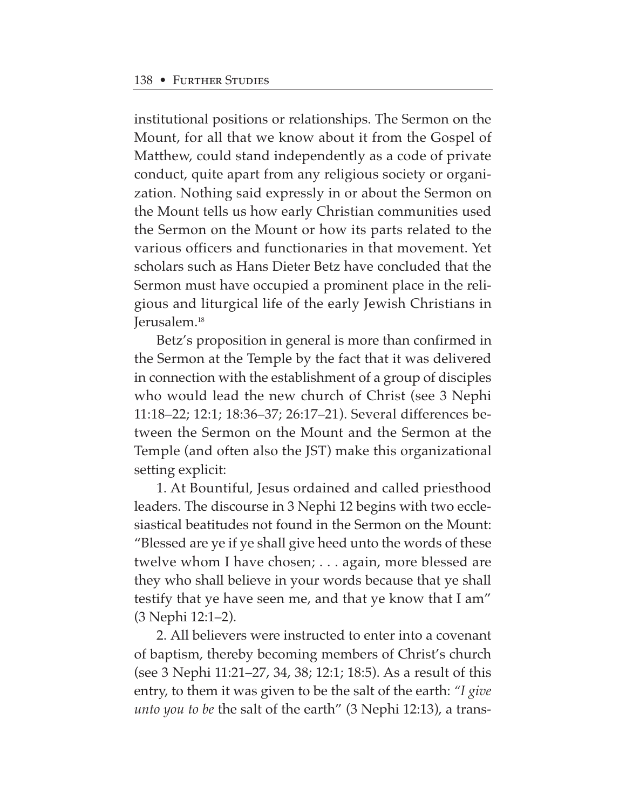institutional positions or relationships. The Sermon on the Mount, for all that we know about it from the Gospel of Matthew, could stand independently as a code of private conduct, quite apart from any religious society or organization. Nothing said expressly in or about the Sermon on the Mount tells us how early Christian communities used the Sermon on the Mount or how its parts related to the various officers and functionaries in that movement. Yet scholars such as Hans Dieter Betz have concluded that the Sermon must have occupied a prominent place in the religious and liturgical life of the early Jewish Christians in Jerusalem.18

Betz's proposition in general is more than confirmed in the Sermon at the Temple by the fact that it was delivered in connection with the establishment of a group of disciples who would lead the new church of Christ (see 3 Nephi 11:18–22; 12:1; 18:36–37; 26:17–21). Several differences between the Sermon on the Mount and the Sermon at the Temple (and often also the JST) make this organizational setting explicit:

1. At Bountiful, Jesus ordained and called priesthood leaders. The discourse in 3 Nephi 12 begins with two ecclesiastical beatitudes not found in the Sermon on the Mount: "Blessed are ye if ye shall give heed unto the words of these twelve whom I have chosen; . . . again, more blessed are they who shall believe in your words because that ye shall testify that ye have seen me, and that ye know that I am" (3 Nephi 12:1–2).

2. All believers were instructed to enter into a covenant of baptism, thereby becoming members of Christ's church (see 3 Nephi 11:21–27, 34, 38; 12:1; 18:5). As a result of this entry, to them it was given to be the salt of the earth: *"I give unto you to be* the salt of the earth" (3 Nephi 12:13), a trans-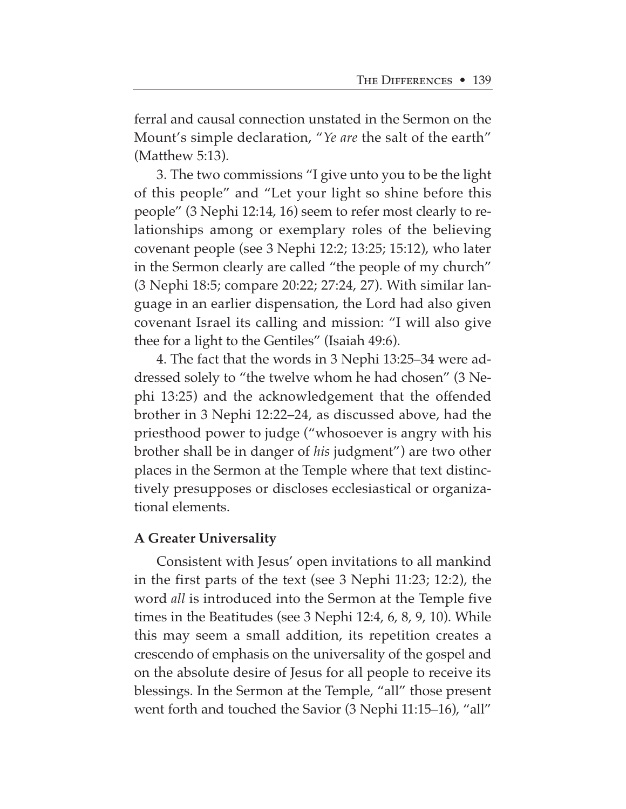ferral and causal connection unstated in the Sermon on the Mount's simple declaration, "*Ye are* the salt of the earth" (Matthew 5:13).

3. The two commissions "I give unto you to be the light of this people" and "Let your light so shine before this people" (3 Nephi 12:14, 16) seem to refer most clearly to relationships among or exemplary roles of the believing covenant people (see 3 Nephi 12:2; 13:25; 15:12), who later in the Sermon clearly are called "the people of my church" (3 Nephi 18:5; compare 20:22; 27:24, 27). With similar language in an earlier dispensation, the Lord had also given covenant Israel its calling and mission: "I will also give thee for a light to the Gentiles" (Isaiah 49:6).

4. The fact that the words in 3 Nephi 13:25–34 were addressed solely to "the twelve whom he had chosen" (3 Nephi 13:25) and the acknowledgement that the offended brother in 3 Nephi 12:22–24, as discussed above, had the priesthood power to judge ("whosoever is angry with his brother shall be in danger of *his* judgment") are two other places in the Sermon at the Temple where that text distinctively presupposes or discloses ecclesiastical or organizational elements.

## **A Greater Universality**

Consistent with Jesus' open invitations to all mankind in the first parts of the text (see 3 Nephi 11:23; 12:2), the word *all* is introduced into the Sermon at the Temple five times in the Beatitudes (see 3 Nephi 12:4, 6, 8, 9, 10). While this may seem a small addition, its repetition creates a crescendo of emphasis on the universality of the gospel and on the absolute desire of Jesus for all people to receive its blessings. In the Sermon at the Temple, "all" those present went forth and touched the Savior (3 Nephi 11:15–16), "all"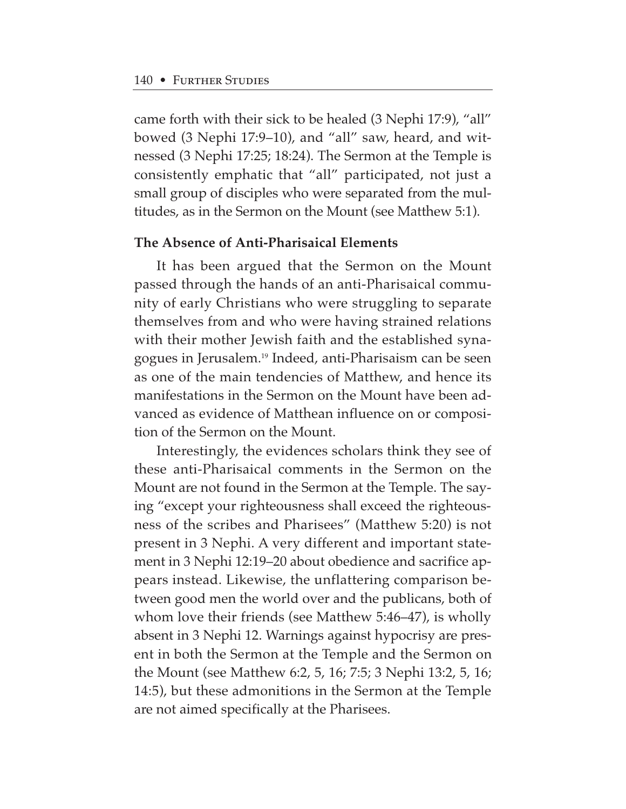came forth with their sick to be healed (3 Nephi 17:9), "all" bowed (3 Nephi 17:9–10), and "all" saw, heard, and witnessed (3 Nephi 17:25; 18:24). The Sermon at the Temple is consistently emphatic that "all" participated, not just a small group of disciples who were separated from the multitudes, as in the Sermon on the Mount (see Matthew 5:1).

# **The Absence of Anti-Pharisaical Elements**

It has been argued that the Sermon on the Mount passed through the hands of an anti-Pharisaical community of early Christians who were struggling to separate themselves from and who were having strained relations with their mother Jewish faith and the established synagogues in Jerusalem.19 Indeed, anti-Pharisaism can be seen as one of the main tendencies of Matthew, and hence its manifestations in the Sermon on the Mount have been advanced as evidence of Matthean influence on or composition of the Sermon on the Mount.

Interestingly, the evidences scholars think they see of these anti-Pharisaical comments in the Sermon on the Mount are not found in the Sermon at the Temple. The saying "except your righteousness shall exceed the righteousness of the scribes and Pharisees" (Matthew 5:20) is not present in 3 Nephi. A very different and important statement in 3 Nephi 12:19–20 about obedience and sacrifice appears instead. Likewise, the unflattering comparison between good men the world over and the publicans, both of whom love their friends (see Matthew 5:46–47), is wholly absent in 3 Nephi 12. Warnings against hypocrisy are present in both the Sermon at the Temple and the Sermon on the Mount (see Matthew 6:2, 5, 16; 7:5; 3 Nephi 13:2, 5, 16; 14:5), but these admonitions in the Sermon at the Temple are not aimed specifically at the Pharisees.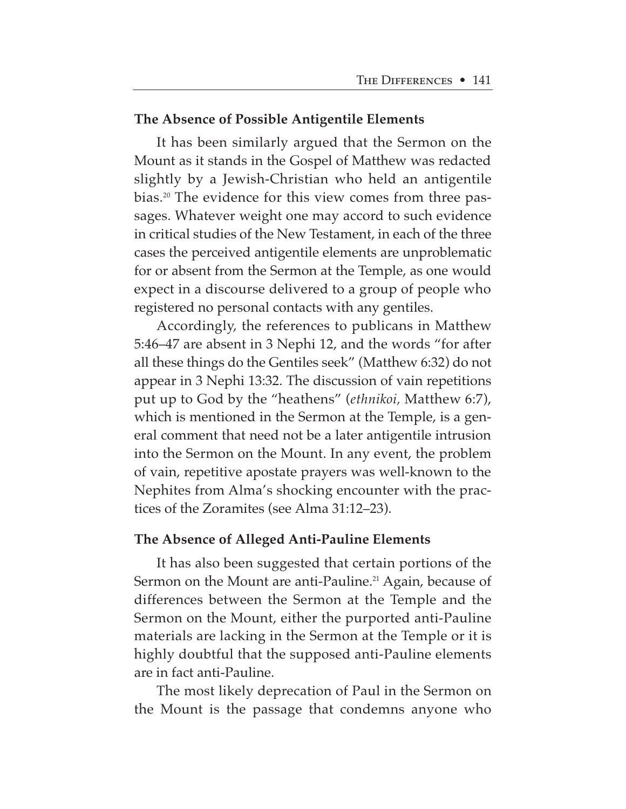### **The Absence of Possible Antigentile Elements**

It has been similarly argued that the Sermon on the Mount as it stands in the Gospel of Matthew was redacted slightly by a Jewish-Christian who held an antigentile bias.20 The evidence for this view comes from three passages. Whatever weight one may accord to such evidence in critical studies of the New Testament, in each of the three cases the perceived antigentile elements are unproblematic for or absent from the Sermon at the Temple, as one would expect in a discourse delivered to a group of people who registered no personal contacts with any gentiles.

Accordingly, the references to publicans in Matthew 5:46–47 are absent in 3 Nephi 12, and the words "for after all these things do the Gentiles seek" (Matthew 6:32) do not appear in 3 Nephi 13:32. The discussion of vain repetitions put up to God by the "heathens" (*ethnikoi,* Matthew 6:7), which is mentioned in the Sermon at the Temple, is a general comment that need not be a later antigentile intrusion into the Sermon on the Mount. In any event, the problem of vain, repetitive apostate prayers was well-known to the Nephites from Alma's shocking encounter with the practices of the Zoramites (see Alma 31:12–23).

## **The Absence of Alleged Anti-Pauline Elements**

It has also been suggested that certain portions of the Sermon on the Mount are anti-Pauline.<sup>21</sup> Again, because of differences between the Sermon at the Temple and the Sermon on the Mount, either the purported anti-Pauline materials are lacking in the Sermon at the Temple or it is highly doubtful that the supposed anti-Pauline elements are in fact anti-Pauline.

The most likely deprecation of Paul in the Sermon on the Mount is the passage that condemns anyone who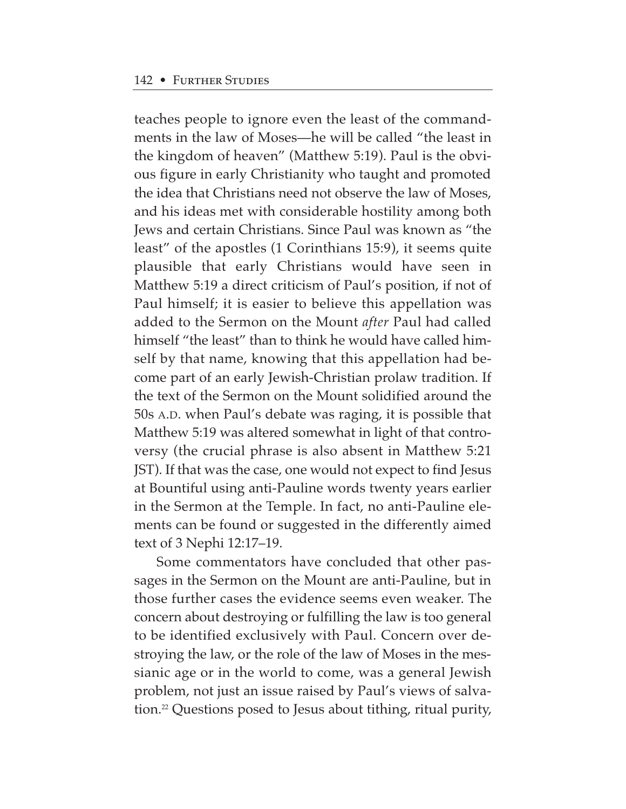teaches people to ignore even the least of the commandments in the law of Moses—he will be called "the least in the kingdom of heaven" (Matthew 5:19). Paul is the obvious figure in early Christianity who taught and promoted the idea that Christians need not observe the law of Moses, and his ideas met with considerable hostility among both Jews and certain Christians. Since Paul was known as "the least" of the apostles (1 Corinthians 15:9), it seems quite plausible that early Christians would have seen in Matthew 5:19 a direct criticism of Paul's position, if not of Paul himself; it is easier to believe this appellation was added to the Sermon on the Mount *after* Paul had called himself "the least" than to think he would have called himself by that name, knowing that this appellation had become part of an early Jewish-Christian prolaw tradition. If the text of the Sermon on the Mount solidified around the 50s A.D. when Paul's debate was raging, it is possible that Matthew 5:19 was altered somewhat in light of that controversy (the crucial phrase is also absent in Matthew 5:21 JST). If that was the case, one would not expect to find Jesus at Bountiful using anti-Pauline words twenty years earlier in the Sermon at the Temple. In fact, no anti-Pauline elements can be found or suggested in the differently aimed text of 3 Nephi 12:17–19.

Some commentators have concluded that other passages in the Sermon on the Mount are anti-Pauline, but in those further cases the evidence seems even weaker. The concern about destroying or fulfilling the law is too general to be identified exclusively with Paul. Concern over destroying the law, or the role of the law of Moses in the messianic age or in the world to come, was a general Jewish problem, not just an issue raised by Paul's views of salvation.22 Questions posed to Jesus about tithing, ritual purity,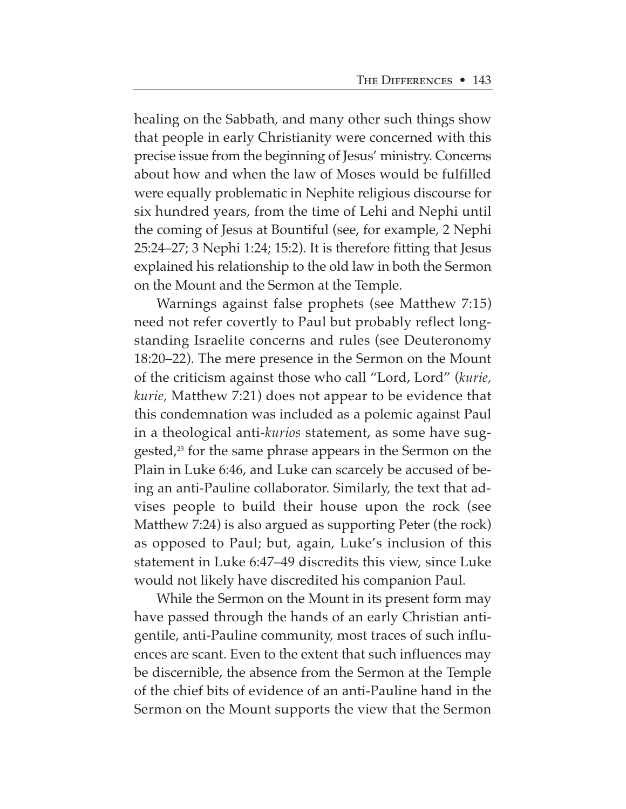healing on the Sabbath, and many other such things show that people in early Christianity were concerned with this precise issue from the beginning of Jesus' ministry. Concerns about how and when the law of Moses would be fulfilled were equally problematic in Nephite religious discourse for six hundred years, from the time of Lehi and Nephi until the coming of Jesus at Bountiful (see, for example, 2 Nephi 25:24–27; 3 Nephi 1:24; 15:2). It is therefore fitting that Jesus explained his relationship to the old law in both the Sermon on the Mount and the Sermon at the Temple.

Warnings against false prophets (see Matthew 7:15) need not refer covertly to Paul but probably reflect longstanding Israelite concerns and rules (see Deuteronomy 18:20–22). The mere presence in the Sermon on the Mount of the criticism against those who call "Lord, Lord" (*kurie, kurie,* Matthew 7:21) does not appear to be evidence that this condemnation was included as a polemic against Paul in a theological anti-*kurios* statement, as some have suggested,<sup>23</sup> for the same phrase appears in the Sermon on the Plain in Luke 6:46, and Luke can scarcely be accused of being an anti-Pauline collaborator. Similarly, the text that advises people to build their house upon the rock (see Matthew 7:24) is also argued as supporting Peter (the rock) as opposed to Paul; but, again, Luke's inclusion of this statement in Luke 6:47–49 discredits this view, since Luke would not likely have discredited his companion Paul.

While the Sermon on the Mount in its present form may have passed through the hands of an early Christian antigentile, anti-Pauline community, most traces of such influences are scant. Even to the extent that such influences may be discernible, the absence from the Sermon at the Temple of the chief bits of evidence of an anti-Pauline hand in the Sermon on the Mount supports the view that the Sermon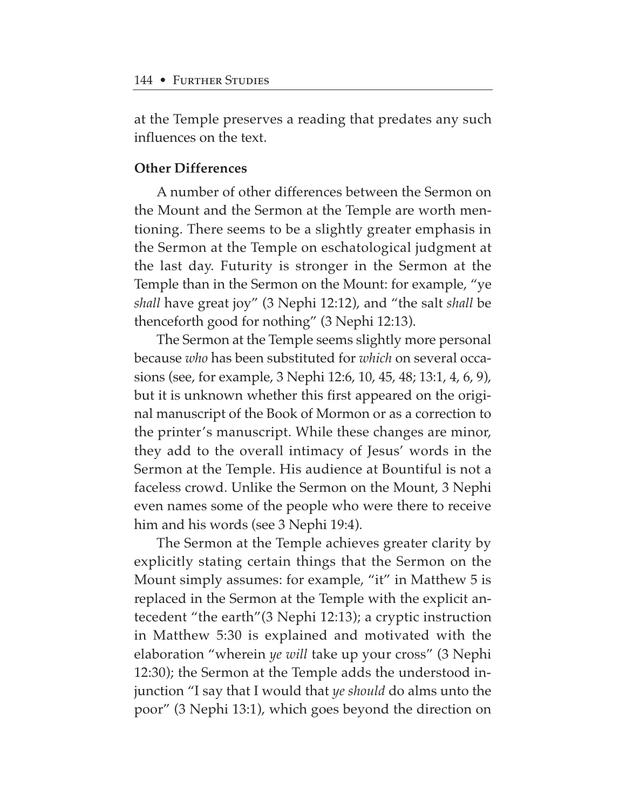at the Temple preserves a reading that predates any such influences on the text.

# **Other Differences**

A number of other differences between the Sermon on the Mount and the Sermon at the Temple are worth mentioning. There seems to be a slightly greater emphasis in the Sermon at the Temple on eschatological judgment at the last day. Futurity is stronger in the Sermon at the Temple than in the Sermon on the Mount: for example, "ye *shall* have great joy" (3 Nephi 12:12), and "the salt *shall* be thenceforth good for nothing" (3 Nephi 12:13).

The Sermon at the Temple seems slightly more personal because *who* has been substituted for *which* on several occasions (see, for example, 3 Nephi 12:6, 10, 45, 48; 13:1, 4, 6, 9), but it is unknown whether this first appeared on the original manuscript of the Book of Mormon or as a correction to the printer's manuscript. While these changes are minor, they add to the overall intimacy of Jesus' words in the Sermon at the Temple. His audience at Bountiful is not a faceless crowd. Unlike the Sermon on the Mount, 3 Nephi even names some of the people who were there to receive him and his words (see 3 Nephi 19:4).

The Sermon at the Temple achieves greater clarity by explicitly stating certain things that the Sermon on the Mount simply assumes: for example, "it" in Matthew 5 is replaced in the Sermon at the Temple with the explicit antecedent "the earth"(3 Nephi 12:13); a cryptic instruction in Matthew 5:30 is explained and motivated with the elaboration "wherein *ye will* take up your cross" (3 Nephi 12:30); the Sermon at the Temple adds the understood injunction "I say that I would that *ye should* do alms unto the poor" (3 Nephi 13:1), which goes beyond the direction on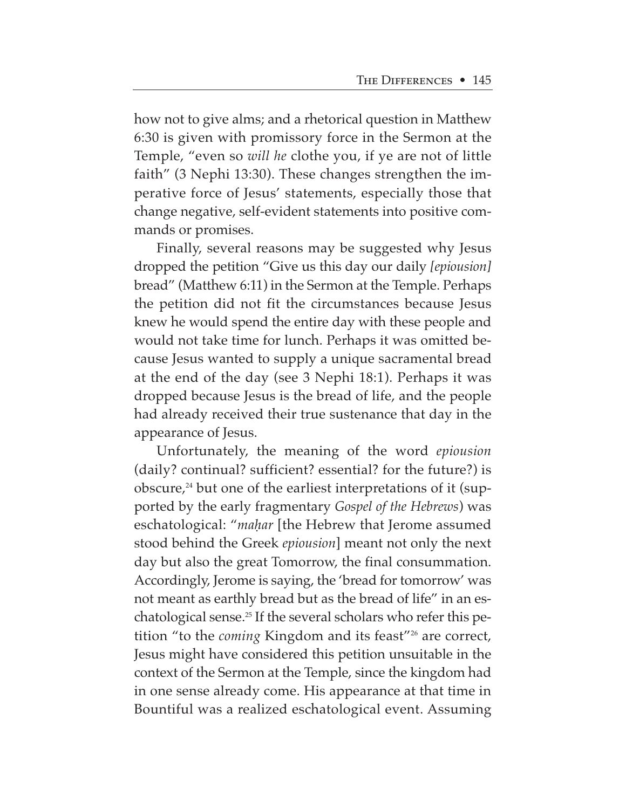how not to give alms; and a rhetorical question in Matthew 6:30 is given with promissory force in the Sermon at the Temple, "even so *will he* clothe you, if ye are not of little faith" (3 Nephi 13:30). These changes strengthen the imperative force of Jesus' statements, especially those that change negative, self-evident statements into positive commands or promises.

Finally, several reasons may be suggested why Jesus dropped the petition "Give us this day our daily *[epiousion]* bread" (Matthew 6:11) in the Sermon at the Temple. Perhaps the petition did not fit the circumstances because Jesus knew he would spend the entire day with these people and would not take time for lunch. Perhaps it was omitted because Jesus wanted to supply a unique sacramental bread at the end of the day (see 3 Nephi 18:1). Perhaps it was dropped because Jesus is the bread of life, and the people had already received their true sustenance that day in the appearance of Jesus.

Unfortunately, the meaning of the word *epiousion* (daily? continual? sufficient? essential? for the future?) is obscure,<sup>24</sup> but one of the earliest interpretations of it (supported by the early fragmentary *Gospel of the Hebrews*) was eschatological: "*ma˙ar* [the Hebrew that Jerome assumed stood behind the Greek *epiousion*] meant not only the next day but also the great Tomorrow, the final consummation. Accordingly, Jerome is saying, the 'bread for tomorrow' was not meant as earthly bread but as the bread of life" in an eschatological sense.25 If the several scholars who refer this petition "to the *coming* Kingdom and its feast"<sup>26</sup> are correct, Jesus might have considered this petition unsuitable in the context of the Sermon at the Temple, since the kingdom had in one sense already come. His appearance at that time in Bountiful was a realized eschatological event. Assuming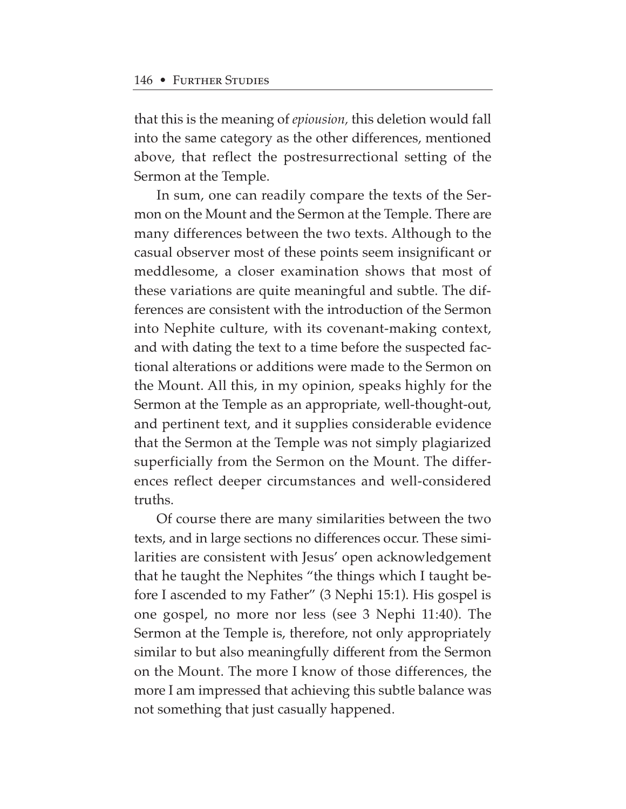that this is the meaning of *epiousion,* this deletion would fall into the same category as the other differences, mentioned above, that reflect the postresurrectional setting of the Sermon at the Temple.

In sum, one can readily compare the texts of the Sermon on the Mount and the Sermon at the Temple. There are many differences between the two texts. Although to the casual observer most of these points seem insignificant or meddlesome, a closer examination shows that most of these variations are quite meaningful and subtle. The differences are consistent with the introduction of the Sermon into Nephite culture, with its covenant-making context, and with dating the text to a time before the suspected factional alterations or additions were made to the Sermon on the Mount. All this, in my opinion, speaks highly for the Sermon at the Temple as an appropriate, well-thought-out, and pertinent text, and it supplies considerable evidence that the Sermon at the Temple was not simply plagiarized superficially from the Sermon on the Mount. The differences reflect deeper circumstances and well-considered truths.

Of course there are many similarities between the two texts, and in large sections no differences occur. These similarities are consistent with Jesus' open acknowledgement that he taught the Nephites "the things which I taught before I ascended to my Father" (3 Nephi 15:1). His gospel is one gospel, no more nor less (see 3 Nephi 11:40). The Sermon at the Temple is, therefore, not only appropriately similar to but also meaningfully different from the Sermon on the Mount. The more I know of those differences, the more I am impressed that achieving this subtle balance was not something that just casually happened.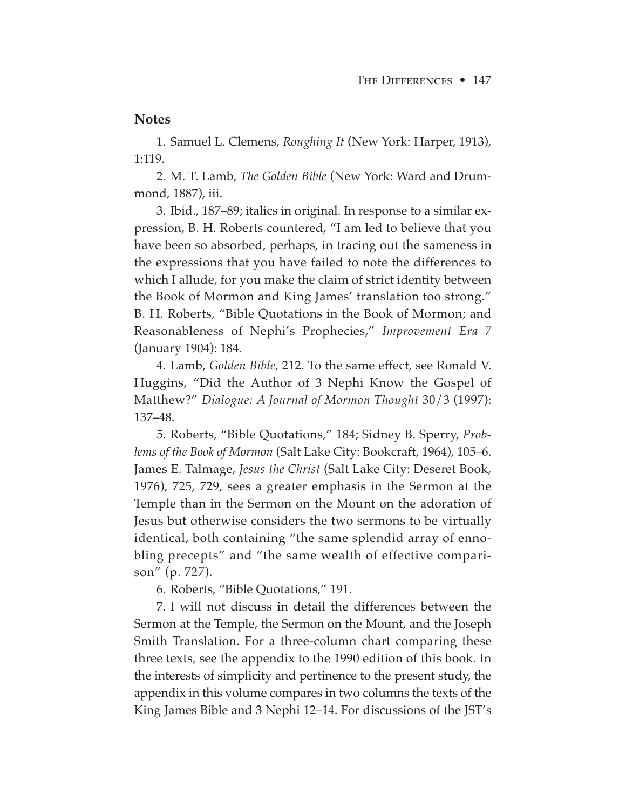### **Notes**

1. Samuel L. Clemens, *Roughing It* (New York: Harper, 1913), 1:119.

2. M. T. Lamb, *The Golden Bible* (New York: Ward and Drummond, 1887), iii.

3. Ibid., 187–89; italics in original. In response to a similar expression, B. H. Roberts countered, "I am led to believe that you have been so absorbed, perhaps, in tracing out the sameness in the expressions that you have failed to note the differences to which I allude, for you make the claim of strict identity between the Book of Mormon and King James' translation too strong." B. H. Roberts, "Bible Quotations in the Book of Mormon; and Reasonableness of Nephi's Prophecies," *Improvement Era 7* (January 1904): 184.

4. Lamb, *Golden Bible,* 212. To the same effect, see Ronald V. Huggins, "Did the Author of 3 Nephi Know the Gospel of Matthew?" *Dialogue: A Journal of Mormon Thought* 30/3 (1997): 137–48.

5. Roberts, "Bible Quotations," 184; Sidney B. Sperry, *Problems of the Book of Mormon* (Salt Lake City: Bookcraft, 1964), 105–6. James E. Talmage, *Jesus the Christ* (Salt Lake City: Deseret Book, 1976), 725, 729, sees a greater emphasis in the Sermon at the Temple than in the Sermon on the Mount on the adoration of Jesus but otherwise considers the two sermons to be virtually identical, both containing "the same splendid array of ennobling precepts" and "the same wealth of effective comparison" (p. 727).

6. Roberts, "Bible Quotations," 191.

7. I will not discuss in detail the differences between the Sermon at the Temple, the Sermon on the Mount, and the Joseph Smith Translation. For a three-column chart comparing these three texts, see the appendix to the 1990 edition of this book. In the interests of simplicity and pertinence to the present study, the appendix in this volume compares in two columns the texts of the King James Bible and 3 Nephi 12–14. For discussions of the JST's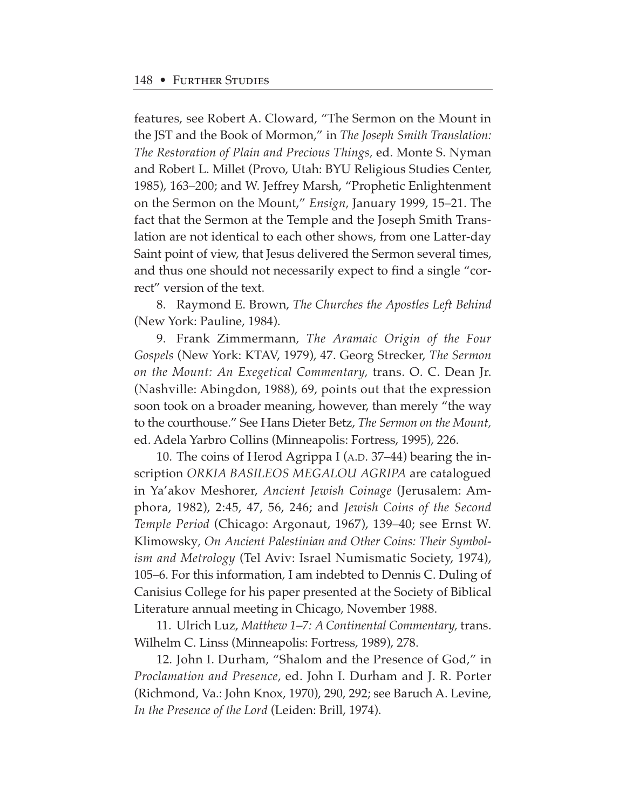features, see Robert A. Cloward, "The Sermon on the Mount in the JST and the Book of Mormon," in *The Joseph Smith Translation: The Restoration of Plain and Precious Things,* ed. Monte S. Nyman and Robert L. Millet (Provo, Utah: BYU Religious Studies Center, 1985), 163–200; and W. Jeffrey Marsh, "Prophetic Enlightenment on the Sermon on the Mount," *Ensign,* January 1999, 15–21. The fact that the Sermon at the Temple and the Joseph Smith Translation are not identical to each other shows, from one Latter-day Saint point of view, that Jesus delivered the Sermon several times, and thus one should not necessarily expect to find a single "correct" version of the text.

8. Raymond E. Brown, *The Churches the Apostles Left Behind* (New York: Pauline, 1984).

9. Frank Zimmermann, *The Aramaic Origin of the Four Gospels* (New York: KTAV, 1979), 47. Georg Strecker, *The Sermon on the Mount: An Exegetical Commentary,* trans. O. C. Dean Jr. (Nashville: Abingdon, 1988), 69, points out that the expression soon took on a broader meaning, however, than merely "the way to the courthouse." See Hans Dieter Betz, *The Sermon on the Mount,* ed. Adela Yarbro Collins (Minneapolis: Fortress, 1995), 226.

10. The coins of Herod Agrippa I (A.D. 37–44) bearing the inscription *ORKIA BASILEOS MEGALOU AGRIPA* are catalogued in Ya'akov Meshorer, *Ancient Jewish Coinage* (Jerusalem: Amphora, 1982), 2:45, 47, 56, 246; and *Jewish Coins of the Second Temple Period* (Chicago: Argonaut, 1967), 139–40; see Ernst W. Klimowsky*, On Ancient Palestinian and Other Coins: Their Symbolism and Metrology* (Tel Aviv: Israel Numismatic Society, 1974), 105–6. For this information, I am indebted to Dennis C. Duling of Canisius College for his paper presented at the Society of Biblical Literature annual meeting in Chicago, November 1988.

11. Ulrich Luz, *Matthew 1–7: A Continental Commentary,* trans. Wilhelm C. Linss (Minneapolis: Fortress, 1989), 278.

12. John I. Durham, "Shalom and the Presence of God," in *Proclamation and Presence,* ed. John I. Durham and J. R. Porter (Richmond, Va.: John Knox, 1970), 290, 292; see Baruch A. Levine, *In the Presence of the Lord* (Leiden: Brill, 1974).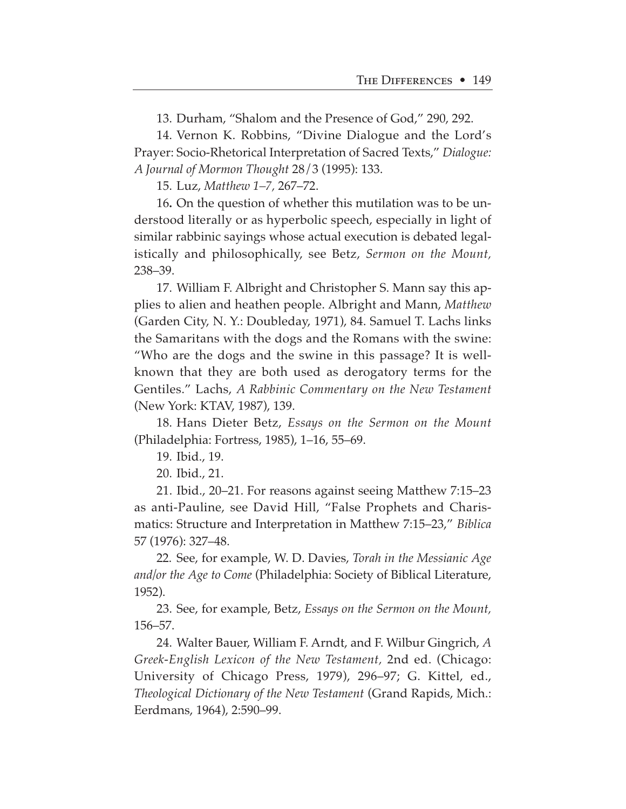13. Durham, "Shalom and the Presence of God," 290, 292.

14. Vernon K. Robbins, "Divine Dialogue and the Lord's Prayer: Socio-Rhetorical Interpretation of Sacred Texts," *Dialogue: A Journal of Mormon Thought* 28/3 (1995): 133.

15. Luz, *Matthew 1–7,* 267–72.

16**.** On the question of whether this mutilation was to be understood literally or as hyperbolic speech, especially in light of similar rabbinic sayings whose actual execution is debated legalistically and philosophically, see Betz, *Sermon on the Mount,* 238–39.

17. William F. Albright and Christopher S. Mann say this applies to alien and heathen people. Albright and Mann, *Matthew* (Garden City, N. Y.: Doubleday, 1971), 84. Samuel T. Lachs links the Samaritans with the dogs and the Romans with the swine: "Who are the dogs and the swine in this passage? It is wellknown that they are both used as derogatory terms for the Gentiles." Lachs, *A Rabbinic Commentary on the New Testament* (New York: KTAV, 1987), 139.

18. Hans Dieter Betz, *Essays on the Sermon on the Mount* (Philadelphia: Fortress, 1985), 1–16, 55–69.

19. Ibid., 19.

20. Ibid., 21.

21. Ibid., 20–21. For reasons against seeing Matthew 7:15–23 as anti-Pauline, see David Hill, "False Prophets and Charismatics: Structure and Interpretation in Matthew 7:15–23," *Biblica* 57 (1976): 327–48.

22. See, for example, W. D. Davies, *Torah in the Messianic Age and/or the Age to Come* (Philadelphia: Society of Biblical Literature, 1952).

23. See, for example, Betz, *Essays on the Sermon on the Mount,* 156–57.

24. Walter Bauer, William F. Arndt, and F. Wilbur Gingrich, *A Greek-English Lexicon of the New Testament,* 2nd ed. (Chicago: University of Chicago Press, 1979), 296–97; G. Kittel, ed., *Theological Dictionary of the New Testament* (Grand Rapids, Mich.: Eerdmans, 1964), 2:590–99.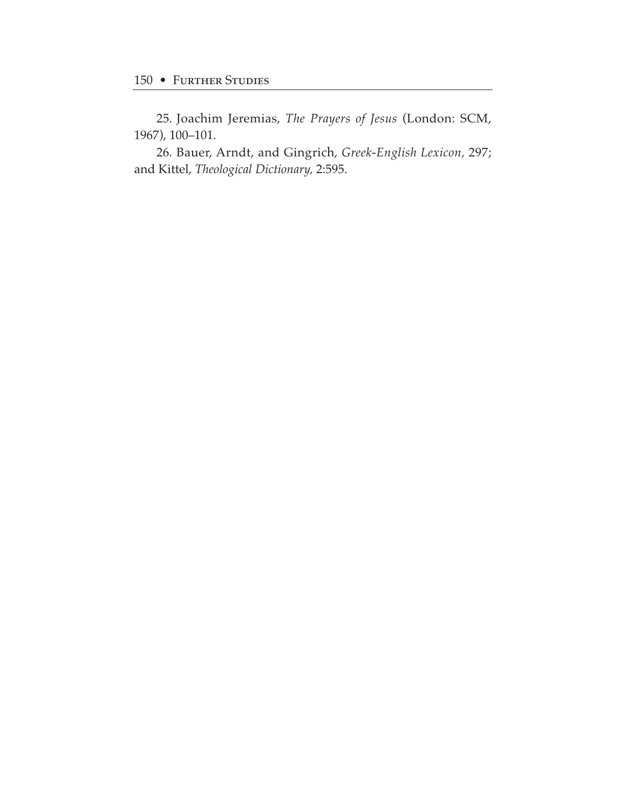25. Joachim Jeremias, *The Prayers of Jesus* (London: SCM, 1967), 100–101.

26. Bauer, Arndt, and Gingrich, *Greek-English Lexicon,* 297; and Kittel, *Theological Dictionary,* 2:595.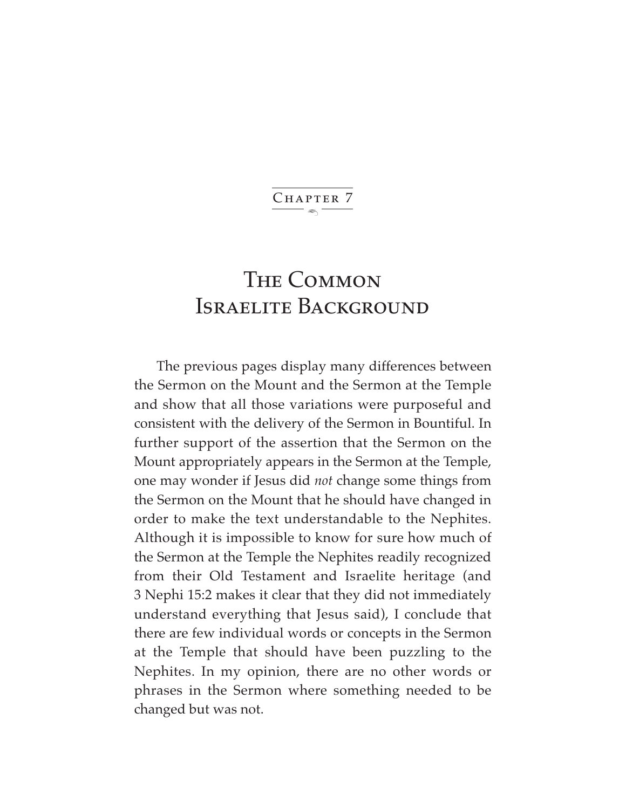$\ddot{\phantom{1}}$ CHAPTER 7

# The Common Israelite Background

The previous pages display many differences between the Sermon on the Mount and the Sermon at the Temple and show that all those variations were purposeful and consistent with the delivery of the Sermon in Bountiful. In further support of the assertion that the Sermon on the Mount appropriately appears in the Sermon at the Temple, one may wonder if Jesus did *not* change some things from the Sermon on the Mount that he should have changed in order to make the text understandable to the Nephites. Although it is impossible to know for sure how much of the Sermon at the Temple the Nephites readily recognized from their Old Testament and Israelite heritage (and 3 Nephi 15:2 makes it clear that they did not immediately understand everything that Jesus said), I conclude that there are few individual words or concepts in the Sermon at the Temple that should have been puzzling to the Nephites. In my opinion, there are no other words or phrases in the Sermon where something needed to be changed but was not.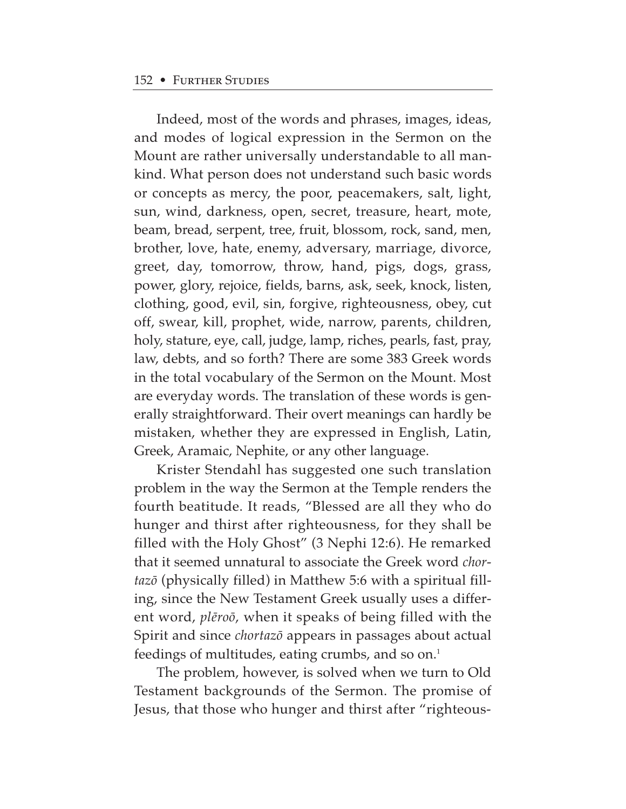Indeed, most of the words and phrases, images, ideas, and modes of logical expression in the Sermon on the Mount are rather universally understandable to all mankind. What person does not understand such basic words or concepts as mercy, the poor, peacemakers, salt, light, sun, wind, darkness, open, secret, treasure, heart, mote, beam, bread, serpent, tree, fruit, blossom, rock, sand, men, brother, love, hate, enemy, adversary, marriage, divorce, greet, day, tomorrow, throw, hand, pigs, dogs, grass, power, glory, rejoice, fields, barns, ask, seek, knock, listen, clothing, good, evil, sin, forgive, righteousness, obey, cut off, swear, kill, prophet, wide, narrow, parents, children, holy, stature, eye, call, judge, lamp, riches, pearls, fast, pray, law, debts, and so forth? There are some 383 Greek words in the total vocabulary of the Sermon on the Mount. Most are everyday words. The translation of these words is generally straightforward. Their overt meanings can hardly be mistaken, whether they are expressed in English, Latin, Greek, Aramaic, Nephite, or any other language.

Krister Stendahl has suggested one such translation problem in the way the Sermon at the Temple renders the fourth beatitude. It reads, "Blessed are all they who do hunger and thirst after righteousness, for they shall be filled with the Holy Ghost" (3 Nephi 12:6). He remarked that it seemed unnatural to associate the Greek word *chortazø* (physically filled) in Matthew 5:6 with a spiritual filling, since the New Testament Greek usually uses a different word, *pl∑roø*, when it speaks of being filled with the Spirit and since *chortazø* appears in passages about actual feedings of multitudes, eating crumbs, and so on.<sup>1</sup>

The problem, however, is solved when we turn to Old Testament backgrounds of the Sermon. The promise of Jesus, that those who hunger and thirst after "righteous-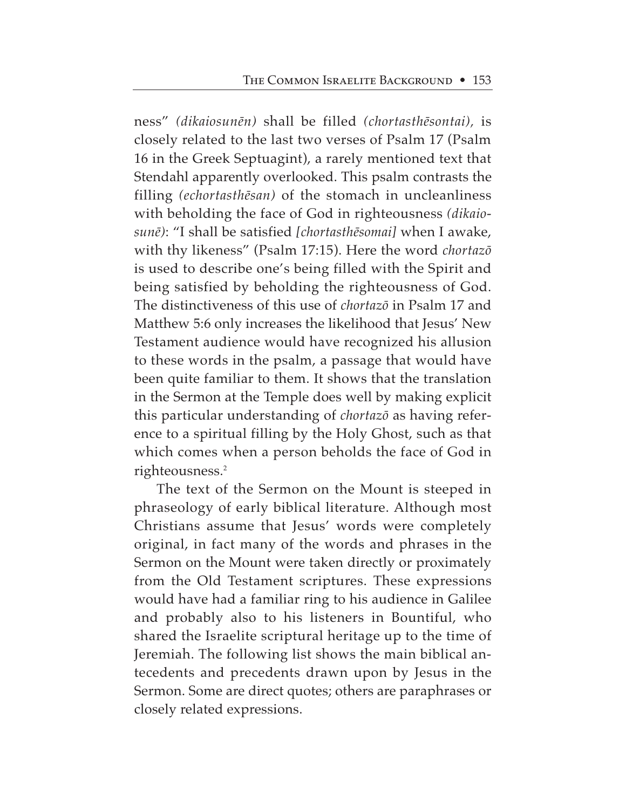ness" *(dikaiosun∑n)* shall be filled *(chortasth∑sontai),* is closely related to the last two verses of Psalm 17 (Psalm 16 in the Greek Septuagint), a rarely mentioned text that Stendahl apparently overlooked. This psalm contrasts the filling *(echortasth∑san)* of the stomach in uncleanliness with beholding the face of God in righteousness *(dikaiosun∑)*: "I shall be satisfied *[chortasth∑somai]* when I awake, with thy likeness" (Psalm 17:15). Here the word *chortazø* is used to describe one's being filled with the Spirit and being satisfied by beholding the righteousness of God. The distinctiveness of this use of *chortazø* in Psalm 17 and Matthew 5:6 only increases the likelihood that Jesus' New Testament audience would have recognized his allusion to these words in the psalm, a passage that would have been quite familiar to them. It shows that the translation in the Sermon at the Temple does well by making explicit this particular understanding of *chortazø* as having reference to a spiritual filling by the Holy Ghost, such as that which comes when a person beholds the face of God in righteousness.<sup>2</sup>

The text of the Sermon on the Mount is steeped in phraseology of early biblical literature. Although most Christians assume that Jesus' words were completely original, in fact many of the words and phrases in the Sermon on the Mount were taken directly or proximately from the Old Testament scriptures. These expressions would have had a familiar ring to his audience in Galilee and probably also to his listeners in Bountiful, who shared the Israelite scriptural heritage up to the time of Jeremiah. The following list shows the main biblical antecedents and precedents drawn upon by Jesus in the Sermon. Some are direct quotes; others are paraphrases or closely related expressions.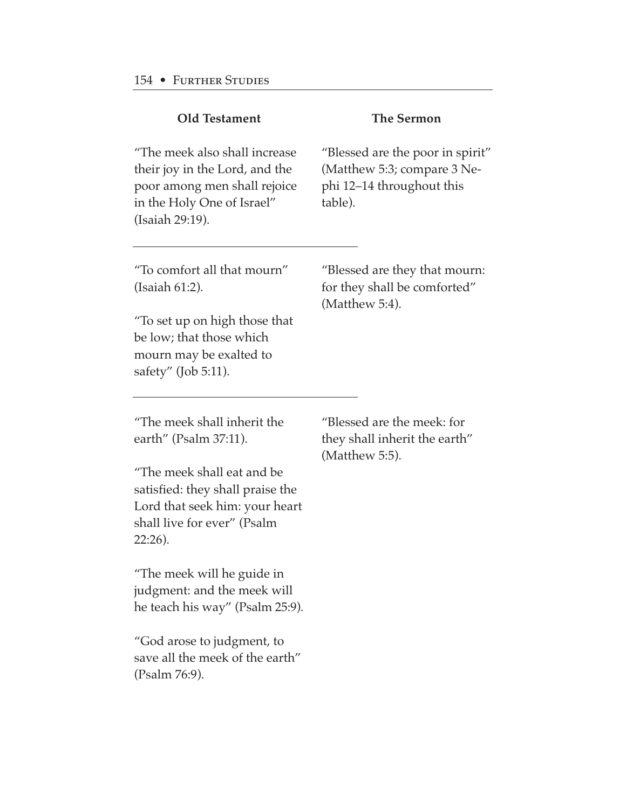| <b>Old Testament</b>                                                                                                                                                                                                                                                                                                                                                                    | <b>The Sermon</b>                                                                                       |
|-----------------------------------------------------------------------------------------------------------------------------------------------------------------------------------------------------------------------------------------------------------------------------------------------------------------------------------------------------------------------------------------|---------------------------------------------------------------------------------------------------------|
| "The meek also shall increase<br>their joy in the Lord, and the<br>poor among men shall rejoice<br>in the Holy One of Israel"<br>(Isaiah 29:19).                                                                                                                                                                                                                                        | "Blessed are the poor in spirit"<br>(Matthew 5:3; compare 3 Ne-<br>phi 12-14 throughout this<br>table). |
| "To comfort all that mourn"<br>(Isaiah 61:2).<br>"To set up on high those that<br>be low; that those which<br>mourn may be exalted to<br>safety" (Job 5:11).                                                                                                                                                                                                                            | "Blessed are they that mourn:<br>for they shall be comforted"<br>(Matthew 5:4).                         |
| "The meek shall inherit the<br>earth" (Psalm 37:11).<br>"The meek shall eat and be<br>satisfied: they shall praise the<br>Lord that seek him: your heart<br>shall live for ever" (Psalm<br>$22:26$ ).<br>"The meek will he guide in<br>judgment: and the meek will<br>he teach his way" (Psalm 25:9).<br>"God arose to judgment, to<br>save all the meek of the earth"<br>(Psalm 76:9). | "Blessed are the meek: for<br>they shall inherit the earth"<br>(Matthew 5:5).                           |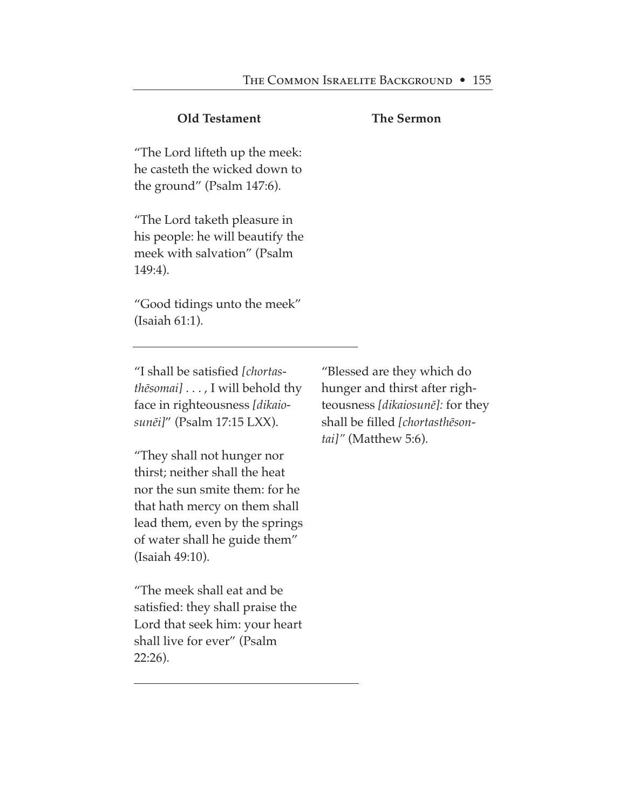# **Old Testament**

### **The Sermon**

"The Lord lifteth up the meek: he casteth the wicked down to the ground" (Psalm 147:6).

"The Lord taketh pleasure in his people: he will beautify the meek with salvation" (Psalm 149:4).

"Good tidings unto the meek" (Isaiah 61:1).

"I shall be satisfied *[chortasth∑somai]* . . . , I will behold thy face in righteousness *[dikaiosun∑i]*" (Psalm 17:15 LXX).

"They shall not hunger nor thirst; neither shall the heat nor the sun smite them: for he that hath mercy on them shall lead them, even by the springs of water shall he guide them" (Isaiah 49:10).

"The meek shall eat and be satisfied: they shall praise the Lord that seek him: your heart shall live for ever" (Psalm 22:26).

"Blessed are they which do hunger and thirst after righteousness *[dikaiosun∑]:* for they shall be filled *[chortasth∑sontai]"* (Matthew 5:6).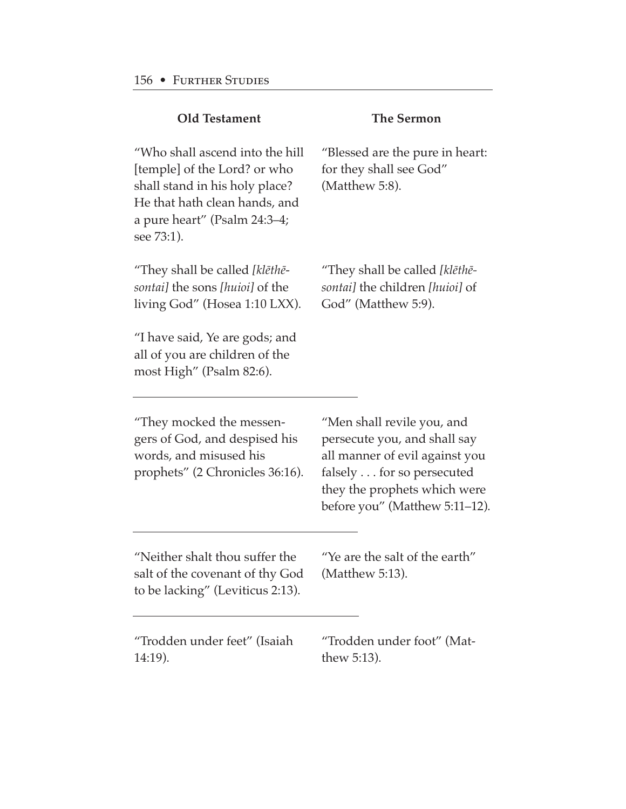| <b>Old Testament</b>                                                                                                                                                                                     | <b>The Sermon</b>                                                                                                                                                                           |
|----------------------------------------------------------------------------------------------------------------------------------------------------------------------------------------------------------|---------------------------------------------------------------------------------------------------------------------------------------------------------------------------------------------|
| "Who shall ascend into the hill<br>[temple] of the Lord? or who<br>shall stand in his holy place?<br>He that hath clean hands, and<br>a pure heart" (Psalm 24:3-4;<br>see 73:1).                         | "Blessed are the pure in heart:<br>for they shall see God"<br>(Matthew 5:8).                                                                                                                |
| "They shall be called [klēthē-<br><i>sontai</i> the sons [huioi] of the<br>living God" (Hosea 1:10 LXX).<br>"I have said, Ye are gods; and<br>all of you are children of the<br>most High" (Psalm 82:6). | "They shall be called [klēthē-<br>sontail the children [huioi] of<br>God" (Matthew 5:9).                                                                                                    |
| "They mocked the messen-<br>gers of God, and despised his<br>words, and misused his<br>prophets" (2 Chronicles 36:16).                                                                                   | "Men shall revile you, and<br>persecute you, and shall say<br>all manner of evil against you<br>falsely for so persecuted<br>they the prophets which were<br>before you" (Matthew 5:11-12). |
| "Neither shalt thou suffer the<br>salt of the covenant of thy God<br>to be lacking" (Leviticus 2:13).                                                                                                    | "Ye are the salt of the earth"<br>(Matthew 5:13).                                                                                                                                           |
| "Trodden under feet" (Isaiah<br>$14:19$ ).                                                                                                                                                               | "Trodden under foot" (Mat-<br>thew $5:13$ ).                                                                                                                                                |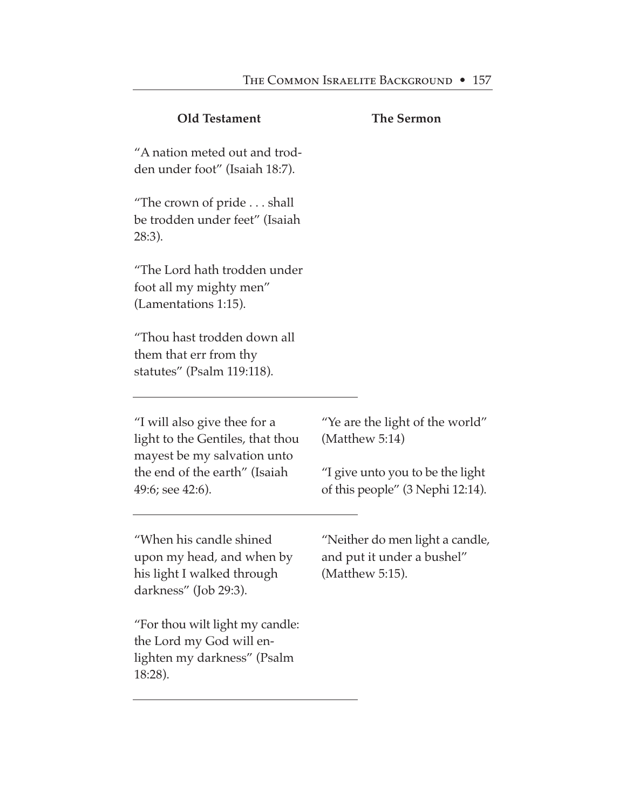## **Old Testament**

### **The Sermon**

"A nation meted out and trodden under foot" (Isaiah 18:7).

"The crown of pride . . . shall be trodden under feet" (Isaiah 28:3).

"The Lord hath trodden under foot all my mighty men" (Lamentations 1:15).

"Thou hast trodden down all them that err from thy statutes" (Psalm 119:118).

"I will also give thee for a light to the Gentiles, that thou mayest be my salvation unto the end of the earth" (Isaiah 49:6; see 42:6).

"Ye are the light of the world" (Matthew 5:14)

"I give unto you to be the light of this people" (3 Nephi 12:14).

"When his candle shined upon my head, and when by his light I walked through darkness" (Job 29:3).

"For thou wilt light my candle: the Lord my God will enlighten my darkness" (Psalm 18:28).

"Neither do men light a candle, and put it under a bushel" (Matthew 5:15).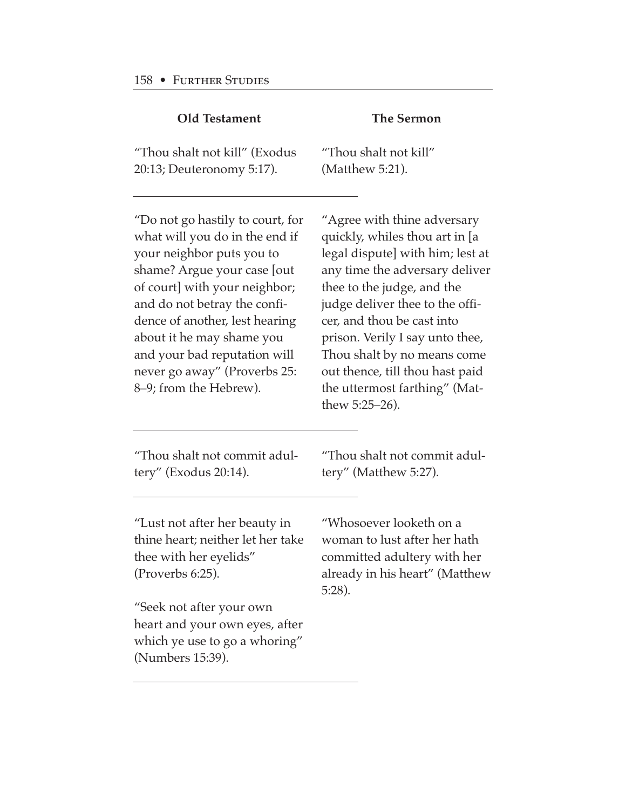| <b>Old Testament</b>                                                                                                                                                                                                                                                                                                                                     | <b>The Sermon</b>                                                                                                                                                                                                                                                                                                                                                                          |
|----------------------------------------------------------------------------------------------------------------------------------------------------------------------------------------------------------------------------------------------------------------------------------------------------------------------------------------------------------|--------------------------------------------------------------------------------------------------------------------------------------------------------------------------------------------------------------------------------------------------------------------------------------------------------------------------------------------------------------------------------------------|
| "Thou shalt not kill" (Exodus<br>20:13; Deuteronomy 5:17).                                                                                                                                                                                                                                                                                               | "Thou shalt not kill"<br>(Matthew 5:21).                                                                                                                                                                                                                                                                                                                                                   |
| "Do not go hastily to court, for<br>what will you do in the end if<br>your neighbor puts you to<br>shame? Argue your case [out<br>of court] with your neighbor;<br>and do not betray the confi-<br>dence of another, lest hearing<br>about it he may shame you<br>and your bad reputation will<br>never go away" (Proverbs 25:<br>8-9; from the Hebrew). | "Agree with thine adversary<br>quickly, whiles thou art in [a<br>legal dispute] with him; lest at<br>any time the adversary deliver<br>thee to the judge, and the<br>judge deliver thee to the offi-<br>cer, and thou be cast into<br>prison. Verily I say unto thee,<br>Thou shalt by no means come<br>out thence, till thou hast paid<br>the uttermost farthing" (Mat-<br>thew 5:25–26). |
| "Thou shalt not commit adul-<br>tery" (Exodus 20:14).                                                                                                                                                                                                                                                                                                    | "Thou shalt not commit adul-<br>tery" (Matthew 5:27).                                                                                                                                                                                                                                                                                                                                      |
| "Lust not after her beauty in<br>thine heart; neither let her take<br>thee with her eyelids"<br>(Proverbs 6:25).                                                                                                                                                                                                                                         | "Whosoever looketh on a<br>woman to lust after her hath<br>committed adultery with her<br>already in his heart" (Matthew<br>$5:28$ ).                                                                                                                                                                                                                                                      |
| "Seek not after your own<br>heart and your own eyes, after<br>which ye use to go a whoring"<br>(Numbers 15:39).                                                                                                                                                                                                                                          |                                                                                                                                                                                                                                                                                                                                                                                            |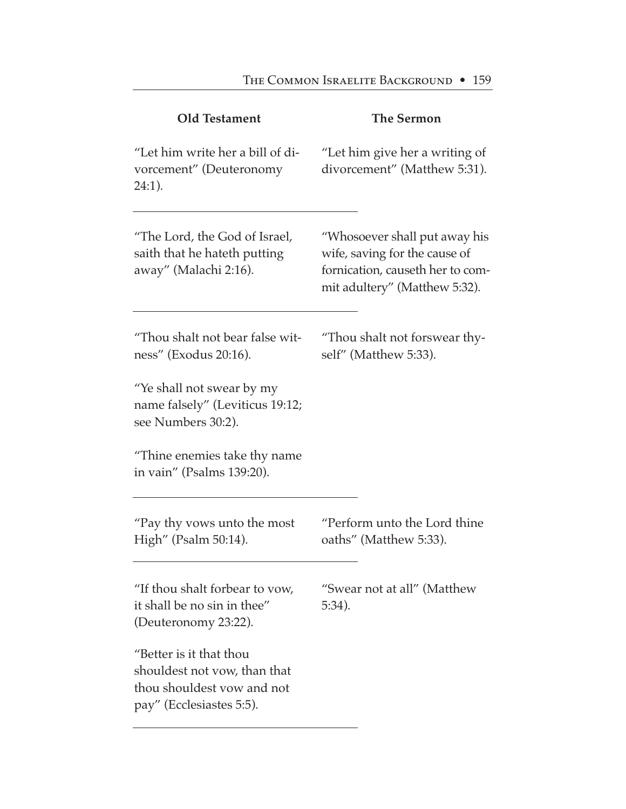| <b>Old Testament</b>                                                                                              | <b>The Sermon</b>                                                                                                                   |
|-------------------------------------------------------------------------------------------------------------------|-------------------------------------------------------------------------------------------------------------------------------------|
| "Let him write her a bill of di-<br>vorcement" (Deuteronomy<br>$24:1$ ).                                          | "Let him give her a writing of<br>divorcement" (Matthew 5:31).                                                                      |
| "The Lord, the God of Israel,<br>saith that he hateth putting<br>away" (Malachi 2:16).                            | "Whosoever shall put away his<br>wife, saving for the cause of<br>fornication, causeth her to com-<br>mit adultery" (Matthew 5:32). |
| "Thou shalt not bear false wit-<br>ness" (Exodus 20:16).                                                          | "Thou shalt not forswear thy-<br>self" (Matthew 5:33).                                                                              |
| "Ye shall not swear by my<br>name falsely" (Leviticus 19:12;<br>see Numbers 30:2).                                |                                                                                                                                     |
| "Thine enemies take thy name"<br>in vain" (Psalms 139:20).                                                        |                                                                                                                                     |
| "Pay thy vows unto the most<br>High" (Psalm 50:14).                                                               | "Perform unto the Lord thine<br>oaths" (Matthew 5:33).                                                                              |
| "If thou shalt forbear to vow,<br>it shall be no sin in thee"<br>(Deuteronomy 23:22).                             | "Swear not at all" (Matthew<br>$5:34$ ).                                                                                            |
| "Better is it that thou<br>shouldest not yow, than that<br>thou shouldest yow and not<br>pay" (Ecclesiastes 5:5). |                                                                                                                                     |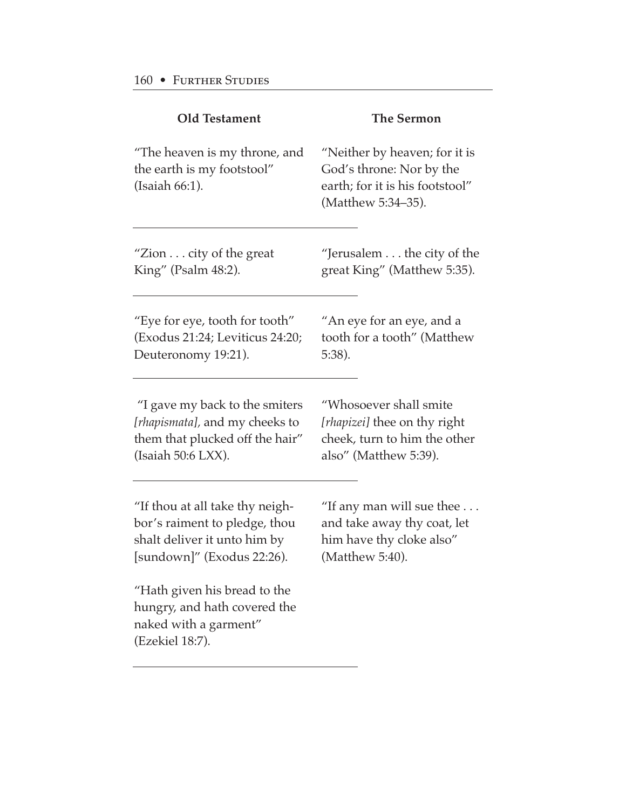| <b>Old Testament</b>                                                                                     | <b>The Sermon</b>                                                                                                  |
|----------------------------------------------------------------------------------------------------------|--------------------------------------------------------------------------------------------------------------------|
| "The heaven is my throne, and<br>the earth is my footstool"<br>(Isaiah 66:1).                            | "Neither by heaven; for it is<br>God's throne: Nor by the<br>earth; for it is his footstool"<br>(Matthew 5:34-35). |
| "Zion $\dots$ city of the great                                                                          | "Jerusalem the city of the                                                                                         |
| King" (Psalm 48:2).                                                                                      | great King" (Matthew 5:35).                                                                                        |
| "Eye for eye, tooth for tooth"                                                                           | "An eye for an eye, and a                                                                                          |
| (Exodus 21:24; Leviticus 24:20;                                                                          | tooth for a tooth" (Matthew                                                                                        |
| Deuteronomy 19:21).                                                                                      | $5:38$ ).                                                                                                          |
| "I gave my back to the smiters                                                                           | "Whosoever shall smite                                                                                             |
| [rhapismata], and my cheeks to                                                                           | [rhapizei] thee on thy right                                                                                       |
| them that plucked off the hair"                                                                          | cheek, turn to him the other                                                                                       |
| (Isaiah 50:6 LXX).                                                                                       | also" (Matthew 5:39).                                                                                              |
| "If thou at all take thy neigh-                                                                          | "If any man will sue thee $\dots$                                                                                  |
| bor's raiment to pledge, thou                                                                            | and take away thy coat, let                                                                                        |
| shalt deliver it unto him by                                                                             | him have thy cloke also"                                                                                           |
| [sundown]" (Exodus 22:26).                                                                               | (Matthew 5:40).                                                                                                    |
| "Hath given his bread to the<br>hungry, and hath covered the<br>naked with a garment"<br>(Ezekiel 18:7). |                                                                                                                    |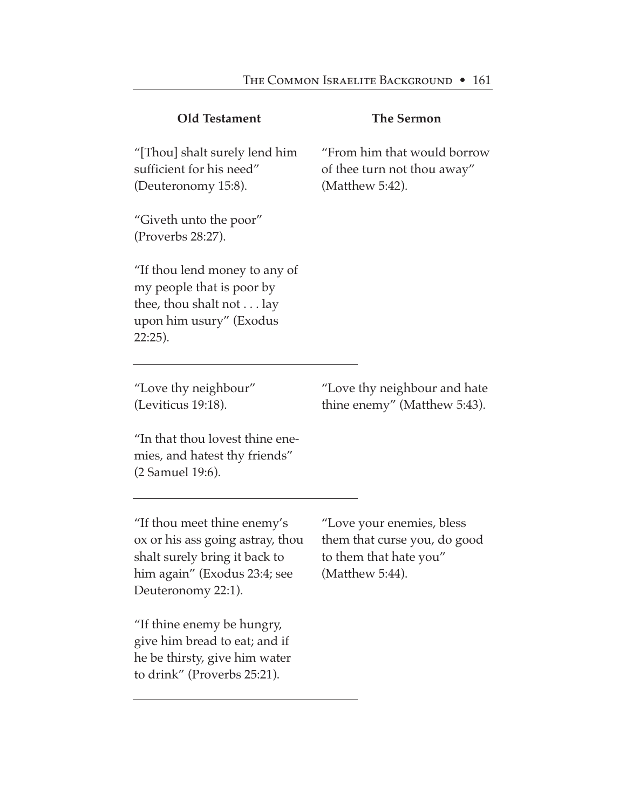| <b>Old Testament</b>                                                                                                                                   | <b>The Sermon</b>                                                                                      |
|--------------------------------------------------------------------------------------------------------------------------------------------------------|--------------------------------------------------------------------------------------------------------|
| "[Thou] shalt surely lend him<br>sufficient for his need"<br>(Deuteronomy 15:8).                                                                       | "From him that would borrow<br>of thee turn not thou away"<br>(Matthew 5:42).                          |
| "Giveth unto the poor"<br>(Proverbs 28:27).                                                                                                            |                                                                                                        |
| "If thou lend money to any of<br>my people that is poor by<br>thee, thou shalt not $\dots$ lay<br>upon him usury" (Exodus<br>22:25).                   |                                                                                                        |
| "Love thy neighbour"<br>(Leviticus 19:18).                                                                                                             | "Love thy neighbour and hate<br>thine enemy" (Matthew 5:43).                                           |
| "In that thou lovest thine ene-<br>mies, and hatest thy friends"<br>(2 Samuel 19:6).                                                                   |                                                                                                        |
| "If thou meet thine enemy's<br>ox or his ass going astray, thou<br>shalt surely bring it back to<br>him again" (Exodus 23:4; see<br>Deuteronomy 22:1). | "Love your enemies, bless<br>them that curse you, do good<br>to them that hate you"<br>(Matthew 5:44). |
| "If thine enemy be hungry,<br>give him bread to eat; and if                                                                                            |                                                                                                        |

he be thirsty, give him water to drink" (Proverbs 25:21).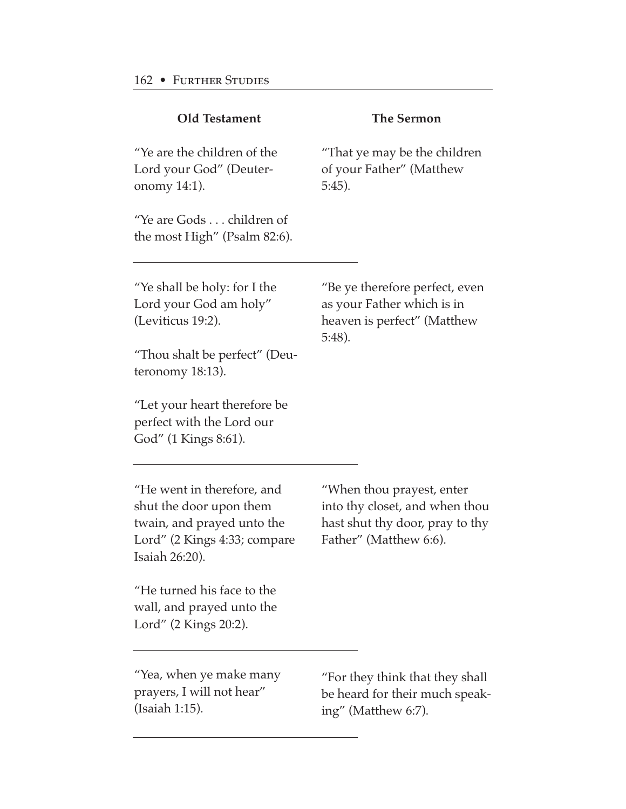| <b>Old Testament</b>                                                                                                                  | <b>The Sermon</b>                                                                                                        |
|---------------------------------------------------------------------------------------------------------------------------------------|--------------------------------------------------------------------------------------------------------------------------|
| "Ye are the children of the<br>Lord your God" (Deuter-<br>onomy 14:1).                                                                | "That ye may be the children<br>of your Father" (Matthew<br>$5:45$ ).                                                    |
| "Ye are Gods children of<br>the most High" (Psalm 82:6).                                                                              |                                                                                                                          |
| "Ye shall be holy: for I the<br>Lord your God am holy"<br>(Leviticus 19:2).                                                           | "Be ye therefore perfect, even<br>as your Father which is in<br>heaven is perfect" (Matthew<br>$5:48$ ).                 |
| "Thou shalt be perfect" (Deu-<br>teronomy 18:13).                                                                                     |                                                                                                                          |
| "Let your heart therefore be<br>perfect with the Lord our<br>God" (1 Kings 8:61).                                                     |                                                                                                                          |
| "He went in therefore, and<br>shut the door upon them<br>twain, and prayed unto the<br>Lord" (2 Kings 4:33; compare<br>Isaiah 26:20). | "When thou prayest, enter<br>into thy closet, and when thou<br>hast shut thy door, pray to thy<br>Father" (Matthew 6:6). |
| "He turned his face to the<br>wall, and prayed unto the<br>Lord" (2 Kings 20:2).                                                      |                                                                                                                          |
| "Yea, when ye make many<br>prayers, I will not hear"<br>(Isaiah 1:15).                                                                | "For they think that they shall<br>be heard for their much speak-<br>ing" (Matthew 6:7).                                 |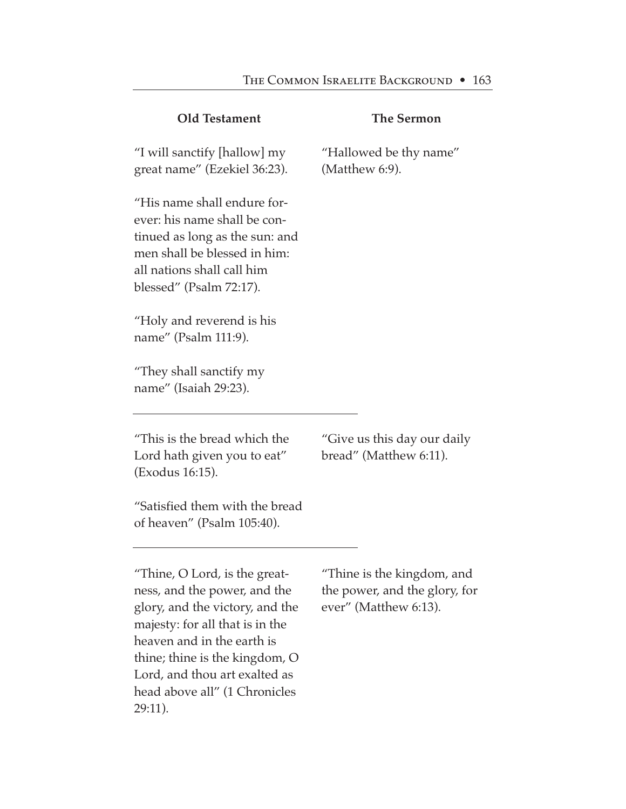| <b>Old Testament</b>                                                                                                                                                                                                                                                             | <b>The Sermon</b>                                                                    |
|----------------------------------------------------------------------------------------------------------------------------------------------------------------------------------------------------------------------------------------------------------------------------------|--------------------------------------------------------------------------------------|
| "I will sanctify [hallow] my<br>great name" (Ezekiel 36:23).                                                                                                                                                                                                                     | "Hallowed be thy name"<br>(Matthew 6:9).                                             |
| "His name shall endure for-<br>ever: his name shall be con-<br>tinued as long as the sun: and<br>men shall be blessed in him:<br>all nations shall call him<br>blessed" (Psalm 72:17).                                                                                           |                                                                                      |
| "Holy and reverend is his<br>name" (Psalm 111:9).                                                                                                                                                                                                                                |                                                                                      |
| "They shall sanctify my<br>name" (Isaiah 29:23).                                                                                                                                                                                                                                 |                                                                                      |
| "This is the bread which the<br>Lord hath given you to eat"<br>(Exodus 16:15).                                                                                                                                                                                                   | "Give us this day our daily"<br>bread" (Matthew 6:11).                               |
| "Satisfied them with the bread<br>of heaven" (Psalm 105:40).                                                                                                                                                                                                                     |                                                                                      |
| "Thine, O Lord, is the great-<br>ness, and the power, and the<br>glory, and the victory, and the<br>majesty: for all that is in the<br>heaven and in the earth is<br>thine; thine is the kingdom, O<br>Lord, and thou art exalted as<br>head above all" (1 Chronicles<br>29:11). | "Thine is the kingdom, and<br>the power, and the glory, for<br>ever" (Matthew 6:13). |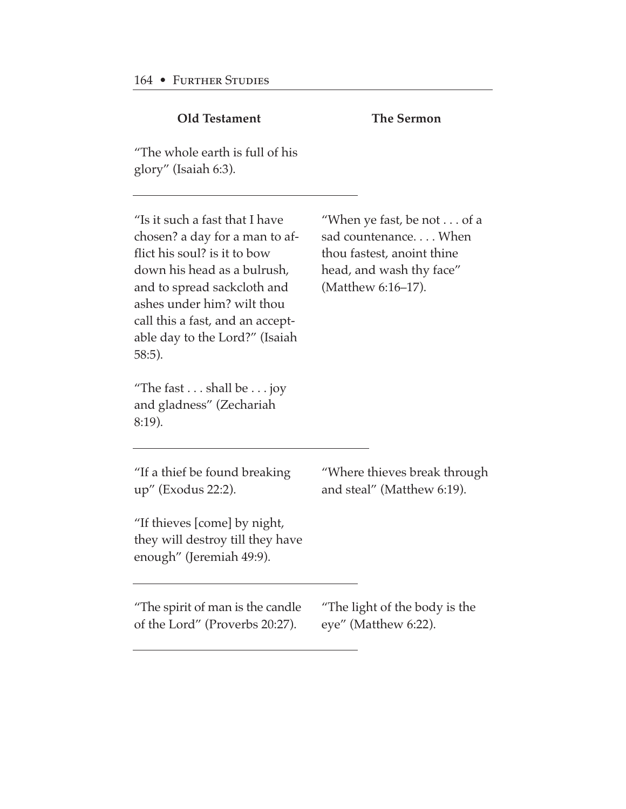| <b>Old Testament</b>                                                                                                                                                                                                                                                            | <b>The Sermon</b>                                                                                                                          |
|---------------------------------------------------------------------------------------------------------------------------------------------------------------------------------------------------------------------------------------------------------------------------------|--------------------------------------------------------------------------------------------------------------------------------------------|
| "The whole earth is full of his<br>glory" (Isaiah 6:3).                                                                                                                                                                                                                         |                                                                                                                                            |
| "Is it such a fast that I have<br>chosen? a day for a man to af-<br>flict his soul? is it to bow<br>down his head as a bulrush,<br>and to spread sackcloth and<br>ashes under him? wilt thou<br>call this a fast, and an accept-<br>able day to the Lord?" (Isaiah<br>$58:5$ ). | "When ye fast, be not $\dots$ of a<br>sad countenance When<br>thou fastest, anoint thine<br>head, and wash thy face"<br>(Matthew 6:16–17). |
| "The fast $\dots$ shall be $\dots$ joy<br>and gladness" (Zechariah<br>8:19).                                                                                                                                                                                                    |                                                                                                                                            |
| "If a thief be found breaking<br>up" (Exodus 22:2).                                                                                                                                                                                                                             | "Where thieves break through<br>and steal" (Matthew 6:19).                                                                                 |
| "If thieves [come] by night,<br>they will destroy till they have<br>enough" (Jeremiah 49:9).                                                                                                                                                                                    |                                                                                                                                            |
| "The spirit of man is the candle<br>of the Lord" (Proverbs 20:27).                                                                                                                                                                                                              | "The light of the body is the<br>eye" (Matthew 6:22).                                                                                      |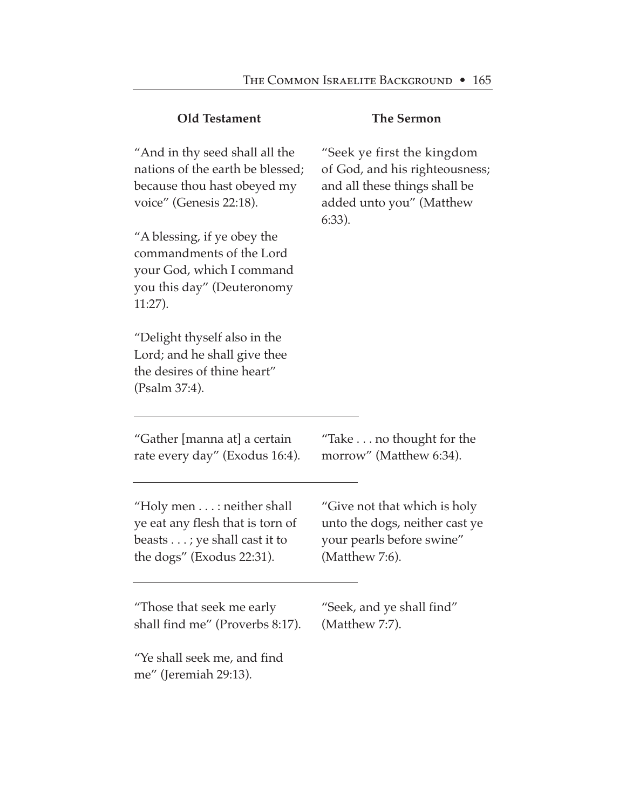| <b>Old Testament</b>                                                                                                               | <b>The Sermon</b>                                                                                                                      |
|------------------------------------------------------------------------------------------------------------------------------------|----------------------------------------------------------------------------------------------------------------------------------------|
| "And in thy seed shall all the<br>nations of the earth be blessed;<br>because thou hast obeyed my<br>voice" (Genesis 22:18).       | "Seek ye first the kingdom<br>of God, and his righteousness;<br>and all these things shall be<br>added unto you" (Matthew<br>$6:33$ ). |
| "A blessing, if ye obey the<br>commandments of the Lord<br>your God, which I command<br>you this day" (Deuteronomy<br>$11:27$ ).   |                                                                                                                                        |
| "Delight thyself also in the<br>Lord; and he shall give thee<br>the desires of thine heart"<br>(Psalm 37:4).                       |                                                                                                                                        |
| "Gather [manna at] a certain<br>rate every day" (Exodus 16:4).                                                                     | "Take $\dots$ no thought for the<br>morrow" (Matthew 6:34).                                                                            |
| "Holy men $\dots$ : neither shall<br>ye eat any flesh that is torn of<br>beasts ; ye shall cast it to<br>the dogs" (Exodus 22:31). | "Give not that which is holy<br>unto the dogs, neither cast ye<br>your pearls before swine"<br>(Matthew 7:6).                          |
| "Those that seek me early<br>shall find me" (Proverbs 8:17).                                                                       | "Seek, and ye shall find"<br>(Matthew 7:7).                                                                                            |
| "Ye shall seek me, and find<br>me" (Jeremiah 29:13).                                                                               |                                                                                                                                        |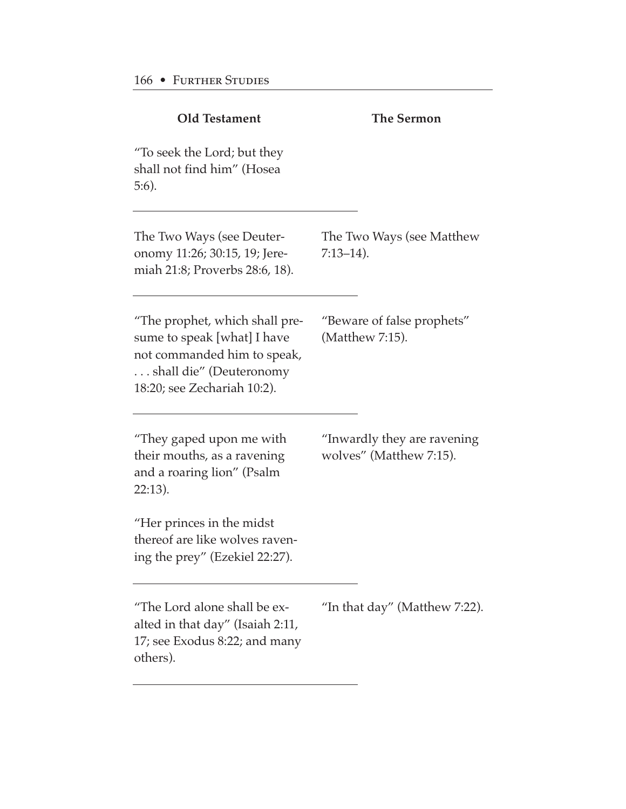| <b>The Sermon</b>                                      |
|--------------------------------------------------------|
|                                                        |
| The Two Ways (see Matthew<br>$7:13-14$ ).              |
| "Beware of false prophets"<br>(Matthew 7:15).          |
| "Inwardly they are ravening<br>wolves" (Matthew 7:15). |
|                                                        |
| "In that day" (Matthew 7:22).                          |
|                                                        |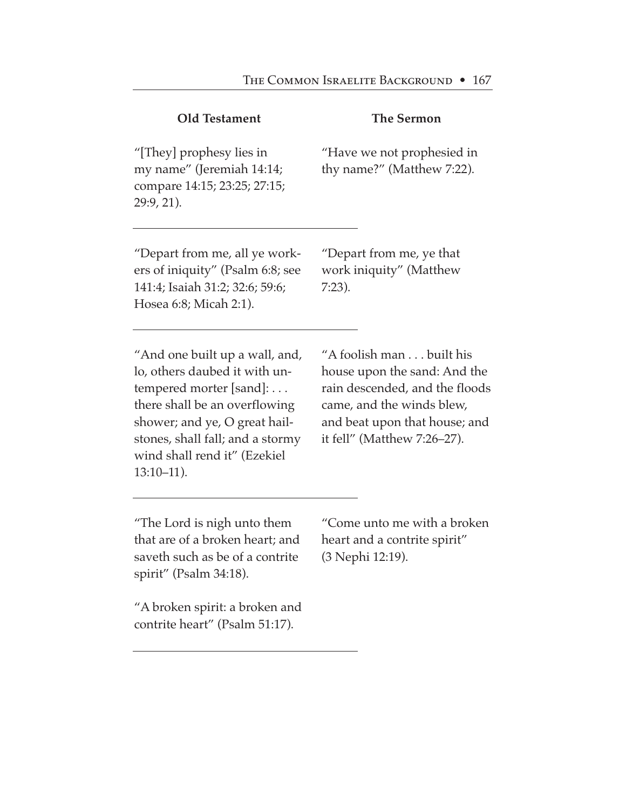| <b>Old Testament</b>                                                                                                                                                                                                                              | <b>The Sermon</b>                                                                                                                                                                       |
|---------------------------------------------------------------------------------------------------------------------------------------------------------------------------------------------------------------------------------------------------|-----------------------------------------------------------------------------------------------------------------------------------------------------------------------------------------|
| "[They] prophesy lies in<br>my name" (Jeremiah 14:14;<br>compare 14:15; 23:25; 27:15;<br>29:9, 21).                                                                                                                                               | "Have we not prophesied in<br>thy name?" (Matthew 7:22).                                                                                                                                |
| "Depart from me, all ye work-<br>ers of iniquity" (Psalm 6:8; see<br>141:4; Isaiah 31:2; 32:6; 59:6;<br>Hosea 6:8; Micah 2:1).                                                                                                                    | "Depart from me, ye that<br>work iniquity" (Matthew<br>$7:23$ ).                                                                                                                        |
| "And one built up a wall, and,<br>lo, others daubed it with un-<br>tempered morter [sand]:<br>there shall be an overflowing<br>shower; and ye, O great hail-<br>stones, shall fall; and a stormy<br>wind shall rend it" (Ezekiel<br>$13:10-11$ ). | "A foolish man built his<br>house upon the sand: And the<br>rain descended, and the floods<br>came, and the winds blew,<br>and beat upon that house; and<br>it fell" (Matthew 7:26-27). |

"The Lord is nigh unto them that are of a broken heart; and saveth such as be of a contrite spirit" (Psalm 34:18).

"Come unto me with a broken heart and a contrite spirit" (3 Nephi 12:19).

"A broken spirit: a broken and contrite heart" (Psalm 51:17).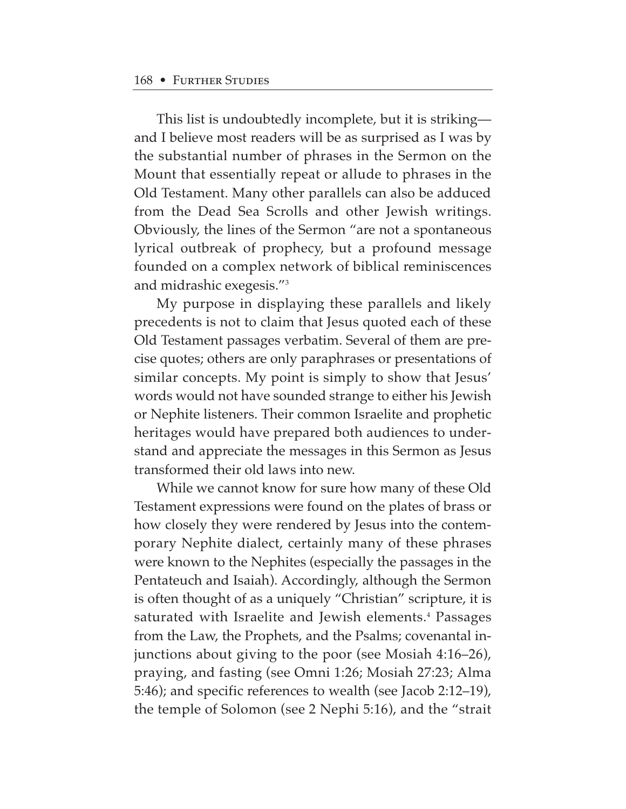This list is undoubtedly incomplete, but it is striking and I believe most readers will be as surprised as I was by the substantial number of phrases in the Sermon on the Mount that essentially repeat or allude to phrases in the Old Testament. Many other parallels can also be adduced from the Dead Sea Scrolls and other Jewish writings. Obviously, the lines of the Sermon "are not a spontaneous lyrical outbreak of prophecy, but a profound message founded on a complex network of biblical reminiscences and midrashic exegesis."3

My purpose in displaying these parallels and likely precedents is not to claim that Jesus quoted each of these Old Testament passages verbatim. Several of them are precise quotes; others are only paraphrases or presentations of similar concepts. My point is simply to show that Jesus' words would not have sounded strange to either his Jewish or Nephite listeners. Their common Israelite and prophetic heritages would have prepared both audiences to understand and appreciate the messages in this Sermon as Jesus transformed their old laws into new.

While we cannot know for sure how many of these Old Testament expressions were found on the plates of brass or how closely they were rendered by Jesus into the contemporary Nephite dialect, certainly many of these phrases were known to the Nephites (especially the passages in the Pentateuch and Isaiah). Accordingly, although the Sermon is often thought of as a uniquely "Christian" scripture, it is saturated with Israelite and Jewish elements.<sup>4</sup> Passages from the Law, the Prophets, and the Psalms; covenantal injunctions about giving to the poor (see Mosiah 4:16–26), praying, and fasting (see Omni 1:26; Mosiah 27:23; Alma 5:46); and specific references to wealth (see Jacob 2:12–19), the temple of Solomon (see 2 Nephi 5:16), and the "strait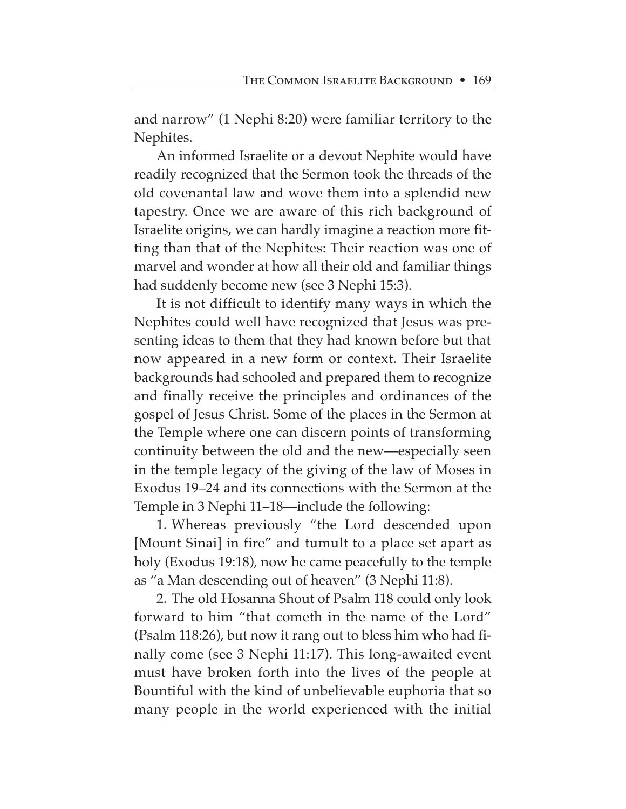and narrow" (1 Nephi 8:20) were familiar territory to the Nephites.

An informed Israelite or a devout Nephite would have readily recognized that the Sermon took the threads of the old covenantal law and wove them into a splendid new tapestry. Once we are aware of this rich background of Israelite origins, we can hardly imagine a reaction more fitting than that of the Nephites: Their reaction was one of marvel and wonder at how all their old and familiar things had suddenly become new (see 3 Nephi 15:3).

It is not difficult to identify many ways in which the Nephites could well have recognized that Jesus was presenting ideas to them that they had known before but that now appeared in a new form or context. Their Israelite backgrounds had schooled and prepared them to recognize and finally receive the principles and ordinances of the gospel of Jesus Christ. Some of the places in the Sermon at the Temple where one can discern points of transforming continuity between the old and the new—especially seen in the temple legacy of the giving of the law of Moses in Exodus 19–24 and its connections with the Sermon at the Temple in 3 Nephi 11–18—include the following:

1. Whereas previously "the Lord descended upon [Mount Sinai] in fire" and tumult to a place set apart as holy (Exodus 19:18), now he came peacefully to the temple as "a Man descending out of heaven" (3 Nephi 11:8).

2. The old Hosanna Shout of Psalm 118 could only look forward to him "that cometh in the name of the Lord" (Psalm 118:26), but now it rang out to bless him who had finally come (see 3 Nephi 11:17). This long-awaited event must have broken forth into the lives of the people at Bountiful with the kind of unbelievable euphoria that so many people in the world experienced with the initial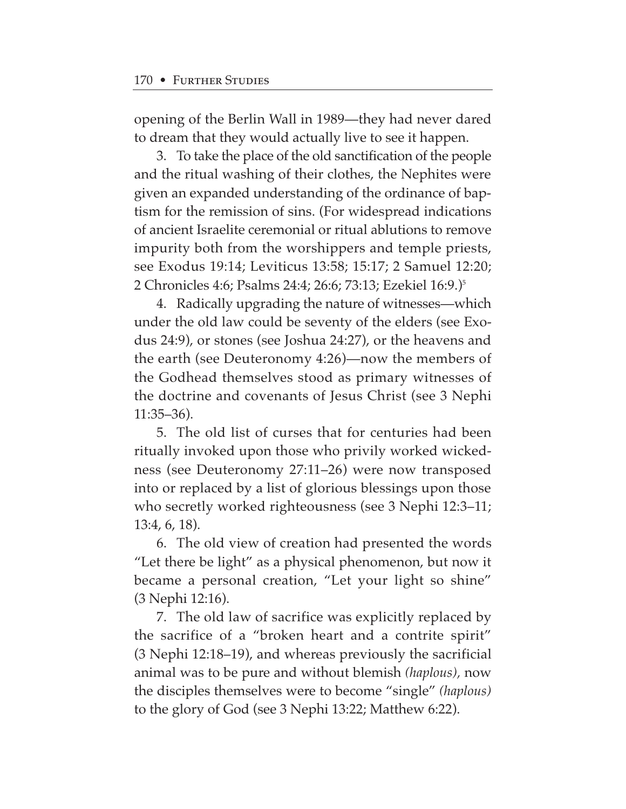opening of the Berlin Wall in 1989—they had never dared to dream that they would actually live to see it happen.

3. To take the place of the old sanctification of the people and the ritual washing of their clothes, the Nephites were given an expanded understanding of the ordinance of baptism for the remission of sins. (For widespread indications of ancient Israelite ceremonial or ritual ablutions to remove impurity both from the worshippers and temple priests, see Exodus 19:14; Leviticus 13:58; 15:17; 2 Samuel 12:20; 2 Chronicles 4:6; Psalms 24:4; 26:6; 73:13; Ezekiel 16:9.)5

4. Radically upgrading the nature of witnesses—which under the old law could be seventy of the elders (see Exodus 24:9), or stones (see Joshua 24:27), or the heavens and the earth (see Deuteronomy 4:26)—now the members of the Godhead themselves stood as primary witnesses of the doctrine and covenants of Jesus Christ (see 3 Nephi 11:35–36).

5. The old list of curses that for centuries had been ritually invoked upon those who privily worked wickedness (see Deuteronomy 27:11–26) were now transposed into or replaced by a list of glorious blessings upon those who secretly worked righteousness (see 3 Nephi 12:3–11; 13:4, 6, 18).

6. The old view of creation had presented the words "Let there be light" as a physical phenomenon, but now it became a personal creation, "Let your light so shine" (3 Nephi 12:16).

7. The old law of sacrifice was explicitly replaced by the sacrifice of a "broken heart and a contrite spirit" (3 Nephi 12:18–19), and whereas previously the sacrificial animal was to be pure and without blemish *(haplous),* now the disciples themselves were to become "single" *(haplous)* to the glory of God (see 3 Nephi 13:22; Matthew 6:22).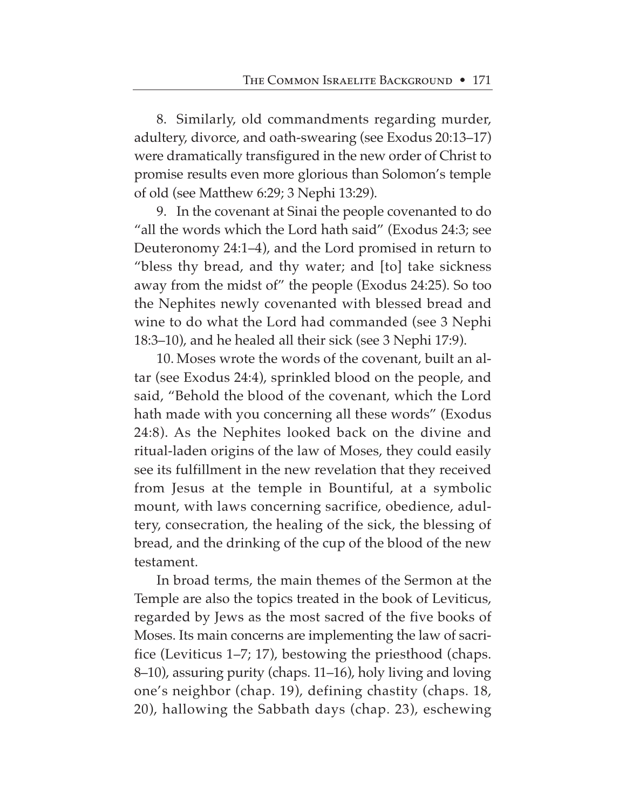8. Similarly, old commandments regarding murder, adultery, divorce, and oath-swearing (see Exodus 20:13–17) were dramatically transfigured in the new order of Christ to promise results even more glorious than Solomon's temple of old (see Matthew 6:29; 3 Nephi 13:29).

9. In the covenant at Sinai the people covenanted to do "all the words which the Lord hath said" (Exodus 24:3; see Deuteronomy 24:1–4), and the Lord promised in return to "bless thy bread, and thy water; and [to] take sickness away from the midst of" the people (Exodus 24:25). So too the Nephites newly covenanted with blessed bread and wine to do what the Lord had commanded (see 3 Nephi 18:3–10), and he healed all their sick (see 3 Nephi 17:9).

10. Moses wrote the words of the covenant, built an altar (see Exodus 24:4), sprinkled blood on the people, and said, "Behold the blood of the covenant, which the Lord hath made with you concerning all these words" (Exodus 24:8). As the Nephites looked back on the divine and ritual-laden origins of the law of Moses, they could easily see its fulfillment in the new revelation that they received from Jesus at the temple in Bountiful, at a symbolic mount, with laws concerning sacrifice, obedience, adultery, consecration, the healing of the sick, the blessing of bread, and the drinking of the cup of the blood of the new testament.

In broad terms, the main themes of the Sermon at the Temple are also the topics treated in the book of Leviticus, regarded by Jews as the most sacred of the five books of Moses. Its main concerns are implementing the law of sacrifice (Leviticus 1–7; 17), bestowing the priesthood (chaps. 8–10), assuring purity (chaps. 11–16), holy living and loving one's neighbor (chap. 19), defining chastity (chaps. 18, 20), hallowing the Sabbath days (chap. 23), eschewing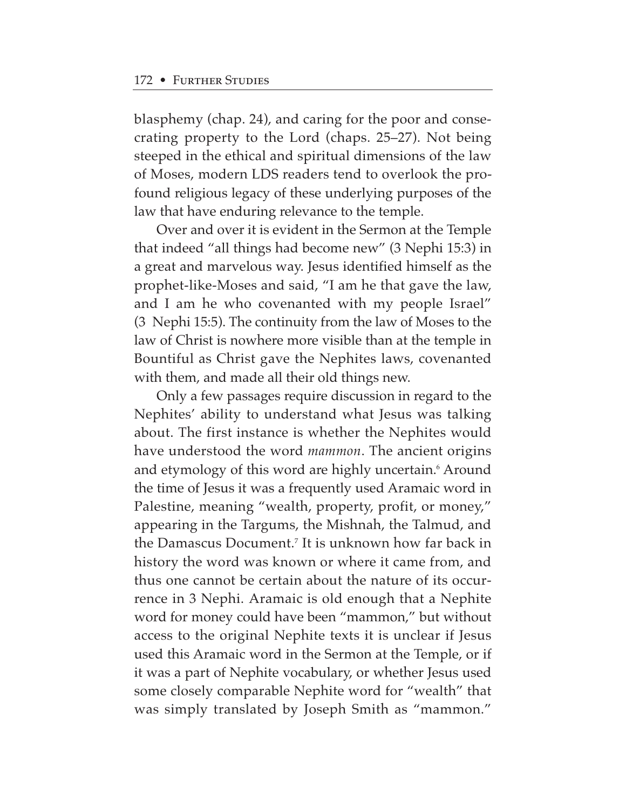blasphemy (chap. 24), and caring for the poor and consecrating property to the Lord (chaps. 25–27). Not being steeped in the ethical and spiritual dimensions of the law of Moses, modern LDS readers tend to overlook the profound religious legacy of these underlying purposes of the law that have enduring relevance to the temple.

Over and over it is evident in the Sermon at the Temple that indeed "all things had become new" (3 Nephi 15:3) in a great and marvelous way. Jesus identified himself as the prophet-like-Moses and said, "I am he that gave the law, and I am he who covenanted with my people Israel" (3 Nephi 15:5). The continuity from the law of Moses to the law of Christ is nowhere more visible than at the temple in Bountiful as Christ gave the Nephites laws, covenanted with them, and made all their old things new.

Only a few passages require discussion in regard to the Nephites' ability to understand what Jesus was talking about. The first instance is whether the Nephites would have understood the word *mammon*. The ancient origins and etymology of this word are highly uncertain.<sup>6</sup> Around the time of Jesus it was a frequently used Aramaic word in Palestine, meaning "wealth, property, profit, or money," appearing in the Targums, the Mishnah, the Talmud, and the Damascus Document.7 It is unknown how far back in history the word was known or where it came from, and thus one cannot be certain about the nature of its occurrence in 3 Nephi. Aramaic is old enough that a Nephite word for money could have been "mammon," but without access to the original Nephite texts it is unclear if Jesus used this Aramaic word in the Sermon at the Temple, or if it was a part of Nephite vocabulary, or whether Jesus used some closely comparable Nephite word for "wealth" that was simply translated by Joseph Smith as "mammon."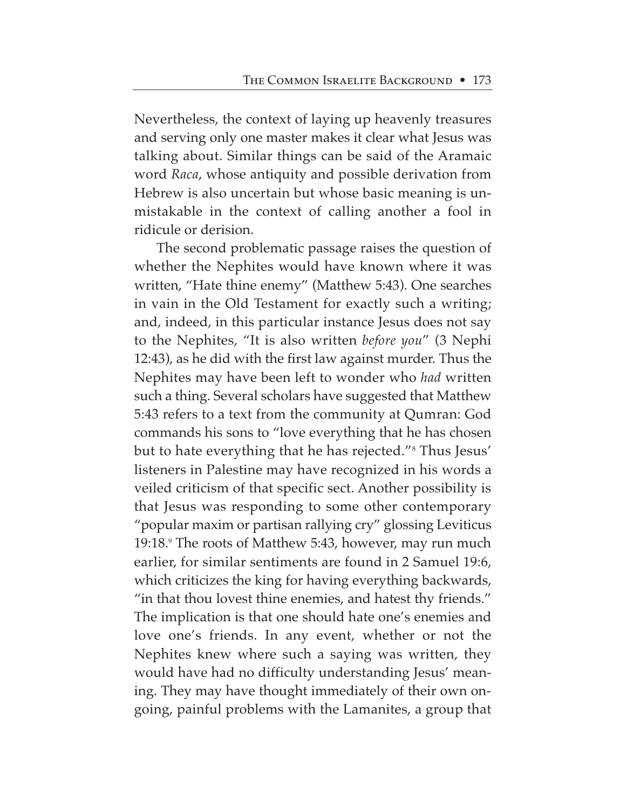Nevertheless, the context of laying up heavenly treasures and serving only one master makes it clear what Jesus was talking about. Similar things can be said of the Aramaic word *Raca*, whose antiquity and possible derivation from Hebrew is also uncertain but whose basic meaning is unmistakable in the context of calling another a fool in ridicule or derision.

The second problematic passage raises the question of whether the Nephites would have known where it was written, "Hate thine enemy" (Matthew 5:43). One searches in vain in the Old Testament for exactly such a writing; and, indeed, in this particular instance Jesus does not say to the Nephites, "It is also written *before you*" (3 Nephi 12:43), as he did with the first law against murder. Thus the Nephites may have been left to wonder who *had* written such a thing. Several scholars have suggested that Matthew 5:43 refers to a text from the community at Qumran: God commands his sons to "love everything that he has chosen but to hate everything that he has rejected."8 Thus Jesus' listeners in Palestine may have recognized in his words a veiled criticism of that specific sect. Another possibility is that Jesus was responding to some other contemporary "popular maxim or partisan rallying cry" glossing Leviticus 19:18.9 The roots of Matthew 5:43, however, may run much earlier, for similar sentiments are found in 2 Samuel 19:6, which criticizes the king for having everything backwards, "in that thou lovest thine enemies, and hatest thy friends." The implication is that one should hate one's enemies and love one's friends. In any event, whether or not the Nephites knew where such a saying was written, they would have had no difficulty understanding Jesus' meaning. They may have thought immediately of their own ongoing, painful problems with the Lamanites, a group that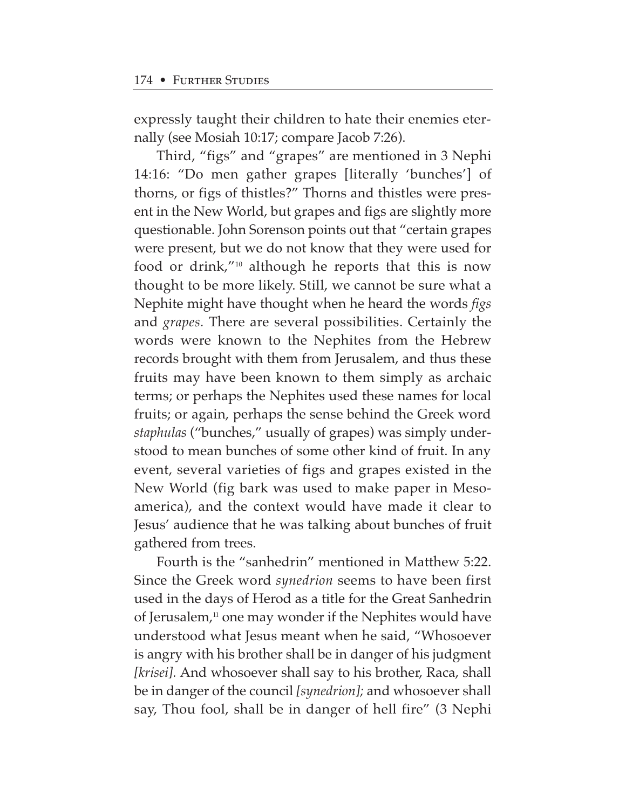expressly taught their children to hate their enemies eternally (see Mosiah 10:17; compare Jacob 7:26).

Third, "figs" and "grapes" are mentioned in 3 Nephi 14:16: "Do men gather grapes [literally 'bunches'] of thorns, or figs of thistles?" Thorns and thistles were present in the New World, but grapes and figs are slightly more questionable. John Sorenson points out that "certain grapes were present, but we do not know that they were used for food or drink,"10 although he reports that this is now thought to be more likely. Still, we cannot be sure what a Nephite might have thought when he heard the words *figs* and *grapes.* There are several possibilities. Certainly the words were known to the Nephites from the Hebrew records brought with them from Jerusalem, and thus these fruits may have been known to them simply as archaic terms; or perhaps the Nephites used these names for local fruits; or again, perhaps the sense behind the Greek word *staphulas* ("bunches," usually of grapes) was simply understood to mean bunches of some other kind of fruit. In any event, several varieties of figs and grapes existed in the New World (fig bark was used to make paper in Mesoamerica), and the context would have made it clear to Jesus' audience that he was talking about bunches of fruit gathered from trees.

Fourth is the "sanhedrin" mentioned in Matthew 5:22. Since the Greek word *synedrion* seems to have been first used in the days of Herod as a title for the Great Sanhedrin of Jerusalem, $\mu$  one may wonder if the Nephites would have understood what Jesus meant when he said, "Whosoever is angry with his brother shall be in danger of his judgment *[krisei].* And whosoever shall say to his brother, Raca, shall be in danger of the council *[synedrion];* and whosoever shall say, Thou fool, shall be in danger of hell fire" (3 Nephi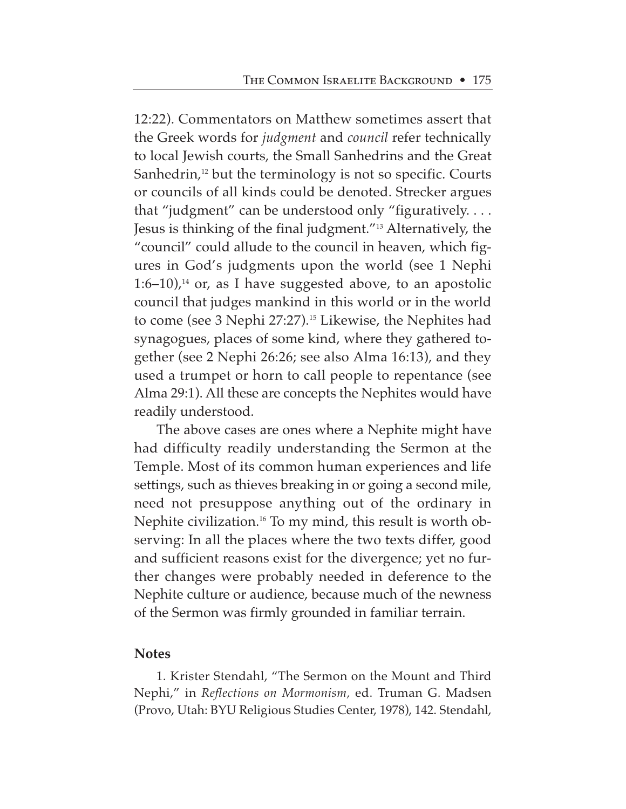12:22). Commentators on Matthew sometimes assert that the Greek words for *judgment* and *council* refer technically to local Jewish courts, the Small Sanhedrins and the Great Sanhedrin,<sup>12</sup> but the terminology is not so specific. Courts or councils of all kinds could be denoted. Strecker argues that "judgment" can be understood only "figuratively. . . . Jesus is thinking of the final judgment."13 Alternatively, the "council" could allude to the council in heaven, which figures in God's judgments upon the world (see 1 Nephi 1:6–10),<sup>14</sup> or, as I have suggested above, to an apostolic council that judges mankind in this world or in the world to come (see 3 Nephi 27:27).<sup>15</sup> Likewise, the Nephites had synagogues, places of some kind, where they gathered together (see 2 Nephi 26:26; see also Alma 16:13), and they used a trumpet or horn to call people to repentance (see Alma 29:1). All these are concepts the Nephites would have readily understood.

The above cases are ones where a Nephite might have had difficulty readily understanding the Sermon at the Temple. Most of its common human experiences and life settings, such as thieves breaking in or going a second mile, need not presuppose anything out of the ordinary in Nephite civilization.16 To my mind, this result is worth observing: In all the places where the two texts differ, good and sufficient reasons exist for the divergence; yet no further changes were probably needed in deference to the Nephite culture or audience, because much of the newness of the Sermon was firmly grounded in familiar terrain.

#### **Notes**

1. Krister Stendahl, "The Sermon on the Mount and Third Nephi," in *Reflections on Mormonism,* ed. Truman G. Madsen (Provo, Utah: BYU Religious Studies Center, 1978), 142. Stendahl,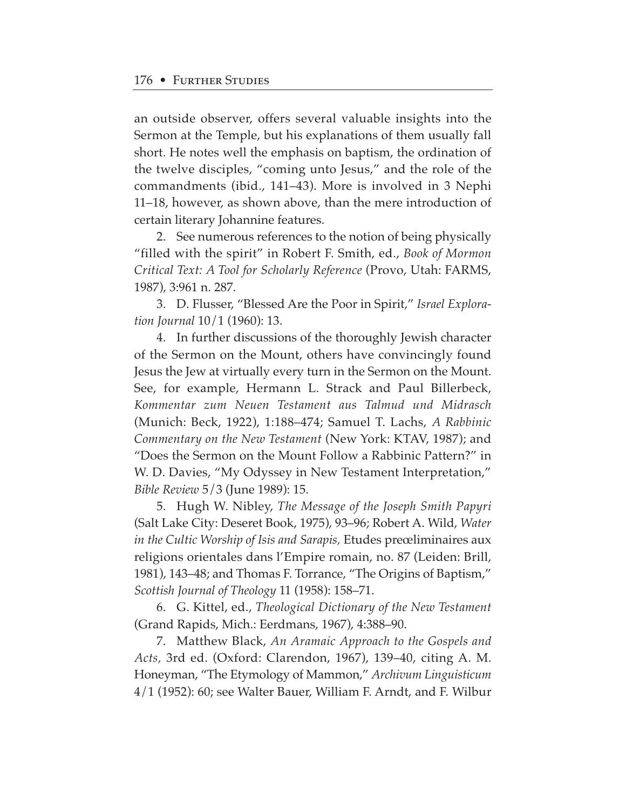an outside observer, offers several valuable insights into the Sermon at the Temple, but his explanations of them usually fall short. He notes well the emphasis on baptism, the ordination of the twelve disciples, "coming unto Jesus," and the role of the commandments (ibid., 141–43). More is involved in 3 Nephi 11–18, however, as shown above, than the mere introduction of certain literary Johannine features.

2. See numerous references to the notion of being physically "filled with the spirit" in Robert F. Smith, ed., *Book of Mormon Critical Text: A Tool for Scholarly Reference* (Provo, Utah: FARMS, 1987), 3:961 n. 287.

3. D. Flusser, "Blessed Are the Poor in Spirit," *Israel Exploration Journal* 10/1 (1960): 13.

4. In further discussions of the thoroughly Jewish character of the Sermon on the Mount, others have convincingly found Jesus the Jew at virtually every turn in the Sermon on the Mount. See, for example, Hermann L. Strack and Paul Billerbeck, *Kommentar zum Neuen Testament aus Talmud und Midrasch* (Munich: Beck, 1922), 1:188–474; Samuel T. Lachs, *A Rabbinic Commentary on the New Testament* (New York: KTAV, 1987); and "Does the Sermon on the Mount Follow a Rabbinic Pattern?" in W. D. Davies, "My Odyssey in New Testament Interpretation," *Bible Review* 5/3 (June 1989): 15.

5. Hugh W. Nibley, *The Message of the Joseph Smith Papyri* (Salt Lake City: Deseret Book, 1975), 93–96; Robert A. Wild, *Water in the Cultic Worship of Isis and Sarapis,* Etudes preœliminaires aux religions orientales dans l'Empire romain, no. 87 (Leiden: Brill, 1981), 143–48; and Thomas F. Torrance, "The Origins of Baptism," *Scottish Journal of Theology* 11 (1958): 158–71.

6. G. Kittel, ed., *Theological Dictionary of the New Testament* (Grand Rapids, Mich.: Eerdmans, 1967), 4:388–90.

7. Matthew Black, *An Aramaic Approach to the Gospels and Acts,* 3rd ed. (Oxford: Clarendon, 1967), 139–40, citing A. M. Honeyman, "The Etymology of Mammon," *Archivum Linguisticum* 4/1 (1952): 60; see Walter Bauer, William F. Arndt, and F. Wilbur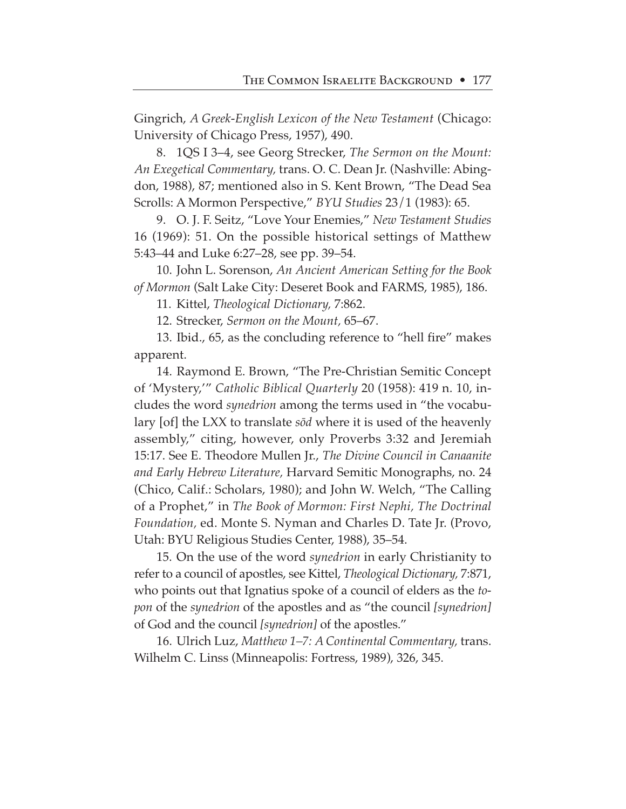Gingrich, *A Greek-English Lexicon of the New Testament* (Chicago: University of Chicago Press, 1957), 490.

8. 1QS I 3–4, see Georg Strecker, *The Sermon on the Mount: An Exegetical Commentary,* trans. O. C. Dean Jr. (Nashville: Abingdon, 1988), 87; mentioned also in S. Kent Brown, "The Dead Sea Scrolls: A Mormon Perspective," *BYU Studies* 23/1 (1983): 65.

9. O. J. F. Seitz, "Love Your Enemies," *New Testament Studies* 16 (1969): 51. On the possible historical settings of Matthew 5:43–44 and Luke 6:27–28, see pp. 39–54.

10. John L. Sorenson, *An Ancient American Setting for the Book of Mormon* (Salt Lake City: Deseret Book and FARMS, 1985), 186.

11. Kittel, *Theological Dictionary,* 7:862.

12. Strecker, *Sermon on the Mount,* 65–67.

13. Ibid., 65, as the concluding reference to "hell fire" makes apparent.

14. Raymond E. Brown, "The Pre-Christian Semitic Concept of 'Mystery,'" *Catholic Biblical Quarterly* 20 (1958): 419 n. 10, includes the word *synedrion* among the terms used in "the vocabulary [of] the LXX to translate *sød* where it is used of the heavenly assembly," citing, however, only Proverbs 3:32 and Jeremiah 15:17. See E. Theodore Mullen Jr., *The Divine Council in Canaanite and Early Hebrew Literature,* Harvard Semitic Monographs, no. 24 (Chico, Calif.: Scholars, 1980); and John W. Welch, "The Calling of a Prophet," in *The Book of Mormon: First Nephi, The Doctrinal Foundation,* ed. Monte S. Nyman and Charles D. Tate Jr. (Provo, Utah: BYU Religious Studies Center, 1988), 35–54.

15. On the use of the word *synedrion* in early Christianity to refer to a council of apostles, see Kittel, *Theological Dictionary,* 7:871, who points out that Ignatius spoke of a council of elders as the *topon* of the *synedrion* of the apostles and as "the council *[synedrion]* of God and the council *[synedrion]* of the apostles."

16. Ulrich Luz, *Matthew 1–7: A Continental Commentary,* trans. Wilhelm C. Linss (Minneapolis: Fortress, 1989), 326, 345.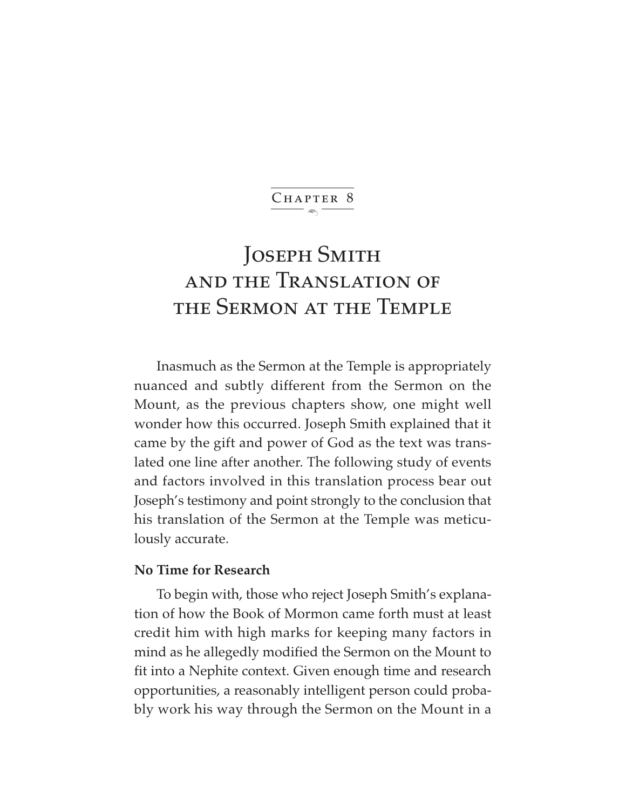$\ddot{\phantom{1}}$ CHAPTER 8

# JOSEPH SMITH and the Translation of the Sermon at the Temple

Inasmuch as the Sermon at the Temple is appropriately nuanced and subtly different from the Sermon on the Mount, as the previous chapters show, one might well wonder how this occurred. Joseph Smith explained that it came by the gift and power of God as the text was translated one line after another. The following study of events and factors involved in this translation process bear out Joseph's testimony and point strongly to the conclusion that his translation of the Sermon at the Temple was meticulously accurate.

## **No Time for Research**

To begin with, those who reject Joseph Smith's explanation of how the Book of Mormon came forth must at least credit him with high marks for keeping many factors in mind as he allegedly modified the Sermon on the Mount to fit into a Nephite context. Given enough time and research opportunities, a reasonably intelligent person could probably work his way through the Sermon on the Mount in a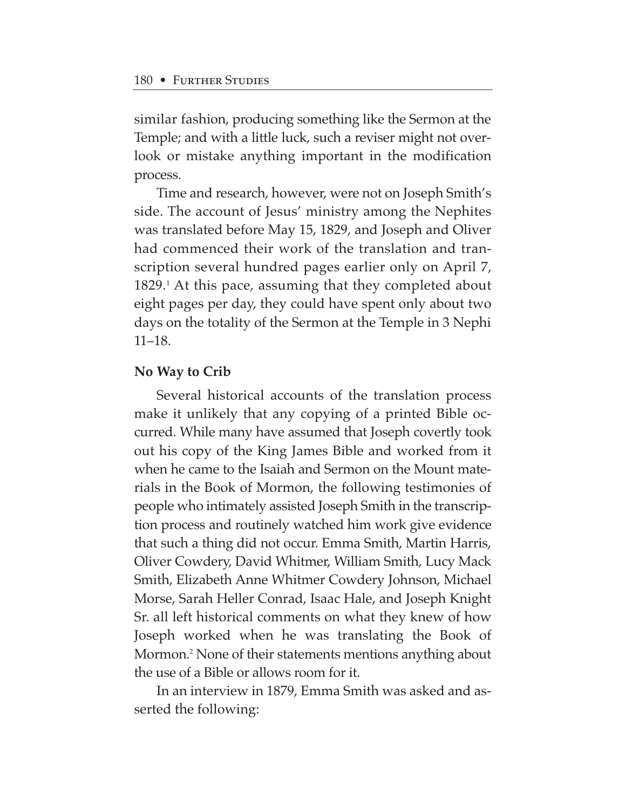similar fashion, producing something like the Sermon at the Temple; and with a little luck, such a reviser might not overlook or mistake anything important in the modification process.

Time and research, however, were not on Joseph Smith's side. The account of Jesus' ministry among the Nephites was translated before May 15, 1829, and Joseph and Oliver had commenced their work of the translation and transcription several hundred pages earlier only on April 7, 1829.<sup>1</sup> At this pace, assuming that they completed about eight pages per day, they could have spent only about two days on the totality of the Sermon at the Temple in 3 Nephi 11–18.

#### **No Way to Crib**

Several historical accounts of the translation process make it unlikely that any copying of a printed Bible occurred. While many have assumed that Joseph covertly took out his copy of the King James Bible and worked from it when he came to the Isaiah and Sermon on the Mount materials in the Book of Mormon, the following testimonies of people who intimately assisted Joseph Smith in the transcription process and routinely watched him work give evidence that such a thing did not occur. Emma Smith, Martin Harris, Oliver Cowdery, David Whitmer, William Smith, Lucy Mack Smith, Elizabeth Anne Whitmer Cowdery Johnson, Michael Morse, Sarah Heller Conrad, Isaac Hale, and Joseph Knight Sr. all left historical comments on what they knew of how Joseph worked when he was translating the Book of Mormon.2 None of their statements mentions anything about the use of a Bible or allows room for it.

In an interview in 1879, Emma Smith was asked and asserted the following: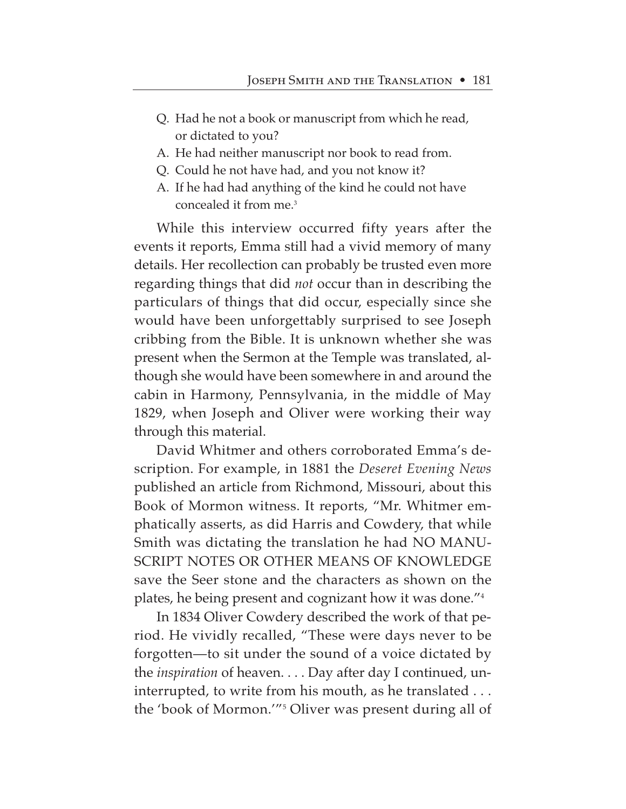- Q. Had he not a book or manuscript from which he read, or dictated to you?
- A. He had neither manuscript nor book to read from.
- Q. Could he not have had, and you not know it?
- A. If he had had anything of the kind he could not have concealed it from me.3

While this interview occurred fifty years after the events it reports, Emma still had a vivid memory of many details. Her recollection can probably be trusted even more regarding things that did *not* occur than in describing the particulars of things that did occur, especially since she would have been unforgettably surprised to see Joseph cribbing from the Bible. It is unknown whether she was present when the Sermon at the Temple was translated, although she would have been somewhere in and around the cabin in Harmony, Pennsylvania, in the middle of May 1829, when Joseph and Oliver were working their way through this material.

David Whitmer and others corroborated Emma's description. For example, in 1881 the *Deseret Evening News* published an article from Richmond, Missouri, about this Book of Mormon witness. It reports, "Mr. Whitmer emphatically asserts, as did Harris and Cowdery, that while Smith was dictating the translation he had NO MANU-SCRIPT NOTES OR OTHER MEANS OF KNOWLEDGE save the Seer stone and the characters as shown on the plates, he being present and cognizant how it was done."4

In 1834 Oliver Cowdery described the work of that period. He vividly recalled, "These were days never to be forgotten—to sit under the sound of a voice dictated by the *inspiration* of heaven. . . . Day after day I continued, uninterrupted, to write from his mouth, as he translated . . . the 'book of Mormon.'"5 Oliver was present during all of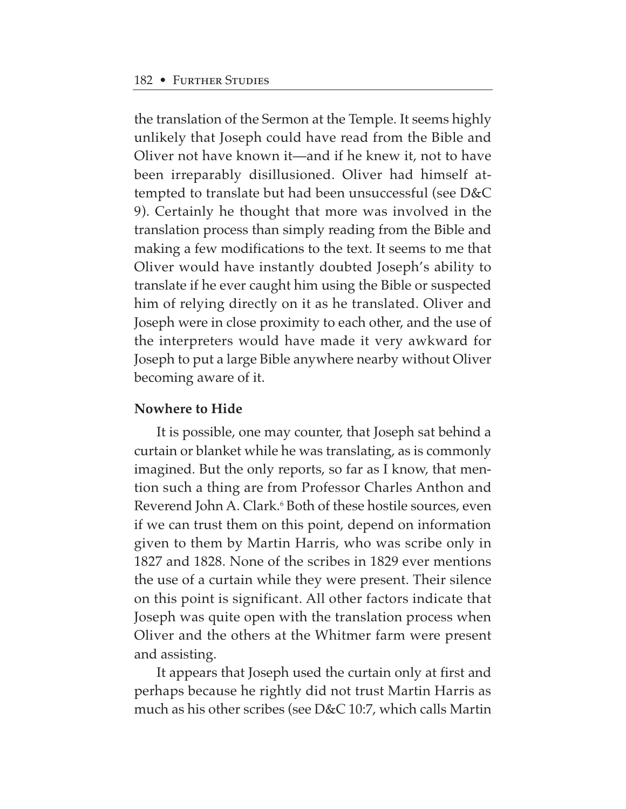the translation of the Sermon at the Temple. It seems highly unlikely that Joseph could have read from the Bible and Oliver not have known it—and if he knew it, not to have been irreparably disillusioned. Oliver had himself attempted to translate but had been unsuccessful (see D&C 9). Certainly he thought that more was involved in the translation process than simply reading from the Bible and making a few modifications to the text. It seems to me that Oliver would have instantly doubted Joseph's ability to translate if he ever caught him using the Bible or suspected him of relying directly on it as he translated. Oliver and Joseph were in close proximity to each other, and the use of the interpreters would have made it very awkward for Joseph to put a large Bible anywhere nearby without Oliver becoming aware of it.

## **Nowhere to Hide**

It is possible, one may counter, that Joseph sat behind a curtain or blanket while he was translating, as is commonly imagined. But the only reports, so far as I know, that mention such a thing are from Professor Charles Anthon and Reverend John A. Clark.<sup>6</sup> Both of these hostile sources, even if we can trust them on this point, depend on information given to them by Martin Harris, who was scribe only in 1827 and 1828. None of the scribes in 1829 ever mentions the use of a curtain while they were present. Their silence on this point is significant. All other factors indicate that Joseph was quite open with the translation process when Oliver and the others at the Whitmer farm were present and assisting.

It appears that Joseph used the curtain only at first and perhaps because he rightly did not trust Martin Harris as much as his other scribes (see D&C 10:7, which calls Martin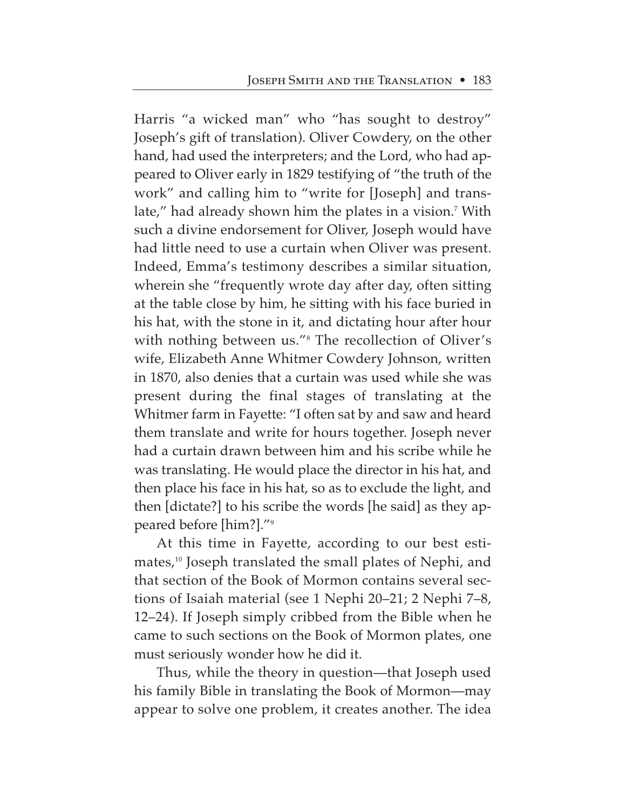Harris "a wicked man" who "has sought to destroy" Joseph's gift of translation). Oliver Cowdery, on the other hand, had used the interpreters; and the Lord, who had appeared to Oliver early in 1829 testifying of "the truth of the work" and calling him to "write for [Joseph] and translate," had already shown him the plates in a vision.<sup>7</sup> With such a divine endorsement for Oliver, Joseph would have had little need to use a curtain when Oliver was present. Indeed, Emma's testimony describes a similar situation, wherein she "frequently wrote day after day, often sitting at the table close by him, he sitting with his face buried in his hat, with the stone in it, and dictating hour after hour with nothing between us."<sup>8</sup> The recollection of Oliver's wife, Elizabeth Anne Whitmer Cowdery Johnson, written in 1870, also denies that a curtain was used while she was present during the final stages of translating at the Whitmer farm in Fayette: "I often sat by and saw and heard them translate and write for hours together. Joseph never had a curtain drawn between him and his scribe while he was translating. He would place the director in his hat, and then place his face in his hat, so as to exclude the light, and then [dictate?] to his scribe the words [he said] as they appeared before [him?]."9

At this time in Fayette, according to our best estimates,10 Joseph translated the small plates of Nephi, and that section of the Book of Mormon contains several sections of Isaiah material (see 1 Nephi 20–21; 2 Nephi 7–8, 12–24). If Joseph simply cribbed from the Bible when he came to such sections on the Book of Mormon plates, one must seriously wonder how he did it.

Thus, while the theory in question—that Joseph used his family Bible in translating the Book of Mormon—may appear to solve one problem, it creates another. The idea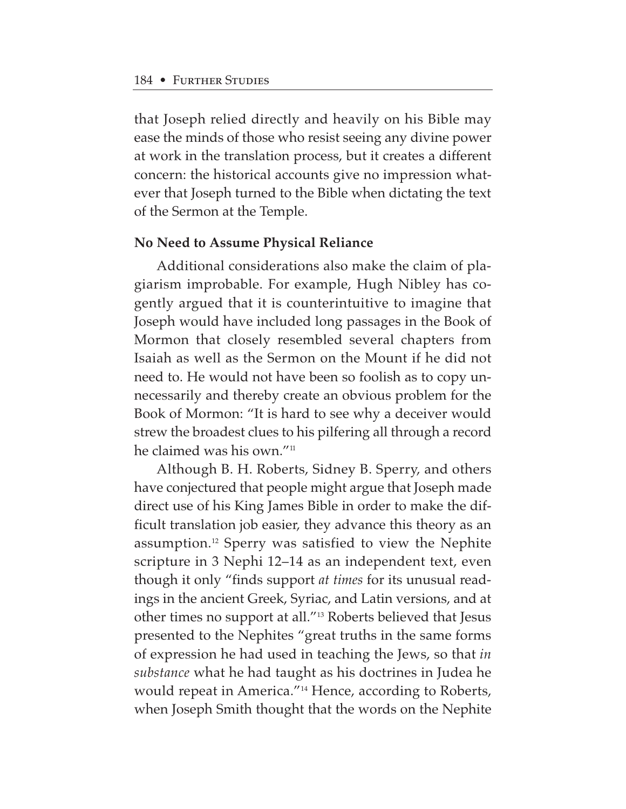that Joseph relied directly and heavily on his Bible may ease the minds of those who resist seeing any divine power at work in the translation process, but it creates a different concern: the historical accounts give no impression whatever that Joseph turned to the Bible when dictating the text of the Sermon at the Temple.

#### **No Need to Assume Physical Reliance**

Additional considerations also make the claim of plagiarism improbable. For example, Hugh Nibley has cogently argued that it is counterintuitive to imagine that Joseph would have included long passages in the Book of Mormon that closely resembled several chapters from Isaiah as well as the Sermon on the Mount if he did not need to. He would not have been so foolish as to copy unnecessarily and thereby create an obvious problem for the Book of Mormon: "It is hard to see why a deceiver would strew the broadest clues to his pilfering all through a record he claimed was his own."11

Although B. H. Roberts, Sidney B. Sperry, and others have conjectured that people might argue that Joseph made direct use of his King James Bible in order to make the difficult translation job easier, they advance this theory as an assumption.12 Sperry was satisfied to view the Nephite scripture in 3 Nephi 12–14 as an independent text, even though it only "finds support *at times* for its unusual readings in the ancient Greek, Syriac, and Latin versions, and at other times no support at all."13 Roberts believed that Jesus presented to the Nephites "great truths in the same forms of expression he had used in teaching the Jews, so that *in substance* what he had taught as his doctrines in Judea he would repeat in America."14 Hence, according to Roberts, when Joseph Smith thought that the words on the Nephite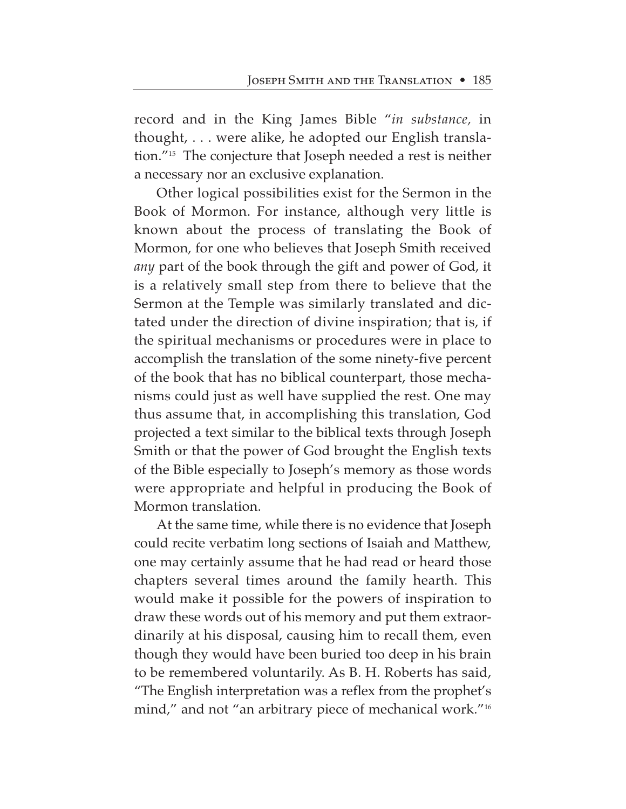record and in the King James Bible "*in substance,* in thought, . . . were alike, he adopted our English translation."15 The conjecture that Joseph needed a rest is neither a necessary nor an exclusive explanation.

Other logical possibilities exist for the Sermon in the Book of Mormon. For instance, although very little is known about the process of translating the Book of Mormon, for one who believes that Joseph Smith received *any* part of the book through the gift and power of God, it is a relatively small step from there to believe that the Sermon at the Temple was similarly translated and dictated under the direction of divine inspiration; that is, if the spiritual mechanisms or procedures were in place to accomplish the translation of the some ninety-five percent of the book that has no biblical counterpart, those mechanisms could just as well have supplied the rest. One may thus assume that, in accomplishing this translation, God projected a text similar to the biblical texts through Joseph Smith or that the power of God brought the English texts of the Bible especially to Joseph's memory as those words were appropriate and helpful in producing the Book of Mormon translation.

At the same time, while there is no evidence that Joseph could recite verbatim long sections of Isaiah and Matthew, one may certainly assume that he had read or heard those chapters several times around the family hearth. This would make it possible for the powers of inspiration to draw these words out of his memory and put them extraordinarily at his disposal, causing him to recall them, even though they would have been buried too deep in his brain to be remembered voluntarily. As B. H. Roberts has said, "The English interpretation was a reflex from the prophet's mind," and not "an arbitrary piece of mechanical work."<sup>16</sup>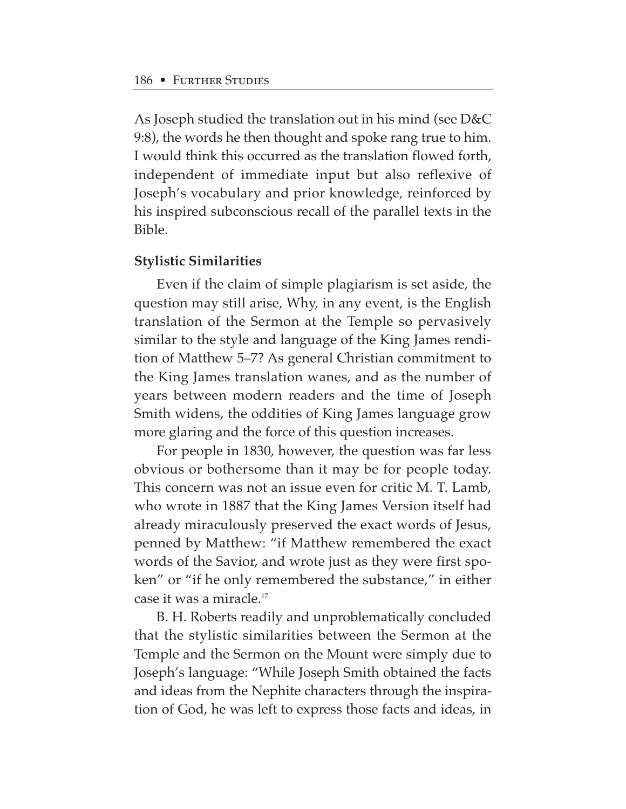As Joseph studied the translation out in his mind (see D&C 9:8), the words he then thought and spoke rang true to him. I would think this occurred as the translation flowed forth, independent of immediate input but also reflexive of Joseph's vocabulary and prior knowledge, reinforced by his inspired subconscious recall of the parallel texts in the Bible.

#### **Stylistic Similarities**

Even if the claim of simple plagiarism is set aside, the question may still arise, Why, in any event, is the English translation of the Sermon at the Temple so pervasively similar to the style and language of the King James rendition of Matthew 5–7? As general Christian commitment to the King James translation wanes, and as the number of years between modern readers and the time of Joseph Smith widens, the oddities of King James language grow more glaring and the force of this question increases.

For people in 1830, however, the question was far less obvious or bothersome than it may be for people today. This concern was not an issue even for critic M. T. Lamb, who wrote in 1887 that the King James Version itself had already miraculously preserved the exact words of Jesus, penned by Matthew: "if Matthew remembered the exact words of the Savior, and wrote just as they were first spoken" or "if he only remembered the substance," in either case it was a miracle.17

B. H. Roberts readily and unproblematically concluded that the stylistic similarities between the Sermon at the Temple and the Sermon on the Mount were simply due to Joseph's language: "While Joseph Smith obtained the facts and ideas from the Nephite characters through the inspiration of God, he was left to express those facts and ideas, in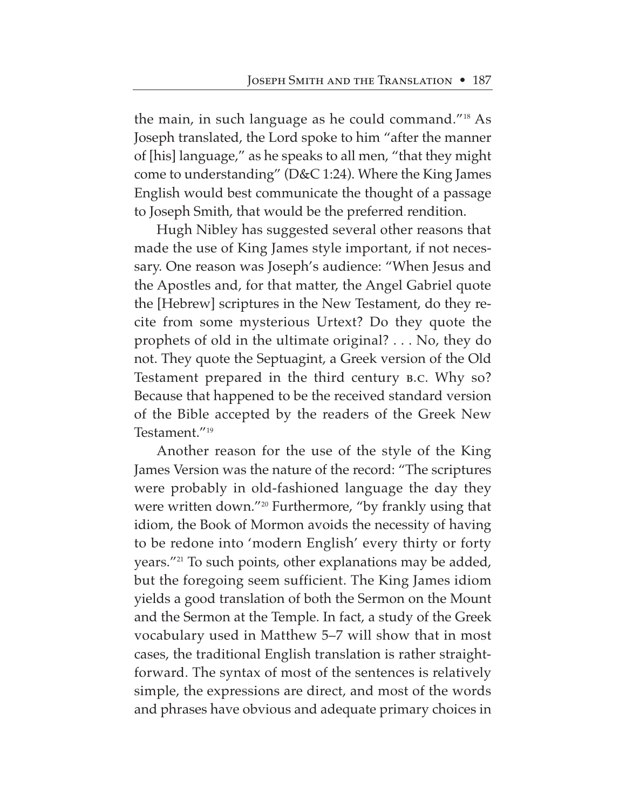the main, in such language as he could command."18 As Joseph translated, the Lord spoke to him "after the manner of [his] language," as he speaks to all men, "that they might come to understanding" (D&C 1:24). Where the King James English would best communicate the thought of a passage to Joseph Smith, that would be the preferred rendition.

Hugh Nibley has suggested several other reasons that made the use of King James style important, if not necessary. One reason was Joseph's audience: "When Jesus and the Apostles and, for that matter, the Angel Gabriel quote the [Hebrew] scriptures in the New Testament, do they recite from some mysterious Urtext? Do they quote the prophets of old in the ultimate original? . . . No, they do not. They quote the Septuagint, a Greek version of the Old Testament prepared in the third century b.c. Why so? Because that happened to be the received standard version of the Bible accepted by the readers of the Greek New Testament."19

Another reason for the use of the style of the King James Version was the nature of the record: "The scriptures were probably in old-fashioned language the day they were written down."20 Furthermore, "by frankly using that idiom, the Book of Mormon avoids the necessity of having to be redone into 'modern English' every thirty or forty years."21 To such points, other explanations may be added, but the foregoing seem sufficient. The King James idiom yields a good translation of both the Sermon on the Mount and the Sermon at the Temple. In fact, a study of the Greek vocabulary used in Matthew 5–7 will show that in most cases, the traditional English translation is rather straightforward. The syntax of most of the sentences is relatively simple, the expressions are direct, and most of the words and phrases have obvious and adequate primary choices in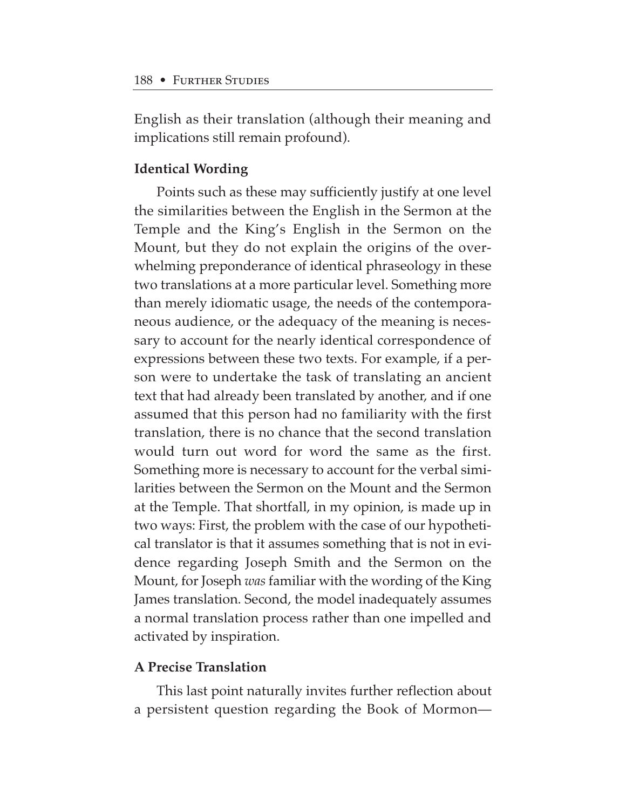English as their translation (although their meaning and implications still remain profound).

## **Identical Wording**

Points such as these may sufficiently justify at one level the similarities between the English in the Sermon at the Temple and the King's English in the Sermon on the Mount, but they do not explain the origins of the overwhelming preponderance of identical phraseology in these two translations at a more particular level. Something more than merely idiomatic usage, the needs of the contemporaneous audience, or the adequacy of the meaning is necessary to account for the nearly identical correspondence of expressions between these two texts. For example, if a person were to undertake the task of translating an ancient text that had already been translated by another, and if one assumed that this person had no familiarity with the first translation, there is no chance that the second translation would turn out word for word the same as the first. Something more is necessary to account for the verbal similarities between the Sermon on the Mount and the Sermon at the Temple. That shortfall, in my opinion, is made up in two ways: First, the problem with the case of our hypothetical translator is that it assumes something that is not in evidence regarding Joseph Smith and the Sermon on the Mount, for Joseph *was* familiar with the wording of the King James translation. Second, the model inadequately assumes a normal translation process rather than one impelled and activated by inspiration.

## **A Precise Translation**

This last point naturally invites further reflection about a persistent question regarding the Book of Mormon—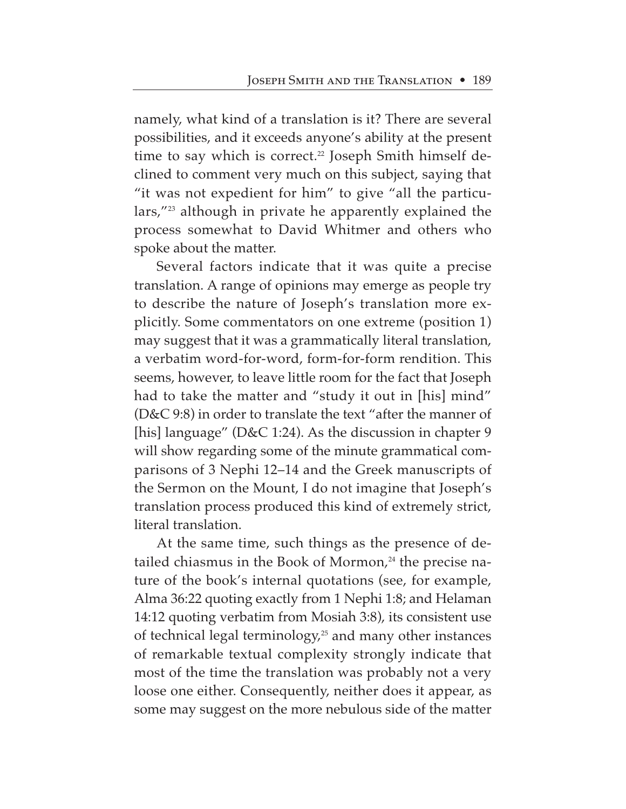namely, what kind of a translation is it? There are several possibilities, and it exceeds anyone's ability at the present time to say which is correct.<sup>22</sup> Joseph Smith himself declined to comment very much on this subject, saying that "it was not expedient for him" to give "all the particulars,"23 although in private he apparently explained the process somewhat to David Whitmer and others who spoke about the matter.

Several factors indicate that it was quite a precise translation. A range of opinions may emerge as people try to describe the nature of Joseph's translation more explicitly. Some commentators on one extreme (position 1) may suggest that it was a grammatically literal translation, a verbatim word-for-word, form-for-form rendition. This seems, however, to leave little room for the fact that Joseph had to take the matter and "study it out in [his] mind" (D&C 9:8) in order to translate the text "after the manner of [his] language" (D&C 1:24). As the discussion in chapter 9 will show regarding some of the minute grammatical comparisons of 3 Nephi 12–14 and the Greek manuscripts of the Sermon on the Mount, I do not imagine that Joseph's translation process produced this kind of extremely strict, literal translation.

At the same time, such things as the presence of detailed chiasmus in the Book of Mormon,<sup>24</sup> the precise nature of the book's internal quotations (see, for example, Alma 36:22 quoting exactly from 1 Nephi 1:8; and Helaman 14:12 quoting verbatim from Mosiah 3:8), its consistent use of technical legal terminology,<sup>25</sup> and many other instances of remarkable textual complexity strongly indicate that most of the time the translation was probably not a very loose one either. Consequently, neither does it appear, as some may suggest on the more nebulous side of the matter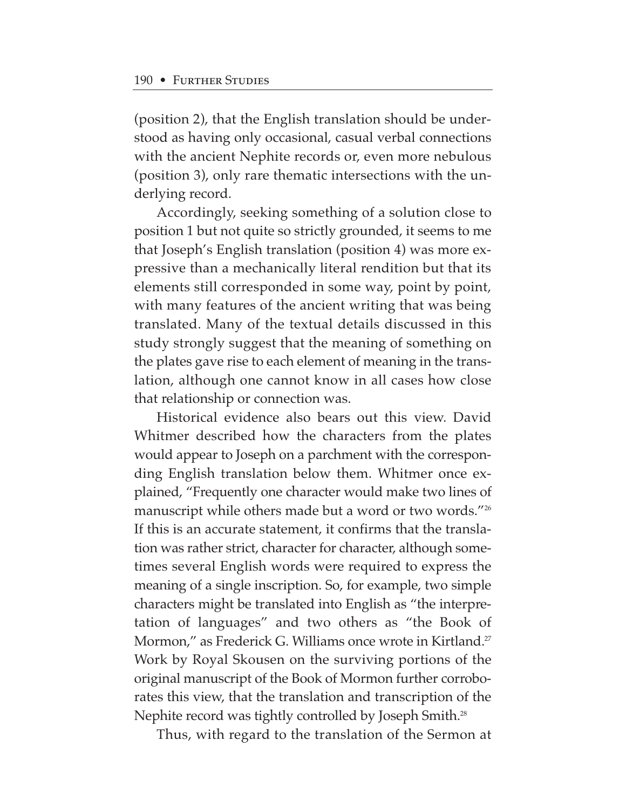(position 2), that the English translation should be understood as having only occasional, casual verbal connections with the ancient Nephite records or, even more nebulous (position 3), only rare thematic intersections with the underlying record.

Accordingly, seeking something of a solution close to position 1 but not quite so strictly grounded, it seems to me that Joseph's English translation (position 4) was more expressive than a mechanically literal rendition but that its elements still corresponded in some way, point by point, with many features of the ancient writing that was being translated. Many of the textual details discussed in this study strongly suggest that the meaning of something on the plates gave rise to each element of meaning in the translation, although one cannot know in all cases how close that relationship or connection was.

Historical evidence also bears out this view. David Whitmer described how the characters from the plates would appear to Joseph on a parchment with the corresponding English translation below them. Whitmer once explained, "Frequently one character would make two lines of manuscript while others made but a word or two words."26 If this is an accurate statement, it confirms that the translation was rather strict, character for character, although sometimes several English words were required to express the meaning of a single inscription. So, for example, two simple characters might be translated into English as "the interpretation of languages" and two others as "the Book of Mormon," as Frederick G. Williams once wrote in Kirtland.<sup>27</sup> Work by Royal Skousen on the surviving portions of the original manuscript of the Book of Mormon further corroborates this view, that the translation and transcription of the Nephite record was tightly controlled by Joseph Smith.28

Thus, with regard to the translation of the Sermon at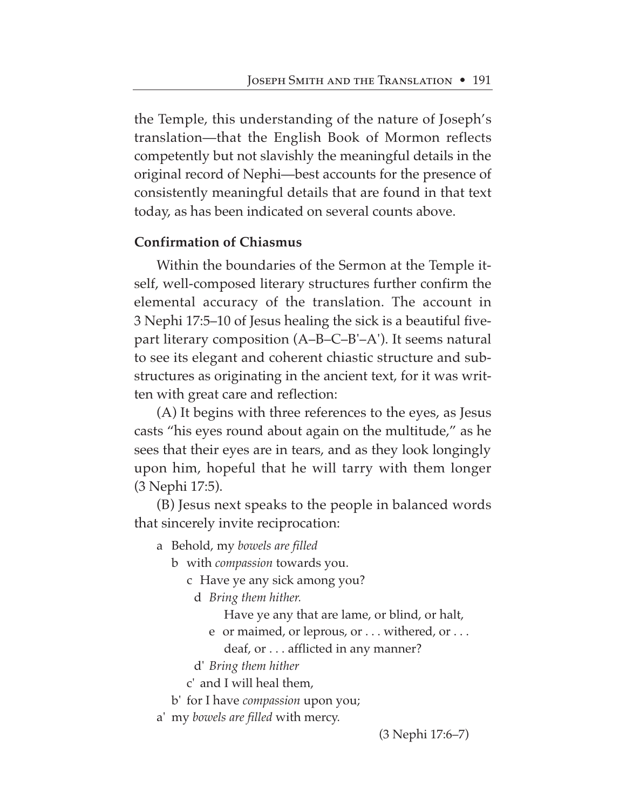the Temple, this understanding of the nature of Joseph's translation—that the English Book of Mormon reflects competently but not slavishly the meaningful details in the original record of Nephi—best accounts for the presence of consistently meaningful details that are found in that text today, as has been indicated on several counts above.

## **Confirmation of Chiasmus**

Within the boundaries of the Sermon at the Temple itself, well-composed literary structures further confirm the elemental accuracy of the translation. The account in 3 Nephi 17:5–10 of Jesus healing the sick is a beautiful fivepart literary composition (A–B–C–B'–A'). It seems natural to see its elegant and coherent chiastic structure and substructures as originating in the ancient text, for it was written with great care and reflection:

(A) It begins with three references to the eyes, as Jesus casts "his eyes round about again on the multitude," as he sees that their eyes are in tears, and as they look longingly upon him, hopeful that he will tarry with them longer (3 Nephi 17:5).

(B) Jesus next speaks to the people in balanced words that sincerely invite reciprocation:

- a Behold, my *bowels are filled*
	- b with *compassion* towards you.
		- c Have ye any sick among you?
			- d *Bring them hither.*
				- Have ye any that are lame, or blind, or halt,
				- e or maimed, or leprous, or . . . withered, or . . . deaf, or . . . afflicted in any manner?
			- d' *Bring them hither*
		- c' and I will heal them,
	- b' for I have *compassion* upon you;
- a' my *bowels are filled* with mercy.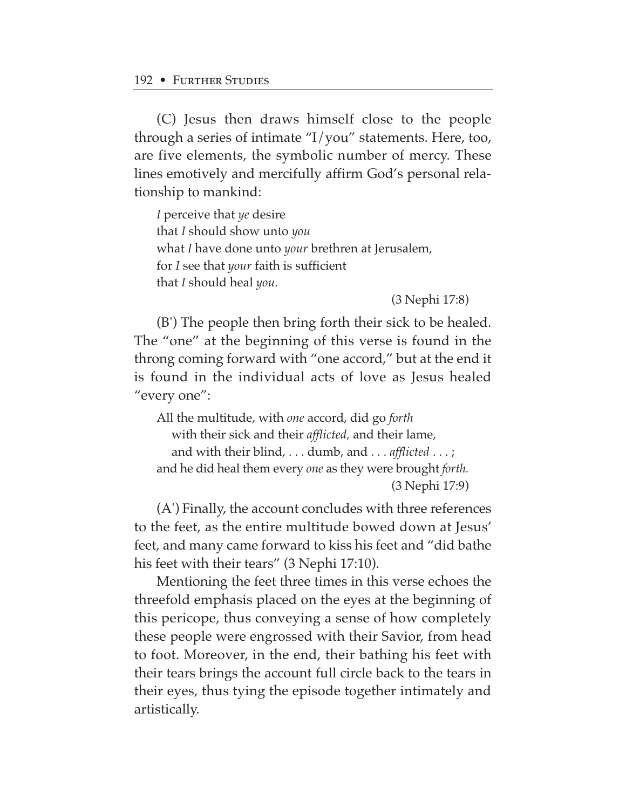(C) Jesus then draws himself close to the people through a series of intimate "I/you" statements. Here, too, are five elements, the symbolic number of mercy. These lines emotively and mercifully affirm God's personal relationship to mankind:

*I* perceive that *ye* desire that *I* should show unto *you* what *I* have done unto *your* brethren at Jerusalem, for *I* see that *your* faith is sufficient that *I* should heal *you*.

(3 Nephi 17:8)

(B') The people then bring forth their sick to be healed. The "one" at the beginning of this verse is found in the throng coming forward with "one accord," but at the end it is found in the individual acts of love as Jesus healed "every one":

All the multitude, with *one* accord, did go *forth*  with their sick and their *afflicted,* and their lame, and with their blind, . . . dumb, and . . . *afflicted* . . . ; and he did heal them every *one* as they were brought *forth.* (3 Nephi 17:9)

(A') Finally, the account concludes with three references to the feet, as the entire multitude bowed down at Jesus' feet, and many came forward to kiss his feet and "did bathe his feet with their tears" (3 Nephi 17:10).

Mentioning the feet three times in this verse echoes the threefold emphasis placed on the eyes at the beginning of this pericope, thus conveying a sense of how completely these people were engrossed with their Savior, from head to foot. Moreover, in the end, their bathing his feet with their tears brings the account full circle back to the tears in their eyes, thus tying the episode together intimately and artistically.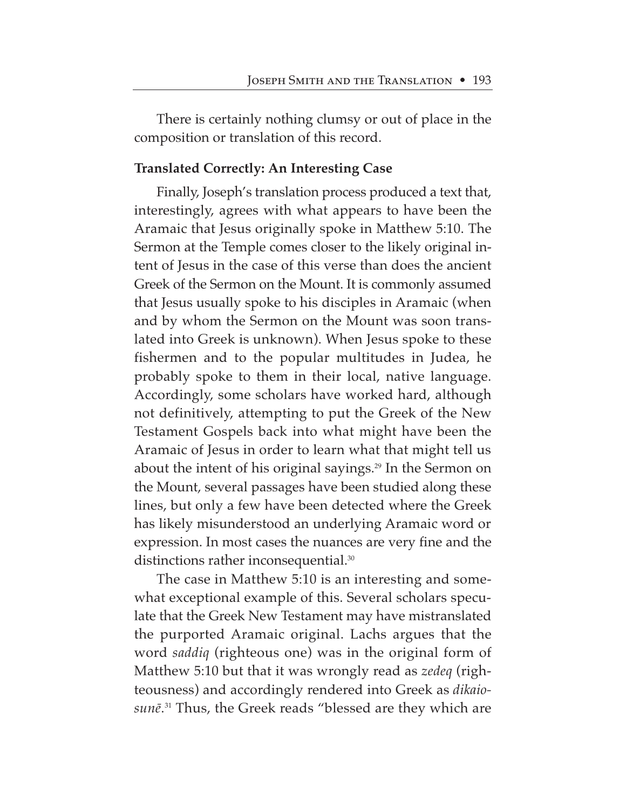There is certainly nothing clumsy or out of place in the composition or translation of this record.

## **Translated Correctly: An Interesting Case**

Finally, Joseph's translation process produced a text that, interestingly, agrees with what appears to have been the Aramaic that Jesus originally spoke in Matthew 5:10. The Sermon at the Temple comes closer to the likely original intent of Jesus in the case of this verse than does the ancient Greek of the Sermon on the Mount. It is commonly assumed that Jesus usually spoke to his disciples in Aramaic (when and by whom the Sermon on the Mount was soon translated into Greek is unknown). When Jesus spoke to these fishermen and to the popular multitudes in Judea, he probably spoke to them in their local, native language. Accordingly, some scholars have worked hard, although not definitively, attempting to put the Greek of the New Testament Gospels back into what might have been the Aramaic of Jesus in order to learn what that might tell us about the intent of his original sayings.<sup>29</sup> In the Sermon on the Mount, several passages have been studied along these lines, but only a few have been detected where the Greek has likely misunderstood an underlying Aramaic word or expression. In most cases the nuances are very fine and the distinctions rather inconsequential.30

The case in Matthew 5:10 is an interesting and somewhat exceptional example of this. Several scholars speculate that the Greek New Testament may have mistranslated the purported Aramaic original. Lachs argues that the word *saddiq* (righteous one) was in the original form of Matthew 5:10 but that it was wrongly read as *zedeq* (righteousness) and accordingly rendered into Greek as *dikaio*sunē.<sup>31</sup> Thus, the Greek reads "blessed are they which are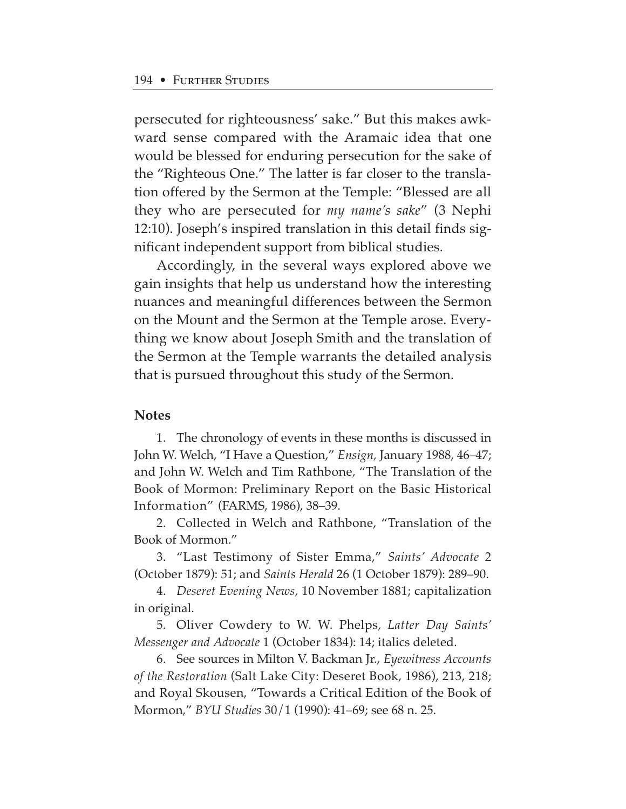persecuted for righteousness' sake." But this makes awkward sense compared with the Aramaic idea that one would be blessed for enduring persecution for the sake of the "Righteous One." The latter is far closer to the translation offered by the Sermon at the Temple: "Blessed are all they who are persecuted for *my name's sake*" (3 Nephi 12:10). Joseph's inspired translation in this detail finds significant independent support from biblical studies.

Accordingly, in the several ways explored above we gain insights that help us understand how the interesting nuances and meaningful differences between the Sermon on the Mount and the Sermon at the Temple arose. Everything we know about Joseph Smith and the translation of the Sermon at the Temple warrants the detailed analysis that is pursued throughout this study of the Sermon.

#### **Notes**

1. The chronology of events in these months is discussed in John W. Welch, "I Have a Question," *Ensign,* January 1988, 46–47; and John W. Welch and Tim Rathbone, "The Translation of the Book of Mormon: Preliminary Report on the Basic Historical Information" (FARMS, 1986), 38–39.

2. Collected in Welch and Rathbone, "Translation of the Book of Mormon."

3. "Last Testimony of Sister Emma," *Saints' Advocate* 2 (October 1879): 51; and *Saints Herald* 26 (1 October 1879): 289–90.

4. *Deseret Evening News,* 10 November 1881; capitalization in original.

5. Oliver Cowdery to W. W. Phelps, *Latter Day Saints' Messenger and Advocate* 1 (October 1834): 14; italics deleted.

6. See sources in Milton V. Backman Jr., *Eyewitness Accounts of the Restoration* (Salt Lake City: Deseret Book, 1986), 213, 218; and Royal Skousen, "Towards a Critical Edition of the Book of Mormon," *BYU Studies* 30/1 (1990): 41–69; see 68 n. 25.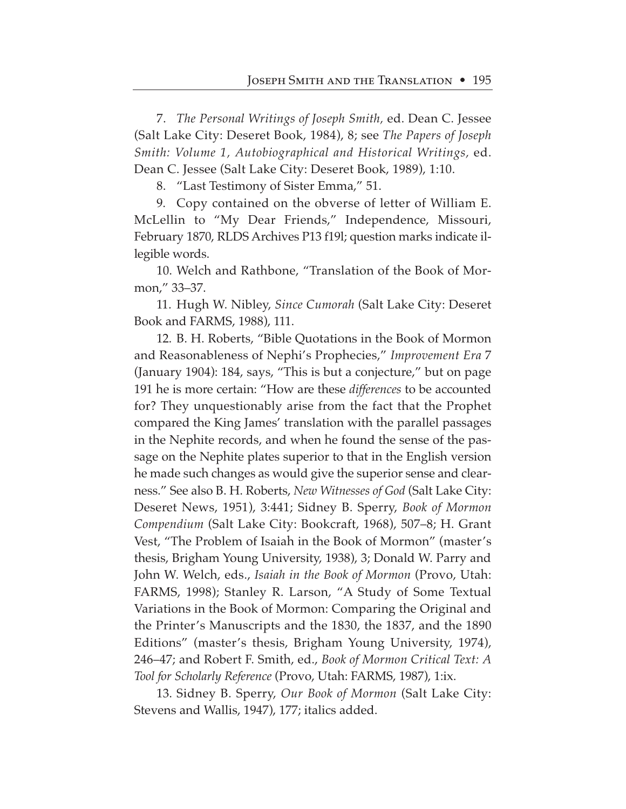7. *The Personal Writings of Joseph Smith,* ed. Dean C. Jessee (Salt Lake City: Deseret Book, 1984), 8; see *The Papers of Joseph Smith: Volume 1, Autobiographical and Historical Writings,* ed. Dean C. Jessee (Salt Lake City: Deseret Book, 1989), 1:10.

8. "Last Testimony of Sister Emma," 51.

9. Copy contained on the obverse of letter of William E. McLellin to "My Dear Friends," Independence, Missouri, February 1870, RLDS Archives P13 f19l; question marks indicate illegible words.

10. Welch and Rathbone, "Translation of the Book of Mormon," 33–37.

11. Hugh W. Nibley, *Since Cumorah* (Salt Lake City: Deseret Book and FARMS, 1988), 111.

12. B. H. Roberts, "Bible Quotations in the Book of Mormon and Reasonableness of Nephi's Prophecies," *Improvement Era* 7 (January 1904): 184, says, "This is but a conjecture," but on page 191 he is more certain: "How are these *differences* to be accounted for? They unquestionably arise from the fact that the Prophet compared the King James' translation with the parallel passages in the Nephite records, and when he found the sense of the passage on the Nephite plates superior to that in the English version he made such changes as would give the superior sense and clearness." See also B. H. Roberts, *New Witnesses of God* (Salt Lake City: Deseret News, 1951), 3:441; Sidney B. Sperry, *Book of Mormon Compendium* (Salt Lake City: Bookcraft, 1968), 507–8; H. Grant Vest, "The Problem of Isaiah in the Book of Mormon" (master's thesis, Brigham Young University, 1938), 3; Donald W. Parry and John W. Welch, eds., *Isaiah in the Book of Mormon* (Provo, Utah: FARMS, 1998); Stanley R. Larson, "A Study of Some Textual Variations in the Book of Mormon: Comparing the Original and the Printer's Manuscripts and the 1830, the 1837, and the 1890 Editions" (master's thesis, Brigham Young University, 1974), 246–47; and Robert F. Smith, ed., *Book of Mormon Critical Text: A Tool for Scholarly Reference* (Provo, Utah: FARMS, 1987), 1:ix.

13. Sidney B. Sperry, *Our Book of Mormon* (Salt Lake City: Stevens and Wallis, 1947), 177; italics added.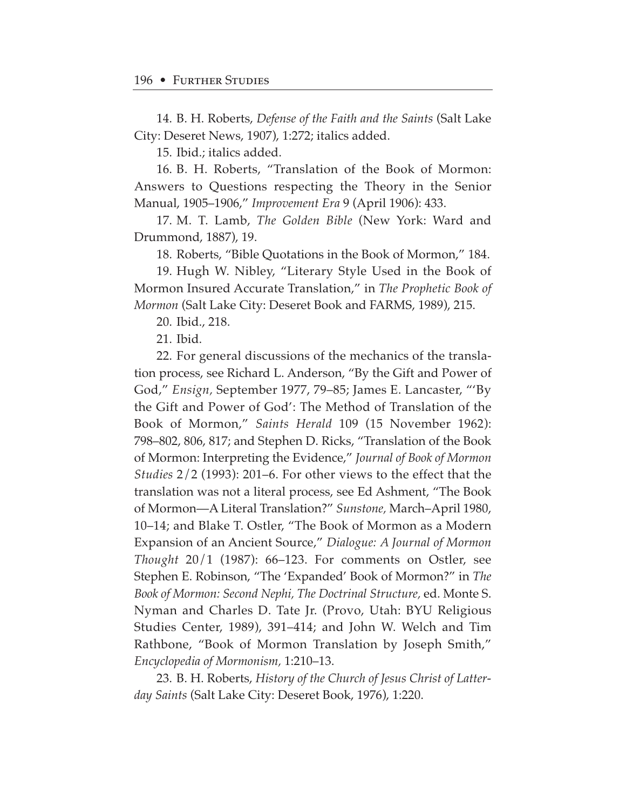14. B. H. Roberts, *Defense of the Faith and the Saints* (Salt Lake City: Deseret News, 1907), 1:272; italics added.

15. Ibid.; italics added.

16. B. H. Roberts, "Translation of the Book of Mormon: Answers to Questions respecting the Theory in the Senior Manual, 1905–1906," *Improvement Era* 9 (April 1906): 433.

17. M. T. Lamb, *The Golden Bible* (New York: Ward and Drummond, 1887), 19.

18. Roberts, "Bible Quotations in the Book of Mormon," 184.

19. Hugh W. Nibley, "Literary Style Used in the Book of Mormon Insured Accurate Translation," in *The Prophetic Book of Mormon* (Salt Lake City: Deseret Book and FARMS, 1989), 215.

20. Ibid., 218.

21. Ibid.

22. For general discussions of the mechanics of the translation process, see Richard L. Anderson, "By the Gift and Power of God," *Ensign,* September 1977, 79–85; James E. Lancaster, "'By the Gift and Power of God': The Method of Translation of the Book of Mormon," *Saints Herald* 109 (15 November 1962): 798–802, 806, 817; and Stephen D. Ricks, "Translation of the Book of Mormon: Interpreting the Evidence," *Journal of Book of Mormon Studies* 2/2 (1993): 201–6. For other views to the effect that the translation was not a literal process, see Ed Ashment, "The Book of Mormon—A Literal Translation?" *Sunstone,* March–April 1980, 10–14; and Blake T. Ostler, "The Book of Mormon as a Modern Expansion of an Ancient Source," *Dialogue: A Journal of Mormon Thought* 20/1 (1987): 66–123. For comments on Ostler, see Stephen E. Robinson, "The 'Expanded' Book of Mormon?" in *The Book of Mormon: Second Nephi, The Doctrinal Structure,* ed. Monte S. Nyman and Charles D. Tate Jr. (Provo, Utah: BYU Religious Studies Center, 1989), 391–414; and John W. Welch and Tim Rathbone, "Book of Mormon Translation by Joseph Smith," *Encyclopedia of Mormonism,* 1:210–13.

23. B. H. Roberts, *History of the Church of Jesus Christ of Latterday Saints* (Salt Lake City: Deseret Book, 1976), 1:220.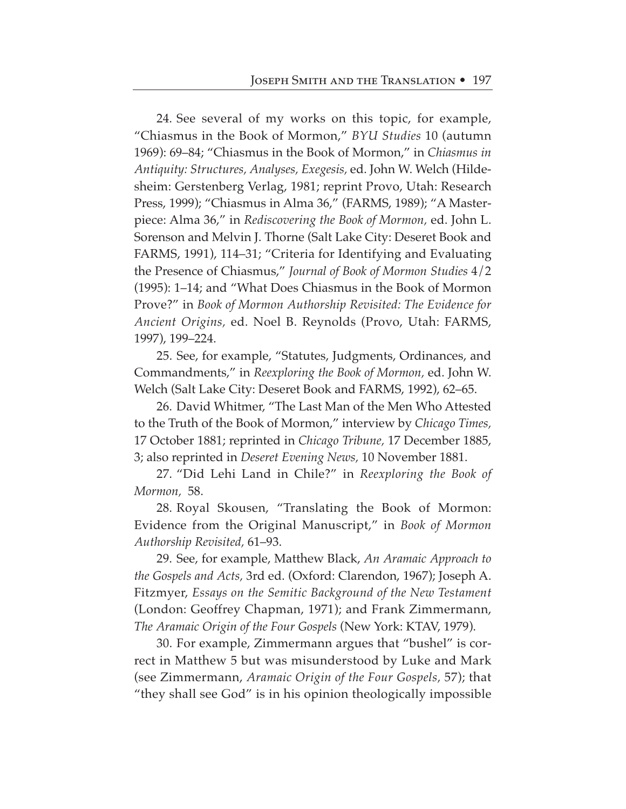24. See several of my works on this topic, for example, "Chiasmus in the Book of Mormon," *BYU Studies* 10 (autumn 1969): 69–84; "Chiasmus in the Book of Mormon," in *Chiasmus in Antiquity: Structures, Analyses, Exegesis,* ed. John W. Welch (Hildesheim: Gerstenberg Verlag, 1981; reprint Provo, Utah: Research Press, 1999); "Chiasmus in Alma 36," (FARMS, 1989); "A Masterpiece: Alma 36," in *Rediscovering the Book of Mormon,* ed. John L. Sorenson and Melvin J. Thorne (Salt Lake City: Deseret Book and FARMS, 1991), 114–31; "Criteria for Identifying and Evaluating the Presence of Chiasmus," *Journal of Book of Mormon Studies* 4/2 (1995): 1–14; and "What Does Chiasmus in the Book of Mormon Prove?" in *Book of Mormon Authorship Revisited: The Evidence for Ancient Origins,* ed. Noel B. Reynolds (Provo, Utah: FARMS, 1997), 199–224.

25. See, for example, "Statutes, Judgments, Ordinances, and Commandments," in *Reexploring the Book of Mormon,* ed. John W. Welch (Salt Lake City: Deseret Book and FARMS, 1992), 62–65.

26. David Whitmer, "The Last Man of the Men Who Attested to the Truth of the Book of Mormon," interview by *Chicago Times,* 17 October 1881; reprinted in *Chicago Tribune,* 17 December 1885, 3; also reprinted in *Deseret Evening News,* 10 November 1881.

27. "Did Lehi Land in Chile?" in *Reexploring the Book of Mormon,* 58.

28. Royal Skousen, "Translating the Book of Mormon: Evidence from the Original Manuscript," in *Book of Mormon Authorship Revisited,* 61–93.

29. See, for example, Matthew Black, *An Aramaic Approach to the Gospels and Acts,* 3rd ed. (Oxford: Clarendon, 1967); Joseph A. Fitzmyer, *Essays on the Semitic Background of the New Testament* (London: Geoffrey Chapman, 1971); and Frank Zimmermann, *The Aramaic Origin of the Four Gospels* (New York: KTAV, 1979).

30. For example, Zimmermann argues that "bushel" is correct in Matthew 5 but was misunderstood by Luke and Mark (see Zimmermann, *Aramaic Origin of the Four Gospels,* 57); that "they shall see God" is in his opinion theologically impossible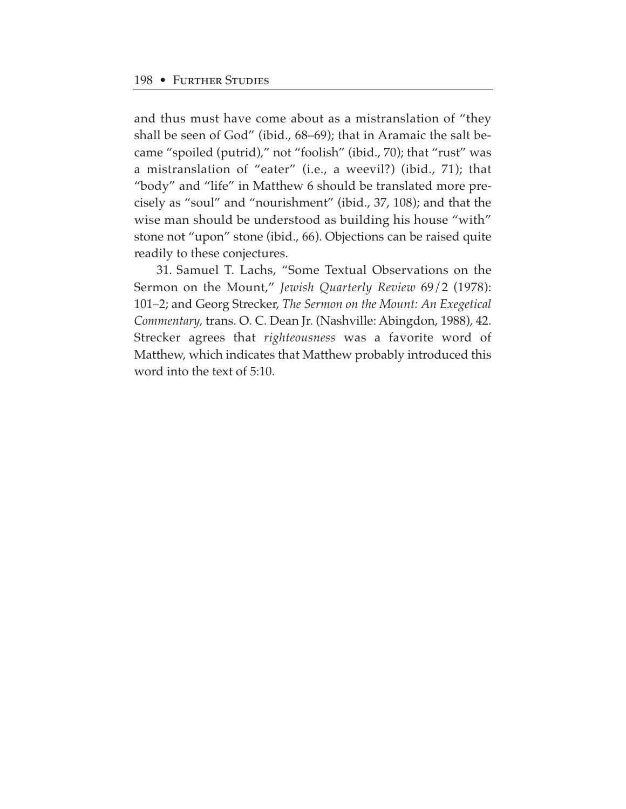and thus must have come about as a mistranslation of "they shall be seen of God" (ibid., 68–69); that in Aramaic the salt became "spoiled (putrid)," not "foolish" (ibid., 70); that "rust" was a mistranslation of "eater" (i.e., a weevil?) (ibid., 71); that "body" and "life" in Matthew 6 should be translated more precisely as "soul" and "nourishment" (ibid., 37, 108); and that the wise man should be understood as building his house "with" stone not "upon" stone (ibid., 66). Objections can be raised quite readily to these conjectures.

31. Samuel T. Lachs, "Some Textual Observations on the Sermon on the Mount," *Jewish Quarterly Review* 69/2 (1978): 101–2; and Georg Strecker, *The Sermon on the Mount: An Exegetical Commentary,* trans. O. C. Dean Jr. (Nashville: Abingdon, 1988), 42. Strecker agrees that *righteousness* was a favorite word of Matthew, which indicates that Matthew probably introduced this word into the text of 5:10.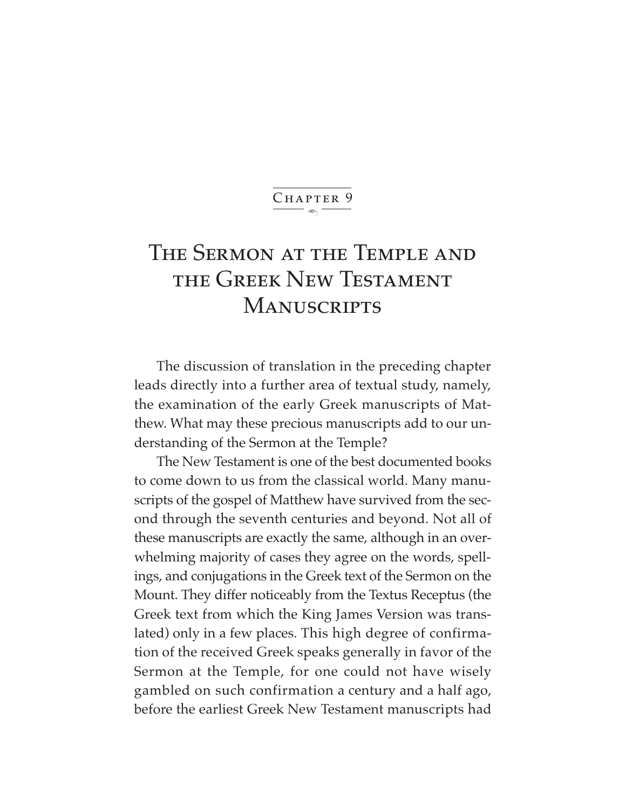#### $\ddot{\phantom{1}}$ CHAPTER 9

## The Sermon at the Temple and the Greek New Testament **MANUSCRIPTS**

The discussion of translation in the preceding chapter leads directly into a further area of textual study, namely, the examination of the early Greek manuscripts of Matthew. What may these precious manuscripts add to our understanding of the Sermon at the Temple?

The New Testament is one of the best documented books to come down to us from the classical world. Many manuscripts of the gospel of Matthew have survived from the second through the seventh centuries and beyond. Not all of these manuscripts are exactly the same, although in an overwhelming majority of cases they agree on the words, spellings, and conjugations in the Greek text of the Sermon on the Mount. They differ noticeably from the Textus Receptus (the Greek text from which the King James Version was translated) only in a few places. This high degree of confirmation of the received Greek speaks generally in favor of the Sermon at the Temple, for one could not have wisely gambled on such confirmation a century and a half ago, before the earliest Greek New Testament manuscripts had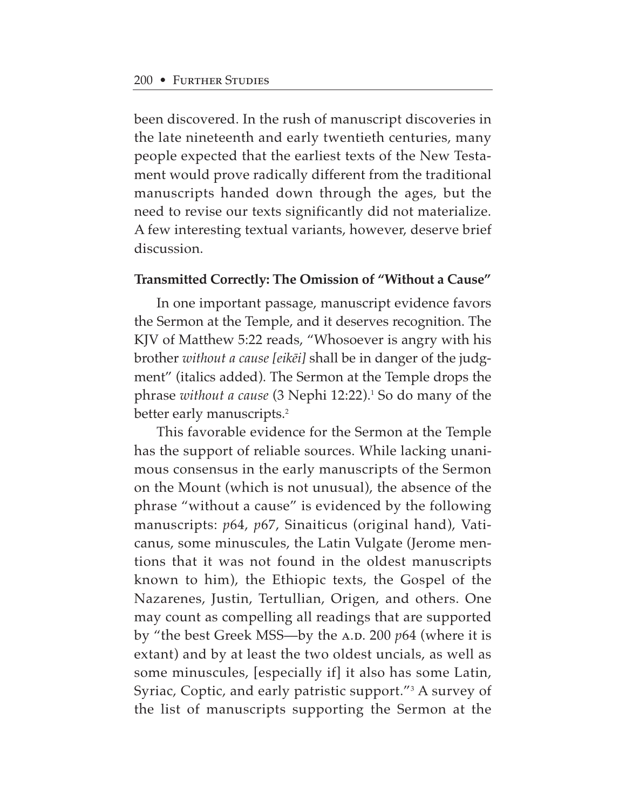been discovered. In the rush of manuscript discoveries in the late nineteenth and early twentieth centuries, many people expected that the earliest texts of the New Testament would prove radically different from the traditional manuscripts handed down through the ages, but the need to revise our texts significantly did not materialize. A few interesting textual variants, however, deserve brief discussion.

## **Transmitted Correctly: The Omission of "Without a Cause"**

In one important passage, manuscript evidence favors the Sermon at the Temple, and it deserves recognition. The KJV of Matthew 5:22 reads, "Whosoever is angry with his brother *without a cause [eik∑i]* shall be in danger of the judgment" (italics added). The Sermon at the Temple drops the phrase *without a cause* (3 Nephi 12:22).1 So do many of the better early manuscripts.<sup>2</sup>

This favorable evidence for the Sermon at the Temple has the support of reliable sources. While lacking unanimous consensus in the early manuscripts of the Sermon on the Mount (which is not unusual), the absence of the phrase "without a cause" is evidenced by the following manuscripts: *p*64, *p*67, Sinaiticus (original hand), Vaticanus, some minuscules, the Latin Vulgate (Jerome mentions that it was not found in the oldest manuscripts known to him), the Ethiopic texts, the Gospel of the Nazarenes, Justin, Tertullian, Origen, and others. One may count as compelling all readings that are supported by "the best Greek MSS—by the A.D. 200 *p*64 (where it is extant) and by at least the two oldest uncials, as well as some minuscules, [especially if] it also has some Latin, Syriac, Coptic, and early patristic support."3 A survey of the list of manuscripts supporting the Sermon at the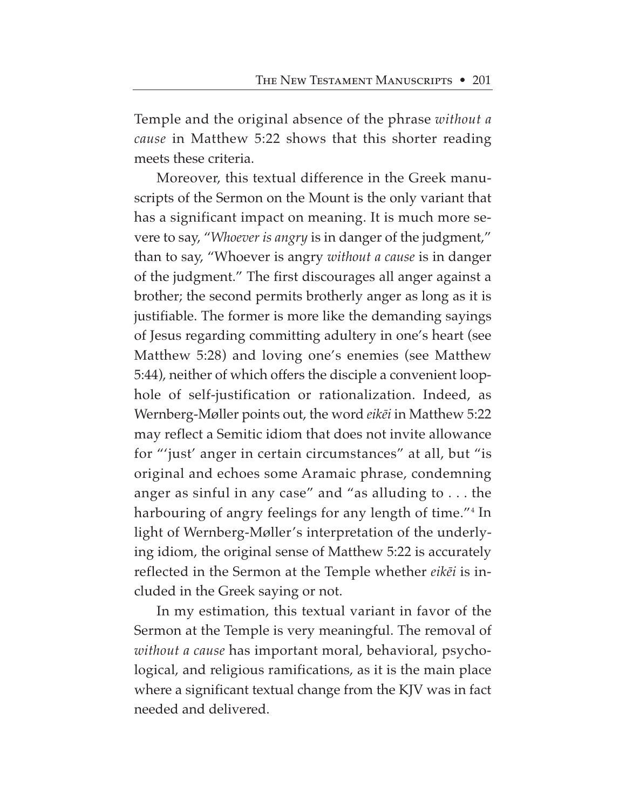Temple and the original absence of the phrase *without a cause* in Matthew 5:22 shows that this shorter reading meets these criteria.

Moreover, this textual difference in the Greek manuscripts of the Sermon on the Mount is the only variant that has a significant impact on meaning. It is much more severe to say, "*Whoever is angry* is in danger of the judgment," than to say, "Whoever is angry *without a cause* is in danger of the judgment." The first discourages all anger against a brother; the second permits brotherly anger as long as it is justifiable. The former is more like the demanding sayings of Jesus regarding committing adultery in one's heart (see Matthew 5:28) and loving one's enemies (see Matthew 5:44), neither of which offers the disciple a convenient loophole of self-justification or rationalization. Indeed, as Wernberg-Møller points out, the word *eikēi* in Matthew 5:22 may reflect a Semitic idiom that does not invite allowance for "'just' anger in certain circumstances" at all, but "is original and echoes some Aramaic phrase, condemning anger as sinful in any case" and "as alluding to . . . the harbouring of angry feelings for any length of time."<sup>4</sup> In light of Wernberg-Møller's interpretation of the underlying idiom, the original sense of Matthew 5:22 is accurately reflected in the Sermon at the Temple whether *eik∑i* is included in the Greek saying or not.

In my estimation, this textual variant in favor of the Sermon at the Temple is very meaningful. The removal of *without a cause* has important moral, behavioral, psychological, and religious ramifications, as it is the main place where a significant textual change from the KJV was in fact needed and delivered.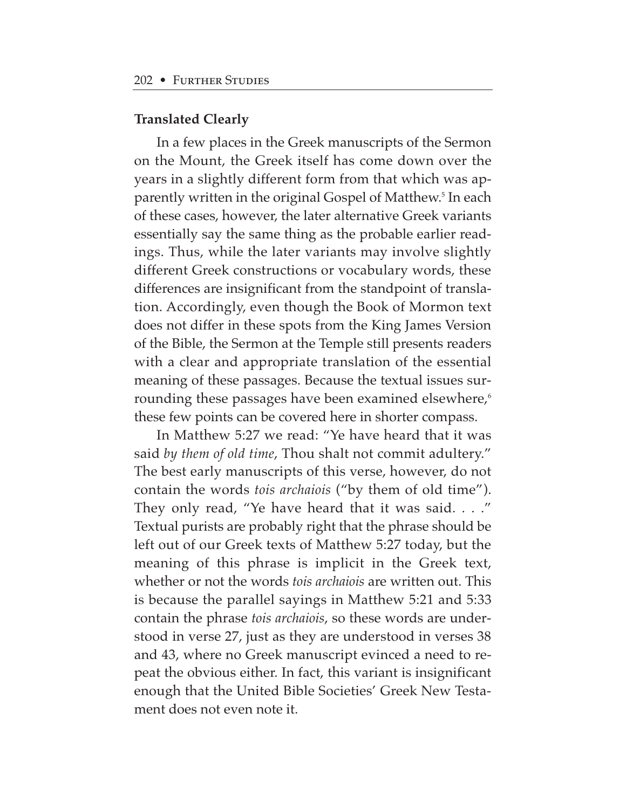#### **Translated Clearly**

In a few places in the Greek manuscripts of the Sermon on the Mount, the Greek itself has come down over the years in a slightly different form from that which was apparently written in the original Gospel of Matthew.<sup>5</sup> In each of these cases, however, the later alternative Greek variants essentially say the same thing as the probable earlier readings. Thus, while the later variants may involve slightly different Greek constructions or vocabulary words, these differences are insignificant from the standpoint of translation. Accordingly, even though the Book of Mormon text does not differ in these spots from the King James Version of the Bible, the Sermon at the Temple still presents readers with a clear and appropriate translation of the essential meaning of these passages. Because the textual issues surrounding these passages have been examined elsewhere,<sup>6</sup> these few points can be covered here in shorter compass.

In Matthew 5:27 we read: "Ye have heard that it was said *by them of old time*, Thou shalt not commit adultery." The best early manuscripts of this verse, however, do not contain the words *tois archaiois* ("by them of old time"). They only read, "Ye have heard that it was said. . . ." Textual purists are probably right that the phrase should be left out of our Greek texts of Matthew 5:27 today, but the meaning of this phrase is implicit in the Greek text, whether or not the words *tois archaiois* are written out. This is because the parallel sayings in Matthew 5:21 and 5:33 contain the phrase *tois archaiois*, so these words are understood in verse 27, just as they are understood in verses 38 and 43, where no Greek manuscript evinced a need to repeat the obvious either. In fact, this variant is insignificant enough that the United Bible Societies' Greek New Testament does not even note it.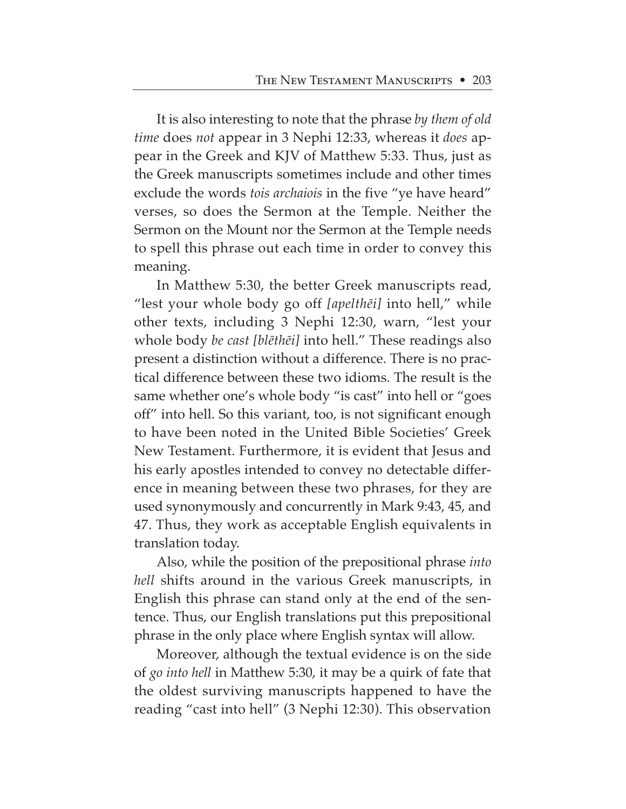It is also interesting to note that the phrase *by them of old time* does *not* appear in 3 Nephi 12:33, whereas it *does* appear in the Greek and KJV of Matthew 5:33. Thus, just as the Greek manuscripts sometimes include and other times exclude the words *tois archaiois* in the five "ye have heard" verses, so does the Sermon at the Temple. Neither the Sermon on the Mount nor the Sermon at the Temple needs to spell this phrase out each time in order to convey this meaning.

In Matthew 5:30, the better Greek manuscripts read, "lest your whole body go off *[apelth∑i]* into hell," while other texts, including 3 Nephi 12:30, warn, "lest your whole body *be cast [bl∑th∑i]* into hell." These readings also present a distinction without a difference. There is no practical difference between these two idioms. The result is the same whether one's whole body "is cast" into hell or "goes off" into hell. So this variant, too, is not significant enough to have been noted in the United Bible Societies' Greek New Testament. Furthermore, it is evident that Jesus and his early apostles intended to convey no detectable difference in meaning between these two phrases, for they are used synonymously and concurrently in Mark 9:43, 45, and 47. Thus, they work as acceptable English equivalents in translation today.

Also, while the position of the prepositional phrase *into hell* shifts around in the various Greek manuscripts, in English this phrase can stand only at the end of the sentence. Thus, our English translations put this prepositional phrase in the only place where English syntax will allow.

Moreover, although the textual evidence is on the side of *go into hell* in Matthew 5:30, it may be a quirk of fate that the oldest surviving manuscripts happened to have the reading "cast into hell" (3 Nephi 12:30). This observation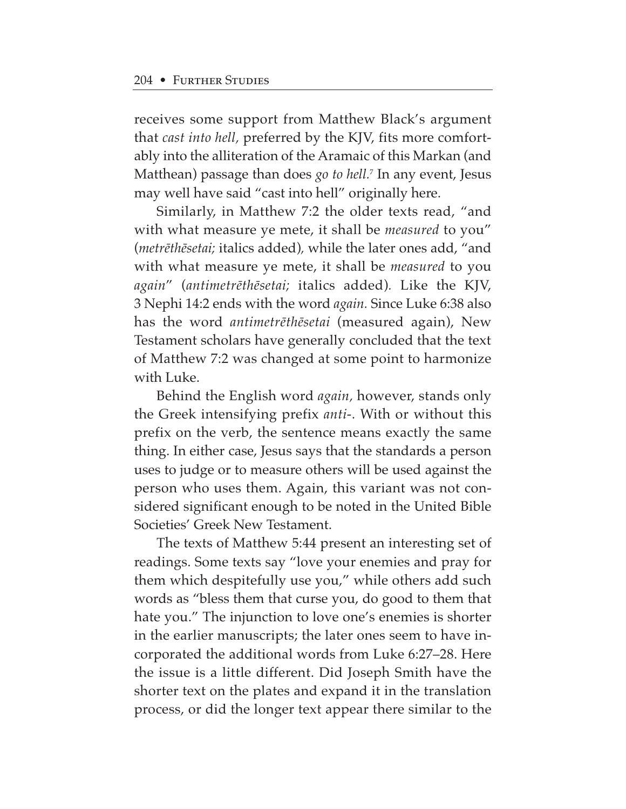receives some support from Matthew Black's argument that *cast into hell,* preferred by the KJV, fits more comfortably into the alliteration of the Aramaic of this Markan (and Matthean) passage than does *go to hell.*<sup>7</sup> In any event, Jesus may well have said "cast into hell" originally here.

Similarly, in Matthew 7:2 the older texts read, "and with what measure ye mete, it shall be *measured* to you" (*metr∑th∑setai;* italics added)*,* while the later ones add, "and with what measure ye mete, it shall be *measured* to you *again*" (*antimetr∑th∑setai;* italics added)*.* Like the KJV, 3 Nephi 14:2 ends with the word *again.* Since Luke 6:38 also has the word *antimetr∑th∑setai* (measured again), New Testament scholars have generally concluded that the text of Matthew 7:2 was changed at some point to harmonize with Luke.

Behind the English word *again,* however, stands only the Greek intensifying prefix *anti*-. With or without this prefix on the verb, the sentence means exactly the same thing. In either case, Jesus says that the standards a person uses to judge or to measure others will be used against the person who uses them. Again, this variant was not considered significant enough to be noted in the United Bible Societies' Greek New Testament.

The texts of Matthew 5:44 present an interesting set of readings. Some texts say "love your enemies and pray for them which despitefully use you," while others add such words as "bless them that curse you, do good to them that hate you." The injunction to love one's enemies is shorter in the earlier manuscripts; the later ones seem to have incorporated the additional words from Luke 6:27–28. Here the issue is a little different. Did Joseph Smith have the shorter text on the plates and expand it in the translation process, or did the longer text appear there similar to the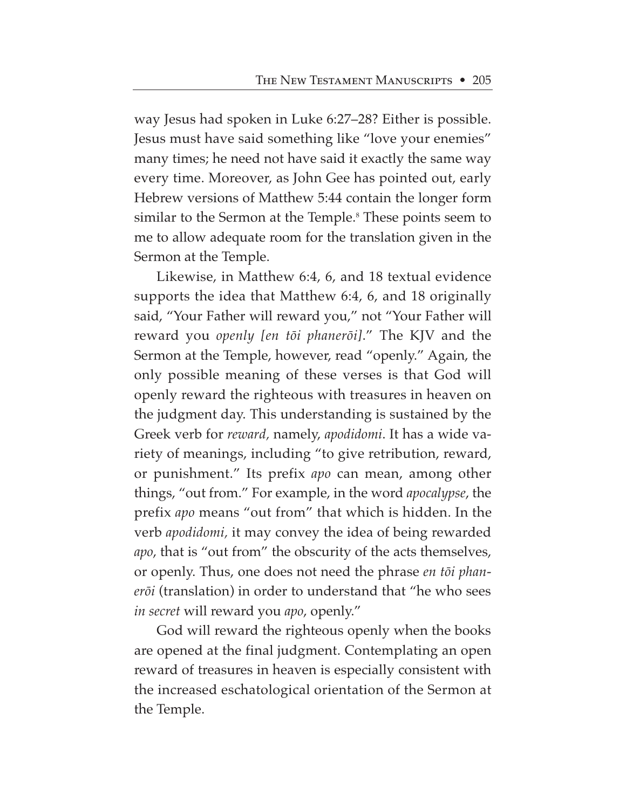way Jesus had spoken in Luke 6:27–28? Either is possible. Jesus must have said something like "love your enemies" many times; he need not have said it exactly the same way every time. Moreover, as John Gee has pointed out, early Hebrew versions of Matthew 5:44 contain the longer form similar to the Sermon at the Temple.<sup>8</sup> These points seem to me to allow adequate room for the translation given in the Sermon at the Temple.

Likewise, in Matthew 6:4, 6, and 18 textual evidence supports the idea that Matthew 6:4, 6, and 18 originally said, "Your Father will reward you," not "Your Father will reward you *openly [en tøi phanerøi]*." The KJV and the Sermon at the Temple, however, read "openly." Again, the only possible meaning of these verses is that God will openly reward the righteous with treasures in heaven on the judgment day. This understanding is sustained by the Greek verb for *reward,* namely, *apodidomi*. It has a wide variety of meanings, including "to give retribution, reward, or punishment." Its prefix *apo* can mean, among other things, "out from." For example, in the word *apocalypse*, the prefix *apo* means "out from" that which is hidden. In the verb *apodidomi,* it may convey the idea of being rewarded *apo*, that is "out from" the obscurity of the acts themselves, or openly. Thus, one does not need the phrase *en tøi phanerøi* (translation) in order to understand that "he who sees *in secret* will reward you *apo*, openly."

God will reward the righteous openly when the books are opened at the final judgment. Contemplating an open reward of treasures in heaven is especially consistent with the increased eschatological orientation of the Sermon at the Temple.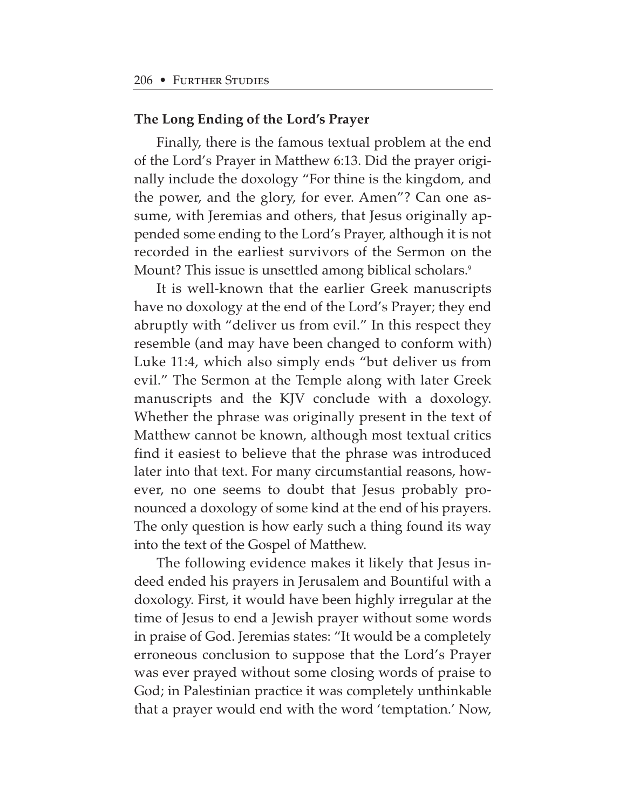## **The Long Ending of the Lord's Prayer**

Finally, there is the famous textual problem at the end of the Lord's Prayer in Matthew 6:13. Did the prayer originally include the doxology "For thine is the kingdom, and the power, and the glory, for ever. Amen"? Can one assume, with Jeremias and others, that Jesus originally appended some ending to the Lord's Prayer, although it is not recorded in the earliest survivors of the Sermon on the Mount? This issue is unsettled among biblical scholars.<sup>9</sup>

It is well-known that the earlier Greek manuscripts have no doxology at the end of the Lord's Prayer; they end abruptly with "deliver us from evil." In this respect they resemble (and may have been changed to conform with) Luke 11:4, which also simply ends "but deliver us from evil." The Sermon at the Temple along with later Greek manuscripts and the KJV conclude with a doxology. Whether the phrase was originally present in the text of Matthew cannot be known, although most textual critics find it easiest to believe that the phrase was introduced later into that text. For many circumstantial reasons, however, no one seems to doubt that Jesus probably pronounced a doxology of some kind at the end of his prayers. The only question is how early such a thing found its way into the text of the Gospel of Matthew.

The following evidence makes it likely that Jesus indeed ended his prayers in Jerusalem and Bountiful with a doxology. First, it would have been highly irregular at the time of Jesus to end a Jewish prayer without some words in praise of God. Jeremias states: "It would be a completely erroneous conclusion to suppose that the Lord's Prayer was ever prayed without some closing words of praise to God; in Palestinian practice it was completely unthinkable that a prayer would end with the word 'temptation.' Now,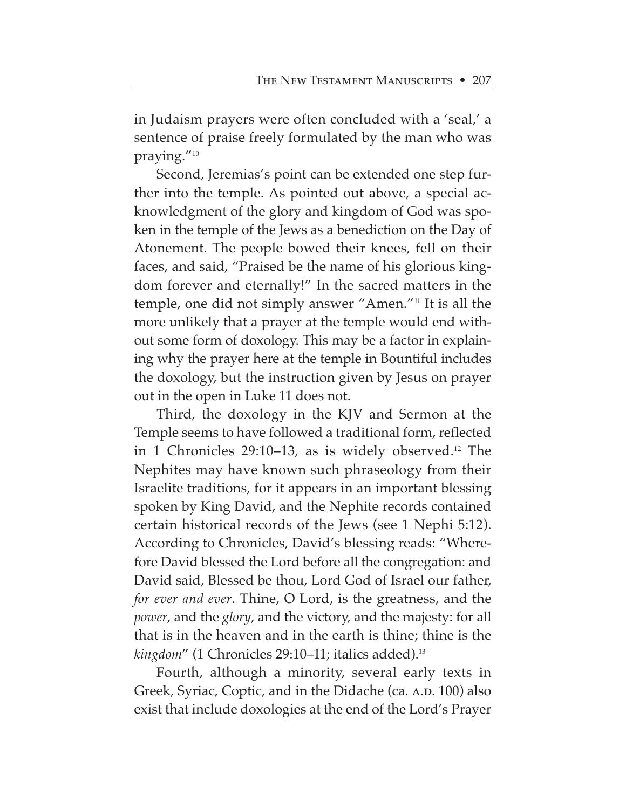in Judaism prayers were often concluded with a 'seal,' a sentence of praise freely formulated by the man who was praying."10

Second, Jeremias's point can be extended one step further into the temple. As pointed out above, a special acknowledgment of the glory and kingdom of God was spoken in the temple of the Jews as a benediction on the Day of Atonement. The people bowed their knees, fell on their faces, and said, "Praised be the name of his glorious kingdom forever and eternally!" In the sacred matters in the temple, one did not simply answer "Amen."11 It is all the more unlikely that a prayer at the temple would end without some form of doxology. This may be a factor in explaining why the prayer here at the temple in Bountiful includes the doxology, but the instruction given by Jesus on prayer out in the open in Luke 11 does not.

Third, the doxology in the KJV and Sermon at the Temple seems to have followed a traditional form, reflected in 1 Chronicles  $29:10-13$ , as is widely observed.<sup>12</sup> The Nephites may have known such phraseology from their Israelite traditions, for it appears in an important blessing spoken by King David, and the Nephite records contained certain historical records of the Jews (see 1 Nephi 5:12). According to Chronicles, David's blessing reads: "Wherefore David blessed the Lord before all the congregation: and David said, Blessed be thou, Lord God of Israel our father, *for ever and ever*. Thine, O Lord, is the greatness, and the *power*, and the *glory*, and the victory, and the majesty: for all that is in the heaven and in the earth is thine; thine is the *kingdom*" (1 Chronicles 29:10–11; italics added).13

Fourth, although a minority, several early texts in Greek, Syriac, Coptic, and in the Didache (ca. A.D. 100) also exist that include doxologies at the end of the Lord's Prayer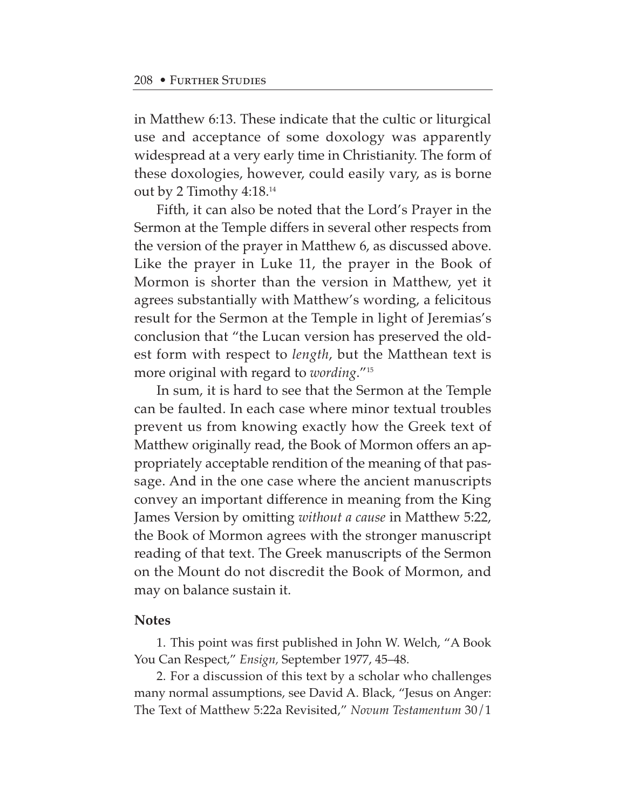in Matthew 6:13. These indicate that the cultic or liturgical use and acceptance of some doxology was apparently widespread at a very early time in Christianity. The form of these doxologies, however, could easily vary, as is borne out by 2 Timothy 4:18.14

Fifth, it can also be noted that the Lord's Prayer in the Sermon at the Temple differs in several other respects from the version of the prayer in Matthew 6, as discussed above. Like the prayer in Luke 11, the prayer in the Book of Mormon is shorter than the version in Matthew, yet it agrees substantially with Matthew's wording, a felicitous result for the Sermon at the Temple in light of Jeremias's conclusion that "the Lucan version has preserved the oldest form with respect to *length*, but the Matthean text is more original with regard to *wording*."15

In sum, it is hard to see that the Sermon at the Temple can be faulted. In each case where minor textual troubles prevent us from knowing exactly how the Greek text of Matthew originally read, the Book of Mormon offers an appropriately acceptable rendition of the meaning of that passage. And in the one case where the ancient manuscripts convey an important difference in meaning from the King James Version by omitting *without a cause* in Matthew 5:22, the Book of Mormon agrees with the stronger manuscript reading of that text. The Greek manuscripts of the Sermon on the Mount do not discredit the Book of Mormon, and may on balance sustain it.

#### **Notes**

1. This point was first published in John W. Welch, "A Book You Can Respect," *Ensign,* September 1977, 45–48.

2. For a discussion of this text by a scholar who challenges many normal assumptions, see David A. Black, "Jesus on Anger: The Text of Matthew 5:22a Revisited," *Novum Testamentum* 30/1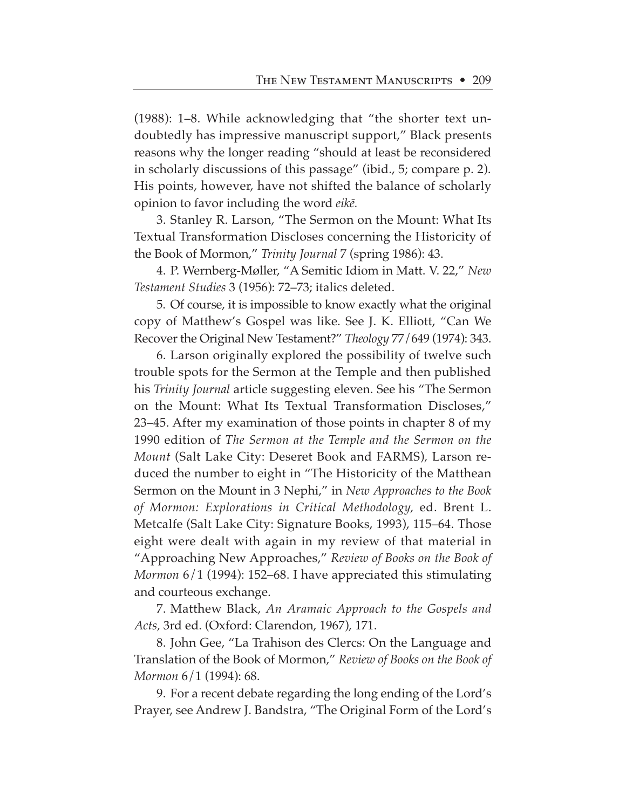(1988): 1–8. While acknowledging that "the shorter text undoubtedly has impressive manuscript support," Black presents reasons why the longer reading "should at least be reconsidered in scholarly discussions of this passage" (ibid., 5; compare p. 2). His points, however, have not shifted the balance of scholarly opinion to favor including the word *eik∑.*

3. Stanley R. Larson, "The Sermon on the Mount: What Its Textual Transformation Discloses concerning the Historicity of the Book of Mormon," *Trinity Journal* 7 (spring 1986): 43.

4. P. Wernberg-Møller, "A Semitic Idiom in Matt. V. 22," *New Testament Studies* 3 (1956): 72–73; italics deleted.

5. Of course, it is impossible to know exactly what the original copy of Matthew's Gospel was like. See J. K. Elliott, "Can We Recover the Original New Testament?" *Theology* 77/649 (1974): 343.

6. Larson originally explored the possibility of twelve such trouble spots for the Sermon at the Temple and then published his *Trinity Journal* article suggesting eleven. See his "The Sermon on the Mount: What Its Textual Transformation Discloses," 23–45. After my examination of those points in chapter 8 of my 1990 edition of *The Sermon at the Temple and the Sermon on the Mount* (Salt Lake City: Deseret Book and FARMS)*,* Larson reduced the number to eight in "The Historicity of the Matthean Sermon on the Mount in 3 Nephi," in *New Approaches to the Book of Mormon: Explorations in Critical Methodology,* ed. Brent L. Metcalfe (Salt Lake City: Signature Books, 1993), 115–64. Those eight were dealt with again in my review of that material in "Approaching New Approaches," *Review of Books on the Book of Mormon* 6/1 (1994): 152–68. I have appreciated this stimulating and courteous exchange.

7. Matthew Black, *An Aramaic Approach to the Gospels and Acts,* 3rd ed. (Oxford: Clarendon, 1967), 171.

8. John Gee, "La Trahison des Clercs: On the Language and Translation of the Book of Mormon," *Review of Books on the Book of Mormon* 6/1 (1994): 68.

9. For a recent debate regarding the long ending of the Lord's Prayer, see Andrew J. Bandstra, "The Original Form of the Lord's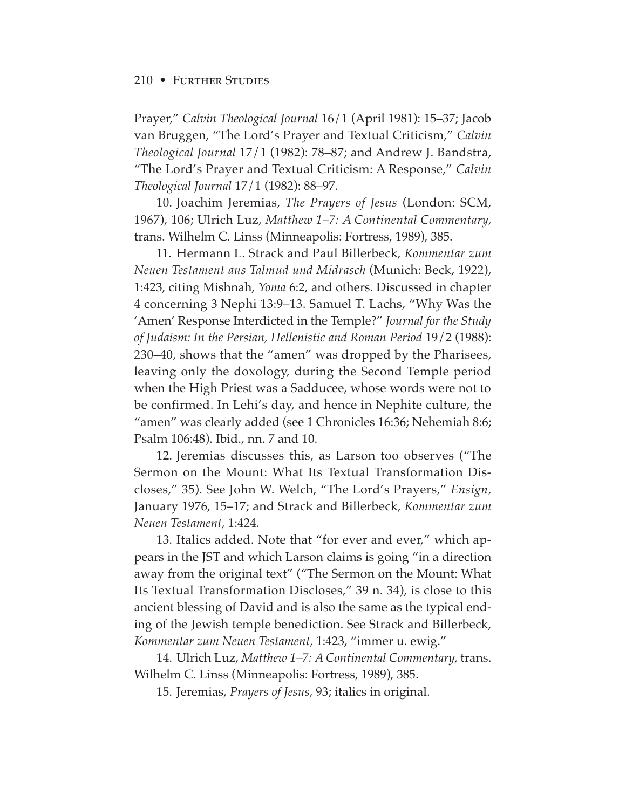Prayer," *Calvin Theological Journal* 16/1 (April 1981): 15–37; Jacob van Bruggen, "The Lord's Prayer and Textual Criticism," *Calvin Theological Journal* 17/1 (1982): 78–87; and Andrew J. Bandstra, "The Lord's Prayer and Textual Criticism: A Response," *Calvin Theological Journal* 17/1 (1982): 88–97.

10. Joachim Jeremias, *The Prayers of Jesus* (London: SCM, 1967), 106; Ulrich Luz, *Matthew 1–7: A Continental Commentary,* trans. Wilhelm C. Linss (Minneapolis: Fortress, 1989), 385.

11. Hermann L. Strack and Paul Billerbeck, *Kommentar zum Neuen Testament aus Talmud und Midrasch* (Munich: Beck, 1922), 1:423, citing Mishnah, *Yoma* 6:2, and others. Discussed in chapter 4 concerning 3 Nephi 13:9–13. Samuel T. Lachs, "Why Was the 'Amen' Response Interdicted in the Temple?" *Journal for the Study of Judaism: In the Persian, Hellenistic and Roman Period* 19/2 (1988): 230–40, shows that the "amen" was dropped by the Pharisees, leaving only the doxology, during the Second Temple period when the High Priest was a Sadducee, whose words were not to be confirmed. In Lehi's day, and hence in Nephite culture, the "amen" was clearly added (see 1 Chronicles 16:36; Nehemiah 8:6; Psalm 106:48). Ibid., nn. 7 and 10.

12. Jeremias discusses this, as Larson too observes ("The Sermon on the Mount: What Its Textual Transformation Discloses," 35). See John W. Welch, "The Lord's Prayers," *Ensign,* January 1976, 15–17; and Strack and Billerbeck, *Kommentar zum Neuen Testament,* 1:424.

13. Italics added. Note that "for ever and ever," which appears in the JST and which Larson claims is going "in a direction away from the original text" ("The Sermon on the Mount: What Its Textual Transformation Discloses," 39 n. 34), is close to this ancient blessing of David and is also the same as the typical ending of the Jewish temple benediction. See Strack and Billerbeck, *Kommentar zum Neuen Testament,* 1:423, "immer u. ewig."

14. Ulrich Luz, *Matthew 1–7: A Continental Commentary,* trans. Wilhelm C. Linss (Minneapolis: Fortress, 1989), 385.

15. Jeremias, *Prayers of Jesus,* 93; italics in original.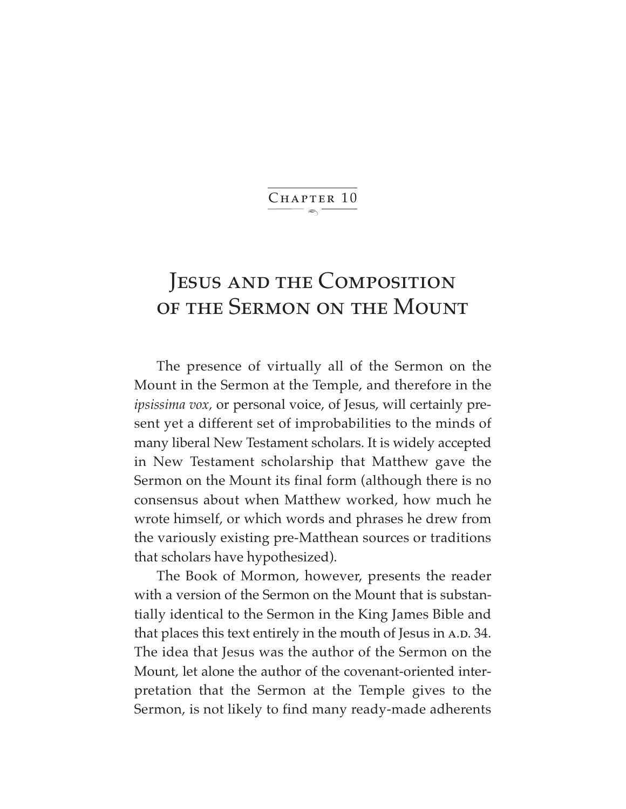$\ddot{\phantom{1}}$ CHAPTER 10

## JESUS AND THE COMPOSITION of the Sermon on the Mount

The presence of virtually all of the Sermon on the Mount in the Sermon at the Temple, and therefore in the *ipsissima vox,* or personal voice, of Jesus, will certainly present yet a different set of improbabilities to the minds of many liberal New Testament scholars. It is widely accepted in New Testament scholarship that Matthew gave the Sermon on the Mount its final form (although there is no consensus about when Matthew worked, how much he wrote himself, or which words and phrases he drew from the variously existing pre-Matthean sources or traditions that scholars have hypothesized).

The Book of Mormon, however, presents the reader with a version of the Sermon on the Mount that is substantially identical to the Sermon in the King James Bible and that places this text entirely in the mouth of Jesus in A.D. 34. The idea that Jesus was the author of the Sermon on the Mount, let alone the author of the covenant-oriented interpretation that the Sermon at the Temple gives to the Sermon, is not likely to find many ready-made adherents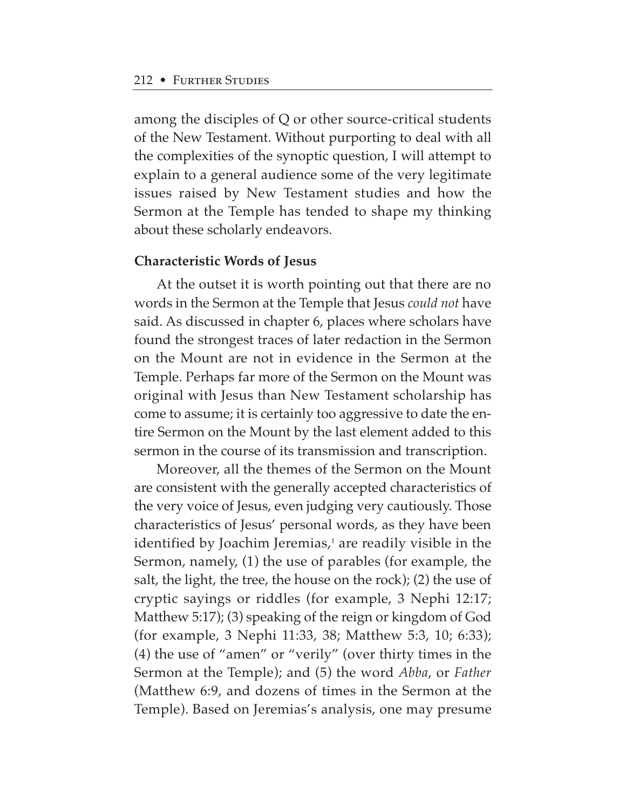among the disciples of Q or other source-critical students of the New Testament. Without purporting to deal with all the complexities of the synoptic question, I will attempt to explain to a general audience some of the very legitimate issues raised by New Testament studies and how the Sermon at the Temple has tended to shape my thinking about these scholarly endeavors.

#### **Characteristic Words of Jesus**

At the outset it is worth pointing out that there are no words in the Sermon at the Temple that Jesus *could not* have said. As discussed in chapter 6, places where scholars have found the strongest traces of later redaction in the Sermon on the Mount are not in evidence in the Sermon at the Temple. Perhaps far more of the Sermon on the Mount was original with Jesus than New Testament scholarship has come to assume; it is certainly too aggressive to date the entire Sermon on the Mount by the last element added to this sermon in the course of its transmission and transcription.

Moreover, all the themes of the Sermon on the Mount are consistent with the generally accepted characteristics of the very voice of Jesus, even judging very cautiously. Those characteristics of Jesus' personal words, as they have been identified by Joachim Jeremias, $\frac{1}{2}$  are readily visible in the Sermon, namely, (1) the use of parables (for example, the salt, the light, the tree, the house on the rock); (2) the use of cryptic sayings or riddles (for example, 3 Nephi 12:17; Matthew 5:17); (3) speaking of the reign or kingdom of God (for example, 3 Nephi 11:33, 38; Matthew 5:3, 10; 6:33); (4) the use of "amen" or "verily" (over thirty times in the Sermon at the Temple); and (5) the word *Abba*, or *Father* (Matthew 6:9, and dozens of times in the Sermon at the Temple). Based on Jeremias's analysis, one may presume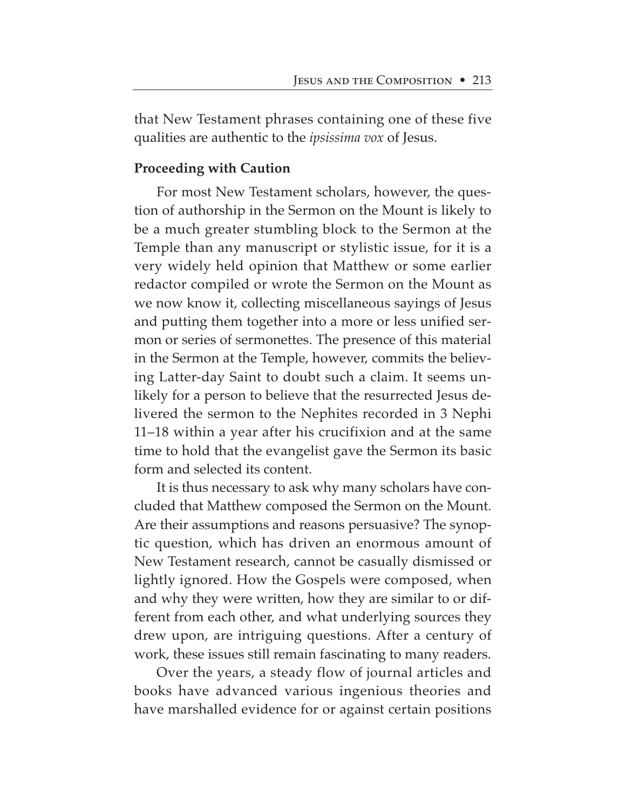that New Testament phrases containing one of these five qualities are authentic to the *ipsissima vox* of Jesus.

## **Proceeding with Caution**

For most New Testament scholars, however, the question of authorship in the Sermon on the Mount is likely to be a much greater stumbling block to the Sermon at the Temple than any manuscript or stylistic issue, for it is a very widely held opinion that Matthew or some earlier redactor compiled or wrote the Sermon on the Mount as we now know it, collecting miscellaneous sayings of Jesus and putting them together into a more or less unified sermon or series of sermonettes. The presence of this material in the Sermon at the Temple, however, commits the believing Latter-day Saint to doubt such a claim. It seems unlikely for a person to believe that the resurrected Jesus delivered the sermon to the Nephites recorded in 3 Nephi 11–18 within a year after his crucifixion and at the same time to hold that the evangelist gave the Sermon its basic form and selected its content.

It is thus necessary to ask why many scholars have concluded that Matthew composed the Sermon on the Mount. Are their assumptions and reasons persuasive? The synoptic question, which has driven an enormous amount of New Testament research, cannot be casually dismissed or lightly ignored. How the Gospels were composed, when and why they were written, how they are similar to or different from each other, and what underlying sources they drew upon, are intriguing questions. After a century of work, these issues still remain fascinating to many readers.

Over the years, a steady flow of journal articles and books have advanced various ingenious theories and have marshalled evidence for or against certain positions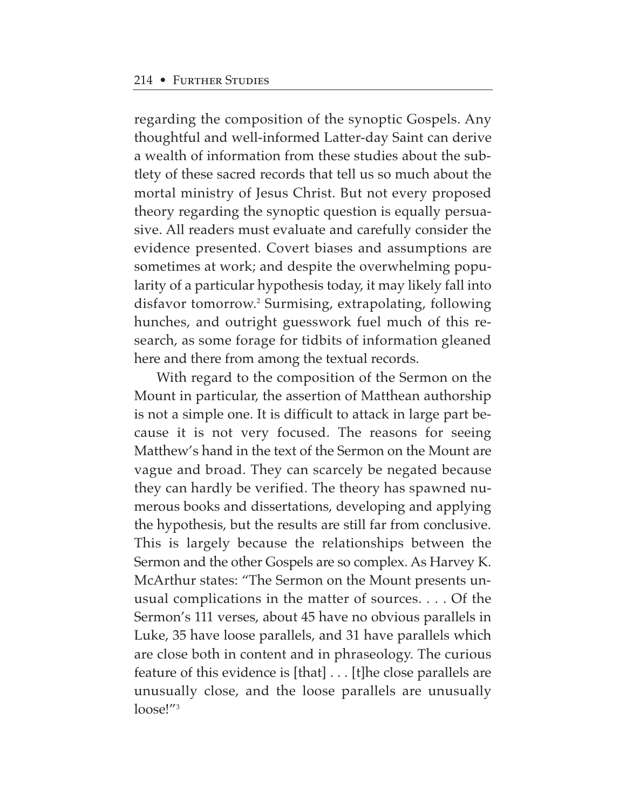regarding the composition of the synoptic Gospels. Any thoughtful and well-informed Latter-day Saint can derive a wealth of information from these studies about the subtlety of these sacred records that tell us so much about the mortal ministry of Jesus Christ. But not every proposed theory regarding the synoptic question is equally persuasive. All readers must evaluate and carefully consider the evidence presented. Covert biases and assumptions are sometimes at work; and despite the overwhelming popularity of a particular hypothesis today, it may likely fall into disfavor tomorrow.2 Surmising, extrapolating, following hunches, and outright guesswork fuel much of this research, as some forage for tidbits of information gleaned here and there from among the textual records.

With regard to the composition of the Sermon on the Mount in particular, the assertion of Matthean authorship is not a simple one. It is difficult to attack in large part because it is not very focused. The reasons for seeing Matthew's hand in the text of the Sermon on the Mount are vague and broad. They can scarcely be negated because they can hardly be verified. The theory has spawned numerous books and dissertations, developing and applying the hypothesis, but the results are still far from conclusive. This is largely because the relationships between the Sermon and the other Gospels are so complex. As Harvey K. McArthur states: "The Sermon on the Mount presents unusual complications in the matter of sources. . . . Of the Sermon's 111 verses, about 45 have no obvious parallels in Luke, 35 have loose parallels, and 31 have parallels which are close both in content and in phraseology. The curious feature of this evidence is [that] . . . [t]he close parallels are unusually close, and the loose parallels are unusually loose!"3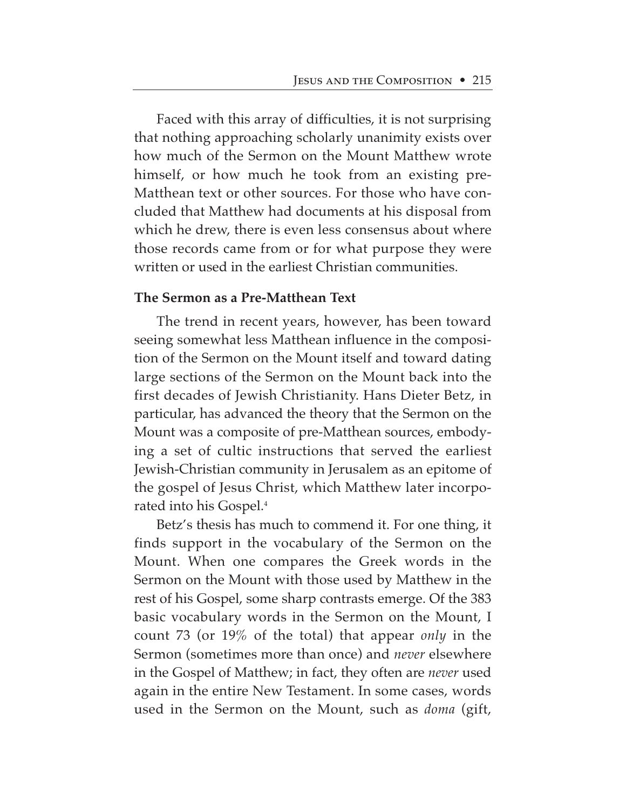Faced with this array of difficulties, it is not surprising that nothing approaching scholarly unanimity exists over how much of the Sermon on the Mount Matthew wrote himself, or how much he took from an existing pre-Matthean text or other sources. For those who have concluded that Matthew had documents at his disposal from which he drew, there is even less consensus about where those records came from or for what purpose they were written or used in the earliest Christian communities.

# **The Sermon as a Pre-Matthean Text**

The trend in recent years, however, has been toward seeing somewhat less Matthean influence in the composition of the Sermon on the Mount itself and toward dating large sections of the Sermon on the Mount back into the first decades of Jewish Christianity. Hans Dieter Betz, in particular, has advanced the theory that the Sermon on the Mount was a composite of pre-Matthean sources, embodying a set of cultic instructions that served the earliest Jewish-Christian community in Jerusalem as an epitome of the gospel of Jesus Christ, which Matthew later incorporated into his Gospel.4

Betz's thesis has much to commend it. For one thing, it finds support in the vocabulary of the Sermon on the Mount. When one compares the Greek words in the Sermon on the Mount with those used by Matthew in the rest of his Gospel, some sharp contrasts emerge. Of the 383 basic vocabulary words in the Sermon on the Mount, I count 73 (or 19% of the total) that appear *only* in the Sermon (sometimes more than once) and *never* elsewhere in the Gospel of Matthew; in fact, they often are *never* used again in the entire New Testament. In some cases, words used in the Sermon on the Mount, such as *doma* (gift,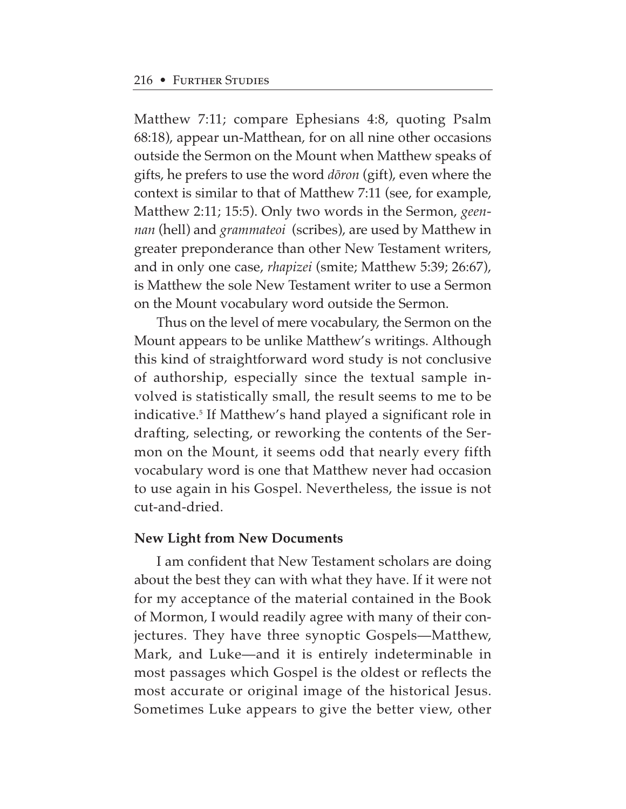Matthew 7:11; compare Ephesians 4:8, quoting Psalm 68:18), appear un-Matthean, for on all nine other occasions outside the Sermon on the Mount when Matthew speaks of gifts, he prefers to use the word *døron* (gift), even where the context is similar to that of Matthew 7:11 (see, for example, Matthew 2:11; 15:5). Only two words in the Sermon, *geennan* (hell) and *grammateoi* (scribes), are used by Matthew in greater preponderance than other New Testament writers, and in only one case, *rhapizei* (smite; Matthew 5:39; 26:67), is Matthew the sole New Testament writer to use a Sermon on the Mount vocabulary word outside the Sermon.

Thus on the level of mere vocabulary, the Sermon on the Mount appears to be unlike Matthew's writings. Although this kind of straightforward word study is not conclusive of authorship, especially since the textual sample involved is statistically small, the result seems to me to be indicative.<sup>5</sup> If Matthew's hand played a significant role in drafting, selecting, or reworking the contents of the Sermon on the Mount, it seems odd that nearly every fifth vocabulary word is one that Matthew never had occasion to use again in his Gospel. Nevertheless, the issue is not cut-and-dried.

#### **New Light from New Documents**

I am confident that New Testament scholars are doing about the best they can with what they have. If it were not for my acceptance of the material contained in the Book of Mormon, I would readily agree with many of their conjectures. They have three synoptic Gospels—Matthew, Mark, and Luke—and it is entirely indeterminable in most passages which Gospel is the oldest or reflects the most accurate or original image of the historical Jesus. Sometimes Luke appears to give the better view, other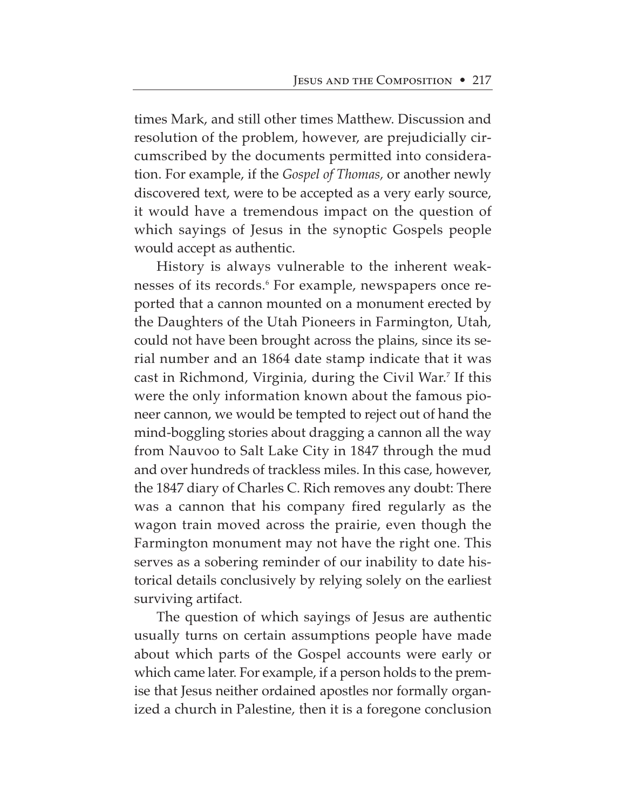times Mark, and still other times Matthew. Discussion and resolution of the problem, however, are prejudicially circumscribed by the documents permitted into consideration. For example, if the *Gospel of Thomas,* or another newly discovered text, were to be accepted as a very early source, it would have a tremendous impact on the question of which sayings of Jesus in the synoptic Gospels people would accept as authentic.

History is always vulnerable to the inherent weaknesses of its records.<sup>6</sup> For example, newspapers once reported that a cannon mounted on a monument erected by the Daughters of the Utah Pioneers in Farmington, Utah, could not have been brought across the plains, since its serial number and an 1864 date stamp indicate that it was cast in Richmond, Virginia, during the Civil War.7 If this were the only information known about the famous pioneer cannon, we would be tempted to reject out of hand the mind-boggling stories about dragging a cannon all the way from Nauvoo to Salt Lake City in 1847 through the mud and over hundreds of trackless miles. In this case, however, the 1847 diary of Charles C. Rich removes any doubt: There was a cannon that his company fired regularly as the wagon train moved across the prairie, even though the Farmington monument may not have the right one. This serves as a sobering reminder of our inability to date historical details conclusively by relying solely on the earliest surviving artifact.

The question of which sayings of Jesus are authentic usually turns on certain assumptions people have made about which parts of the Gospel accounts were early or which came later. For example, if a person holds to the premise that Jesus neither ordained apostles nor formally organized a church in Palestine, then it is a foregone conclusion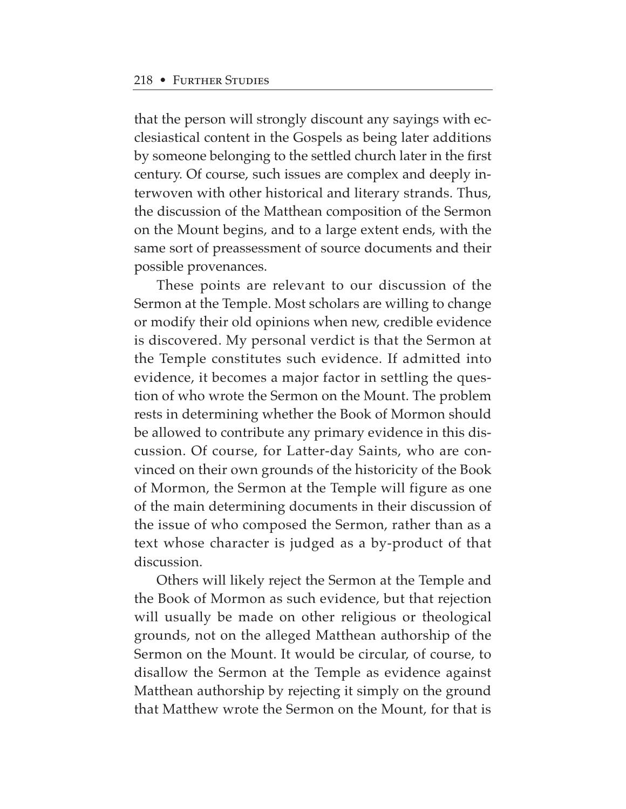that the person will strongly discount any sayings with ecclesiastical content in the Gospels as being later additions by someone belonging to the settled church later in the first century. Of course, such issues are complex and deeply interwoven with other historical and literary strands. Thus, the discussion of the Matthean composition of the Sermon on the Mount begins, and to a large extent ends, with the same sort of preassessment of source documents and their possible provenances.

These points are relevant to our discussion of the Sermon at the Temple. Most scholars are willing to change or modify their old opinions when new, credible evidence is discovered. My personal verdict is that the Sermon at the Temple constitutes such evidence. If admitted into evidence, it becomes a major factor in settling the question of who wrote the Sermon on the Mount. The problem rests in determining whether the Book of Mormon should be allowed to contribute any primary evidence in this discussion. Of course, for Latter-day Saints, who are convinced on their own grounds of the historicity of the Book of Mormon, the Sermon at the Temple will figure as one of the main determining documents in their discussion of the issue of who composed the Sermon, rather than as a text whose character is judged as a by-product of that discussion.

Others will likely reject the Sermon at the Temple and the Book of Mormon as such evidence, but that rejection will usually be made on other religious or theological grounds, not on the alleged Matthean authorship of the Sermon on the Mount. It would be circular, of course, to disallow the Sermon at the Temple as evidence against Matthean authorship by rejecting it simply on the ground that Matthew wrote the Sermon on the Mount, for that is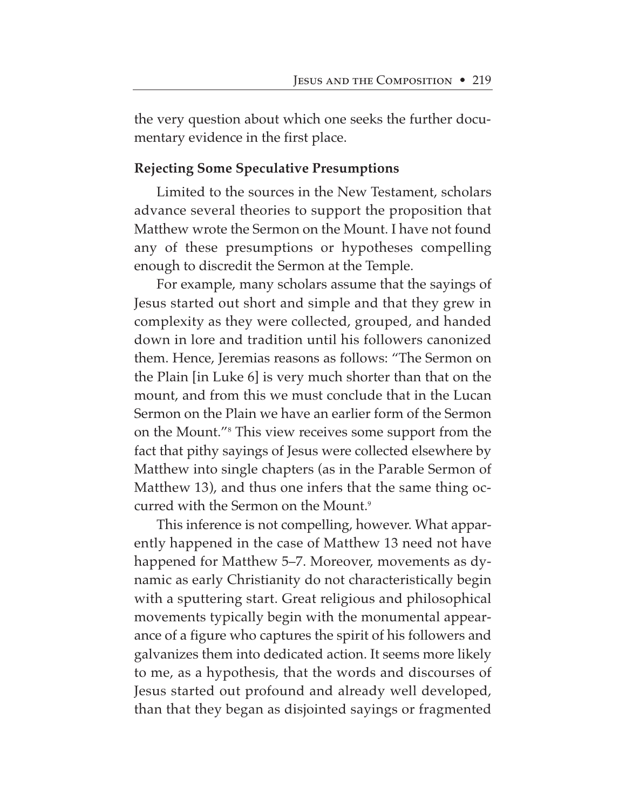the very question about which one seeks the further documentary evidence in the first place.

# **Rejecting Some Speculative Presumptions**

Limited to the sources in the New Testament, scholars advance several theories to support the proposition that Matthew wrote the Sermon on the Mount. I have not found any of these presumptions or hypotheses compelling enough to discredit the Sermon at the Temple.

For example, many scholars assume that the sayings of Jesus started out short and simple and that they grew in complexity as they were collected, grouped, and handed down in lore and tradition until his followers canonized them. Hence, Jeremias reasons as follows: "The Sermon on the Plain [in Luke 6] is very much shorter than that on the mount, and from this we must conclude that in the Lucan Sermon on the Plain we have an earlier form of the Sermon on the Mount."8 This view receives some support from the fact that pithy sayings of Jesus were collected elsewhere by Matthew into single chapters (as in the Parable Sermon of Matthew 13), and thus one infers that the same thing occurred with the Sermon on the Mount.<sup>9</sup>

This inference is not compelling, however. What apparently happened in the case of Matthew 13 need not have happened for Matthew 5–7. Moreover, movements as dynamic as early Christianity do not characteristically begin with a sputtering start. Great religious and philosophical movements typically begin with the monumental appearance of a figure who captures the spirit of his followers and galvanizes them into dedicated action. It seems more likely to me, as a hypothesis, that the words and discourses of Jesus started out profound and already well developed, than that they began as disjointed sayings or fragmented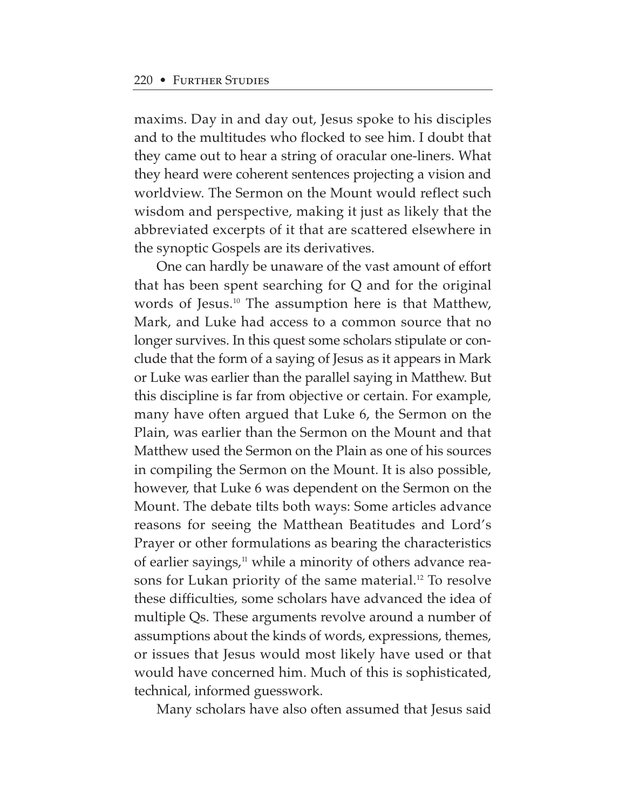maxims. Day in and day out, Jesus spoke to his disciples and to the multitudes who flocked to see him. I doubt that they came out to hear a string of oracular one-liners. What they heard were coherent sentences projecting a vision and worldview. The Sermon on the Mount would reflect such wisdom and perspective, making it just as likely that the abbreviated excerpts of it that are scattered elsewhere in the synoptic Gospels are its derivatives.

One can hardly be unaware of the vast amount of effort that has been spent searching for Q and for the original words of Jesus.10 The assumption here is that Matthew, Mark, and Luke had access to a common source that no longer survives. In this quest some scholars stipulate or conclude that the form of a saying of Jesus as it appears in Mark or Luke was earlier than the parallel saying in Matthew. But this discipline is far from objective or certain. For example, many have often argued that Luke 6, the Sermon on the Plain, was earlier than the Sermon on the Mount and that Matthew used the Sermon on the Plain as one of his sources in compiling the Sermon on the Mount. It is also possible, however, that Luke 6 was dependent on the Sermon on the Mount. The debate tilts both ways: Some articles advance reasons for seeing the Matthean Beatitudes and Lord's Prayer or other formulations as bearing the characteristics of earlier sayings,<sup>11</sup> while a minority of others advance reasons for Lukan priority of the same material.<sup>12</sup> To resolve these difficulties, some scholars have advanced the idea of multiple Qs. These arguments revolve around a number of assumptions about the kinds of words, expressions, themes, or issues that Jesus would most likely have used or that would have concerned him. Much of this is sophisticated, technical, informed guesswork.

Many scholars have also often assumed that Jesus said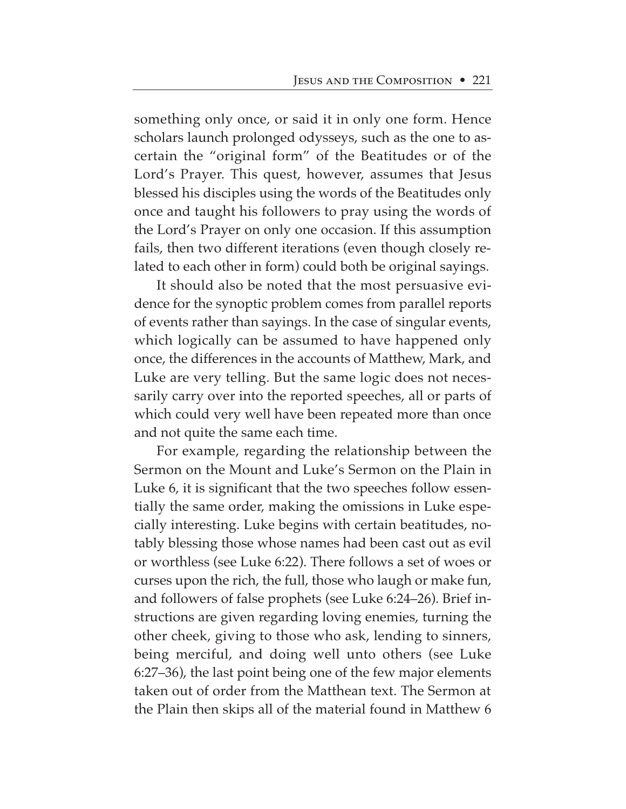something only once, or said it in only one form. Hence scholars launch prolonged odysseys, such as the one to ascertain the "original form" of the Beatitudes or of the Lord's Prayer. This quest, however, assumes that Jesus blessed his disciples using the words of the Beatitudes only once and taught his followers to pray using the words of the Lord's Prayer on only one occasion. If this assumption fails, then two different iterations (even though closely related to each other in form) could both be original sayings.

It should also be noted that the most persuasive evidence for the synoptic problem comes from parallel reports of events rather than sayings. In the case of singular events, which logically can be assumed to have happened only once, the differences in the accounts of Matthew, Mark, and Luke are very telling. But the same logic does not necessarily carry over into the reported speeches, all or parts of which could very well have been repeated more than once and not quite the same each time.

For example, regarding the relationship between the Sermon on the Mount and Luke's Sermon on the Plain in Luke 6, it is significant that the two speeches follow essentially the same order, making the omissions in Luke especially interesting. Luke begins with certain beatitudes, notably blessing those whose names had been cast out as evil or worthless (see Luke 6:22). There follows a set of woes or curses upon the rich, the full, those who laugh or make fun, and followers of false prophets (see Luke 6:24–26). Brief instructions are given regarding loving enemies, turning the other cheek, giving to those who ask, lending to sinners, being merciful, and doing well unto others (see Luke 6:27–36), the last point being one of the few major elements taken out of order from the Matthean text. The Sermon at the Plain then skips all of the material found in Matthew 6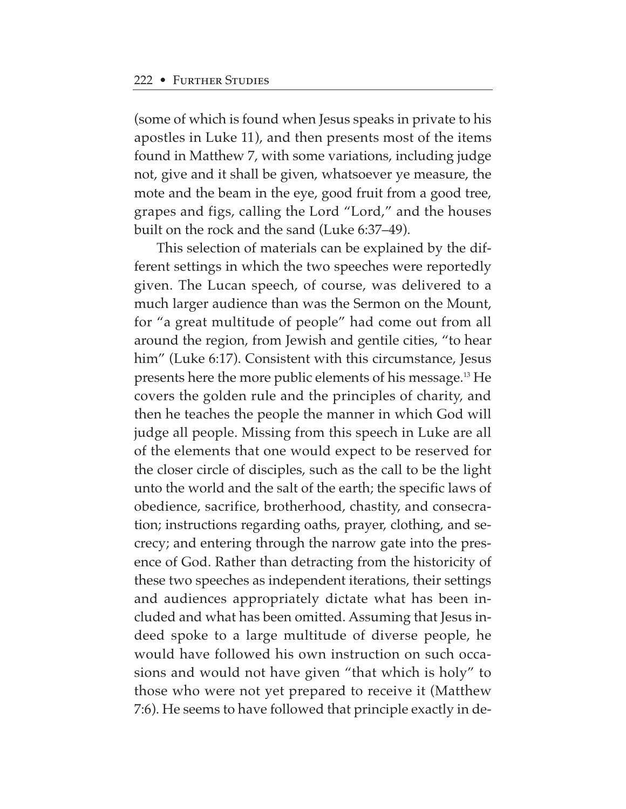(some of which is found when Jesus speaks in private to his apostles in Luke 11), and then presents most of the items found in Matthew 7, with some variations, including judge not, give and it shall be given, whatsoever ye measure, the mote and the beam in the eye, good fruit from a good tree, grapes and figs, calling the Lord "Lord," and the houses built on the rock and the sand (Luke 6:37–49).

This selection of materials can be explained by the different settings in which the two speeches were reportedly given. The Lucan speech, of course, was delivered to a much larger audience than was the Sermon on the Mount, for "a great multitude of people" had come out from all around the region, from Jewish and gentile cities, "to hear him" (Luke 6:17). Consistent with this circumstance, Jesus presents here the more public elements of his message.13 He covers the golden rule and the principles of charity, and then he teaches the people the manner in which God will judge all people. Missing from this speech in Luke are all of the elements that one would expect to be reserved for the closer circle of disciples, such as the call to be the light unto the world and the salt of the earth; the specific laws of obedience, sacrifice, brotherhood, chastity, and consecration; instructions regarding oaths, prayer, clothing, and secrecy; and entering through the narrow gate into the presence of God. Rather than detracting from the historicity of these two speeches as independent iterations, their settings and audiences appropriately dictate what has been included and what has been omitted. Assuming that Jesus indeed spoke to a large multitude of diverse people, he would have followed his own instruction on such occasions and would not have given "that which is holy" to those who were not yet prepared to receive it (Matthew 7:6). He seems to have followed that principle exactly in de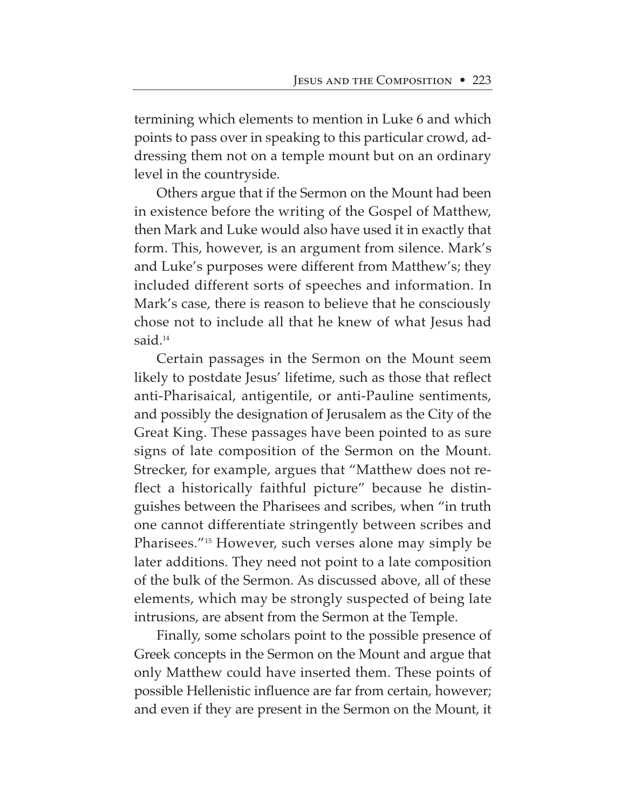termining which elements to mention in Luke 6 and which points to pass over in speaking to this particular crowd, addressing them not on a temple mount but on an ordinary level in the countryside.

Others argue that if the Sermon on the Mount had been in existence before the writing of the Gospel of Matthew, then Mark and Luke would also have used it in exactly that form. This, however, is an argument from silence. Mark's and Luke's purposes were different from Matthew's; they included different sorts of speeches and information. In Mark's case, there is reason to believe that he consciously chose not to include all that he knew of what Jesus had said.<sup>14</sup>

Certain passages in the Sermon on the Mount seem likely to postdate Jesus' lifetime, such as those that reflect anti-Pharisaical, antigentile, or anti-Pauline sentiments, and possibly the designation of Jerusalem as the City of the Great King. These passages have been pointed to as sure signs of late composition of the Sermon on the Mount. Strecker, for example, argues that "Matthew does not reflect a historically faithful picture" because he distinguishes between the Pharisees and scribes, when "in truth one cannot differentiate stringently between scribes and Pharisees."15 However, such verses alone may simply be later additions. They need not point to a late composition of the bulk of the Sermon. As discussed above, all of these elements, which may be strongly suspected of being late intrusions, are absent from the Sermon at the Temple.

Finally, some scholars point to the possible presence of Greek concepts in the Sermon on the Mount and argue that only Matthew could have inserted them. These points of possible Hellenistic influence are far from certain, however; and even if they are present in the Sermon on the Mount, it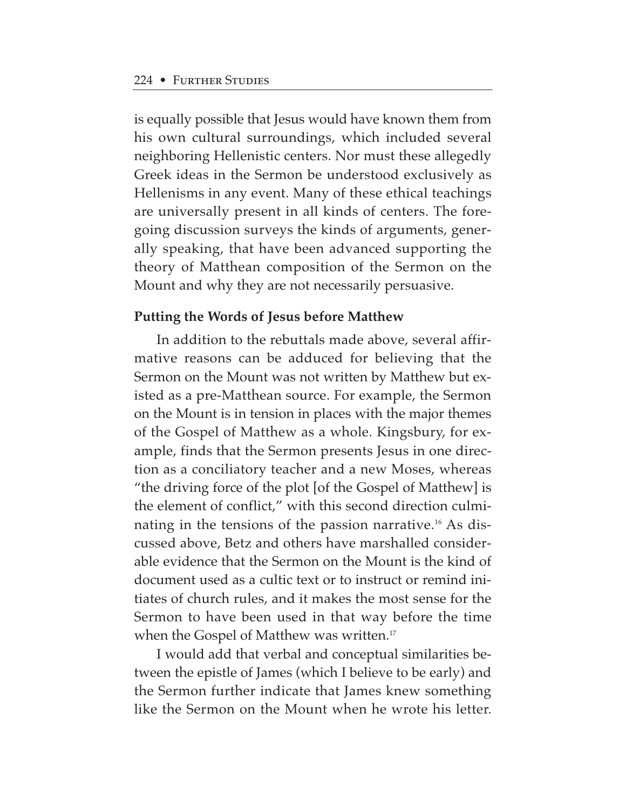is equally possible that Jesus would have known them from his own cultural surroundings, which included several neighboring Hellenistic centers. Nor must these allegedly Greek ideas in the Sermon be understood exclusively as Hellenisms in any event. Many of these ethical teachings are universally present in all kinds of centers. The foregoing discussion surveys the kinds of arguments, generally speaking, that have been advanced supporting the theory of Matthean composition of the Sermon on the Mount and why they are not necessarily persuasive.

## **Putting the Words of Jesus before Matthew**

In addition to the rebuttals made above, several affirmative reasons can be adduced for believing that the Sermon on the Mount was not written by Matthew but existed as a pre-Matthean source. For example, the Sermon on the Mount is in tension in places with the major themes of the Gospel of Matthew as a whole. Kingsbury, for example, finds that the Sermon presents Jesus in one direction as a conciliatory teacher and a new Moses, whereas "the driving force of the plot [of the Gospel of Matthew] is the element of conflict," with this second direction culminating in the tensions of the passion narrative.<sup>16</sup> As discussed above, Betz and others have marshalled considerable evidence that the Sermon on the Mount is the kind of document used as a cultic text or to instruct or remind initiates of church rules, and it makes the most sense for the Sermon to have been used in that way before the time when the Gospel of Matthew was written.<sup>17</sup>

I would add that verbal and conceptual similarities between the epistle of James (which I believe to be early) and the Sermon further indicate that James knew something like the Sermon on the Mount when he wrote his letter.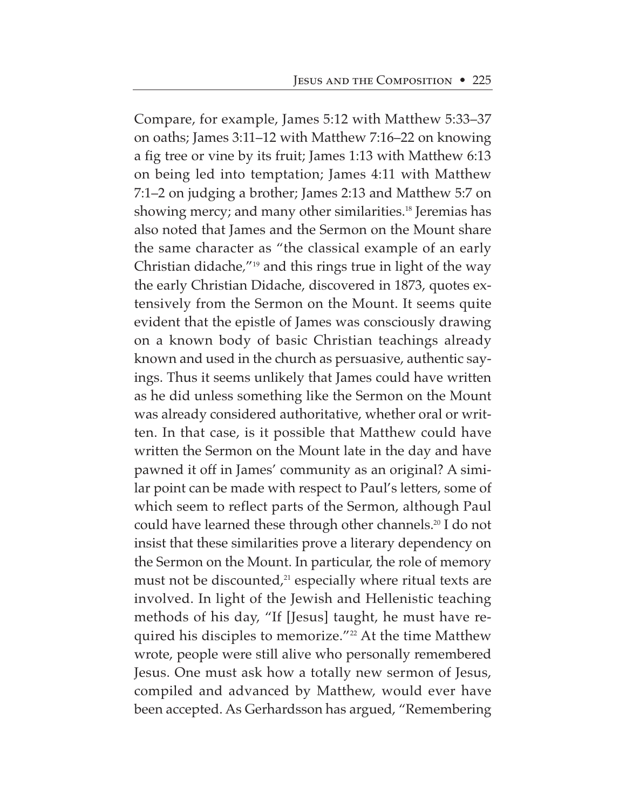Compare, for example, James 5:12 with Matthew 5:33–37 on oaths; James 3:11–12 with Matthew 7:16–22 on knowing a fig tree or vine by its fruit; James 1:13 with Matthew 6:13 on being led into temptation; James 4:11 with Matthew 7:1–2 on judging a brother; James 2:13 and Matthew 5:7 on showing mercy; and many other similarities.<sup>18</sup> Jeremias has also noted that James and the Sermon on the Mount share the same character as "the classical example of an early Christian didache*,*"19 and this rings true in light of the way the early Christian Didache, discovered in 1873, quotes extensively from the Sermon on the Mount. It seems quite evident that the epistle of James was consciously drawing on a known body of basic Christian teachings already known and used in the church as persuasive, authentic sayings. Thus it seems unlikely that James could have written as he did unless something like the Sermon on the Mount was already considered authoritative, whether oral or written. In that case, is it possible that Matthew could have written the Sermon on the Mount late in the day and have pawned it off in James' community as an original? A similar point can be made with respect to Paul's letters, some of which seem to reflect parts of the Sermon, although Paul could have learned these through other channels.20 I do not insist that these similarities prove a literary dependency on the Sermon on the Mount. In particular, the role of memory must not be discounted, $21$  especially where ritual texts are involved. In light of the Jewish and Hellenistic teaching methods of his day, "If [Jesus] taught, he must have required his disciples to memorize."<sup>22</sup> At the time Matthew wrote, people were still alive who personally remembered Jesus. One must ask how a totally new sermon of Jesus, compiled and advanced by Matthew, would ever have been accepted. As Gerhardsson has argued, "Remembering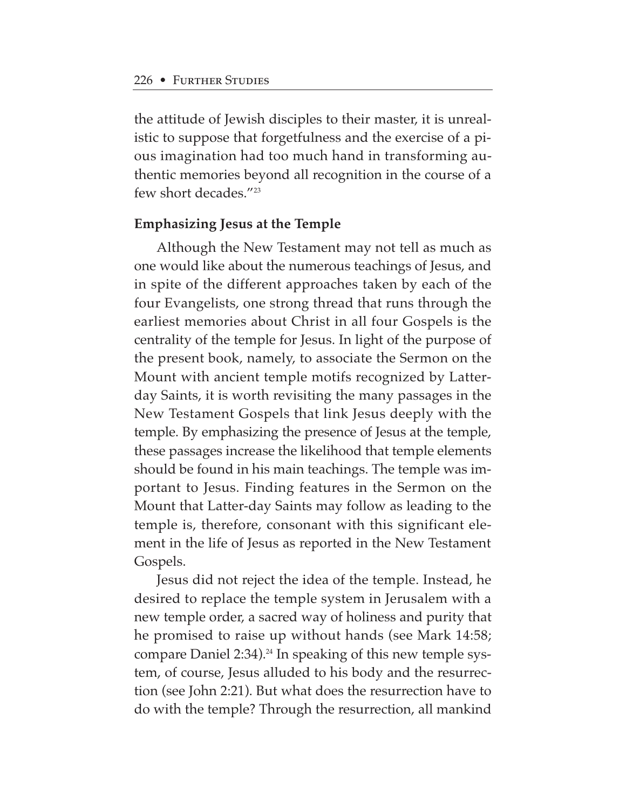the attitude of Jewish disciples to their master, it is unrealistic to suppose that forgetfulness and the exercise of a pious imagination had too much hand in transforming authentic memories beyond all recognition in the course of a few short decades."23

## **Emphasizing Jesus at the Temple**

Although the New Testament may not tell as much as one would like about the numerous teachings of Jesus, and in spite of the different approaches taken by each of the four Evangelists, one strong thread that runs through the earliest memories about Christ in all four Gospels is the centrality of the temple for Jesus. In light of the purpose of the present book, namely, to associate the Sermon on the Mount with ancient temple motifs recognized by Latterday Saints, it is worth revisiting the many passages in the New Testament Gospels that link Jesus deeply with the temple. By emphasizing the presence of Jesus at the temple, these passages increase the likelihood that temple elements should be found in his main teachings. The temple was important to Jesus. Finding features in the Sermon on the Mount that Latter-day Saints may follow as leading to the temple is, therefore, consonant with this significant element in the life of Jesus as reported in the New Testament Gospels.

Jesus did not reject the idea of the temple. Instead, he desired to replace the temple system in Jerusalem with a new temple order, a sacred way of holiness and purity that he promised to raise up without hands (see Mark 14:58; compare Daniel 2:34).<sup>24</sup> In speaking of this new temple system, of course, Jesus alluded to his body and the resurrection (see John 2:21). But what does the resurrection have to do with the temple? Through the resurrection, all mankind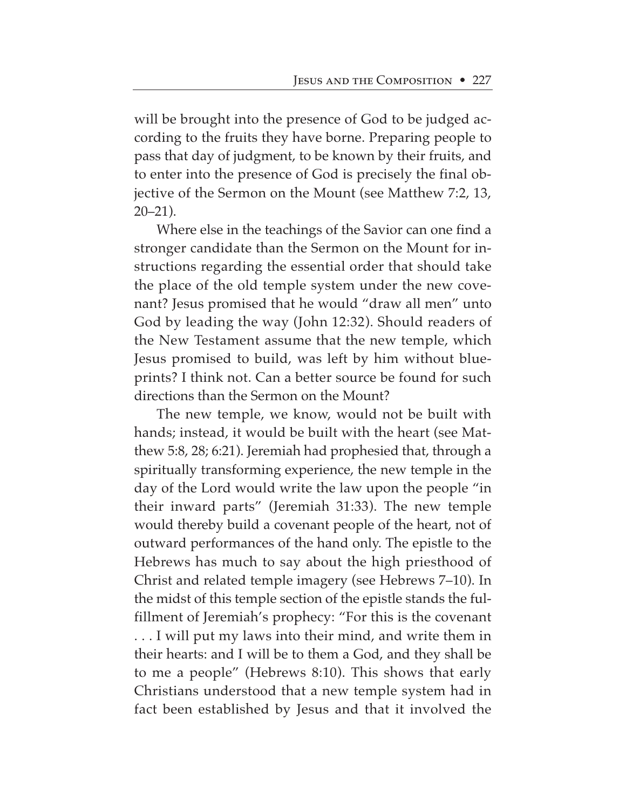will be brought into the presence of God to be judged according to the fruits they have borne. Preparing people to pass that day of judgment, to be known by their fruits, and to enter into the presence of God is precisely the final objective of the Sermon on the Mount (see Matthew 7:2, 13, 20–21).

Where else in the teachings of the Savior can one find a stronger candidate than the Sermon on the Mount for instructions regarding the essential order that should take the place of the old temple system under the new covenant? Jesus promised that he would "draw all men" unto God by leading the way (John 12:32). Should readers of the New Testament assume that the new temple, which Jesus promised to build, was left by him without blueprints? I think not. Can a better source be found for such directions than the Sermon on the Mount?

The new temple, we know, would not be built with hands; instead, it would be built with the heart (see Matthew 5:8, 28; 6:21). Jeremiah had prophesied that, through a spiritually transforming experience, the new temple in the day of the Lord would write the law upon the people "in their inward parts" (Jeremiah 31:33). The new temple would thereby build a covenant people of the heart, not of outward performances of the hand only. The epistle to the Hebrews has much to say about the high priesthood of Christ and related temple imagery (see Hebrews 7–10). In the midst of this temple section of the epistle stands the fulfillment of Jeremiah's prophecy: "For this is the covenant . . . I will put my laws into their mind, and write them in their hearts: and I will be to them a God, and they shall be to me a people" (Hebrews 8:10). This shows that early Christians understood that a new temple system had in fact been established by Jesus and that it involved the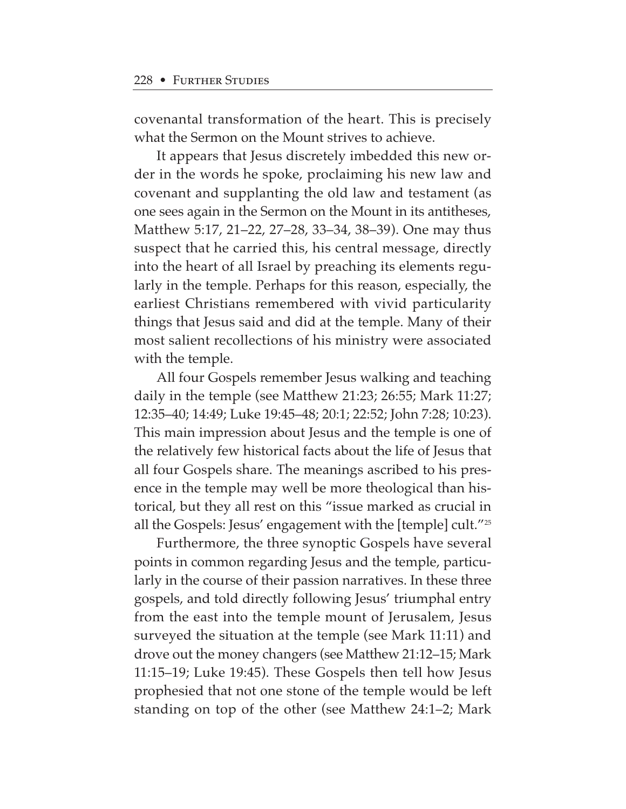covenantal transformation of the heart. This is precisely what the Sermon on the Mount strives to achieve.

It appears that Jesus discretely imbedded this new order in the words he spoke, proclaiming his new law and covenant and supplanting the old law and testament (as one sees again in the Sermon on the Mount in its antitheses, Matthew 5:17, 21–22, 27–28, 33–34, 38–39). One may thus suspect that he carried this, his central message, directly into the heart of all Israel by preaching its elements regularly in the temple. Perhaps for this reason, especially, the earliest Christians remembered with vivid particularity things that Jesus said and did at the temple. Many of their most salient recollections of his ministry were associated with the temple.

All four Gospels remember Jesus walking and teaching daily in the temple (see Matthew 21:23; 26:55; Mark 11:27; 12:35–40; 14:49; Luke 19:45–48; 20:1; 22:52; John 7:28; 10:23). This main impression about Jesus and the temple is one of the relatively few historical facts about the life of Jesus that all four Gospels share. The meanings ascribed to his presence in the temple may well be more theological than historical, but they all rest on this "issue marked as crucial in all the Gospels: Jesus' engagement with the [temple] cult."25

Furthermore, the three synoptic Gospels have several points in common regarding Jesus and the temple, particularly in the course of their passion narratives. In these three gospels, and told directly following Jesus' triumphal entry from the east into the temple mount of Jerusalem, Jesus surveyed the situation at the temple (see Mark 11:11) and drove out the money changers (see Matthew 21:12–15; Mark 11:15–19; Luke 19:45). These Gospels then tell how Jesus prophesied that not one stone of the temple would be left standing on top of the other (see Matthew 24:1–2; Mark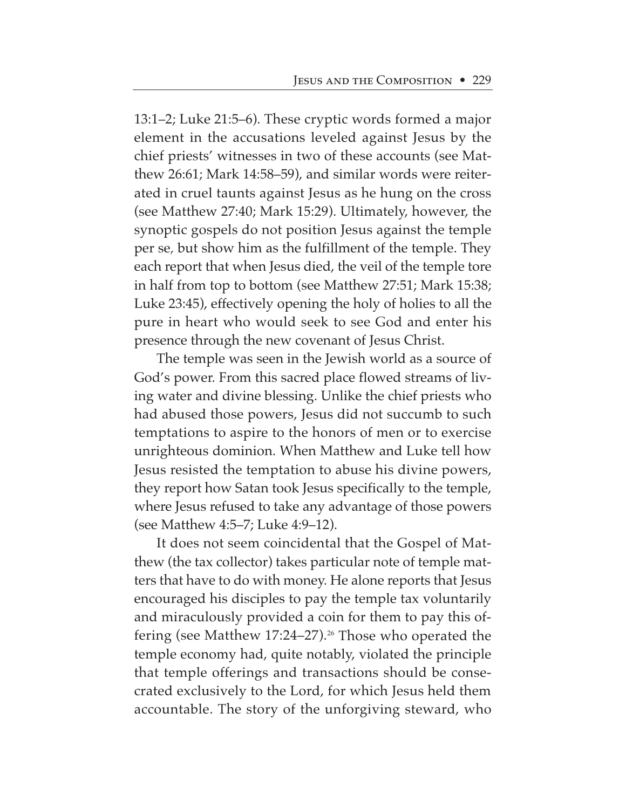13:1–2; Luke 21:5–6). These cryptic words formed a major element in the accusations leveled against Jesus by the chief priests' witnesses in two of these accounts (see Matthew 26:61; Mark 14:58–59), and similar words were reiterated in cruel taunts against Jesus as he hung on the cross (see Matthew 27:40; Mark 15:29). Ultimately, however, the synoptic gospels do not position Jesus against the temple per se*,* but show him as the fulfillment of the temple. They each report that when Jesus died, the veil of the temple tore in half from top to bottom (see Matthew 27:51; Mark 15:38; Luke 23:45), effectively opening the holy of holies to all the pure in heart who would seek to see God and enter his presence through the new covenant of Jesus Christ.

The temple was seen in the Jewish world as a source of God's power. From this sacred place flowed streams of living water and divine blessing. Unlike the chief priests who had abused those powers, Jesus did not succumb to such temptations to aspire to the honors of men or to exercise unrighteous dominion. When Matthew and Luke tell how Jesus resisted the temptation to abuse his divine powers, they report how Satan took Jesus specifically to the temple, where Jesus refused to take any advantage of those powers (see Matthew 4:5–7; Luke 4:9–12).

It does not seem coincidental that the Gospel of Matthew (the tax collector) takes particular note of temple matters that have to do with money. He alone reports that Jesus encouraged his disciples to pay the temple tax voluntarily and miraculously provided a coin for them to pay this offering (see Matthew 17:24–27).<sup>26</sup> Those who operated the temple economy had, quite notably, violated the principle that temple offerings and transactions should be consecrated exclusively to the Lord, for which Jesus held them accountable. The story of the unforgiving steward, who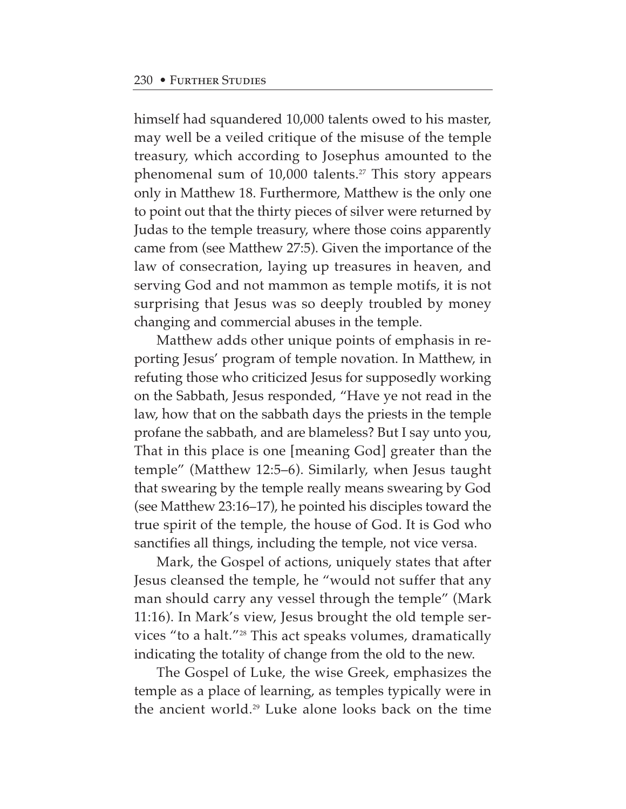himself had squandered 10,000 talents owed to his master, may well be a veiled critique of the misuse of the temple treasury, which according to Josephus amounted to the phenomenal sum of  $10,000$  talents.<sup>27</sup> This story appears only in Matthew 18. Furthermore, Matthew is the only one to point out that the thirty pieces of silver were returned by Judas to the temple treasury, where those coins apparently came from (see Matthew 27:5). Given the importance of the law of consecration, laying up treasures in heaven, and serving God and not mammon as temple motifs, it is not surprising that Jesus was so deeply troubled by money changing and commercial abuses in the temple.

Matthew adds other unique points of emphasis in reporting Jesus' program of temple novation. In Matthew, in refuting those who criticized Jesus for supposedly working on the Sabbath, Jesus responded, "Have ye not read in the law, how that on the sabbath days the priests in the temple profane the sabbath, and are blameless? But I say unto you, That in this place is one [meaning God] greater than the temple" (Matthew 12:5–6). Similarly, when Jesus taught that swearing by the temple really means swearing by God (see Matthew 23:16–17), he pointed his disciples toward the true spirit of the temple, the house of God. It is God who sanctifies all things, including the temple, not vice versa.

Mark, the Gospel of actions, uniquely states that after Jesus cleansed the temple, he "would not suffer that any man should carry any vessel through the temple" (Mark 11:16). In Mark's view, Jesus brought the old temple services "to a halt."28 This act speaks volumes, dramatically indicating the totality of change from the old to the new.

The Gospel of Luke, the wise Greek, emphasizes the temple as a place of learning, as temples typically were in the ancient world.29 Luke alone looks back on the time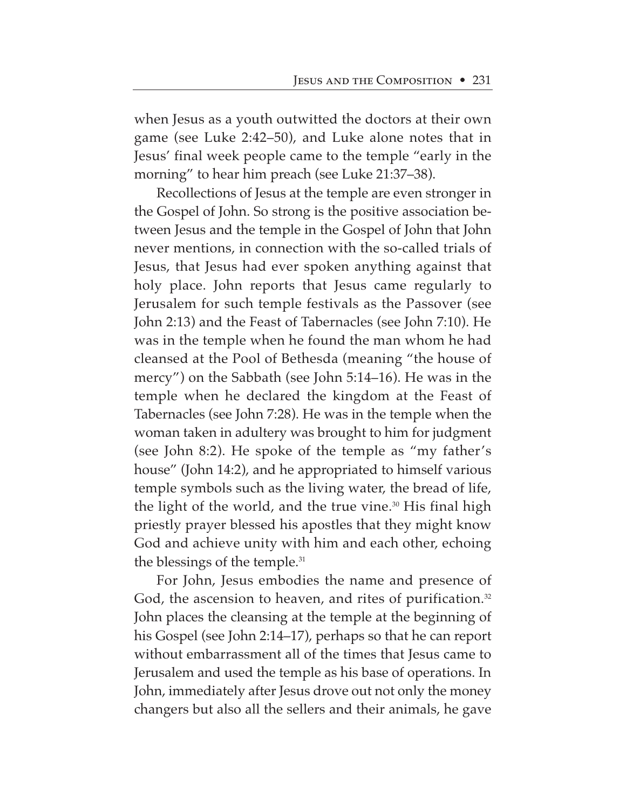when Jesus as a youth outwitted the doctors at their own game (see Luke 2:42–50), and Luke alone notes that in Jesus' final week people came to the temple "early in the morning" to hear him preach (see Luke 21:37–38).

Recollections of Jesus at the temple are even stronger in the Gospel of John. So strong is the positive association between Jesus and the temple in the Gospel of John that John never mentions, in connection with the so-called trials of Jesus, that Jesus had ever spoken anything against that holy place. John reports that Jesus came regularly to Jerusalem for such temple festivals as the Passover (see John 2:13) and the Feast of Tabernacles (see John 7:10). He was in the temple when he found the man whom he had cleansed at the Pool of Bethesda (meaning "the house of mercy") on the Sabbath (see John 5:14–16). He was in the temple when he declared the kingdom at the Feast of Tabernacles (see John 7:28). He was in the temple when the woman taken in adultery was brought to him for judgment (see John 8:2). He spoke of the temple as "my father's house" (John 14:2), and he appropriated to himself various temple symbols such as the living water, the bread of life, the light of the world, and the true vine.<sup>30</sup> His final high priestly prayer blessed his apostles that they might know God and achieve unity with him and each other, echoing the blessings of the temple.<sup>31</sup>

For John, Jesus embodies the name and presence of God, the ascension to heaven, and rites of purification.<sup>32</sup> John places the cleansing at the temple at the beginning of his Gospel (see John 2:14–17), perhaps so that he can report without embarrassment all of the times that Jesus came to Jerusalem and used the temple as his base of operations. In John, immediately after Jesus drove out not only the money changers but also all the sellers and their animals, he gave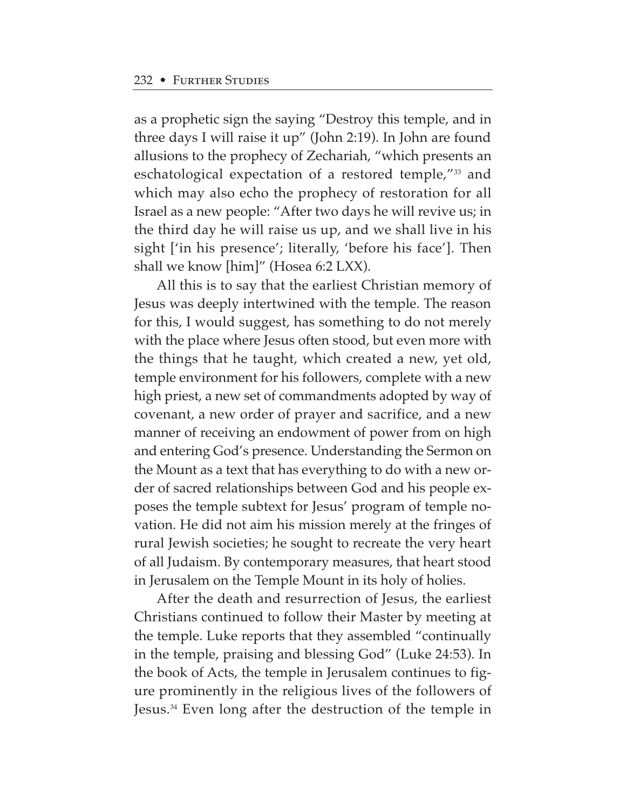as a prophetic sign the saying "Destroy this temple, and in three days I will raise it up" (John 2:19). In John are found allusions to the prophecy of Zechariah, "which presents an eschatological expectation of a restored temple,"33 and which may also echo the prophecy of restoration for all Israel as a new people: "After two days he will revive us; in the third day he will raise us up, and we shall live in his sight ['in his presence'; literally, 'before his face']. Then shall we know [him]" (Hosea 6:2 LXX).

All this is to say that the earliest Christian memory of Jesus was deeply intertwined with the temple. The reason for this, I would suggest, has something to do not merely with the place where Jesus often stood, but even more with the things that he taught, which created a new, yet old, temple environment for his followers, complete with a new high priest, a new set of commandments adopted by way of covenant, a new order of prayer and sacrifice, and a new manner of receiving an endowment of power from on high and entering God's presence. Understanding the Sermon on the Mount as a text that has everything to do with a new order of sacred relationships between God and his people exposes the temple subtext for Jesus' program of temple novation. He did not aim his mission merely at the fringes of rural Jewish societies; he sought to recreate the very heart of all Judaism. By contemporary measures, that heart stood in Jerusalem on the Temple Mount in its holy of holies.

After the death and resurrection of Jesus, the earliest Christians continued to follow their Master by meeting at the temple. Luke reports that they assembled "continually in the temple, praising and blessing God" (Luke 24:53). In the book of Acts, the temple in Jerusalem continues to figure prominently in the religious lives of the followers of Jesus.34 Even long after the destruction of the temple in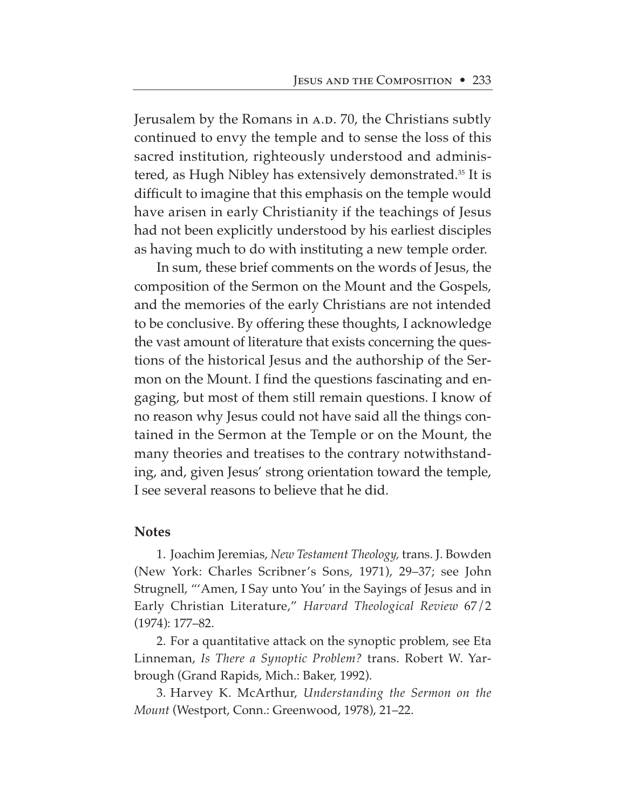Jerusalem by the Romans in A.D. 70, the Christians subtly continued to envy the temple and to sense the loss of this sacred institution, righteously understood and administered, as Hugh Nibley has extensively demonstrated.35 It is difficult to imagine that this emphasis on the temple would have arisen in early Christianity if the teachings of Jesus had not been explicitly understood by his earliest disciples as having much to do with instituting a new temple order.

In sum, these brief comments on the words of Jesus, the composition of the Sermon on the Mount and the Gospels, and the memories of the early Christians are not intended to be conclusive. By offering these thoughts, I acknowledge the vast amount of literature that exists concerning the questions of the historical Jesus and the authorship of the Sermon on the Mount. I find the questions fascinating and engaging, but most of them still remain questions. I know of no reason why Jesus could not have said all the things contained in the Sermon at the Temple or on the Mount, the many theories and treatises to the contrary notwithstanding, and, given Jesus' strong orientation toward the temple, I see several reasons to believe that he did.

#### **Notes**

1. Joachim Jeremias, *New Testament Theology,* trans. J. Bowden (New York: Charles Scribner's Sons, 1971), 29–37; see John Strugnell, "'Amen, I Say unto You' in the Sayings of Jesus and in Early Christian Literature," *Harvard Theological Review* 67/2 (1974): 177–82.

2. For a quantitative attack on the synoptic problem, see Eta Linneman, *Is There a Synoptic Problem?* trans. Robert W. Yarbrough (Grand Rapids, Mich.: Baker, 1992).

3. Harvey K. McArthur, *Understanding the Sermon on the Mount* (Westport, Conn.: Greenwood, 1978), 21–22.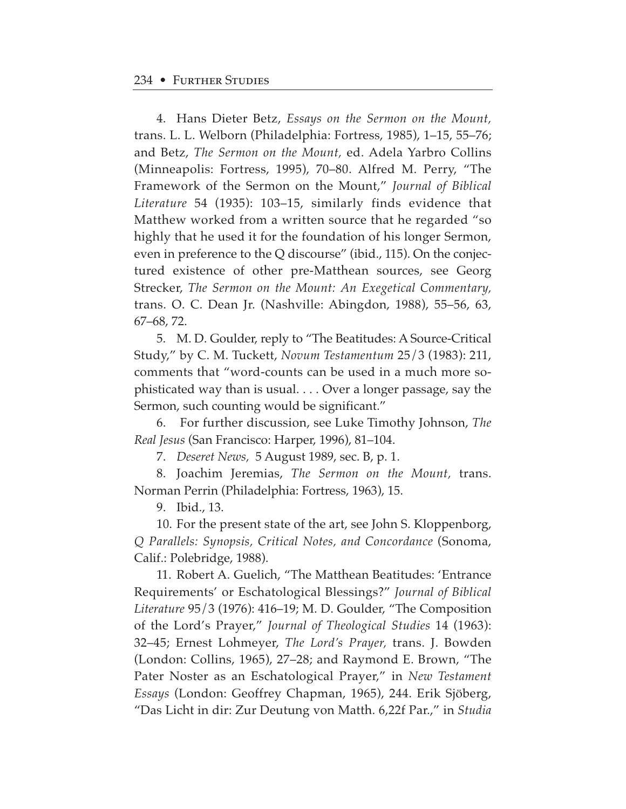4. Hans Dieter Betz, *Essays on the Sermon on the Mount,* trans. L. L. Welborn (Philadelphia: Fortress, 1985), 1–15, 55–76; and Betz, *The Sermon on the Mount,* ed. Adela Yarbro Collins (Minneapolis: Fortress, 1995), 70–80. Alfred M. Perry, "The Framework of the Sermon on the Mount," *Journal of Biblical Literature* 54 (1935): 103–15, similarly finds evidence that Matthew worked from a written source that he regarded "so highly that he used it for the foundation of his longer Sermon, even in preference to the Q discourse" (ibid., 115). On the conjectured existence of other pre-Matthean sources, see Georg Strecker, *The Sermon on the Mount: An Exegetical Commentary,* trans. O. C. Dean Jr. (Nashville: Abingdon, 1988), 55–56, 63, 67–68, 72.

5. M. D. Goulder, reply to "The Beatitudes: A Source-Critical Study," by C. M. Tuckett, *Novum Testamentum* 25/3 (1983): 211, comments that "word-counts can be used in a much more sophisticated way than is usual. . . . Over a longer passage, say the Sermon, such counting would be significant."

6. For further discussion, see Luke Timothy Johnson, *The Real Jesus* (San Francisco: Harper, 1996), 81–104.

7. *Deseret News,* 5 August 1989, sec. B, p. 1.

8. Joachim Jeremias, *The Sermon on the Mount,* trans. Norman Perrin (Philadelphia: Fortress, 1963), 15.

9. Ibid., 13.

10. For the present state of the art, see John S. Kloppenborg, *Q Parallels: Synopsis, Critical Notes, and Concordance* (Sonoma, Calif.: Polebridge, 1988).

11. Robert A. Guelich, "The Matthean Beatitudes: 'Entrance Requirements' or Eschatological Blessings?" *Journal of Biblical Literature* 95/3 (1976): 416–19; M. D. Goulder, "The Composition of the Lord's Prayer," *Journal of Theological Studies* 14 (1963): 32–45; Ernest Lohmeyer, *The Lord's Prayer,* trans. J. Bowden (London: Collins, 1965), 27–28; and Raymond E. Brown, "The Pater Noster as an Eschatological Prayer," in *New Testament Essays* (London: Geoffrey Chapman, 1965), 244. Erik Sjöberg, "Das Licht in dir: Zur Deutung von Matth. 6,22f Par.," in *Studia*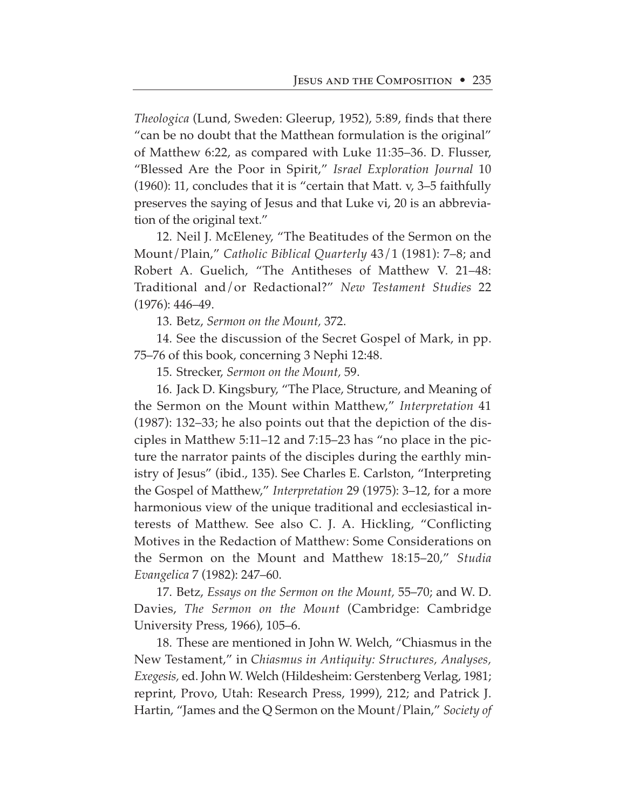*Theologica* (Lund, Sweden: Gleerup, 1952), 5:89, finds that there "can be no doubt that the Matthean formulation is the original" of Matthew 6:22, as compared with Luke 11:35–36. D. Flusser, "Blessed Are the Poor in Spirit," *Israel Exploration Journal* 10 (1960): 11, concludes that it is "certain that Matt. v, 3–5 faithfully preserves the saying of Jesus and that Luke vi, 20 is an abbreviation of the original text."

12. Neil J. McEleney, "The Beatitudes of the Sermon on the Mount/Plain," *Catholic Biblical Quarterly* 43/1 (1981): 7–8; and Robert A. Guelich, "The Antitheses of Matthew V. 21–48: Traditional and/or Redactional?" *New Testament Studies* 22 (1976): 446–49.

13. Betz, *Sermon on the Mount,* 372.

14. See the discussion of the Secret Gospel of Mark, in pp. 75–76 of this book, concerning 3 Nephi 12:48.

15. Strecker, *Sermon on the Mount,* 59.

16. Jack D. Kingsbury, "The Place, Structure, and Meaning of the Sermon on the Mount within Matthew," *Interpretation* 41 (1987): 132–33; he also points out that the depiction of the disciples in Matthew 5:11–12 and 7:15–23 has "no place in the picture the narrator paints of the disciples during the earthly ministry of Jesus" (ibid., 135). See Charles E. Carlston, "Interpreting the Gospel of Matthew," *Interpretation* 29 (1975): 3–12, for a more harmonious view of the unique traditional and ecclesiastical interests of Matthew. See also C. J. A. Hickling, "Conflicting Motives in the Redaction of Matthew: Some Considerations on the Sermon on the Mount and Matthew 18:15–20," *Studia Evangelica* 7 (1982): 247–60.

17. Betz, *Essays on the Sermon on the Mount,* 55–70; and W. D. Davies, *The Sermon on the Mount* (Cambridge: Cambridge University Press, 1966), 105–6.

18. These are mentioned in John W. Welch, "Chiasmus in the New Testament," in *Chiasmus in Antiquity: Structures, Analyses, Exegesis,* ed. John W. Welch (Hildesheim: Gerstenberg Verlag, 1981; reprint, Provo, Utah: Research Press, 1999), 212; and Patrick J. Hartin, "James and the Q Sermon on the Mount/Plain," *Society of*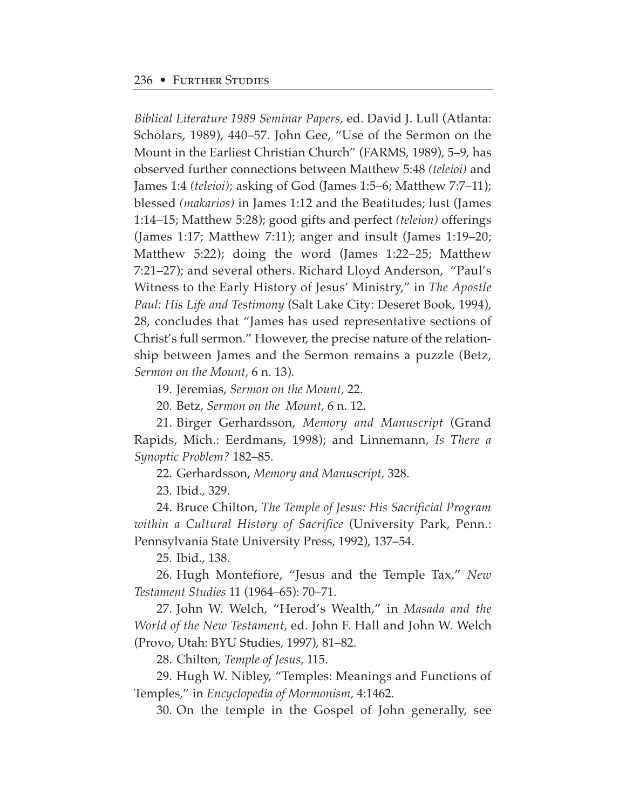*Biblical Literature 1989 Seminar Papers,* ed. David J. Lull (Atlanta: Scholars, 1989), 440–57. John Gee, "Use of the Sermon on the Mount in the Earliest Christian Church" (FARMS, 1989), 5–9, has observed further connections between Matthew 5:48 *(teleioi)* and James 1:4 *(teleioi)*; asking of God (James 1:5–6; Matthew 7:7–11); blessed *(makarios)* in James 1:12 and the Beatitudes; lust (James 1:14–15; Matthew 5:28); good gifts and perfect *(teleion)* offerings (James 1:17; Matthew 7:11); anger and insult (James 1:19–20; Matthew 5:22); doing the word (James 1:22–25; Matthew 7:21–27); and several others. Richard Lloyd Anderson, "Paul's Witness to the Early History of Jesus' Ministry," in *The Apostle Paul: His Life and Testimony* (Salt Lake City: Deseret Book, 1994), 28, concludes that "James has used representative sections of Christ's full sermon." However, the precise nature of the relationship between James and the Sermon remains a puzzle (Betz, *Sermon on the Mount,* 6 n. 13).

19. Jeremias, *Sermon on the Mount,* 22.

20. Betz, *Sermon on the Mount,* 6 n. 12.

21. Birger Gerhardsson, *Memory and Manuscript* (Grand Rapids, Mich.: Eerdmans, 1998); and Linnemann, *Is There a Synoptic Problem?* 182–85.

22. Gerhardsson, *Memory and Manuscript,* 328.

23. Ibid., 329.

24. Bruce Chilton, *The Temple of Jesus: His Sacrificial Program within a Cultural History of Sacrifice* (University Park, Penn.: Pennsylvania State University Press, 1992), 137–54.

25. Ibid., 138.

26. Hugh Montefiore, "Jesus and the Temple Tax," *New Testament Studies* 11 (1964–65): 70–71.

27. John W. Welch, "Herod's Wealth," in *Masada and the World of the New Testament,* ed. John F. Hall and John W. Welch (Provo, Utah: BYU Studies, 1997), 81–82.

28. Chilton, *Temple of Jesus,* 115.

29. Hugh W. Nibley, "Temples: Meanings and Functions of Temples," in *Encyclopedia of Mormonism,* 4:1462.

30. On the temple in the Gospel of John generally, see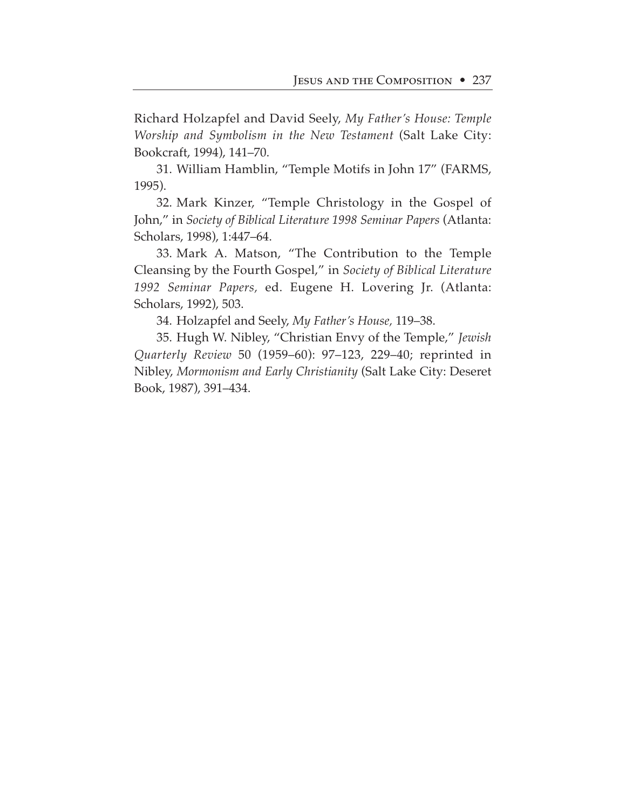Richard Holzapfel and David Seely, *My Father's House: Temple Worship and Symbolism in the New Testament* (Salt Lake City: Bookcraft, 1994), 141–70.

31. William Hamblin, "Temple Motifs in John 17" (FARMS, 1995).

32. Mark Kinzer, "Temple Christology in the Gospel of John," in *Society of Biblical Literature 1998 Seminar Papers* (Atlanta: Scholars, 1998), 1:447–64.

33. Mark A. Matson, "The Contribution to the Temple Cleansing by the Fourth Gospel," in *Society of Biblical Literature 1992 Seminar Papers,* ed. Eugene H. Lovering Jr. (Atlanta: Scholars, 1992), 503.

34. Holzapfel and Seely, *My Father's House,* 119–38.

35. Hugh W. Nibley, "Christian Envy of the Temple," *Jewish Quarterly Review* 50 (1959–60): 97–123, 229–40; reprinted in Nibley, *Mormonism and Early Christianity* (Salt Lake City: Deseret Book, 1987), 391–434.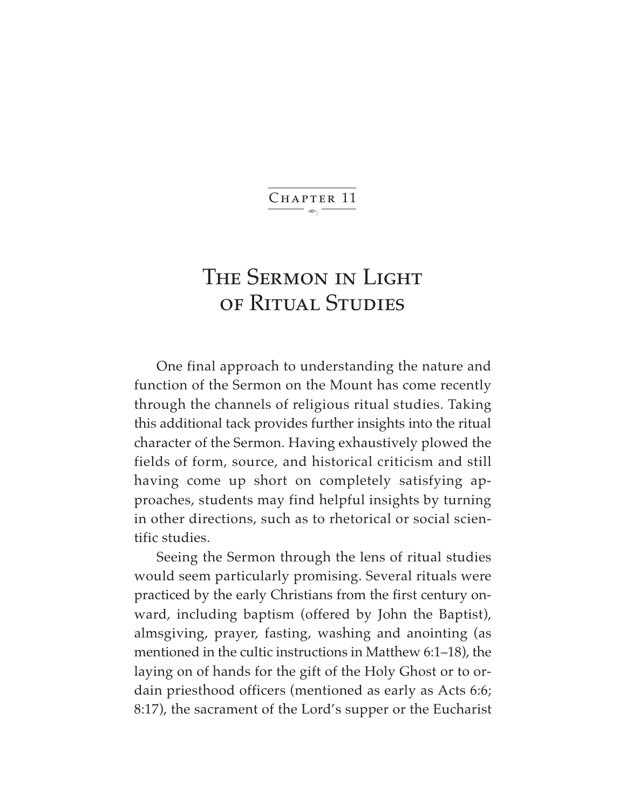$\ddot{\phantom{1}}$ CHAPTER 11

# The Sermon in Light of Ritual Studies

One final approach to understanding the nature and function of the Sermon on the Mount has come recently through the channels of religious ritual studies. Taking this additional tack provides further insights into the ritual character of the Sermon. Having exhaustively plowed the fields of form, source, and historical criticism and still having come up short on completely satisfying approaches, students may find helpful insights by turning in other directions, such as to rhetorical or social scientific studies.

Seeing the Sermon through the lens of ritual studies would seem particularly promising. Several rituals were practiced by the early Christians from the first century onward, including baptism (offered by John the Baptist), almsgiving, prayer, fasting, washing and anointing (as mentioned in the cultic instructions in Matthew 6:1–18), the laying on of hands for the gift of the Holy Ghost or to ordain priesthood officers (mentioned as early as Acts 6:6; 8:17), the sacrament of the Lord's supper or the Eucharist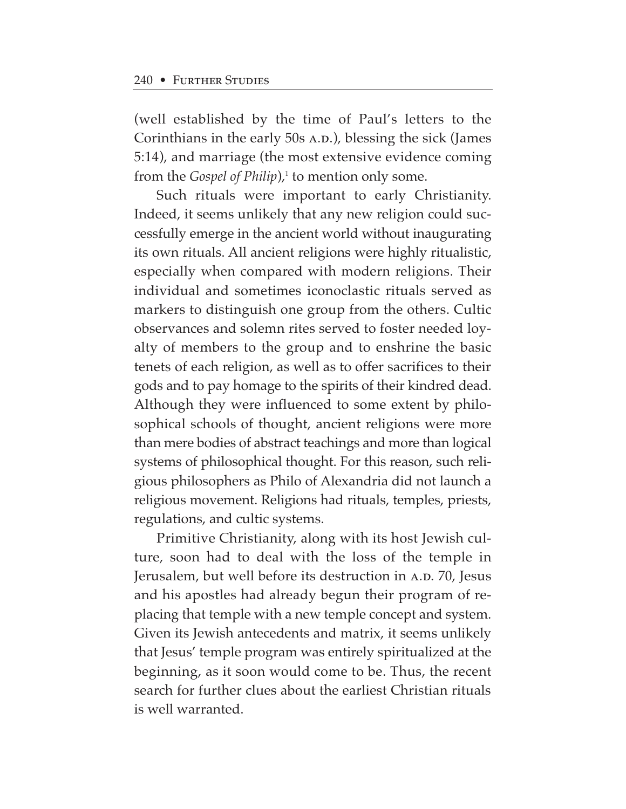(well established by the time of Paul's letters to the Corinthians in the early 50s A.D.), blessing the sick (James 5:14), and marriage (the most extensive evidence coming from the *Gospel of Philip*),<sup>1</sup> to mention only some.

Such rituals were important to early Christianity. Indeed, it seems unlikely that any new religion could successfully emerge in the ancient world without inaugurating its own rituals. All ancient religions were highly ritualistic, especially when compared with modern religions. Their individual and sometimes iconoclastic rituals served as markers to distinguish one group from the others. Cultic observances and solemn rites served to foster needed loyalty of members to the group and to enshrine the basic tenets of each religion, as well as to offer sacrifices to their gods and to pay homage to the spirits of their kindred dead. Although they were influenced to some extent by philosophical schools of thought, ancient religions were more than mere bodies of abstract teachings and more than logical systems of philosophical thought. For this reason, such religious philosophers as Philo of Alexandria did not launch a religious movement. Religions had rituals, temples, priests, regulations, and cultic systems.

Primitive Christianity, along with its host Jewish culture, soon had to deal with the loss of the temple in Jerusalem, but well before its destruction in A.D. 70, Jesus and his apostles had already begun their program of replacing that temple with a new temple concept and system. Given its Jewish antecedents and matrix, it seems unlikely that Jesus' temple program was entirely spiritualized at the beginning, as it soon would come to be. Thus, the recent search for further clues about the earliest Christian rituals is well warranted.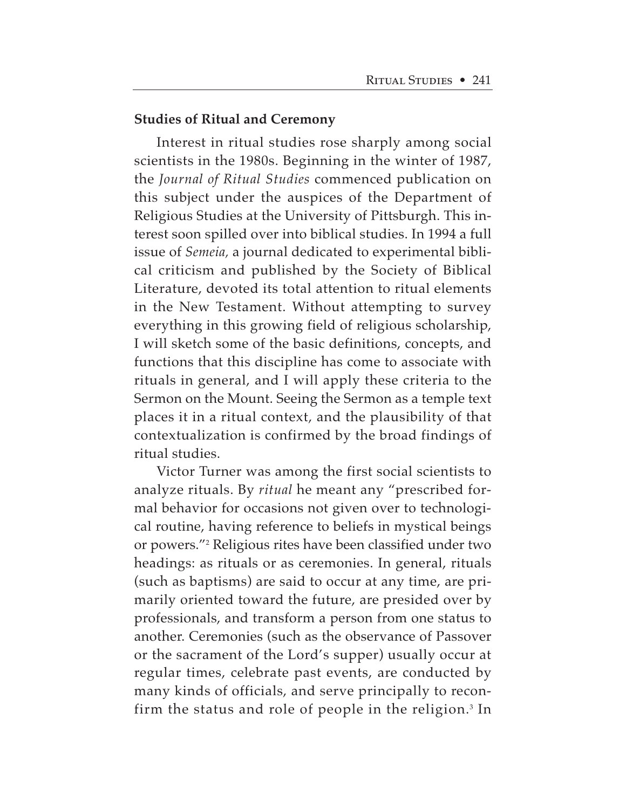#### **Studies of Ritual and Ceremony**

Interest in ritual studies rose sharply among social scientists in the 1980s. Beginning in the winter of 1987, the *Journal of Ritual Studies* commenced publication on this subject under the auspices of the Department of Religious Studies at the University of Pittsburgh. This interest soon spilled over into biblical studies. In 1994 a full issue of *Semeia,* a journal dedicated to experimental biblical criticism and published by the Society of Biblical Literature, devoted its total attention to ritual elements in the New Testament. Without attempting to survey everything in this growing field of religious scholarship, I will sketch some of the basic definitions, concepts, and functions that this discipline has come to associate with rituals in general, and I will apply these criteria to the Sermon on the Mount. Seeing the Sermon as a temple text places it in a ritual context, and the plausibility of that contextualization is confirmed by the broad findings of ritual studies.

Victor Turner was among the first social scientists to analyze rituals. By *ritual* he meant any "prescribed formal behavior for occasions not given over to technological routine, having reference to beliefs in mystical beings or powers."2 Religious rites have been classified under two headings: as rituals or as ceremonies. In general, rituals (such as baptisms) are said to occur at any time, are primarily oriented toward the future, are presided over by professionals, and transform a person from one status to another. Ceremonies (such as the observance of Passover or the sacrament of the Lord's supper) usually occur at regular times, celebrate past events, are conducted by many kinds of officials, and serve principally to reconfirm the status and role of people in the religion.<sup>3</sup> In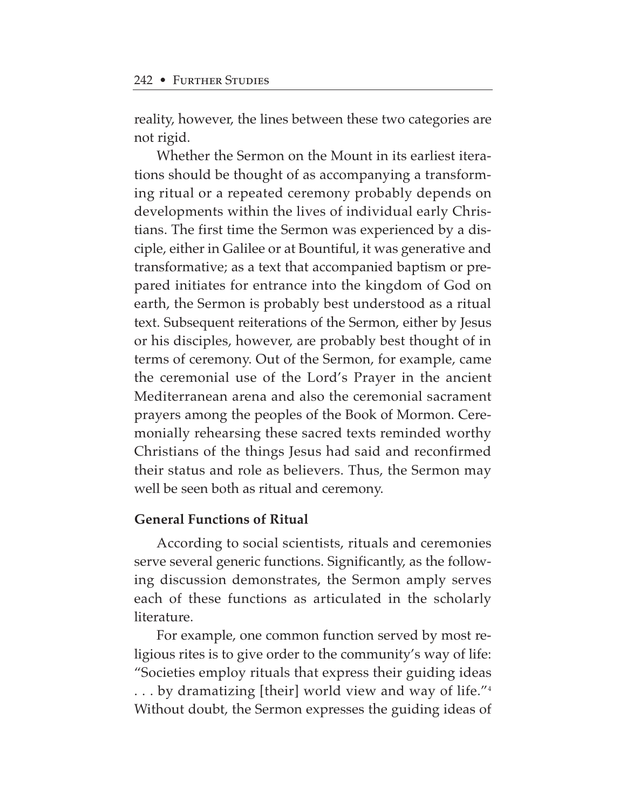reality, however, the lines between these two categories are not rigid.

Whether the Sermon on the Mount in its earliest iterations should be thought of as accompanying a transforming ritual or a repeated ceremony probably depends on developments within the lives of individual early Christians. The first time the Sermon was experienced by a disciple, either in Galilee or at Bountiful, it was generative and transformative; as a text that accompanied baptism or prepared initiates for entrance into the kingdom of God on earth, the Sermon is probably best understood as a ritual text. Subsequent reiterations of the Sermon, either by Jesus or his disciples, however, are probably best thought of in terms of ceremony. Out of the Sermon, for example, came the ceremonial use of the Lord's Prayer in the ancient Mediterranean arena and also the ceremonial sacrament prayers among the peoples of the Book of Mormon. Ceremonially rehearsing these sacred texts reminded worthy Christians of the things Jesus had said and reconfirmed their status and role as believers. Thus, the Sermon may well be seen both as ritual and ceremony.

#### **General Functions of Ritual**

According to social scientists, rituals and ceremonies serve several generic functions. Significantly, as the following discussion demonstrates, the Sermon amply serves each of these functions as articulated in the scholarly literature.

For example, one common function served by most religious rites is to give order to the community's way of life: "Societies employ rituals that express their guiding ideas . . . by dramatizing [their] world view and way of life."4 Without doubt, the Sermon expresses the guiding ideas of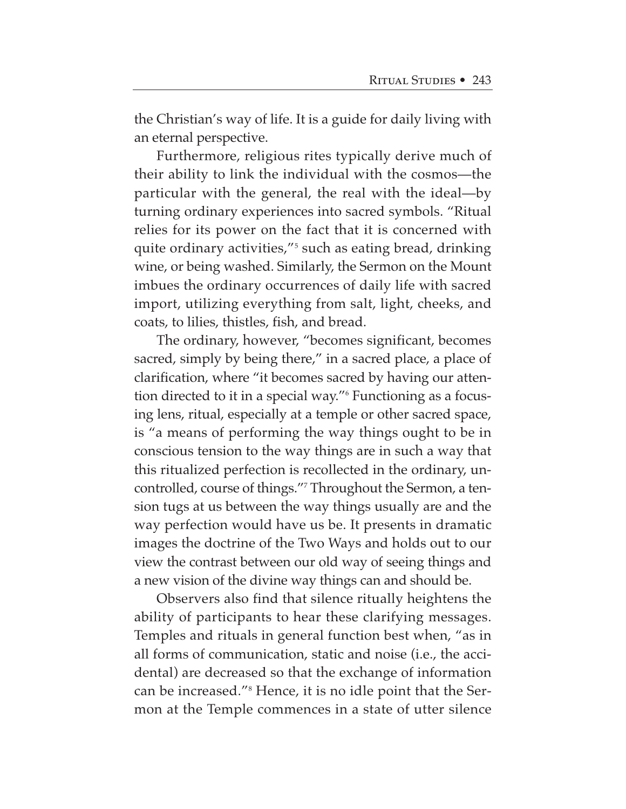the Christian's way of life. It is a guide for daily living with an eternal perspective.

Furthermore, religious rites typically derive much of their ability to link the individual with the cosmos—the particular with the general, the real with the ideal—by turning ordinary experiences into sacred symbols. "Ritual relies for its power on the fact that it is concerned with quite ordinary activities,"5 such as eating bread, drinking wine, or being washed. Similarly, the Sermon on the Mount imbues the ordinary occurrences of daily life with sacred import, utilizing everything from salt, light, cheeks, and coats, to lilies, thistles, fish, and bread.

The ordinary, however, "becomes significant, becomes sacred, simply by being there," in a sacred place, a place of clarification, where "it becomes sacred by having our attention directed to it in a special way."6 Functioning as a focusing lens, ritual, especially at a temple or other sacred space, is "a means of performing the way things ought to be in conscious tension to the way things are in such a way that this ritualized perfection is recollected in the ordinary, uncontrolled, course of things."7 Throughout the Sermon, a tension tugs at us between the way things usually are and the way perfection would have us be. It presents in dramatic images the doctrine of the Two Ways and holds out to our view the contrast between our old way of seeing things and a new vision of the divine way things can and should be.

Observers also find that silence ritually heightens the ability of participants to hear these clarifying messages. Temples and rituals in general function best when, "as in all forms of communication, static and noise (i.e., the accidental) are decreased so that the exchange of information can be increased."8 Hence, it is no idle point that the Sermon at the Temple commences in a state of utter silence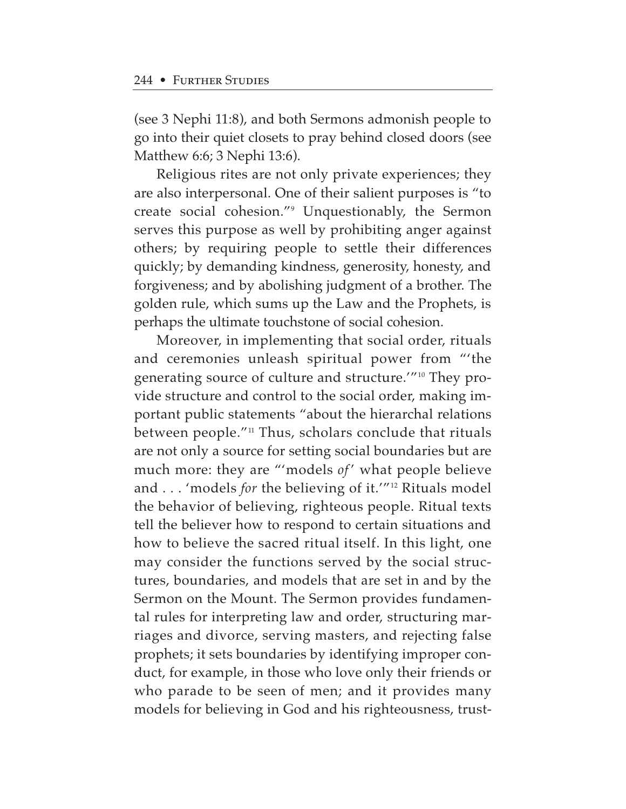(see 3 Nephi 11:8), and both Sermons admonish people to go into their quiet closets to pray behind closed doors (see Matthew 6:6; 3 Nephi 13:6).

Religious rites are not only private experiences; they are also interpersonal. One of their salient purposes is "to create social cohesion."9 Unquestionably, the Sermon serves this purpose as well by prohibiting anger against others; by requiring people to settle their differences quickly; by demanding kindness, generosity, honesty, and forgiveness; and by abolishing judgment of a brother. The golden rule, which sums up the Law and the Prophets, is perhaps the ultimate touchstone of social cohesion.

Moreover, in implementing that social order, rituals and ceremonies unleash spiritual power from "'the generating source of culture and structure.'"10 They provide structure and control to the social order, making important public statements "about the hierarchal relations between people."<sup>11</sup> Thus, scholars conclude that rituals are not only a source for setting social boundaries but are much more: they are "'models of' what people believe and . . . 'models *for* the believing of it.'"12 Rituals model the behavior of believing, righteous people. Ritual texts tell the believer how to respond to certain situations and how to believe the sacred ritual itself. In this light, one may consider the functions served by the social structures, boundaries, and models that are set in and by the Sermon on the Mount. The Sermon provides fundamental rules for interpreting law and order, structuring marriages and divorce, serving masters, and rejecting false prophets; it sets boundaries by identifying improper conduct, for example, in those who love only their friends or who parade to be seen of men; and it provides many models for believing in God and his righteousness, trust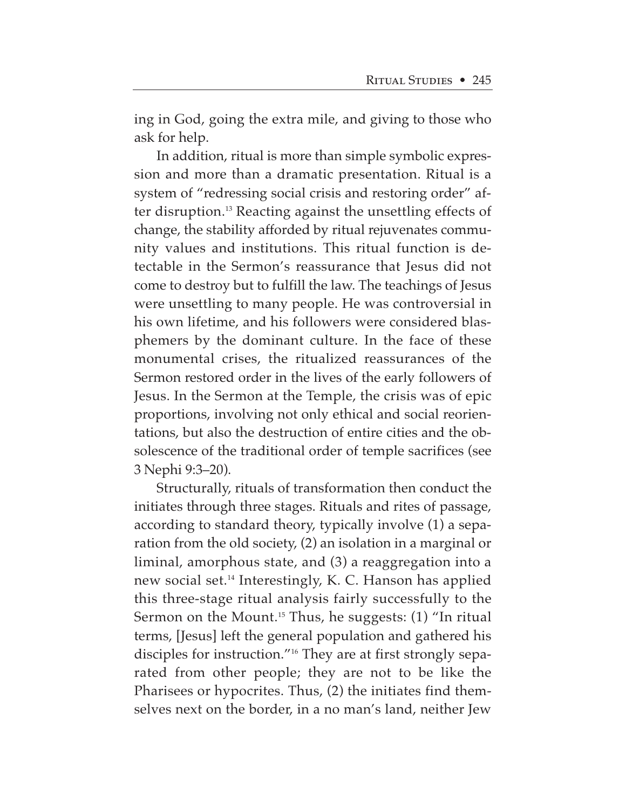ing in God, going the extra mile, and giving to those who ask for help.

In addition, ritual is more than simple symbolic expression and more than a dramatic presentation. Ritual is a system of "redressing social crisis and restoring order" after disruption.13 Reacting against the unsettling effects of change, the stability afforded by ritual rejuvenates community values and institutions. This ritual function is detectable in the Sermon's reassurance that Jesus did not come to destroy but to fulfill the law. The teachings of Jesus were unsettling to many people. He was controversial in his own lifetime, and his followers were considered blasphemers by the dominant culture. In the face of these monumental crises, the ritualized reassurances of the Sermon restored order in the lives of the early followers of Jesus. In the Sermon at the Temple, the crisis was of epic proportions, involving not only ethical and social reorientations, but also the destruction of entire cities and the obsolescence of the traditional order of temple sacrifices (see 3 Nephi 9:3–20).

Structurally, rituals of transformation then conduct the initiates through three stages. Rituals and rites of passage, according to standard theory, typically involve (1) a separation from the old society, (2) an isolation in a marginal or liminal, amorphous state, and (3) a reaggregation into a new social set.14 Interestingly, K. C. Hanson has applied this three-stage ritual analysis fairly successfully to the Sermon on the Mount.<sup>15</sup> Thus, he suggests: (1) "In ritual terms, [Jesus] left the general population and gathered his disciples for instruction."16 They are at first strongly separated from other people; they are not to be like the Pharisees or hypocrites. Thus, (2) the initiates find themselves next on the border, in a no man's land, neither Jew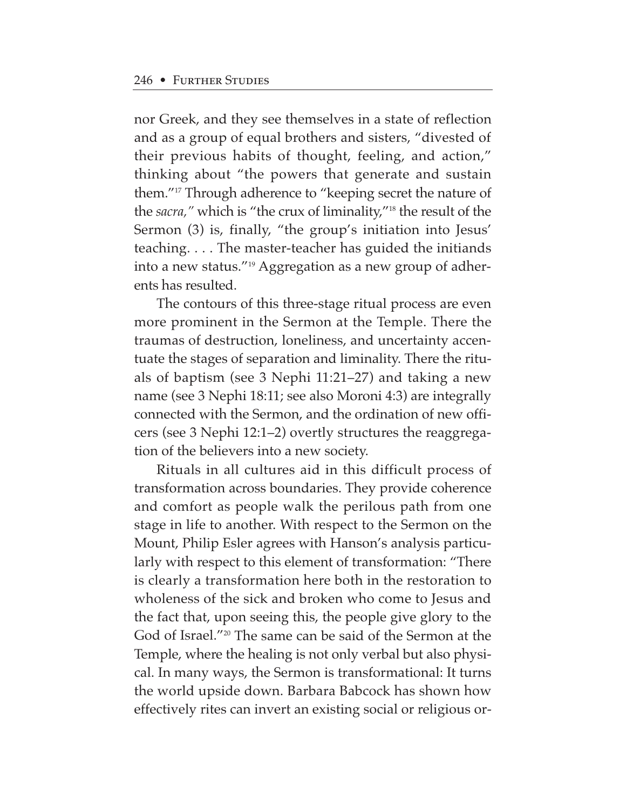nor Greek, and they see themselves in a state of reflection and as a group of equal brothers and sisters, "divested of their previous habits of thought, feeling, and action," thinking about "the powers that generate and sustain them."17 Through adherence to "keeping secret the nature of the *sacra,"* which is "the crux of liminality,"18 the result of the Sermon (3) is, finally, "the group's initiation into Jesus' teaching. . . . The master-teacher has guided the initiands into a new status."19 Aggregation as a new group of adherents has resulted.

The contours of this three-stage ritual process are even more prominent in the Sermon at the Temple. There the traumas of destruction, loneliness, and uncertainty accentuate the stages of separation and liminality. There the rituals of baptism (see 3 Nephi 11:21–27) and taking a new name (see 3 Nephi 18:11; see also Moroni 4:3) are integrally connected with the Sermon, and the ordination of new officers (see 3 Nephi 12:1–2) overtly structures the reaggregation of the believers into a new society.

Rituals in all cultures aid in this difficult process of transformation across boundaries. They provide coherence and comfort as people walk the perilous path from one stage in life to another. With respect to the Sermon on the Mount, Philip Esler agrees with Hanson's analysis particularly with respect to this element of transformation: "There is clearly a transformation here both in the restoration to wholeness of the sick and broken who come to Jesus and the fact that, upon seeing this, the people give glory to the God of Israel."20 The same can be said of the Sermon at the Temple, where the healing is not only verbal but also physical. In many ways, the Sermon is transformational: It turns the world upside down. Barbara Babcock has shown how effectively rites can invert an existing social or religious or-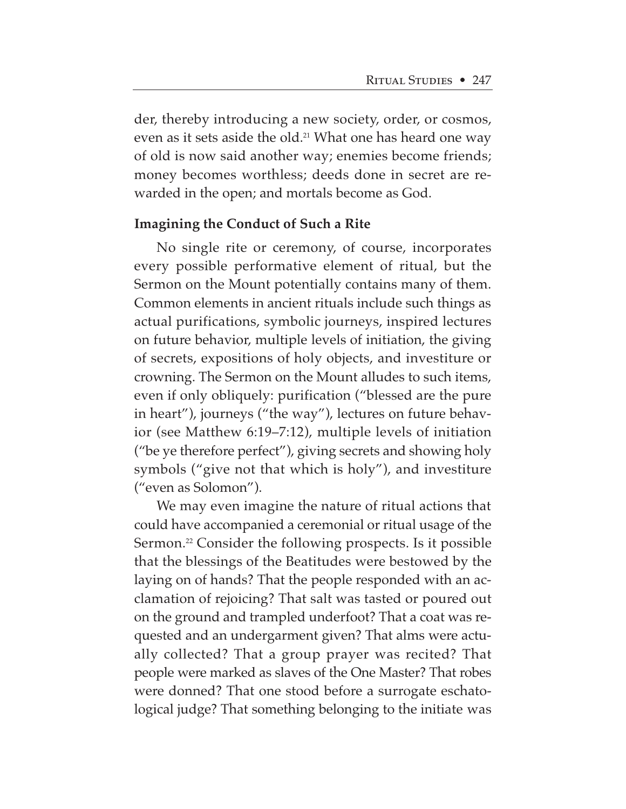der, thereby introducing a new society, order, or cosmos, even as it sets aside the old.<sup>21</sup> What one has heard one way of old is now said another way; enemies become friends; money becomes worthless; deeds done in secret are rewarded in the open; and mortals become as God.

#### **Imagining the Conduct of Such a Rite**

No single rite or ceremony, of course, incorporates every possible performative element of ritual, but the Sermon on the Mount potentially contains many of them. Common elements in ancient rituals include such things as actual purifications, symbolic journeys, inspired lectures on future behavior, multiple levels of initiation, the giving of secrets, expositions of holy objects, and investiture or crowning. The Sermon on the Mount alludes to such items, even if only obliquely: purification ("blessed are the pure in heart"), journeys ("the way"), lectures on future behavior (see Matthew 6:19–7:12), multiple levels of initiation ("be ye therefore perfect"), giving secrets and showing holy symbols ("give not that which is holy"), and investiture ("even as Solomon").

We may even imagine the nature of ritual actions that could have accompanied a ceremonial or ritual usage of the Sermon.<sup>22</sup> Consider the following prospects. Is it possible that the blessings of the Beatitudes were bestowed by the laying on of hands? That the people responded with an acclamation of rejoicing? That salt was tasted or poured out on the ground and trampled underfoot? That a coat was requested and an undergarment given? That alms were actually collected? That a group prayer was recited? That people were marked as slaves of the One Master? That robes were donned? That one stood before a surrogate eschatological judge? That something belonging to the initiate was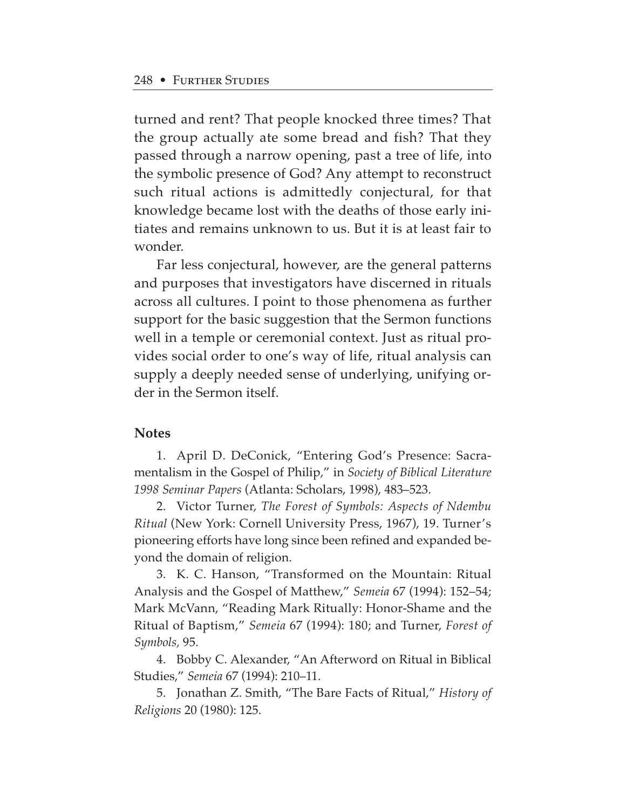turned and rent? That people knocked three times? That the group actually ate some bread and fish? That they passed through a narrow opening, past a tree of life, into the symbolic presence of God? Any attempt to reconstruct such ritual actions is admittedly conjectural, for that knowledge became lost with the deaths of those early initiates and remains unknown to us. But it is at least fair to wonder.

Far less conjectural, however, are the general patterns and purposes that investigators have discerned in rituals across all cultures. I point to those phenomena as further support for the basic suggestion that the Sermon functions well in a temple or ceremonial context. Just as ritual provides social order to one's way of life, ritual analysis can supply a deeply needed sense of underlying, unifying order in the Sermon itself.

#### **Notes**

1. April D. DeConick, "Entering God's Presence: Sacramentalism in the Gospel of Philip," in *Society of Biblical Literature 1998 Seminar Papers* (Atlanta: Scholars, 1998), 483–523.

2. Victor Turner, *The Forest of Symbols: Aspects of Ndembu Ritual* (New York: Cornell University Press, 1967), 19. Turner's pioneering efforts have long since been refined and expanded beyond the domain of religion.

3. K. C. Hanson, "Transformed on the Mountain: Ritual Analysis and the Gospel of Matthew," *Semeia* 67 (1994): 152–54; Mark McVann, "Reading Mark Ritually: Honor-Shame and the Ritual of Baptism," *Semeia* 67 (1994): 180; and Turner, *Forest of Symbols,* 95.

4. Bobby C. Alexander, "An Afterword on Ritual in Biblical Studies," *Semeia* 67 (1994): 210–11.

5. Jonathan Z. Smith, "The Bare Facts of Ritual," *History of Religions* 20 (1980): 125.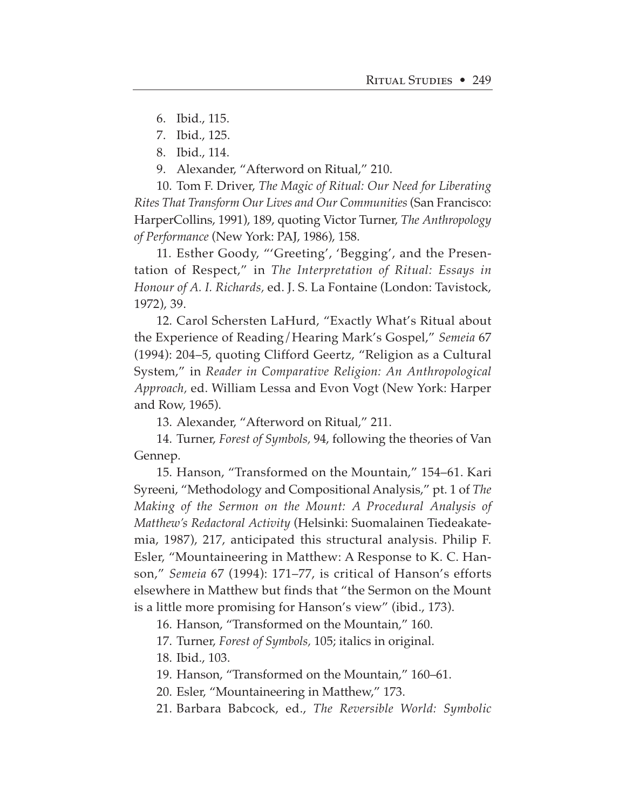6. Ibid., 115.

- 7. Ibid., 125.
- 8. Ibid., 114.
- 9. Alexander, "Afterword on Ritual," 210.

10. Tom F. Driver, *The Magic of Ritual: Our Need for Liberating Rites That Transform Our Lives and Our Communities* (San Francisco: HarperCollins, 1991), 189, quoting Victor Turner, *The Anthropology of Performance* (New York: PAJ, 1986), 158.

11. Esther Goody, "'Greeting', 'Begging', and the Presentation of Respect," in *The Interpretation of Ritual: Essays in Honour of A. I. Richards,* ed. J. S. La Fontaine (London: Tavistock, 1972), 39.

12. Carol Schersten LaHurd, "Exactly What's Ritual about the Experience of Reading/Hearing Mark's Gospel," *Semeia* 67 (1994): 204–5, quoting Clifford Geertz, "Religion as a Cultural System," in *Reader in Comparative Religion: An Anthropological Approach,* ed. William Lessa and Evon Vogt (New York: Harper and Row, 1965).

13. Alexander, "Afterword on Ritual," 211.

14. Turner, *Forest of Symbols,* 94, following the theories of Van Gennep.

15. Hanson, "Transformed on the Mountain," 154–61. Kari Syreeni, "Methodology and Compositional Analysis," pt. 1 of *The Making of the Sermon on the Mount: A Procedural Analysis of Matthew's Redactoral Activity* (Helsinki: Suomalainen Tiedeakatemia, 1987), 217, anticipated this structural analysis. Philip F. Esler, "Mountaineering in Matthew: A Response to K. C. Hanson," *Semeia* 67 (1994): 171–77, is critical of Hanson's efforts elsewhere in Matthew but finds that "the Sermon on the Mount is a little more promising for Hanson's view" (ibid., 173).

16. Hanson, "Transformed on the Mountain," 160.

17. Turner, *Forest of Symbols,* 105; italics in original.

18. Ibid., 103.

19. Hanson, "Transformed on the Mountain," 160–61.

20. Esler, "Mountaineering in Matthew," 173.

21. Barbara Babcock, ed., *The Reversible World: Symbolic*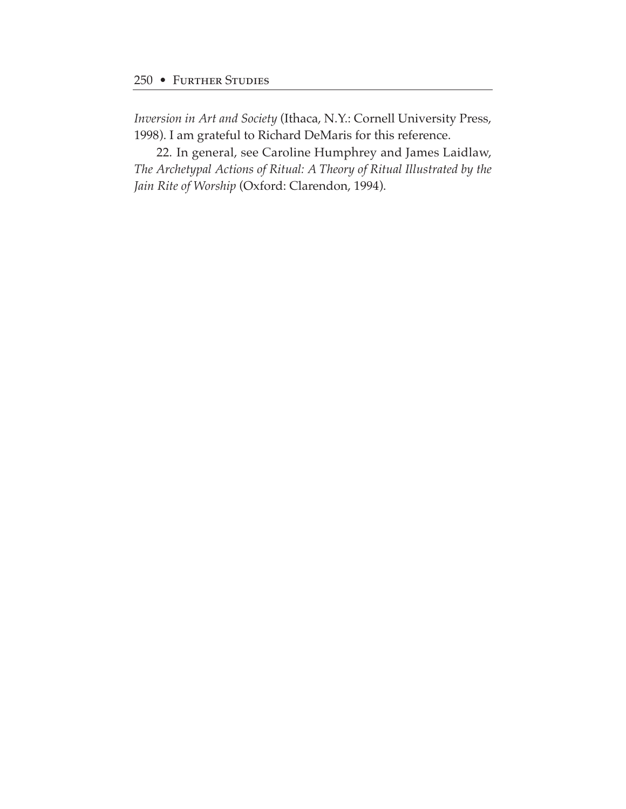*Inversion in Art and Society* (Ithaca, N.Y.: Cornell University Press, 1998). I am grateful to Richard DeMaris for this reference.

22. In general, see Caroline Humphrey and James Laidlaw, *The Archetypal Actions of Ritual: A Theory of Ritual Illustrated by the Jain Rite of Worship* (Oxford: Clarendon, 1994).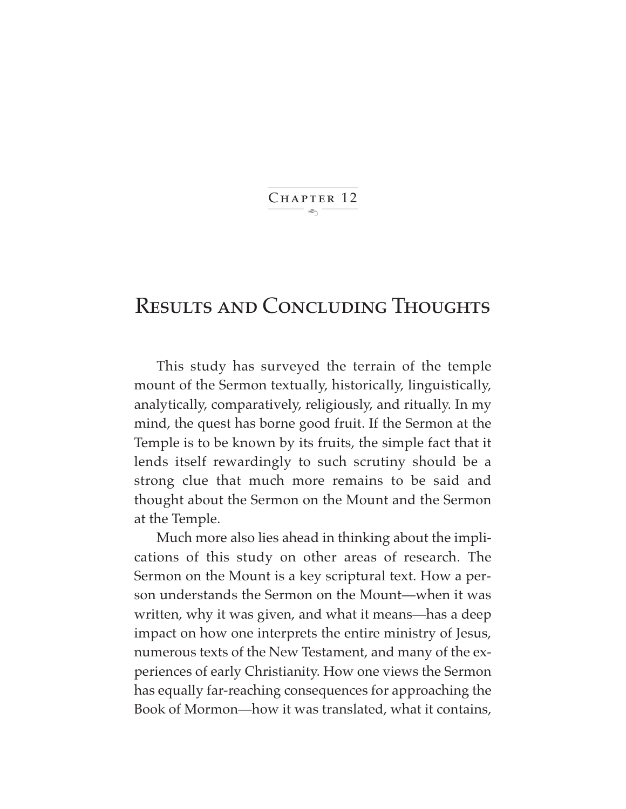$\ddot{\phantom{1}}$ CHAPTER 12

## Results and Concluding Thoughts

This study has surveyed the terrain of the temple mount of the Sermon textually, historically, linguistically, analytically, comparatively, religiously, and ritually. In my mind, the quest has borne good fruit. If the Sermon at the Temple is to be known by its fruits, the simple fact that it lends itself rewardingly to such scrutiny should be a strong clue that much more remains to be said and thought about the Sermon on the Mount and the Sermon at the Temple.

Much more also lies ahead in thinking about the implications of this study on other areas of research. The Sermon on the Mount is a key scriptural text. How a person understands the Sermon on the Mount—when it was written, why it was given, and what it means—has a deep impact on how one interprets the entire ministry of Jesus, numerous texts of the New Testament, and many of the experiences of early Christianity. How one views the Sermon has equally far-reaching consequences for approaching the Book of Mormon—how it was translated, what it contains,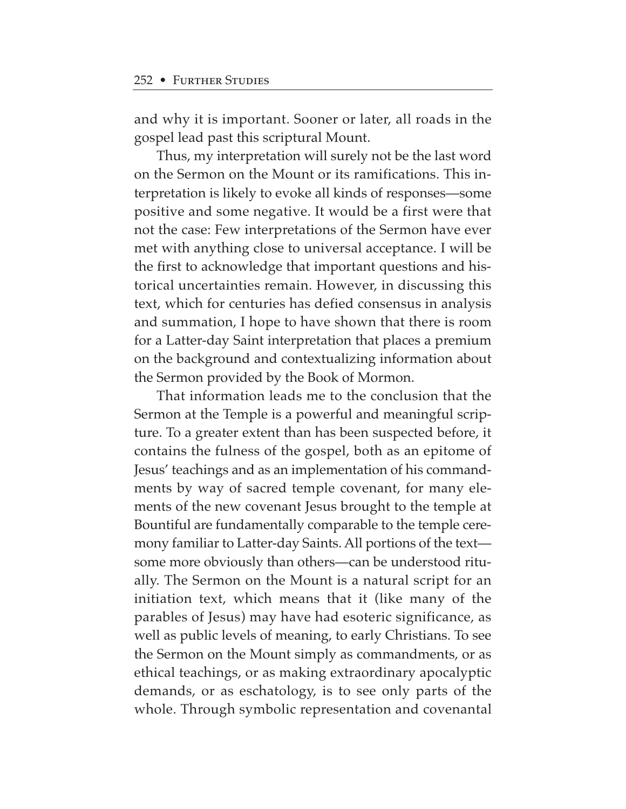and why it is important. Sooner or later, all roads in the gospel lead past this scriptural Mount.

Thus, my interpretation will surely not be the last word on the Sermon on the Mount or its ramifications. This interpretation is likely to evoke all kinds of responses—some positive and some negative. It would be a first were that not the case: Few interpretations of the Sermon have ever met with anything close to universal acceptance. I will be the first to acknowledge that important questions and historical uncertainties remain. However, in discussing this text, which for centuries has defied consensus in analysis and summation, I hope to have shown that there is room for a Latter-day Saint interpretation that places a premium on the background and contextualizing information about the Sermon provided by the Book of Mormon.

That information leads me to the conclusion that the Sermon at the Temple is a powerful and meaningful scripture. To a greater extent than has been suspected before, it contains the fulness of the gospel, both as an epitome of Jesus' teachings and as an implementation of his commandments by way of sacred temple covenant, for many elements of the new covenant Jesus brought to the temple at Bountiful are fundamentally comparable to the temple ceremony familiar to Latter-day Saints. All portions of the text some more obviously than others—can be understood ritually. The Sermon on the Mount is a natural script for an initiation text, which means that it (like many of the parables of Jesus) may have had esoteric significance, as well as public levels of meaning, to early Christians. To see the Sermon on the Mount simply as commandments, or as ethical teachings, or as making extraordinary apocalyptic demands, or as eschatology, is to see only parts of the whole. Through symbolic representation and covenantal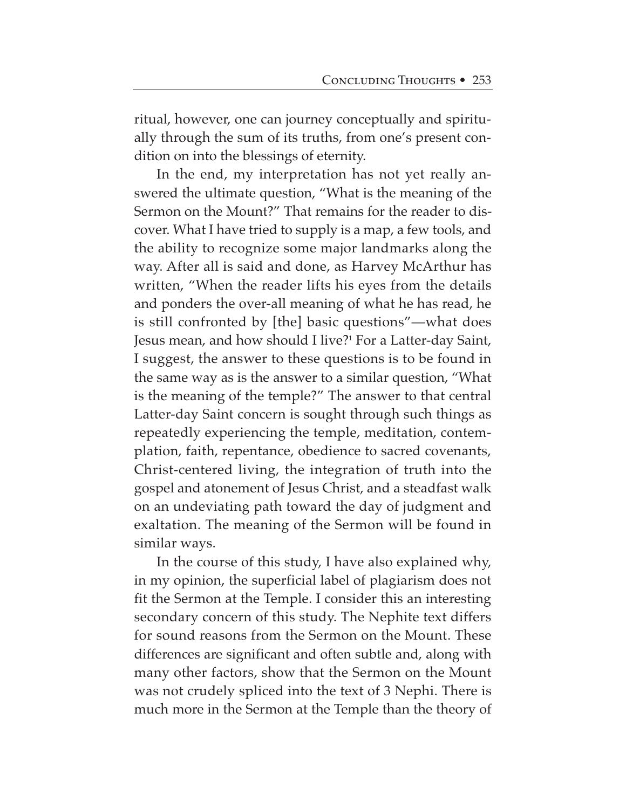ritual, however, one can journey conceptually and spiritually through the sum of its truths, from one's present condition on into the blessings of eternity.

In the end, my interpretation has not yet really answered the ultimate question, "What is the meaning of the Sermon on the Mount?" That remains for the reader to discover. What I have tried to supply is a map, a few tools, and the ability to recognize some major landmarks along the way. After all is said and done, as Harvey McArthur has written, "When the reader lifts his eyes from the details and ponders the over-all meaning of what he has read, he is still confronted by [the] basic questions"—what does Jesus mean, and how should I live?<sup>1</sup> For a Latter-day Saint, I suggest, the answer to these questions is to be found in the same way as is the answer to a similar question, "What is the meaning of the temple?" The answer to that central Latter-day Saint concern is sought through such things as repeatedly experiencing the temple, meditation, contemplation, faith, repentance, obedience to sacred covenants, Christ-centered living, the integration of truth into the gospel and atonement of Jesus Christ, and a steadfast walk on an undeviating path toward the day of judgment and exaltation. The meaning of the Sermon will be found in similar ways.

In the course of this study, I have also explained why, in my opinion, the superficial label of plagiarism does not fit the Sermon at the Temple. I consider this an interesting secondary concern of this study. The Nephite text differs for sound reasons from the Sermon on the Mount. These differences are significant and often subtle and, along with many other factors, show that the Sermon on the Mount was not crudely spliced into the text of 3 Nephi. There is much more in the Sermon at the Temple than the theory of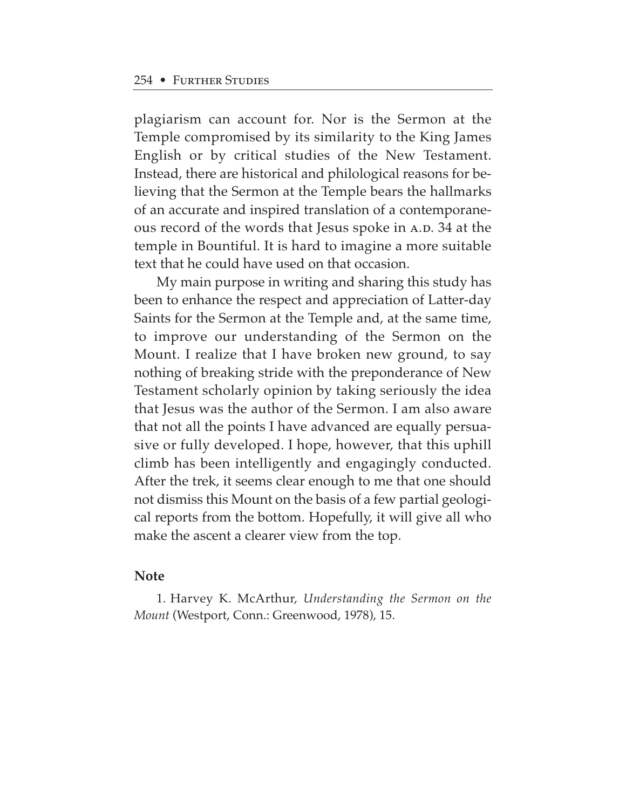plagiarism can account for. Nor is the Sermon at the Temple compromised by its similarity to the King James English or by critical studies of the New Testament. Instead, there are historical and philological reasons for believing that the Sermon at the Temple bears the hallmarks of an accurate and inspired translation of a contemporaneous record of the words that Jesus spoke in A.D. 34 at the temple in Bountiful. It is hard to imagine a more suitable text that he could have used on that occasion.

My main purpose in writing and sharing this study has been to enhance the respect and appreciation of Latter-day Saints for the Sermon at the Temple and, at the same time, to improve our understanding of the Sermon on the Mount. I realize that I have broken new ground, to say nothing of breaking stride with the preponderance of New Testament scholarly opinion by taking seriously the idea that Jesus was the author of the Sermon. I am also aware that not all the points I have advanced are equally persuasive or fully developed. I hope, however, that this uphill climb has been intelligently and engagingly conducted. After the trek, it seems clear enough to me that one should not dismiss this Mount on the basis of a few partial geological reports from the bottom. Hopefully, it will give all who make the ascent a clearer view from the top.

## **Note**

1. Harvey K. McArthur, *Understanding the Sermon on the Mount* (Westport, Conn.: Greenwood, 1978), 15.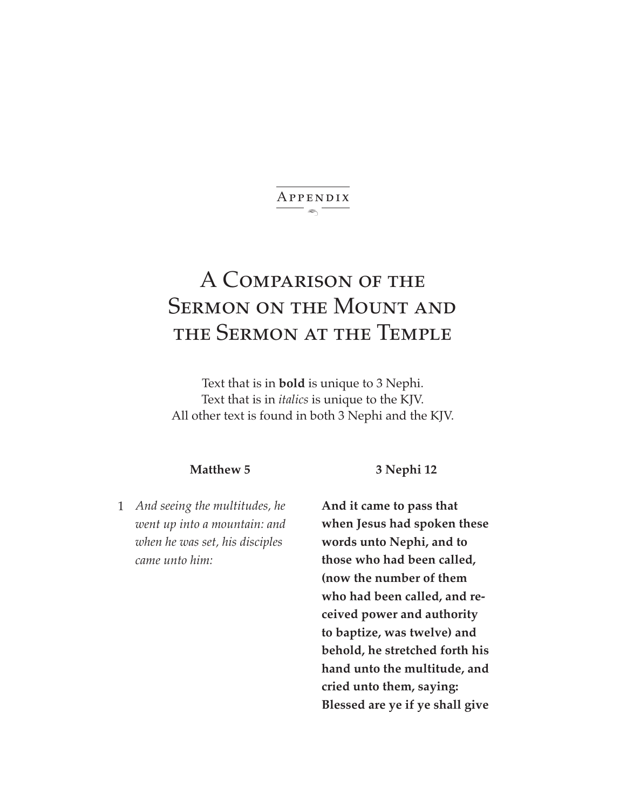#### $\leftarrow$   $\leftarrow$ Appendix

## A Comparison of the Sermon on the Mount and the Sermon at the Temple

Text that is in **bold** is unique to 3 Nephi. Text that is in *italics* is unique to the KJV. All other text is found in both 3 Nephi and the KJV.

#### **Matthew 5**

*And seeing the multitudes, he* 1 *went up into a mountain: and when he was set, his disciples came unto him:*

**3 Nephi 12**

**And it came to pass that when Jesus had spoken these words unto Nephi, and to those who had been called, (now the number of them who had been called, and received power and authority to baptize, was twelve) and behold, he stretched forth his hand unto the multitude, and cried unto them, saying: Blessed are ye if ye shall give**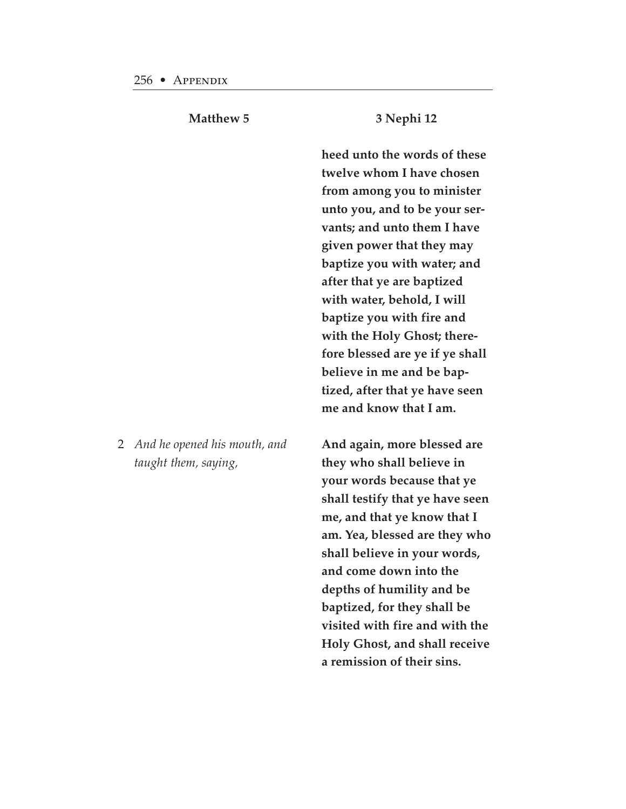2

**Matthew 5**

|                                                      | heed unto the words of these<br>twelve whom I have chosen<br>from among you to minister<br>unto you, and to be your ser-<br>vants; and unto them I have<br>given power that they may<br>baptize you with water; and<br>after that ye are baptized<br>with water, behold, I will<br>baptize you with fire and<br>with the Holy Ghost; there-<br>fore blessed are ye if ye shall<br>believe in me and be bap-<br>tized, after that ye have seen<br>me and know that I am. |
|------------------------------------------------------|-------------------------------------------------------------------------------------------------------------------------------------------------------------------------------------------------------------------------------------------------------------------------------------------------------------------------------------------------------------------------------------------------------------------------------------------------------------------------|
| And he opened his mouth, and<br>taught them, saying, | And again, more blessed are<br>they who shall believe in<br>your words because that ye<br>shall testify that ye have seen<br>me, and that ye know that I<br>am. Yea, blessed are they who<br>shall believe in your words,<br>and come down into the<br>depths of humility and be<br>baptized, for they shall be<br>visited with fire and with the<br>Holy Ghost, and shall receive<br>a remission of their sins.                                                        |

**3 Nephi 12**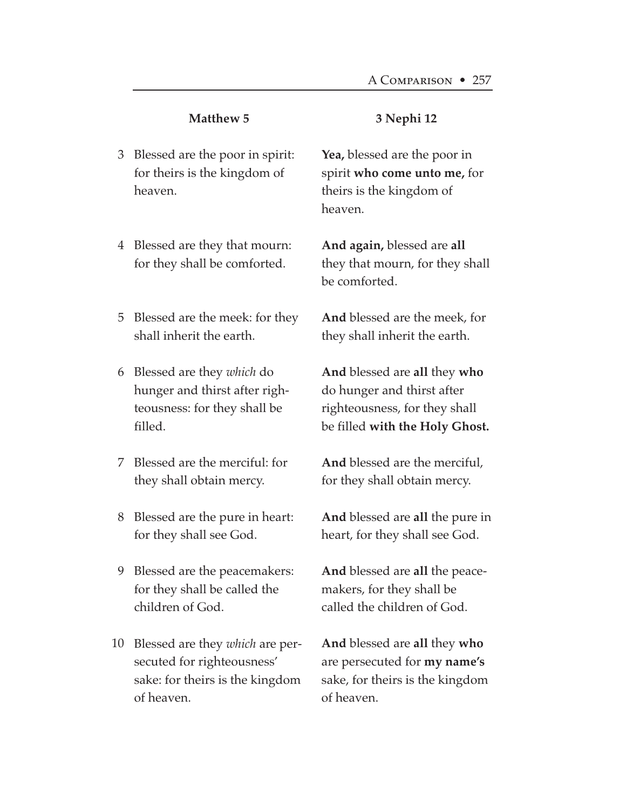#### **3 Nephi 12**

Blessed are the poor in spirit: 3 for theirs is the kingdom of heaven.

Blessed are they that mourn: 4 for they shall be comforted.

Blessed are the meek: for they 5 shall inherit the earth.

Blessed are they *which* do 6 hunger and thirst after righteousness: for they shall be filled.

Blessed are the merciful: for 7 they shall obtain mercy.

Blessed are the pure in heart: 8 for they shall see God.

Blessed are the peacemakers: 9 for they shall be called the children of God.

10 Blessed are they *which* are persecuted for righteousness' sake: for theirs is the kingdom of heaven.

**Yea,** blessed are the poor in spirit **who come unto me,** for theirs is the kingdom of heaven.

**And again,** blessed are **all** they that mourn, for they shall be comforted.

**And** blessed are the meek, for they shall inherit the earth.

**And** blessed are **all** they **who** do hunger and thirst after righteousness, for they shall be filled **with the Holy Ghost.**

**And** blessed are the merciful, for they shall obtain mercy.

**And** blessed are **all** the pure in heart, for they shall see God.

**And** blessed are **all** the peacemakers, for they shall be called the children of God.

**And** blessed are **all** they **who** are persecuted for **my name's** sake, for theirs is the kingdom of heaven.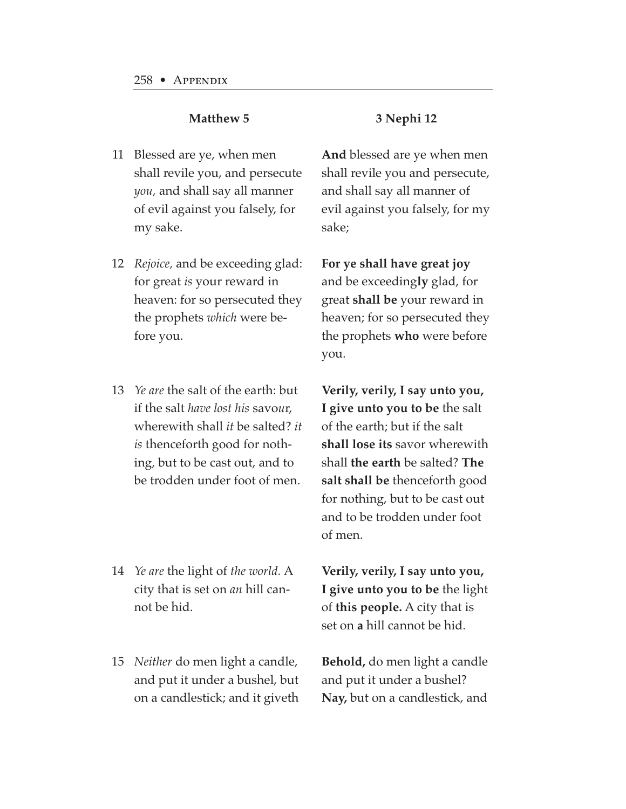- Blessed are ye, when men 11 shall revile you, and persecute *you,* and shall say all manner of evil against you falsely, for my sake.
- *Rejoice,* and be exceeding glad: 12 for great *is* your reward in heaven: for so persecuted they the prophets *which* were before you.
- *Ye are* the salt of the earth: but 13 if the salt *have lost his* savo*u*r, wherewith shall *it* be salted? *it is* thenceforth good for nothing, but to be cast out, and to be trodden under foot of men.
- *Ye are* the light of *the world.* A 14 city that is set on *an* hill cannot be hid.
- *Neither* do men light a candle, 15and put it under a bushel, but on a candlestick; and it giveth

#### **3 Nephi 12**

**And** blessed are ye when men shall revile you and persecute, and shall say all manner of evil against you falsely, for my sake;

**For ye shall have great joy** and be exceeding**ly** glad, for great **shall be** your reward in heaven; for so persecuted they the prophets **who** were before you.

**Verily, verily, I say unto you, I give unto you to be** the salt of the earth; but if the salt **shall lose its** savor wherewith shall **the earth** be salted? **The salt shall be** thenceforth good for nothing, but to be cast out and to be trodden under foot of men.

**Verily, verily, I say unto you, I give unto you to be** the light of **this people.** A city that is set on **a** hill cannot be hid.

**Behold,** do men light a candle and put it under a bushel? **Nay,** but on a candlestick, and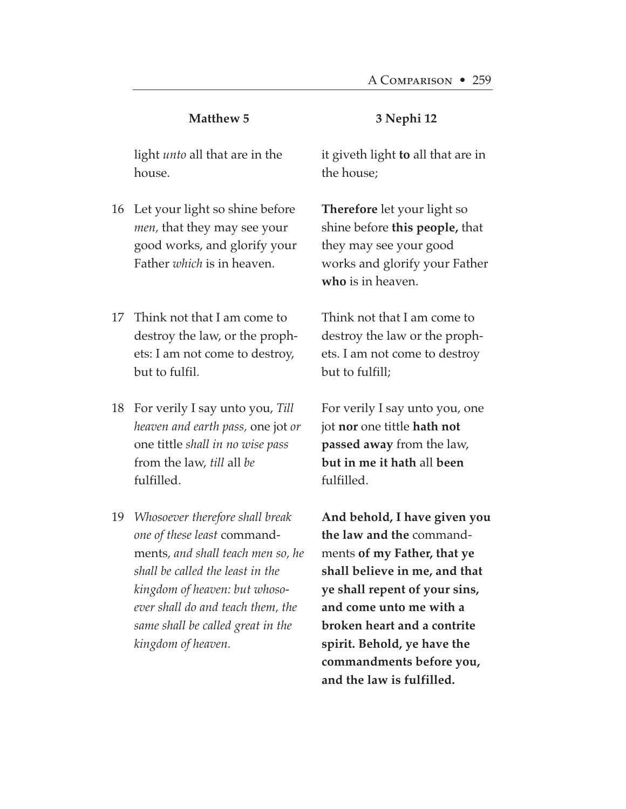#### **3 Nephi 12**

light *unto* all that are in the house.

- Let your light so shine before 16 *men,* that they may see your good works, and glorify your Father *which* is in heaven.
- 17 Think not that I am come to destroy the law, or the prophets: I am not come to destroy, but to fulfil.
- For verily I say unto you, *Till* 18 *heaven and earth pass,* one jot *or* one tittle *shall in no wise pass* from the law, *till* all *be* fulfilled.
- *Whosoever therefore shall break* 19*one of these least* commandments*, and shall teach men so, he shall be called the least in the kingdom of heaven: but whosoever shall do and teach them, the same shall be called great in the kingdom of heaven.*

it giveth light **to** all that are in the house;

**Therefore** let your light so shine before **this people,** that they may see your good works and glorify your Father **who** is in heaven.

Think not that I am come to destroy the law or the prophets. I am not come to destroy but to fulfill;

For verily I say unto you, one jot **nor** one tittle **hath not passed away** from the law, **but in me it hath** all **been** fulfilled.

**And behold, I have given you the law and the** commandments **of my Father, that ye shall believe in me, and that ye shall repent of your sins, and come unto me with a broken heart and a contrite spirit. Behold, ye have the commandments before you, and the law is fulfilled.**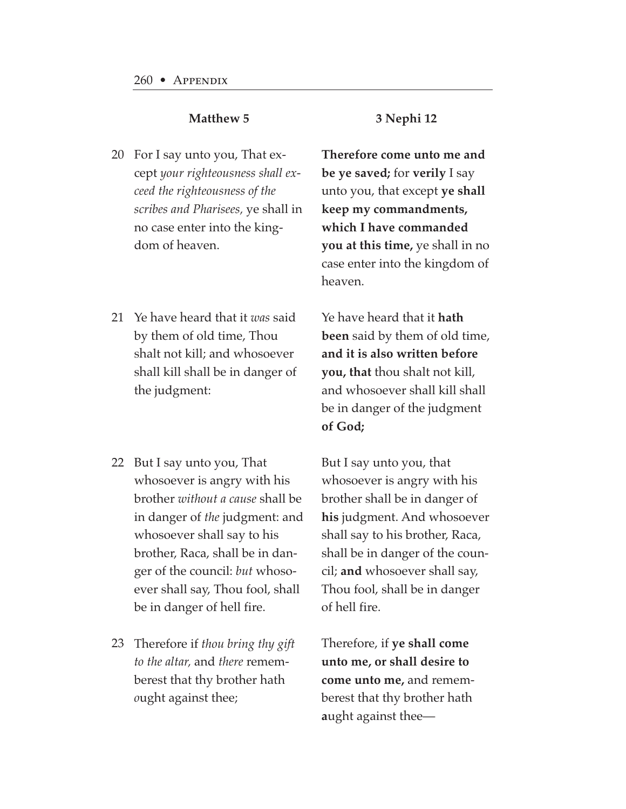- For I say unto you, That ex-20 cept *your righteousness shall exceed the righteousness of the scribes and Pharisees,* ye shall in no case enter into the kingdom of heaven.
- 21 Ye have heard that it *was* said by them of old time, Thou shalt not kill; and whosoever shall kill shall be in danger of the judgment:
- 22 But I say unto you, That whosoever is angry with his brother *without a cause* shall be in danger of *the* judgment: and whosoever shall say to his brother, Raca, shall be in danger of the council: *but* whosoever shall say, Thou fool, shall be in danger of hell fire.
- Therefore if *thou bring thy gift* 23*to the altar,* and *there* rememberest that thy brother hath *o*ught against thee;

#### **3 Nephi 12**

**Therefore come unto me and be ye saved;** for **verily** I say unto you, that except **ye shall keep my commandments, which I have commanded you at this time,** ye shall in no case enter into the kingdom of heaven.

Ye have heard that it **hath been** said by them of old time, **and it is also written before you, that** thou shalt not kill, and whosoever shall kill shall be in danger of the judgment **of God;**

But I say unto you, that whosoever is angry with his brother shall be in danger of **his** judgment. And whosoever shall say to his brother, Raca, shall be in danger of the council; **and** whosoever shall say, Thou fool, shall be in danger of hell fire.

Therefore, if **ye shall come unto me, or shall desire to come unto me,** and rememberest that thy brother hath **a**ught against thee—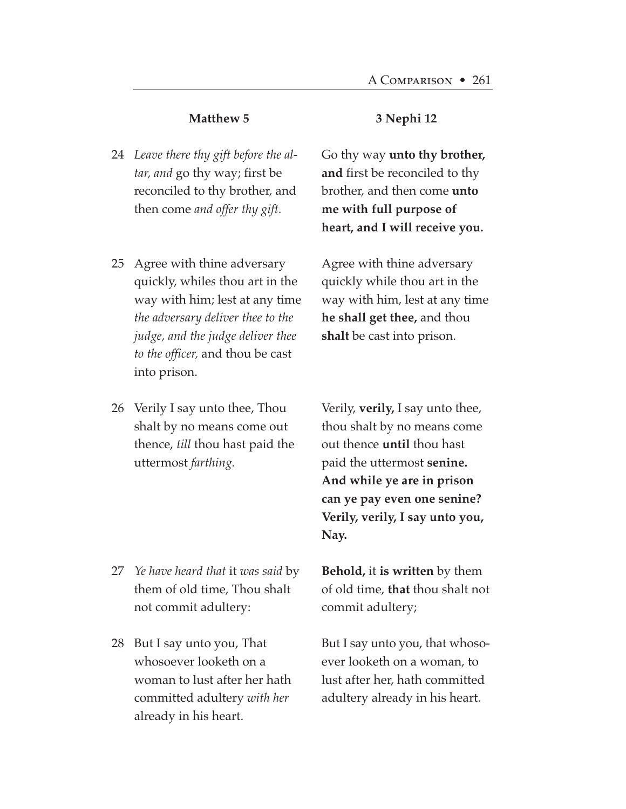- *Leave there thy gift before the al-*24 *tar, and* go thy way; first be reconciled to thy brother, and then come *and offer thy gift.*
- 25 Agree with thine adversary quickly, while*s* thou art in the way with him; lest at any time *the adversary deliver thee to the judge, and the judge deliver thee to the officer,* and thou be cast into prison.
- 26 Verily I say unto thee*,* Thou shalt by no means come out thence, *till* thou hast paid the uttermost *farthing.*

- *Ye have heard that* it *was said* by 27 them of old time, Thou shalt not commit adultery:
- 28 But I say unto you, That whosoever looketh on a woman to lust after her hath committed adultery *with her* already in his heart.

#### **3 Nephi 12**

Go thy way **unto thy brother, and** first be reconciled to thy brother, and then come **unto me with full purpose of heart, and I will receive you.**

Agree with thine adversary quickly while thou art in the way with him, lest at any time **he shall get thee,** and thou **shalt** be cast into prison.

Verily, **verily,** I say unto thee, thou shalt by no means come out thence **until** thou hast paid the uttermost **senine. And while ye are in prison can ye pay even one senine? Verily, verily, I say unto you, Nay.**

**Behold,** it **is written** by them of old time, **that** thou shalt not commit adultery;

But I say unto you, that whosoever looketh on a woman, to lust after her, hath committed adultery already in his heart.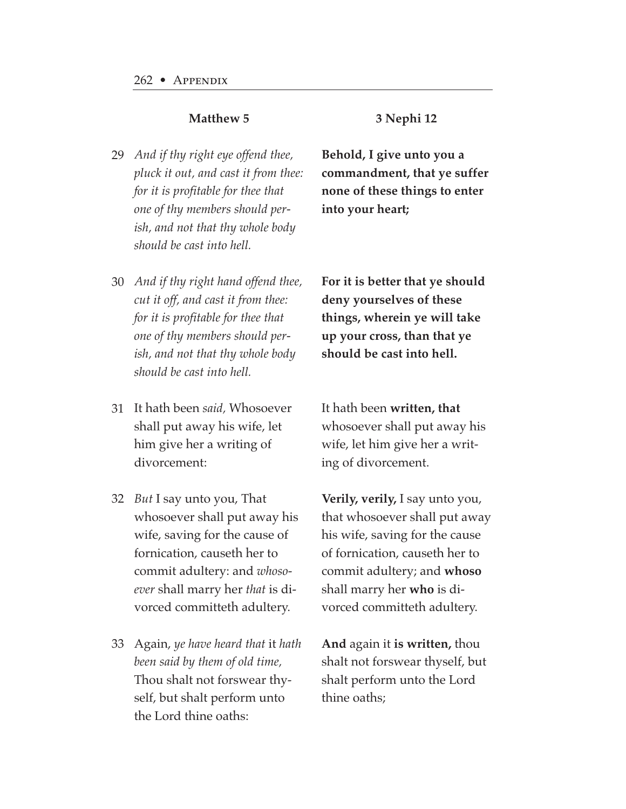- **3 Nephi 12**
- *And if thy right eye offend thee,* 29 *pluck it out, and cast it from thee: for it is profitable for thee that one of thy members should perish, and not that thy whole body should be cast into hell.*

**Behold, I give unto you a commandment, that ye suffer none of these things to enter into your heart;**

- *And if thy right hand offend thee,* 30 *cut it off, and cast it from thee: for it is profitable for thee that one of thy members should perish, and not that thy whole body should be cast into hell.*
- It hath been *said,* Whosoever 31 shall put away his wife, let him give her a writing of divorcement:
- *But* I say unto you, That 32 whosoever shall put away his wife, saving for the cause of fornication, causeth her to commit adultery: and *whosoever* shall marry her *that* is divorced committeth adultery.
- Again, *ye have heard that* it *hath* 33*been said by them of old time,* Thou shalt not forswear thyself, but shalt perform unto the Lord thine oaths:

**For it is better that ye should deny yourselves of these things, wherein ye will take up your cross, than that ye should be cast into hell.**

It hath been **written, that** whosoever shall put away his wife, let him give her a writing of divorcement.

**Verily, verily,** I say unto you, that whosoever shall put away his wife, saving for the cause of fornication, causeth her to commit adultery; and **whoso** shall marry her **who** is divorced committeth adultery.

**And** again it **is written,** thou shalt not forswear thyself, but shalt perform unto the Lord thine oaths;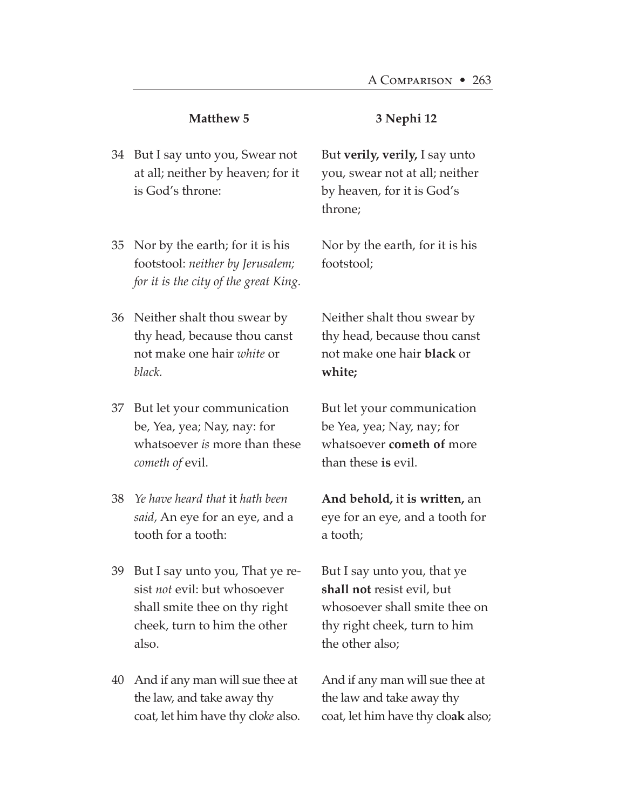| 34 But I say unto you, Swear not  |
|-----------------------------------|
| at all; neither by heaven; for it |
| is God's throne:                  |
|                                   |

- Nor by the earth; for it is his 35 footstool: *neither by Jerusalem; for it is the city of the great King.*
- Neither shalt thou swear by 36 thy head, because thou canst not make one hair *white* or *black.*
- But let your communication 37 be, Yea, yea; Nay, nay: for whatsoever *is* more than these *cometh of* evil.
- *Ye have heard that* it *hath been* 38 *said,* An eye for an eye, and a tooth for a tooth:
- But I say unto you, That ye re-39 sist *not* evil: but whosoever shall smite thee on thy right cheek, turn to him the other also.
- And if any man will sue thee at 40the law, and take away thy coat, let him have thy clo*ke* also.

But **verily, verily,** I say unto you, swear not at all; neither by heaven, for it is God's throne;

**3 Nephi 12**

Nor by the earth, for it is his footstool;

Neither shalt thou swear by thy head, because thou canst not make one hair **black** or **white;**

But let your communication be Yea, yea; Nay, nay; for whatsoever **cometh of** more than these **is** evil.

**And behold,** it **is written,** an eye for an eye, and a tooth for a tooth;

But I say unto you, that ye **shall not** resist evil, but whosoever shall smite thee on thy right cheek, turn to him the other also;

And if any man will sue thee at the law and take away thy coat, let him have thy clo**ak** also;

## **Matthew 5**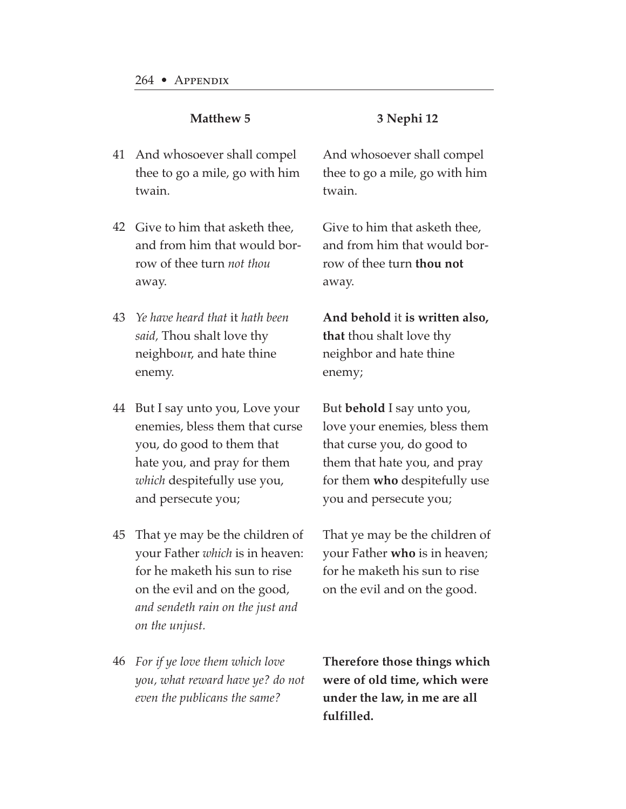#### **3 Nephi 12**

- And whosoever shall compel 41 thee to go a mile, go with him twain.
- Give to him that asketh thee, 42 and from him that would borrow of thee turn *not thou* away.
- *Ye have heard that* it *hath been* 43 *said,* Thou shalt love thy neighbo*u*r, and hate thine enemy.
- But I say unto you, Love your 44 enemies, bless them that curse you, do good to them that hate you, and pray for them *which* despitefully use you, and persecute you;
- That ye may be the children of 45 your Father *which* is in heaven: for he maketh his sun to rise on the evil and on the good, *and sendeth rain on the just and on the unjust.*
- *For if ye love them which love* 46*you, what reward have ye? do not even the publicans the same?*

And whosoever shall compel thee to go a mile, go with him twain.

Give to him that asketh thee, and from him that would borrow of thee turn **thou not** away.

**And behold** it **is written also, that** thou shalt love thy neighbor and hate thine enemy;

But **behold** I say unto you, love your enemies, bless them that curse you, do good to them that hate you, and pray for them **who** despitefully use you and persecute you;

That ye may be the children of your Father **who** is in heaven; for he maketh his sun to rise on the evil and on the good.

**Therefore those things which were of old time, which were under the law, in me are all fulfilled.**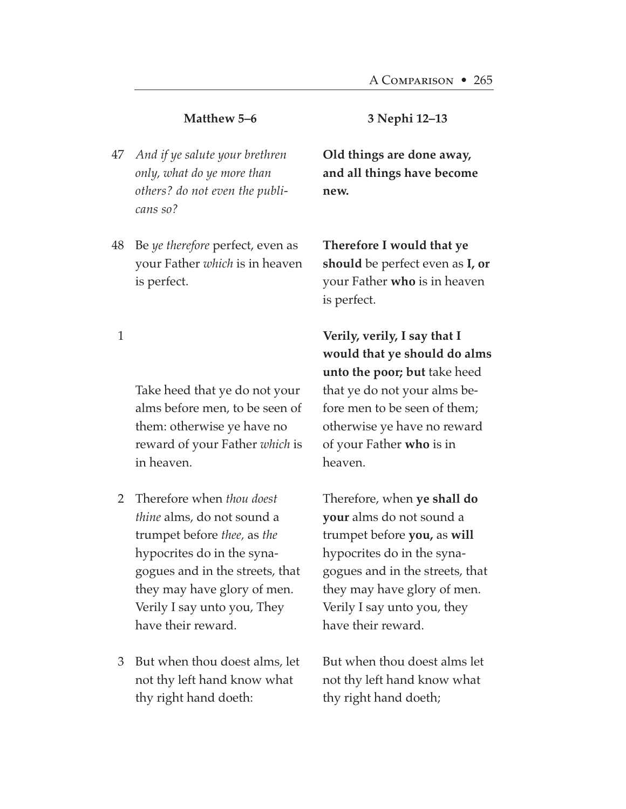#### **Matthew 5–6**

- *And if ye salute your brethren* 47 *only, what do ye more than others? do not even the publicans so?*
- Be *ye therefore* perfect, even as your Father *which* is in heaven is perfect. 48

#### **3 Nephi 12–13**

**Old things are done away, and all things have become new.**

**Therefore I would that ye should** be perfect even as **I, or** your Father **who** is in heaven is perfect.

1

Take heed that ye do not your alms before men, to be seen of them: otherwise ye have no reward of your Father *which* is in heaven.

- Therefore when *thou doest* 2 *thine* alms, do not sound a trumpet before *thee,* as *the* hypocrites do in the synagogues and in the streets, that they may have glory of men. Verily I say unto you, They have their reward.
- But when thou doest alms, let 3not thy left hand know what thy right hand doeth:

**Verily, verily, I say that I would that ye should do alms unto the poor; but** take heed that ye do not your alms before men to be seen of them; otherwise ye have no reward of your Father **who** is in heaven.

Therefore, when **ye shall do your** alms do not sound a trumpet before **you,** as **will** hypocrites do in the synagogues and in the streets, that they may have glory of men. Verily I say unto you, they have their reward.

But when thou doest alms let not thy left hand know what thy right hand doeth;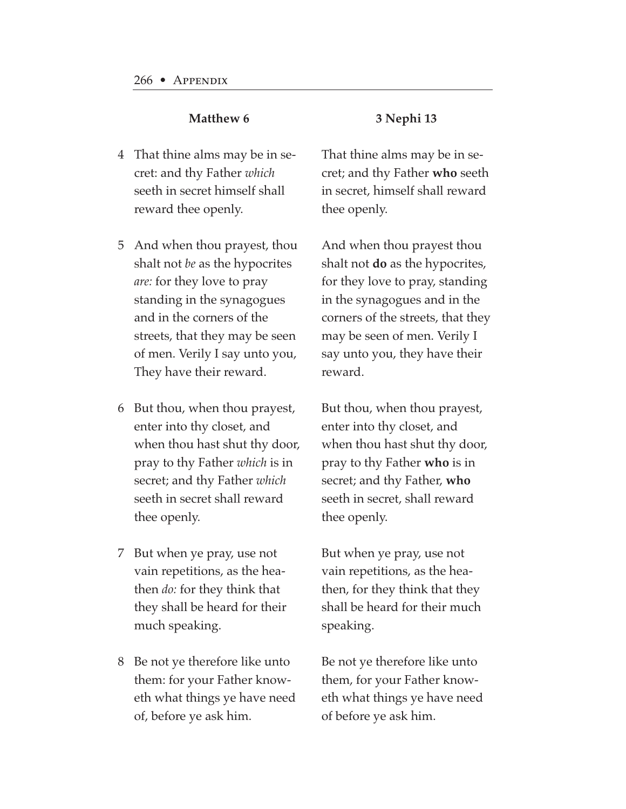- That thine alms may be in se-4 cret: and thy Father *which* seeth in secret himself shall reward thee openly.
- And when thou prayest, thou 5 shalt not *be* as the hypocrites *are:* for they love to pray standing in the synagogues and in the corners of the streets, that they may be seen of men. Verily I say unto you, They have their reward.
- But thou, when thou prayest, 6 enter into thy closet, and when thou hast shut thy door, pray to thy Father *which* is in secret; and thy Father *which* seeth in secret shall reward thee openly.
- But when ye pray, use not 7 vain repetitions, as the heathen *do:* for they think that they shall be heard for their much speaking.
- Be not ye therefore like unto 8them: for your Father knoweth what things ye have need of, before ye ask him.

#### **3 Nephi 13**

That thine alms may be in secret; and thy Father **who** seeth in secret, himself shall reward thee openly.

And when thou prayest thou shalt not **do** as the hypocrites, for they love to pray, standing in the synagogues and in the corners of the streets, that they may be seen of men. Verily I say unto you, they have their reward.

But thou, when thou prayest, enter into thy closet, and when thou hast shut thy door, pray to thy Father **who** is in secret; and thy Father, **who** seeth in secret, shall reward thee openly.

But when ye pray, use not vain repetitions, as the heathen, for they think that they shall be heard for their much speaking.

Be not ye therefore like unto them, for your Father knoweth what things ye have need of before ye ask him.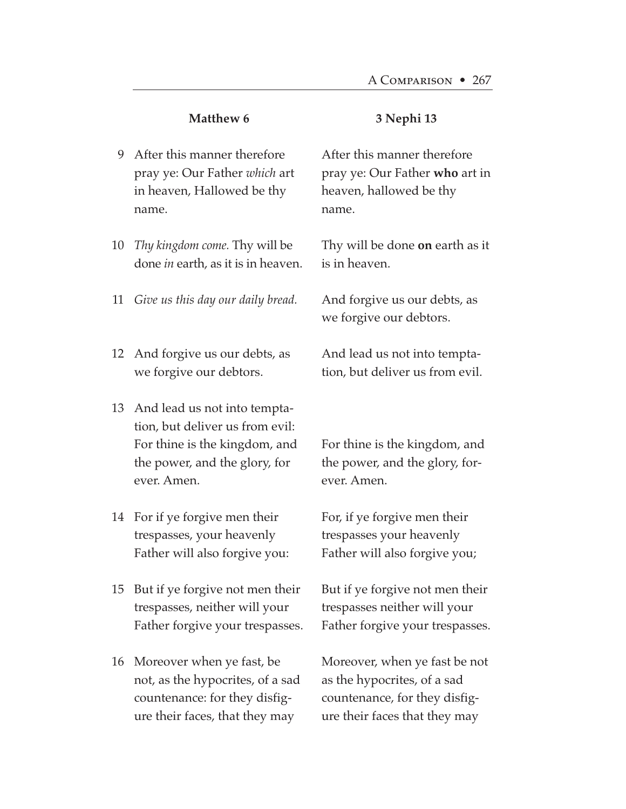#### **3 Nephi 13**

- After this manner therefore 9 pray ye: Our Father *which* art in heaven, Hallowed be thy name.
- *Thy kingdom come.* Thy will be 10 done *in* earth, as it is in heaven.
- *Give us this day our daily bread.* 11
- 12 And forgive us our debts, as we forgive our debtors.
- 13 And lead us not into temptation, but deliver us from evil: For thine is the kingdom, and the power, and the glory, for ever. Amen.
- For if ye forgive men their 14 trespasses, your heavenly Father will also forgive you:
- 15 But if ye forgive not men their trespasses, neither will your Father forgive your trespasses.
- Moreover when ye fast, be 16not, as the hypocrites, of a sad countenance: for they disfigure their faces, that they may

After this manner therefore pray ye: Our Father **who** art in heaven, hallowed be thy name.

Thy will be done **on** earth as it is in heaven.

And forgive us our debts, as we forgive our debtors.

And lead us not into temptation, but deliver us from evil.

For thine is the kingdom, and the power, and the glory, forever. Amen.

For, if ye forgive men their trespasses your heavenly Father will also forgive you;

But if ye forgive not men their trespasses neither will your Father forgive your trespasses.

Moreover, when ye fast be not as the hypocrites, of a sad countenance, for they disfigure their faces that they may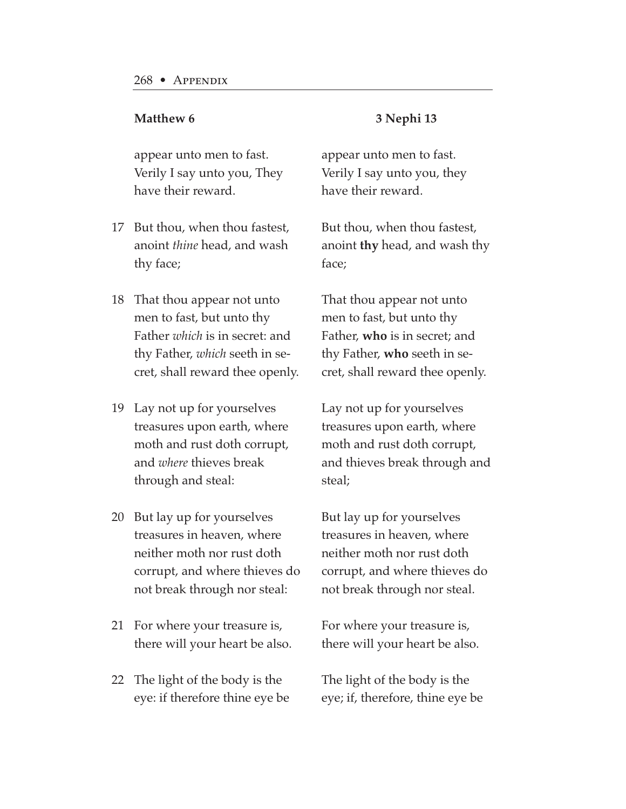appear unto men to fast. Verily I say unto you, They have their reward.

- 17 But thou, when thou fastest, anoint *thine* head, and wash thy face;
- That thou appear not unto 18 men to fast, but unto thy Father *which* is in secret: and thy Father, *which* seeth in secret, shall reward thee openly.
- Lay not up for yourselves 19 treasures upon earth, where moth and rust doth corrupt, and *where* thieves break through and steal:
- 20 But lay up for yourselves treasures in heaven, where neither moth nor rust doth corrupt, and where thieves do not break through nor steal:
- 21 For where your treasure is, there will your heart be also.
- The light of the body is the 22eye: if therefore thine eye be

#### **3 Nephi 13**

appear unto men to fast. Verily I say unto you, they have their reward.

But thou, when thou fastest, anoint **thy** head, and wash thy face;

That thou appear not unto men to fast, but unto thy Father, **who** is in secret; and thy Father, **who** seeth in secret, shall reward thee openly.

Lay not up for yourselves treasures upon earth, where moth and rust doth corrupt, and thieves break through and steal;

But lay up for yourselves treasures in heaven, where neither moth nor rust doth corrupt, and where thieves do not break through nor steal.

For where your treasure is, there will your heart be also.

The light of the body is the eye; if, therefore, thine eye be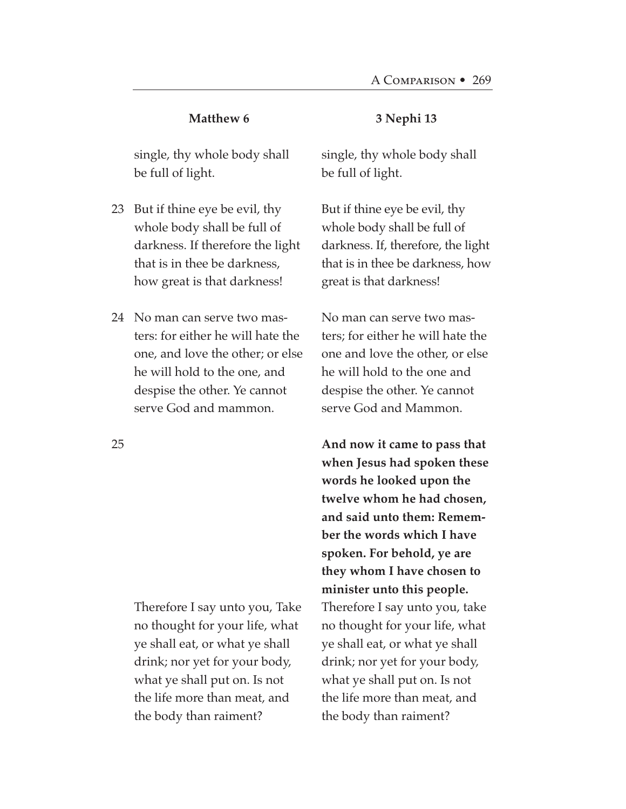single, thy whole body shall be full of light.

- 23 But if thine eye be evil, thy whole body shall be full of darkness. If therefore the light that is in thee be darkness, how great is that darkness!
- No man can serve two mas-24 ters: for either he will hate the one, and love the other; or else he will hold to the one, and despise the other. Ye cannot serve God and mammon.

Therefore I say unto you, Take no thought for your life, what ye shall eat, or what ye shall drink; nor yet for your body, what ye shall put on. Is not the life more than meat, and the body than raiment?

#### **3 Nephi 13**

single, thy whole body shall be full of light.

But if thine eye be evil, thy whole body shall be full of darkness. If, therefore, the light that is in thee be darkness, how great is that darkness!

No man can serve two masters; for either he will hate the one and love the other, or else he will hold to the one and despise the other. Ye cannot serve God and Mammon.

**And now it came to pass that when Jesus had spoken these words he looked upon the twelve whom he had chosen, and said unto them: Remember the words which I have spoken. For behold, ye are they whom I have chosen to minister unto this people.** Therefore I say unto you, take no thought for your life, what ye shall eat, or what ye shall drink; nor yet for your body, what ye shall put on. Is not the life more than meat, and the body than raiment?

25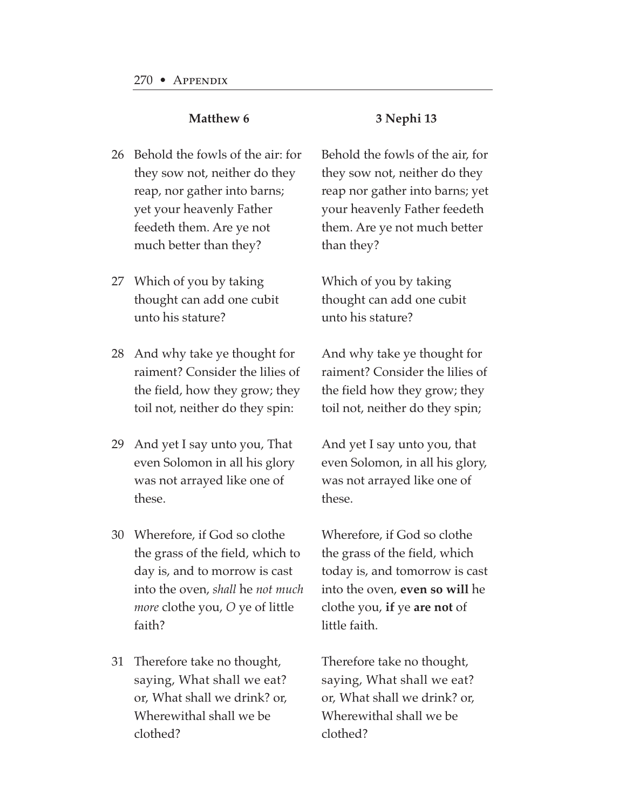- 26 Behold the fowls of the air: for they sow not, neither do they reap, nor gather into barns; yet your heavenly Father feedeth them. Are ye not much better than they?
- Which of you by taking 27 thought can add one cubit unto his stature?
- 28  $\,$  And why take ye thought for raiment? Consider the lilies of the field, how they grow; they toil not, neither do they spin:
- And yet I say unto you, That 29 even Solomon in all his glory was not arrayed like one of these.
- Wherefore, if God so clothe 30 the grass of the field, which to day is, and to morrow is cast into the oven, *shall* he *not much more* clothe you, *O* ye of little faith?
- Therefore take no thought, 31saying, What shall we eat? or, What shall we drink? or, Wherewithal shall we be clothed?

Behold the fowls of the air, for they sow not, neither do they reap nor gather into barns; yet your heavenly Father feedeth them. Are ye not much better than they?

Which of you by taking thought can add one cubit unto his stature?

And why take ye thought for raiment? Consider the lilies of the field how they grow; they toil not, neither do they spin;

And yet I say unto you, that even Solomon, in all his glory, was not arrayed like one of these.

Wherefore, if God so clothe the grass of the field, which today is, and tomorrow is cast into the oven, **even so will** he clothe you, **if** ye **are not** of little faith.

Therefore take no thought, saying, What shall we eat? or, What shall we drink? or, Wherewithal shall we be clothed?

## **3 Nephi 13**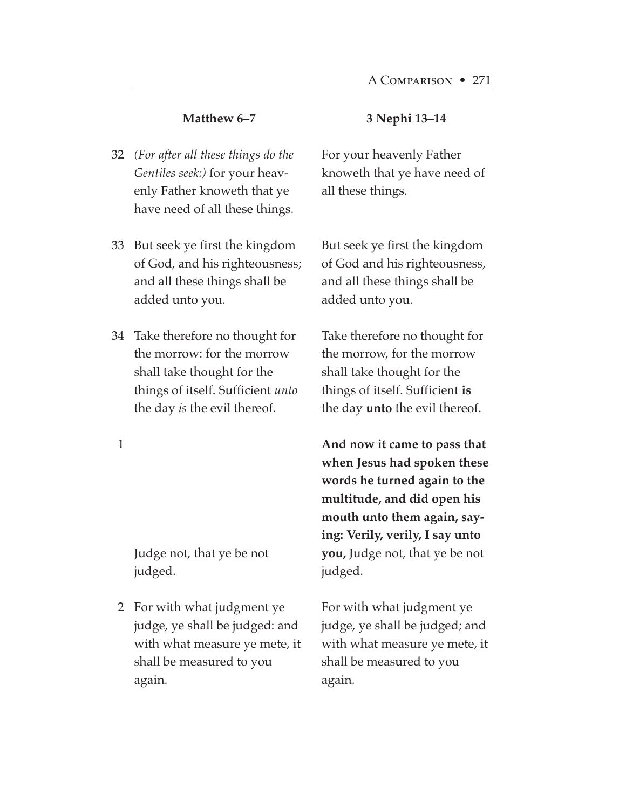#### **Matthew 6–7**

- *(For after all these things do the* 32 *Gentiles seek:)* for your heavenly Father knoweth that ye have need of all these things.
- But seek ye first the kingdom 33 of God, and his righteousness; and all these things shall be added unto you.
- Take therefore no thought for 34 the morrow: for the morrow shall take thought for the things of itself. Sufficient *unto* the day *is* the evil thereof.

1

Judge not, that ye be not judged.

For with what judgment ye 2judge, ye shall be judged: and with what measure ye mete, it shall be measured to you again.

#### **3 Nephi 13–14**

For your heavenly Father knoweth that ye have need of all these things.

But seek ye first the kingdom of God and his righteousness, and all these things shall be added unto you.

Take therefore no thought for the morrow, for the morrow shall take thought for the things of itself. Sufficient **is** the day **unto** the evil thereof.

**And now it came to pass that when Jesus had spoken these words he turned again to the multitude, and did open his mouth unto them again, saying: Verily, verily, I say unto you,** Judge not, that ye be not judged.

For with what judgment ye judge, ye shall be judged; and with what measure ye mete, it shall be measured to you again.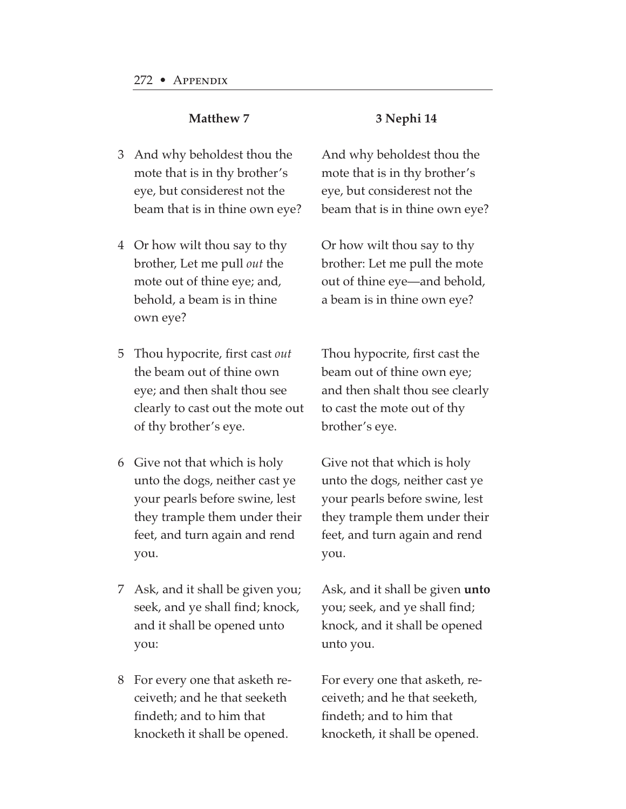#### **3 Nephi 14**

- And why beholdest thou the 3 mote that is in thy brother's eye, but considerest not the beam that is in thine own eye?
- Or how wilt thou say to thy 4 brother, Let me pull *out* the mote out of thine eye; and, behold, a beam is in thine own eye?
- Thou hypocrite, first cast *out* 5 the beam out of thine own eye; and then shalt thou see clearly to cast out the mote out of thy brother's eye.
- Give not that which is holy 6 unto the dogs, neither cast ye your pearls before swine, lest they trample them under their feet, and turn again and rend you.
- Ask, and it shall be given you; 7 seek, and ye shall find; knock, and it shall be opened unto you:
- For every one that asketh re-8ceiveth; and he that seeketh findeth; and to him that knocketh it shall be opened.

And why beholdest thou the mote that is in thy brother's eye, but considerest not the beam that is in thine own eye?

Or how wilt thou say to thy brother: Let me pull the mote out of thine eye—and behold, a beam is in thine own eye?

Thou hypocrite, first cast the beam out of thine own eye; and then shalt thou see clearly to cast the mote out of thy brother's eye.

Give not that which is holy unto the dogs, neither cast ye your pearls before swine, lest they trample them under their feet, and turn again and rend you.

Ask, and it shall be given **unto** you; seek, and ye shall find; knock, and it shall be opened unto you.

For every one that asketh, receiveth; and he that seeketh, findeth; and to him that knocketh, it shall be opened.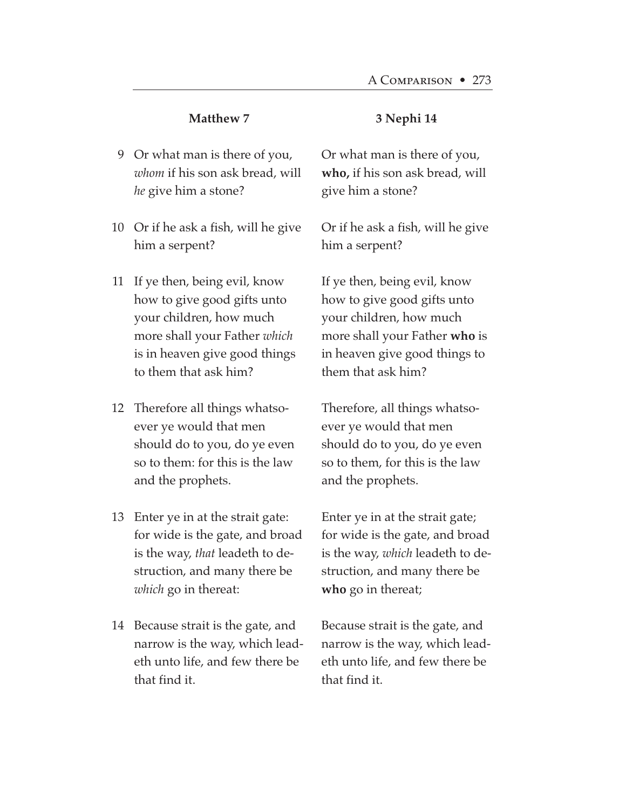- Or what man is there of you, 9 *whom* if his son ask bread, will *he* give him a stone?
- 10  $\,$  Or if he ask a fish, will he give him a serpent?
- If ye then, being evil, know 11 how to give good gifts unto your children, how much more shall your Father *which* is in heaven give good things to them that ask him?
- Therefore all things whatso-12 ever ye would that men should do to you, do ye even so to them: for this is the law and the prophets.
- Enter ye in at the strait gate: 13 for wide is the gate, and broad is the way, *that* leadeth to destruction, and many there be *which* go in thereat:
- 14 Because strait is the gate, and narrow is the way, which leadeth unto life, and few there be that find it.

#### **3 Nephi 14**

Or what man is there of you, **who,** if his son ask bread, will give him a stone?

Or if he ask a fish, will he give him a serpent?

If ye then, being evil, know how to give good gifts unto your children, how much more shall your Father **who** is in heaven give good things to them that ask him?

Therefore, all things whatsoever ye would that men should do to you, do ye even so to them, for this is the law and the prophets.

Enter ye in at the strait gate; for wide is the gate, and broad is the way, *which* leadeth to destruction, and many there be **who** go in thereat;

Because strait is the gate, and narrow is the way, which leadeth unto life, and few there be that find it.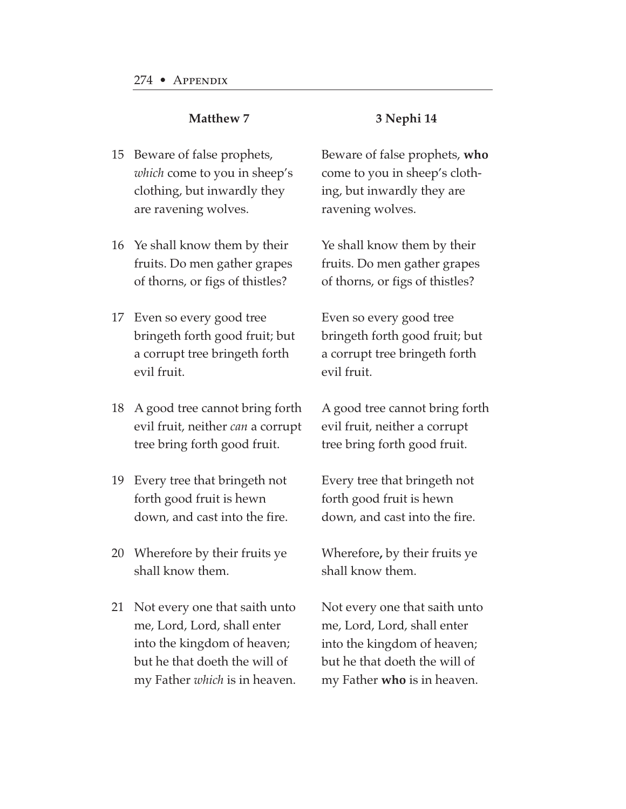#### **3 Nephi 14**

- 15 Beware of false prophets, *which* come to you in sheep's clothing, but inwardly they are ravening wolves.
- 16 Ye shall know them by their fruits. Do men gather grapes of thorns, or figs of thistles?
- Even so every good tree 17 bringeth forth good fruit; but a corrupt tree bringeth forth evil fruit.
- A good tree cannot bring forth 18 evil fruit, neither *can* a corrupt tree bring forth good fruit.
- Every tree that bringeth not 19 forth good fruit is hewn down, and cast into the fire.
- Wherefore by their fruits ye 20 shall know them.
- Not every one that saith unto 21me, Lord, Lord, shall enter into the kingdom of heaven; but he that doeth the will of my Father *which* is in heaven.

Beware of false prophets, **who** come to you in sheep's clothing, but inwardly they are ravening wolves.

Ye shall know them by their fruits. Do men gather grapes of thorns, or figs of thistles?

Even so every good tree bringeth forth good fruit; but a corrupt tree bringeth forth evil fruit.

A good tree cannot bring forth evil fruit, neither a corrupt tree bring forth good fruit.

Every tree that bringeth not forth good fruit is hewn down, and cast into the fire.

Wherefore**,** by their fruits ye shall know them.

Not every one that saith unto me, Lord, Lord, shall enter into the kingdom of heaven; but he that doeth the will of my Father **who** is in heaven.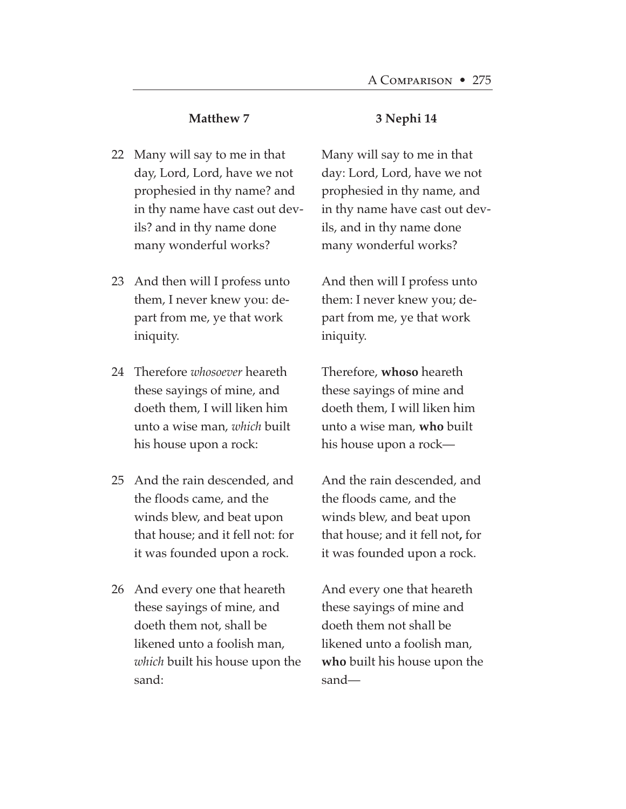- Many will say to me in that 22 day, Lord, Lord, have we not prophesied in thy name? and in thy name have cast out devils? and in thy name done many wonderful works?
- 23 And then will I profess unto them, I never knew you: depart from me, ye that work iniquity.
- Therefore *whosoever* heareth 24 these sayings of mine, and doeth them, I will liken him unto a wise man, *which* built his house upon a rock:
- 25 And the rain descended, and the floods came, and the winds blew, and beat upon that house; and it fell not: for it was founded upon a rock.
- 26  $\,$  And every one that heareth these sayings of mine, and doeth them not, shall be likened unto a foolish man, *which* built his house upon the sand:

#### **3 Nephi 14**

Many will say to me in that day: Lord, Lord, have we not prophesied in thy name, and in thy name have cast out devils, and in thy name done many wonderful works?

And then will I profess unto them: I never knew you; depart from me, ye that work iniquity.

Therefore, **whoso** heareth these sayings of mine and doeth them, I will liken him unto a wise man, **who** built his house upon a rock—

And the rain descended, and the floods came, and the winds blew, and beat upon that house; and it fell not**,** for it was founded upon a rock.

And every one that heareth these sayings of mine and doeth them not shall be likened unto a foolish man, **who** built his house upon the sand—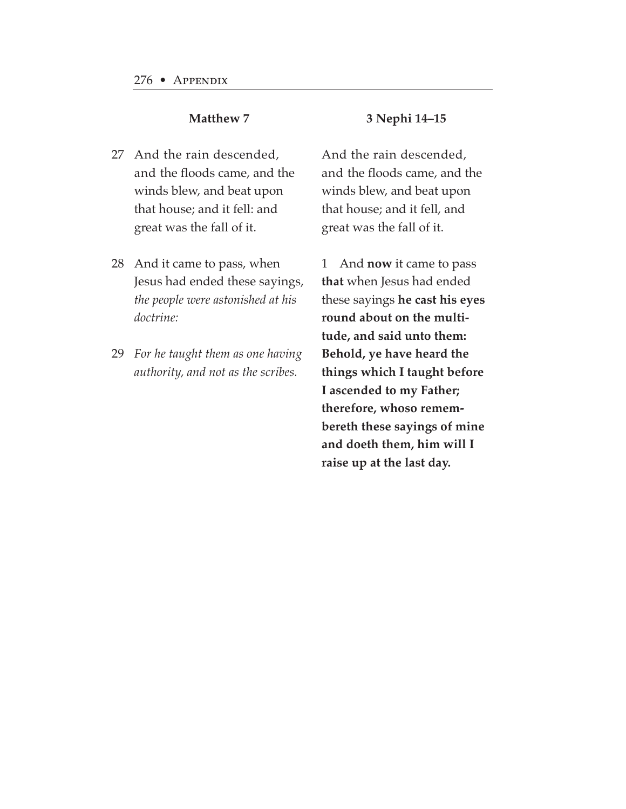- 27 And the rain descended, and the floods came, and the winds blew, and beat upon that house; and it fell: and great was the fall of it.
- 28 And it came to pass, when Jesus had ended these sayings, *the people were astonished at his doctrine:*
- *For he taught them as one having* 29*authority, and not as the scribes.*

#### **3 Nephi 14–15**

And the rain descended, and the floods came, and the winds blew, and beat upon that house; and it fell, and great was the fall of it.

1 And **now** it came to pass **that** when Jesus had ended these sayings **he cast his eyes round about on the multitude, and said unto them: Behold, ye have heard the things which I taught before I ascended to my Father; therefore, whoso remembereth these sayings of mine and doeth them, him will I raise up at the last day.**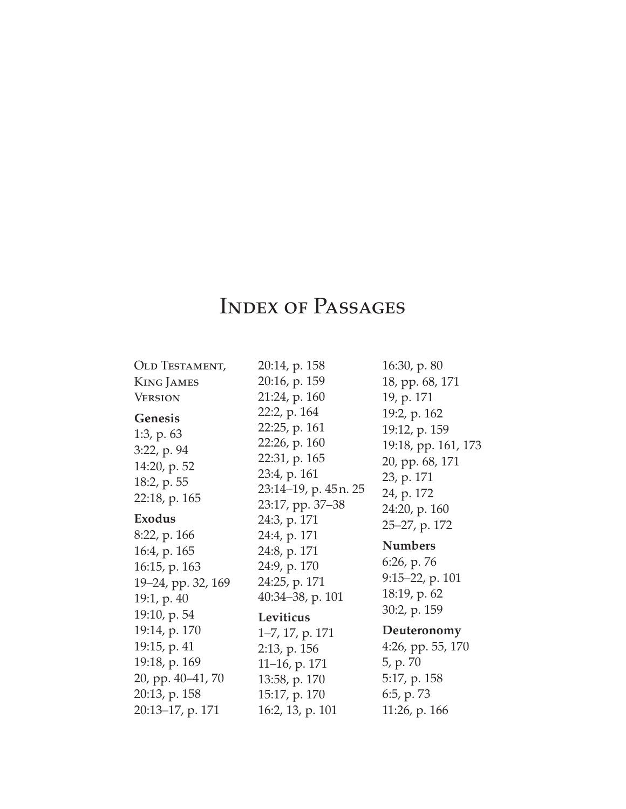# INDEX OF PASSAGES

| <b>OLD TESTAMENT,</b>                                                                            | 20:14, p. 158                                                                                           | 16:30, p. 80                                                                                        |
|--------------------------------------------------------------------------------------------------|---------------------------------------------------------------------------------------------------------|-----------------------------------------------------------------------------------------------------|
| <b>KING JAMES</b>                                                                                | 20:16, p. 159                                                                                           | 18, pp. 68, 171                                                                                     |
| <b>VERSION</b>                                                                                   | 21:24, p. 160                                                                                           | 19, p. 171                                                                                          |
| <b>Genesis</b><br>1:3, p. $63$<br>$3:22$ , p. 94<br>14:20, p. 52<br>18:2, p. 55<br>22:18, p. 165 | 22:2, p. 164<br>22:25, p. 161<br>22:26, p. 160<br>22:31, p. 165<br>23:4, p. 161<br>23:14–19, p. 45n. 25 | 19:2, p. 162<br>19:12, p. 159<br>19:18, pp. 161, 173<br>20, pp. 68, 171<br>23, p. 171<br>24, p. 172 |
| <b>Exodus</b>                                                                                    | 23:17, pp. 37–38<br>24:3, p. 171                                                                        | 24:20, p. 160                                                                                       |
| 8:22, p. 166                                                                                     | 24:4, p. 171                                                                                            | 25–27, p. 172                                                                                       |
| 16:4, p. 165                                                                                     | 24:8, p. 171                                                                                            | <b>Numbers</b>                                                                                      |
| 16:15, p. 163                                                                                    | 24:9, p. 170                                                                                            | 6:26, p. 76                                                                                         |
| 19-24, pp. 32, 169                                                                               | 24:25, p. 171                                                                                           | $9:15-22$ , p. 101                                                                                  |
| 19:1, p. 40                                                                                      | 40:34-38, p. 101                                                                                        | 18:19, p. 62                                                                                        |
| 19:10, p. 54                                                                                     | Leviticus                                                                                               | 30:2, p. 159                                                                                        |
| 19:14, p. 170                                                                                    | 1-7, 17, p. 171                                                                                         | Deuteronomy                                                                                         |
| 19:15, p. 41                                                                                     | $2:13$ , p. 156                                                                                         | $4:26$ , pp. 55, 170                                                                                |
| 19:18, p. 169                                                                                    | 11-16, p. 171                                                                                           | 5, p. 70                                                                                            |
| 20, pp. 40-41, 70                                                                                | 13:58, p. 170                                                                                           | 5:17, p. 158                                                                                        |
| 20:13, p. 158                                                                                    | 15:17, p. 170                                                                                           | 6:5, p. 73                                                                                          |
|                                                                                                  |                                                                                                         |                                                                                                     |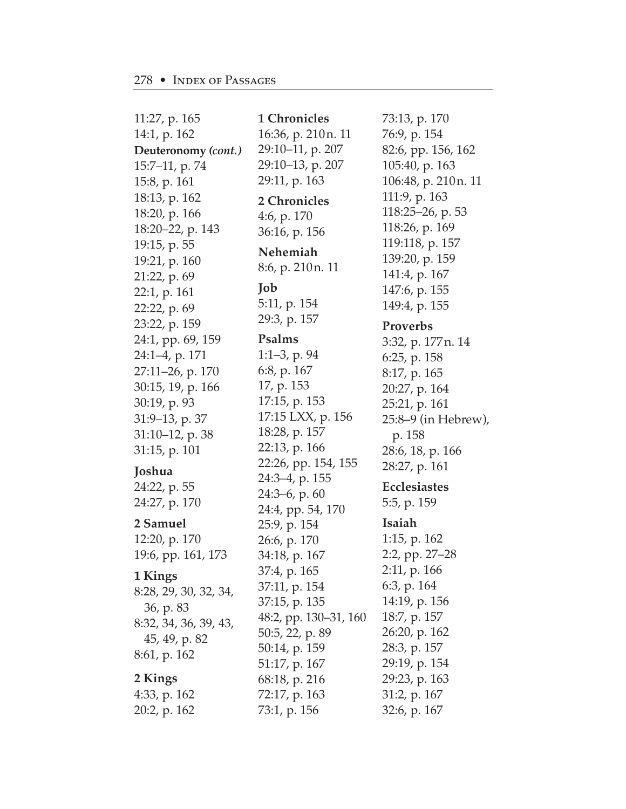11:27, p. 165 14:1, p. 162 **Deuteronomy** *(cont.)* 15:7–11, p. 74 15:8, p. 161 18:13, p. 162 18:20, p. 166 18:20–22, p. 143 19:15, p. 55 19:21, p. 160 21:22, p. 69 22:1, p. 161 22:22, p. 69 23:22, p. 159 24:1, pp. 69, 159 24:1–4, p. 171 27:11–26, p. 170 30:15, 19, p. 166 30:19, p. 93 31:9–13, p. 37 31:10–12, p. 38 31:15, p. 101 **Joshua** 24:22, p. 55 24:27, p. 170 **2 Samuel** 12:20, p. 170 19:6, pp. 161, 173 **1 Kings** 8:28, 29, 30, 32, 34, 36, p. 83 8:32, 34, 36, 39, 43, 45, 49, p. 82 8:61, p. 162 **2 Kings** 4:33, p. 162

20:2, p. 162

**1 Chronicles** 16:36, p. 210n. 11 29:10–11, p. 207 29:10–13, p. 207 29:11, p. 163 **2 Chronicles** 4:6, p. 170 36:16, p. 156 **Nehemiah** 8:6, p. 210n. 11 **Job** 5:11, p. 154 29:3, p. 157 **Psalms** 1:1–3, p. 94 6:8, p. 167 17, p. 153 17:15, p. 153 17:15 LXX, p. 156 18:28, p. 157 22:13, p. 166 22:26, pp. 154, 155 24:3–4, p. 155 24:3–6, p. 60 24:4, pp. 54, 170 25:9, p. 154 26:6, p. 170 34:18, p. 167 37:4, p. 165 37:11, p. 154 37:15, p. 135 48:2, pp. 130–31, 160 50:5, 22, p. 89 50:14, p. 159 51:17, p. 167 68:18, p. 216 72:17, p. 163 73:1, p. 156

73:13, p. 170 76:9, p. 154 82:6, pp. 156, 162 105:40, p. 163 106:48, p. 210n. 11 111:9, p. 163 118:25–26, p. 53 118:26, p. 169 119:118, p. 157 139:20, p. 159 141:4, p. 167 147:6, p. 155 149:4, p. 155 **Proverbs** 3:32, p. 177n. 14 6:25, p. 158 8:17, p. 165 20:27, p. 164 25:21, p. 161 25:8–9 (in Hebrew), p. 158 28:6, 18, p. 166 28:27, p. 161 **Ecclesiastes** 5:5, p. 159 **Isaiah** 1:15, p. 162 2:2, pp. 27–28 2:11, p. 166 6:3, p. 164 14:19, p. 156 18:7, p. 157 26:20, p. 162 28:3, p. 157 29:19, p. 154 29:23, p. 163

31:2, p. 167 32:6, p. 167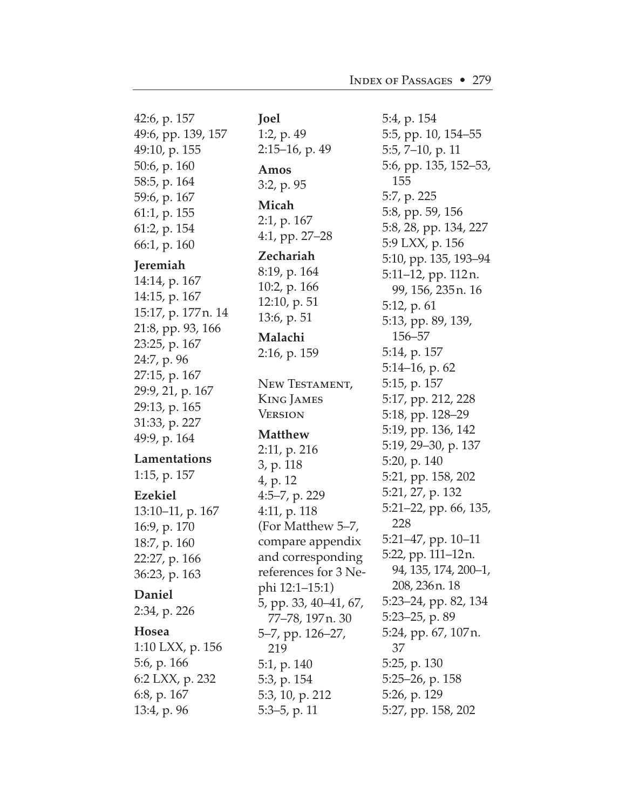42:6, p. 157 49:6, pp. 139, 157 49:10, p. 155 50:6, p. 160 58:5, p. 164 59:6, p. 167 61:1, p. 155 61:2, p. 154 66:1, p. 160 **Jeremiah** 14:14, p. 167 14:15, p. 167 15:17, p. 177n. 14 21:8, pp. 93, 166 23:25, p. 167 24:7, p. 96 27:15, p. 167 29:9, 21, p. 167 29:13, p. 165 31:33, p. 227 49:9, p. 164 **Lamentations** 1:15, p. 157 **Ezekiel** 13:10–11, p. 167 16:9, p. 170 18:7, p. 160 22:27, p. 166 36:23, p. 163 **Daniel** 2:34, p. 226 **Hosea** 1:10 LXX, p. 156 5:6, p. 166 6:2 LXX, p. 232 6:8, p. 167 13:4, p. 96

1:2, p. 49 2:15–16, p. 49 **Amos** 3:2, p. 95 **Micah** 2:1, p. 167 4:1, pp. 27–28 **Zechariah** 8:19, p. 164 10:2, p. 166 12:10, p. 51 13:6, p. 51 **Malachi** 2:16, p. 159 New Testament, King James **VERSION Matthew** 2:11, p. 216 3, p. 118 4, p. 12 4:5–7, p. 229 4:11, p. 118 (For Matthew 5–7, compare appendix and corresponding references for 3 Nephi 12:1–15:1) 5, pp. 33, 40–41, 67, 77–78, 197n. 30 5–7, pp. 126–27, 219 5:1, p. 140 5:3, p. 154 5:3, 10, p. 212 5:3–5, p. 11

**Joel**

5:4, p. 154 5:5, pp. 10, 154–55 5:5, 7–10, p. 11 5:6, pp. 135, 152–53, 155 5:7, p. 225 5:8, pp. 59, 156 5:8, 28, pp. 134, 227 5:9 LXX, p. 156 5:10, pp. 135, 193–94 5:11–12, pp. 112n. 99, 156, 235n. 16 5:12, p. 61 5:13, pp. 89, 139, 156–57 5:14, p. 157 5:14–16, p. 62 5:15, p. 157 5:17, pp. 212, 228 5:18, pp. 128–29 5:19, pp. 136, 142 5:19, 29–30, p. 137 5:20, p. 140 5:21, pp. 158, 202 5:21, 27, p. 132 5:21–22, pp. 66, 135, 228 5:21–47, pp. 10–11 5:22, pp. 111–12n. 94, 135, 174, 200–1, 208, 236n. 18 5:23–24, pp. 82, 134 5:23–25, p. 89 5:24, pp. 67, 107n. 37 5:25, p. 130 5:25–26, p. 158 5:26, p. 129 5:27, pp. 158, 202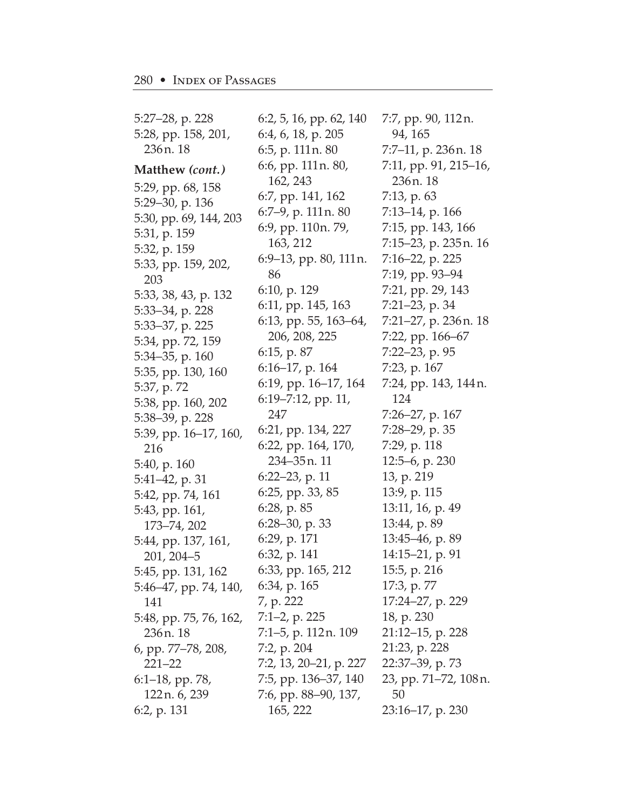5:27–28, p. 228 5:28, pp. 158, 201, 236n. 18 **Matthew** *(cont.)* 5:29, pp. 68, 158 5:29–30, p. 136 5:30, pp. 69, 144, 203 5:31, p. 159 5:32, p. 159 5:33, pp. 159, 202, 203 5:33, 38, 43, p. 132 5:33–34, p. 228 5:33–37, p. 225 5:34, pp. 72, 159 5:34–35, p. 160 5:35, pp. 130, 160 5:37, p. 72 5:38, pp. 160, 202 5:38–39, p. 228 5:39, pp. 16–17, 160, 216 5:40, p. 160 5:41–42, p. 31 5:42, pp. 74, 161 5:43, pp. 161, 173–74, 202 5:44, pp. 137, 161, 201, 204–5 5:45, pp. 131, 162 5:46–47, pp. 74, 140, 141 5:48, pp. 75, 76, 162, 236n. 18 6, pp. 77–78, 208, 221–22 6:1–18, pp. 78, 122n. 6, 239 6:2, p. 131

6:2, 5, 16, pp. 62, 140 6:4, 6, 18, p. 205 6:5, p. 111n. 80 6:6, pp. 111n. 80, 162, 243 6:7, pp. 141, 162 6:7–9, p. 111n. 80 6:9, pp. 110n. 79, 163, 212 6:9–13, pp. 80, 111n. 86 6:10, p. 129 6:11, pp. 145, 163 6:13, pp. 55, 163–64, 206, 208, 225 6:15, p. 87 6:16–17, p. 164 6:19, pp. 16–17, 164 6:19–7:12, pp. 11, 247 6:21, pp. 134, 227 6:22, pp. 164, 170, 234–35n. 11 6:22–23, p. 11 6:25, pp. 33, 85 6:28, p. 85 6:28–30, p. 33 6:29, p. 171 6:32, p. 141 6:33, pp. 165, 212 6:34, p. 165 7, p. 222 7:1–2, p. 225 7:1–5, p. 112n. 109 7:2, p. 204 7:2, 13, 20–21, p. 227 7:5, pp. 136–37, 140 7:6, pp. 88–90, 137, 165, 222

7:7, pp. 90, 112n. 94, 165 7:7–11, p. 236n. 18 7:11, pp. 91, 215–16, 236n. 18 7:13, p. 63 7:13–14, p. 166 7:15, pp. 143, 166 7:15–23, p. 235n. 16 7:16–22, p. 225 7:19, pp. 93–94 7:21, pp. 29, 143 7:21–23, p. 34 7:21–27, p. 236n. 18 7:22, pp. 166–67 7:22–23, p. 95 7:23, p. 167 7:24, pp. 143, 144n. 124 7:26–27, p. 167 7:28–29, p. 35 7:29, p. 118 12:5–6, p. 230 13, p. 219 13:9, p. 115 13:11, 16, p. 49 13:44, p. 89 13:45–46, p. 89 14:15–21, p. 91 15:5, p. 216 17:3, p. 77 17:24–27, p. 229 18, p. 230 21:12–15, p. 228 21:23, p. 228 22:37–39, p. 73 23, pp. 71–72, 108n. 50 23:16–17, p. 230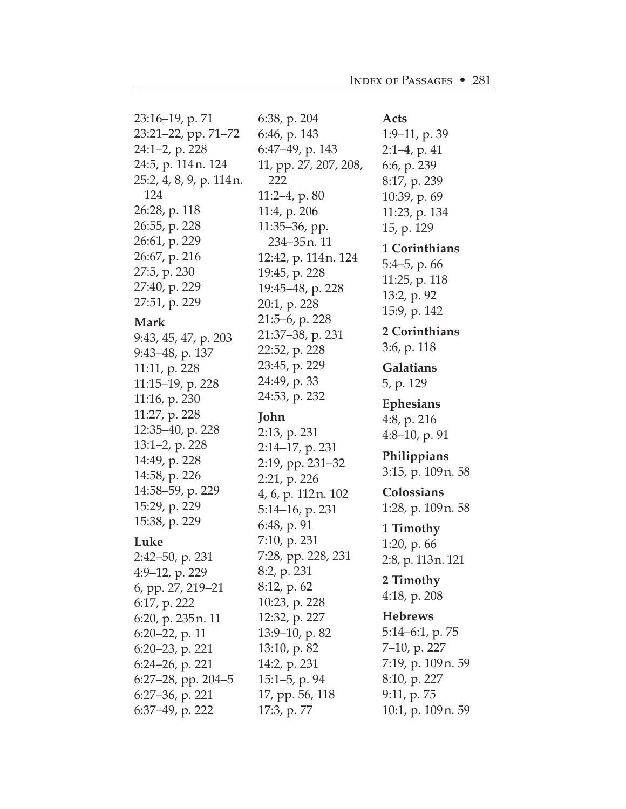23:16–19, p. 71 23:21–22, pp. 71–72 24:1–2, p. 228 24:5, p. 114n. 124 25:2, 4, 8, 9, p. 114n. 124 26:28, p. 118 26:55, p. 228 26:61, p. 229 26:67, p. 216 27:5, p. 230 27:40, p. 229 27:51, p. 229 **Mark** 9:43, 45, 47, p. 203 9:43–48, p. 137 11:11, p. 228 11:15–19, p. 228 11:16, p. 230 11:27, p. 228 12:35–40, p. 228 13:1–2, p. 228 14:49, p. 228 14:58, p. 226 14:58–59, p. 229 15:29, p. 229 15:38, p. 229 **Luke**  2:42–50, p. 231 4:9–12, p. 229 6, pp. 27, 219–21 6:17, p. 222 6:20, p. 235n. 11 6:20–22, p. 11 6:20–23, p. 221 6:24–26, p. 221 6:27–28, pp. 204–5 6:27–36, p. 221 6:37–49, p. 222

6:38, p. 204 6:46, p. 143 6:47–49, p. 143 11, pp. 27, 207, 208, 222 11:2–4, p. 80 11:4, p. 206 11:35–36, pp. 234–35n. 11 12:42, p. 114n. 124 19:45, p. 228 19:45–48, p. 228 20:1, p. 228 21:5–6, p. 228 21:37–38, p. 231 22:52, p. 228 23:45, p. 229 24:49, p. 33 24:53, p. 232 **John**  2:13, p. 231 2:14–17, p. 231 2:19, pp. 231–32 2:21, p. 226 4, 6, p. 112n. 102 5:14–16, p. 231 6:48, p. 91 7:10, p. 231 7:28, pp. 228, 231 8:2, p. 231 8:12, p. 62 10:23, p. 228 12:32, p. 227 13:9–10, p. 82 13:10, p. 82 14:2, p. 231 15:1–5, p. 94 17, pp. 56, 118 17:3, p. 77

**Acts**  1:9–11, p. 39 2:1–4, p. 41 6:6, p. 239 8:17, p. 239 10:39, p. 69 11:23, p. 134 15, p. 129 **1 Corinthians**  5:4–5, p. 66 11:25, p. 118 13:2, p. 92 15:9, p. 142 **2 Corinthians**  3:6, p. 118 **Galatians**  5, p. 129 **Ephesians**  4:8, p. 216 4:8–10, p. 91 **Philippians**  3:15, p. 109n. 58 **Colossians**  1:28, p. 109n. 58 **1 Timothy**  1:20, p. 66 2:8, p. 113n. 121 **2 Timothy**  4:18, p. 208 **Hebrews**  5:14–6:1, p. 75 7–10, p. 227 7:19, p. 109n. 59 8:10, p. 227 9:11, p. 75 10:1, p. 109n. 59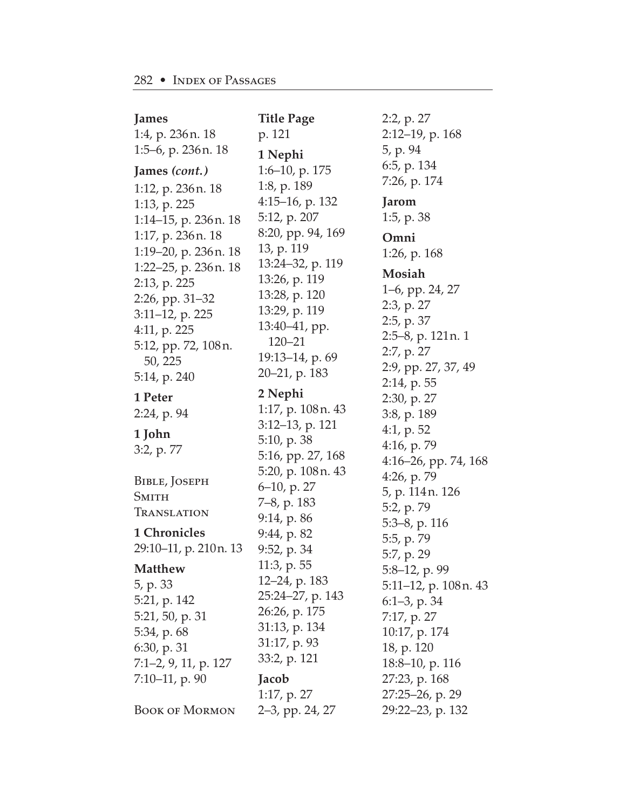| James<br>1:4, p. 236 n. 18                                                                                                    | <b>Title Page</b><br>p. 121                                                                                        | 2:2, p. 27<br>$2:12-19$ , p. 168                                                                                           |
|-------------------------------------------------------------------------------------------------------------------------------|--------------------------------------------------------------------------------------------------------------------|----------------------------------------------------------------------------------------------------------------------------|
| 1:5–6, p. 236 n. 18<br>James (cont.)<br>1:12, p. 236 n. 18                                                                    | 1 Nephi<br>1:6-10, p. 175<br>1:8, p. 189                                                                           | 5, p. 94<br>6:5, p. 134<br>7:26, p. 174                                                                                    |
| 1:13, p. 225<br>1:14-15, p. 236 n. 18                                                                                         | $4:15-16$ , p. 132<br>5:12, p. 207                                                                                 | Jarom<br>1:5, p. 38                                                                                                        |
| 1:17, p. 236 n. 18<br>$1:19-20$ , p. 236 n. 18<br>1:22–25, p. 236 n. 18<br>2:13, p. 225<br>2:26, pp. 31–32<br>3:11-12, p. 225 | 8:20, pp. 94, 169<br>13, p. 119<br>13:24-32, p. 119<br>13:26, p. 119<br>13:28, p. 120<br>13:29, p. 119             | Omni<br>1:26, p. $168$<br>Mosiah<br>1–6, pp. 24, 27<br>$2:3$ , p. $27$                                                     |
| 4:11, p. $225$<br>5:12, pp. 72, 108 n.<br>50, 225<br>5:14, p. 240                                                             | 13:40-41, pp.<br>$120 - 21$<br>19:13-14, p. 69<br>20–21, p. 183                                                    | 2:5, p. 37<br>2:5–8, p. 121 n. 1<br>2:7, p. 27<br>2:9, pp. 27, 37, 49<br>2:14, p. 55                                       |
| 1 Peter<br>2:24, p. 94<br>1 John<br>3:2, p. 77                                                                                | 2 Nephi<br>1:17, p. 108 n. 43<br>$3:12-13$ , p. 121<br>5:10, p. 38<br>5:16, pp. 27, 168                            | 2:30, p. 27<br>3:8, p. 189<br>4:1, p. $52$<br>4:16, p. 79<br>4:16-26, pp. 74, 168                                          |
| BIBLE, JOSEPH<br><b>SMITH</b><br>TRANSLATION                                                                                  | 5:20, p. 108 n. 43<br>6-10, p. 27<br>7–8, p. 183<br>9:14, p. 86                                                    | 4:26, p. 79<br>5, p. 114n. 126<br>5:2, p. 79                                                                               |
| <b>1 Chronicles</b><br>29:10–11, p. 210n. 13                                                                                  | 9:44, p. 82<br>9:52, p. 34                                                                                         | $5:3-8$ , p. 116<br>5:5, p. 79<br>5:7, p. 29                                                                               |
| <b>Matthew</b><br>5, p. 33<br>5:21, p. 142<br>5:21, 50, p. 31<br>5:34, p. 68<br>6:30, p.31<br>7:1–2, 9, 11, p. 127            | 11:3, p. 55<br>12–24, p. 183<br>25:24-27, p. 143<br>26:26, p. 175<br>31:13, p. 134<br>31:17, p. 93<br>33:2, p. 121 | 5:8-12, p. 99<br>5:11–12, p. 108 n. 43<br>$6:1-3$ , p. 34<br>7:17, p. 27<br>10:17, p. 174<br>18, p. 120<br>18:8-10, p. 116 |
| $7:10-11$ , p. 90<br><b>BOOK OF MORMON</b>                                                                                    | Jacob<br>1:17, p. 27<br>2–3, pp. 24, 27                                                                            | 27:23, p. 168<br>27:25-26, p. 29<br>29:22-23, p. 132                                                                       |
|                                                                                                                               |                                                                                                                    |                                                                                                                            |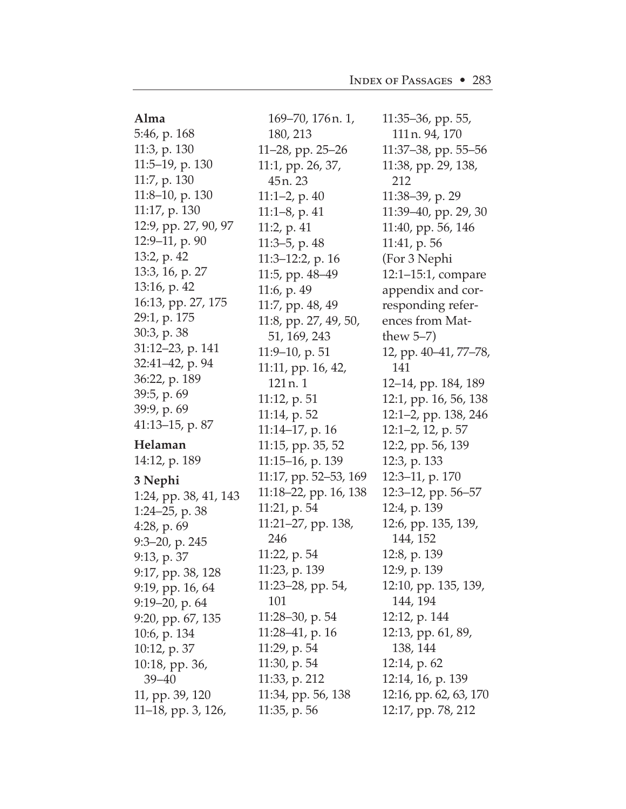| 5:46, p. 168<br>180, 213<br>111 n. 94, 170<br>11:3, p. 130<br>11 $-28$ , pp. 25 $-26$<br>$11:37-38$ , pp. 55-56<br>$11:5-19$ , p. 130<br>11:1, pp. 26, 37,<br>11:38, pp. 29, 138,<br>11:7, p. 130<br>212<br>45n.23<br>11:8-10, p. 130<br>11:1-2, p. 40<br>$11:38-39$ , p. 29<br>11:17, p. 130<br>$11:1-8$ , p. 41<br>$11:39-40$ , pp. 29, 30<br>12:9, pp. 27, 90, 97<br>11:2, p. $41$<br>11:40, pp. 56, 146<br>$12:9-11$ , p. 90<br>11:3-5, p. 48<br>11:41, p. 56<br>13:2, p. 42<br>(For 3 Nephi<br>11:3-12:2, p. 16<br>13:3, 16, p. 27<br>11:5, pp. 48–49<br>$12:1-15:1$ , compare<br>13:16, p. 42<br>11:6, p. 49<br>appendix and cor-<br>16:13, pp. 27, 175<br>responding refer-<br>11:7, pp. 48, 49<br>29:1, p. 175 |
|------------------------------------------------------------------------------------------------------------------------------------------------------------------------------------------------------------------------------------------------------------------------------------------------------------------------------------------------------------------------------------------------------------------------------------------------------------------------------------------------------------------------------------------------------------------------------------------------------------------------------------------------------------------------------------------------------------------------|
|                                                                                                                                                                                                                                                                                                                                                                                                                                                                                                                                                                                                                                                                                                                        |
|                                                                                                                                                                                                                                                                                                                                                                                                                                                                                                                                                                                                                                                                                                                        |
|                                                                                                                                                                                                                                                                                                                                                                                                                                                                                                                                                                                                                                                                                                                        |
|                                                                                                                                                                                                                                                                                                                                                                                                                                                                                                                                                                                                                                                                                                                        |
|                                                                                                                                                                                                                                                                                                                                                                                                                                                                                                                                                                                                                                                                                                                        |
|                                                                                                                                                                                                                                                                                                                                                                                                                                                                                                                                                                                                                                                                                                                        |
|                                                                                                                                                                                                                                                                                                                                                                                                                                                                                                                                                                                                                                                                                                                        |
|                                                                                                                                                                                                                                                                                                                                                                                                                                                                                                                                                                                                                                                                                                                        |
|                                                                                                                                                                                                                                                                                                                                                                                                                                                                                                                                                                                                                                                                                                                        |
|                                                                                                                                                                                                                                                                                                                                                                                                                                                                                                                                                                                                                                                                                                                        |
|                                                                                                                                                                                                                                                                                                                                                                                                                                                                                                                                                                                                                                                                                                                        |
|                                                                                                                                                                                                                                                                                                                                                                                                                                                                                                                                                                                                                                                                                                                        |
| ences from Mat-<br>11:8, pp. 27, 49, 50,                                                                                                                                                                                                                                                                                                                                                                                                                                                                                                                                                                                                                                                                               |
| 30:3, p. 38<br>51, 169, 243<br>thew $5-7$ )                                                                                                                                                                                                                                                                                                                                                                                                                                                                                                                                                                                                                                                                            |
| 31:12-23, p. 141<br>$11:9-10$ , p. 51<br>12, pp. 40–41, 77–78,                                                                                                                                                                                                                                                                                                                                                                                                                                                                                                                                                                                                                                                         |
| 32:41-42, p. 94<br>11:11, pp. 16, 42,<br>141                                                                                                                                                                                                                                                                                                                                                                                                                                                                                                                                                                                                                                                                           |
| 36:22, p. 189<br>121 <sub>n.1</sub><br>12–14, pp. 184, 189                                                                                                                                                                                                                                                                                                                                                                                                                                                                                                                                                                                                                                                             |
| 39:5, p. 69<br>12:1, pp. 16, 56, 138<br>11:12, p. 51                                                                                                                                                                                                                                                                                                                                                                                                                                                                                                                                                                                                                                                                   |
| 39:9, p. 69<br>12:1-2, pp. 138, 246<br>11:14, p. 52                                                                                                                                                                                                                                                                                                                                                                                                                                                                                                                                                                                                                                                                    |
| $41:13-15$ , p. 87<br>11:14-17, p. 16<br>$12:1-2$ , 12, p. 57                                                                                                                                                                                                                                                                                                                                                                                                                                                                                                                                                                                                                                                          |
| Helaman<br>11:15, pp. 35, 52<br>12:2, pp. 56, 139                                                                                                                                                                                                                                                                                                                                                                                                                                                                                                                                                                                                                                                                      |
| 14:12, p. 189<br>11:15-16, p. 139<br>12:3, p. 133                                                                                                                                                                                                                                                                                                                                                                                                                                                                                                                                                                                                                                                                      |
| 11:17, pp. 52–53, 169<br>$12:3-11$ , p. 170                                                                                                                                                                                                                                                                                                                                                                                                                                                                                                                                                                                                                                                                            |
| 3 Nephi<br>11:18–22, pp. 16, 138<br>12:3–12, pp. 56–57<br>1:24, pp. 38, 41, 143                                                                                                                                                                                                                                                                                                                                                                                                                                                                                                                                                                                                                                        |
| 12:4, p. 139<br>11:21, p. 54<br>1:24-25, p. 38                                                                                                                                                                                                                                                                                                                                                                                                                                                                                                                                                                                                                                                                         |
| 11:21-27, pp. 138,<br>12:6, pp. 135, 139,<br>4:28, p. $69$                                                                                                                                                                                                                                                                                                                                                                                                                                                                                                                                                                                                                                                             |
| 246<br>144, 152<br>9:3-20, p. 245                                                                                                                                                                                                                                                                                                                                                                                                                                                                                                                                                                                                                                                                                      |
| 12:8, p. 139<br>11:22, p. 54<br>9:13, p. 37                                                                                                                                                                                                                                                                                                                                                                                                                                                                                                                                                                                                                                                                            |
| 11:23, p. 139<br>12:9, p. 139<br>9:17, pp. 38, 128                                                                                                                                                                                                                                                                                                                                                                                                                                                                                                                                                                                                                                                                     |
| 11:23-28, pp. 54,<br>12:10, pp. 135, 139,<br>9:19, pp. 16, 64                                                                                                                                                                                                                                                                                                                                                                                                                                                                                                                                                                                                                                                          |
| 101<br>144, 194<br>$9:19-20$ , p. 64                                                                                                                                                                                                                                                                                                                                                                                                                                                                                                                                                                                                                                                                                   |
| 12:12, p. 144<br>11:28-30, p. 54<br>9:20, pp. 67, 135                                                                                                                                                                                                                                                                                                                                                                                                                                                                                                                                                                                                                                                                  |
| $11:28-41$ , p. 16<br>12:13, pp. 61, 89,<br>10:6, p. 134                                                                                                                                                                                                                                                                                                                                                                                                                                                                                                                                                                                                                                                               |
| 138, 144<br>11:29, p. 54<br>10:12, p. 37                                                                                                                                                                                                                                                                                                                                                                                                                                                                                                                                                                                                                                                                               |
| 11:30, p. 54<br>12:14, p. 62<br>10:18, pp. 36,                                                                                                                                                                                                                                                                                                                                                                                                                                                                                                                                                                                                                                                                         |
| 11:33, p. 212<br>12:14, 16, p. 139<br>$39 - 40$                                                                                                                                                                                                                                                                                                                                                                                                                                                                                                                                                                                                                                                                        |
| 12:16, pp. 62, 63, 170<br>11:34, pp. 56, 138<br>11, pp. 39, 120                                                                                                                                                                                                                                                                                                                                                                                                                                                                                                                                                                                                                                                        |
| 11:35, p. 56<br>12:17, pp. 78, 212<br>11–18, pp. 3, 126,                                                                                                                                                                                                                                                                                                                                                                                                                                                                                                                                                                                                                                                               |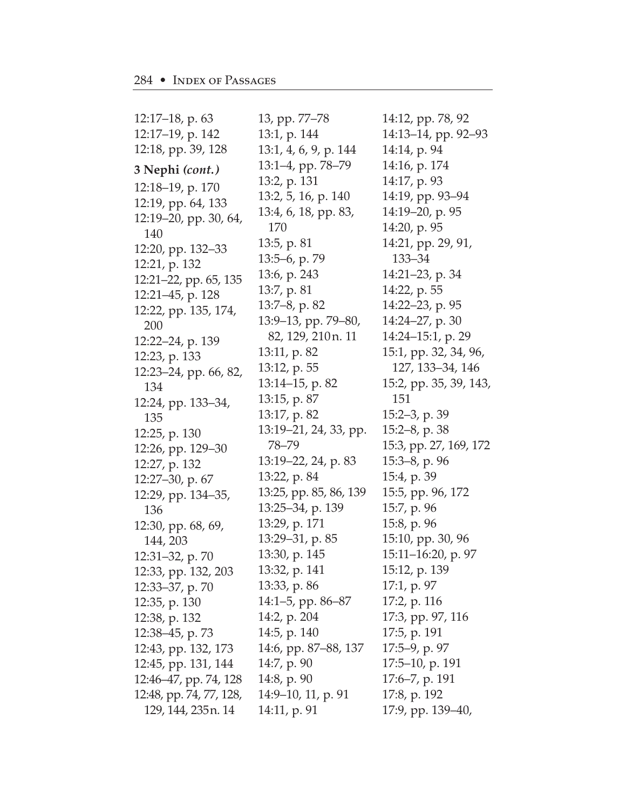| 12:17–18, p. 63                             | 13, pp. 77–78          | 14:12   |
|---------------------------------------------|------------------------|---------|
| 12:17–19, p. 142                            | 13:1, p. 144           | 14:13   |
| 12:18, pp. 39, 128                          | 13:1, 4, 6, 9, p. 144  | 14:14   |
| 3 Nephi (cont.)                             | 13:1–4, pp. 78–79      | 14:16   |
|                                             | 13:2, p. 131           | 14:17   |
| 12:18-19, p. 170                            | 13:2, 5, 16, p. 140    | 14:19   |
| 12:19, pp. 64, 133<br>12:19-20, pp. 30, 64, | 13:4, 6, 18, pp. 83,   | 14:19   |
| 140                                         | 170                    | 14:20   |
| 12:20, pp. 132–33                           | 13:5, p. 81            | 14:21   |
| 12:21, p. 132                               | 13:5-6, p. 79          | 133     |
| 12:21–22, pp. 65, 135                       | 13:6, p. 243           | 14:21   |
| 12:21–45, p. 128                            | 13:7, p. 81            | 14:22   |
| 12:22, pp. 135, 174,                        | 13:7–8, p. 82          | 14:22   |
| 200                                         | 13:9–13, pp. 79–80,    | 14:24   |
| 12:22–24, p. 139                            | 82, 129, 210n. 11      | 14:24   |
| 12:23, p. 133                               | 13:11, p. 82           | 15:1,   |
| 12:23–24, pp. 66, 82,                       | 13:12, p. 55           | 127     |
| 134                                         | 13:14–15, p. 82        | 15:2,   |
| 12:24, pp. 133–34,                          | 13:15, p. 87           | 151     |
| 135                                         | 13:17, p. 82           | 15:2–   |
| 12:25, p. 130                               | 13:19–21, 24, 33, pp.  | 15:2–   |
| 12:26, pp. 129-30                           | 78–79                  | 15:3,   |
| 12:27, p. 132                               | 13:19–22, 24, p. 83    | 15:3–   |
| 12:27–30, p. 67                             | 13:22, p. 84           | 15:4,   |
| 12:29, pp. 134–35,                          | 13:25, pp. 85, 86, 139 | 15:5,   |
| 136                                         | 13:25–34, p. 139       | 15:7,   |
| 12:30, pp. 68, 69,                          | 13:29, p. 171          | 15:8,   |
| 144, 203                                    | 13:29–31, p. 85        | 15:10   |
| $12:31-32$ , p. 70                          | 13:30, p. 145          | 15:11   |
| 12:33, pp. 132, 203                         | 13:32, p. 141          | 15:12   |
| 12:33-37, p. 70                             | 13:33, p. 86           | 17:1,   |
| 12:35, p. 130                               | 14:1–5, pp. 86–87      | 17:2,   |
| 12:38, p. 132                               | 14:2, p. 204           | 17:3,   |
| 12:38-45, p. 73                             | 14:5, p. 140           | 17:5,   |
| 12:43, pp. 132, 173                         | 14:6, pp. 87–88, 137   | 17:5–   |
| 12:45, pp. 131, 144                         | 14:7, p. 90            | 17:5–   |
| 12:46–47, pp. 74, 128                       | 14:8, p. 90            | $17:6-$ |
| 12:48, pp. 74, 77, 128,                     | 14:9-10, 11, p. 91     | 17:8,   |
| 129, 144, 235 n. 14                         | 14:11, p. 91           | 17:9,   |

2, pp. 78, 92 3–14, pp. 92–93 1, p. 94 5, p. 174 <sup>7</sup>, p. 93 9, pp. 93–94  $-20$ , p. 95 ), p. 95 l, pp. 29, 91,  $3 - 34$ l-23, p. 34 2, p. 55 2–23, p. 95 1-27, p. 30 14:24–15:1, p. 29 pp. 32, 34, 96, 127, 133–34, 146 pp. 35, 39, 143, 151 -3, p. 39 -8, p. 38 pp. 27, 169, 172 15:3–8, p. 96 p. 39 pp. 96, 172 p. 96 p. 96 ), pp. 30, 96 15:11–16:20, p. 97 2, p. 139 p. 97 p. 116 pp. 97, 116 p. 191 -9, p. 97 -10, p. 191 -7, p. 191 p. 192 pp. 139-40,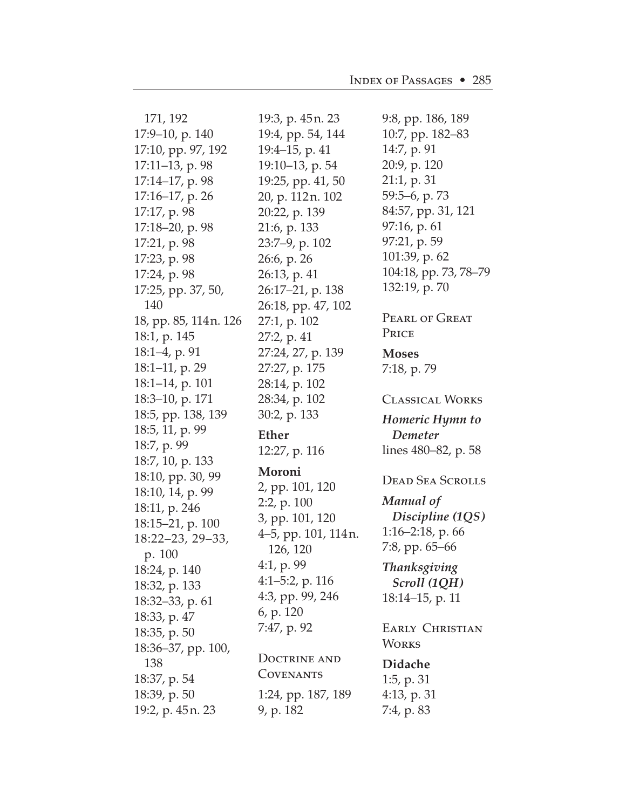| 171, 192               | 19:3, p. 45n. 23    | 9:8, pp. 186, 189       |
|------------------------|---------------------|-------------------------|
| 17:9-10, p. 140        | 19:4, pp. 54, 144   | 10:7, pp. 182–83        |
| 17:10, pp. 97, 192     | 19:4-15, p. 41      | 14:7, p. 91             |
| $17:11-13$ , p. 98     | 19:10-13, p. 54     | 20:9, p. 120            |
| 17:14–17, p. 98        | 19:25, pp. 41, 50   | 21:1, p.31              |
| 17:16–17, p. 26        | 20, p. 112 n. 102   | 59:5–6, p. 73           |
| 17:17, p. 98           | 20:22, p. 139       | 84:57, pp. 31, 121      |
| 17:18-20, p. 98        | 21:6, p. 133        | 97:16, p. 61            |
| 17:21, p. 98           | 23:7–9, p. 102      | 97:21, p. 59            |
| 17:23, p. 98           | 26:6, p. 26         | 101:39, p. 62           |
| 17:24, p. 98           | 26:13, p. 41        | 104:18, pp. 73, 78–79   |
| 17:25, pp. 37, 50,     | 26:17–21, p. 138    | 132:19, p. 70           |
| 140                    | 26:18, pp. 47, 102  |                         |
| 18, pp. 85, 114 n. 126 | 27:1, p. 102        | <b>PEARL OF GREAT</b>   |
| 18:1, p. 145           | 27:2, p. 41         | PRICE                   |
| 18:1-4, p. 91          | 27:24, 27, p. 139   | <b>Moses</b>            |
| 18:1-11, p. 29         | 27:27, p. 175       | 7:18, p. 79             |
| 18:1–14, p. 101        | 28:14, p. 102       |                         |
| 18:3–10, p. 171        | 28:34, p. 102       | <b>CLASSICAL WORKS</b>  |
| 18:5, pp. 138, 139     | 30:2, p. 133        |                         |
|                        |                     |                         |
| 18:5, 11, p. 99        |                     | Homeric Hymn to         |
| 18:7, p. 99            | <b>Ether</b>        | Demeter                 |
| 18:7, 10, p. 133       | 12:27, p. 116       | lines 480–82, p. 58     |
| 18:10, pp. 30, 99      | Moroni              | <b>DEAD SEA SCROLLS</b> |
| 18:10, 14, p. 99       | 2, pp. 101, 120     |                         |
| 18:11, p. 246          | $2:2$ , p. $100$    | Manual of               |
| 18:15–21, p. 100       | 3, pp. 101, 120     | Discipline (1QS)        |
| 18:22-23, 29-33,       | 4-5, pp. 101, 114n. | $1:16-2:18$ , p. 66     |
| p. 100                 | 126, 120            | 7:8, pp. 65-66          |
| 18:24, p. 140          | 4:1, p. 99          | Thanksgiving            |
| 18:32, p. 133          | $4:1-5:2$ , p. 116  | Scroll (1QH)            |
| 18:32-33, p. 61        | 4:3, pp. 99, 246    | 18:14–15, p. 11         |
| 18:33, p. 47           | 6, p. 120           |                         |
| 18:35, p. 50           | 7:47, p. 92         | <b>EARLY CHRISTIAN</b>  |
| 18:36–37, pp. 100,     |                     | <b>WORKS</b>            |
| 138                    | <b>DOCTRINE AND</b> | Didache                 |
| 18:37, p. 54           | <b>COVENANTS</b>    | 1:5, p. $31$            |
| 18:39, p. 50           | 1:24, pp. 187, 189  | 4:13, p. 31             |
| 19:2, p. 45n. 23       | 9, p. 182           | 7:4, p. 83              |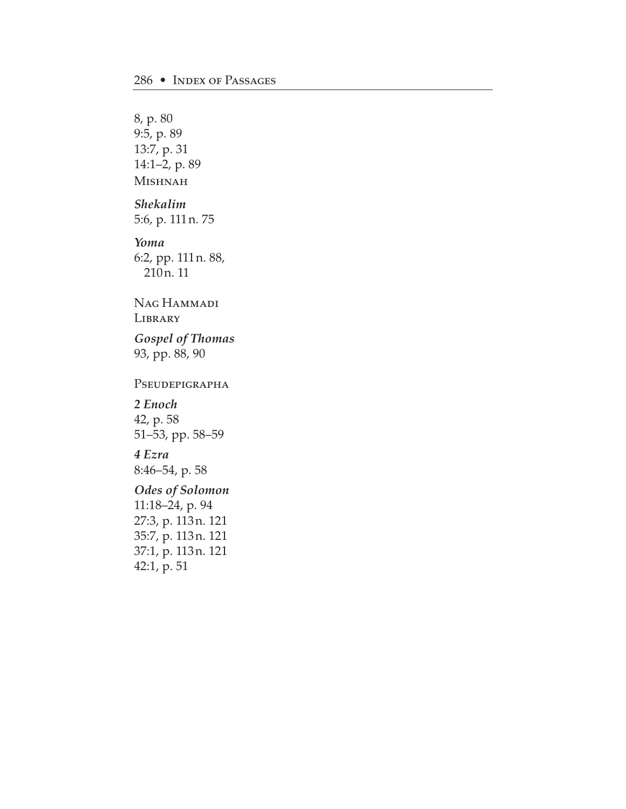8, p. 80 9:5, p. 89 13:7, p. 31 14:1–2, p. 89 Mishnah *Shekalim* 5:6, p. 111n. 75 *Yoma* 6:2, pp. 111n. 88, 210n. 11 Nag Hammadi **LIBRARY** *Gospel of Thomas* 93, pp. 88, 90 PSEUDEPIGRAPHA *2 Enoch* 42, p. 58 51–53, pp. 58–59 *4 Ezra* 8:46–54, p. 58 *Odes of Solomon* 11:18–24, p. 94 27:3, p. 113n. 121 35:7, p. 113n. 121 37:1, p. 113n. 121 42:1, p. 51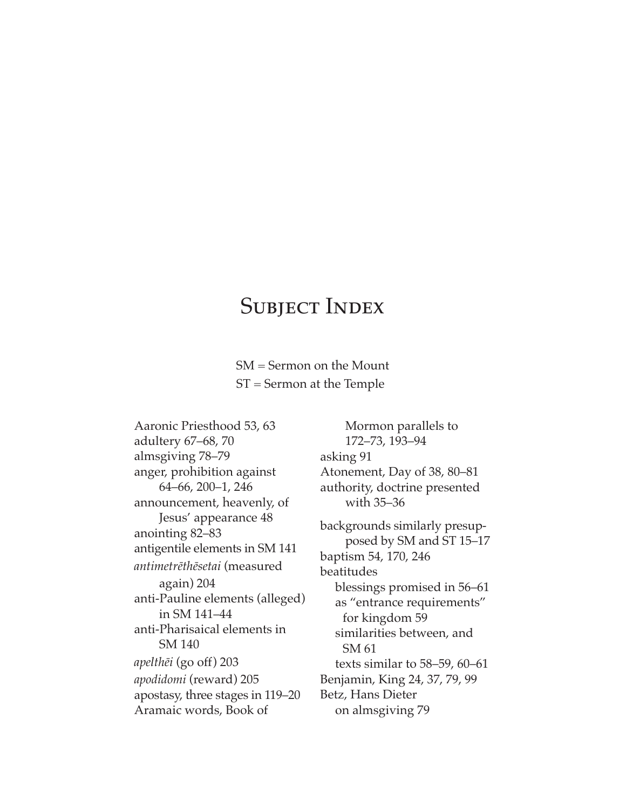## SUBJECT INDEX

SM = Sermon on the Mount ST = Sermon at the Temple

Aaronic Priesthood 53, 63 adultery 67–68, 70 almsgiving 78–79 anger, prohibition against 64–66, 200–1, 246 announcement, heavenly, of Jesus' appearance 48 anointing 82–83 antigentile elements in SM 141 *antimetr∑th∑setai* (measured again) 204 anti-Pauline elements (alleged) in SM 141–44 anti-Pharisaical elements in SM 140 *apelth∑i* (go off) 203 *apodidomi* (reward) 205 apostasy, three stages in 119–20 Aramaic words, Book of

Mormon parallels to 172–73, 193–94 asking 91 Atonement, Day of 38, 80–81 authority, doctrine presented with 35–36 backgrounds similarly presupposed by SM and ST 15–17 baptism 54, 170, 246 beatitudes blessings promised in 56–61 as "entrance requirements" for kingdom 59 similarities between, and SM 61 texts similar to 58–59, 60–61 Benjamin, King 24, 37, 79, 99 Betz, Hans Dieter on almsgiving 79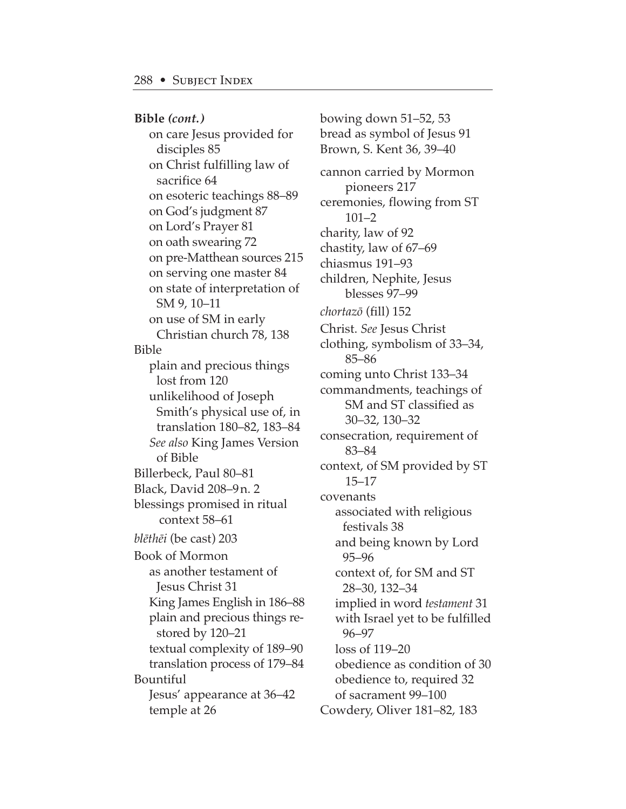**Bible** *(cont.)* on care Jesus provided for disciples 85

on Christ fulfilling law of sacrifice 64 on esoteric teachings 88–89 on God's judgment 87 on Lord's Prayer 81 on oath swearing 72 on pre-Matthean sources 215 on serving one master 84 on state of interpretation of SM 9, 10–11 on use of SM in early Christian church 78, 138 Bible plain and precious things lost from 120 unlikelihood of Joseph Smith's physical use of, in translation 180–82, 183–84 *See also* King James Version of Bible Billerbeck, Paul 80–81 Black, David 208–9n. 2 blessings promised in ritual context 58–61 *bl∑th∑i* (be cast) 203 Book of Mormon as another testament of Jesus Christ 31 King James English in 186–88 plain and precious things restored by 120–21 textual complexity of 189–90 translation process of 179–84 Bountiful Jesus' appearance at 36–42 temple at 26

bowing down 51–52, 53 bread as symbol of Jesus 91 Brown, S. Kent 36, 39–40 cannon carried by Mormon pioneers 217 ceremonies, flowing from ST 101–2 charity, law of 92 chastity, law of 67–69 chiasmus 191–93 children, Nephite, Jesus blesses 97–99 *chortazø* (fill) 152 Christ. *See* Jesus Christ clothing, symbolism of 33–34, 85–86 coming unto Christ 133–34 commandments, teachings of SM and ST classified as 30–32, 130–32 consecration, requirement of 83–84 context, of SM provided by ST 15–17 covenants associated with religious festivals 38 and being known by Lord 95–96 context of, for SM and ST 28–30, 132–34 implied in word *testament* 31 with Israel yet to be fulfilled 96–97 loss of 119–20 obedience as condition of 30 obedience to, required 32 of sacrament 99–100 Cowdery, Oliver 181–82, 183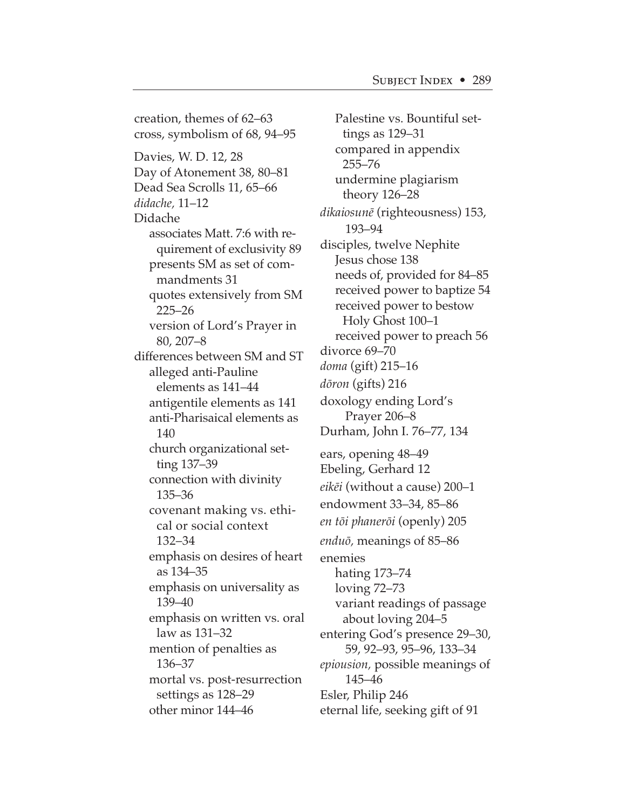creation, themes of 62–63 cross, symbolism of 68, 94–95 Davies, W. D. 12, 28 Day of Atonement 38, 80–81 Dead Sea Scrolls 11, 65–66 *didache,* 11–12 Didache associates Matt. 7:6 with requirement of exclusivity 89 presents SM as set of commandments 31 quotes extensively from SM 225–26 version of Lord's Prayer in 80, 207–8 differences between SM and ST alleged anti-Pauline elements as 141–44 antigentile elements as 141 anti-Pharisaical elements as 140 church organizational setting 137–39 connection with divinity 135–36 covenant making vs. ethical or social context 132–34 emphasis on desires of heart as 134–35 emphasis on universality as 139–40 emphasis on written vs. oral law as 131–32 mention of penalties as 136–37 mortal vs. post-resurrection settings as 128–29 other minor 144–46

Palestine vs. Bountiful settings as 129–31 compared in appendix 255–76 undermine plagiarism theory 126–28 *dikaiosun∑* (righteousness) 153, 193–94 disciples, twelve Nephite Jesus chose 138 needs of, provided for 84–85 received power to baptize 54 received power to bestow Holy Ghost 100–1 received power to preach 56 divorce 69–70 *doma* (gift) 215–16 *døron* (gifts) 216 doxology ending Lord's Prayer 206–8 Durham, John I. 76–77, 134 ears, opening 48–49 Ebeling, Gerhard 12 *eik∑i* (without a cause) 200–1 endowment 33–34, 85–86 *en tøi phanerøi* (openly) 205 *enduø,* meanings of 85–86 enemies hating 173–74 loving 72–73 variant readings of passage about loving 204–5 entering God's presence 29–30, 59, 92–93, 95–96, 133–34 *epiousion,* possible meanings of 145–46 Esler, Philip 246 eternal life, seeking gift of 91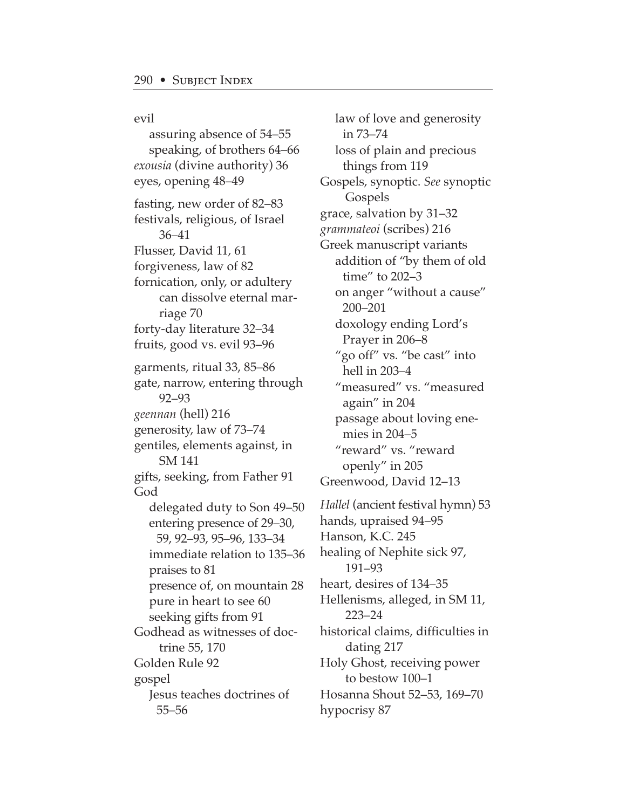evil assuring absence of 54–55 speaking, of brothers 64–66 *exousia* (divine authority) 36 eyes, opening 48–49 fasting, new order of 82–83 festivals, religious, of Israel 36–41 Flusser, David 11, 61 forgiveness, law of 82 fornication, only, or adultery can dissolve eternal marriage 70 forty-day literature 32–34 fruits, good vs. evil 93–96 garments, ritual 33, 85–86 gate, narrow, entering through 92–93 *geennan* (hell) 216 generosity, law of 73–74 gentiles, elements against, in SM 141 gifts, seeking, from Father 91 God delegated duty to Son 49–50 entering presence of 29–30, 59, 92–93, 95–96, 133–34 immediate relation to 135–36 praises to 81 presence of, on mountain 28 pure in heart to see 60 seeking gifts from 91 Godhead as witnesses of doctrine 55, 170 Golden Rule 92 gospel Jesus teaches doctrines of 55–56

law of love and generosity in 73–74 loss of plain and precious things from 119 Gospels, synoptic. *See* synoptic Gospels grace, salvation by 31–32 *grammateoi* (scribes) 216 Greek manuscript variants addition of "by them of old time" to 202–3 on anger "without a cause" 200–201 doxology ending Lord's Prayer in 206–8 "go off" vs. "be cast" into hell in 203–4 "measured" vs. "measured again" in 204 passage about loving enemies in 204–5 "reward" vs. "reward openly" in 205 Greenwood, David 12–13 *Hallel* (ancient festival hymn) 53 hands, upraised 94–95 Hanson, K.C. 245 healing of Nephite sick 97, 191–93 heart, desires of 134–35 Hellenisms, alleged, in SM 11, 223–24 historical claims, difficulties in dating 217 Holy Ghost, receiving power to bestow 100–1 Hosanna Shout 52–53, 169–70 hypocrisy 87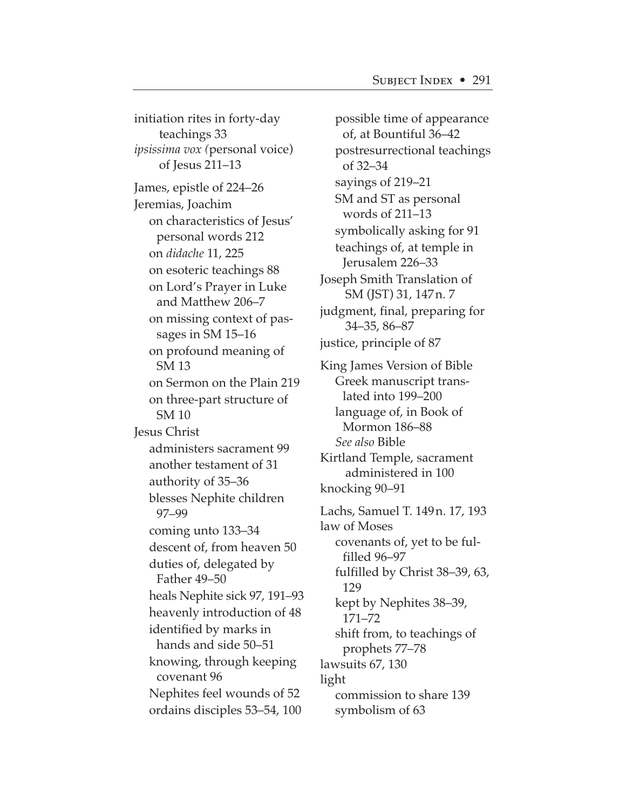initiation rites in forty-day teachings 33 *ipsissima vox (*personal voice) of Jesus 211–13 James, epistle of 224–26 Jeremias, Joachim on characteristics of Jesus' personal words 212 on *didache* 11, 225 on esoteric teachings 88 on Lord's Prayer in Luke and Matthew 206–7 on missing context of passages in SM 15–16 on profound meaning of SM 13 on Sermon on the Plain 219 on three-part structure of SM 10 Jesus Christ administers sacrament 99 another testament of 31 authority of 35–36 blesses Nephite children 97–99 coming unto 133–34 descent of, from heaven 50 duties of, delegated by Father 49–50 heals Nephite sick 97, 191–93 heavenly introduction of 48 identified by marks in hands and side 50–51 knowing, through keeping covenant 96 Nephites feel wounds of 52 ordains disciples 53–54, 100

possible time of appearance of, at Bountiful 36–42 postresurrectional teachings of 32–34 sayings of 219–21 SM and ST as personal words of 211–13 symbolically asking for 91 teachings of, at temple in Jerusalem 226–33 Joseph Smith Translation of SM (JST) 31, 147n. 7 judgment, final, preparing for 34–35, 86–87 justice, principle of 87 King James Version of Bible Greek manuscript translated into 199–200 language of, in Book of Mormon 186–88 *See also* Bible Kirtland Temple, sacrament administered in 100 knocking 90–91 Lachs, Samuel T. 149n. 17, 193 law of Moses covenants of, yet to be fulfilled 96–97 fulfilled by Christ 38–39, 63, 129 kept by Nephites 38–39, 171–72 shift from, to teachings of prophets 77–78 lawsuits 67, 130 light commission to share 139 symbolism of 63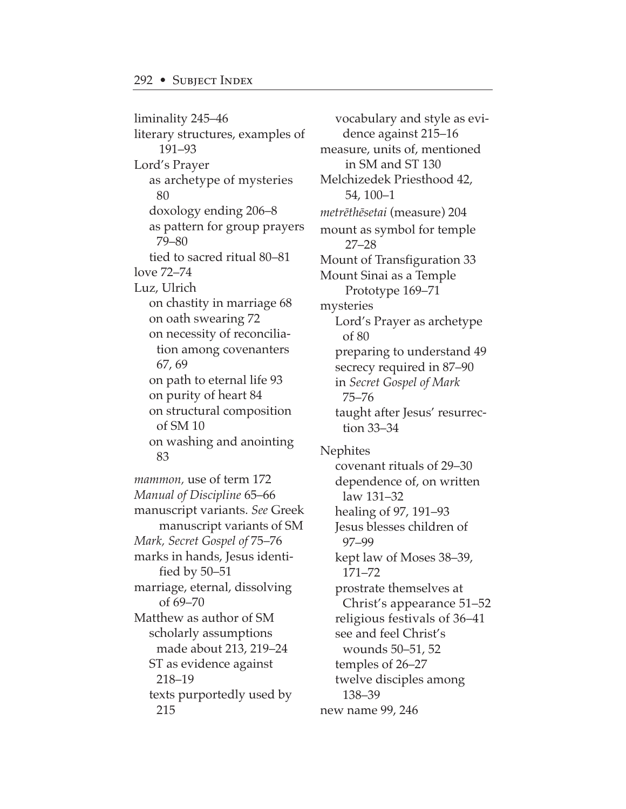liminality 245–46 literary structures, examples of 191–93 Lord's Prayer as archetype of mysteries 80 doxology ending 206–8 as pattern for group prayers 79–80 tied to sacred ritual 80–81 love 72–74 Luz, Ulrich on chastity in marriage 68 on oath swearing 72 on necessity of reconciliation among covenanters 67, 69 on path to eternal life 93 on purity of heart 84 on structural composition of SM 10 on washing and anointing 83 *mammon,* use of term 172 *Manual of Discipline* 65–66 manuscript variants. *See* Greek manuscript variants of SM *Mark, Secret Gospel of* 75–76 marks in hands, Jesus identified by 50–51 marriage, eternal, dissolving of 69–70 Matthew as author of SM scholarly assumptions made about 213, 219–24 ST as evidence against 218–19 texts purportedly used by 215

vocabulary and style as evidence against 215–16 measure, units of, mentioned in SM and ST 130 Melchizedek Priesthood 42, 54, 100–1 *metr∑th∑setai* (measure) 204 mount as symbol for temple 27–28 Mount of Transfiguration 33 Mount Sinai as a Temple Prototype 169–71 mysteries Lord's Prayer as archetype of 80 preparing to understand 49 secrecy required in 87–90 in *Secret Gospel of Mark* 75–76 taught after Jesus' resurrection 33–34 Nephites covenant rituals of 29–30 dependence of, on written law 131–32 healing of 97, 191–93 Jesus blesses children of 97–99 kept law of Moses 38–39, 171–72 prostrate themselves at Christ's appearance 51–52 religious festivals of 36–41 see and feel Christ's wounds 50–51, 52 temples of 26–27 twelve disciples among 138–39 new name 99, 246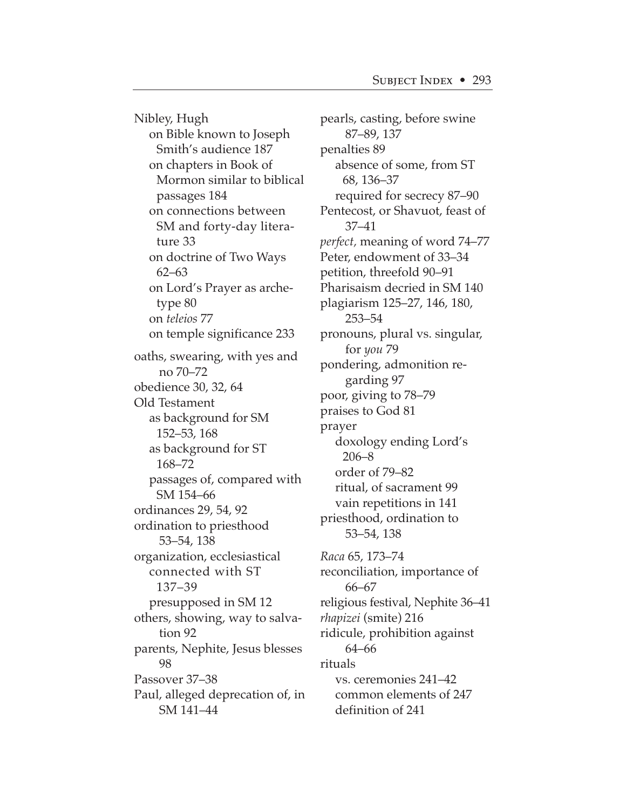Nibley, Hugh on Bible known to Joseph Smith's audience 187 on chapters in Book of Mormon similar to biblical passages 184 on connections between SM and forty-day literature 33 on doctrine of Two Ways 62–63 on Lord's Prayer as archetype 80 on *teleios* 77 on temple significance 233 oaths, swearing, with yes and no 70–72 obedience 30, 32, 64 Old Testament as background for SM 152–53, 168 as background for ST 168–72 passages of, compared with SM 154–66 ordinances 29, 54, 92 ordination to priesthood 53–54, 138 organization, ecclesiastical connected with ST 137–39 presupposed in SM 12 others, showing, way to salvation 92 parents, Nephite, Jesus blesses 98 Passover 37–38 Paul, alleged deprecation of, in SM 141–44

pearls, casting, before swine 87–89, 137 penalties 89 absence of some, from ST 68, 136–37 required for secrecy 87–90 Pentecost, or Shavuot, feast of 37–41 *perfect,* meaning of word 74–77 Peter, endowment of 33–34 petition, threefold 90–91 Pharisaism decried in SM 140 plagiarism 125–27, 146, 180, 253–54 pronouns, plural vs. singular, for *you* 79 pondering, admonition regarding 97 poor, giving to 78–79 praises to God 81 prayer doxology ending Lord's 206–8 order of 79–82 ritual, of sacrament 99 vain repetitions in 141 priesthood, ordination to 53–54, 138 *Raca* 65, 173–74 reconciliation, importance of 66–67 religious festival, Nephite 36–41 *rhapizei* (smite) 216 ridicule, prohibition against 64–66 rituals vs. ceremonies 241–42 common elements of 247 definition of 241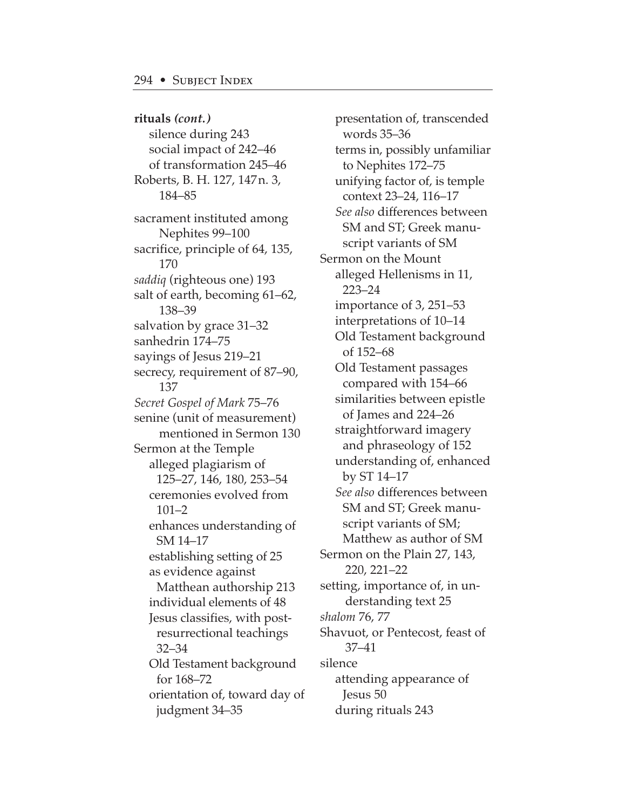**rituals** *(cont.)* silence during 243 social impact of 242–46 of transformation 245–46 Roberts, B. H. 127, 147n. 3, 184–85 sacrament instituted among Nephites 99–100 sacrifice, principle of 64, 135, 170 *saddiq* (righteous one) 193 salt of earth, becoming 61–62, 138–39 salvation by grace 31–32 sanhedrin 174–75 sayings of Jesus 219–21 secrecy, requirement of 87–90, 137 *Secret Gospel of Mark* 75–76 senine (unit of measurement) mentioned in Sermon 130 Sermon at the Temple alleged plagiarism of 125–27, 146, 180, 253–54 ceremonies evolved from 101–2 enhances understanding of SM 14–17 establishing setting of 25 as evidence against Matthean authorship 213 individual elements of 48 Jesus classifies, with postresurrectional teachings 32–34 Old Testament background for 168–72 orientation of, toward day of judgment 34–35

presentation of, transcended words 35–36 terms in, possibly unfamiliar to Nephites 172–75 unifying factor of, is temple context 23–24, 116–17 *See also* differences between SM and ST; Greek manuscript variants of SM Sermon on the Mount alleged Hellenisms in 11, 223–24 importance of 3, 251–53 interpretations of 10–14 Old Testament background of 152–68 Old Testament passages compared with 154–66 similarities between epistle of James and 224–26 straightforward imagery and phraseology of 152 understanding of, enhanced by ST 14–17 *See also* differences between SM and ST; Greek manuscript variants of SM; Matthew as author of SM Sermon on the Plain 27, 143, 220, 221–22 setting, importance of, in understanding text 25 *shalom* 76, 77 Shavuot, or Pentecost, feast of 37–41 silence attending appearance of Jesus 50 during rituals 243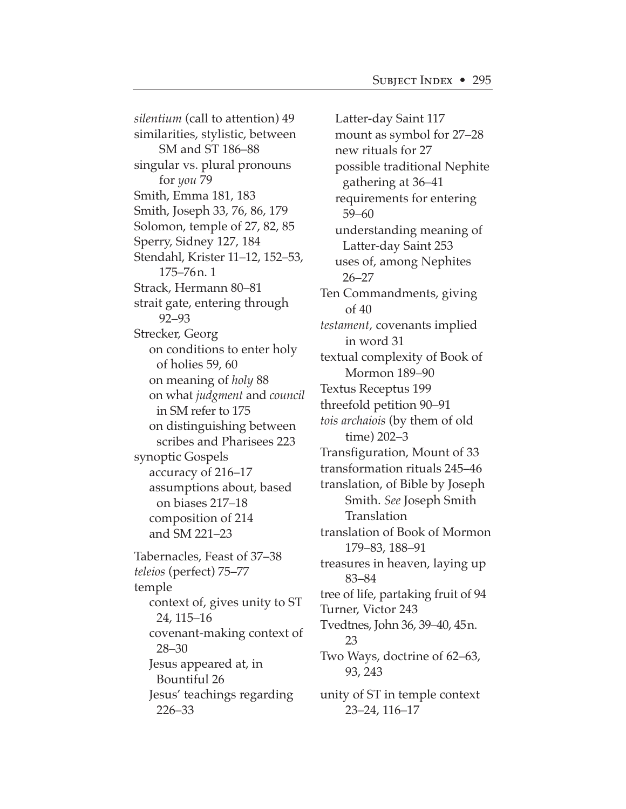*silentium* (call to attention) 49 similarities, stylistic, between SM and ST 186–88 singular vs. plural pronouns for *you* 79 Smith, Emma 181, 183 Smith, Joseph 33, 76, 86, 179 Solomon, temple of 27, 82, 85 Sperry, Sidney 127, 184 Stendahl, Krister 11–12, 152–53, 175–76n. 1 Strack, Hermann 80–81 strait gate, entering through 92–93 Strecker, Georg on conditions to enter holy of holies 59, 60 on meaning of *holy* 88 on what *judgment* and *council* in SM refer to 175 on distinguishing between scribes and Pharisees 223 synoptic Gospels accuracy of 216–17 assumptions about, based on biases 217–18 composition of 214 and SM 221–23 Tabernacles, Feast of 37–38 *teleios* (perfect) 75–77 temple context of, gives unity to ST 24, 115–16 covenant-making context of 28–30 Jesus appeared at, in Bountiful 26 Jesus' teachings regarding 226–33

Latter-day Saint 117 mount as symbol for 27–28 new rituals for 27 possible traditional Nephite gathering at 36–41 requirements for entering 59–60 understanding meaning of Latter-day Saint 253 uses of, among Nephites 26–27 Ten Commandments, giving of 40 *testament,* covenants implied in word 31 textual complexity of Book of Mormon 189–90 Textus Receptus 199 threefold petition 90–91 *tois archaiois* (by them of old time) 202–3 Transfiguration, Mount of 33 transformation rituals 245–46 translation, of Bible by Joseph Smith. *See* Joseph Smith Translation translation of Book of Mormon 179–83, 188–91 treasures in heaven, laying up 83–84 tree of life, partaking fruit of 94 Turner, Victor 243 Tvedtnes, John 36, 39–40, 45n. 23 Two Ways, doctrine of 62–63, 93, 243 unity of ST in temple context 23–24, 116–17